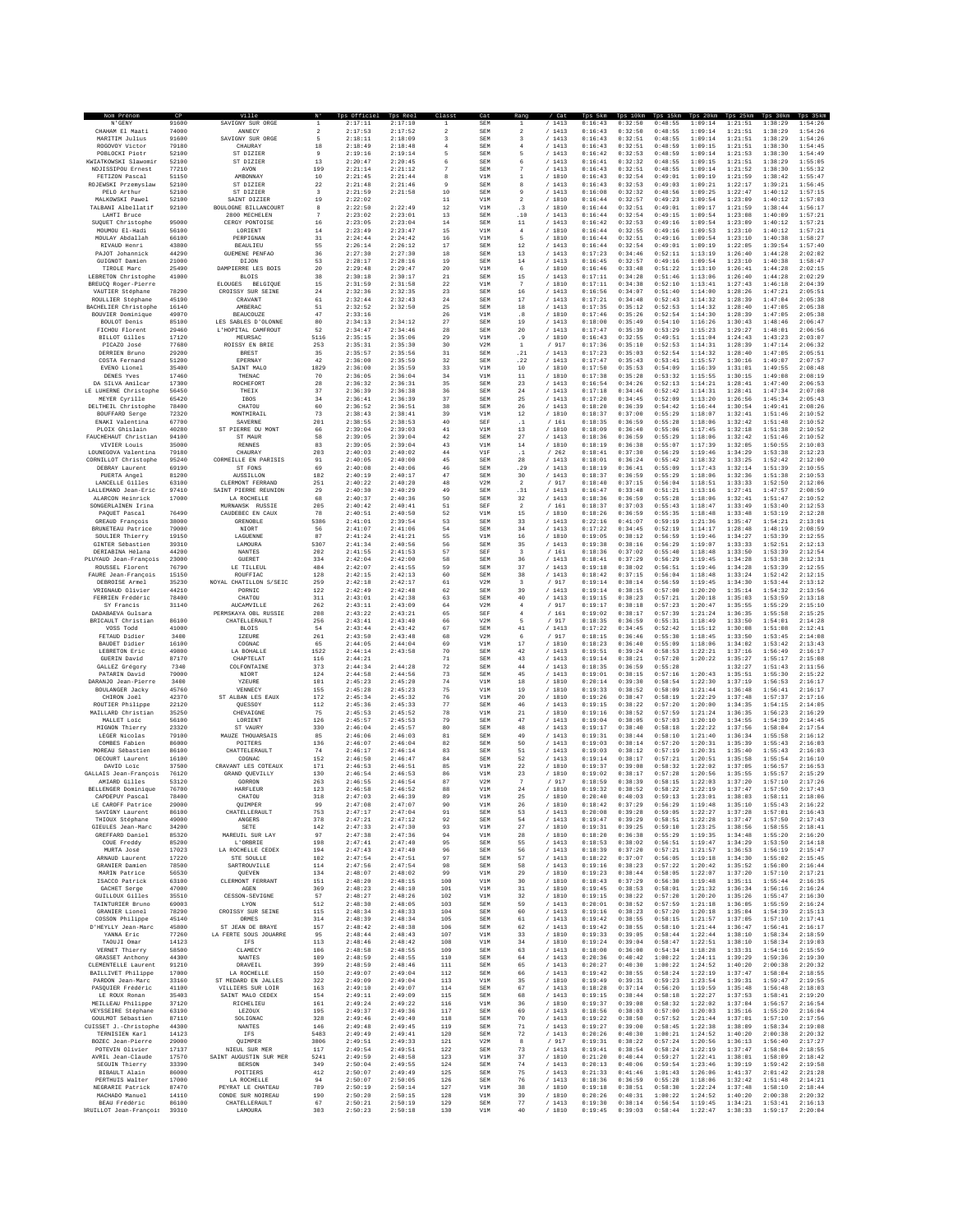|                                            | CP<br>91600    |                                          |                         | : Officie          | 2:17:10            | 1             | SEM               |                               | /1413            | 0:16:43            | 0:32:50            | 0:48:55            | 1:09:14            | 1:21:51            | 1:38:29            | 35 <sub>kt</sub><br>1:54:26 |
|--------------------------------------------|----------------|------------------------------------------|-------------------------|--------------------|--------------------|---------------|-------------------|-------------------------------|------------------|--------------------|--------------------|--------------------|--------------------|--------------------|--------------------|-----------------------------|
| N'GENY<br>CHAHAM El Maati                  | 74000          | SAVIGNY SUR ORGE<br>ANNECY               | $\overline{\mathbf{2}}$ | 2:17:11<br>2:17:53 | 2:17:52            | $\,$          | SEM               | $\,$                          | /1413            | 0:16:43            | 0:32:50            | 0:48:55            | 1:09:14            | 1:21:51            | 1:38:29            | 1:54:26                     |
| MARITIM Julius                             | 91600          | SAVIGNY SUR ORGE                         | 5                       | 2:18:11            | 2:18:09            | 3             | SEM               | 3                             | /1413            | 0:16:43            | 0:32:51            | 0:48:55            | 1:09:14            | 1:21:51            | 1:38:29            | 1:54:26                     |
| ROGOVOY Victor                             | 79180          | CHAURAY                                  | 18                      | 2:18:49            | 2:18:48            | $\frac{4}{3}$ | <b>SEM</b>        | 4                             | /1413            | 0:16:43            | 0:32:51            | 0:48:59            | 1:09:15            | 1:21:51            | 1:38:30            | 1:54:45                     |
| POBLOCKI Piotr                             | 52100          | ST DIZIER                                | $\,9$                   | 2:19:16            | 2:19:14            |               | SEM               |                               | /1413            | 0:16:42            | 0:32:53            | 0:48:59            | 1:09:14            | 1:21:53            | 1:38:30            | 1:54:49                     |
| KWIATKOWSKI Slawomir                       | 52100          | ST DIZIER                                | 13                      | 2:20:47            | 2:20:45            | 6             | SEM               |                               | /1413            | 0:16:41            | 0:32:32            | 0:48:55            | 1:09:15            | 1:21:51            | 1:38:29            | 1:55:05                     |
| NDJISSIPOU Ernest<br>FETIZON Pascal        | 77210<br>51150 | <b>AVON</b><br>AMBONNAY                  | 199<br>10               | 2:21:14<br>2:21:45 | 2:21:12<br>2:21:44 | $\mathcal{R}$ | <b>SEM</b><br>V1M | n,                            | /1413<br>/ 1810  | 0:16:43<br>0:16:43 | 0:32:51<br>0:32:54 | 0:48:55<br>0:49:01 | 1:09:14<br>1:09:19 | 1:21:52<br>1:21:59 | 1:38:30<br>1:38:42 | 1:55:32<br>1:55:47          |
| ROJEWSKI Przemyslaw                        | 52100          | ST DIZIER                                | 22                      | 2:21:48            | 2:21:46            |               | SEM               |                               | /1413            | 0:16:43            | 0:32:53            | 0:49:03            | 1:09:21            | 1:22:17            | 1:39:21            | 1:56:45                     |
| PELO Arthur                                | 52100          | ST DIZIER                                | $\overline{\mathbf{3}}$ | 2:21:59            | 2:21:58            | 10            | <b>SEM</b>        | 9                             | / 1413           | 0:16:08            | 0:32:32            | 0:48:56            | 1:09:25            | 1:22:47            | 1:40:12            | 1:57:15                     |
| MALKOWSKI Pawel                            | 52100          | SAINT DIZIER                             | 19                      | 2:22:02            |                    | 11            | V1M               | $\overline{a}$                | /1810            | 0:16:44            | 0:32:57            | 0:49:23            | 1:09:54            | 1:23:09            | 1:40:12            | 1:57:03                     |
| TALBANI Albellatif                         | 92100          | BOULOGNE BILLANCOURT                     | 8                       | 2:22:50            | 2:22:49            | 12            | V1M               | $\cdot$ <sub>3</sub>          | / 1810           | 0:16:44            | 0:32:51            | 0:49:01            | 1:09:17            | 1:21:59            | 1:38:44            | 1:56:17                     |
| LAHTI Bruce                                |                | 2800 MECHELEN                            |                         | 2:23:02            | 2:23:01            | 13            | SEM               | .10                           | /1413            | 0:16:44            | 0:32:54            | 0:49:15            | 1:09:54            | 1:23:08            | 1:40:09            | 1:57:21                     |
| SUOUET Christophe                          | 95000          | CERGY PONTOISE                           | 16                      | 2:23:05            | 2:23:04            | 14            | <b>SEM</b>        | 11                            | /1413            | 0:16:42            | 0:32:53            | 0:49:16            | 1:09:54<br>1:09:53 | 1:23:09            | 1:40:12            | 1:57:21<br>1:57:21          |
| MOUMOU El-Hadi<br>MOULAY Abdallah          | 56100<br>66100 | LORIENT<br>PERPIGNAN                     | $1\,4$<br>31            | 2:23:49<br>2:24:44 | 2:23:47<br>2:24:42 | 15<br>16      | V1M<br>V1M        | 4<br>5                        | / 1810<br>/ 1810 | 0:16:44<br>0:16:44 | 0:32:55<br>0:32:51 | 0:49:16<br>0:49:16 | 1:09:54            | 1:23:10<br>1:23:10 | 1:40:12<br>1:40:38 | 1:58:27                     |
| RIVAUD Henri                               | 43800          | <b>BEAULIEU</b>                          | 55                      | 2:26:14            | 2:26:12            | 17            | <b>SEM</b>        | 12                            | /1413            | 0:16:44            | 0:32:54            | 0:49:01            | 1:09:19            | 1:22:05            | 1:39:54            | 1:57:40                     |
| PAJOT Johannick                            | 44290          | <b>GUEMENE PENFAO</b>                    | 36                      | 2:27:30            | 2:27:30            | 18            | <b>SEM</b>        | 13                            | /1413            | 0:17:23            | 0:34:46            | 0:52:11            | 1:13:19            | 1:26:40            | 1:44:28            | 2:02:02                     |
| GUIGNOT Damien                             | 21000          | DIJON                                    | 53                      | 2:28:17            | 2:28:16            | 19            | <b>SEM</b>        | 14                            | /1413            | 0:16:45            | 0:32:57            | 0:49:16            | 1:09:54            | 1:23:10            | 1:40:38            | 1:58:47                     |
| TIROLE Marc                                | 25490          | DAMPIERRE LES BOIS                       | 20                      | 2:29:48            | 2:29:47            | 20            | V1M               | 6                             | / 1810           | 0:16:46            | 0:33:48            | 0:51:22            | 1:13:10            | 1:26:41            | 1:44:28            | 2:02:15                     |
| LEBRETON Christophe                        | 41000          | <b>BLOIS</b><br><b>BELGIQUE</b>          | 38                      | 2:30:18            | 2:30:17            | 21            | SEM               | 15                            | /1413            | 0:17:11            | 0:34:28            | 0:51:46            | 1:13:06            | 1:26:40            | 1:44:28            | 2:02:29                     |
| BREUCQ Roger-Pierre<br>VAUTIER Stéphane    | 78290          | <b>ELOUGES</b><br>CROISSY SUR SEINE      | 15<br>24                | 2:31:59<br>2:32:36 | 2:31:58<br>2:32:35 | 22<br>23      | V1M<br>SEM        | 7<br>16                       | / 1810<br>/1413  | 0:17:11<br>0:16:56 | 0:34:38<br>0:34:07 | 0:52:10<br>0:51:40 | 1:13:41<br>1:14:00 | 1:27:43<br>1:28:26 | 1:46:18<br>1:47:21 | 2:04:39<br>2:05:51          |
| ROULLIER Stéphane                          | 45190          | CRAVANT                                  | 61                      | 2:32:44            | 2:32:43            | 24            | SEM               | 17                            | /1413            | 0:17:21            | 0:34:48            | 0:52:43            | 1:14:32            | 1:28:39            | 1:47:04            | 2:05:38                     |
| BACHELIER Christophe                       | 16140          | AMBERAC                                  | 51                      | 2:32:52            | 2:32:50            | 25            | <b>SEM</b>        | 18                            | /1413            | 0:17:35            | 0:35:12            | 0:52:53            | 1:14:32            | 1:28:40            | 1:47:05            | 2:05:38                     |
| BOUVIER Dominique                          | 49070          | <b>BEAUCOUZE</b>                         | 47                      | 2:33:16            |                    | 26            | V1M               | .8                            | / 1810           | 0:17:46            | 0:35:26            | 0:52:54            | 1:14:30            | 1:28:39            | 1:47:05            | 2:05:38                     |
| BOULOT Denis                               | 85100          | LES SABLES D'OLONNE                      | 80                      | 2:34:13            | 2:34:12            | 27            | SEM               | 19                            | /1413            | 0:18:00            | 0:35:49            | 0:54:10            | 1:16:26            | 1:30:43            | 1:48:46            | 2:06:47                     |
| FICHOU Florent                             | 29460          | L'HOPITAL CAMFROUT                       | 52                      | 2:34:47            | 2:34:46            | 28            | <b>SEM</b>        | 20                            | /1413            | 0:17:47            | 0:35:39            | 0:53:29            | 1:15:23            | 1:29:27            | 1:48:01            | 2:06:56                     |
| <b>BILLOT</b> Gilles                       | 17120          | MEURSAC                                  | 5116                    | 2:35:15            | 2:35:06            | 29            | V1M               | . 9                           | / 1810           | 0:16:43            | 0:32:55            | 0:49:51            | 1:11:04            | 1:24:43            | 1:43:23            | 2:03:07                     |
| PICAZO José<br>DERRIEN Bruno               | 77680<br>29200 | ROISSY EN BRIE<br>BREST                  | 253<br>35               | 2:35:31<br>2:35:57 | 2:35:30<br>2:35:56 | 30<br>31      | V2M<br><b>SEM</b> | $\,$ 1<br>.21                 | / 917<br>/1413   | 0:17:36<br>0:17:23 | 0:35:10<br>0:35:03 | 0:52:53<br>0:52:54 | 1:14:31<br>1:14:32 | 1:28:39<br>1:28:40 | 1:47:14<br>1:47:05 | 2:06:32<br>2:05:51          |
| COSTA Fernand                              | 51200          | EPERNAY                                  | 42                      | 2:36:00            | 2:35:59            | 32            | <b>SEM</b>        | .22                           | /1413            | 0:17:47            | 0:35:43            | 0:53:41            | 1:15:57            | 1:30:16            | 1:49:07            | 2:07:57                     |
| EVENO Lionel                               | 35400          | SAINT MALO                               | 1829                    | 2:36:00            | 2:35:59            | 33            | V1M               | 10                            | / 1810           | 0:17:50            | 0:35:53            | 0:54:09            | 1:16:39            | 1:31:01            | 1:49:55            | 2:08:48                     |
| DENES Yves                                 | 17460          | THENAC                                   | 70                      | 2:36:05            | 2:36:04            | 34            | V1M               | 11                            | / 1810           | 0:17:38            | 0:35:28            | 0:53:32            | 1:15:55            | 1:30:15            | 1:49:08            | 2:08:15                     |
| DA SILVA Amilcar                           | 17300          | ROCHEFORT                                | $2\,8$                  | 2:36:32            | 2:36:31            | 35            | SEM               | 23                            | /1413            | 0:16:54            | 0:34:26            | 0:52:13            | 1:14:21            | 1:28:41            | 1:47:40            | 2:06:53                     |
| LE LUHERNE Christophe                      | 56450          | THEIX                                    | 37                      | 2:36:39            | 2:36:38            | 36            | <b>SEM</b>        | 24                            | /1413            | 0:17:18            | 0:34:46            | 0:52:42            | 1:14:31            | 1:28:41            | 1:47:34            | 2:07:08                     |
| MEYER Cyrille                              | 65420          | IBOS                                     | 34                      | 2:36:41            | 2:36:39            | 37            | SEM               | 25                            | / 1413           | 0:17:20            | 0:34:45            | 0:52:09            | 1:13:20            | 1:26:56            | 1:45:34            | 2:05:43                     |
| DELTHEIL Christophe<br>BOUFFARD Serge      | 78400<br>72320 | CHATOU<br>MONTMIRAIL                     | 60<br>73                | 2:36:52<br>2:38:43 | 2:36:51<br>2:38:41 | 38<br>39      | SEM<br>V1M        | 26<br>12                      | /1413<br>/1810   | 0:18:20<br>0:18:37 | 0:36:39<br>0:37:00 | 0:54:42<br>0:55:29 | 1:16:44<br>1:18:07 | 1:30:54<br>1:32:41 | 1:49:41<br>1:51:46 | 2:08:26<br>2:10:52          |
| ENAKI Valentina                            | 67700          | SAVERNE                                  | 201                     | 2:38:55            | 2:38:53            | 40            | SEF               | $\cdot$ 1                     | $/$ 161          | 0:18:35            | 0:36:59            | 0:55:28            | 1:18:06            | 1:32:42            | 1:51:48            | 2:10:52                     |
| PLOIX Ghislain                             | 40280          | ST PIERRE DU MONT                        | 66                      | 2:39:04            | 2:39:03            | 41            | V1M               | $13$                          | / 1810           | 0:18:09            | 0:36:40            | 0:55:06            | 1:17:45            | 1:32:18            | 1:51:38            | 2:10:52                     |
| FAUCHEHAUT Christian                       | 94100          | ST MAUR                                  | 58                      | 2:39:05            | 2:39:04            | 42            | <b>SEM</b>        | 27                            | /1413            | 0:18:36            | 0:36:59            | 0:55:29            | 1:18:06            | 1:32:42            | 1:51:46            | 2:10:52                     |
| VIVIER Louis                               | 35000          | <b>RENNES</b>                            | 83                      | 2:39:05            | 2:39:04            | 43            | V1M               | 14                            | / 1810           | 0:18:19            | 0:36:38            | 0:55:07            | 1:17:39            | 1:32:05            | 1:50:55            | 2:10:03                     |
| LOUNEGOVA Valentina                        | 79180          | CHAURAY                                  | 203                     | 2:40:03            | 2:40:02            | 44            | V1F               | $\cdot\,1$                    | /262             | 0:18:41            | 0:37:30            | 0:56:29            | 1:19:46            | 1:34:29            | 1:53:38            | 2:12:23                     |
| CORNILLOT Christophe                       | 95240          | CORMEILLE EN PARISIS                     | 91                      | 2:40:05            | 2:40:00            | 45            | SEM               | 28                            | /1413            | 0:18:01            | 0:36:24            | 0:55:42            | 1:18:32            | 1:33:25            | 1:52:42            | 2:12:00                     |
| DEBRAY Laurent                             | 69190          | ST FONS                                  | 69                      | 2:40:08            | 2:40:06            | 46            | SEM               | .29                           | /1413            | 0:18:19            | 0:36:41            | 0:55:09            | 1:17:43            | 1:32:14            | 1:51:39            | 2:10:55                     |
| PUERTA Angel                               | 81200          | <b>AUSSILLON</b>                         | 182                     | 2:40:19            | 2:40:17            | 47            | SEM               | 30                            | /1413            | 0:18:37            | 0:36:59            | 0:55:29            | 1:18:06            | 1:32:36            | 1:51:38            | 2:10:53                     |
| LANCELLE Gilles<br>LALLEMAND Jean-Eric     | 63100<br>97410 | CLERMONT FERRAND<br>SAINT PIERRE REUNION | 251<br>29               | 2:40:22<br>2:40:30 | 2:40:20<br>2:40:29 | 48<br>49      | V2M<br>SEM        | $\,$<br>.31                   | / 917<br>/1413   | 0:18:40<br>0:16:47 | 0:37:15<br>0:33:48 | 0:56:04<br>0:51:21 | 1:18:51<br>1:13:16 | 1:33:33<br>1:27:41 | 1:52:50<br>1:47:57 | 2:12:06<br>2:08:59          |
| ALARCON Heinrick                           | 17000          | LA ROCHELLE                              | 68                      | 2:40:37            | 2:40:36            | 50            | <b>SEM</b>        | 32                            | /1413            | 0:18:36            | 0:36:59            | 0:55:28            | 1:18:06            | 1:32:41            | 1:51:47            | 2:10:52                     |
| SONGERLAINEN Irina                         |                | MITRNANSK RIJSSTR                        | 205                     | 2:40:42            | 2:40:41            | 51            | SEF               | $\overline{2}$                | $/$ 161          | 0:18:37            | 0:37:03            | 0:55:43            | 1:18:47            | 1:33:49            | 1:53:40            | 2:12:53                     |
| PAQUET Pascal                              | 76490          | CAUDEBEC EN CAUR                         | 78                      | 2:40:51            | 2:40:50            | 52            | V1M               | $15$                          | / 1810           | 0:18:26            | 0:36:55            | 0:55:35            | 1:18:48            | 1:33:48            | 1:53:19            | 2:12:28                     |
| GREAUD François                            | 38000          | GRENOBLE                                 | 5386                    | 2:41:01            | 2:39:54            | 53            | <b>SEM</b>        | 33                            | /1413            | 0:22:16            | 0:41:07            | 0:59:19            | 1:21:36            | 1:35:47            | 1:54:21            | 2:13:01                     |
| BRUNETEAU Patrice                          | 79000          | NIORT                                    | 56                      | 2:41:07            | 2:41:06            | 54            | <b>SEM</b>        | 34                            | /1413            | 0:17:22            | 0:34:45            | 0:52:19            | 1:14:17            | 1:28:48            | 1:48:19            | 2:08:59                     |
| SOULIER Thierry                            | 19150          | LAGUENNI                                 | 87                      | 2:41:24            | 2:41:21            | 55            | V1M               | 16                            | / 1810           | 0:19:05            | 0:38:12            | 0:56:59            | 1:19:46            | 1:34:27            | 1:53:39            | 2:12:55                     |
| GINTER Sébastien                           | 39310          | LAMOURA                                  | 5307                    | 2:41:34            | 2:40:56            | 56            | <b>SEM</b>        | 35                            | /1413            | 0:19:38            | 0:38:16            | 0:56:29            | 1:19:07            | 1:33:33            | 1:52:51            | 2:12:13                     |
| DERIABINA Hélana                           | 44200<br>23000 | <b>NANTES</b><br>GUERET                  | 202                     | 2:41:55<br>2:42:04 | 2:41:53<br>2:42:00 | 57<br>58      | SEF               | $\overline{\mathbf{3}}$<br>36 | /161<br>/1413    | 0:18:36<br>0:18:41 | 0:37:02<br>0:37:29 | 0:55:40<br>0:56:29 | 1:18:48<br>1:19:45 | 1:33:50<br>1:34:28 | 1:53:39<br>1:53:38 | 2:12:54                     |
| PLUYAUD Jean-François<br>ROUSSEL Florent   | 76790          | LE TILLEUI                               | 334<br>484              | 2:42:07            | 2:41:55            | 59            | SEM<br>SEM        | 37                            | /1413            | 0:19:18            | 0:38:02            | 0:56:51            | 1:19:46            | 1:34:28            | 1:53:39            | 2:12:31<br>2:12:55          |
| FAURE Jean-François                        | 15150          | ROUFFIAC                                 | 128                     | 2:42:15            | 2:42:13            | 60            | SEM               | 38                            | /1413            | 0:18:42            | 0:37:15            | 0:56:04            | 1:18:48            | 1:33:24            | 1:52:42            | 2:12:15                     |
| DEBROISE Armel                             | 35230          | NOYAL CHATILLON S/SEIC                   | 259                     | 2:42:18            | 2:42:17            | 61            | V2M               | $\overline{\mathbf{3}}$       | /917             | 0:19:14            | 0:38:14            | 0:56:59            | 1:19:45            | 1:34:30            | 1:53:44            | 2:13:12                     |
| VRIGNAUD Olivier                           | 44210          | PORNIC                                   | 122                     | 2:42:49            | 2:42:48            | 62            | SEM               | 39                            | / 1413           | 0:19:14            | 0:38:15            | 0:57:00            | 1:20:20            | 1:35:14            | 1:54:32            | 2:13:56                     |
| FERRIEN Frédéric                           | 78400          | CHATOU                                   | 311                     | 2:43:01            | 2:42:38            | 63            | SEM               | 40                            | /1413            | 0:19:15            | 0:38:23            | 0:57:21            | 1:20:18            | 1:35:03            | 1:53:59            | 2:13:18                     |
| SY Francis                                 | 31140          | <b>AUCAMVILLE</b>                        | 262                     | 2:43:11            | 2:43:09            | 64            | V2M               | $\frac{4}{3}$                 | / 917            | 0:19:17            | 0:38:18            | 0:57:23            | 1:20:47            | 1:35:55            | 1:55:29            | 2:15:10                     |
| DADABAEVA Gulsara                          |                | PERMSKAYA OBL RUSSIE                     | 208                     | 2:43:22            | 2:43:21            | 65            | SEF               | 4                             | /161             | 0:19:02            | 0:38:17            | 0:57:39            | 1:21:24            | 1:36:35            | 1:55:58            | 2:15:25                     |
| BRICAULT Christian                         | 86100          | CHATELLERAULT                            | 256                     | 2:43:41            | 2:43:40            | 66            | V2M               | 5                             | / 917            | 0:18:35            | 0:36:59            | 0:55:31            | 1:18:49            | 1:33:50            | 1:54:01            | 2:14:28                     |
| VOSS Todd<br>FETAUD Didier                 | 41000<br>3400  | <b>BLOIS</b><br><b>IZEURE</b>            | 54<br>261               | 2:43:44<br>2:43:50 | 2:43:42<br>2:43:48 | 67<br>68      | <b>SEM</b><br>V2M | 41<br>6                       | /1413<br>/917    | 0:17:22<br>0:18:15 | 0:34:45<br>0:36:46 | 0:52:42<br>0:55:30 | 1:15:12<br>1:18:45 | 1:30:08<br>1:33:50 | 1:51:08<br>1:53:45 | 2:12:41<br>2:14:08          |
| BAUDET Didier                              | 16100          | COGNAC                                   | 65                      | 2:44:05            | 2:44:04            | 69            | V1M               | 17                            | / 1810           | 0:18:23            | 0:36:40            | 0:55:09            | 1:18:06            | 1:34:02            | 1:53:42            | 2:13:43                     |
| LEBRETON Eric                              | 49800          | LA BOHALLE                               | 1522                    | 2:44:14            | 2:43:58            | 70            | SEM               | 42                            | /1413            | 0:19:51            | 0:39:24            | 0:58:53            | 1:22:21            | 1:37:16            | 1:56:49            | 2:16:17                     |
| GUERIN David                               | 87170          | CHAPTELAT                                | 116                     | 2:44:21            |                    | 71            | SEM               | 43                            | /1413            | 0:19:14            | 0:38:21            | 0:57:20            | 1:20:22            | 1:35:27            | 1:55:17            | 2:15:08                     |
| GALLEZ Grégory                             | 7340           | COLFONTAINE                              | 373                     | 2:44:34            | 2:44:28            | 72            | SEM               | 44                            | / 1413           | 0:18:35            | 0:36:59            | 0:55:28            |                    | 1:32:27            | 1:51:43            | 2:11:56                     |
| PATARIN David                              | 79000          | NIORT                                    | 124                     | 2:44:58            | 2:44:56            | 73            | SEM               | 45                            | /1413            | 0:19:01            | 0:38:15            | 0:57:16            | 1:20:43            | 1:35:51            | 1:55:30            | 2:15:22                     |
| DARANJO Jean-Pierre                        | 3400           | YZEURE                                   | 101                     | 2:45:23            | 2:45:20            | 74            | V1M               | 18                            | / 1810           | 0:20:14            | 0:39:30            | 0:58:54            | 1:22:30            | 1:37:19            | 1:56:53            | 2:16:17                     |
| <b>BOULANGER Jacky</b>                     | 45760          | VENNECY                                  | 155                     | 2:45:28            | 2:45:23            | 75            | V1M               | 19                            | /1810            | 0:19:33            | 0:38:52            | 0:58:09            | 1:21:44            | 1:36:48            | 1:56:41            | 2:16:17                     |
| CHIRON Joël                                | 42370          | ST ALBAN LES EAUX                        | 172                     | 2:45:34            | 2:45:32            | 76            | V1M               | 20                            | / 1810           | 0:19:26            | 0:38:47            | 0:58:19            | 1:22:29            | 1:37:48            | 1:57:37            | 2:17:16                     |
| ROUTIER Philippe<br>MAILLARD Christian     | 22120<br>35250 | QUESSOY<br>CHEVAIGNE                     | 112<br>75               | 2:45:36<br>2:45:53 | 2:45:33<br>2:45:52 | 77<br>78      | SEM<br>V1M        | 46<br>$21\,$                  | /1413<br>/ 1810  | 0:19:15<br>0:19:16 | 0:38:22<br>0:38:52 | 0:57:20<br>0:57:59 | 1:20:00<br>1:21:24 | 1:34:35<br>1:36:35 | 1:54:15<br>1:56:23 | 2:14:05<br>2:16:29          |
| MALLET Loic                                | 56100          | LORIENT                                  | 126                     | 2:45:57            | 2:45:53            | 79            | <b>SEM</b>        | 47                            | /1413            | 0:19:04            | 0:38:05            | 0:57:03            | 1:20:10            | 1:34:55            | 1:54:39            | 2:14:45                     |
| MIGNON Thierry                             | 23320          | ST VAURY                                 | 330                     | 2:46:04            | 2:45:57            | 80            | SEM               | 48                            | /1413            | 0:19:17            | 0:38:40            | 0:58:18            | 1:22:22            | 1:37:56            | 1:58:04            | 2:17:54                     |
| LEGER Nicolas                              | 79100          | MAUZE THOUARSAIS                         | 85                      | 2:46:06            | 2:46:03            | 81            | <b>SEM</b>        | 49                            | /1413            | 0:19:31            | 0:38:44            | 0:58:10            | 1:21:40            | 1:36:34            | 1:55:58            | 2:16:12                     |
| COMBES Fabien                              | 86000          | POITERS                                  | 136                     | 2:46:07            | 2:46:04            | 82            | <b>SEM</b>        | 50                            | /1413            | 0:19:03            | 0:38:14            | 0:57:20            | 1:20:31            | 1:35:39            | 1:55:43            | 2:16:03                     |
| MOREAU Sébastien                           | 86100          | CHATTELERAULT                            | 74                      | 2:46:17            | 2:46:14            | 83            | <b>SEM</b>        | 51                            | /1413            | 0:19:03            | 0:38:12            | 0:57:19            | 1:20:31            | 1:35:40            | 1:55:43            | 2:16:03                     |
| DECOURT Laurent                            | 16100          | COGNAC                                   | 152                     | 2:46:50            | 2:46:47            | 84            | SEM               | 52                            | /1413            | 0:19:14            | 0:38:17            | 0:57:21            | 1:20:51            | 1:35:58            | 1:55:54            | 2:16:10                     |
| DAVID Loic                                 | 37500          | CRAVANT LES COTEAUX                      | 171                     | 2:46:53            | 2:46:51            | 85            | V1M               | 22                            | / 1810           | 0:19:37            | 0:39:08            | 0:58:32            | 1:22:02            | 1:37:05            | 1:56:57            | 2:16:53                     |
| GALLAIS Jean-François                      | 76120          | GRAND QUEVILLY                           | 130                     | 2:46:54            | 2:46:53            | 86            | V1M               | 23                            | / 1810           | 0:19:02            | 0:38:17            | 0:57:28            | 1:20:56            | 1:35:55            | 1:55:57            | 2:15:29                     |
| AMIARD Gilles<br>BELLENGER Dominique       | 53120<br>76700 | GORRON<br>HARFLEUR                       | 263<br>123              | 2:46:55<br>2:46:58 | 2:46:54<br>2:46:52 | 87<br>88      | V2M<br>V1M        | $\overline{7}$<br>24          | / 917<br>/ 1810  | 0:18:59<br>0:19:32 | 0:38:39<br>0:38:52 | 0:58:15<br>0:58:22 | 1:22:03<br>1:22:19 | 1:37:20<br>1:37:47 | 1:57:10<br>1:57:50 | 2:17:26<br>2:17:43          |
| CAPDEPIIV Pascal                           | 78400          | CHATOU                                   | 318                     | 2:47:03            | 2:46:39            | 89            | V1M               | 25                            | /1810            | 0:20:40            | 0:40:03            | 0:59:13            | 1:23:01            | 1:38:03            | 1:58:11            | 2:18:06                     |
| LE CAROFF Patrice                          | 29000          | QUIMPER                                  | 99                      | 2:47:08            | 2:47:07            | 90            | V1M               | 26                            | / 1810           | 0:18:42            | 0:37:29            | 0:56:29            | 1:19:48            | 1:35:10            | 1:55:43            | 2:16:22                     |
| SAV LGN Y                                  | 89700          | ehvebbberaudt                            | 753                     | 2:47:1             | 2:47:04            |               |                   |                               | 1413             | 0:30:08            | U : 39 : 26        | :59:05             | 1:22:21            | 1:37:28            | T:PA:0T            | 2:10:43                     |
| THIOUX Stéphane                            | 49000          | ANGERS                                   | 378                     | 2:47:21            | 2:47:12            | 92            | <b>SEM</b>        | 54                            | /1413            | 0:19:47            | 0:39:29            | 0:58:51            | 1:22:28            | 1:37:47            | 1:57:50            | 2:17:43                     |
| GIEULES Jean-Marc                          | 34200          | SETE                                     | 142                     | 2:47:33            | 2:47:30            | 93            | V1M               | 27                            | /1810            | 0:19:31            | 0:39:25            | 0:59:10            | 1:23:25            | 1:38:56            | 1:58:55            | 2:18:41                     |
| GREFFARD Daniel<br>COUE Freddy             | 85320<br>85200 | MAREUIL SUR LAY<br>L'ORBRIE              | 97<br>198               | 2:47:38<br>2:47:41 | 2:47:36<br>2:47:40 | 94<br>95      | V1M<br>SEM        | 28<br>55                      | / 1810<br>/1413  | 0:18:20<br>0:18:53 | 0:36:38<br>0:38:02 | 0:55:29<br>0:56:51 | 1:19:35<br>1:19:47 | 1:34:48<br>1:34:29 | 1:55:20<br>1:53:50 | 2:16:20<br>2:14:18          |
| MURTA José                                 | 17023          | LA ROCHELLE CEDEX                        | 194                     | 2:47:43            | 2:47:40            | 96            | <b>SEM</b>        | 56                            | /1413            | 0:18:39            | 0:37:20            | 0:57:21            | 1:21:57            | 1:36:53            | 1:56:19            | 2:15:47                     |
| ARNAUD Laurent                             | 17220          | STE SOULLE                               | 102                     | 2:47:54            | 2:47:51            | 97            | <b>SEM</b>        | 57                            | /1413            | 0:18:22            | 0:37:07            | 0:56:05            | 1:19:18            | 1:34:30            | 1:55:02            | 2:15:45                     |
| GRANIER Damien                             | 78500          | SARTROUVILLE                             | 114                     | 2:47:56            | 2:47:54            | 98            | SEM               | 58                            | /1413            | 0:19:16            | 0:38:23            | 0:57:22            | 1:20:42            | 1:35:52            | 1:56:00            | 2:16:44                     |
| MARIN Patrice                              | 56530          | QUEVEN                                   | 134                     | 2:48:07            | 2:48:02            | 99            | V1M               | 29                            | / 1810           | 0:19:23            | 0:38:44            | 0:58:05            | 1:22:07            | 1:37:20            | 1:57:10            | 2:17:21                     |
| ISACCO Patrick                             |                |                                          |                         | 2:48:20            | 2:48:15            | 100           | V1M               | 30                            | / 1810           | 0:18:43            | 0:37:29            | 0:56:30            | 1:19:48            | 1:35:11            | 1:55:44            | 2:16:35                     |
|                                            | 63100          | CLERMONT FERRANT                         | 151                     |                    |                    |               |                   |                               |                  |                    |                    |                    |                    |                    |                    |                             |
| GACHET Serge                               | 47000          | AGEN                                     | 369                     | 2:48:23            | 2:48:10            | 101           | V1M               | 31                            | / 1810           | 0:19:45            | 0:38:53            | 0:58:01            | 1:21:32            | 1:36:34            | 1:56:16            | 2:16:24                     |
| <b>GUILLOUX Gilles</b>                     | 35510          | CESSON-SEVIGNE                           | 57                      | 2:48:27            | 2:48:26            | 102           | V1M               | 32                            | / 1810           | 0:19:15            | 0:38:22            | 0:57:20            | 1:20:20            | 1:35:26            | 1:55:47            | 2:16:30                     |
| TAINTURIER Bruno                           | 69003          | LYON                                     | 512                     | 2:48:30            | 2:48:05            | 103           | SEM               | 59                            | /1413            | 0:20:01            | 0:38:52            | 0:57:59            | 1:21:18            | 1:36:05            | 1:55:59            | 2:16:24                     |
| GRANIER Lionel                             | 78290          | CROISSY SUR SEINE                        | 115                     | 2:48:34            | 2:48:33            | 104           | <b>SEM</b>        | 60                            | /1413            | 0:19:16            | 0:38:23            | 0:57:20            | 1:20:18            | 1:35:04            | 1:54:39            | 2:15:13                     |
| COSSON Philippe                            | 45140          | <b>ORMES</b>                             | 314                     | 2:48:39            | 2:48:34            | 105           | SEM               | 61                            | /1413            | 0:19:42            | 0:38:55            | 0:58:15            | 1:21:57            | 1:37:05            | 1:57:10            | 2:17:41                     |
| D'HEYLLY Jean-Marc<br>YANNA Eric           | 45800<br>77260 | ST JEAN DE BRAYE                         | 157<br>95               | 2:48:42<br>2:48:44 | 2:48:38<br>2:48:43 | 106<br>107    | <b>SEM</b><br>V1M | 62<br>33                      | /1413<br>/1810   | 0:19:42<br>0:19:33 | 0:38:55<br>0:39:05 | 0:58:10<br>0:58:44 | 1:21:44<br>1:22:44 | 1:36:47<br>1:38:10 | 1:56:41<br>1:58:34 | 2:16:17<br>2:18:59          |
| TAOUJI Omar                                | 14123          | LA FERTE SOUS JOUARRE<br>IFS             | 113                     | 2:48:46            | 2:48:42            | 108           | V1M               | 34                            | / 1810           | 0:19:24            | 0:39:04            | 0:58:47            | 1:22:51            | 1:38:10            | 1:58:34            | 2:19:03                     |
| VERNET Thierry                             | 58500          | CLAMECY                                  | 106                     | 2:48:58            | 2:48:55            | 109           | SEM               | 63                            | /1413            | 0:18:00            | 0:36:00            | 0:54:34            | 1:18:28            | 1:33:31            | 1:54:16            | 2:15:59                     |
| GRASSET Anthony                            | 44300          | NANTES                                   | 109                     | 2:48:59            | 2:48:55            | 110           | SEM               | 64                            | /1413            | 0:20:36            | 0:40:42            | 1:00:22            | 1:24:11            | 1:39:29            | 1:59:36            | 2:19:30                     |
| CLEMENTELLE Laurent                        | 91210          | DRAVEIL                                  | 399                     | 2:48:59            | 2:48:46            | 111           | <b>SEM</b>        | 65                            | /1413            | 0:20:27            | 0:40:30            | 1:00:22            | 1:24:52            | 1:40:20            | 2:00:38            | 2:20:32                     |
| BAILLIVET Philippe                         | 17000          | LA ROCHELLE                              | 150                     | 2:49:07            | 2:49:04            | 112           | SEM               | 66                            | / 1413           | 0:19:42            | 0:38:55            | 0:58:24            | 1:22:19            | 1:37:47            | 1:58:04            | 2:18:55                     |
| PARDON Jean-Marc                           | 33160          | ST MEDARD EN JALLES                      | 322                     | 2:49:09            | 2:49:04            | 113           | V1M               | 35                            | / 1810           | 0:19:49            | 0:39:31            | 0:59:23            | 1:23:54            | 1:39:31            | 1:59:47            | 2:19:55                     |
| PASOUTER Frédéric                          | 41100          | VILLIERS SUR LOIR                        | 163                     | 2:49:10            | 2:49:07            | 114           | <b>SEM</b>        | 67                            | /1413            | 0:18:28            | 0:37:14            | 0:56:20            | 1:19:59            | 1:35:48            | 1:56:48            | 2:18:03                     |
| LE ROUX Ronan                              | 35403          | SAINT MALO CEDEX                         | 154                     | 2:49:11            | 2:49:09            | 115           | <b>SEM</b>        | 68                            | / 1413           | 0:19:15            | 0:38:44            | 0:58:18            | 1:22:27            | 1:37:53            | 1:58:41            | 2:19:20                     |
| MEILLEAU Philippe                          | 37120          | RICHELIEU                                | 161                     | 2:49:24            | 2:49:22            | 116           | V1M               | 36                            | / 1810           | 0:19:37            | 0:39:08            | 0:58:32            | 1:22:02            | 1:37:04            | 1:56:57            | 2:16:54                     |
| VEYSSEIRE Stéphane                         | 63190<br>87110 | LEZOUX<br>SOLIGNAC                       | 195<br>328              | 2:49:37<br>2:49:46 | 2:49:36<br>2:49:40 | 117<br>118    | SEM<br><b>SEM</b> | 69<br>70                      | /1413            | 0:18:56<br>0:19:22 | 0:38:03<br>0:38:50 | 0:57:00<br>0:57:52 | 1:20:03<br>1:21:44 | 1:35:16<br>1:37:01 | 1:55:20<br>1:57:10 | 2:16:04<br>2:17:56          |
| GOULMOT Sébastien<br>CUISSET J.-Christophe | 44300          |                                          | 146                     | 2:49:48            | 2:49:45            | 119           | SEM               | 71                            | /1413            | 0:19:27            | 0:39:00            | 0:58:45            | 1:22:38            | 1:38:09            | 1:58:34            | 2:19:08                     |
| TERNISIEN Karl                             | 14123          | $\mbox{NANTES}$<br>IFS                   | 5483                    | 2:49:49            | 2:49:41            | 120           | SEM               | 72                            | / 1413<br>/1413  | 0:20:26            | 0:40:30            | 1:00:21            | 1:24:52            | 1:40:20            | 2:00:38            | 2:20:32                     |
| BOZEC Jean-Pierre                          | 29000          | QUIMPER                                  | 3806                    | 2:49:51            | 2:49:33            | 121           | V2M               | 8                             | / 917            | 0:19:31            | 0:38:22            | 0:57:24            | 1:20:56            | 1:36:13            | 1:56:40            | 2:17:27                     |
| POTEVIN Olivier                            | 17137          | NIEUL SUR MER                            | 117                     | 2:49:54            | 2:49:51            | 122           | SEM               | 73                            | /1413            | 0:19:41            | 0:38:54            | 0:58:24            | 1:22:19            | 1:37:47            | 1:58:04            | 2:18:55                     |
| AVRIL Jean-Claude                          | 17570          | SAINT AUGUSTIN SUR MER                   | 5241                    | 2:49:59            | 2:48:58            | 123           | V1M               | 37                            | / 1810           | 0:21:20            | 0:40:44            | 0:59:27            | 1:22:41            | 1:38:01            | 1:58:09            | 2:18:42                     |
| SEGUIN Thierry                             | 33390          | <b>BERSON</b>                            | 349                     | 2:50:04            | 2:49:55            | 124           | SEM               | 74                            | /1413            | 0:20:13            | 0:40:06            | 0:59:54            | 1:23:46            | 1:39:19            | 1:59:42            | 2:19:58                     |
| BIBAULT Alain                              | 86000          | POITIERS                                 | 412                     | 2:50:07            | 2:49:49            | 125           | SEM               | 75                            | /1413            | 0:21:33            | 0:41:46            | 1:01:43            | 1:26:06            | 1:41:37            | 2:01:42            | 2:21:28                     |
| PERTHUIS Walter                            | 17000          | LA ROCHELLE                              | 94                      | 2:50:07            | 2:50:05            | 126           | SEM               | 76                            | / 1413           | 0:18:36            | 0:36:59            | 0:55:28            | 1:18:06            | 1:32:42            | 1:51:48            | 2:14:21                     |
| NEGRARIE Patrick                           | 87470          | PEYRAT LE CHATEAU                        | 789                     | 2:50:19            | 2:50:14            | 127           | V1M               | 38                            | / 1810           | 0:19:18            | 0:38:51            | 0:58:30            | 1:22:24            | 1:37:48            | 1:58:10            | 2:18:44                     |
| MACHADO Manuel<br>BEAU Frédéric            | 14110<br>86100 | CONDE SUR NOIREAU<br>CHATELLERAULT       | 190<br>67               | 2:50:20<br>2:50:21 | 2:50:15<br>2:50:19 | 128<br>129    | V1M<br><b>SEM</b> | 39<br>77                      | / 1810<br>/ 1413 | 0:20:26<br>0:19:30 | 0:40:31<br>0:38:14 | 1:00:22<br>0:56:54 | 1:24:52<br>1:19:45 | 1:40:20<br>1:34:21 | 2:00:38<br>1:53:41 | 2:20:32<br>2:16:13          |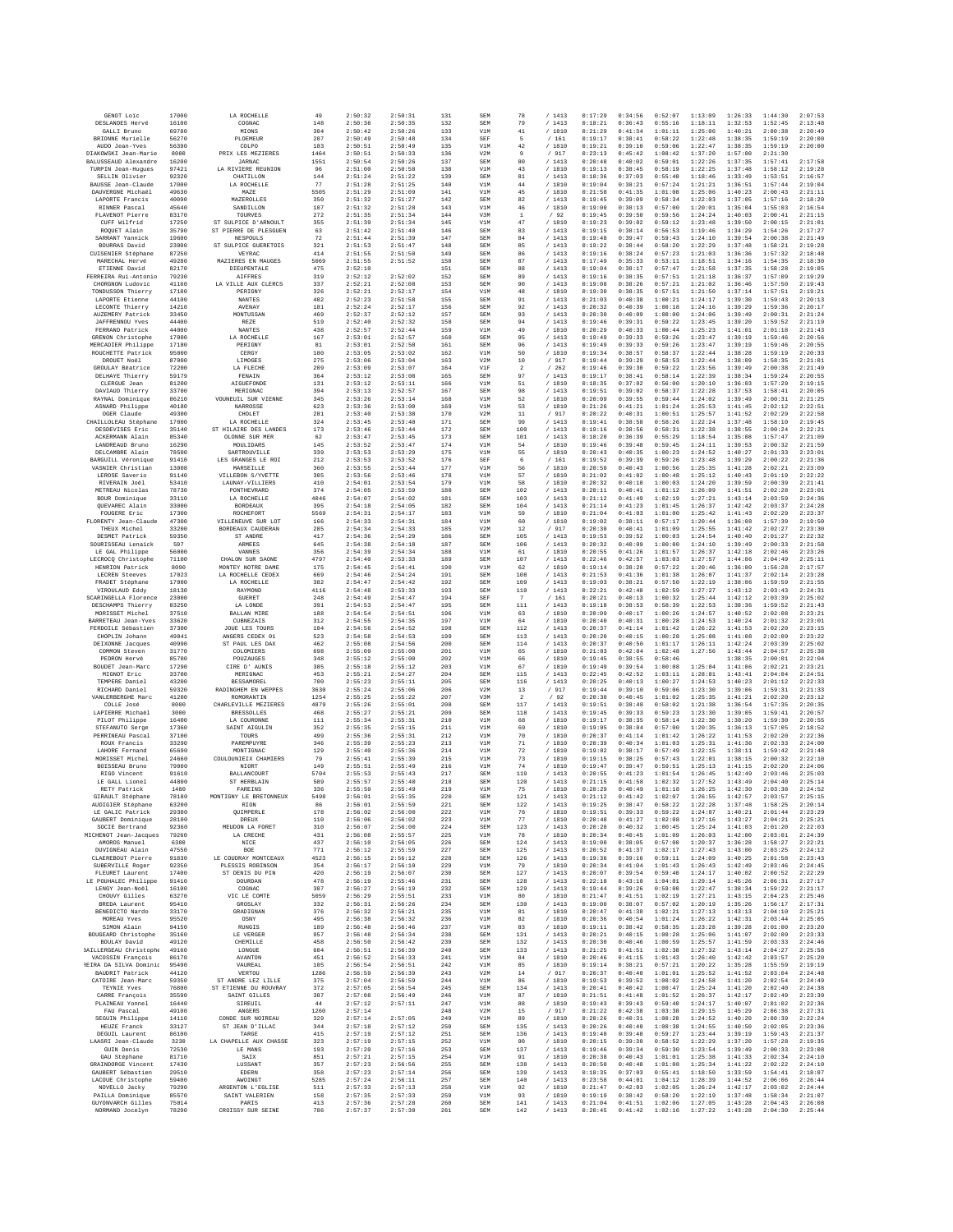| GRNOT Loic                                 | 17000          | LA ROCHELLE                         | 49         | 2:50:32            | 2:50:31            | 131        | SEM<br>SEM        | 78                      | /1413                                         | 0:17:29            | 0:34:56            | 0:52:07            | 1:13:09            | 1:26:33            | 1:44:30            | 2:07:53            |
|--------------------------------------------|----------------|-------------------------------------|------------|--------------------|--------------------|------------|-------------------|-------------------------|-----------------------------------------------|--------------------|--------------------|--------------------|--------------------|--------------------|--------------------|--------------------|
| DESLANDES Hervé                            | 16100          | COGNAC                              | 148        | 2:50:36            | 2:50:35            | 132        | V1M               | 79                      | /1413                                         | 0:18:21            | 0:36:43            | 0:55:16            | 1:18:11            | 1:32:53            | 1:52:45            | 2:13:48            |
| GALLI Bruno                                | 69780          | MIONS                               | 304        | 2:50:42            | 2:50:26            | 133        |                   | 41                      | / 1810                                        | 0:21:29            | 0:41:34            | 1:01:11            | 1:25:06            | 1:40:21            | 2:00:38            | 2:20:49            |
| BRIONNE Murielle                           | 56270          | PLOEMEUR                            | 207        | 2:50:49            | 2:50:48            | 134        | SEF               | 5                       | / 161                                         | 0:19:17            | 0:38:41            | 0:58:22            | 1:22:48            | 1:38:35            | 1:59:19            | 2:20:00            |
| AUDO Jean-Yves                             | 56390          | COLPO                               | 183        | 2:50:51            | 2:50:49            | 135        | V1M               | 42                      | /1810                                         | 0:19:21            | 0:39:10            | 0:59:06            | 1:22:47            | 1:38:35            | 1:59:19            | 2:20:00            |
| DIAKOWSKI Jean-Marie                       | 8000           | PRIX LES MEZIERES                   | 1464       | 2:50:51<br>2:50:54 | 2:50:33            | 136        | V2M               | 9<br>80                 | / 917                                         | 0:23:13            | 0:45:42            | 1:08:42            | 1:37:20<br>1:22:26 | 1:57:00            | 2:21:30            | 2:17:58            |
| BALUSSEAUD Alexandre<br>TURPIN Jean-Hugues | 16200<br>97421 | <b>JARNAC</b><br>LA RIVIERE REUNION | 1551<br>96 | 2:51:00            | 2:50:26<br>2:50:58 | 137<br>138 | SEM<br>V1M        | 43                      | /1413<br>/1810                                | 0:20:48<br>0:19:13 | 0:40:02<br>0:38:45 | 0:59:01<br>0:58:19 | 1:22:25            | 1:37:35<br>1:37:48 | 1:57:41<br>1:58:12 | 2:19:28            |
| SELLIN Olivier                             | 92320          | CHATILLON                           | 144        | 2:51:24            | 2:51:22            | 139        | SEM               | 81                      | /1413                                         | 0:18:36            | 0:37:03            | 0:55:40            | 1:18:46            | 1:33:49            | 1:53:51            | 2:16:57            |
| BAUSSE Jean-Claude                         | 17000          | LA ROCHELLE                         | 77         | 2:51:28            | 2:51:25            | 140        | V1M               | 44                      | / 1810                                        | 0:19:04            | 0:38:21            | 0:57:24            | 1:21:21            | 1:36:51            | 1:57:44            | 2:19:04            |
| DAUVERGNE Michaël                          | 49630          | MAZE                                | 5505       | 2:51:29            | 2:51:09            | 141        | V1M               | 45                      | / 1810                                        | 0:21:58            | 0:41:35            | 1:01:08            | 1:25:06            | 1:40:23            | 2:00:43            | 2:21:11            |
| LAPORTE Francis                            | 40090          | MAZEROLLES                          | 350        | 2:51:32            | 2:51:27            | 142        | <b>SEM</b>        | 82                      | /1413                                         | 0:19:45            | 0:39:09            | 0:58:34            | 1:22:03            | 1:37:05            | 1:57:16            | 2:18:20            |
| RINNER Pascal                              | 45640          | SANDILLON                           | 107        | 2:51:32            | 2:51:28            | 143        | V1M               | 46                      | / 1810                                        | 0:19:00            | 0:38:13            | 0:57:00            | 1:20:01            | 1:35:04            | 1:55:03            | 2:16:54            |
| FLAVENOT Pierre                            | 83170          | TOURVES                             | 272        | 2:51:35            | 2:51:34            | 144        | V3M               | $\mathbf 1$             | /92                                           | 0:19:45            | 0:39:50            | 0:59:56            | 1:24:24            | 1:40:03            | 2:00:41            | 2:21:15            |
| CUFF Wilfrid                               | 17250          | ST SULPICE D'ARNOULT                | 355        | 2:51:39            | 2:51:34            | 145        | V1M               | 47                      | /1810                                         | 0:19:23            | 0:39:02            | 0:59:12            | 1:23:48            | 1:39:50            | 2:00:15            | 2:21:01            |
| ROQUET Alain                               | 35790          | ST PIERRE DE PLESGUEN               | 63         | 2:51:42            | 2:51:40            | 146        | SEM               | 83                      | /1413                                         | 0:19:15            | 0:38:14            | 0:56:53            | 1:19:46            | 1:34:29            | 1:54:26            | 2:17:27            |
| SARRANT Yannick                            | 19600          | NESPOULS                            | 72         | 2:51:44            | 2:51:39            | 147        | SEM               | 84                      | /1413                                         | 0:19:48            | 0:39:47            | 0:59:43            | 1:24:10            | 1:39:54            | 2:00:38            | 2:21:49            |
| BOURRAS David                              | 23000          | ST SULPICE GUERETOIS                | 321        | 2:51:53            | 2:51:47            | 148        | SEM               | 85                      | /1413                                         | 0:19:22            | 0:38:44            | 0:58:20            | 1:22:29            | 1:37:48            | 1:58:21            | 2:19:28            |
| CUISENIER Stéphane                         | 87250          | VEYRAC                              | 414        | 2:51:55            | 2:51:50            | 149        | <b>SEM</b>        | 86                      | /1413                                         | 0:19:16            | 0:38:24            | 0:57:23            | 1:21:03            | 1:36:36            | 1:57:32            | 2:18:48            |
| MARECHAL Hervé                             | 49280          | MAZIERES EN MAUGES                  | 5069       | 2:51:55            | 2:51:52            | 150        | SEM               | 87                      | /1413                                         | 0:17:49            | 0:35:33            | 0:53:11            | 1:18:51            | 1:34:16            | 1:54:35            | 2:18:30            |
| ETIENNE David                              | 82170          | DIEUPENTALE                         | 475        | 2:52:10            |                    | 151        | SEM               | 88                      | /1413                                         | 0:19:04            | 0:38:17            | 0:57:47            | 1:21:58            | 1:37:35            | 1:58:28            | 2:19:05            |
| FERREIRA Rui-Antonio                       | 79230          | <b>AIFFRES</b>                      | 319        | 2:52:12            | 2:52:02            | 152        | SEM               | 89                      | /1413                                         | 0:19:16            | 0:38:35            | 0:57:51            | 1:21:18            | 1:36:37            | 1:57:09            | 2:19:29            |
| CHORGNON Ludovic                           | 41160          | LA VILLE AUX CLERCS                 | 337        | 2:52:21            | 2:52:08            | 153        | SEM               | 90                      | /1413                                         | 0:19:08            | 0:38:26            | 0:57:21            | 1:21:02            | 1:36:46            | 1:57:50            | 2:19:43            |
| TONDUSSON Thierry                          | 17180          | PERIGNY                             | 326        | 2:52:21            | 2:52:17            | 154        | V1M               | 48                      | / 1810                                        | 0:19:30            | 0:38:35            | 0:57:51            | 1:21:50            | 1:37:14            | 1:57:51            | 2:19:21            |
| LAPORTE Etienne                            | 44100          | NANTES                              | 402        | 2:52:23            | 2:51:58            | 155        | SEM               | 91                      | /1413                                         | 0:21:03            | 0:40:38            | 1:00:21            | 1:24:17            | 1:39:30            | 1:59:43            | 2:20:13            |
| LECONTE Thierry                            | 14210          | AVENAY                              | 181        | 2:52:24            | 2:52:17            | 156        | <b>SEM</b>        | 92                      | /1413                                         | 0:20:32            | 0:40:39            | 1:00:18            | 1:24:16            | 1:39:29            | 1:59:36            | 2:20:17            |
| AUZEMERY Patrick                           | 33450          | MONTUSSAN                           | 469        | 2:52:37            | 2:52:12            | 157        | SEM               | 93                      | / 1413                                        | 0:20:30            | 0:40:09            | 1:00:00            | 1:24:06            | 1:39:49            | 2:00:31            | 2:21:24            |
| <b>JAFFRENNOU Yves</b>                     | 44400          | REZE                                | 519        | 2:52:40            | 2:52:32            | 158        | SEM               | 94                      | /1413                                         | 0:19:46            | 0:39:31            | 0:59:22            | 1:23:45            | 1:39:20            | 1:59:52            | 2:21:19            |
| FERRAND Patrick                            | 44000          | NANTES                              | 438        | 2:52:57            | 2:52:44            | 159        | V1M               | 49                      | / 1810                                        | 0:20:29            | 0:40:33            | 1:00:44            | 1:25:23            | 1:41:01            | 2:01:18            | 2:21:43            |
| GRENON Christophe                          | 17000          | LA ROCHELLE                         | 167        | 2:53:01            | 2:52:57            | 160        | SEM               | 95                      | /1413                                         | 0:19:49            | 0:39:33            | 0:59:26            | 1:23:47            | 1:39:19            | 1:59:46            | 2:20:56            |
| MERCADIER Philippe                         | 17180          | PERIGNY                             | 81         | 2:53:01            | 2:52:58            | 161        | SEM               | 96                      | /1413                                         | 0:19:49            | 0:39:33            | 0:59:26            | 1:23:47            | 1:39:19            | 1:59:46            | 2:20:55            |
| ROUCHETTE Patrick                          | 95000          | CERGY                               | 180        | 2:53:05            | 2:53:02            | 162        | V1M               | 50                      | / 1810                                        | 0:19:34            | 0:38:57            | 0:58:37            | 1:22:44            | 1:38:28            | 1:59:19            | 2:20:33            |
| DROUET Noël                                | 87000          | LIMOGES                             | 275        | 2:53:06            | 2:53:04            | 163        | V2M               | 10                      | /917                                          | 0:19:44            | 0:39:29            | 0:58:53            | 1:22:44            | 1:38:09            | 1:58:35            | 2:21:01            |
| GROULAY Béatrice                           | 72200          | LA FLECHE                           | 209        | 2:53:09            | 2:53:07            | 164        | V1F               | $\overline{\mathbf{2}}$ | $\hspace{0.1cm}\mathbf{/} \hspace{0.1cm} 262$ | 0:19:46            | 0:39:30            | 0:59:22            | 1:23:56            | 1:39:49            | 2:00:38            | 2:21:49            |
| DELHAYE Thierry                            | 59179          | FENAIN                              | 364        | 2:53:12            | 2:53:08            | 165        | SEM               | 97                      | /1413                                         | 0:19:17            | 0:38:41            | 0:58:14            | 1:22:39            | 1:38:34            | 1:59:24            | 2:20:55            |
| CLERGUE Jean                               | 81200          | AIGUEFONDE                          | 131        | 2:53:12            | 2:53:11            | 166        | V1M               | 51                      | / 1810                                        | 0:18:35            | 0:37:02            | 0:56:00            | 1:20:10            | 1:36:03            | 1:57:29            | 2:19:15            |
| DAVIAUD Thierry                            | 33700          | MERIGNAC                            | 394        | 2:53:13            | 2:52:57            | 167        | <b>SEM</b>        | 98                      | /1413                                         | 0:19:51            | 0:39:02            | 0:58:37            | 1:22:28            | 1:37:53            | 1:58:41            | 2:20:05            |
| RAYNAL Dominique                           | 86210          | VOUNEUIL SUR VIENNE                 | 345        | 2:53:26            | 2:53:14            | 168        | V1M               | 52                      | /1810                                         | 0:20:09            | 0:39:55            | 0:59:44            | 1:24:02            | 1:39:49            | 2:00:31            | 2:21:25            |
| ASNARD Philippe                            | 40180          | NARROSSE                            | 623        | 2:53:36            | 2:53:00            | 169        | V1M               | 53                      | /1810                                         | 0:21:26            | 0:41:21            | 1:01:24            | 1:25:53            | 1:41:45            | 2:02:12            | 2:22:51            |
| OGER Claude                                | 49300          | CHOLET                              | 281        | 2:53:40            | 2:53:38            | 170        | V2M               | 11                      | /917                                          | 0:20:22            | 0:40:31            | 1:00:51            | 1:25:57            | 1:41:52            | 2:02:29            | 2:22:58            |
| CHAILLOLEAU Stéphane                       | 17000          | LA ROCHELLE                         | 324        | 2:53:45            | 2:53:40            | 171        | <b>SEM</b>        | 99                      | /1413                                         | 0:19:41            | 0:38:58            | 0:58:26            | 1:22:24            | 1:37:48            | 1:58:10            | 2:19:45            |
| DESDEVISES Eric                            | 35140          | ST HILAIRE DES LANDES               | 173        | 2:53:46            | 2:53:44            | 172        | SEM               | 100                     | /1413                                         | 0:19:16            | 0:38:56            | 0:58:31            | 1:22:38            | 1:38:55            | 2:00:24            | 2:22:21            |
| ACKERMANN Alain                            | 85340          | OLONNE SUR MER                      | 62         | 2:53:47            | 2:53:45            | 173        | <b>SEM</b>        | 101                     | /1413                                         | 0:18:20            | 0:36:39            | 0:55:29            | 1:18:54            | 1:35:08            | 1:57:47            | 2:21:09            |
| LANDREAUD Bruno                            | 16290          | MOULTDARS                           | 145        | 2:53:52            | 2:53:47            | 174        | V1M               | 54                      | /1810                                         | 0:19:46            | 0:39:48            | 0:59:45            | 1:24:11            | 1:39:53            | 2:00:32            | 2:21:59            |
| DELCAMBRE Alain                            | 78500          | SARTROUVILLE                        | 339        | 2:53:53            | 2:53:29            | 175        | V1M               | 55                      | /1810                                         | 0:20:43            | 0:40:35            | 1:00:23            | 1:24:52            | 1:40:27            | 2:01:33            | 2:23:01            |
| BARGUILL Véronique                         | 91410          | LES GRANGES LE ROI                  | 212        | 2:53:53            | 2:53:52            | 176        | SEF               | 6                       | /161                                          | 0:19:52            | 0:39:39            | 0:59:26            | 1:23:48            | 1:39:29            | 2:00:22            | 2:21:36            |
| VASNIER Christian                          | 13008          | MARSEILLE                           | 360        | 2:53:55            | 2:53:44            | 177        | V1M               | 56                      | / 1810                                        | 0:20:50            | 0:40:43            | 1:00:56            | 1:25:35            | 1:41:28            | 2:02:21            | 2:23:09            |
| LEROSE Saverio                             | 91140          | VILLEBON S/YVETTE                   | 305        | 2:53:56            | 2:53:46            | 178        | V1M               | 57                      | /1810                                         | 0:21:02            | 0:41:02            | 1:00:48            | 1:25:12            | 1:40:43            | 2:01:19            | 2:22:22            |
| RIVERAIN Joël                              | 53410          | LAUNAY-VILLIERS                     | 410        | 2:54:01            | 2:53:54            | 179        | V1M               | 58                      | /1810                                         | 0:20:32            | 0:40:10            | 1:00:03            | 1:24:20            | 1:39:59            | 2:00:39            | 2:21:41            |
| METREAU Nicolas                            | 78730          | PONTHEVRARD                         | 374        | 2:54:05            | 2:53:59            | 180        | SEM               | 102                     | / 1413                                        | 0:20:11            | 0:40:41            | 1:01:12            | 1:26:09            | 1:41:51            | 2:02:28            | 2:23:01            |
| BOUR Dominique                             | 33110          | LA ROCHELLE                         | 4046       | 2:54:07            | 2:54:02            | 181        | <b>SEM</b>        | 103                     | /1413                                         | 0:21:12            | 0:41:49            | 1:02:19            | 1:27:21            | 1:43:14            | 2:03:59            | 2:24:36            |
| OUEVAREC Alain                             | 33000          | <b>BORDEAUX</b>                     | 395        | 2:54:18            | 2:54:05            | 182        | SEM               | 104                     | /1413                                         | 0:21:14            | 0:41:23            | 1:01:45            | 1:26:37            | 1:42:42            | 2:03:37            | 2:24:28            |
| FOUGERE Eric                               | 17300          | ROCHEFORT                           | 5569       | 2:54:31            | 2:54:17            | 183        | V1M               | 59                      | /1810                                         | 0:21:04            | 0:41:03            | 1:01:00            | 1:25:42            | 1:41:43            | 2:02:29            | 2:23:37            |
| FLORENTY Jean-Claude                       | 47300          | VILLENEUVE SUR LOT                  | 166        | 2:54:33            | 2:54:31            | 184        | V1M               | 60                      | / 1810                                        | 0:19:02            | 0:38:11            | 0:57:17            | 1:20:44            | 1:36:08            | 1:57:39            | 2:19:50            |
| THEUX Michel                               | 33200          | BORDEAUX CAUDERAN                   | 285        | 2:54:34            | 2:54:33            | 185        | V2M               | 12                      | /917                                          | 0:20:30            | 0:40:41            | 1:01:09            | 1:25:55            | 1:41:42            | 2:02:27            | 2:23:30            |
| DESMET Patrick                             | 59350          | ST ANDRE                            | 417        | 2:54:36            | 2:54:29            | 186        | SEM               | 105                     | /1413                                         | 0:19:53            | 0:39:52            | 1:00:03            | 1:24:54            | 1:40:40            | 2:01:27            | 2:22:32            |
| SOURISSEAU Lenaick                         | 597            | ARMEES                              | 645        | 2:54:38            | 2:54:18            | 187        | <b>SEM</b>        | 106                     | /1413                                         | 0:20:32            | 0:40:09            | 1:00:00            | 1:24:10            | 1:39:49            | 2:00:33            | 2:21:58            |
| LE GAL Philippe                            | 56000          | VANNES                              | 356        | 2:54:39            | 2:54:34            | 188        | V1M               | 61                      | / 1810                                        | 0:20:55            | 0:41:26            | 1:01:57            | 1:26:37            | 1:42:18            | 2:02:46            | 2:23:26            |
| LECROCQ Christophe                         | 71100          | CHALON SUR SAONE                    | 4797       | 2:54:40            | 2:53:33            | 189        | <b>SEM</b>        | 107                     | /1413                                         | 0:22:46            | 0:42:57            | 1:03:03            | 1:27:57            | 1:44:06            | 2:04:49            | 2:25:11            |
| HENRION Patrick                            | 8090           | MONTEY NOTRE DAME                   | 175        | 2:54:45            | 2:54:41            | 190        | V1M               | 62                      | / 1810                                        | 0:19:14            | 0:38:20            | 0:57:22            | 1:20:46            | 1:36:00            | 1:56:28            | 2:17:57            |
| LECREN Steeves                             | 17023          | LA ROCHELLE CEDEX                   | 669        | 2:54:46            | 2:54:24            | 191        | <b>SEM</b>        | 108                     | /1413                                         | 0:21:53            | 0:41:36            | 1:01:38            | 1:26:07            | 1:41:37            | 2:02:14            | 2:23:28            |
| FRADET Stéphane                            | 17000          | LA ROCHELLE                         | 382        | 2:54:47            | 2:54:42            | 192        | <b>SEM</b>        | 109                     | /1413                                         | 0:19:03            | 0:38:21            | 0:57:50            | 1:22:19            | 1:38:06            | 1:59:59            | 2:21:55            |
| VIROULAUD Eddy                             | 18130          | RAYMOND                             | 4116       | 2:54:48            | 2:53:33            | 193        | SEM               | 110                     | / 1413                                        | 0:22:21            | 0:42:48            | 1:02:59            | 1:27:27            | 1:43:12            | 2:03:43            | 2:24:31            |
| SCARINGELLA Florence                       | 23000          | GUERET                              | 248        | 2:54:49            | 2:54:47            | 194        | SEF               | $\tau$                  | /161                                          | 0:20:21            | 0:40:13            | 1:00:32            | 1:25:44            | 1:42:12            | 2:03:39            | 2:25:02            |
| DESCHAMPS Thierry                          | 83250          | LA LONDE                            | 391        | 2:54:53            | 2:54:47            | 195        | <b>SEM</b>        | 111                     | /1413                                         | 0:19:18            | 0:38:53            | 0:58:39            | 1:22:53            | 1:38:36            | 1:59:52            | 2:21:43            |
| MORISSET Michel                            | 37510          | <b>BALLAN MIRE</b>                  | 188        | 2:54:54            | 2:54:51            | 196        | V1M               | 63                      | / 1810                                        | 0:20:09            | 0:40:17            | 1:00:26            | 1:24:57            | 1:40:52            | 2:02:08            | 2:23:21            |
| BARRETEAU Jean-Yves                        | 33620          | CUBNEZAIS                           | 312        | 2:54:55            | 2:54:35            | 197        | V1M               | 64                      | 1810                                          | 0:20:40            | 0:40:31            | 1:00:28            | 1:24:53            | 1:40:24            | 2:01:32            | 2:23:01            |
| FERDOILE Sébastien                         | 37300          | JOUE LES TOURS                      | 104        | 2:54:56            | 2:54:52            | 198        | SEM               | 112                     | /1413                                         | 0:20:37            | 0:41:14            | 1:01:42            | 1:26:22            | 1:41:53            | 2:02:20            | 2:23:15            |
| CHOPLIN Johann                             | 49041          | ANGERS CEDEX 01                     | 523        | 2:54:58            | 2:54:53            | 199        | <b>SEM</b>        | 113                     | /1413                                         | 0:20:20            | 0:40:15            | 1:00:28            | 1:25:08            | 1:41:08            | 2:02:09            | 2:23:22            |
| DEIXONNE Jacques                           | 40990          | ST PAUL LES DAX                     | 462        | 2:55:08            | 2:54:56            | 200        | <b>SEM</b>        | 114                     | / 1413                                        | 0:20:37            | 0:40:50            | 1:01:17            | 1:26:11            | 1:42:24            | 2:03:39            | 2:25:02            |
| COMMON Steven                              | 31770          | COLOMIERS                           | 698        | 2:55:09            | 2:55:00            | 201        | V1M               | 65                      | / 1810                                        | 0:21:03            | 0:42:04            | 1:02:48            | 1:27:56            | 1:43:44            | 2:04:57            | 2:25:38            |
| PEDRON Hervé                               | 85700          | POUZAUGES                           | 348        | 2:55:12            | 2:55:00            | 202        | V1M               | 66                      | / 1810                                        | 0:19:45            | 0:38:55            | 0:58:46            |                    | 1:38:35            | 2:00:01            | 2:22:04            |
| BOUDET Jean-Marc                           | 17290          | CIRE D' AUNIS                       | 385        | 2:55:18            | 2:55:12            | 203        | V1M               | 67                      | / 1810                                        | 0:19:49            | 0:39:54            | 1:00:08            | 1:25:04            | 1:41:06            | 2:02:21            | 2:23:21            |
| MIGNOT Eric                                | 33700          | MERIGNAC                            | 453        | 2:55:21            | 2:54:27            | 204        | SEM               | 115                     | /1413                                         | 0:22:45            | 0:42:52            | 1:03:11            | 1:28:01            | 1:43:41            | 2:04:04            | 2:24:51            |
| TEMPERE Daniel                             | 43200          | <b>BESSAMOREL</b>                   | 700        | 2:55:23            | 2:55:11            | 205        | <b>SEM</b>        | 116                     | /1413                                         | 0:20:25            | 0:40:13            | 1:00:27            | 1:24:53            | 1:40:23            | 2:01:12            | 2:22:33            |
| RICHARD Daniel                             | 59320          | RADINGHEM EN WEPPES                 | 3630       | 2:55:24            | 2:55:06            | 206        | V2M               | 13                      | /917                                          | 0:19:44            | 0:39:10            | 0:59:06            | 1:23:30            | 1:39:06            | 1:59:31            | 2:21:33            |
| VANLERBERGHE Marc                          | 41200          | ROMORANTIN                          | 1254       | 2:55:25            | 2:55:22            | 207        | V3M               | $\overline{2}$          | /92                                           | 0:20:30            | 0:40:45            | 1:01:02            | 1:25:35            | 1:41:21            | 2:02:20            | 2:23:12            |
| COLLE José                                 | 8000           | CHARLEVILLE MEZIERES                | 4879       | 2:55:26            | 2:55:01            | 208        | SEM               | 117                     | /1413                                         | 0:19:51            | 0:38:48            | 0:58:02            | 1:21:38            | 1:36:54            | 1:57:35            | 2:20:35            |
| LAPIERRE Michaël                           | 3000           | <b>BRESSOLLES</b>                   | 468        | 2:55:27            | 2:55:21            | 209        | <b>SEM</b>        | 118                     | /1413                                         | 0:19:45            | 0:39:33            | 0:59:23            | 1:23:30            | 1:39:05            | 1:59:41            | 2:20:57            |
| PILOT Philippe                             | 16400          | LA COURONNE                         | 111        | 2:55:34            | 2:55:31            | 210        | V1M               | 68                      | /1810                                         | 0:19:17            | 0:38:35            | 0:58:14            | 1:22:30            | 1:38:20            | 1:59:30            | 2:20:55            |
| STEFANUTO Serge                            | 17360          | SAINT AIGULIN                       | 352        | 2:55:35            | 2:55:15            | 211        | V1M               | 69                      | /1810                                         | 0:19:05            | 0:38:04            | 0:57:00            | 1:20:35            | 1:36:13            | 1:57:05            | 2:18:52            |
| PERRINEAU Pascal                           | 37100          | TOURS                               | 499        | 2:55:36            | 2:55:31            | 212        | V1M               | 70                      | / 1810                                        | 0:20:37            | 0:41:14            | 1:01:42            | 1:26:22            | 1:41:53            | 2:02:20            | 2:22:36            |
| ROUX Francis                               | 33290          | PAREMPITYRE                         | 346        | 2:55:39            | 2:55:23            | 213        | V1M               | 71                      | /1810                                         | 0:20:39            | 0:40:34            | 1:01:03            | 1:25:31            | 1:41:36            | 2:02:33            | 2:24:00            |
| LAHORE Fernand                             | 65690          | MONTIGNAC                           | 129        | 2:55:40            | 2:55:36            | 214        | V1M               | 72                      | / 1810                                        | 0:19:02            | 0:38:17            | 0:57:49            | 1:22:15            | 1:38:11            | 1:59:42            | 2:21:48            |
| MORISSET Michel                            | 24660          | COULOUNIEIX CHAMIERS                | 79         | 2:55:41            | 2:55:39            | 215        | V1M               | 73                      | / 1810                                        | 0:19:15            | 0:38:25            | 0:57:43            | 1:22:01            | 1:38:15            | 2:00:32            | 2:22:10            |
| BOISSEAU Bruno                             | 79000          | NIORT                               | 149        | 2:55:51            | 2:55:49            | 216        | V1M               | 74                      | / 1810                                        | 0:19:47            | 0:39:47            | 0:59:51            | 1:25:13            | 1:41:15            | 2:02:20            | 2:24:06            |
| RIGO Vincent                               | 91610          | BALLANCOURT<br>ST HERRLAIN          | 5704       | 2:55:53            | 2:55:43            | 217<br>218 | <b>SEM</b><br>SEM | 119<br>120              | /1413                                         | 0:20:55<br>0:21:15 | 0:41:23<br>0:41:58 | 1:01:54            | 1:26:45            | 1:42:49            | 2:03:46            | 2:25:03            |
| LE GALL Lionel<br>RETY Patrick             | 44800<br>1480  | FAREINS                             | 589<br>336 | 2:55:57<br>2:55:59 | 2:55:40<br>2:55:49 | 219        | V1M               | 75                      | /1413<br>/ 1810                               | 0:20:29            | 0:40:49            | 1:02:32<br>1:01:18 | 1:27:52<br>1:26:25 | 1:43:49<br>1:42:30 | 2:04:40<br>2:03:38 | 2:25:14<br>2:24:52 |
| GIRAULT Stéphane                           | 78180          | MONTIGNY LE BRETONNEUX              | 5498       | 2:56:01            | 2:55:35            | 220        | <b>SEM</b>        | 121                     | /1413                                         | 0:21:12            | 0:41:42            | 1:02:07            | 1:26:55            | 1:42:57            | 2:03:57            | 2:25:15            |
| AUDIGIER Stéphane                          | 63200          | RION                                | 86         | 2:56:01            | 2:55:59            | 221        | SEM               | 122                     | 1413                                          | 0:19:25            | 0:38:47            | 0:58:22            | 1:22:28            | 1:37:48            | 1:58:25            | 2:20:14            |
| LE GALIC Patrick                           | 29300          | QUIMPERLE                           | 178        | 2:56:02            | 2:56:00            | 222        | V1M               | 76                      | /1810                                         | 0:19:51            | 0:39:33            | 0:59:22            | 1:24:07            | 1:40:21            | 2:01:44            | 2:23:29            |
| GAUBERT Dominique                          | 28100          | DREUX                               | 110        | 2:56:06            | 2:56:02            | 223        | V1M               | 77                      | / 1810                                        | 0:20:48            | 0:41:27            | 1:02:08            | 1:27:16            | 1:43:27            | 2:04:21            | 2:25:21            |
| SOCIE Bertrand                             | 92360          | MEUDON LA FORET                     | 310        | 2:56:07            | 2:56:00            | 224        | <b>SEM</b>        | 123                     | /1413                                         | 0:20:20            | 0:40:32            | 1:00:45            | 1:25:24            | 1:41:03            | 2:01:20            | 2:22:03            |
| MICHENOT Jean-Jacques                      | 79260          | LA CRECHE                           | 431        | 2:56:08            | 2:55:57            | 225        | V1M               | 78                      | / 1810                                        | 0:20:34            | 0:40:45            | 1:01:09            | 1:26:03            | 1:42:00            | 2:03:01            | 2:24:39            |
| AMOROS Manuel                              | 6300           | NICE                                | 437        | 2:56:10            | 2:56:05            | 226        | SEM               | 124                     | /1413                                         | 0:19:00            | 0:38:05            | 0:57:00            | 1:20:37            | 1:36:28            | 1:58:27            | 2:22:21            |
| DUVIGNEAU Alain                            | 47550          | BOE                                 | 771        | 2:56:12            | 2:55:59            | 227        | SEM               | 125                     | /1413                                         | 0:20:52            | 0:41:37            | 1:02:17            | 1:27:43            | 1:43:00            | 2:03:25            | 2:24:12            |
| CLAEREBOUT Pierre                          | 91830          | LE COUDRAY MONTCEAUX                | 4523       | 2:56:15            | 2:56:12            | 228        | <b>SEM</b>        | 126                     | /1413                                         | 0:19:36            | 0:39:16            | 0:59:11            | 1:24:09            | 1:40:25            | 2:01:58            | 2:23:43            |
| SUBERVILLE Roger                           | 92350          | PLESSIS ROBINSON                    | 354        | 2:56:17            | 2:56:10            | 229        | V1M               | 79                      | / 1810                                        | 0:20:34            | 0:41:04            | 1:01:43            | 1:26:43            | 1:42:49            | 2:03:46            | 2:24:45            |
| FLEURET Laurent                            | 17400          | ST DENIS DU PIN                     | 420        | 2:56:19            | 2:56:07            | 230        | SEM               | 127                     | /1413                                         | 0:20:07            | 0:39:54            | 0:59:40            | 1:24:17            | 1:40:02            | 2:00:52            | 2:22:29            |
| LE POUHALEC Philippe                       | 91410          | DOURDAN                             | 478        | 2:56:19            | 2:55:46            | 231        | <b>SEM</b>        | 128                     | /1413                                         | 0:22:18            | 0:43:10            | 1:04:01            | 1:29:14            | 1:45:26            | 2:06:31            | 2:27:17            |
| LENGY Jean-Noël                            | 16100          | COGNAC                              | 307        | 2:56:27            | 2:56:19            | 232        | SEM               | 129                     | / 1413                                        | 0:19:44            | 0:39:26            | 0:59:00            | 1:22:47            | 1:38:34            | 1:59:22            | 2:21:17            |
| CHOUVY Gilles                              | 63270          | VIC LE COMTE                        | 5059       | 2:56:29            | 2:55:51            | 233        | V1M               | 80                      | /1810                                         | 0:21:47            | 0:41:51            | 1:02:19            | 1:27:21            | 1:43:15            | 2:04:23            | 2:25:46            |
| <b>BREDA</b> Laurent                       | 95410          | GROSLAY                             | 332        | 2:56:31            | 2:56:26            | 234        | <b>SEM</b>        | 130                     | /1413                                         | 0:19:00            | 0:38:07            | 0:57:02            | 1:20:19            | 1:35:26            | 1:56:17            | 2:17:31            |
| BENEDICTO Nardo                            | 33170          | GRADIGNAN                           | 376        | 2:56:32            | 2:56:21            | 235        | V1M               | 81                      | / 1810                                        | 0:20:47            | 0:41:38            | 1:02:21            | 1:27:13            | 1:43:13            | 2:04:10            | 2:25:21            |
| MOREAU Yves                                | 95520          | OSNY                                | 495        | 2:56:38            | 2:56:32            | 236        | V1M               | 82                      | /1810                                         | 0:20:36            | 0:40:54            | 1:01:24            | 1:26:22            | 1:42:31            | 2:03:44            | 2:25:05            |
| SIMON Alain                                | 94150          | <b>RUNGIS</b>                       | 189        | 2:56:48            | 2:56:46            | 237        | V1M               | 83                      | / 1810                                        | 0:19:11            | 0:38:42            | 0:58:35            | 1:23:28            | 1:39:28            | 2:01:00            | 2:23:20            |
| BOUGEARD Christophe                        | 35160          | LE VERGER                           | 957        | 2:56:48            | 2:56:34            | 238        | <b>SEM</b>        | 131                     | /1413                                         | 0:20:21            | 0:40:15            | 1:00:28            | 1:25:06            | 1:41:07            | 2:02:09            | 2:23:33            |
| BOULAY David                               | 49120          | CHEMILLE                            | 458        | 2:56:50            | 2:56:42            | 239        | SEM               | 132                     | / 1413                                        | 0:20:30            | 0:40:46            | 1:00:59            | 1:25:57            | 1:41:59            | 2:03:33            | 2:24:46            |
| BAILLERGEAU Christophe                     | 49160          | LONGUE                              | 604        | 2:56:51            | 2:56:39            | 240        | SEM               | 133                     | /1413                                         | 0:21:25            | 0:41:51            | 1:02:38            | 1:27:32            | 1:43:14            | 2:04:27            | 2:25:58            |
| VACOSSIN François                          | 86170          | <b>AVANTON</b>                      | 451        | 2:56:52            | 2:56:33            | 241        | V1M               | 84                      | / 1810                                        | 0:20:46            | 0:41:15            | 1:01:43            | 1:26:40            | 1:42:42            | 2:03:57            | 2:25:20            |
| REIRA DA SILVA Dominio                     | 95490          | VAUREAL                             | 105        | 2:56:54            | 2:56:51            | 242        | V1M               | 85                      | / 1810                                        | 0:19:14            | 0:38:21            | 0:57:21            | 1:20:22            | 1:35:28            | 1:55:59            | 2:19:19            |
| BAUDRIT Patrick                            | 44120          | VERTOU                              | 1286       | 2:56:59            | 2:56:39            | 243        | V2M               | 14                      | $/$ 917                                       | 0:20:37            | 0:40:40            | 1:01:01            | 1:25:52            | 1:41:52            | 2:03:04            | 2:24:48            |
| CATOIRE Jean-Marc                          | 59350          | ST ANDRE LEZ LILLE                  | 375        | 2:57:04            | 2:56:59            | 244        | V1M               | 86                      | /1810                                         | 0:19:53            | 0:39:52            | 1:00:02            | 1:24:58            | 1:41:20            | 2:02:54            | 2:24:49            |
| TEYNIE Yves                                | 76800          | ST ETTENNE DI ROUVRAY               | 372        | 2:57:05            | 2:56:54            | 245        | <b>SEM</b>        | 134                     | /1413                                         | 0:20:41            | 0:40:42            | 1:00:47            | 1:25:24            | 1:41:20            | 2:02:40            | 2:24:38            |
| CARRE François                             | 35590          | SAINT GILLES                        | 387        | 2:57:08            | 2:56:49            | 246        | V1M               | 87                      | /1810                                         | 0:21:51            | 0:41:48            | 1:01:52            | 1:26:37            | 1:42:17            | 2:02:49            | 2:23:39            |
| PLAINEAU Yonnel                            | 16440          | SIREUIL                             | 44         | 2:57:12            | 2:57:11            | 247        | V1M               | 88                      | /1810                                         | 0:19:43            | 0:39:43            | 0:59:40            | 1:24:17            | 1:40:07            | 2:01:02            | 2:22:36            |
| FAU Pascal                                 | 49100          | ANGERS                              | 1260       | 2:57:14            | 2:57:05            | 248        | V2M               | 15                      | / 917                                         | 0:21:22            | 0:42:38            | 1:03:38            | 1:29:15            | 1:45:29            | 2:06:38            | 2:27:31            |
| SEGUIN Philippe                            | 14110          | CONDE SUR NOIREAU                   | 329        | 2:57:14            |                    | 249        | V1M               | 89                      | /1810                                         | 0:20:26            | 0:40:31            | 1:00:28            | 1:24:52            | 1:40:20            | 2:00:39            | 2:22:24            |
| HEUZE Franck                               | 33127          | ST JEAN D'ILLAC                     | 344        | 2:57:18            | 2:57:12            | 250        | <b>SEM</b>        | 135                     | /1413                                         | 0:20:26            | 0:40:40            | 1:00:38            | 1:24:55            | 1:40:50            | 2:02:05            | 2:23:36            |
| DEGUIL Laurent                             | 86100          | TARGE                               | 415        | 2:57:19            | 2:57:12            | 251        | SEM               | 136                     | /1413                                         | 0:19:48            | 0:39:48            | 0:59:27            | 1:23:44            | 1:39:19            | 1:59:43            | 2:21:37            |
| LAASRI Jean-Claude                         | 3230           | LA CHAPELLE AUX CHASSE              | 323        | 2:57:19            | 2:57:15            | 252        | V1M               | 90                      | / 1810                                        | 0:20:15            | 0:39:30            | 0:58:52            | 1:22:29            | 1:37:20            | 1:57:28            | 2:19:35            |
| GUIN Denis                                 | 72530          | LE MANS                             | 193        | 2:57:20            | 2:57:16            | 253        | <b>SEM</b>        | 137                     | /1413                                         | 0:19:46            | 0:39:34            | 0:59:30            | 1:23:54            | 1:39:49            | 2:00:33            | 2:23:08            |
| GAU Stéphane                               | 81710          | SAIX                                | 851        | 2:57:21            | 2:57:15            | 254        | V1M               | 91                      | / 1810                                        | 0:20:38            | 0:40:43            | 1:01:01            | 1:25:38            | 1:41:33            | 2:02:34            | 2:24:10            |
| GRAINDORGE Vincent                         | 17430          | LUSSANT                             | 357        | 2:57:23            | 2:56:56            | 255        | SEM               | 138                     | / 1413                                        | 0:20:50            | 0:40:48            | 1:01:08            | 1:25:34            | 1:41:22            | 2:02:22            | 2:24:10            |
| GAUBERT Sébastien                          | 29510          | EDERN                               | 358        | 2:57:23            | 2:57:14            | 256        | <b>SEM</b>        | 139                     | /1413                                         | 0:18:35            | 0:37:03            | 0:55:41            | 1:18:50            | 1:33:59            | 1:54:41            | 2:18:07            |
| LACOUE Christophe                          | 59400          | AWOINGT                             | 5285       | 2:57:24            | 2:56:11            | 257        | <b>SEM</b>        | 140                     | /1413                                         | 0:23:58            | 0:44:01            | 1:04:12            | 1:28:39            | 1:44:52            | 2:06:06            | 2:26:44            |
| NOVELLO Jacky                              | 79290          | ARGENTON L'EGLISE                   | 511        | 2:57:33            | 2:57:13            | 258        | V1M               | 92                      | / 1810                                        | 0:21:47            | 0:42:03            | 1:02:05            | 1:26:24            | 1:42:17            | 2:03:02            | 2:24:44            |
| PAILLA Dominique                           | 85570          | SAINT VALERIEN                      | 158        | 2:57:35            | 2:57:33            | 259        | V1M               | 93                      | / 1810                                        | 0:19:19            | 0:38:42            | 0:58:20            | 1:22:19            | 1:37:48            | 1:58:34            | 2:21:07            |
| GUYONVARCH Gilles                          | 75014          | PARIS                               | 413        | 2:57:36            | 2:57:28            | 260        | <b>SEM</b>        | 141                     | /1413                                         | 0:21:04            | 0:41:51            | 1:02:06            | 1:27:05            | 1:43:28            | 2:04:43            | 2:26:08            |
| NORMAND Jocelyn                            | 78290          | CROISSY SUR SEINE                   | 786        | 2:57:37            | 2:57:30            | 261        | SEM               | 142                     | /1413                                         | 0:20:45            | 0:41:42            | 1:02:16            | 1:27:22            | 1:43:28            | 2:04:30            | 2:25:44            |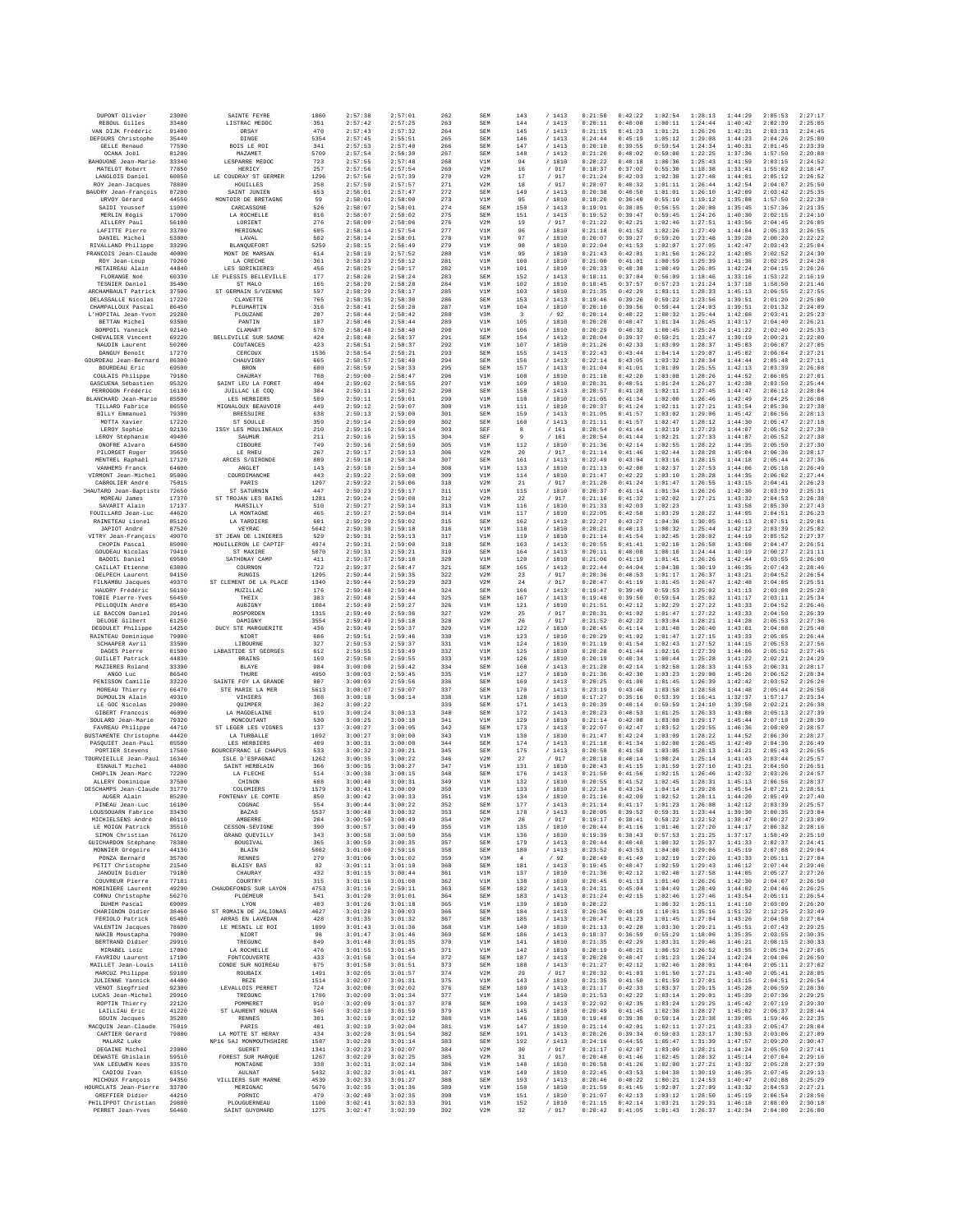| DUPONT Olivier                        | 23000          | SAINTE FEYRE                | 1860         | 2:57:38            | 2:57:01            | 262        | SEM        | 143                  | / 1413           | 0:21:50            | 0:42:22            | 1:02:54            | 1:28:13            | 1:44:29            | 2:05:53            | 2:27:17            |
|---------------------------------------|----------------|-----------------------------|--------------|--------------------|--------------------|------------|------------|----------------------|------------------|--------------------|--------------------|--------------------|--------------------|--------------------|--------------------|--------------------|
| REBOUL Gilles                         | 33480          | LISTRAC MEDOC               | 351          | 2:57:42            | 2:57:25            | 263        | SEM        | 144                  | / 1413           | 0:20:11            | 0:40:08            | 1:00:11            | 1:24:44            | 1:40:42            | 2:02:39            | 2:25:05            |
| VAN DIJK Frédéric                     | 91400          | ORSAY                       | 470          | 2:57:43            | 2:57:32            | 264        | SEM        | 145                  | /1413            | 0:21:15            | 0:41:23            | 1:01:21            | 1:26:26            | 1:42:31            | 2:03:33            | 2:24:45            |
| DEFOURS Christophe                    | 35440          | DINGE                       | 5354         | 2:57:45            | 2:55:51            | 265        | SEM        | 146                  | /1413            | 0:24:44            | 0:45:19            | 1:05:12            | 1:29:08            | 1:44:23            | 2:04:26            | 2:25:00            |
| <b>GELLE Renaud</b>                   | 77590          | BOIS LE ROI                 | 341          | 2:57:53            | 2:57:40            | 266        | SEM        | 147                  | /1413            | 0:20:10            | 0:39:55            | 0:59:54            | 1:24:34            | 1:40:31            | 2:01:45            | 2:23:39            |
| OCANA Joãl                            | 81200          | MAZAMET                     | 5709         | 2:57:54            | 2:56:30            | 267        | SEM        | 148                  | /1413            | 0:21:20            | 0:40:02            | 0:59:00            | 1:22:25            | 1:37:36            | 1:57:50            | 2:20:08            |
| BAHOUGNE Jean-Marie                   | 33340          | LESPARRE MEDOC              | 723          | 2:57:55            | 2:57:48            | 268        | V1M        | 94                   | /1810            | 0:20:22            | 0:40:18            | 1:00:36            | 1:25:43            | 1:41:59            | 2:03:15            | 2:24:52            |
| MATELOT Robert                        | 77850          | HERICY                      | 257          | 2:57:56            | 2:57:54            | 269        | V2M        | 16                   | / 917            | 0:18:37            | 0:37:02            | 0:55:30            | 1:18:38            | 1:33:41            | 1:55:02            | 2:18:47            |
| LANGLOIS Daniel                       | 60850          | LE COUDRAY ST GERMER        | 1296         | 2:57:56            | 2:57:39            | 270        | V2M        | $17\,$               | / 917            | 0:21:24            | 0:42:03            | 1:02:38            | 1:27:48            | 1:44:01            | 2:05:12            | 2:26:52            |
| ROY Jean-Jacques                      | 78800          | HOUILLES                    | 258          | 2:57:59            | 2:57:57            | 271        | V2M        | 18                   | / 917            | 0:20:07            | 0:40:32            | 1:01:11            | 1:26:44            | 1:42:54            | 2:04:07            | 2:25:50            |
| BAUDRY Jean-François                  | 87200          | SAINT JUNIEN                | 653          | 2:58:01            | 2:57:47            | 272        | SEM        | 149                  | /1413            | 0:20:38            | 0:40:50            | 1:01:01            | 1:26:10            | 1:42:09            | 2:03:42            | 2:25:35            |
| URVOY Gérard                          | 44550          | MONTOIR DE BRETAGNE         | 59           | 2:58:01            | 2:58:00            | 273        | V1M        | 95                   | / 1810           | 0:18:20            | 0:36:40            | 0:55:10            | 1:19:12            | 1:35:08            | 1:57:50            | 2:22:38            |
| SAIDI Youssef                         | 11000          | CARCASSONE                  | 526          | 2:58:07            | 2:58:01            | 274        | SEM        | 150                  | /1413            | 0:19:01            | 0:38:05            | 0:56:55            | 1:20:08            | 1:35:45            | 1:57:36            | 2:21:35            |
| MERLIN Régis                          | 17000          | LA ROCHELLE                 | 816          | 2:58:07            | 2:58:02            | 275        | SEM        | 151                  | /1413            | 0:19:52            | 0:39:47            | 0:59:45            | 1:24:26            | 1:40:30            | 2:02:15            | 2:24:10            |
| AILLERY Paul                          | 56100          | LORIENT                     | 276          | 2:58:09            | 2:58:06            | 276        | V2M        | 19                   | / 917            | 0:21:22            | 0:42:21            | 1:02:46            | 1:27:51            | 1:43:56            | 2:04:45            | 2:26:05            |
| LAFITTE Pierre                        | 33700          | MERIGNAC                    | 605          | 2:58:14            | 2:57:54            | 277        | V1M        | 96                   | / 1810           | 0:21:18            | 0:41:52            | 1:02:26            | 1:27:49            | 1:44:04            | 2:05:33            | 2:26:55            |
| DANIEL Michel                         | 53000          | LAVAL                       | 502          | 2:58:14            | 2:58:01            | 278        | V1M        | 97                   | /1810            | 0:20:07            | 0:39:27            | 0:59:20            | 1:23:48            | 1:39:28            | 2:00:20            | 2:22:22            |
| RIVALLAND Philippe                    | 33290          | BLANQUEFORT                 | 5259         | 2:58:15            | 2:56:49            | 279        | V1M        | 98                   | / 1810           | 0:22:04            | 0:41:53            | 1:02:07            | 1:27:05            | 1:42:47            | 2:03:43            | 2:25:04            |
| FRANCOIS Jean-Claude                  | 40000          | MONT DE MARSAN              | 614          | 2:58:19            | 2:57:52            | 280        | V1M        | 99                   | / 1810           | 0:21:43            | 0:42:01            | 1:01:56            | 1:26:22            | 1:42:05            | 2:02:52            | 2:24:30            |
| ROY Jean-Loup                         | 79260          | LA CRECHE                   | 361          | 2:58:23            | 2:58:12            | 281        | V1M        | 100                  | / 1810           | 0:21:00            | 0:41:01            | 1:00:59            | 1:25:39            | 1:41:38            | 2:02:25            | 2:24:28            |
| METAIREAU Alain                       | 44840          | LES SORINIERES              | 456          | 2:58:25            | 2:58:17            | 282        | V1M        | 101                  | / 1810           | 0:20:33            | 0:40:38            | 1:00:49            | 1:26:05            | 1:42:24            | 2:04:15            | 2:26:26            |
| FLORANGE Noé                          | 60330          | LE PLESSIS BELLEVILLE       | 177          | 2:58:26            | 2:58:24            | 283        | SEM        | 152                  | /1413            | 0:18:11            | 0:37:04            | 0:56:09            | 1:18:46            | 1:33:16            | 1:53:22            | 2:16:19            |
| TESNIER Daniel                        | 35400          | ST MALO                     | 165          | 2:58:29            | 2:58:28            | 284        | V1M        | 102                  | / 1810           | 0:18:45            | 0:37:57            | 0:57:23            | 1:21:24            | 1:37:18            | 1:58:50            | 2:21:46            |
| ARCHAMBAULT Patrick                   | 37500          | ST GERMAIN S/VIENNE         | 597          | 2:58:29            | 2:58:17            | 285        | V1M        | 103                  | / 1810           | 0:21:35            | 0:42:29            | 1:03:11            | 1:28:33            | 1:45:13            | 2:06:55            | 2:27:55            |
| DELASSALLE Nicolas                    | 17220          | CLAVETTE                    | 765          | 2:58:35            | 2:58:30            | 286        | SEM        | 153                  | /1413            | 0:19:46            | 0:39:26            | 0:59:22            | 1:23:56            | 1:39:51            | 2:01:20            | 2:25:00            |
| CHAMPALLOUX Pascal                    | 86450          | PLEUMARTIN                  | 316          | 2:58:41            | 2:58:28            | 287        | V1M        | 104                  | / 1810           | 0:20:10            | 0:39:56            | 0:59:44            | 1:24:03            | 1:39:51            | 2:01:32            | 2:24:09            |
| L'HOPITAL Jean-Yvon                   | 29280          | PLOUZANE                    | 287          | 2:58:44            | 2:58:42            | 288        | V3M        | 3                    | /92              | 0:20:14            | 0:40:22            | 1:00:32            | 1:25:44            | 1:42:08            | 2:03:41            | 2:25:23            |
| BETTAN Michel                         | 93500          | PANTIN                      | 187          | 2:58:46            | 2:58:44            | 289        | V1M        | 105                  | / 1810           | 0:20:20            | 0:40:47            | 1:01:34            | 1:26:45            | 1:43:17            | 2:04:40            | 2:26:21            |
| BOMPOIL Yannick                       | 92140          | CLAMART                     | 570          | 2:58:48            | 2:58:40            | 290        | V1M        | 106                  | / 1810           | 0:20:29            | 0:40:32            | 1:00:45            | 1:25:24            | 1:41:22            | 2:02:40            | 2:25:33            |
| CHEVALIER Vincent                     | 69220          | BELLEVILLE SUR SAONE        | 424          | 2:58:48            | 2:58:37            | 291        | SEM        | 154                  | /1413            | 0:20:04            | 0:39:37            | 0:59:21            | 1:23:47            | 1:39:19            | 2:00:21            | 2:22:00            |
| NAUDIN Laurent                        | 50200          | COUTANCES                   | 423          | 2:58:51            | 2:58:37            | 292        | V1M        | 107                  | /1810            | 0:21:26            | 0:42:33            | 1:03:09            | 1:28:37            | 1:45:03            | 2:06:07            | 2:27:05            |
| DANGUY Benoît                         | 17270          | CERCOUX                     | 1536         | 2:58:54            | 2:58:21            | 293        | SEM        | 155                  | /1413            | 0:22:43            | 0:43:44            | 1:04:14            | 1:29:07            | 1:45:02            | 2:06:04            | 2:27:21            |
| GOURDEAU Jean-Bernard                 | 86300          | CHAUVIGNY                   | 665          | 2:58:57            | 2:58:40            | 294        | SEM        | 156                  | /1413            | 0:22:14            | 0:43:05            | 1:03:32            | 1:28:34            | 1:44:44            | 2:05:48            | 2:27:11            |
| BOURDEAU Eric                         | 69500          | <b>BRON</b>                 | 680          | 2:58:59            | 2:58:33            | 295        | SEM        | 157                  | /1413            | 0:21:04            | 0:41:01            | 1:01:09            | 1:25:55            | 1:42:13            | 2:03:39            | 2:26:08            |
| COULAIS Philippe                      | 79180          | CHAURAY                     | 708          | 2:59:00            | 2:58:47            | 296        | V1M        | 108                  | /1810            | 0:21:18            | 0:42:20            | 1:03:08            | 1:28:26            | 1:44:52            | 2:06:05            | 2:27:01            |
| GASCUENA Sébastien                    | 95320          | SAINT LEU LA FORET          | 494          | 2:59:02            | 2:58:55            | 297        | V1M        | 109                  | / 1810           | 0:20:31            | 0:40:51            | 1:01:24            | 1:26:27            | 1:42:38            | 2:03:50            | 2:25:44            |
| PERROGON Frédéric                     | 16130          | JUILLAC LE COQ              | 384          | 2:59:11            | 2:58:52            | 298        | SEM        | 158                  | /1413            | 0:20:57            | 0:41:28            | 1:02:11            | 1:27:45            | 1:44:47            | 2:06:12            | 2:28:04            |
| BLANCHARD Jean-Marie                  | 85500          | LES HERBIERS                | 509          | 2:59:11            | 2:59:01            | 299        | V1M        | 110                  | / 1810           | 0:21:05            | 0:41:34            | 1:02:00            | 1:26:46            | 1:42:49            | 2:04:25            | 2:26:08            |
| TILLARD Fabrice                       | 86550          | MIGNALOUX BEAUVOIR          | 449          | 2:59:12            | 2:59:07            | 300        | V1M        | 111                  | /1810            | 0:20:37            | 0:41:24            | 1:02:11            | 1:27:21            | 1:43:54            | 2:05:36            | 2:27:38            |
| BILLY Emmanuel                        | 79300          | <b>BRESSUIRE</b>            | 638          | 2:59:13            | 2:59:00            | 301        | SEM        | 159                  | /1413            | 0:21:05            | 0:41:57            | 1:03:02            | 1:29:06            | 1:45:42            | 2:06:56            | 2:28:13            |
| MOTTA Xavier                          | 17220          | ST SOULLE                   | 359          | 2:59:14            | 2:59:09            | 302        | SEM        | 160                  | /1413            | 0:21:11            | 0:41:57            | 1:02:47            | 1:28:12            | 1:44:30            | 2:05:47            | 2:27:18            |
| LEROY Sophie                          | 92130          | ISSY LES MOULINEAUX         | 210          | 2:59:16            | 2:59:14            | 303        | SEF        | 8                    | /161             | 0:20:54            | 0:41:44            | 1:02:19            | 1:27:23            | 1:44:07            | 2:05:52            | 2:27:38            |
| LEROY Stéphanie                       | 49400          | SAUMUR                      | 211          | 2:59:16            | 2:59:15            | 304        | SEF        | $\overline{9}$       | / 161            | 0:20:54            | 0:41:44            | 1:02:21            | 1:27:33            | 1:44:07            | 2:05:52            | 2:27:38            |
| ONOFRE Alvard                         | 64500          | CIBOURE                     | 749          | 2:59:16            | 2:58:59            | 305        | V1M        | 112                  | / 1810           | 0:21:36            | 0:42:14            | 1:02:55            | 1:28:22            | 1:44:35            | 2:05:50            | 2:27:30            |
| PILORGET Roger                        | 35650          | LE RHEU                     | 267          | 2:59:17            | 2:59:13            | 306        | V2M        | 20                   | / 917            | 0:21:14            | 0:41:46            | 1:02:44            | 1:28:28            | 1:45:04            | 2:06:36            | 2:28:17            |
| MENTREL Raphaël                       | 17120          | ARCES S/GIRONDE             | 889          | 2:59:18            | 2:58:34            | 307        | SEM        | 161                  | /1413            | 0:22:49            | 0:43:04            | 1:03:16            | 1:28:15            | 1:44:18            | 2:05:44            | 2:27:36            |
| VANHEMS Franck                        | 64600          | ANGLET                      | 143          | 2:59:18            | 2:59:14            | 308        | V1M        | 113                  | / 1810           | 0:21:13            | 0:42:00            | 1:02:37            | 1:27:53            | 1:44:06            | 2:05:18            | 2:26:49            |
| VIRMONT Jean-Michel                   | 95800          | COURDIMANCHE                | 443          | 2:59:22            | 2:59:08            | 309        | V1M        | 114                  | / 1810           | 0:21:47            | 0:42:22            | 1:03:10            | 1:28:28            | 1:44:35            | 2:06:02            | 2:27:44            |
| CABROLIER André                       | 75015          | PARIS                       | 1297         | 2:59:22            | 2:59:06            | 310        | V2M        | 21                   | / 917            | 0:21:20            | 0:41:24            | 1:01:47            | 1:26:55            | 1:43:15            | 2:04:41            | 2:26:23            |
| HAUTARD Jean-Baptist                  | 72650          | ST SATURNIN                 | 447          | 2:59:23            | 2:59:17            | 311        | V1M        | 115                  | / 1810           | 0:20:37            | 0:41:14            | 1:01:34            | 1:26:26            | 1:42:30            | 2:03:39            | 2:25:31            |
| MOREAU James                          | 17370          | ST TROJAN LES BAINS         | 1281         | 2:59:24            | 2:59:08            | 312        | V2M        | 22                   | / 917            | 0:21:16            | 0:41:32            | 1:02:02            | 1:27:21            | 1:43:32            | 2:04:53            | 2:26:38            |
| SAVARIT Alain                         | 17137          | MARSILLY                    | 510          | 2:59:27            | 2:59:14            | 313        | V1M        | 116                  | / 1810           | 0:21:33            | 0:42:03            | 1:02:23            |                    | 1:43:58            | 2:05:30            | 2:27:43            |
| FOUILLARD Jean-Luc                    | 44620          | LA MONTAGNE                 | 465          | 2:59:27            | 2:59:04            | 314        | V1M        | 117                  | /1810            | 0:22:05            | 0:42:58            | 1:03:29            | 1:28:22            | 1:44:05            | 2:04:51            | 2:26:23            |
| RAINETEAU Lionel                      | 85120          | LA TARDIERE                 | 601          | 2:59:29            | 2:59:02            | 315        | SEM        | 162                  | /1413            | 0:22:27            | 0:43:27            | 1:04:36            | 1:30:05            | 1:46:13            | 2:07:51            | 2:29:01            |
| JAPIOT André                          | 87520          | <b>VEYRA</b>                | 5642         | 2:59:30            | 2:59:18            | 316        | V1M        | 118                  | / 1810           | 0:20:21            | 0:40:13            | 1:00:32            | 1:25:44            | 1:42:12            | 2:03:39            | 2:25:02            |
| VITRY Jean-Francois                   | 49070          | ST JEAN DE LINIERES         | 529          | 2:59:31            | 2:59:13            | 317        | V1M        | 119                  | /1810            | 0:21:14            | 0:41:54            | 1:02:45            | 1:28:02            | 1:44:19            | 2:05:52            | 2:27:37            |
| CHOPIN Pascal                         | 85000          | MOUILLERON LE CAPTIF        | 4974         | 2:59:31            | 2:59:00            | 318        | SEM        | 163                  | / 1413           | 0:20:55            | 0:41:41            | 1:02:10            | 1:26:58            | 1:43:08            | 2:04:47            | 2:26:51            |
| GOUDEAU Nicolas                       | 79410          | ST MAXIRE                   | 5070         | 2:59:31            | 2:59:21            | 319        | SEM        | 164                  | /1413            | 0:20:11            | 0:40:08            | 1:00:10            | 1:24:44            | 1:40:19            | 2:00:27            | 2:21:11            |
| BADOIL Daniel                         | 69580          | SATHONAY CAMP               | 411          | 2:59:37            | 2:59:18            | 320        | V1M        | 120                  | / 1810           | 0:21:06            | 0:41:19            | 1:01:41            | 1:26:26            | 1:42:44            | 2:03:55            | 2:26:00            |
| CAILLAT Etienne                       | 63800          | COURNON                     | 722          | 2:59:37            | 2:58:47            | 321        | SEM        | 165                  | /1413            | 0:22:44            | 0:44:04            | 1:04:38            | 1:30:19            | 1:46:35            | 2:07:43            | 2:28:46            |
| DELPECH Laurent                       | 94150          | <b>RUNGIS</b>               | 1295         | 2:59:44            | 2:59:35            | 322        | V2M        | 23                   | / 917            | 0:20:36            | 0:40:53            | 1:01:17            | 1:26:37            | 1:43:21            | 2:04:52            | 2:26:54            |
| FILNAMBU Jacques                      | 49370          | ST CLEMENT DE LA PLACE      | 1340         | 2:59:44            | 2:59:29            | 323        | V2M        | 24                   | / 917            | 0:20:47            | 0:41:19            | 1:01:45            | 1:26:47            | 1:42:48            | 2:04:05            | 2:25:51            |
| HAUDRY Frédéric                       | 56190          | MUZILLAC                    | 176          | 2:59:48            | 2:59:44            | 324        | SEM        | 166                  | /1413            | 0:19:47            | 0:39:49            | 0:59:53            | 1:25:02            | 1:41:13            | 2:03:08            | 2:25:28            |
| TOBIE Pierre-Yves                     | 56450          | THEIX                       | 383          | 2:59:48            | 2:59:44            | 325        | SEM        | 167                  | /1413            | 0:19:48            | 0:39:50            | 0:59:54            | 1:25:02            | 1:41:17            | 2:03:11            | 2:25:34            |
| PELLOQUIN André                       | 85430<br>29140 | AUBIGNY                     | 1084         | 2:59:49            | 2:59:27<br>2:59:36 | 326        | V1M        | 121                  | / 1810           | 0:21:51            | 0:42:12            | 1:02:29            | 1:27:22            | 1:43:33            | 2:04:52            | 2:26:46            |
| LE BACCON Daniel<br>DELOGE Gilbert    | 61250          | ROSPORDEN<br>DAMIGNY        | 1315<br>3554 | 2:59:49<br>2:59:49 | 2:59:18            | 327<br>328 | V2M<br>V2M | 25<br>26             | / 917<br>/ 917   | 0:20:31<br>0:21:52 | 0:41:02<br>0:42:22 | 1:01:47<br>1:03:04 | 1:27:22<br>1:28:21 | 1:43:33<br>1:44:28 | 2:04:50<br>2:05:53 | 2:26:39<br>2:27:36 |
| DEGOULET Philippe                     | 14250          | DUCY STE MARGUERITE         | 436          | 2:59:49            | 2:59:37            | 329        | V1M        | 122                  | / 1810           | 0:20:45            | 0:41:14            | 1:01:48            | 1:26:40            | 1:43:01            | 2:04:08            | 2:25:48            |
| RAINTEAU Dominique                    | 79000          | NIORT                       | 686          | 2:59:51            | 2:59:46            | 330        | V1M        | 123                  | / 1810           | 0:20:29            | 0:41:02            | 1:01:47            | 1:27:15            | 1:43:33            | 2:05:05            | 2:26:44            |
| SCHAAPER Avril                        | 33500          | LIBOURNE                    | 327          | 2:59:53            | 2:59:37            | 331        | V1M        | 124                  | / 1810           | 0:21:19            | 0:41:54            | 1:02:43            | 1:27:52            | 1:44:15            | 2:05:53            | 2:27:56            |
| DAGES Pierre                          | 81500          | LABASTIDE ST GEORGES        | 612          | 2:59:55            | 2:59:49            | 332        | V1M        | 125                  | / 1810           | 0:20:28            | 0:41:44            | 1:02:16            | 1:27:39            | 1:44:06            | 2:05:52            | 2:27:45            |
| <b>GUILLET Patrick</b>                | 44830          | <b>BRAINS</b>               | 169          | 2:59:58            | 2:59:55            | 333        | V1M        | 126                  | / 1810           | 0:20:19            | 0:40:34            | 1:00:44            | 1:25:28            | 1:41:22            | 2:02:21            | 2:24:29            |
| MAZIERES Roland                       | 33390          | BLAYE                       | 984          | 3:00:00            | 2:59:42            | 334        | SEM        | 168                  | /1413            | 0:21:28            | 0:42:14            | 1:02:58            | 1:28:33            | 1:44:53            | 2:06:31            | 2:28:17            |
| ANGO Luc                              | 86540          | THURE                       | 4950         | 3:00:03            | 2:59:45            | 335        | V1M        | 127                  | / 1810           | 0:21:36            | 0:42:30            | 1:03:23            | 1:29:08            | 1:45:26            | 2:06:52            | 2:28:34            |
| PENISSON Camille                      | 33220          | SAINTE FOY LA GRANDE        | 807          | 3:00:03            | 2:59:56            | 336        | SEM        | 169                  | /1413            | 0:20:25            | 0:41:00            | 1:01:45            | 1:26:39            | 1:42:42            | 2:03:52            | 2:26:26            |
| MOREAU Thierry                        | 66470          | STE MARIE LA MER            | 5613         | 3:00:07            | 2:59:07            | 337        | SEM        | 170                  | /1413            | 0:23:19            | 0:43:46            | 1:03:58            | 1:28:58            | 1:44:48            | 2:05:44            | 2:26:58            |
| DUMOULIN Alain                        | 49310          | VIHIERS                     | 308          | 3:00:18            | 3:00:14            | 338        | V1M        | 128                  | / 1810           | 0:17:27            | 0:35:16            | 0:53:39            | 1:16:41            | 1:32:37            | 1:57:17            | 2:23:34            |
| LE GOC Nicolas                        | 29000          | OUIMPER                     | 362          | 3:00:22            | 3:00:13            | 339        | SEM        | 171                  | /1413            | 0:20:39            | 0:40:14            | 0:59:59            | 1:24:10            | 1:39:58            | 2:02:21            | 2:26:38            |
| GIBERT Francois                       | 46090          | LA MAGDELAINE               | 619          | 3:00:24            |                    | 340        | SEM        | 172                  | / 1413           | 0:20:23            | 0:40:53            | 1:01:25            | 1:26:33            | 1:43:08            | 2:05:13            | 2:27:39            |
| SOULARD Jean-Marie                    | 79320          | MONCOUTANT                  | 530          | 3:00:25            | 3:00:10            | 341        | V1M        | 129                  | / 1810           | 0:21:14            | 0:42:08            | 1:03:08            | 1:29:17            | 1:45:44            | 2:07:18            | 2:28:39            |
| FAVREAU Philippe                      | 44710          | ST LEGER LES VIGNES         | 137          | 3:00:27            | 3:00:05            | 342        | SEM        | 173                  | /1413            | 0:22:07            | 0:42:47            | 1:03:52            | 1:29:55            | 1:46:36            | 2:08:09            | 2:28:57            |
| BUSTAMENTE Christophe                 | 44420          | LA TURBALLE                 | 1092         | 3:00:27            | 3:00:00            | 343        | V1M        | 130                  | /1810            | 0:21:47            | 0:42:24            | 1:03:09            | 1:28:22            | 1:44:52            | 2:06:30            | 2:28:27            |
| PASOUIET Jean-Paul                    | 85500          | LES HERBIERS                | 409          | 3:00:31            | 3:00:08            | 344        | SEM        | 174                  | /1413            | 0:21:18            | 0:41:34            | 1:02:00            | 1:26:45            | 1:42:49            | 2:04:36            | 2:26:49            |
| PORTIER Stevens                       | 17560          | BOURCEFRANC LE CHAPUS       | 533          | 3:00:32            | 3:00:21            | 345        | SEM        | 175                  | /1413            | 0:20:58            | 0:41:58            | 1:03:05            | 1:28:13            | 1:44:21            | 2:05:43            | 2:26:55            |
| TOURVIEILLE Jean-Paul                 | 16340          | ISLE D'ESPAGNAC             | 1262         | 3:00:35            | 3:00:22            | 346        | V2M        | 27                   | / 917            | 0:20:18            | 0:40:14            | 1:00:24            | 1:25:14            | 1:41:43            | 2:03:44            | 2:25:57            |
| ESNAULT Michel                        | 44800          | SAINT HERBLAIN              | 366          | 3:00:35            | 3:00:27            | 347        | V1M        | 131                  | / 1810           | 0:20:43            | 0:41:15            | 1:01:59            | 1:27:10            | 1:43:21            | 2:04:50            | 2:26:51            |
| CHOPLIN Jean-Marc                     | 72200          | LA FLECHE                   | 514          | 3:00:38            | 3:00:15            | 348        | SEM        | 176                  | /1413            | 0:21:50            | 0:41:56            | 1:02:15            | 1:26:46            | 1:42:32            | 2:03:26            | 2:24:57            |
| ALLERY Dominique                      | 37500          | CHINON                      | 608          | 3:00:40            | 3:00:31            | 349        | V1M        | 132                  | /1810            | 0:20:55            | 0:41:52            | 1:02:45            | 1:28:31            | 1:45:13            | 2:06:56            | 2:28:37            |
| DESCHAMPS Jean-Claude                 | 31770          | COLOMIERS                   | 1579         | 3:00:41            | 3:00:09            | 350        | V1M        | 133                  | /1810            | 0:22:34            | 0:43:34            | 1:04:14            | 1:29:28            | 1:45:54            | 2:07:21            | 2:28:51            |
| AUGER Alain                           | 85200          | FONTENAY LE COMTE           | 850          | 3:00:42            | 3:00:33            | 351        | V1M        | 134                  | / 1810           | 0:21:16            | 0:42:09            | 1:02:52            | 1:28:11            | 1:44:20            | 2:05:49            | 2:27:40            |
| PINEAU Jean-Luc                       | 16100          | COGNAC                      | 554          | 3:00:44            | 3:00:22            | 352        | SEM        | 177                  | /1413            | 0:21:14            | 0:41:17            | 1:01:23            | 1:26:08            | 1:42:12            | 2:03:39            | 2:25:57            |
| LOUSSOUARN Fabrice                    | 33430          | <b>BAZAS</b>                | 5537         | 3:00:48            | 3:00:32            | 353        | SEM        | 178                  | /1413            | 0:20:05            | 0:39:52            | 0:59:31            | 1:23:44            | 1:39:30            | 2:00:35            | 2:23:04            |
| MICHIELSENS André                     | 86110          | AMBERRE                     | 284          | 3:00:50            | 3:00:49            | 354        | V2M        | 28                   | / 917            | 0:19:17            | 0:38:41            | 0:58:22            | 1:22:52            | 1:38:47            | 2:00:27            | 2:23:09            |
| LE MOIGN Patrick                      | 35510          | CESSON-SEVIGNE              | 390          | 3:00:57            | 3:00:49            | 355        | V1M        | 135                  | / 1810           | 0:20:44            | 0:41:16            | 1:01:46            | 1:27:20            | 1:44:17            | 2:06:32            | 2:28:16            |
| SIMON Christian                       | 76120          | GRAND QUEVILLY              | 343          | 3:00:58            | 3:00:50            | 356        | V1M        | 136                  | / 1810           | 0:19:39            | 0:38:43            | 0:57:53            | 1:21:25            | 1:37:17            | 1:58:49            | 2:25:10            |
| GUICHARDON Stéphane                   | 78380          | <b>BOUGIVAL</b>             | 365          | 3:00:59            | 3:00:35            | 357        | SEM        | 179                  | /1413            | 0:20:44            | 0:40:40            | 1:00:32            | 1:25:37            | 1:41:33            | 2:02:37            | 2:24:41            |
| MONNIER Grégoire                      | 44130<br>35700 | BLAIN                       | 5082         | 3:01:00            | 2:59:16            | 358        | SEM<br>V3M | 180                  | /1413            | 0:23:52            | 0:43:53            | 1:04:00            | 1:29:06            | 1:45:19            | 2:07:08            | 2:29:04<br>2:27:04 |
| PONZA Bernard<br>PETIT Christophe     | 21540          | RENNES<br><b>BLAISY BAS</b> | 279<br>82    | 3:01:06<br>3:01:11 | 3:01:02<br>3:01:10 | 359<br>360 | SEM        | $\frac{4}{3}$<br>181 | /92<br>/1413     | 0:20:49<br>0:19:45 | 0:41:49<br>0:40:47 | 1:02:19<br>1:02:59 | 1:27:20<br>1:29:43 | 1:43:33<br>1:46:12 | 2:05:11<br>2:07:44 | 2:29:46            |
| JANOUIN Didier                        | 79180          | CHAURAY                     | 432          | 3:01:15            | 3:00:44            | 361        | V1M        | 137                  | / 1810           | 0:21:36            | 0:42:12            | 1:02:40            | 1:27:58            | 1:44:05            | 2:05:27            | 2:27:26            |
| COUVREUR Pierre                       | 77181          | COURTRY                     | 315          | 3:01:16            | 3:01:08            | 362        | V1M        | 138                  | / 1810           | 0:20:45            | 0:41:13            | 1:01:40            | 1:26:26            | 1:42:30            | 2:04:07            | 2:26:50            |
| MORINIERE Laurent                     | 49290          | CHAUDEFONDS SUR LAYON       | 4753         | 3:01:16            | 2:59:11            | 363        | SEM        | 182                  | /1413            | 0:24:31            | 0:45:04            | 1:04:49            | 1:28:49            | 1:44:02            | 2:04:46            | 2:26:25            |
| CORNIL Christophe                     | 56270          | <b>PLORMRITR</b>            | 541          | 3:01:20            | 3:01:01            | 364        | SEM        | 183                  | /1413            | 0:21:24            |                    | 1:02:46            | 1:27:46            | 1:43:54            | 2:05:11            | 2:26:54            |
| $DUHEM$ $\verb Pascal $               | 69009          | LYON                        | 403          | 3:01:26            | 3:01:18            | 365        | V1M        | 139                  | / 1810           | 0:20:22            | 0:42:15            | 1:00:32            | 1:25:11            | 1:41:10            | 2:03:09            | 2:26:20            |
| CHARIGNON Didier                      | 38460          | ST ROMAIN DE JALIONAS       | 4627         | 3:01:28            | 3:00:03            | 366        | SEM        | 184                  | /1413            | 0:26:36            | 0:48:19            | 1:10:01            | 1:35:16            | 1:51:32            | 2:12:25            | 2:32:49            |
| FERIOLO Patrick                       | 65400          | ARRAS EN LAVEDAN            | 428          | 3:01:35            | 3:01:32            | 367        | SEM        | 185                  | /1413            | 0:20:47            | 0:41:23            | 1:01:45            | 1:27:04            | 1:43:26            | 2:04:58            | 2:27:04            |
| VALENTIN Jacques                      | 78600          | LE MESNIL LE ROI            | 1099         | 3:01:43            | 3:01:36            | 368        | V1M        | 140                  | / 1810           | 0:21:13            | 0:42:28            | 1:03:30            | 1:29:21            | 1:45:51            | 2:07:43            | 2:29:25            |
| NAKIB Moustapha                       | 79000          | NIORT                       | 98           | 3:01:47            | 3:01:46            | 369        | SEM        | 186                  | /1413            | 0:18:37            | 0:36:59            | 0:55:29            | 1:18:06            | 1:35:35            | 2:03:55            | 2:30:35            |
| BERTRAND Didier                       | 29910          | TREGUNC                     | 849          | 3:01:48            | 3:01:35            | 370        | V1M        | 141                  | / 1810           | 0:21:35            | 0:42:29            | 1:03:31            | 1:29:46            | 1:46:21            | 2:08:15            | 2:30:33            |
| MIRARRI, Loic                         | 17000          | LA ROCHELLE                 | 476          | 3:01:55            | 3:01:45            | 371        | V1M        | 142                  | / 1810           | 0:20:19            | 0:40:21            | 1:00:52            | 1:26:52            | 1:43:55            | 2:05:34            | 2:27:05            |
| FAVRIOU Laurent                       | 17100          | FONTCOUVERTE                | 433          | 3:01:58            | 3:01:54            | 372        | SEM        | 187                  | /1413            | 0:20:28            | 0:40:47            | 1:01:23            | 1:26:24            | 1:42:24            | 2:04:06            | 2:26:50            |
| MAILLET Jean-Louis                    | 14110          | CONDE SUR NOIREAU           | 675          | 3:01:58            | 3:01:51            | 373        | SEM        | 188                  | /1413            | 0:21:27            | 0:42:12            | 1:02:46            | 1:28:01            | 1:44:04            | 2:05:11            | 2:27:02            |
| MARCUZ Philippe                       | 59100          | ROUBAIX                     | 1491         | 3:02:05            | 3:01:57            | 374        | V2M        | 29                   | / 917            | 0:20:32            | 0:41:03            | 1:01:50            | 1:27:21            | 1:43:40            | 2:05:41            | 2:28:05            |
| <b>JULIENNE Yannick</b>               | 44400          | REZE                        | 1514         | 3:02:07            | 3:01:31            | 375        | V1M        | 143                  | / 1810           | 0:21:35            | 0:41:50            | 1:01:59            | 1:27:01            | 1:43:15            | 2:04:51            | 2:26:54            |
| VENOT Siegfried                       | 92300          | LEVALLOIS PERRET            | 724          | 3:02:08            | 3:02:02            | 376        | SEM        | 189                  | /1413            | 0:21:17            | 0:42:33            | 1:03:37            | 1:29:15            | 1:45:28            | 2:06:59            | 2:28:36            |
| LUCAS Jean-Michel                     | 29910          | TREGUNC                     | 1786         | 3:02:09            | 3:01:34            | 377        | V1M        | 144                  | / 1810           | 0:21:53            | 0:42:22            | 1:03:14            | 1:29:01            | 1:45:39            | 2:07:36            | 2:29:25            |
| ROPTIN Thierry                        | 22120<br>41220 | <b>POMMER RT</b>            | 910<br>546   | 3:02:09            | 3:01:37            | 378        | SEM<br>V1M | 190                  | /1413            | 0:22:02<br>0:20:49 | 0:42:35            | 1:03:24            | 1:29:25<br>1:28:27 | 1:45:42            | 2:07:19            | 2:29:30<br>2:28:44 |
| LAILLIAU Eric<br><b>GOUIN</b> Jacques | 35200          | ST LAURENT NOUAN<br>RENNES  | 301          | 3:02:10<br>3:02:19 | 3:01:59<br>3:02:12 | 379<br>380 | V1M        | 145<br>146           | / 1810<br>/ 1810 | 0:19:48            | 0:41:45<br>0:39:30 | 1:02:38<br>0:59:14 | 1:23:38            | 1:45:02<br>1:39:05 | 2:06:37<br>1:59:46 | 2:22:35            |
| MACQUIN Jean-Claude                   | 75019          | PARIS                       | 401          | 3:02:19            | 3:02:04            | 381        | V1M        | 147                  | / 1810           | 0:21:14            | 0:42:01            | 1:02:11            | 1:27:21            | 1:43:33            | 2:05:47            | 2:28:04            |
| CARTIER Gérard                        | 79800          | LA MOTTE ST HERAY           | 434          | 3:02:20            | 3:01:54            | 382        | SEM        | 191                  | /1413            | 0:20:26            | 0:39:34            | 0:59:03            | 1:23:17            | 1:39:53            | 2:03:06            | 2:27:09            |
| MALARZ Luke                           |                | NP16 5AJ MONMOUTHSHIRE      | 1587         | 3:02:20            | 3:01:14            | 383        | SEM        | 192                  | / 1413           | 0:24:16            | 0:44:55            | 1:05:47            | 1:31:39            | 1:47:57            | 2:09:20            | 2:30:47            |
| DEGAINE Michel                        | 23000          | GUERET                      | 1341         | 3:02:23            | 3:02:07            | 384        | V2M        | 30                   | / 917            | 0:21:17            | 0:42:07            | 1:03:00            | 1:28:21            | 1:44:24            | 2:05:50            | 2:27:41            |
| DEWASTE Ghislain                      | 59510          | FOREST SUR MAROUE           | 1267         | 3:02:29            | 3:02:25            | 385        | V2M        | 31                   | /917             | 0:20:48            | 0:41:46            | 1:02:45            | 1:28:32            | 1:45:14            | 2:07:04            | 2:29:16            |
| VAN LEEUWEN Kees                      | 33570          | MONTAGNE                    | 338          | 3:02:31            | 3:02:14            | 386        | V1M        | 148                  | / 1810           | 0:20:58            | 0:41:26            | 1:02:00            | 1:27:21            | 1:43:32            | 2:05:28            | 2:27:39            |
| CADIOU Ivan                           | 63510          | <b>AULNAT</b>               | 5432         | 3:02:32            | 3:01:41            | 387        | V1M        | 149                  | / 1810           | 0:22:45            | 0:43:53            | 1:04:38            | 1:30:19            | 1:46:35            | 2:07:45            | 2:29:13            |
| MICHOUX François                      | 94350          | VILLIERS SUR MARNE          | 4539         | 3:02:33            | 3:01:27            | 388        | SEM        | 193                  | /1413            | 0:20:46            | 0:40:22            | 1:00:21            | 1:24:53            | 1:40:47            | 2:02:08            | 2:25:29            |
| HOURCLATS Jean-Pierre                 | 33700          | MERIGNAC                    | 5676         | 3:02:35            | 3:01:36            | 389        | V1M        | 150                  | / 1810           | 0:21:59            | 0:41:45            | 1:02:07            | 1:27:09            | 1:43:32            | 2:04:53            | 2:27:21            |
| GREFFIER Didier                       | 44210          | PORNIC                      | 479          | 3:02:40            | 3:02:35            | 390        | V1M        | 151                  | / 1810           | 0:21:07            | 0:42:13            | 1:03:12            | 1:28:50            | 1:45:19            | 2:06:54            | 2:28:56            |
| PHILIPPOT Christian                   | 29880          | PLOUGUERNEAU                | 1100         | 3:02:41            | 3:02:33            | 391        | V1M        | 152                  | / 1810           | 0:21:15            | 0:42:14            | 1:03:21            | 1:29:31            | 1:46:18            | 2:08:09            | 2:30:18            |
| PERRET Jean-Yves                      | 56460          | SAINT GUYOMARD              | 1275         | 3:02:47            | 3:02:39            | 392        | V2M        | 32                   | / 917            | 0:20:42            | 0:41:05            | 1:01:43            | 1:26:37            | 1:42:34            | 2:04:00            | 2:26:00            |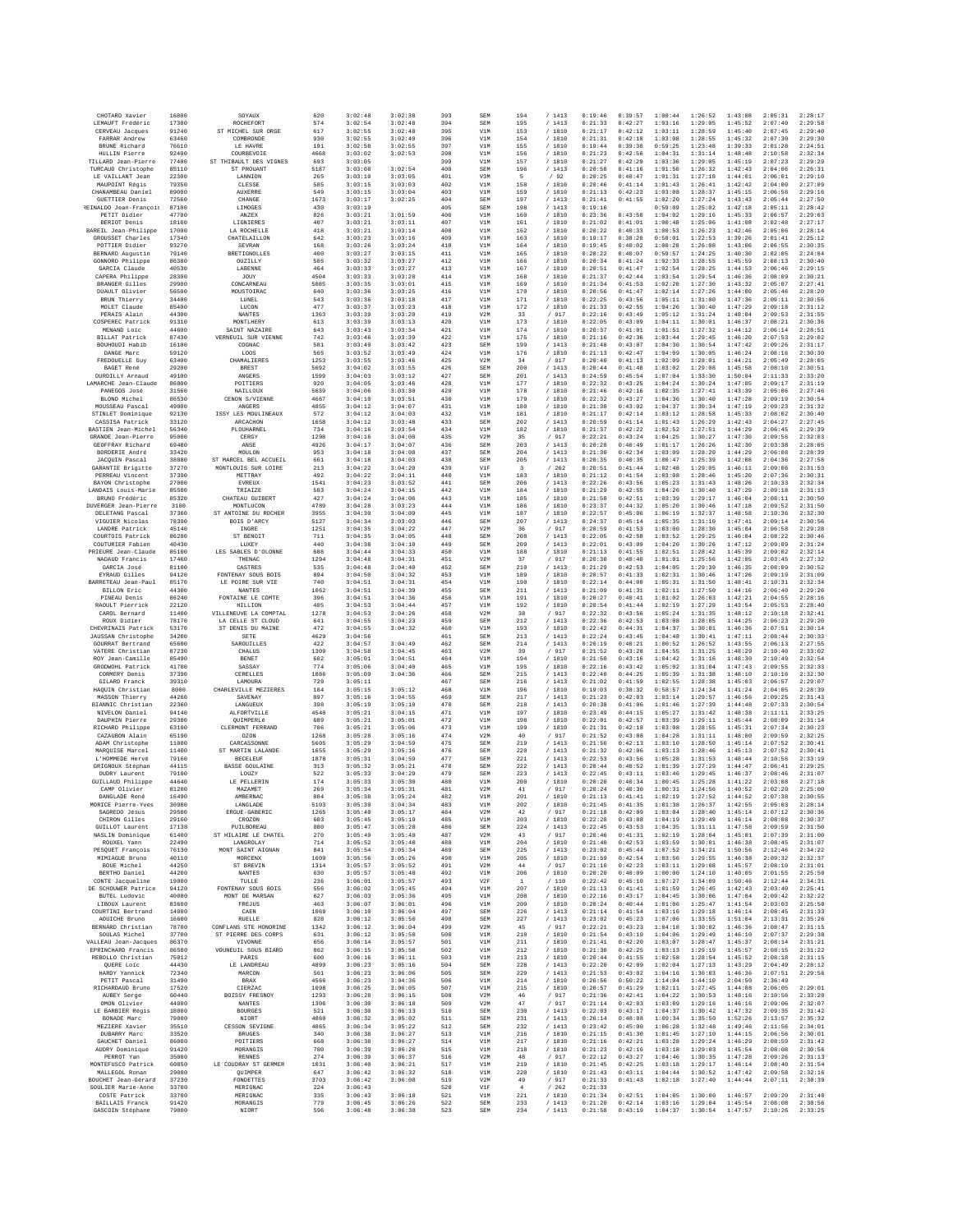| CHOTARD Xavier                                              | 16800                   | SOYAUX                                       | 620               | 3:02:48                       | 3:02:38                       | 393               | SEM                      | 194                     | /1413                     | 0:19:46                       | 0:39:57                       | 1:00:44                       | 1:26:52                       | 1:43:08                       | 2:05:31                       | 2:28:17                       |
|-------------------------------------------------------------|-------------------------|----------------------------------------------|-------------------|-------------------------------|-------------------------------|-------------------|--------------------------|-------------------------|---------------------------|-------------------------------|-------------------------------|-------------------------------|-------------------------------|-------------------------------|-------------------------------|-------------------------------|
| LEMAUFT Frédéric<br>CERVEAU Jacques                         | 17300<br>91240          | ROCHEFORT<br>ST MICHEL SUR ORGE              | 574<br>617        | 3:02:54<br>3:02:55            | 3:02:48<br>3:02:48            | 394<br>395        | SEM<br>V1M               | 195<br>153              | /1413<br>/1810            | 0:21:33<br>0:21:17            | 0:42:27<br>0:42:12            | 1:03:16<br>1:03:11            | 1:29:05<br>1:28:59            | 1:45:52<br>1:45:40            | 2:07:40<br>2:07:45            | 2:29:58<br>2:29:40            |
| FARRAR Andrew                                               | 63460                   | COMBRONDE                                    | 930               | 3:02:55                       | 3:02:40                       | 396               | V1M                      | 154                     | / 1810                    | 0:21:31                       | 0:42:18                       | 1:03:08                       | 1:28:55                       | 1:45:32                       | 2:07:30                       | 2:29:30                       |
| BRUNE Richard<br>HULLIN Pierre                              | 76610<br>92400          | LE HAVRE<br>COURBEVOIE                       | 191<br>4668       | 3:02:58<br>3:03:02            | 3:02:55<br>3:02:53            | 397<br>398        | V1M<br>V1M               | 155<br>156              | /1810<br>/ 1810           | 0:19:44<br>0:21:23            | 0:39:30<br>0:42:56            | 0:59:25<br>1:04:31            | 1:23:48<br>1:31:14            | 1:39:33<br>1:48:48            | 2:01:28<br>2:10:58            | 2:24:51<br>2:32:34            |
| TILLARD Jean-Pierre                                         | 77400                   | ST THIBAULT DES VIGNES                       | 693               | 3:03:05                       |                               | 399               | V1M                      | 157                     | / 1810                    | 0:21:27                       | 0:42:29                       | 1:03:36                       | 1:29:05                       | 1:45:19                       | 2:07:23                       | 2:29:29                       |
| TURCAUD Christophe<br>LE VAILLANT Jean                      | 85110<br>22300          | ST PROUANT<br>LANNION                        | 5187<br>265       | 3:03:08<br>3:03:10            | 3:02:54<br>3:03:05            | 400<br>401        | SEM<br>V3M               | 196<br>$\mathbb{F}_2$   | /1413<br>/92              | 0:20:58<br>0:20:25            | 0:41:16<br>0:40:47            | 1:01:50<br>1:01:31            | 1:26:32<br>1:27:18            | 1:42:43<br>1:44:01            | 2:04:06<br>2:06:01            | 2:26:31<br>2:29:10            |
| MAUPOINT Régis                                              | 79350                   | CLESSE                                       | 585               | 3:03:15                       | 3:03:03                       | 402               | V1M                      | 158                     | / 1810                    | 0:20:46                       | 0:41:14                       | 1:01:43                       | 1:26:41                       | 1:42:42                       | 2:04:00                       | 2:27:09                       |
| CHANAMBEAU Daniel<br><b>GUETTIER Denis</b>                  | 89000<br>72560          | <b>AUXERRE</b><br>CHANGE                     | 549<br>1673       | 3:03:15<br>3:03:17            | 3:03:04<br>3:02:25            | 403<br>404        | V1M<br>SEM               | 159<br>197              | / 1810<br>/1413           | 0:21:13<br>0:21:41            | 0:42:23<br>0:41:55            | 1:03:08<br>1:02:20            | 1:28:37<br>1:27:24            | 1:45:15<br>1:43:43            | 2:06:58<br>2:05:44            | 2:29:16<br>2:27:50            |
| REINALDO Jean-François                                      | 87100                   | LIMOGES                                      | 430               | 3:03:19                       |                               | 405               | SEM                      | 198                     | / 1413                    | 0:19:16                       |                               | 0:59:09                       | 1:25:02                       | 1:42:18                       | 2:05:11                       | 2:28:42                       |
| PETIT Didier                                                | 47700                   | ANZEX                                        | 826               | 3:03:21                       | 3:01:59                       | 406               | V1M                      | 160                     | / 1810                    | 0:23:36                       | 0:43:50                       | 1:04:02                       | 1:29:16                       | 1:45:33                       | 2:06:57                       | 2:29:03                       |
| BERIOT Denis<br>BAREIL Jean-Philippe                        | 18160<br>17000          | LIGNIERES<br>LA ROCHELLE                     | 407<br>418        | 3:03:21<br>3:03:21            | 3:03:11<br>3:03:14            | 407<br>408        | V1M<br>V1M               | 161<br>162              | /1810<br>/ 1810           | 0:21:02<br>0:20:22            | 0:41:01<br>0:40:33            | 1:00:48<br>1:00:53            | 1:25:06<br>1:26:23            | 1:41:08<br>1:42:46            | 2:02:48<br>2:05:06            | 2:27:17<br>2:28:14            |
| GROUSSET Charles                                            | 17340                   | CHATELAILLON                                 | 642               | 3:03:23                       | 3:03:16                       | 409               | V1M                      | 163                     | / 1810                    | 0:19:17                       | 0:38:20                       | 0:58:01                       | 1:22:53                       | 1:39:26                       | 2:01:41                       | 2:25:12                       |
| POTTIER Didier<br>BERNARD Augustin                          | 93270<br>79140          | SEVRAN<br><b>BRETIGNOLLES</b>                | 168<br>400        | 3:03:26<br>3:03:27            | 3:03:24<br>3:03:15            | 410<br>411        | V1M<br>V1M               | 164<br>165              | / 1810<br>/1810           | 0:19:45<br>0:20:22            | 0:40:02<br>0:40:07            | 1:00:28<br>0:59:57            | 1:26:08<br>1:24:25            | 1:43:06<br>1:40:30            | 2:06:55<br>2:02:05            | 2:30:35<br>2:24:04            |
| GONNORD Philippe                                            | 86380                   | OUZILLY                                      | 505               | 3:03:32                       | 3:03:27                       | 412               | V1M                      | 166                     | / 1810                    | 0:20:34                       | 0:41:24                       | 1:02:33                       | 1:28:55                       | 1:45:59                       | 2:08:13                       | 2:30:40                       |
| GARCIA Claude<br>CAPERA Philippe                            | 40530<br>28300          | LABENNE<br>JOUY                              | 464<br>4504       | 3:03:33<br>3:03:33            | 3:03:27<br>3:03:28            | 413<br>414        | V1M<br>V1M               | 167<br>168              | / 1810<br>/ 1810          | 0:20:51<br>0:21:37            | 0:41:47<br>0:42:44            | 1:02:54<br>1:03:54            | 1:28:25<br>1:29:54            | 1:44:53<br>1:46:36            | 2:06:46<br>2:08:09            | 2:29:15<br>2:30:21            |
| BRANGER Gilles                                              | 29900                   | CONCARNEAU                                   | 5085              | 3:03:35                       | 3:03:01                       | 415               | V1M                      | 169                     | / 1810                    | 0:21:34                       | 0:41:53                       | 1:02:20                       | 1:27:30                       | 1:43:32                       | 2:05:07                       | 2:27:41                       |
| DUAULT Olivier<br>BRUN Thierry                              | 56500<br>34400          | MOUSTOIRAC<br>LUNEL                          | 640<br>543        | 3:03:36<br>3:03:36            | 3:03:25<br>3:03:18            | 416<br>417        | V1M<br>V1M               | 170<br>171              | / 1810<br>/ 1810          | 0:20:56<br>0:22:25            | 0:41:47<br>0:43:56            | 1:02:14<br>1:05:11            | 1:27:26<br>1:31:00            | 1:44:00<br>1:47:36            | 2:05:46<br>2:09:11            | 2:28:20<br>2:30:56            |
| MOLET Claude                                                | 85400                   | LUCON                                        | 477               | 3:03:37                       | 3:03:23                       | 418               | V1M                      | 172                     | /1810                     | 0:21:33                       | 0:42:55                       | 1:04:26                       | 1:30:40                       | 1:47:29                       | 2:09:18                       | 2:31:12                       |
| PERAIS Alain<br>COSPEREC Patrick                            | 44300<br>91310          | NANTES<br>MONTLHERY                          | 1363<br>613       | 3:03:39<br>3:03:39            | 3:03:20<br>3:03:13            | 419<br>420        | V2M<br>V1M               | 33<br>173               | / 917<br>/ 1810           | 0:22:16<br>0:22:05            | 0:43:49<br>0:43:09            | 1:05:12<br>1:04:11            | 1:31:24<br>1:30:01            | 1:48:04<br>1:46:37            | 2:09:53<br>2:08:21            | 2:31:55<br>2:30:36            |
| MENAND Loic                                                 | 44600                   | SAINT NAZAIRE                                | 643               | 3:03:43                       | 3:03:34                       | 421               | V1M                      | 174                     | / 1810                    | 0:20:37                       | 0:41:01                       | 1:01:51                       | 1:27:32                       | 1:44:12                       | 2:06:14                       | 2:28:51                       |
| <b>BILLAT Patrick</b><br>BOUHOUDI Habib                     | 87430<br>16100          | VERNEUIL SUR VIENNE<br>COGNAC                | 742<br>581        | 3:03:46<br>3:03:49            | 3:03:39<br>3:03:42            | 422<br>423        | V1M<br>SEM               | 175<br>199              | /1810<br>/1413            | 0:21:16<br>0:21:48            | 0:42:36<br>0:43:07            | 1:03:44<br>1:04:30            | 1:29:45<br>1:30:54            | 1:46:20<br>1:47:42            | 2:07:53<br>2:09:26            | 2:29:02<br>2:31:17            |
| DANGE Marc                                                  | 59120                   | LOOS                                         | 565               | 3:03:52                       | 3:03:49                       | 424               | V1M                      | 176                     | / 1810                    | 0:21:13                       | 0:42:47                       | 1:04:09                       | 1:30:05                       | 1:46:24                       | 2:08:16                       | 2:30:30                       |
| FREDOUELLE Guy<br>BAGET René                                | 63400<br>29200          | CHAMALIERES<br><b>BREST</b>                  | 1253<br>5692      | 3:03:55<br>3:04:02            | 3:03:46<br>3:03:55            | 425<br>426        | V2M<br>SEM               | 34<br>200               | / 917<br>/1413            | 0:20:40<br>0:20:44            | 0:41:13<br>0:41:48            | 1:02:09<br>1:03:02            | 1:28:01<br>1:29:08            | 1:44:21<br>1:45:58            | 2:05:49<br>2:08:10            | 2:28:05<br>2:30:51            |
| DURDILLY Arnaud                                             | 49100                   | ANGERS                                       | 1599              | 3:04:03                       | 3:03:12                       | 427               | SEM                      | 201                     | /1413                     | 0:24:59                       | 0:45:54                       | 1:07:04                       | 1:33:30                       | 1:50:04                       | 2:11:33                       | 2:33:20                       |
| LAMARCHE Jean-Claude<br>PANEGOS José                        | 86000<br>31560          | POITIERS<br>NAILLOUX                         | 920<br>5639       | 3:04:05<br>3:04:06            | 3:03:46<br>3:03:30            | 428<br>429        | V1M<br>V1M               | 177<br>178              | /1810<br>/ 1810           | 0:22:32<br>0:21:46            | 0:43:25<br>0:42:16            | 1:04:24<br>1:02:35            | 1:30:24<br>1:27:41            | 1:47:05<br>1:43:39            | 2:09:17<br>2:05:06            | 2:31:19<br>2:27:46            |
| BLOND Michel                                                | 86530                   | CENON S/VIENNE                               | 4667              | 3:04:10                       | 3:03:51                       | 430               | V1M                      | 179                     | /1810                     | 0:22:32                       | 0:43:27                       | 1:04:36                       | 1:30:40                       | 1:47:28                       | 2:09:19                       | 2:30:54                       |
| MOUSSEAU Pascal<br>STINLET Dominique                        | 49000<br>92130          | ANGERS<br>ISSY LES MOULINEAUX                | 4855<br>572       | 3:04:12<br>3:04:12            | 3:04:07<br>3:04:03            | 431<br>432        | V1M<br>V1M               | 180<br>181              | / 1810<br>/1810           | 0:21:38<br>0:21:17            | 0:43:02<br>0:42:14            | 1:04:37<br>1:03:12            | 1:30:34<br>1:28:58            | 1:47:19<br>1:45:33            | 2:09:23<br>2:08:02            | 2:31:32<br>2:30:40            |
| CASSISA Patrick                                             | 33120                   | ARCACHON                                     | 1658              | 3:04:12                       | 3:03:48                       | 433               | SEM                      | 202                     | /1413                     | 0:20:59                       | 0:41:14                       | 1:01:43                       | 1:26:29                       | 1:42:43                       | 2:04:27                       | 2:27:45                       |
| BASTIEN Jean-Michel                                         | 56340                   | PLOUHARNEL                                   | 734               | 3:04:16                       | 3:03:54                       | 434               | V1M                      | 182                     | / 1810                    | 0:21:37                       | 0:42:22                       | 1:02:52                       | 1:27:51                       | 1:44:29                       | 2:06:45                       | 2:29:39                       |
| GRANDE Jean-Pierre<br>GEOFFRAY Richard                      | 95000<br>69480          | CERGY<br>ANSE                                | 1298<br>4926      | 3:04:16<br>3:04:17            | 3:04:08<br>3:04:07            | 435<br>436        | V2M<br>SEM               | 35<br>203               | / 917<br>/1413            | 0:22:21<br>0:20:28            | 0:43:24<br>0:40:49            | 1:04:25<br>1:01:17            | 1:30:27<br>1:26:26            | 1:47:30<br>1:42:30            | 2:09:56<br>2:03:38            | 2:32:03<br>2:28:05            |
| BORDERIE André<br>JACQUIN Pascal                            | 33420<br>38080          | MOULON<br>ST MARCEL BEL ACCUEIL              | 953<br>661        | 3:04:18<br>3:04:18            | 3:04:08<br>3:04:03            | 437<br>438        | SEM<br>SEM               | 204<br>205              | /1413<br>/1413            | 0:21:30<br>0:20:35            | 0:42:34<br>0:40:35            | 1:03:09<br>1:00:47            | 1:28:20<br>1:25:39            | 1:44:29<br>1:42:08            | 2:06:08<br>2:04:36            | 2:28:39<br>2:27:58            |
| GARANTIE Brigitte                                           | 37270                   | MONTLOUIS SUR LOIRE                          | 213               | 3:04:22                       | 3:04:20                       | 439               | V1F                      | $\overline{\mathbf{3}}$ | /262                      | 0:20:51                       | 0:41:44                       | 1:02:48                       | 1:29:05                       | 1:46:11                       | 2:09:06                       | 2:31:53                       |
| PERREAU Vincent                                             | 37390                   | METTRAY                                      | 492               | 3:04:22                       | 3:04:11                       | 440               | V1M                      | 183                     | / 1810                    | 0:21:12                       | 0:41:54                       | 1:03:08                       | 1:28:46                       | 1:45:20                       | 2:07:36                       | 2:30:31                       |
| BAYON Christophe<br>LANDAIS Louis-Marie                     | 27000<br>85580          | EVREUX<br><b>TRIAIZE</b>                     | 1541<br>583       | 3:04:23<br>3:04:24            | 3:03:52<br>3:04:15            | 441<br>442        | SEN<br>V1M               | 206<br>184              | /1413<br>/ 1810           | 0:22:26<br>0:21:29            | 0:43:56<br>0:42:55            | 1:05:23<br>1:04:26            | 1:31:43<br>1:30:40            | 1:48:26<br>1:47:29            | 2:10:33<br>2:09:18            | 2:32:34<br>2:31:13            |
| BRUNO Frédéric                                              | 85320                   | CHATEAU GUIBERT                              | 427               | 3:04:24                       | 3:04:06                       | 443               | V1M                      | 185                     | / 1810                    | 0:21:58                       | 0:42:51                       | 1:03:39                       | 1:29:17                       | 1:46:04                       | 2:08:11                       | 2:30:50                       |
| DUVERGER Jean-Pierre<br>DELETANG Pascal                     | 3100<br>37360           | MONTLUCON<br>ST ANTOINE DU ROCHEF            | 4789<br>3955      | 3:04:28<br>3:04:30            | 3:03:23<br>3:04:09            | 444<br>445        | V1M<br>V1M               | 186<br>187              | / 1810<br>/1810           | 0:23:37<br>0:22:57            | 0:44:32<br>0:45:06            | 1:05:20<br>1:06:19            | 1:30:46<br>1:32:37            | 1:47:18<br>1:48:58            | 2:09:52<br>2:10:36            | 2:31:50<br>2:32:30            |
| VIGUIER Nicolas                                             | 78390                   | BOIS D'ARCY                                  | 5127              | 3:04:34                       | 3:03:03                       | 446               | <b>SEM</b>               | 207                     | /1413                     | 0:24:37                       | 0:45:14                       | 1:05:35                       | 1:31:10                       | 1:47:41                       | 2:09:14                       | 2:30:56                       |
| LANDRE Patrick<br>COURTOIS Patrick                          | 45140<br>86280          | INGRE<br>ST BENOIT                           | 1251<br>711       | 3:04:35<br>3:04:35            | 3:04:22<br>3:04:05            | 447<br>448        | V2M<br>SEN               | 36<br>208               | / 917<br>/1413            | 0:20:59<br>0:22:05            | 0:41:53<br>0:42:58            | 1:03:00<br>1:03:52            | 1:28:30<br>1:29:25            | 1:45:04<br>1:46:04            | 2:06:58<br>2:08:22            | 2:29:28<br>2:30:46            |
| COUTURIER Fabien                                            | 40430                   | LUXEY                                        | 440               | 3:04:38                       | 3:04:10                       | 449               | SEM                      | 209                     | /1413                     | 0:22:01                       | 0:43:09                       | 1:04:20                       | 1:30:26                       | 1:47:12                       | 2:09:09                       | 2:31:24                       |
| PRIEURE Jean-Claude<br>NADAUD Francis                       | 85100<br>17460          | LES SABLES D'OLONNE<br>THENAC                | 688<br>1294       | 3:04:44<br>3:04:48            | 3:04:33<br>3:04:31            | 450<br>451        | V1M<br>V2M               | 188<br>37               | / 1810<br>/ 917           | 0:21:13<br>0:20:30            | 0:41:55<br>0:40:40            | 1:02:51<br>1:01:01            | 1:28:42<br>1:25:56            | 1:45:39<br>1:42:05            | 2:09:02<br>2:03:45            | 2:32:14<br>2:27:32            |
| GARCIA José                                                 | 81100                   | CASTRES                                      | 535               | 3:04:48                       | 3:04:40                       | 452               | SEM                      | 210                     | /1413                     | 0:21:29                       | 0:42:53                       | 1:04:05                       | 1:29:39                       | 1:46:35                       | 2:08:09                       | 2:30:52                       |
| EYRAUD Gilles<br>BARRETEAU Jean-Paul                        | 94120<br>85170          | FONTENAY SOUS BOIS<br>LE POIRE SUR VIE       | 894<br>740        | 3:04:50<br>3:04:51            | 3:04:32<br>3:04:31            | 453<br>454        | V1M<br>V1M               | 189<br>190              | / 1810<br>/ 1810          | 0:20:57<br>0:22:14            | 0:41:33<br>0:44:00            | 1:02:31<br>1:05:31            | 1:30:46<br>1:31:50            | 1:47:26<br>1:48:41            | 2:09:19<br>2:10:31            | 2:31:09<br>2:32:34            |
| <b>BILLON Eric</b>                                          | 44300                   | NANTES                                       | 1062              | 3:04:51                       | 3:04:39                       | 455               | SEM                      | 211                     | /1413                     | 0:21:09                       | 0:41:31                       | 1:02:11                       | 1:27:50                       | 1:44:16                       | 2:06:40                       | 2:29:26                       |
| PINEAU Denis<br>RAOULT Pierrick                             | 86240<br>22120          | FONTAINE LE COMTE<br>HILLION                 | 396<br>405        | 3:04:51<br>3:04:53            | 3:04:36<br>3:04:44            | 456<br>457        | V1M<br>V1M               | 191<br>192              | /1810<br>/ 1810           | 0:20:27<br>0:20:54            | 0:40:41<br>0:41:44            | 1:01:02<br>1:02:19            | 1:26:03<br>1:27:29            | 1:42:21<br>1:43:54            | 2:04:55<br>2:05:53            | 2:28:16<br>2:28:40            |
| CAROL Bernard                                               | 11400                   | VILLENEUVE LA COMPTAL                        | 1278              | 3:04:53                       | 3:04:26                       | 458               | V2M                      | 38                      | / 917                     | 0:22:32                       | 0:43:56                       | 1:05:24                       | 1:31:35                       | 1:48:12                       | 2:10:18                       | 2:32:41                       |
| ROUX Didier<br>CHEVRINAIS Patrick                           | 78170<br>53170          | LA CELLE ST CLOUD<br>ST DENIS DU MAINE       | 641<br>472        | 3:04:55<br>3:04:55            | 3:04:23<br>3:04:32            | 459<br>460        | SEM<br>V1M               | 212<br>193              | /1413<br>/ 1810           | 0:22:36<br>0:22:42            | 0:42:53<br>0:44:31            | 1:03:08<br>1:04:37            | 1:28:05<br>1:30:01            | 1:44:25<br>1:46:36            | 2:06:23<br>2:07:51            | 2:29:20<br>2:30:14            |
| JAUSSAN Christophe                                          | 34200                   | <b>SETE</b>                                  | 4629              | 3:04:56                       |                               | 461               | SEM                      | 213                     | /1413                     | 0:22:24                       | 0:43:45                       | 1:04:48                       | 1:30:41                       | 1:47:11                       | 2:08:44                       | 2:30:33                       |
| GOURRAT Bertrand<br>VATERE Christian                        | 65600<br>87230          | SAROUILLES<br>CHALUS                         | 422<br>1309       | 3:04:57<br>3:04:58            | 3:04:49<br>3:04:45            | 462<br>463        | SEM<br>V2M               | 214<br>39               | /1413<br>/ 917            | 0:20:19<br>0:21:52            | 0:40:21<br>0:43:28            | 1:00:52<br>1:04:55            | 1:26:52<br>1:31:25            | 1:43:55<br>1:48:29            | 2:06:13<br>2:10:40            | 2:27:55<br>2:33:02            |
| ROY Jean-Camille                                            | 85490                   | BENET                                        | 602               | 3:05:01                       | 3:04:51                       | 464               | V1M                      | 194                     | / 1810                    | 0:21:50                       | 0:43:16                       | 1:04:42                       | 1:31:16                       | 1:48:30                       | 2:10:49                       | 2:32:54                       |
| GRODWOHL Patrick                                            | 41700                   | SASSAY                                       | 774               | 3:05:06                       | 3:04:40                       | 465               | V1M                      | 195                     | / 1810                    | 0:22:16                       | 0:43:42                       | 1:05:02                       | 1:31:04                       | 1:47:43                       | 2:09:55                       | 2:32:33                       |
| CORMERY Denis<br>GILARD Franck                              | 37390<br>39310          | CERELLES<br>LAMOURA                          | 1086<br>729       | 3:05:09<br>3:05:11            | 3:04:36                       | 466<br>467        | SEM<br>SEM               | 215<br>216              | /1413<br>/1413            | 0:22:40<br>0:21:02            | 0:44:25<br>0:41:59            | 1:05:39<br>1:02:55            | 1:31:38<br>1:28:38            | 1:48:10<br>1:45:03            | 2:10:16<br>2:06:57            | 2:32:30<br>2:29:07            |
| HAOUIN Christian                                            | 8000<br>44260           | CHARLEVILLE MEZIERES                         | 184               | 3:05:15                       | 3:05:12                       | 468               | V1M                      | 196                     | / 1810                    | 0:19:03<br>0:21:23            | 0:38:32                       | 0:58:57                       | 1:24:34                       | 1:41:24                       | 2:04:05                       | 2:28:39                       |
| MASSON Thierry<br>BIANNIC Christian                         | 22360                   | SAVENAY<br>LANGUEUX                          | 897<br>398        | 3:05:16<br>3:05:19            | 3:04:55<br>3:05:10            | 469<br>470        | SEM<br>SEM               | 217<br>218              | /1413<br>/1413            | 0:20:38                       | 0:42:03<br>0:41:06            | 1:03:14<br>1:01:46            | 1:29:57<br>1:27:39            | 1:46:56<br>1:44:48            | 2:09:25<br>2:07:33            | 2:31:43<br>2:30:54            |
| NIVELON Daniel<br>DAUPHIN Pierre                            | 94140                   | ALFORTVILLE                                  | 4540              | 3:05:21                       | 3:04:15                       | 471               | V1M                      | 197                     | / 1810                    | 0:23:49                       | 0:44:15                       | 1:05:27                       | 1:31:42                       | 1:48:38                       | 2:11:11                       | 2:33:25                       |
| RICHARD Philippe                                            | 29300<br>63100          | OUIMPERLé<br>CLERMONT FERRAND                | 689<br>706        | 3:05:21<br>3:05:21            | 3:05:01<br>3:05:06            | 472<br>473        | V1M<br>V1M               | 198<br>199              | / 1810<br>/ 1810          | 0:22:01<br>0:21:31            | 0:42:57<br>0:42:18            | 1:03:39<br>1:03:08            | 1:29:11<br>1:28:55            | 1:45:44<br>1:45:31            | 2:08:09<br>2:07:34            | 2:31:14<br>2:30:23            |
| CAZAUBON Alain                                              | 65190                   | OZON                                         | 1268              | 3:05:28                       | 3:05:16                       | 474               | V2M                      | 40                      | / 917                     | 0:21:52                       | 0:43:08                       | 1:04:28                       | 1:31:11                       | 1:48:00                       | 2:09:59                       | 2:32:25                       |
| ADAM Christophe<br>MAROUISE Marcel                          | 11000<br>11400          | CARCASSONNE<br>ST MARTIN LALANDE             | 5605<br>1655      | 3:05:29<br>3:05:29            | 3:04:59<br>3:05:16            | 475<br>476        | SEM<br>SEM               | 219<br>220              | /1413<br>/1413            | 0:21:56<br>0:21:32            | 0:42:13<br>0:42:06            | 1:03:10<br>1:03:13            | 1:28:50<br>1:28:46            | 1:45:14<br>1:45:13            | 2:07:52<br>2:07:52            | 2:30:41<br>2:30:41            |
| L'HOMMEDE Hervé                                             | 79160                   | <b>BECELEUF</b>                              | 1878              | 3:05:31                       | 3:04:59                       | 477               | SEM                      | 221                     | /1413                     | 0:22:53                       | 0:43:56                       | 1:05:28                       | 1:31:53                       | 1:48:44                       | 2:10:56                       | 2:33:19                       |
| GRIGNOUX Stéphan<br>OUDRY Laurent                           | 44115<br>79100          | <b>BASSE GOULAINE</b><br>LOUZY               | 313<br>522        | 3:05:32<br>3:05:33            | 3:05:21<br>3:04:29            | 478<br>479        | SEM<br>SEM               | 222<br>223              | /1413<br>/1413            | 0:20:44<br>0:22:45            | 0:40:52<br>0:43:11            | 1:01:39<br>1:03:46            | 1:27:29<br>1:29:45            | 1:44:47<br>1:46:37            | 2:06:41<br>2:08:46            | 2:29:25<br>2:31:07            |
| GUILLAUD Philippe                                           | 44640                   | LE PELLERIN                                  | 174               | 3:05:33                       | 3:05:30                       | 480               | V1M                      | 200                     | / 1810                    | 0:20:20                       | 0:40:34                       | 1:00:45                       | 1:25:28                       | 1:41:22                       | 2:03:08                       | 2:27:18                       |
| CAMP Olivier<br>DANGLADE René                               | 81200<br>16490          | MAZAME7<br><b>AMRERNAC</b>                   | 269<br>804        | 3:05:34<br>3:05:38            | 3:05:31<br>3:05:24            | 481<br>482        | V2M<br>V1M               | 41<br>201               | / 917<br>/ 1810           | 0:20:24<br>0:21:13            | 0:40:30<br>0:41:41            | 1:00:31<br>1:02:19            | 1:24:56<br>1:27:52            | 1:40:52<br>1:44:52            | 2:02:20<br>2:07:38            | 2:25:00<br>2:30:55            |
| MORICE Pierre-Yves                                          | 30980                   | LANGLADE                                     | 5103              | 3:05:39                       | 3:04:34                       | 483               | V1M                      | 202                     | / 1810                    | 0:21:45                       | 0:41:35                       | 1:01:38                       | 1:26:37                       | 1:42:55                       | 2:05:03                       | 2:28:14                       |
| SAGREDO Jésus<br>CHIRON Gilles                              | 29500<br>29160          | ERGUE-GABERIC<br>CROZON                      | 1265<br>603       | 3:05:40<br>3:05:45            | 3:05:17<br>3:05:19            | 484<br>485        | V2M<br>V1M               | 42<br>203               | / 917<br>/ 1810           | 0:21:18<br>0:22:28            | 0:42:09<br>0:43:08            | 1:03:04<br>1:04:19            | 1:28:40<br>1:29:49            | 1:45:14<br>1:46:14            | 2:07:12<br>2:08:08            | 2:30:36<br>2:30:37            |
| GIITLLOT Laurent                                            | 17138                   | PUILBOREAU                                   | 880               | 3:05:47                       | 3:05:28                       | 486               | <b>SEM</b>               | 224                     | /1413                     | 0:22:45                       | 0:43:53                       | 1:04:35                       | 1:31:11                       | 1:47:58                       | 2:09:59                       | 2:31:50                       |
| NASLIN Dominique<br>ROUXEL Yann                             | 61400<br>22490          | ST HILAIRE LE CHATEL<br>LANGROLAY            | 270<br>714        | 3:05:49<br>3:05:52            | 3:05:48<br>3:05:40            | 487<br>488        | V2M<br>V1M               | 43<br>204               | / 917<br>/ 1810           | 0:20:46<br>0:21:40            | 0:41:31<br>0:42:53            | 1:02:19<br>1:03:59            | 1:28:04<br>1:30:01            | 1:45:01<br>1:46:38            | 2:07:39<br>2:08:45            | 2:31:00<br>2:31:07            |
| PESQUET François                                            | 76130                   | MONT SAINT AIGNAN                            | 841               | 3:05:54                       | 3:05:34                       | 489               | SEM                      | 225                     | /1413                     | 0:23:02                       | 0:45:44                       | 1:07:52                       | 1:34:21                       | 1:50:56                       | 2:12:46                       | 2:34:22                       |
| MIMIAGUE Bruno<br>BOUE Michel                               | 40110<br>44250          | MORCENX<br>ST BREVIN                         | 1609<br>1314      | 3:05:56<br>3:05:57            | 3:05:26<br>3:05:52            | 490<br>491        | V1M<br>V2M               | 205<br>44               | / 1810<br>/ 917           | 0:21:59<br>0:21:10            | 0:42:54<br>0:42:23            | 1:03:56<br>1:03:11            | 1:29:55<br>1:29:08            | 1:46:38<br>1:45:57            | 2:09:32<br>2:08:10            | 2:32:37<br>2:31:01            |
| BERTHO Daniel                                               | 44200                   | <b>NANTES</b>                                | 630               | 3:05:57                       | 3:05:48                       | 492               | V1M                      | 206                     | / 1810                    | 0:20:20                       | 0:40:09                       | 1:00:00                       | 1:24:10                       | 1:40:05                       | 2:01:55                       | 2:25:50                       |
| CONTE Jacqueline<br>DE SCHOUWER Patrice                     | 19000<br>94120          | TULLE<br>FONTENAY SOUS BOIS                  | 236<br>556        | 3:06:01<br>3:06:02            | 3:05:57<br>3:05:45            | 493<br>494        | V2F<br>V1M               | <sup>1</sup><br>207     | /110<br>/ 1810            | 0:22:42<br>0:21:13            | 0:45:10<br>0:41:41            | 1:07:27<br>1:01:59            | 1:34:09<br>1:26:45            | 1:50:46<br>1:42:43            | 2:12:44<br>2:03:40            | 2:34:31<br>2:25:41            |
| BUTEL Ludovic                                               | 40000                   | MONT DE MARSAN                               | 627               | 3:06:03                       | 3:05:36                       | 495               | V1M                      | 208                     | / 1810                    | 0:22:16                       | 0:43:17                       | 1:04:45                       | 1:30:06                       | 1:47:04                       | 2:09:42                       | 2:32:22                       |
| LIBOUX Laurent<br>COURTINI Bertrand                         | 83600<br>14000          | FREJUS<br>CAEN                               | 463<br>1069       | 3:06:07<br>3:06:10            | 3:06:01<br>3:06:04            | 496<br>497        | V1M<br><b>SEM</b>        | 209<br>226              | / 1810<br>/1413           | 0:20:24<br>0:21:14            | 0:40:44<br>0:41:54            | 1:01:06<br>1:03:16            | 1:25:47<br>1:29:18            | 1:41:54<br>1:46:14            | 2:03:03<br>2:08:45            | 2:25:50<br>2:31:33            |
| AOUICHE Bruno                                               | 16600                   | RUELLE                                       | 828               | 3:06:12                       | 3:05:50                       | 498               | SEM                      | 227                     | /1413                     | 0:23:02                       | 0:45:23                       | 1:07:06                       | 1:33:55                       | 1:51:04                       | 2:13:31                       | 2:35:26                       |
| BERNARD Christian<br>SOULAS Michel                          | 78700<br>37700          | CONFLANS STE HONORINE<br>ST PIERRE DES CORPS | 1342<br>631       | 3:06:12<br>3:06:12            | 3:06:04<br>3:05:50            | 499<br>500        | V2M<br>V1M               | 45<br>210               | / 917<br>/1810            | 0:22:21<br>0:21:54            | 0:43:23<br>0:43:10            | 1:04:18<br>1:04:06            | 1:30:02<br>1:29:49            | 1:46:36<br>1:46:10            | 2:08:47<br>2:07:37            | 2:31:15<br>2:29:38            |
| VALLEAU Jean-Jacques                                        | 86370                   | VIVONNE                                      | 656               | 3:06:14                       | 3:05:57                       | 501               | V1M                      | 211                     | / 1810                    | 0:21:41                       | 0:42:20                       | 1:03:07                       | 1:28:47                       | 1:45:37                       | 2:08:14                       | 2:31:21                       |
| EPRINCHARD Francis<br>REBOLLO Christian                     | 86580<br>75012          | VOUNEUIL SOUS BIARD<br>PARIS                 | 862<br>600        | 3:06:15<br>3:06:16            | 3:05:58<br>3:06:11            | 502<br>503        | V1M<br>V1M               | 212<br>213              | / 1810<br>/ 1810          | 0:21:30<br>0:20:44            | 0:42:25<br>0:41:55            | 1:03:13<br>1:02:58            | 1:29:19<br>1:28:54            | 1:45:57<br>1:45:52            | 2:08:15<br>2:08:18            | 2:31:22<br>2:31:15            |
| OUERE Loic                                                  | 44430                   | LE LANDREAU                                  | 4899              | 3:06:23                       | 3:05:16                       | 504               | <b>SEM</b>               | 228                     | /1413                     | 0:22:20                       | 0:42:09                       | 1:02:04                       | 1:27:13                       | 1:43:29                       | 2:04:49                       | 2:28:12                       |
| HARDY Yannick<br>PETIT Pascal                               | 72340<br>31490          | MARCON<br>BRAX                               | 561<br>4566       | 3:06:23<br>3:06:23            | 3:06:06<br>3:04:36            | 505<br>506        | <b>SEM</b><br>V1M        | 229<br>214              | /1413<br>/ 1810           | 0:21:53<br>0:26:56            | 0:43:02<br>0:50:22            | 1:04:16<br>1:14:04            | 1:30:03<br>1:44:10            | 1:46:36<br>2:04:50            | 2:07:51<br>2:36:49            | 2:29:56                       |
| RICHARDAUD Bruno                                            | 17520                   | CIERZAC                                      | 1098              | 3:06:25                       | 3:06:05                       | 507               | V1M                      | 215                     | / 1810                    | 0:20:57                       | 0:41:29                       | 1:02:11                       | 1:27:45                       | 1:44:08                       | 2:06:05                       | 2:29:01                       |
| AUBEY Serge<br>OMON Olivier                                 | 60440<br>44000          | BOISSY FRESNOY<br><b>NANTES</b>              | 1293<br>1306      | 3:06:28<br>3:06:30            | 3:06:15<br>3:06:18            | 508<br>509        | V2M<br>V2M               | 46<br>47                | / 917<br>/ 917            | 0:21:36<br>0:21:14            | 0:42:41<br>0:42:03            | 1:04:22<br>1:03:09            | 1:30:53<br>1:29:16            | 1:48:16<br>1:46:16            | 2:10:56<br>2:09:06            | 2:33:20<br>2:32:07            |
| LE BARBIER Régis                                            | 18000                   | <b>BOURGES</b>                               | 521               | 3:06:30                       | 3:06:13                       | 510               | SEM                      | 230                     | /1413                     | 0:22:03                       | 0:43:17                       | 1:04:37                       | 1:30:42                       | 1:47:32                       | 2:09:35                       | 2:31:42                       |
| BONADE Marc<br>MEZIERE Xavier                               | 79000                   | NIORT<br>CESSON SEVIGNE                      | 4860<br>4865      | 3:06:32<br>3:06:34            | 3:05:02<br>3:05:22            | 511<br>512        | <b>SEM</b><br><b>SEM</b> | 231<br>232              | /1413<br>/1413            | 0:26:14<br>0:23:42            | 0:48:08<br>0:45:00            | 1:09:34<br>1:06:28            | 1:35:50<br>1:32:48            | 1:52:26<br>1:49:46            | 2:13:57<br>2:11:56            | 2:35:32<br>2:34:01            |
|                                                             |                         |                                              |                   |                               | 3:06:27                       | 513               | V1M                      | 216                     | / 1810                    | 0:21:15                       | 0:41:30                       | 1:01:45                       | 1:27:10                       |                               |                               | 2:30:01                       |
| DUBARRY Marc                                                | 35510<br>33520          | <b>BRUGES</b>                                | 340               | 3:06:38                       |                               |                   |                          |                         |                           |                               |                               |                               |                               | 1:44:15                       | 2:06:56                       |                               |
| GAUCHET Daniel                                              | 86000                   | POITIERS                                     | 668               | 3:06:38                       | 3:06:27                       | 514               | V1M                      | 217                     | / 1810                    | 0:21:16                       | 0:42:21                       | 1:03:28                       | 1:29:24                       | 1:46:29                       | 2:08:59                       | 2:31:42                       |
| AUDRY Dominique<br>PERROT Yan                               | 91420<br>35000          | MORANGIS<br><b>RENNES</b>                    | 780<br>274        | 3:06:39<br>3:06:39            | 3:06:20<br>3:06:37            | 515<br>516        | V1M<br>V2M               | 218<br>48               | / 1810<br>/ 917           | 0:21:23<br>0:22:12            | 0:42:16<br>0:43:27            | 1:03:18<br>1:04:46            | 1:29:03<br>1:30:35            | 1:45:54<br>1:47:28            | 2:08:08<br>2:09:26            | 2:30:56<br>2:31:13            |
| MONTEFUSCO Patrick                                          | 60850                   | LE COUDRAY ST GERMER                         | 1031              | 3:06:40                       | 3:06:21                       | 517               | V1M                      | 219                     | / 1810                    | 0:21:45                       | 0:42:25                       | 1:03:18                       | 1:29:17                       | 1:46:14                       | 2:08:40                       | 2:31:54                       |
| MALLEGOL Ronan<br>BOUCHET Jean-Gérard                       | 29000<br>37230          | <b>OUIMPER</b><br>FONDETTES                  | 647<br>3703       | 3:06:42<br>3:06:42            | 3:06:32<br>3:06:08            | 518<br>519        | V1M<br>V2M               | 220<br>49               | /1810<br>/ 917            | 0:21:43<br>0:21:33            | 0:43:11<br>0:41:43            | 1:04:44<br>1:02:18            | 1:30:52<br>1:27:40            | 1:47:42<br>1:44:44            | 2:09:58<br>2:07:11            | 2:32:16<br>2:30:39            |
| SOULIER Marie-Anne                                          | 33700                   | MERIGNAC                                     | 224               | 3:06:43                       |                               | 520               | V1F                      | $\frac{4}{3}$           | /262                      | 0:21:33                       |                               |                               |                               |                               |                               |                               |
| COSTE Patrick<br><b>BAILLAIS Franck</b><br>GASCOIN Stéphane | 33700<br>91420<br>79000 | MERIGNAC<br>MORANGIS<br>NIORT                | 335<br>779<br>596 | 3:06:43<br>3:06:45<br>3:06:48 | 3:06:18<br>3:06:26<br>3:06:38 | 521<br>522<br>523 | V1M<br><b>SEM</b><br>SEM | 221<br>233<br>234       | / 1810<br>/1413<br>/ 1413 | 0:21:34<br>0:21:20<br>0:21:58 | 0:42:51<br>0:42:14<br>0:43:19 | 1:04:05<br>1:03:16<br>1:04:37 | 1:30:00<br>1:29:04<br>1:30:54 | 1:46:57<br>1:45:54<br>1:47:57 | 2:09:20<br>2:08:08<br>2:10:26 | 2:31:40<br>2:30:56<br>2:33:25 |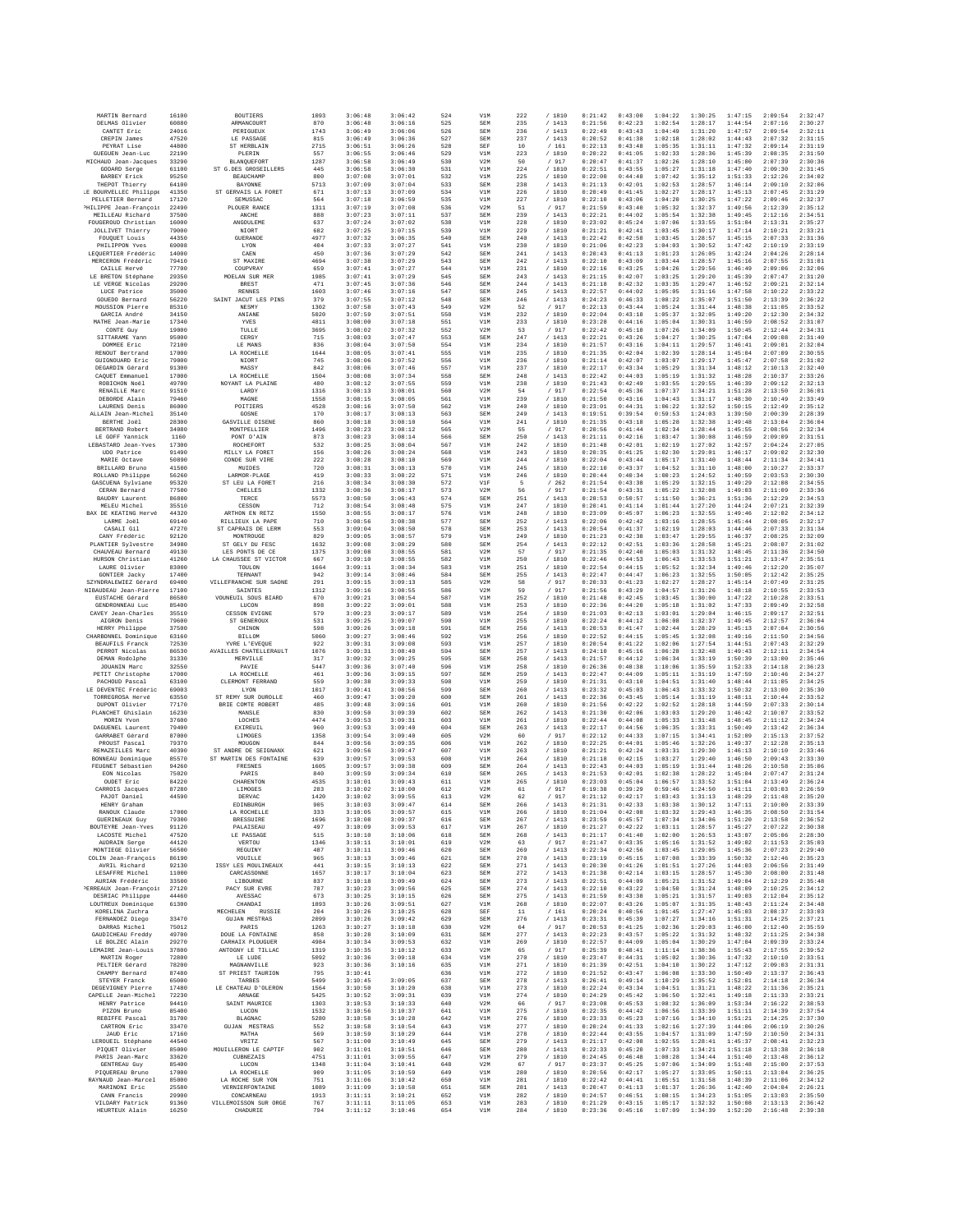| MARTIN Bernard                        | 16100 | <b>BOUTIERS</b>                 | 1093        | 3:06:48            | 3:06:42            | 524        | V1M        | 222         | / 1810         | 0:21:42            | 0:43:00            | 1:04:22            | 1:30:25            | 1:47:15            | 2:09:54            | 2:32:47            |
|---------------------------------------|-------|---------------------------------|-------------|--------------------|--------------------|------------|------------|-------------|----------------|--------------------|--------------------|--------------------|--------------------|--------------------|--------------------|--------------------|
| DELMAS Olivier                        | 60880 | ARMANCOURT                      | 870         | 3:06:48            | 3:06:16            | 525        | SEM        | 235         | / 1413         | 0:21:56            | 0:42:23            | 1:02:54            | 1:28:17            | 1:44:54            | 2:07:16            | 2:30:27            |
| CANTET Eric                           | 24016 | PERIGUEUX                       | 1743        | 3:06:49            | 3:06:06            | 526        | SEM        | 236         | /1413          | 0:22:49            | 0:43:43            | 1:04:49            | 1:31:20            | 1:47:57            | 2:09:54            | 2:32:11            |
| CREPIN James                          | 47520 | LE PASSAGE                      | 815         | 3:06:49            | 3:06:36            | 527        | SEM        | 237         | /1413          | 0:20:52            | 0:41:38            | 1:02:18            | 1:28:02            | 1:44:43            | 2:07:32            | 2:31:15            |
| PEYRAT Lise                           | 44800 | ST HERBLAIN                     | 2715        | 3:06:51            | 3:06:26            | 528        | SEF        | 10          | /161           | 0:22:13            | 0:43:48            | 1:05:35            | 1:31:11            | 1:47:32            | 2:09:14            | 2:31:19            |
| GUEGUEN Jean-Luc                      | 22190 | PLERIN                          | 557         | 3:06:55            | 3:06:46            | 529        | V1M        | 223         | /1810          | 0:20:22            | 0:41:05            | 1:02:33            | 1:28:36            | 1:45:39            | 2:08:35            | 2:31:50            |
| MICHAUD Jean-Jacques                  | 33290 | BLANQUEFORT                     | 1287        | 3:06:58            | 3:06:49            | 530        | V2M        | 50          | / 917          | 0:20:47            | 0:41:37            | 1:02:26            | 1:28:10            | 1:45:00            | 2:07:39            | 2:30:36            |
| GODARD Serge                          | 61100 | ST G.DES GROSEILLERS            | 445         | 3:06:58            | 3:06:30            | 531        | V1M        | 224         | / 1810         | 0:22:51            | 0:43:55            | 1:05:27            | 1:31:18            | 1:47:40            | 2:09:30            | 2:31:45            |
| <b>BARBEY Erick</b>                   | 95250 | <b>BEAUCHAMP</b>                | 800         | 3:07:08            | 3:07:01            | 532        | V1M        | 225         | / 1810         | 0:22:00            | 0:44:48            | 1:07:42            | 1:35:12            | 1:51:33            | 2:12:26            | 2:34:02            |
| THEPOT Thierry                        | 64100 | BAYONNE                         | 5713        | 3:07:09            | 3:07:04            | 533        | SEM        | 238         | /1413          | 0:21:13            | 0:42:01            | 1:02:53            | 1:28:57            | 1:46:14            | 2:09:10            | 2:32:06            |
| LE BOURVELLEC Philippe                | 41350 | ST GERVAIS LA FORET             | 671         | 3:07:13            | 3:07:09            | 534        | V1M        | 226         | / 1810         | 0:20:49            | 0:41:45            | 1:02:27            | 1:28:17            | 1:45:13            | 2:07:45            | 2:31:29            |
| PELLETIER Bernard                     | 17120 | SEMUSSAC                        | 564         | 3:07:18            | 3:06:59            | 535        | V1M        | 227         | / 1810         | 0:22:10            | 0:43:06            | 1:04:20            | 1:30:25            | 1:47:22            | 2:09:46            | 2:32:37            |
| PHILIPPE Jean-François                | 22490 | PLOUER RANCE                    | 1311        | 3:07:19            | 3:07:08            | 536        | V2M        | 51          | / 917          | 0:21:59            | 0:43:40            | 1:05:32            | 1:32:37            | 1:49:56            | 2:12:39            | 2:35:12            |
| MEILLEAU Richard                      | 37500 | ANCHE                           | 888         | 3:07:23            | 3:07:11            | 537        | SEM        | 239         | /1413          | 0:22:21            | 0:44:02            | 1:05:54            | 1:32:38            | 1:49:45            | 2:12:16            | 2:34:51            |
| FOUGEROUD Christian                   | 16000 | ANGOULEME                       | 637         | 3:07:24            | 3:07:02            | 538        | V1M        | 228         | / 1810         | 0:23:02            | 0:45:24            | 1:07:06            | 1:33:55            | 1:51:04            | 2:13:31            | 2:35:27            |
| <b>JOLLIVET Thierry</b>               | 79000 | NIORT                           | 682         | 3:07:25            | 3:07:15            | 539        | V1M        | 229         | / 1810         | 0:21:21            | 0:42:41            | 1:03:45            | 1:30:17            | 1:47:14            | 2:10:21            | 2:33:21            |
| FOUOUET Louis                         | 44350 | <b>GUERANDE</b>                 | 4977        | 3:07:32            | 3:06:35            | 540        | SEM        | 240         | /1413          | 0:22:42            | 0:42:58            | 1:03:45            | 1:28:57            | 1:45:15            | 2:07:33            | 2:31:36            |
| PHILIPPON Yves                        | 69008 | LYON                            | 404         | 3:07:33            | 3:07:27            | 541        | V1M        | 230         | / 1810         | 0:21:06            | 0:42:23            | 1:04:03            | 1:30:52            | 1:47:42            | 2:10:19            | 2:33:19            |
| LEQUERTIER Frédéric                   | 14000 | CAEN                            | 450         | 3:07:36            | 3:07:29            | 542        | SEM        | 241         | /1413          | 0:20:43            | 0:41:13            | 1:01:23            | 1:26:05            | 1:42:24            | 2:04:26            | 2:28:14            |
| MERCERON Frédéric                     | 79410 | ST MAXIRE                       | 4694        | 3:07:38            | 3:07:29            | 543        | SEM        | 242         | /1413          | 0:22:10            | 0:43:09            | 1:03:44            | 1:28:57            | 1:45:16            | 2:07:55            | 2:31:01            |
| CAILLE Hervé                          | 77700 | COUPVRAY                        | 659         | 3:07:41            | 3:07:27            | 544        | V1M        | 231         | /1810          | 0:22:16            | 0:43:25            | 1:04:26            | 1:29:56            | 1:46:49            | 2:09:06            | 2:32:06            |
| LE BRETON Stéphane                    | 29350 | MOELAN SUR MER                  | 1985        | 3:07:41            | 3:07:29            | 545        | SEM        | 243         | /1413          | 0:21:15            | 0:42:07            | 1:03:25            | 1:29:20            | 1:45:39            | 2:07:47            | 2:31:20            |
| LE VERGE Nicolas                      | 29200 | <b>BREST</b>                    | 471         | 3:07:45            | 3:07:36            | 546        | SEM        | 244         | /1413          | 0:21:18            | 0:42:32            | 1:03:35            | 1:29:47            | 1:46:52            | 2:09:21            | 2:32:14            |
| LUCE Patrice                          | 35000 | <b>RENNES</b>                   | 1603        | 3:07:46            | 3:07:16            | 547        | SEM        | 245         | /1413          | 0:22:57            | 0:44:02            | 1:05:05            | 1:31:16            | 1:47:58            | 2:10:22            | 2:33:22            |
| GOUEDO Bernard                        | 56220 | SAINT JACUT LES PINS            | 379         | 3:07:55            | 3:07:12            | 548        | SEM        | 246         | /1413          | 0:24:23            | 0:46:33            | 1:08:22            | 1:35:07            | 1:51:50            | 2:13:39            | 2:36:22            |
| MOUSSION Pierre                       | 85310 | <b>NESMY</b>                    | 1302        | 3:07:58            | 3:07:43            | 549        | V2M        | 52          | / 917          | 0:22:13            | 0:43:44            | 1:05:24            | 1:31:44            | 1:48:38            | 2:11:05            | 2:33:52            |
| GARCIA André                          | 34150 | ANIANE                          | 5020        | 3:07:59            | 3:07:51            | 550        | V1M        | 232         | / 1810         | 0:22:04            | 0:43:18            | 1:05:37            | 1:32:05            | 1:49:20            | 2:12:30            | 2:34:32            |
| MATHE Jean-Marie                      | 17340 | YVES                            | 4811        | 3:08:00            | 3:07:18            | 551        | V1M        | 233         | /1810          | 0:23:28            | 0:44:16            | 1:05:04            | 1:30:31            | 1:46:59            | 2:08:52            | 2:31:07            |
| CONTE Guy                             | 19000 | TULLE                           | 3695        | 3:08:02            | 3:07:32            | 552        | V2M        | 53          | / 917          | 0:22:42            | 0:45:10            | 1:07:26            | 1:34:09            | 1:50:45            | 2:12:44            | 2:34:31            |
| SITTARAME Yann                        | 95000 | CERGY                           | 715         | 3:08:03            | 3:07:47            | 553        | SEM        | 247         | /1413          | 0:22:21            | 0:43:26            | 1:04:27            | 1:30:25            | 1:47:04            | 2:09:08            | 2:31:40            |
| DOMMEE Eric                           | 72100 | LE MANS                         | 836         | 3:08:04            | 3:07:50            | 554        | V1M        | 234         | /1810          | 0:21:57            | 0:43:16            | 1:04:11            | 1:29:57            | 1:46:41            | 2:09:01            | 2:32:04            |
| RENOUT Bertrand                       | 17000 | LA ROCHELLE                     | 1644        | 3:08:05            | 3:07:41            | 555        | V1M        | 235         | / 1810         | 0:21:35            | 0:42:04            | 1:02:39            | 1:28:14            | 1:45:04            | 2:07:09            | 2:30:55            |
| GUIGNOUARD Eric                       | 79000 | NIORT                           | 745         | 3:08:06            | 3:07:52            | 556        | V1M        | 236         | / 1810         | 0:21:14            | 0:42:07            | 1:03:07            | 1:29:17            | 1:45:47            | 2:07:58            | 2:31:02            |
| DEGARDIN Gérard                       | 91300 | MASSY                           | 842         | 3:08:06            | 3:07:46            | 557        | V1M        | 237         | / 1810         | 0:22:17            | 0:43:34            | 1:05:29            | 1:31:34            | 1:48:12            | 2:10:13            | 2:32:40            |
| CAOUET Emmanuel                       | 17000 |                                 | 1504        | 3:08:08            | 3:07:34            | 558        | SEM        | 248         | /1413          | 0:22:42            | 0:44:03            | 1:05:19            | 1:31:32            | 1:48:28            | 2:10:37            | 2:33:26            |
| ROBICHON Noël                         | 49700 | LA ROCHELLE<br>NOYANT LA PLAINE | 480         | 3:08:12            | 3:07:55            | 559        | V1M        | 238         | / 1810         | 0:21:43            | 0:42:49            | 1:03:55            | 1:29:55            | 1:46:39            | 2:09:12            | 2:32:13            |
| RENAILLE Marc                         | 91510 | LARDY                           | 1316        | 3:08:13            | 3:08:01            | 560        | V2M        | 54          | / 917          | 0:22:54            | 0:45:36            | 1:07:37            | 1:34:21            | 1:51:28            | 2:13:50            | 2:36:01            |
| DEBORDE Alain                         | 79460 | MAGNE                           | 1558        | 3:08:15            | 3:08:05            | 561        | V1M        | 239         | / 1810         | 0:21:50            | 0:43:16            | 1:04:43            | 1:31:17            | 1:48:30            | 2:10:49            | 2:33:49            |
| LAURENS Denis                         | 86000 | POITIERS                        | 4528        | 3:08:16            | 3:07:50            | 562        | V1M        | 240         | /1810          | 0:23:01            | 0:44:31            | 1:06:22            | 1:32:52            | 1:50:15            | 2:12:49            | 2:35:12            |
| ALLAIN Jean-Michel                    | 35140 | GOSNE                           | 170         | 3:08:17            | 3:08:13            | 563        | SEM        | 249         | /1413          | 0:19:51            | 0:39:54            | 0:59:53            | 1:24:03            | 1:39:50            | 2:00:39            | 2:28:39            |
| BERTHE Joël                           | 28300 | GASVILLE OISENE                 | 860         | 3:08:18            | 3:08:10            | 564        | V1M        | 241         | / 1810         | 0:21:35            | 0:43:18            | 1:05:28            | 1:32:38            | 1:49:48            | 2:13:04            | 2:36:04            |
| BERTRAND Robert                       | 34080 | MONTPELLIER                     | 1496        | 3:08:23            | 3:08:12            | 565        | V2M        | 55          | /917           | 0:20:56            | 0:41:44            | 1:02:34            | 1:28:44            | 1:45:55            | 2:08:56            | 2:32:34            |
| LE GOFF Yannick                       | 1160  | PONT D'AIN                      | 873         | 3:08:23            | 3:08:14            | 566        | SEM        | 250         | /1413          | 0:21:11            | 0:42:16            | 1:03:47            | 1:30:08            | 1:46:59            | 2:09:09            | 2:31:51            |
| LEBASTARD Jean-Yves                   | 17300 | ROCHEFORT                       | 532         | 3:08:25            | 3:08:04            | 567        | V1M        | 242         | / 1810         | 0:21:48            | 0:42:01            | 1:02:19            | 1:27:02            | 1:42:57            | 2:04:24            | 2:27:05            |
| UDO Patrice                           | 91490 | MILLY LA FORET                  | 156         | 3:08:26            | 3:08:24            | 568        | V1M        | 243         | / 1810         | 0:20:35            | 0:41:25            | 1:02:30            | 1:29:01            | 1:46:17            | 2:09:02            | 2:32:30            |
| MARIE Octave                          | 50890 | CONDE SUR VIRE                  | 222         | 3:08:28            | 3:08:10            | 569        | V1M        | 244         | / 1810         | 0:22:04            | 0:43:44            | 1:05:17            | 1:31:40            | 1:48:44            | 2:11:34            | 2:34:41            |
| BRILLARD Bruno                        | 41500 | MUIDES                          | 720         | 3:08:31            | 3:08:13            | 570        | V1M        | 245         | / 1810         | 0:22:10            | 0:43:37            | 1:04:52            | 1:31:10            | 1:48:00            | 2:10:27            | 2:33:37            |
| ROLLAND Philippe                      | 56260 | LARMOR-PLAGE                    | 419         | 3:08:33            | 3:08:22            | 571        | V1M        | 246         | / 1810         | 0:20:44            | 0:40:34            | 1:00:23            | 1:24:52            | 1:40:59            | 2:03:53            | 2:30:30            |
| GASCURNA Sylviane                     | 95320 | ST LEU LA FORET                 | 216         | 3:08:34            | 3:08:30            | 572        | V1F        | -5          | /262           | 0:21:54            | 0:43:38            | 1:05:29            | 1:32:15            | 1:49:29            | 2:12:08            | 2:34:55            |
| CERAN Bernard                         | 77500 | CHELLES                         | 1332        | 3:08:36            | 3:08:17            | 573        | V2M        | 56          | / 917          | 0:21:54            | 0:43:31            | 1:05:22            | 1:32:08            | 1:49:03            | 2:11:09            | 2:33:36            |
| BAUDRY Laurent                        | 86800 | TERCE                           | 5573        | 3:08:50            | 3:06:43            | 574        | SEM        | 251         | /1413          | 0:28:53            | 0:50:57            | 1:11:50            | 1:36:21            | 1:51:36            | 2:12:29            | 2:34:53            |
| MELEU Michel                          | 35510 | CESSON                          | 712         | 3:08:54            | 3:08:48            | 575        | V1M        | 247         | / 1810         | 0:20:41            | 0:41:14            | 1:01:44            | 1:27:20            | 1:44:24            | 2:07:21            | 2:32:39            |
| BAX DE KEATING Hervé                  | 44320 | ARTHON EN RETZ                  | 1550        | 3:08:55            | 3:08:17            | 576        | V1M        | 248         | / 1810         | 0:23:09            | 0:45:07            | 1:06:23            | 1:32:55            | 1:49:46            | 2:12:02            | 2:34:12            |
| LARME Joël                            | 69140 | RILLIEUX LA PAPE                | 710         | 3:08:56            | 3:08:38            | 577        | SEM        | 252         | /1413          | 0:22:06            | 0:42:42            | 1:03:16            | 1:28:55            | 1:45:44            | 2:08:05            | 2:32:17            |
| CASALI Gil                            | 47270 | ST CAPRAIS DE LERN              | 553         | 3:09:04            | 3:08:50            | 578        | SEN        | 253         | /1413          | 0:20:54            | 0:41:37            | 1:02:19            | 1:28:03            | 1:44:46            | 2:07:33            | 2:31:34            |
| CANY Frédéric                         | 92120 | MONTROUGE                       | 829         | 3:09:05            | 3:08:57            | 579        | V1M        | 249         | / 1810         | 0:21:23            | 0:42:38            | 1:03:47            | 1:29:55            | 1:46:37            | 2:08:25            | 2:32:09            |
| PLANTIER Sylvestre                    | 34980 | ST GELY DU FESC                 | 1632        | 3:09:08            | 3:08:29            | 580        | SEM        | 254         | / 1413         | 0:22:12            | 0:42:51            | 1:03:36            | 1:28:58            | 1:45:21            | 2:08:07            | 2:31:02            |
| CHAUVEAU Bernard                      | 49130 | LES PONTS DE CE                 | 1375        | 3:09:08            | 3:08:55            | 581        | V2N        | 57          | / 917          | 0:21:35            | 0:42:40            | 1:05:03            | 1:31:32            | 1:48:45            | 2:11:36            | 2:34:50            |
| HURSON Christian                      | 41260 | LA CHAUSSEE ST VICTOR           | 667         | 3:09:10            | 3:08:55            | 582        | V1M        | 250         | / 1810         | 0:22:46            | 0:44:53            | 1:06:43            | 1:33:53            | 1:51:21            | 2:13:47            | 2:35:51            |
| LAURE Olivier                         | 83000 | TOULON                          | 1664        | 3:09:11            | 3:08:34            | 583        | V1M        | 251         | / 1810         | 0:22:54            | 0:44:15            | 1:05:52            | 1:32:34            | 1:49:46            | 2:12:20            | 2:35:07            |
| GONTIER Jacky                         | 17400 | TERNANT                         | 942         | 3:09:14            | 3:08:46            | 584        | SEM        | 255         | /1413          | 0:22:47            | 0:44:47            | 1:06:23            | 1:32:55            | 1:50:05            | 2:12:42            | 2:35:25            |
| SZYNDRALEWIEZ Gérard                  | 69400 | VILLEFRANCHE SUR SAONE          | 291         | 3:09:15            | 3:09:13            | 585        | V2M        | 58          | / 917          | 0:20:33            | 0:41:23            | 1:02:27            | 1:28:27            | 1:45:14            | 2:07:49            | 2:31:25            |
| NIBAUDEAU Jean-Pierre                 | 17100 | SAINTES                         | 1312        | 3:09:16            | 3:08:55            | 586        | V2M        | 59          | / 917          | 0:21:56            | 0:43:29            | 1:04:57            | 1:31:26            | 1:48:18            | 2:10:55            | 2:33:53            |
| EUSTACHE Gérard                       | 86580 | VOUNEUIL SOUS BIARD             | 670         | 3:09:21            | 3:08:54            | 587        | V1M        | 252         | / 1810         | 0:21:48            | 0:42:45            | 1:03:45            | 1:30:00            | 1:47:22            | 2:10:28            | 2:33:51            |
| <b>GENDRONNEAU Luc</b>                | 85400 | LUCON                           | 898         | 3:09:22            | 3:09:01            | 588        | V1M        | 253         | / 1810         | 0:22:36            | 0:44:20            | 1:05:18            | 1:31:02            | 1:47:33            | 2:09:49            | 2:32:58            |
| CAVEY Jean-Charles                    | 35510 | CESSON EVIGNE                   | 579         | 3:09:23            | 3:09:17            | 589        | V1M        | 254         | / 1810         | 0:21:03            | 0:42:13            | 1:03:01            | 1:29:04            | 1:46:15            | 2:09:17            | 2:32:51            |
| AIGRON Denis                          | 79600 | ST GENEROUX                     | 531         | 3:09:25            | 3:09:07            | 590        | V1M        | 255         | /1810          | 0:22:24            | 0:44:12            | 1:06:08            | 1:32:37            | 1:49:45            | 2:12:57            | 2:36:04            |
| HERRY Philippe                        | 37500 | CHINON                          | 598         | 3:09:26            | 3:09:18            | 591        | SEM        | 256         | /1413          | 0:20:53            | 0:41:47            | 1:02:44            | 1:28:29            | 1:45:13            | 2:07:04            | 2:30:56            |
| CHARBONNEL Dominique                  | 63160 | <b>BILLOM</b>                   | 5060        | 3:09:27            | 3:08:46            | 592        | V1M        | 256         | / 1810         | 0:22:52            | 0:44:15            | 1:05:45            | 1:32:08            | 1:49:16            | 2:11:50            | 2:34:56            |
| <b>BEAUFILS Franck</b>                | 72530 | YVRE L'EVEQUE                   | 922         | 3:09:31            | 3:09:08            | 593        | V1M        | 257         | / 1810         | 0:20:54            | 0:41:22            | 1:02:06            | 1:27:54            | 1:44:51            | 2:07:43            | 2:32:29            |
| PERROT Nicolas                        | 86530 | <b>AVAILLES CHATELLERAULT</b>   | 1076        | 3:09:31            | 3:08:40            | 594        | SEM        | 257         | /1413          | 0:24:10            | 0:45:16            | 1:06:28            | 1:32:48            | 1:49:43            | 2:12:11            | 2:34:54            |
| DEMAN Rodolphe                        | 31330 | MERVILLE                        | 317         | 3:09:32            | 3:09:25            | 595        | SEM        | 258         | /1413          | 0:21:57            | 0:44:12            | 1:06:34            | 1:33:19            | 1:50:39            | 2:13:00            | 2:35:46            |
| JOUANIN Marc                          | 32550 | PAVIE                           | 5447        | 3:09:36            | 3:07:40            | 596        | V1M        | 258         | / 1810         | 0:26:36            | 0:48:38            | 1:10:06            | 1:35:59            | 1:52:33            | 2:14:18            | 2:36:23            |
| PETIT Christophe                      | 17000 | LA ROCHELLE                     | 461         | 3:09:36            | 3:09:15            | 597        | SEM        | 259         | /1413          | 0:22:47            | 0:44:09            | 1:05:11            | 1:31:19            | 1:47:59            | 2:10:46            | 2:34:27            |
| PACHOUD Pascal                        | 63100 | CLERMONT FERRAND                | 559         | 3:09:38            | 3:09:33            | 598        | V1M        | 259         | / 1810         | 0:21:31            | 0:43:10            | 1:04:51            | 1:31:40            | 1:48:44            | 2:11:05            | 2:34:25            |
| LE DEVENTEC Frédéric                  | 69003 | LYON                            | 1017        | 3:09:41            | 3:08:56            | 599        | SEM        | 260         | /1413          | 0:23:32            | 0:45:03            | 1:06:43            | 1:33:32            | 1:50:32            | 2:13:00            | 2:35:30            |
| TORREGROSA Hervé                      | 63550 | ST REMY SUR DUROLLE             | 460         | 3:09:47            | 3:09:20            | 600        | SEM        | 261         | /1413          | 0:22:36            | 0:43:45            | 1:05:14            | 1:31:19            | 1:48:11            | 2:10:44            | 2:33:52            |
| DUPONT Olivier                        | 77170 | BRIE COMTE ROBERT               | 485         | 3:09:48            | 3:09:16            | 601        | V1M        | 260         | /1810          | 0:21:56            | 0:42:22            | 1:02:52            | 1:28:18            | 1:44:59            | 2:07:33            | 2:30:14            |
| PLANCHET Ghislain                     | 16230 | MANSLE                          | 830         | 3:09:50            | 3:09:39            | 602        | SEM        | 262         | /1413          | 0:21:30            | 0:42:06            | 1:03:03            | 1:29:20            | 1:46:42            | 2:10:07            | 2:33:52            |
| MORIN Yvon                            | 37600 | LOCHES                          | 4474        | 3:09:53            | 3:09:31            | 603        | V1M        | 261         | / 1810         | 0:22:44            | 0:44:08            | 1:05:33            | 1:31:48            | 1:48:45            | 2:11:12            | 2:34:24            |
| DAGUENEL Laurent<br>GARRARET Gérard   | 79400 | EXIREUIL                        | 960         | 3:09:53            | 3:09:40            | 604        | SEM        | 263         | /1413          | 0:22:17            | 0:44:56            | 1:06:35            | 1:33:31            | 1:50:49            | 2:13:42            | 2:36:34            |
| PROUST Pascal                         | 87000 | LIMOGES                         | 1358        | 3:09:54            | 3:09:40            | 605        | V2M        | 60          | / 917          | 0:22:12            | 0:44:33            | 1:07:15            | 1:34:41            | 1:52:09            | 2:15:13            | 2:37:52            |
|                                       | 79370 | MOUGON                          | 844         | 3:09:56            | 3:09:35            | 606        | V1M        | 262         | / 1810         | 0:22:25            | 0:44:01            | 1:05:46            | 1:32:26            | 1:49:37            | 2:12:28            | 2:35:13            |
| REMAZEILLES Marc                      | 40390 | ST ANDRE DE SEIGNANX            | 621         | 3:09:56            | 3:09:47            | 607        | V1M        | 263         | / 1810         | 0:21:21            | 0:42:24            | 1:03:31            | 1:29:30            | 1:46:13            | 2:10:10            | 2:33:46            |
| BONNEAU Dominique                     | 85570 | ST MARTIN DES FONTAINE          | 639         | 3:09:57            | 3:09:53            | 608        | V1M        | 264         | / 1810         | 0:21:18            | 0:42:15            | 1:03:27            | 1:29:40            | 1:46:50            | 2:09:43            | 2:33:30            |
| FEUGNET Sébastien                     | 94260 | FRESNES                         | 1605        | 3:09:57            | 3:09:38            | 609        | SEM        | 264         | /1413          | 0:22:43            | 0:44:03            | 1:05:19            | 1:31:44            | 1:48:26            | 2:10:58            | 2:35:06            |
| EON Nicolas                           | 75020 | PARIS                           | 840         | 3:09:59            | 3:09:34            | 610        | SEM        | 265         | /1413          | 0:21:53            | 0:42:01            | 1:02:38            | 1:28:22            | 1:45:04            | 2:07:47            | 2:31:24            |
| OUDET Eric                            | 84220 | CHARENTON                       | 4535        | 3:10:01            | 3:09:43            | 611        | V1M        | 265         | / 1810         | 0:23:03            | 0:45:04            | 1:06:57            | 1:33:52            | 1:51:04            | 2:13:49            | 2:36:24            |
| CARROIS Jacques                       | 87280 | LIMOGES                         | 283         | 3:10:02            | 3:10:00            | 612        | V2M        | 61          | /917           | 0:19:38            | 0:39:29            | 0:59:46            | 1:24:50            | 1:41:11            | 2:03:03            | 2:26:59            |
| PAJOT Daniel                          | 44590 | DERVAC                          | 1420        | 3:10:02            | 3:09:55            | 613        | V2M        | 62          | / 917          | 0:21:12            | 0:42:17            | 1:03:43            | 1:31:13            | 1:48:29            | 2:11:48            | 2:35:20            |
| HENRY Graham                          |       | EDINBURGH                       | 905         | 3:10:03            | 3:09:47            | 614        | SEM        | 266         | /1413          | 0:21:31            | 0:42:33            | 1:03:38            | 1:30:12            | 1:47:11            | 2:10:00            | 2:33:39            |
| RANOUX Claude                         | 17000 | LA ROCHRLLE                     | 333         | 3:10:05            | 3:09:57            | 615        | V1M        | 266         | / 1810         | 0:21:04            | 0:42:08            | 1:03:32            | 1:29:43            | 1:46:35            | 2:08:50            | 2:31:54            |
| GUERINEAUX Guy                        | 79300 | <b>BRESSUIRE</b>                | 1696        | 3:10:08            | 3:09:37            | 616        | SEM        | 267         | / 1413         | 0:23:59            | 0:45:57            | 1:07:34            | 1:34:06            | 1:51:20            | 2:13:58            | 2:36:52            |
| BOUTEYRE Jean-Yves                    | 91120 | PALAISEAU                       | 497         | 3:10:09            | 3:09:53            | 617        | V1M        | 267         | / 1810         | 0:21:27            | 0:42:22            | 1:03:11            | 1:28:57            | 1:45:27            | 2:07:22            | 2:30:38            |
| LACOSTE Michel                        | 47520 | LE PASSAGE                      | 515         | 3:10:10            | 3:10:06            | 618        | SEM        | 268         | /1413          | 0:21:17            | 0:41:40            | 1:02:00            | 1:26:53            | 1:43:07            | 2:05:06            | 2:28:30            |
| AUDRAIN Serge                         | 44120 | VERTOU                          | 1346        | 3:10:11            | 3:10:01            | 619        | V2M        | 63          |                | 0:21:47            | 0:43:35            | 1:05:16            | 1:31:52            | 1:49:02            | 2:11:53            | 2:35:03            |
| MONTIEGE Olivier                      | 56500 | REGUINY                         | 487         | 3:10:11            | 3:09:46            | 620        | SEM        | 269         | / 917<br>/1413 | 0:22:34            | 0:42:56            | 1:03:45            | 1:29:05            | 1:45:36            | 2:07:23            | 2:29:40            |
| COLIN Jean-François                   | 86190 | VOUILLE                         | 965         | 3:10:13            | 3:09:46            | 621        | <b>SEM</b> | 270         | / 1413         | 0:23:19            | 0:45:15            | 1:07:08            | 1:33:39            | 1:50:32            | 2:12:46            | 2:35:23            |
| AVRIL Richard                         | 92130 | ISSY LES MOULINEAUX             | 441         | 3:10:15            | 3:10:13            | 622        | <b>SEM</b> | 271         | /1413          | 0:20:30            | 0:41:26            | 1:01:51            | 1:27:26            | 1:44:03            | 2:06:56            | 2:31:49            |
| LESAFFRE Michel                       | 11000 | CARCASSONNE                     | 1657        | 3:10:17            | 3:10:04            | 623        | SEM        | 272         | / 1413         | 0:21:38            | 0:42:14            | 1:03:15            | 1:28:57            | 1:45:30            | 2:08:00            | 2:31:48            |
| AURIAN Frédéric                       | 33500 | LIBOURNE                        | 837         | 3:10:18            | 3:09:49            | 624        | SEM        | 273         | /1413          | 0:22:51            | 0:44:09            | 1:05:21            | 1:31:52            | 1:49:04            | 2:12:29            | 2:35:48            |
| <b>ERREAUX Jean-François</b>          | 27120 | PACY SUR EVRE                   | 787         | 3:10:23            | 3:09:56            | 625        | SEM        | 274         | /1413          | 0:22:10            | 0:43:22            | 1:04:50            | 1:31:24            | 1:48:09            | 2:10:25            | 2:34:12            |
| DESRIAC Philippe                      | 44460 | AVESSAC                         | 673         | 3:10:25            | 3:10:15            | 626        | <b>SEM</b> | 275         | /1413          | 0:21:59            | 0:43:38            | 1:05:21            | 1:31:57            | 1:49:03            | 2:12:04            | 2:35:12            |
| LOUTREUX Dominique<br>KORELINA Zuchra | 61300 | CHANDAI<br>MECHELEN<br>RUSSIE   | 1893<br>204 | 3:10:26<br>3:10:26 | 3:09:51<br>3:10:25 | 627<br>628 | V1M<br>SEF | 268<br>$11$ | / 1810<br>/161 | 0:22:07<br>0:20:24 | 0:43:26<br>0:40:56 | 1:05:07<br>1:01:45 | 1:31:35<br>1:27:47 | 1:48:43<br>1:45:03 | 2:11:24<br>2:08:37 | 2:34:48<br>2:33:03 |
| FERNANDEZ Diego                       | 33470 | <b>GUJAN MESTRAS</b>            | 2099        | 3:10:26            | 3:09:42            | 629        | SEM        | 276         | /1413          | 0:23:31            | 0:45:39            | 1:07:27            | 1:34:16            | 1:51:31            | 2:14:25            | 2:37:21            |
| DARRAS Michel                         | 75012 | PARIS                           | 1263        | 3:10:27            | 3:10:18            | 630        | V2M        | 64          | / 917          | 0:20:53            | 0:41:25            | 1:02:36            | 1:29:03            | 1:46:00            | 2:12:40            | 2:35:59            |
| GAUDICHEAU Freddy                     | 49700 | DOUE LA FONTAINE                | 858         | 3:10:28            | 3:10:09            | 631        | SEM        | 277         | /1413          | 0:22:23            | 0:43:57            | 1:05:22            | 1:31:32            | 1:48:32            | 2:11:25            | 2:34:38            |
| LE BOLZEC Alain                       | 29270 | CARHAIX PLOUGUER                | 4984        | 3:10:34            | 3:09:53            | 632        | V1M        | 269         | / 1810         | 0:22:57            | 0:44:09            | 1:05:04            | 1:30:29            | 1:47:04            | 2:09:39            | 2:33:24            |
| LEMAIRE Jean-Louis                    | 37800 | ANTOGNY LE TILLAC               | 1319        | 3:10:35            | 3:10:12            | 633        | V2M        | 65          | / 917          | 0:25:39            | 0:48:41            | 1:11:14            | 1:38:36            | 1:55:43            | 2:17:55            | 2:39:52            |
| MARTIN Roger                          | 72800 | LE LUDE                         | 5092        | 3:10:36            | 3:09:18            | 634        | V1M        | 270         | / 1810         | 0:23:47            | 0:44:31            | 1:05:02            | 1:30:36            | 1:47:32            | 2:10:10            | 2:33:51            |
| PELTIER Gérard                        | 78200 | MAGNANVILLE                     | 923         | 3:10:36            | 3:10:16            | 635        | V1M        | 271         | / 1810         | 0:21:39            | 0:42:51            | 1:04:10            | 1:30:22            | 1:47:12            | 2:09:03            | 2:31:31            |
| CHAMPY Bernard                        | 87480 | ST PRIEST TAURION               | 795         | 3:10:41            |                    | 636        | V1M        | 272         | / 1810         | 0:21:52            | 0:43:47            | 1:06:08            | 1:33:30            | 1:50:49            | 2:13:37            | 2:36:43            |
| STEYER Franck                         | 65000 | TARBES                          | 5499        | 3:10:45            | 3:09:05            | 637        | SEM        | 278         | /1413          | 0:26:41            | 0:49:14            | 1:10:29            | 1:35:52            | 1:52:01            | 2:14:18            | 2:36:34            |
| DEGEVIGNEY Pierre                     | 17480 | LE CHATEAU D'OLERON             | 1564        | 3:10:50            | 3:10:20            | 638        | V1M        | 273         | / 1810         | 0:22:24            | 0:43:34            | 1:04:51            | 1:31:21            | 1:48:22            | 2:11:36            | 2:35:21            |
| CAPELLE Jean-Michel                   | 72230 | ARNAGE                          | 5425        | 3:10:52            | 3:09:31            | 639        | V1M        | 274         | / 1810         | 0:24:29            | 0:45:42            | 1:06:50            | 1:32:41            | 1:49:18            | 2:11:33            | 2:33:21            |
| HENRY Patrice                         | 94410 | SAINT MAURICE                   | 1303        | 3:10:53            | 3:10:33            | 640        | V2M        | 66          | /917           | 0:23:08            | 0:45:53            | 1:08:32            | 1:36:09            | 1:53:34            | 2:16:22            | 2:38:53            |
| PIZON Bruno                           | 85400 | LUCON                           | 1532        | 3:10:56            | 3:10:37            | 641        | V1M        | 275         | / 1810         | 0:22:35            | 0:44:42            | 1:06:56            | 1:33:39            | 1:51:11            | 2:14:39            | 2:37:54            |
| REBIFFE Pascal                        | 31700 | BLAGNAC                         | 5280        | 3:10:58            | 3:10:28            | 642        | V1M        | 276         | / 1810         | 0:23:33            | 0:45:23            | 1:07:16            | 1:34:10            | 1:51:21            | 2:14:25            | 2:37:30            |
| CARTRON Eric                          | 33470 | GUJAN MESTRAS                   | 552         | 3:10:58            | 3:10:54            | 643        | V1M        | 277         | / 1810         | 0:20:24            | 0:41:33            | 1:02:16            | 1:27:39            | 1:44:06            | 2:06:19            | 2:30:26            |
| JAUD Eric                             | 17160 | MATHA                           | 569         | 3:10:59            | 3:10:29            | 644        | V1M        | 278         | /1810          | 0:22:44            | 0:43:55            | 1:04:57            | 1:31:09            | 1:47:59            | 2:10:50            | 2:34:31            |
| LEROUEIL Stéphane                     | 44540 | <b>VRITZ</b>                    | 567         | 3:11:00            | 3:10:49            | 645        | SEM        | 279         | / 1413         | 0:21:17            | 0:42:08            | 1:02:55            | 1:28:41            | 1:45:37            | 2:08:41            | 2:32:23            |
| PIQUET Olivier                        | 85000 | MOUILLERON LE CAPTIF            | 902         | 3:11:01            | 3:10:51            | 646        | SEM        | 280         | /1413          | 0:22:33            | 0:45:20            | 1:07:33            | 1:34:21            | 1:51:18            | 2:13:38            | 2:36:18            |
| PARIS Jean-Marc                       | 33620 | CUBNEZAIS                       | 4751        | 3:11:01            | 3:09:55            | 647        | V1M        | 279         | / 1810         | 0:24:45            | 0:46:48            | 1:08:28            | 1:34:44            | 1:51:40            | 2:13:48            | 2:36:12            |
| GENTREAU Guy                          | 85400 | LUCON                           | 1348        | 3:11:04            | 3:10:41            | 648        | V2M        | 67          | / 917          | 0:23:37            | 0:45:25            | 1:07:06            | 1:34:09            | 1:51:48            | 2:15:00            | 2:37:53            |
| PIQUEREAU Bruno                       | 17000 | LA ROCHELLE                     | 909         | 3:11:05            | 3:10:59            | 649        | V1M        | 280         | / 1810         | 0:20:56            | 0:42:17            | 1:05:27            | 1:33:05            | 1:50:11            | 2:13:04            | 2:36:25            |
| RAYNAUD Jean-Marcel                   | 85000 | LA ROCHE SUR YON                | 751         | 3:11:06            | 3:10:42            | 650        | V1M        | 281         | / 1810         | 0:22:42            | 0:44:41            | 1:05:51            | 1:31:58            | 1:48:39            | 2:11:06            | 2:34:12            |
| MARINONI Eric                         | 25580 | VERNIERFONTAINE                 | 1089        | 3:11:09            | 3:10:58            | 651        | SEM        | 281         | /1413          | 0:20:47            | 0:41:13            | 1:01:37            | 1:26:36            | 1:42:40            | 2:04:04            | 2:26:21            |
| CANN Francis                          | 29900 | CONCARNEAU                      | 1913        | 3:11:11            | 3:10:21            | 652        | V1M        | 282         | / 1810         | 0:24:57            | 0:46:51            | 1:08:15            | 1:34:23            | 1:51:05            | 2:13:03            | 2:35:50            |
| VILDARY Patrick                       | 91360 | VILLEMOISSON SUR ORGE           | 767         | 3:11:11            | 3:11:05            | 653        | V1M        | 283         | / 1810         | 0:21:29            | 0:43:15            | 1:05:17            | 1:32:32            | 1:50:08            | 2:13:13            | 2:36:42            |
| HEURTEUX Alain                        | 16250 | CHADURIE                        | 794         | 3:11:12            | 3:10:46            | 654        | V1M        | 284         | / 1810         | 0:23:36            | 0:45:16            | 1:07:09            | 1:34:39            | 1:52:20            | 2:16:48            | 2:39:38            |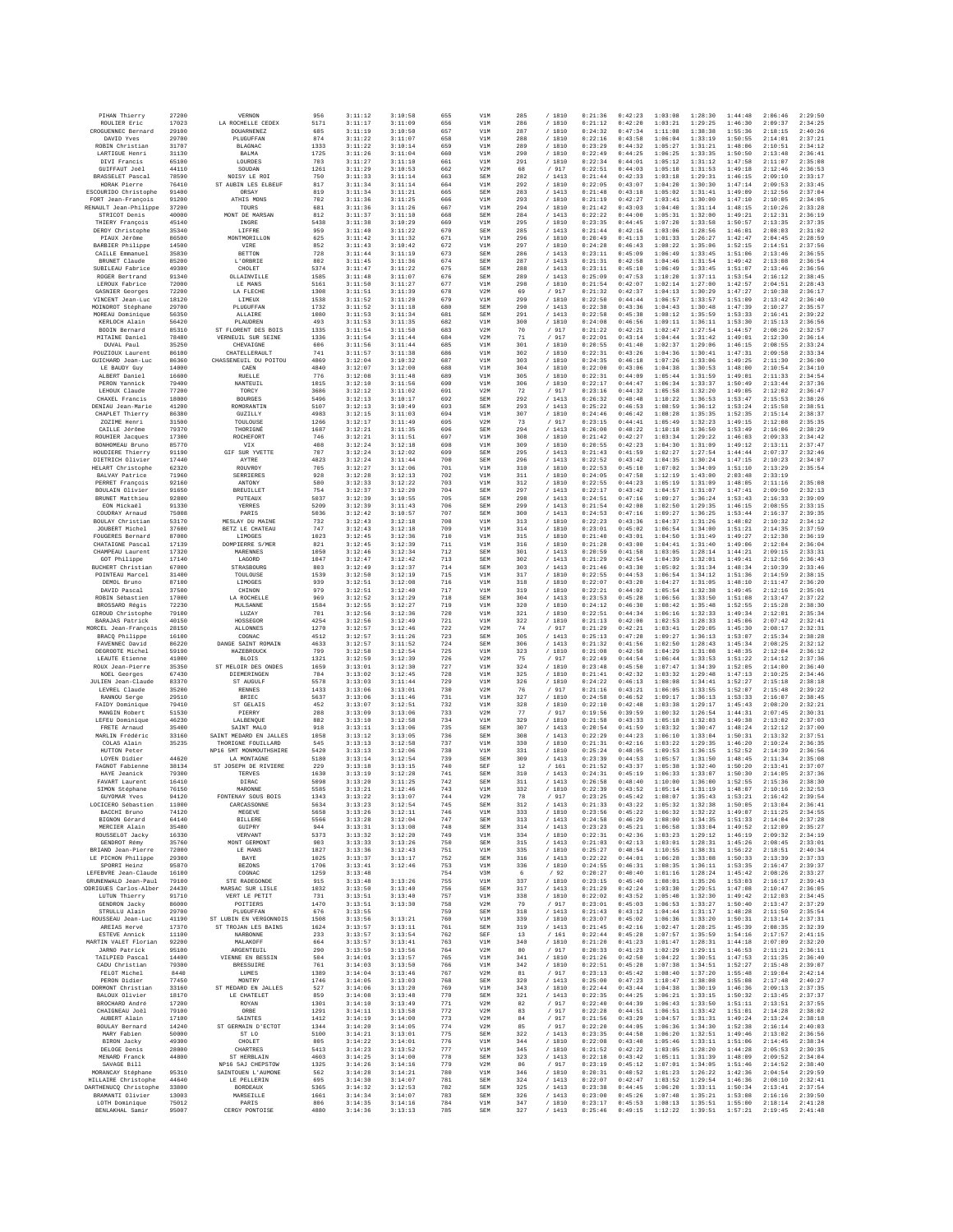| PIHAN Thierry                                 | 27200          | VERNON                                 | 956          | 3:11:12            | 3:10:58            | 655        | V1M                      | 285        | / 1810            | 0:21:36            | 0:42:23            | 1:03:08            | 1:28:30            | 1:44:48            | 2:06:46            | 2:29:50            |
|-----------------------------------------------|----------------|----------------------------------------|--------------|--------------------|--------------------|------------|--------------------------|------------|-------------------|--------------------|--------------------|--------------------|--------------------|--------------------|--------------------|--------------------|
| ROULIER Eric<br>CROGUENNEC Bernard            | 17023<br>29100 | LA ROCHELLE CEDEX<br><b>DOUARNENEZ</b> | 5171<br>685  | 3:11:17<br>3:11:19 | 3:11:09<br>3:10:50 | 656<br>657 | V1M<br>V1M               | 286<br>287 | / 1810<br>/ 1810  | 0:21:12<br>0:24:32 | 0:42:20<br>0:47:34 | 1:03:21<br>1:11:08 | 1:29:25<br>1:38:38 | 1:46:30<br>1:55:36 | 2:09:37<br>2:18:15 | 2:34:25<br>2:40:26 |
| DAVID Yves                                    | 29700          | PLUGUFFAN                              | 874          | 3:11:22            | 3:11:07            | 658        | V1M                      | 288        | / 1810            | 0:22:16            | 0:43:58            | 1:06:04            | 1:33:19            | 1:50:55            | 2:14:01            | 2:37:21            |
| ROBIN Christian                               | 31707          | <b>BLAGNAC</b>                         | 1333         | 3:11:22            | 3:10:14            | 659        | V1M                      | 289        | / 1810            | 0:23:29            | 0:44:32            | 1:05:27            | 1:31:21            | 1:48:06            | 2:10:51            | 2:34:12            |
| LARTIGUE Henri                                | 31130          | BALMA                                  | 1725         | 3:11:26            | 3:11:04            | 660        | V1M                      | 290        | / 1810            | 0:22:49            | 0:44:25            | 1:06:25            | 1:33:35            | 1:50:50            | 2:13:48            | 2:36:41            |
| DIVI Francis<br><b>GUIFFAUT Joël</b>          | 65100<br>44110 | LOURDES<br>SOUDAN                      | 703<br>1261  | 3:11:27<br>3:11:29 | 3:11:10<br>3:10:53 | 661<br>662 | V1M<br>V2M               | 291<br>68  | / 1810<br>/ 917   | 0:22:34<br>0:22:51 | 0:44:01<br>0:44:03 | 1:05:12<br>1:05:10 | 1:31:12<br>1:31:53 | 1:47:58<br>1:49:18 | 2:11:07<br>2:12:46 | 2:35:08<br>2:36:53 |
| BRASSELET Pascal                              | 78590          | NOISY LE ROI                           | 750          | 3:11:33            | 3:11:14            | 663        | SEM                      | 282        | /1413             | 0:21:44            | 0:42:33            | 1:03:18            | 1:29:31            | 1:46:15            | 2:09:10            | 2:33:17            |
| HORAK Pierre                                  | 76410          | ST AUBIN LES ELBEUF                    | 817          | 3:11:34            | 3:11:14            | 664        | V1M                      | 292        | / 1810            | 0:22:05            | 0:43:07            | 1:04:20            | 1:30:30            | 1:47:14            | 2:09:53            | 2:33:45            |
| ESCOURIDO Christophe<br>FORT Jean-François    | 91400<br>91200 | ORSAY                                  | 819<br>702   | 3:11:34<br>3:11:36 | 3:11:21<br>3:11:25 | 665        | <b>SEM</b><br>V1M        | 283<br>293 | /1413             | 0:21:48<br>0:21:19 | 0:43:18<br>0:42:27 | 1:05:02<br>1:03:41 | 1:31:41<br>1:30:00 | 1:49:09<br>1:47:10 | 2:12:56<br>2:10:05 | 2:37:04<br>2:34:05 |
| RENAULT Jean-Philippe                         | 37200          | ATHIS MONS<br>TOURS                    | 681          | 3:11:36            | 3:11:26            | 666<br>667 | V1M                      | 294        | / 1810<br>/ 1810  | 0:21:42            | 0:43:03            | 1:04:40            | 1:31:14            | 1:48:15            | 2:10:26            | 2:33:28            |
| STRICOT Denis                                 | 40000          | MONT DE MARSAN                         | 812          | 3:11:37            | 3:11:10            | 668        | SEM                      | 284        | /1413             | 0:22:22            | 0:44:00            | 1:05:31            | 1:32:00            | 1:49:21            | 2:12:31            | 2:36:19            |
| THIERY François                               | 45140          | INGRE                                  | 5438         | 3:11:38            | 3:10:29            | 669        | V1M                      | 295        | / 1810            | 0:23:35            | 0:44:45            | 1:07:20            | 1:33:58            | 1:50:57            | 2:13:35            | 2:37:35            |
| DEROY Christophe<br>PIAUX Jérôme              | 35340<br>86500 | LIFFRE<br>MONTMORILLON                 | 959<br>625   | 3:11:40<br>3:11:42 | 3:11:22<br>3:11:32 | 670<br>671 | SEM<br>V1M               | 285<br>296 | /1413<br>/ 1810   | 0:21:44<br>0:20:49 | 0:42:16<br>0:41:13 | 1:03:06<br>1:01:33 | 1:28:56<br>1:26:27 | 1:46:01<br>1:42:47 | 2:08:03<br>2:04:45 | 2:31:02<br>2:28:59 |
| BARBIER Philippe                              | 14500          | VIRE                                   | 852          | 3:11:43            | 3:10:42            | 672        | V1M                      | 297        | /1810             | 0:24:28            | 0:46:43            | 1:08:22            | 1:35:06            | 1:52:15            | 2:14:51            | 2:37:56            |
| CAILLE Emmanuel                               | 35830          | <b>BETTON</b>                          | 728          | 3:11:44            | 3:11:19            | 673        | <b>SEM</b>               | 286        | /1413             | 0:23:11            | 0:45:09            | 1:06:49            | 1:33:45            | 1:51:06            | 2:13:46            | 2:36:55            |
| BRUNET Claude                                 | 85200          | L'ORBRIE                               | 802          | 3:11:45            | 3:11:36            | 674        | SEM                      | 287        | /1413             | 0:21:31            | 0:42:58            | 1:04:46            | 1:31:54            | 1:49:42            | 2:13:08            | 2:36:54            |
| SUBILEAU Fabrice<br>ROGER Bertrand            | 49300<br>91340 | CHOLET                                 | 5374<br>1585 | 3:11:47<br>3:11:48 | 3:11:22<br>3:11:07 | 675<br>676 | SEM<br><b>SEM</b>        | 288<br>289 | /1413<br>/1413    | 0:23:11<br>0:25:09 | 0:45:10<br>0:47:53 | 1:06:49<br>1:10:20 | 1:33:45<br>1:37:11 | 1:51:07<br>1:53:54 | 2:13:46            | 2:36:56<br>2:38:45 |
| LEROUX Fabrice                                | 72000          | OLLAINVILLE<br>LE MANS                 | 5161         | 3:11:50            | 3:11:27            | 677        | V1M                      | 298        | / 1810            | 0:21:54            | 0:42:07            | 1:02:14            | 1:27:00            | 1:42:57            | 2:16:12<br>2:04:51 | 2:28:43            |
| GASNIER Georges                               | 72200          | LA FLECHE                              | 1308         | 3:11:51            | 3:11:39            | 678        | V2M                      | 69         | / 917             | 0:21:32            | 0:42:37            | 1:04:13            | 1:30:29            | 1:47:27            | 2:10:38            | 2:36:17            |
| VINCENT Jean-Luc                              | 18120          | LIMEUX                                 | 1538         | 3:11:52            | 3:11:20            | 679        | V1M                      | 299        | /1810             | 0:22:50            | 0:44:44            | 1:06:57            | 1:33:57            | 1:51:09            | 2:13:42            | 2:36:40            |
| MOINDROT Stéphane                             | 29700          | PLUGUFFAN                              | 1732         | 3:11:52            | 3:11:18            | 680        | <b>SEM</b>               | 290        | / 1413            | 0:22:38            | 0:43:36            | 1:04:43            | 1:30:48            | 1:47:39            | 2:10:27            | 2:35:57            |
| MOREAU Dominique<br>KERLOCH Alain             | 56350<br>56420 | <b>ALLAIRE</b><br>PLAUDREN             | 1080<br>493  | 3:11:53<br>3:11:53 | 3:11:34<br>3:11:35 | 681<br>682 | SEM<br>V1M               | 291<br>300 | /1413<br>/ 1810   | 0:22:58<br>0:24:08 | 0:45:38<br>0:46:56 | 1:08:12<br>1:09:11 | 1:35:59<br>1:36:11 | 1:53:33<br>1:53:30 | 2:16:41<br>2:15:13 | 2:39:22<br>2:36:56 |
| BODIN Bernard                                 | 85310          | ST FLORENT DES BOIS                    | 1335         | 3:11:54            | 3:11:50            | 683        | V2M                      | 70         | / 917             | 0:21:22            | 0:42:21            | 1:02:47            | 1:27:54            | 1:44:57            | 2:08:26            | 2:32:57            |
| MITAINE Daniel                                | 78480          | VERNEUIL SUR SEINE                     | 1336         | 3:11:54            | 3:11:44            | 684        | V2M                      | 71         | / 917             | 0:22:01            | 0:43:14            | 1:04:44            | 1:31:42            | 1:49:01            | 2:12:30            | 2:36:14            |
| DUVAL Paul                                    | 35250          | CHEVAIGNE                              | 606          | 3:11:56            | 3:11:44            | 685        | V1M                      | 301        | / 1810            | 0:20:55            | 0:41:40            | 1:02:37            | 1:29:06            | 1:46:15            | 2:08:55            | 2:33:24            |
| POUZIOUX Laurent                              | 86100<br>86360 | CHATELLERAULT                          | 741<br>4869  | 3:11:57<br>3:12:04 | 3:11:38<br>3:10:32 | 686        | V1M                      | 302<br>303 | /1810<br>/ 1810   | 0:22:31<br>0:24:35 | 0:43:26<br>0:46:18 | 1:04:36<br>1:07:26 | 1:30:41<br>1:33:06 | 1:47:31<br>1:49:25 | 2:09:58<br>2:11:30 | 2:33:34<br>2:36:00 |
| GUICHARD Jean-Luc<br>LE BAUDY Guy             | 14000          | CHASSENEUIL DU POITOU<br>CAEN          | 4840         | 3:12:07            | 3:12:00            | 687<br>688 | V1M<br>V1M               | 304        | / 1810            | 0:22:00            | 0:43:06            | 1:04:38            | 1:30:53            | 1:48:00            | 2:10:54            | 2:34:10            |
| ALBERT Daniel                                 | 16600          | RUELLE                                 | 776          | 3:12:08            | 3:11:48            | 689        | V1M                      | 305        | / 1810            | 0:22:31            | 0:44:09            | 1:05:44            | 1:31:59            | 1:49:01            | 2:11:33            | 2:34:54            |
| PERON Yannick                                 | 79400          | NANTEUIL                               | 1015         | 3:12:10            | 3:11:56            | 690        | V1M                      | 306        | /1810             | 0:22:17            | 0:44:47            | 1:06:34            | 1:33:37            | 1:50:49            | 2:13:44            | 2:37:36            |
| LEHOUX Claude                                 | 77200          | TORCY                                  | 3686         | 3:12:12            | 3:11:02            | 691        | V2M                      | 72         | / 917             | 0:23:16            | 0:44:32            | 1:05:58            | 1:32:20            | 1:49:05            | 2:12:02            | 2:36:47            |
| CHAXEL Francis<br>DENIAU Jean-Marie           | 18000<br>41200 | <b>BOURGES</b><br>ROMORANTIN           | 5496<br>5107 | 3:12:13<br>3:12:13 | 3:10:17<br>3:10:49 | 692<br>693 | SEM<br>SEM               | 292<br>293 | /1413<br>/1413    | 0:26:32<br>0:25:22 | 0:48:48<br>0:46:53 | 1:10:22<br>1:08:59 | 1:36:53<br>1:36:12 | 1:53:47<br>1:53:24 | 2:15:53<br>2:15:58 | 2:38:26<br>2:38:51 |
| CHAPLET Thierry                               | 86380          | GUZILLY                                | 4983         | 3:12:15            | 3:11:03            | 694        | V1M                      | 307        | / 1810            | 0:24:46            | 0:46:42            | 1:08:28            | 1:35:35            | 1:52:35            | 2:15:14            | 2:38:37            |
| ZOZIME Henri                                  | 31500          | TOULOUSE                               | 1266         | 3:12:17            | 3:11:49            | 695        | V2M                      | 73         | / 917             | 0:23:15            | 0:44:41            | 1:05:49            | 1:32:23            | 1:49:15            | 2:12:08            | 2:35:35            |
| CAILLE Jérôme                                 | 79370          | THORIGNÉ                               | 1687         | 3:12:21            | 3:11:35            | 696        | <b>SEM</b>               | 294        | /1413             | 0:26:00            | 0:48:22            | 1:10:18            | 1:36:50            | 1:53:49            | 2:16:06            | 2:38:29            |
| ROUHIER Jacques<br>BONHOMEAU Bruno            | 17300<br>85770 | ROCHEFORT                              | 746<br>408   | 3:12:21<br>3:12:24 | 3:11:51<br>3:12:18 | 697<br>698 | V1M<br>V1M               | 308<br>309 | /1810<br>/ 1810   | 0:21:42<br>0:20:55 | 0:42:27<br>0:42:23 | 1:03:34<br>1:04:30 | 1:29:22<br>1:31:09 | 1:46:03<br>1:49:12 | 2:09:33<br>2:13:11 | 2:34:42<br>2:37:47 |
| HOUDIERE Thierry                              | 91190          | VIX<br>GIF SUR YVETTE                  | 707          | 3:12:24            | 3:12:02            | 699        | SEM                      | 295        | /1413             | 0:21:43            | 0:41:59            | 1:02:27            | 1:27:54            | 1:44:44            | 2:07:37            | 2:32:46            |
| DIETRICH Olivier                              | 17440          | AYTRE                                  | 4823         | 3:12:24            | 3:11:44            | 700        | <b>SEM</b>               | 296        | /1413             | 0:22:52            | 0:43:42            | 1:04:35            | 1:30:24            | 1:47:15            | 2:10:23            | 2:34:07            |
| HELART Christophe                             | 62320          | ROUVROY                                | 705          | 3:12:27            | 3:12:06            | 701        | V1M                      | 310        | /1810             | 0:22:53            | 0:45:10            | 1:07:02            | 1:34:09            | 1:51:10            | 2:13:29            | 2:35:54            |
| <b>BALVAY Patrice</b>                         | 71960          | SERRIERES                              | 928          | 3:12:28            | 3:12:13            | 702        | V1M                      | 311        | / 1810            | 0:24:05            | 0:47:58            | 1:12:19            | 1:43:00            | 2:03:48            | 2:33:19            |                    |
| PERRET François<br>BOULAIN Olivier            | 92160<br>91650 | ANTONY<br><b>BREUILLET</b>             | 580<br>754   | 3:12:33<br>3:12:37 | 3:12:22<br>3:12:20 | 703<br>704 | V1M<br><b>SEM</b>        | 312<br>297 | / 1810<br>/1413   | 0:22:55<br>0:22:17 | 0:44:23<br>0:43:42 | 1:05:19<br>1:04:57 | 1:31:09<br>1:31:07 | 1:48:05<br>1:47:41 | 2:11:16<br>2:09:50 | 2:35:08<br>2:32:13 |
| BRUNET Matthieu                               | 92800          | PUTEAUX                                | 5037         | 3:12:39            | 3:10:55            | 705        | <b>SEM</b>               | 298        | / 1413            | 0:24:51            | 0:47:16            | 1:09:27            | 1:36:24            | 1:53:43            | 2:16:33            | 2:39:09            |
| EON Mickaël                                   | 91330          | YERRES                                 | 5209         | 3:12:39            | 3:11:43            | 706        | SEM                      | 299        | /1413             | 0:21:54            | 0:42:08            | 1:02:50            | 1:29:35            | 1:46:15            | 2:08:55            | 2:33:15            |
| COUDRAY Arnaud                                | 75008          | PARIS                                  | 5036         | 3:12:42            | 3:10:57            | 707        | <b>SEM</b>               | 300        | /1413             | 0:24:53            | 0:47:16            | 1:09:27            | 1:36:25            | 1:53:44            | 2:16:37            | 2:39:35            |
| BOULAY Christian<br>JOUBERT Michel            | 53170<br>37600 | MESLAY DU MAINE<br>BETZ LE CHATEAU     | 732<br>747   | 3:12:43<br>3:12:43 | 3:12:18<br>3:12:18 | 708<br>709 | V1M<br>V1M               | 313<br>314 | /1810<br>/ 1810   | 0:22:23<br>0:23:01 | 0:43:36<br>0:45:02 | 1:04:37<br>1:06:54 | 1:31:26<br>1:34:00 | 1:48:02<br>1:51:21 | 2:10:32<br>2:14:35 | 2:34:12<br>2:37:59 |
| FOUGERES Bernard                              | 87000          | LIMOGES                                | 1023         | 3:12:45            | 3:12:36            | 710        | V1M                      | 315        | / 1810            | 0:21:40            | 0:43:01            | 1:04:50            | 1:31:49            | 1:49:27            | 2:12:38            | 2:36:19            |
| CHATAIGNE Pascal                              | 17139          | DOMPIERRE S/MER                        | 821          | 3:12:45            | 3:12:39            | 711        | V1M                      | 316        | / 1810            | 0:21:28            | 0:43:00            | 1:04:41            | 1:31:40            | 1:49:06            | 2:12:04            | 2:36:04            |
| CHAMPEAU Laurent                              | 17320          | MARENNES                               | 1050         | 3:12:46            | 3:12:34            | 712        | SEM                      | 301        | /1413             | 0:20:59            | 0:41:58            | 1:03:05            | 1:28:14            | 1:44:21            | 2:09:15            | 2:33:31            |
| GOT Philippe<br>BUCHERT Christian             | 17140<br>67000 | LAGORD<br>STRASBOURG                   | 1047         | 3:12:47<br>3:12:49 | 3:12:42<br>3:12:37 | 713        | SEM<br><b>SEM</b>        | 302<br>303 | /1413<br>/1413    | 0:21:29<br>0:21:46 | 0:42:54<br>0:43:30 | 1:04:39            | 1:32:01<br>1:31:34 | 1:49:41<br>1:48:34 | 2:12:56            | 2:36:43<br>2:33:46 |
| POINTEAU Marcel                               | 31400          | TOULOUSE                               | 803<br>1539  | 3:12:50            | 3:12:19            | 714<br>715 | V1M                      | 317        | /1810             | 0:22:55            | 0:44:53            | 1:05:02<br>1:06:54 | 1:34:12            | 1:51:36            | 2:10:39<br>2:14:59 | 2:38:15            |
| DEMOL Brunc                                   | 87100          | LIMOGES                                | 939          | 3:12:51            | 3:12:08            | 716        | V1M                      | 318        | / 1810            | 0:22:07            | 0:43:20            | 1:04:27            | 1:31:05            | 1:48:10            | 2:11:47            | 2:36:20            |
| DAVID Pascal                                  | 37500          | CHINON                                 | 979          | 3:12:51            | 3:12:40            | 717        | V1M                      | 319        | / 1810            | 0:22:21            | 0:44:02            | 1:05:54            | 1:32:38            | 1:49:45            | 2:12:16            | 2:35:01            |
| ROBIN Sébastien                               | 17000          | LA ROCHELLE                            | 969          | 3:12:52            | 3:12:29            | 718        | <b>SEM</b>               | 304        | /1413             | 0:23:53            | 0:45:28            | 1:06:56            | 1:33:50            | 1:51:08            | 2:13:47            | 2:37:22            |
| BROSSARD Régis<br>GIROUD Christophe           | 72230<br>79100 | MULSANNE<br>LUZAY                      | 1584<br>701  | 3:12:55<br>3:12:56 | 3:12:27<br>3:12:36 | 719<br>720 | V1M<br>V1M               | 320<br>321 | / 1810<br>/ 1810  | 0:24:12<br>0:22:51 | 0:46:30<br>0:44:34 | 1:08:42<br>1:06:16 | 1:35:48<br>1:32:33 | 1:52:55<br>1:49:34 | 2:15:28<br>2:12:01 | 2:38:30<br>2:35:34 |
| BARAJAS Patrick                               | 40150          | HOSSEGOR                               | 4254         | 3:12:56            | 3:12:49            | 721        | V1M                      | 322        | / 1810            | 0:21:13            | 0:42:00            | 1:02:53            | 1:28:33            | 1:45:06            | 2:07:42            | 2:32:41            |
| MORCEL Jean-François                          | 28150          | <b>ALLONNES</b>                        | 1270         | 3:12:57            | 3:12:46            | 722        | V2M                      | 74         | / 917             | 0:21:29            | 0:42:21            | 1:03:41            | 1:29:05            | 1:45:30            | 2:08:17            | 2:32:31            |
| BRACQ Philippe                                | 16100          | COGNAC                                 | 4512         | 3:12:57            | 3:11:26            | 723        | <b>SEM</b>               | 305        | /1413             | 0:25:13            | 0:47:28            | 1:09:27            | 1:36:13            | 1:53:07            | 2:15:34            | 2:38:28            |
| FAVENNEC David<br>DEGROOTE Michel             | 86220<br>59190 | DANGE SAINT ROMAIN<br>HAZEBROUCK       | 4633<br>799  | 3:12:57<br>3:12:58 | 3:11:52<br>3:12:54 | 724<br>725 | SEM<br>V1M               | 306<br>323 | /1413<br>/ 1810   | 0:21:32<br>0:21:08 | 0:41:56<br>0:42:50 | 1:02:50<br>1:04:29 | 1:28:43<br>1:31:08 | 1:45:34<br>1:48:35 | 2:08:25<br>2:12:04 | 2:32:12<br>2:36:12 |
| LEAUTE Etienne                                | 41000          | <b>BLOIS</b>                           | 1321         | 3:12:59            | 3:12:39            | 726        | V2M                      | 75         | / 917             | 0:22:49            | 0:44:54            | 1:06:44            | 1:33:53            | 1:51:22            | 2:14:12            | 2:37:36            |
| ROUX Jean-Pierre                              | 35350          | ST MELOIR DES ONDES                    | 1659         | 3:13:01            | 3:12:30            | 727        | V1M                      | 324        | / 1810            | 0:23:48            | 0:45:50            | 1:07:47            | 1:34:39            | 1:52:05            | 2:14:00            | 2:36:40            |
| NOEL Georges                                  | 67430          | DIEMERINGEN                            | 784          | 3:13:02            | 3:12:45            | 728        | V1M                      | 325        | / 1810            | 0:21:41            | 0:42:32            | 1:03:32            | 1:29:48            | 1:47:13            | 2:10:25            | 2:34:46            |
| JULIEN Jean-Claude                            | 83370          | ST AUGULF                              | 5578         | 3:13:03            | 3:11:44            | 729        | V1M                      | 326        | / 1810            | 0:24:22            | 0:46:13            | 1:08:08            | 1:34:41            | 1:52:27            | 2:15:18            | 2:38:18            |
| LEVREL Claude<br>RANNOU Serge                 | 35200<br>29510 | RENNES<br><b>BRIEC</b>                 | 1433<br>5637 | 3:13:06<br>3:13:06 | 3:13:01<br>3:11:46 | 730<br>731 | V2M<br>V1M               | 76<br>327  | $/$ 917<br>/ 1810 | 0:21:16<br>0:24:58 | 0:43:21<br>0:46:52 | 1:06:05<br>1:09:17 | 1:33:55<br>1:36:13 | 1:52:07<br>1:53:33 | 2:15:48<br>2:16:07 | 2:39:22<br>2:38:45 |
| FAIDY Dominique                               | 79410          | ST GELAIS                              | 452          | 3:13:07            | 3:12:51            | 732        | V1M                      | 328        | / 1810            | 0:22:10            | 0:42:48            | 1:03:38            | 1:29:17            | 1:45:43            | 2:08:20            | 2:32:21            |
| MANGIN Robert                                 | 51530          | PIERRY                                 | 288          | 3:13:09            | 3:13:06            | 733        | V2M                      | 77         | / 917             | 0:19:56            | 0:39:59            | 1:00:32            | 1:26:54            | 1:44:31            | 2:07:45            | 2:30:31            |
| LEFEU Dominique                               | 46230          | LALBENQUE                              | 882          | 3:13:10            | 3:12:58            | 734        | V1M                      | 329        | / 1810            | 0:21:58            | 0:43:33            | 1:05:18            | 1:32:03            | 1:49:38            | 2:13:02            | 2:37:03            |
| FRETE Arnaud<br>MARLIN Frédéric               | 35400<br>33160 | SAINT MALO<br>SAINT MEDARD EN JALLES   | 918<br>1058  | 3:13:11<br>3:13:12 | 3:13:06<br>3:13:05 | 735<br>736 | <b>SEM</b><br><b>SEM</b> | 307<br>308 | /1413<br>/1413    | 0:20:54<br>0:22:29 | 0:41:59<br>0:44:23 | 1:03:32<br>1:06:10 | 1:30:47<br>1:33:04 | 1:48:24<br>1:50:31 | 2:12:12<br>2:13:32 | 2:37:00<br>2:37:51 |
| COLAS Alain                                   | 35235          | THORIGNE FOUILLARD                     | 545          | 3:13:13            | 3:12:58            | 737        | V1M                      | 330        | / 1810            | 0:21:31            | 0:42:16            | 1:03:22            | 1:29:35            | 1:46:20            | 2:10:24            | 2:36:35            |
| HUTTON Peter                                  |                | NP16 5MT MONMOUTHSHIRE                 | 5420         | 3:13:13            | 3:12:06            | 738        | V1M                      | 331        | / 1810            | 0:25:24            | 0:48:05            | 1:09:53            | 1:36:15            | 1:52:52            | 2:14:39            | 2:36:56            |
| LOYEN Didier                                  | 44620          | LA MONTAGNE                            | 5180         | 3:13:14            | 3:12:54            | 739        | <b>SEM</b>               | 309        | /1413             | 0:23:39            | 0:44:53            | 1:05:57            | 1:31:50            | 1:48:45            | 2:11:34            | 2:35:08            |
| FAGNOT Fabienne                               | 38134<br>79300 | ST JOSEPH DE RIVIERE<br>TERVES         | 229<br>1630  | 3:13:18<br>3:13:19 | 3:13:15            | 740<br>741 | SEF                      | 12         | /161              | 0:21:52<br>0:24:31 | 0:43:37<br>0:45:19 | 1:05:38<br>1:06:33 | 1:32:40            | 1:50:20<br>1:50:30 | 2:13:41            | 2:37:07<br>2:37:36 |
| HAYE Jeanick<br>FAVART Laurent                | 16410          | DIRAC                                  | 5098         | 3:13:20            | 3:12:28<br>3:11:25 | 742        | <b>SEM</b><br>SEM        | 310<br>311 | / 1413<br>/1413   | 0:26:58            | 0:48:40            | 1:10:00            | 1:33:07<br>1:36:00 | 1:52:55            | 2:14:05<br>2:15:36 | 2:38:30            |
| SIMON Stéphane                                | 76150          | MARONNE                                | 5585         | 3:13:21            | 3:12:46            | 743        | V1M                      | 332        | / 1810            | 0:22:39            | 0:43:52            | 1:05:14            | 1:31:19            | 1:48:07            | 2:10:16            | 2:32:53            |
| GUYOMAR Yves                                  | 94120          | FONTENAY SOUS BOIS                     | 1343         | 3:13:22            | 3:13:07            | 744        | V2M                      | 78         | / 917             | 0:23:25            | 0:45:42            | 1:08:07            | 1:35:43            | 1:53:21            | 2:16:42            | 2:39:54            |
| LOCICERO Sébastien<br>BACCHI Bruno            | 11000<br>74120 | CARCASSONNE<br>MEGEVE                  | 5634<br>5658 | 3:13:23<br>3:13:26 | 3:12:54<br>3:12:11 | 745<br>746 | SEM<br>V1M               | 312<br>333 | /1413<br>/ 1810   | 0:21:33<br>0:23:56 | 0:43:22<br>0:45:22 | 1:05:32<br>1:06:32 | 1:32:38<br>1:32:22 | 1:50:05<br>1:49:07 | 2:13:04<br>2:11:25 | 2:36:41<br>2:34:55 |
| BIGNON Gérard                                 | 64140          | <b>BILLERE</b>                         | 5566         | 3:13:28            | 3:12:04            | 747        | <b>SEM</b>               | 313        | /1413             | 0:24:58            | 0:46:29            | 1:08:00            | 1:34:35            | 1:51:33            | 2:14:04            | 2:37:28            |
| MERCIER Alain                                 | 35480          | GUIPRY                                 | 944          | 3:13:31            | 3:13:08            | 748        | SEM                      | 314        | /1413             | 0:23:23            | 0:45:21            | 1:06:58            | 1:33:04            | 1:49:52            | 2:12:09            | 2:35:27            |
| ROUSSELOT Jacky                               | 16330<br>35760 | VERVANT                                | 5373         | 3:13:32            | 3:12:20            | 749<br>750 | V1M<br>SEM               | 334<br>315 | / 1810            | 0:22:31            | 0:42:36            | 1:03:23            | 1:29:12            | 1:46:19            | 2:09:32            | 2:34:19            |
| GENDROT Rémy<br>BRIAND Jean-Pierre            | 72000          | MONT GERMONT<br>LE MANS                | 903<br>1827  | 3:13:33<br>3:13:36 | 3:13:26<br>3:12:43 | 751        | V1M                      | 335        | / 1413<br>/1810   | 0:21:03<br>0:25:27 | 0:42:13<br>0:48:54 | 1:03:01<br>1:10:55 | 1:28:31<br>1:38:31 | 1:45:26<br>1:56:22 | 2:08:45<br>2:18:51 | 2:33:01<br>2:40:34 |
| LE PICHON Philippe                            | 29300          | BAYE                                   | 1025         | 3:13:37            | 3:13:17            | 752        | SEM                      | 316        | /1413             | 0:22:22            | 0:44:01            | 1:06:28            | 1:33:08            | 1:50:33            | 2:13:39            | 2:37:33            |
| SPORRI Heinz                                  | 95870          | <b>BEZONS</b>                          | 1706         | 3:13:41            | 3:12:46            | 753        | V1M                      | 336        | / 1810            | 0:24:55            | 0:46:31            | 1:08:35            | 1:36:11            | 1:53:35            | 2:16:47            | 2:39:37            |
| LEFERVEE Jean-Claude                          | 16100          | COGNAC                                 | 1259         | 3:13:48            |                    | 754        | V3M                      | 6          | /92               | 0:20:27            | 0:40:40            | 1:01:16            | 1:28:24            | 1:45:42            | 2:08:26            | 2:33:27            |
| GRUNENWALD Jean-Paul<br>ODRIGUES Carlos-Alber | 79100<br>24430 | STE RADEGONDE<br>MARSAC SUR LISLE      | 915<br>1032  | 3:13:48<br>3:13:50 | 3:13:26<br>3:13:40 | 755<br>756 | V1M<br>SEM               | 337<br>317 | / 1810<br>/1413   | 0:23:15<br>0:21:29 | 0:45:40<br>0:42:24 | 1:08:01<br>1:03:30 | 1:35:26<br>1:29:51 | 1:53:03<br>1:47:08 | 2:16:17<br>2:10:47 | 2:39:43<br>2:36:05 |
| LUTUN Thierry                                 | 91710          | VERT LE PETIT                          | 731          | 3:13:51            | 3:13:40            | 757        | V1M                      | 338        | / 1810            | 0:22:02            | 0:43:52            | 1:05:40            | 1:32:30            | 1:49:42            | 2:12:03            | 2:34:45            |
| GENDRON Jacky                                 | 86000          | POITIERS                               | 1470         | 3:13:51            | 3:13:30            | 758        | V2M                      | 79         | / 917             | 0:23:01            | 0:45:03            | 1:06:53            | 1:33:27            | 1:50:40            | 2:13:47            | 2:37:29            |
| STRULLU Alain                                 | 29700          | PLUGUFFAN                              | 676          | 3:13:55            |                    | 759        | SEM                      | 318        | /1413             | 0:21:43            | 0:43:12            | 1:04:44            | 1:31:17            | 1:48:28            | 2:11:50            | 2:35:54            |
| ROUSSEAU Jean-Luc                             | 41190          | ST LUBIN EN VERGONNOIS                 | 1508         | 3:13:56            | 3:13:21            | 760        | V1M                      | 339        | / 1810            | 0:23:07            | 0:45:02<br>0:42:16 | 1:06:36            | 1:33:20<br>1:28:25 | 1:50:31            | 2:13:14            | 2:37:31            |
| AREIAS Hervé<br>ESTEVE Annick                 | 17370<br>11100 | ST TROJAN LES BAINS<br>NARBONNE        | 1624<br>233  | 3:13:57<br>3:13:57 | 3:13:11<br>3:13:54 | 761<br>762 | <b>SEM</b><br>SEF        | 319<br>13  | /1413<br>/161     | 0:21:45<br>0:22:44 | 0:45:28            | 1:02:47<br>1:07:57 | 1:35:59            | 1:45:39<br>1:54:16 | 2:08:35<br>2:17:57 | 2:32:39<br>2:41:15 |
| MARTIN VALET Florian                          | 92200          | MALAKOFF                               | 664          | 3:13:57            | 3:13:41            | 763        | V1M                      | 340        | / 1810            | 0:21:20            | 0:41:23            | 1:01:47            | 1:28:31            | 1:44:18            | 2:07:09            | 2:32:20            |
| JARNO Patrick                                 | 95100          | ARGENTEUIL                             | 290          | 3:13:59            | 3:13:56            | 764        | V2M                      | 80         | / 917             | 0:20:33            | 0:41:23            | 1:02:29            | 1:29:11            | 1:46:53            | 2:11:21            | 2:36:11            |
| TAILPIED Pascal<br>CADU Christian             | 14400<br>79300 | VIENNE EN BESSIN<br><b>BRESSUIRE</b>   | 504<br>761   | 3:14:01<br>3:14:03 | 3:13:57<br>3:13:50 | 765        | V1M                      | 341        | /1810             | 0:21:26<br>0:22:51 | 0:42:50<br>0:45:28 | 1:04:22<br>1:07:38 | 1:30:51<br>1:34:51 | 1:47:53<br>1:52:27 | 2:11:35<br>2:15:48 | 2:36:40<br>2:39:07 |
| FELOT Michel                                  | 8440           | <b>LUMES</b>                           | 1389         | 3:14:04            | 3:13:46            | 766<br>767 | V1M<br>V2M               | 342<br>81  | / 1810<br>/ 917   | 0:23:13            | 0:45:42            | 1:08:40            | 1:37:20            | 1:55:48            | 2:19:04            | 2:42:14            |
| PERON Didier                                  | 77450          | MONTRY                                 | 1746         | 3:14:05            | 3:13:03            | 768        | SEM                      | 320        | /1413             | 0:25:00            | 0:47:23            | 1:10:47            | 1:38:08            | 1:55:08            | 2:17:48            | 2:40:27            |
| DORMONT Christian                             | 33160          | ST MEDARD EN JALLES                    | 527          | 3:14:06            | 3:13:20            | 769        | V1M                      | 343        | / 1810            | 0:22:44            | 0:43:44            | 1:04:38            | 1:30:19            | 1:46:36            | 2:09:13            | 2:37:35            |
| BALOUX Olivier                                | 18170          | LE CHATELET                            | 859          | 3:14:08            | 3:13:48            | 770        | SEM                      | 321        | /1413             | 0:22:35            | 0:44:25            | 1:06:21            | 1:33:15            | 1:50:32            | 2:13:45            | 2:37:37            |
| BROCHARD André                                | 17200          | ROYAN                                  | 1301         | 3:14:10            | 3:13:49            | 771        | V2M                      | 82         | / 917             | 0:22:40            | 0:44:39            | 1:06:43            | 1:33:50            | 1:51:11            | 2:13:51            | 2:37:55            |
| CHAIGNEAU Joël<br>AUBERT Alain                | 79100<br>17100 | ORBE<br>SAINTES                        | 1291<br>1412 | 3:14:11<br>3:14:19 | 3:13:58<br>3:14:00 | 772<br>773 | V2M<br>V2M               | 83<br>84   | / 917<br>/ 917    | 0:22:28<br>0:21:56 | 0:44:51<br>0:43:29 | 1:06:51<br>1:04:57 | 1:33:42<br>1:31:31 | 1:51:01<br>1:49:24 | 2:14:28<br>2:13:24 | 2:38:02<br>2:38:18 |
| BOULAY Bernard                                | 14240          | ST GERMAIN D'ECTOT                     | 1344         | 3:14:20            | 3:14:05            | 774        | V2M                      | 85         | / 917             | 0:22:20            | 0:44:05            | 1:06:36            | 1:34:30            | 1:52:38            | 2:16:14            | 2:40:03            |
| MARY Fabien                                   | 50000          | ST LO                                  | 5100         | 3:14:21            | 3:13:01            | 775        | SEM                      | 322        | /1413             | 0:23:35            | 0:44:58            | 1:06:20            | 1:32:51            | 1:49:46            | 2:13:02            | 2:36:56            |
| BIRON Jacky                                   | 49300          | CHOLET                                 | 805          | 3:14:22            | 3:14:01            | 776        | V1M                      | 344        | /1810             | 0:22:08            | 0:43:40            | 1:05:46            | 1:33:11            | 1:51:06            | 2:14:45            | 2:38:34            |
| DELOGE Denis<br>MENARD Franck                 | 28000<br>44800 | CHARTRES<br>ST HERBLAIN                | 5413<br>4603 | 3:14:23<br>3:14:25 | 3:13:52<br>3:14:00 | 777<br>778 | V1M<br>SEM               | 345<br>323 | / 1810<br>/1413   | 0:21:52<br>0:22:18 | 0:42:22<br>0:43:42 | 1:03:05<br>1:05:11 | 1:28:20<br>1:31:39 | 1:44:28<br>1:48:09 | 2:05:53<br>2:09:52 | 2:30:35<br>2:34:04 |
| SAVAGE Bill                                   |                | NP16 5AJ CHEPSTOW                      | 1325         | 3:14:26            | 3:14:16            | 779        | V2M                      | 86         | / 917             | 0:23:19            | 0:45:12            | 1:07:01            | 1:34:05            | 1:51:46            | 2:14:52            | 2:38:40            |
| MORANCAY Stéphane                             | 95310          | SAINTOUEN L'AUMONE                     | 562          | 3:14:28            | 3:14:21            | 780        | V1M                      | 346        | / 1810            | 0:20:31            | 0:40:52            | 1:01:23            | 1:26:22            | 1:42:36            | 2:04:54            | 2:29:59            |
| HILLAIRE Christophe                           | 44640          | LE PELLERIN                            | 695          | 3:14:30            | 3:14:07            | 781        | SEM                      | 324        | /1413             | 0:22:07            | 0:42:47            | 1:03:52            | 1:29:54            | 1:46:36            | 2:08:10            | 2:32:41            |
| DARTHENUCQ Christophe<br>BRAMANTI Olivier     | 33800<br>13003 | <b>BORDEAUX</b><br>MARSEILLE           | 5365<br>1661 | 3:14:32<br>3:14:34 | 3:12:53<br>3:14:07 | 782<br>783 | SEM<br><b>SEM</b>        | 325<br>326 | /1413<br>/1413    | 0:23:38<br>0:23:00 | 0:44:45<br>0:45:26 | 1:06:20<br>1:07:48 | 1:33:11<br>1:35:21 | 1:50:34<br>1:53:08 | 2:13:41<br>2:16:16 | 2:37:54<br>2:39:50 |
| LOTH Dominique                                | 75012          | PARIS                                  | 806          | 3:14:35            | 3:14:16            | 784        | V1M                      | 347        | / 1810            | 0:23:17            | 0:45:53            | 1:08:13            | 1:35:51            | 1:55:00            | 2:18:14            | 2:41:28            |
| BENLAKHAL Samir                               | 95007          | CERGY PONTOISE                         | 4880         | 3:14:36            | 3:13:13            | 785        | SEM                      | 327        | /1413             | 0:25:46            | 0:49:15            | 1:12:22            | 1:39:51            | 1:57:21            | 2:19:45            | 2:41:48            |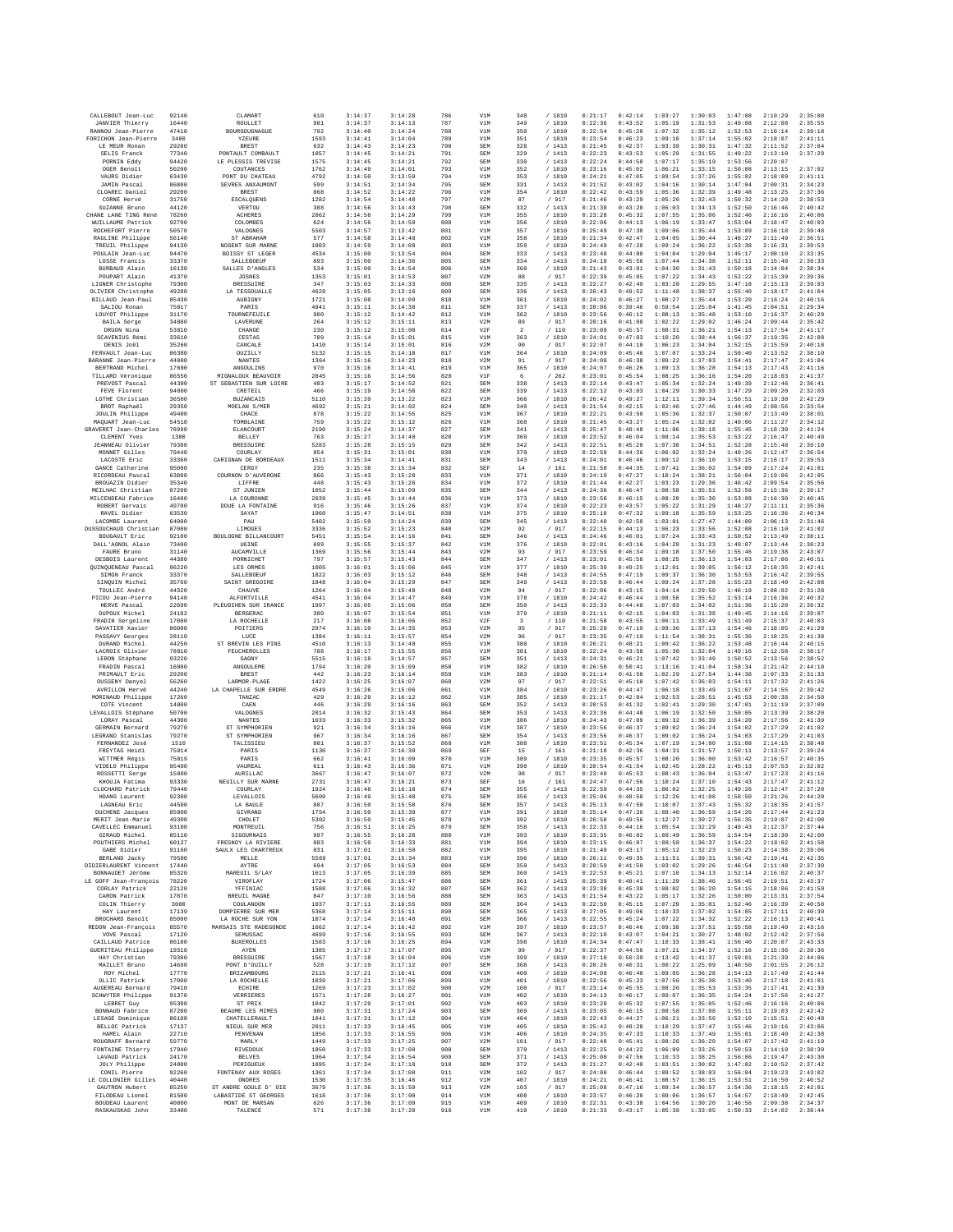| CALLEBOUT Jean-Luc                           | 92140          | CLAMART                                 | 610          | 3:14:37            | 3:14:28            | 786        | V1M               | 348                            | / 1810           | 0:21:17            | 0:42:14            | 1:03:27            | 1:30:03            | 1:47:08            | 2:10:29            | 2:35:00            |
|----------------------------------------------|----------------|-----------------------------------------|--------------|--------------------|--------------------|------------|-------------------|--------------------------------|------------------|--------------------|--------------------|--------------------|--------------------|--------------------|--------------------|--------------------|
| <b>JANVIER Thierry</b><br>RANNOU Jean-Pierre | 16440<br>47410 | ROULLET<br>BOURGOUGNAGUE                | 981<br>792   | 3:14:37<br>3:14:40 | 3:14:13<br>3:14:24 | 787<br>788 | V1M<br>V1M        | 349<br>350                     | /1810<br>/1810   | 0:22:36<br>0:22:54 | 0:43:52<br>0:45:20 | 1:05:19<br>1:07:32 | 1:31:53<br>1:35:12 | 1:49:08<br>1:52:53 | 2:12:08<br>2:16:14 | 2:35:55<br>2:39:18 |
| FORICHON Jean-Pierre                         | 3400           | YZEURE                                  | 1593         | 3:14:41            | 3:14:04            | 789        | V1M               | 351                            | /1810            | 0:23:54            | 0:46:23            | 1:09:10            | 1:37:14            | 1:55:02            | 2:18:07            | 2:41:11            |
| LE MEUR Ronan                                | 29200          | <b>BREST</b>                            | 632          | 3:14:43            | 3:14:23            | 790        | SEM               | 328                            | /1413            | 0:21:45            | 0:42:37            | 1:03:39            | 1:30:31            | 1:47:32            | 2:11:52            | 2:37:04            |
| SELIS Franck<br>PORNIN Eddy                  | 77340<br>94420 | PONTAULT COMBAULT<br>LE PLESSIS TREVISE | 1057<br>1575 | 3:14:45<br>3:14:45 | 3:14:21<br>3:14:21 | 791<br>792 | SEM<br>SEM        | 329<br>330                     | /1413<br>/1413   | 0:22:23<br>0:22:24 | 0:43:53<br>0:44:50 | 1:05:29<br>1:07:17 | 1:31:55<br>1:35:19 | 1:49:22<br>1:53:56 | 2:13:10<br>2:20:07 | 2:37:29            |
| OGER Benoît                                  | 50200          | COUTANCES                               | 1762         | 3:14:49            | 3:14:01            | 793        | V1M               | 352                            | / 1810           | 0:23:16            | 0:45:02            | 1:06:21            | 1:33:15            | 1:50:08            | 2:13:15            | 2:37:02            |
| VAURS Didier<br><b>JAMIN</b> Pascal          | 63430<br>86800 | PONT DU CHATEAU<br>SEVRES ANXAUMONT     | 4792<br>599  | 3:14:50<br>3:14:51 | 3:13:59<br>3:14:34 | 794<br>795 | V1M<br>SEM        | 353<br>331                     | / 1810<br>/1413  | 0:24:21<br>0:21:52 | 0:47:05<br>0:43:02 | 1:09:54<br>1:04:16 | 1:37:26<br>1:30:14 | 1:55:02<br>1:47:04 | 2:18:09<br>2:09:31 | 2:41:11<br>2:34:23 |
| CLOAREC Daniel                               | 29200          | <b>BREST</b>                            | 868          | 3:14:52            | 3:14:22            | 796        | V1M               | 354                            | / 1810           | 0:22:42            | 0:43:59            | 1:05:36            | 1:32:39            | 1:49:48            | 2:13:25            | 2:37:36            |
| CORNE Hervé<br>SUZANNE Bruno                 | 31750<br>44120 | ESCALQUENS<br>VERTOU                    | 1282<br>388  | 3:14:54<br>3:14:56 | 3:14:48<br>3:14:43 | 797<br>798 | V2M<br>SEM        | 87<br>332                      | / 917<br>/1413   | 0:21:46<br>0:21:38 | 0:43:29<br>0:43:28 | 1:05:26<br>1:06:03 | 1:32:43<br>1:34:13 | 1:50:32<br>1:52:50 | 2:14:20<br>2:16:46 | 2:38:53<br>2:40:42 |
| CHANE LANE TING René                         | 78260          | <b>ACHERES</b>                          | 2062         | 3:14:56            | 3:14:29            | 799        | V1M               | 355                            | /1810            | 0:23:28            | 0:45:32            | 1:07:55            | 1:35:06            | 1:52:46            | 2:16:16            | 2:40:06            |
| WUILLAUME Patrick                            | 92700          | COLOMBES                                | 624          | 3:14:56            | 3:14:50            | 800        | V1M               | 356                            | / 1810           | 0:22:06            | 0:44:13            | 1:06:19            | 1:33:47            | 1:53:04            | 2:16:47            | 2:40:03            |
| ROCHEFORT Pierre<br>RAULINE Philippe         | 50570<br>56140 | VALOGNES<br>ST ABRAHAM                  | 5503<br>577  | 3:14:57<br>3:14:58 | 3:13:42<br>3:14:48 | 801<br>802 | V1M<br>V1M        | 357<br>358                     | /1810<br>/1810   | 0:25:49<br>0:21:34 | 0:47:38<br>0:42:47 | 1:09:06<br>1:04:05 | 1:35:44<br>1:30:44 | 1:53:09<br>1:48:27 | 2:16:18<br>2:11:49 | 2:39:48<br>2:36:51 |
| TREUIL Philippe                              | 94130          | NOGENT SUR MARNE                        | 1803         | 3:14:59            | 3:14:08            | 803        | V1M               | 359                            | /1810            | 0:24:49            | 0:47:20            | 1:09:24            | 1:36:22            | 1:53:38            | 2:16:31            | 2:39:53            |
| POULAIN Jean-Luc                             | 94470          | <b>BOISSY ST LEGER</b>                  | 4534<br>893  | 3:15:00            | 3:13:54<br>3:14:36 | 804        | SEM<br>SEM        | 333                            | /1413            | 0:23:48            | 0:44:00            | 1:04:04<br>1:07:44 | 1:29:04<br>1:34:38 | 1:45:17            | 2:08:10            | 2:33:35<br>2:39:33 |
| LOSSE Francis<br>BURBAUD Alain               | 33370<br>16130 | SALLEBOEUF<br>SALLES D'ANGLES           | 534          | 3:15:00<br>3:15:00 | 3:14:54            | 805<br>806 | V1M               | 334<br>360                     | /1413<br>/1810   | 0:24:10<br>0:21:43 | 0:45:56<br>0:43:01 | 1:04:30            | 1:31:43            | 1:52:11<br>1:50:18 | 2:15:48<br>2:14:04 | 2:38:34            |
| POUPART Alain                                | 41370          | <b>JOSNES</b>                           | 1353         | 3:15:01            | 3:14:53            | 807        | V2M               | 88                             | / 917            | 0:22:39            | 0:45:05            | 1:07:22            | 1:34:43            | 1:52:22            | 2:15:39            | 2:39:36            |
| LIGNER Christophe<br>OLIVIER Christophe      | 79300<br>49280 | <b>BRESSUIRE</b><br>LA TESSOUALLE       | 347<br>4628  | 3:15:03<br>3:15:05 | 3:14:33<br>3:13:16 | 808<br>809 | SEM<br>SEM        | 335<br>336                     | /1413<br>/1413   | 0:22:27<br>0:26:43 | 0:42:49<br>0:49:52 | 1:03:28<br>1:11:48 | 1:29:55<br>1:38:37 | 1:47:18<br>1:55:40 | 2:15:13<br>2:18:17 | 2:39:03<br>2:41:04 |
| BILLAUD Jean-Paul                            | 85430          | AUBIGNY                                 | 1721         | 3:15:08            | 3:14:09            | 810        | V1M               | 361                            | /1810            | 0:24:02            | 0:46:27            | 1:08:27            | 1:35:44            | 1:53:20            | 2:16:24            | 2:40:16            |
| SALIOU Ronan                                 | 75017          | PARIS                                   | 4941         | 3:15:11            | 3:14:38            | 811        | SEM               | 337                            | /1413<br>/1810   | 0:20:06            | 0:39:46            | 0:59:54            | 1:25:04            | 1:41:45            | 2:04:51            | 2:29:34            |
| LOUYOT Philippe<br><b>BAILA</b> Serge        | 31170<br>34880 | TOURNEFEUILE<br><b>LAVERINE</b>         | 900<br>264   | 3:15:12<br>3:15:12 | 3:14:42<br>3:15:11 | 812<br>813 | V1M<br>V2M        | 362<br>89                      | /917             | 0:23:56<br>0:20:16 | 0:46:12<br>0:41:08 | 1:08:13<br>1:02:22 | 1:35:48<br>1:29:02 | 1:53:10<br>1:46:24 | 2:16:37<br>2:09:44 | 2:40:29<br>2:35:42 |
| DRUON Nina                                   | 53810          | CHANGE                                  | 230          | 3:15:12            | 3:15:08            | 814        | V2F               | $\overline{2}$                 | /110             | 0:23:09            | 0:45:57            | 1:08:31            | 1:36:21            | 1:54:13            | 2:17:54            | 2:41:17            |
| SCAVENIUS Rémi<br>DENIS Joël                 | 33610<br>35260 | CESTAS<br>CANCALE                       | 709<br>1410  | 3:15:14<br>3:15:14 | 3:15:01<br>3:15:01 | 815<br>816 | V1M<br>V2M        | 363<br>90                      | / 1810<br>/ 917  | 0:24:01<br>0:22:07 | 0:47:03<br>0:44:10 | 1:10:20<br>1:06:23 | 1:38:44<br>1:34:04 | 1:56:37<br>1:52:15 | 2:19:35<br>2:15:59 | 2:42:08<br>2:40:18 |
| FERVAULT Jean-Luc                            | 86380          | OUZILLY                                 | 5132         | 3:15:15            | 3:14:18            | 817        | V1M               | 364                            | /1810            | 0:24:09            | 0:45:46            | 1:07:07            | 1:33:24            | 1:50:40            | 2:13:52            | 2:38:10            |
| BARANNE Jean-Pierre                          | 44000          | NANTES                                  | 1364         | 3:15:16            | 3:14:23            | 818        | V2M               | 91                             | / 917            | 0:24:08            | 0:46:38            | 1:09:22            | 1:37:03            | 1:54:41            | 2:17:47            | 2:41:04            |
| BERTRAND Michel<br>TILLARD Véronique         | 17690<br>86550 | ANGOULINS<br>MIGNALOUX BEAUVOIR         | 970<br>2845  | 3:15:16<br>3:15:16 | 3:14:41<br>3:14:56 | 819<br>820 | V1M<br>VIF        | 365<br>6                       | /1810<br>/262    | 0:24:07<br>0:23:01 | 0:46:26<br>0:45:54 | 1:09:13<br>1:08:25 | 1:36:28<br>1:36:16 | 1:54:13<br>1:54:20 | 2:17:43<br>2:18:03 | 2:41:16<br>2:41:37 |
| PREVOST Pascal                               | 44300          | ST SEBASTIEN SUR LOIRE                  | 483          | 3:15:17            | 3:14:52            | 821        | SEM               | 338                            | /1413            | 0:22:14            | 0:43:47            | 1:05:34            | 1:32:24            | 1:49:39            | 2:12:46            | 2:36:41            |
| FEVE Florent<br>LOTHE Christian              | 94000<br>36500 | CRETEIL<br><b>BUZANCAIS</b>             | 466<br>5110  | 3:15:19<br>3:15:20 | 3:14:58<br>3:13:22 | 822<br>823 | SEM<br>V1M        | 339<br>366                     | /1413<br>/ 1810  | 0:22:12<br>0:26:42 | 0:43:03<br>0:49:27 | 1:04:29<br>1:12:11 | 1:30:33<br>1:39:34 | 1:47:29<br>1:56:51 | 2:09:20<br>2:19:38 | 2:32:03<br>2:42:29 |
| BROT Raphaël                                 | 29350          | MOELAN S/MER                            | 4692         | 3:15:21            | 3:14:02            | 824        | SEM               | 340                            | /1413            | 0:21:54            | 0:42:15            | 1:02:46            | 1:27:46            | 1:44:49            | 2:08:56            | 2:33:54            |
| JOULIN Philippe                              | 49400          | CHACE                                   | 878          | 3:15:22            | 3:14:55            | 825        | V1M               | 367                            | / 1810           | 0:22:21            | 0:43:50            | 1:05:36            | 1:32:37            | 1:50:07            | 2:13:49            | 2:38:01            |
| MAQUART Jean-Luc<br>GRAVERET Jean-Charles    | 54510<br>78990 | TOMBLAINE<br><b>RLANCOURT</b>           | 759<br>2190  | 3:15:22<br>3:15:24 | 3:15:12<br>3:14:37 | 826<br>827 | V1M<br>SEM        | 368<br>341                     | /1810<br>/1413   | 0:21:45<br>0:25:47 | 0:43:27<br>0:48:48 | 1:05:24<br>1:11:06 | 1:32:02<br>1:38:18 | 1:49:06<br>1:55:45 | 2:11:27<br>2:18:30 | 2:34:12<br>2:41:24 |
| CLEMENT Yves                                 | 1300           | <b>BELLEY</b>                           | 763          | 3:15:27            | 3:14:40            | 828        | V1M               | 369                            | / 1810           | 0:23:52            | 0:46:04            | 1:08:14            | 1:35:53            | 1:53:22            | 2:16:47            | 2:40:49            |
| <b>JEANNEAU</b> Olivier                      | 79300          | <b>BRESSUIRE</b>                        | 5283         | 3:15:28            | 3:15:15            | 829        | SEM               | 342                            | /1413            | 0:22:51<br>0:22:59 | 0:45:28            | 1:07:38            | 1:34:51            | 1:52:28            | 2:15:48<br>2:12:47 | 2:39:10            |
| MONNET Gilles<br>LACOSTE Eric                | 79440<br>33360 | COURLAY<br>CARIGNAN DE BORDEAUX         | 854<br>1511  | 3:15:31<br>3:15:34 | 3:15:01<br>3:14:41 | 830<br>831 | V1M<br>SEM        | 370<br>343                     | /1810<br>/1413   | 0:24:01            | 0:44:36<br>0:46:46 | 1:06:02<br>1:09:12 | 1:32:24<br>1:36:10 | 1:49:26<br>1:53:15 | 2:16:17            | 2:36:54<br>2:39:53 |
| GANCE Catherine                              | 95000          | CERGY                                   | 235          | 3:15:38            | 3:15:34            | 832        | SEF               | 14                             | /161             | 0:21:58            | 0:44:35            | 1:07:41            | 1:36:02            | 1:54:09            | 2:17:24            | 2:41:01            |
| RICORDEAU Pascal                             | 63800          | COURNON D'AUVERGNE                      | 866          | 3:15:43            | 3:15:28            | 833        | V1M               | 371                            | / 1810           | 0:24:19            | 0:47:27            | 1:10:24            | 1:38:21            | 1:56:04            | 2:19:06            | 2:42:05            |
| BROUAZIN Didier<br>MEILHAC Christian         | 35340<br>87200 | LIFFRE<br>ST JUNIEN                     | 448<br>1052  | 3:15:43<br>3:15:44 | 3:15:26<br>3:15:09 | 834<br>835 | V1M<br>SEM        | 372<br>344                     | /1810<br>/1413   | 0:21:44<br>0:24:36 | 0:42:27<br>0:46:47 | 1:03:23<br>1:08:58 | 1:29:36<br>1:35:51 | 1:46:42<br>1:52:56 | 2:09:54<br>2:15:36 | 2:35:56<br>2:39:17 |
| MILCENDEAU Fabrice                           | 16400          | LA COURONNE                             | 2039         | 3:15:45            | 3:14:44            | 836        | V1M               | 373                            | / 1810           | 0:23:58            | 0:46:15            | 1:08:20            | 1:35:30            | 1:53:08            | 2:16:30            | 2:40:45            |
| ROBERT Gervais<br>RAVEL Didier               | 49700<br>63530 | DOUE LA FONTAINE<br>SAYAT               | 916<br>1960  | 3:15:46<br>3:15:47 | 3:15:26<br>3:14:51 | 837<br>838 | V1M<br>V1M        | 374<br>375                     | / 1810<br>/1810  | 0:22:23<br>0:25:10 | 0:43:57<br>0:47:32 | 1:05:22<br>1:09:18 | 1:31:29<br>1:35:59 | 1:48:27<br>1:53:25 | 2:11:11<br>2:16:36 | 2:35:36<br>2:40:34 |
| LACOMBE Laurent                              | 64000          | PAU                                     | 5402         | 3:15:50            | 3:14:24            | 839        | SEM               | 345                            | /1413            | 0:22:48            | 0:42:50            | 1:03:01            | 1:27:47            | 1:44:00            | 2:06:13            | 2:31:46            |
| DUSSOUCHAUD Christian                        | 87000          | <b>LIMOGES</b>                          | 3336         | 3:15:52            | 3:15:23            | 840        | V2M               | 92                             | / 917            | 0:22:15            | 0:44:13            | 1:06:23            | 1:33:56            | 1:52:08            | 2:16:10            | 2:41:02            |
| BOUGAULT Eric<br>DALL'AGNOL Alain            | 92100<br>73400 | BOULOGNE BILLANCOURT<br>UGINE           | 5451<br>699  | 3:15:54<br>3:15:55 | 3:14:16<br>3:15:37 | 841<br>842 | SEM<br>V1M        | 346<br>376                     | /1413<br>/ 1810  | 0:24:46<br>0:22:01 | 0:46:01<br>0:43:16 | 1:07:24<br>1:04:29 | 1:33:43<br>1:31:23 | 1:50:52<br>1:49:07 | 2:13:49<br>2:13:44 | 2:38:11<br>2:38:23 |
| FAURE Bruno                                  | 31140          | AUCAMVILLE                              | 1369         | 3:15:56            | 3:15:44            | 843        | V2M               | 93                             | / 917            | 0:23:59            | 0:46:34            | 1:09:18            | 1:37:50            | 1:55:46            | 2:19:38            | 2:43:07            |
| DESBOIS Laurent<br>QUINQUENEAU Pascal        | 44380<br>86220 | PORNICHET<br>LES ORMES                  | 797<br>1005  | 3:15:57<br>3:16:01 | 3:15:43<br>3:15:06 | 844<br>845 | SEM<br>V1M        | 347<br>377                     | /1413<br>/1810   | 0:23:01<br>0:25:39 | 0:45:58<br>0:49:25 | 1:08:25<br>1:12:01 | 1:36:13<br>1:39:05 | 1:54:03<br>1:56:12 | 2:17:06<br>2:18:35 | 2:40:51<br>2:42:41 |
| SIMON Franck                                 | 33370          | SALLEBOEUF                              | 1822         | 3:16:03            | 3:15:12            | 846        | SEM               | 348                            | /1413            | 0:24:55            | 0:47:19            | 1:09:37            | 1:36:30            | 1:53:53            | 2:16:42            | 2:39:55            |
| SINQUIN Michel                               | 35760<br>44320 | SAINT GREGOIRE                          | 1848<br>1264 | 3:16:04            | 3:15:29            | 847        | SEM               | 349                            | /1413            | 0:23:58<br>0:22:06 | 0:46:44            | 1:09:24            | 1:37:28            | 1:55:23            | 2:18:40            | 2:42:08            |
| TOULLEC André<br>PICOU Jean-Pierre           | 94140          | CHAUVE<br>ALFORTVILLE                   | 4541         | 3:16:04<br>3:16:04 | 3:15:48<br>3:14:47 | 848<br>849 | V2M<br>V1M        | 94<br>378                      | / 917<br>/1810   | 0:24:42            | 0:43:15<br>0:46:44 | 1:04:14<br>1:08:58 | 1:29:50<br>1:35:52 | 1:46:19<br>1:53:14 | 2:08:02<br>2:16:36 | 2:31:28<br>2:40:32 |
| HERVE Pascal                                 | 22690          | PLEUDIHEN SUR IRANCE                    | 1997         | 3:16:05            | 3:15:06            | 850        | SEM               | 350                            | /1413            | 0:23:33            | 0:44:48            | 1:07:03            | 1:34:02            | 1:51:36            | 2:15:20            | 2:39:32            |
| DUPOUX Michel<br>FRADIN Sergeline            | 24102<br>17000 | <b>BERGERAC</b><br>LA ROCHELLE          | 380<br>217   | 3:16:07<br>3:16:08 | 3:15:54<br>3:16:06 | 851<br>852 | V1M<br>V2F        | 379<br>$\overline{\mathbf{3}}$ | / 1810<br>/110   | 0:21:11<br>0:21:58 | 0:42:15<br>0:43:55 | 1:04:03<br>1:06:11 | 1:31:38<br>1:33:49 | 1:49:45<br>1:51:49 | 2:14:16<br>2:15:37 | 2:39:07<br>2:40:03 |
| SAVATIER Xavier                              | 86000          | POITIERS                                | 2974         | 3:16:10            | 3:14:35            | 853        | V2M               | 95                             | / 917            | 0:25:20            | 0:47:19            | 1:09:36            | 1:37:13            | 1:54:46            | 2:18:05            | 2:41:28            |
| PASSAVY Georges                              | 28110          | LUCE                                    | 1384         | 3:16:11            | 3:15:57            | 854        | V2M               | 96                             | / 917            | 0:23:35            | 0:47:19            | 1:11:54            | 1:38:31            | 1:55:36            | 2:18:25            | 2:41:38            |
| DURAND Michel<br>LACROIX Olivier             | 44250<br>78810 | ST BREVIN LES PINS<br>FEUCHEROLLES      | 4510<br>788  | 3:16:13<br>3:16:17 | 3:14:40<br>3:15:55 | 855<br>856 | V1M<br>V1M        | 380<br>381                     | / 1810<br>/1810  | 0:26:21<br>0:22:24 | 0:48:21<br>0:43:58 | 1:09:42<br>1:05:30 | 1:36:22<br>1:32:04 | 1:53:48<br>1:49:16 | 2:16:44<br>2:12:58 | 2:40:15<br>2:38:17 |
| LEBON Stéphane                               | 93220          | GAGNY                                   | 5515         | 3:16:18            | 3:14:57            | 857        | SEM               | 351                            | /1413            | 0:24:31            | 0:46:21            | 1:07:42            | 1:33:49            | 1:50:52            | 2:13:56            | 2:38:52            |
| FRADIN Pascal                                | 16000          | ANGOULEME                               | 1794         | 3:16:20            | 3:15:09            | 858        | V1M               | 382                            | / 1810           | 0:26:50            | 0:50:41            | 1:13:16            | 1:41:04            | 1:58:34            | 2:21:42            | 2:44:10            |
| PRIMAULT Eric<br>OUSSENY Danyel              | 29200<br>56260 | BREST<br>LARMOR-PLAGE                   | 442<br>1422  | 3:16:23<br>3:16:25 | 3:16:14<br>3:16:07 | 859<br>860 | V1M<br>V2M        | 383<br>97                      | /1810<br>/ 917   | 0:21:14<br>0:22:51 | 0:41:58<br>0:45:18 | 1:02:29<br>1:07:42 | 1:27:54<br>1:36:03 | 1:44:38<br>1:54:11 | 2:07:33<br>2:17:32 | 2:31:33<br>2:41:26 |
| AVRILLON Hervé                               | 44240          | LA CHAPELLE SUR ERDRE                   | 4549         | 3:16:26            | 3:15:06            | 861        | V1M               | 384                            | / 1810           | 0:23:26            | 0:44:47            | 1:06:18            | 1:33:49            | 1:51:07            | 2:14:55            | 2:39:42            |
| MORINAUD Philippe<br>COTE Vincent            | 17260<br>14000 | TANZAC<br>CAEN                          | 429<br>446   | 3:16:29<br>3:16:29 | 3:16:12<br>3:16:16 | 862<br>863 | V1M<br>SEM        | 385<br>352                     | / 1810<br>/1413  | 0:21:17<br>0:20:53 | 0:42:04<br>0:41:32 | 1:02:53<br>1:02:41 | 1:28:51<br>1:29:30 | 1:45:53<br>1:47:01 | 2:09:38<br>2:11:19 | 2:34:50<br>2:37:09 |
| LEVALLOIS Stéphane                           | 50700          | VALOGNES                                | 2014         | 3:16:32            | 3:15:43            | 864        | SEM               | 353                            | /1413            | 0:23:36            | 0:44:48            | 1:06:19            | 1:32:50            | 1:50:05            | 2:13:39            | 2:38:20            |
| LORAY Pascal<br>GERMAIN Bernard              | 44300<br>79270 | NANTES<br>ST SYMPHORIEN                 | 1633<br>921  | 3:16:33<br>3:16:34 | 3:15:32<br>3:16:16 | 865<br>866 | V1M<br>V1M        | 386<br>387                     | / 1810<br>/1810  | 0:24:43<br>0:23:56 | 0:47:09<br>0:46:37 | 1:09:32<br>1:09:02 | 1:36:39<br>1:36:24 | 1:54:20<br>1:54:02 | 2:17:56<br>2:17:29 | 2:41:39<br>2:41:02 |
| LEGRAND Stanislas                            | 79270          | ST SYMPHORIEN                           | 967          | 3:16:34            | 3:16:16            | 867        | SEM               | 354                            | /1413            | 0:23:56            | 0:46:37            | 1:09:02            | 1:36:24            | 1:54:03            | 2:17:29            | 2:41:03            |
| FERNANDEZ José                               | 1510           | TALISSIEU                               | 801          | 3:16:37            | 3:15:52            | 868        | V1M               | 388                            | / 1810           | 0:23:51            | 0:45:34            | 1:07:19            | 1:34:00            | 1:51:08            | 2:14:15            | 2:38:48            |
| FREYTAG Heidi<br>WITTMER Régis               | 75014<br>75019 | PARIS<br>PARIS                          | 1130<br>662  | 3:16:37<br>3:16:41 | 3:16:30<br>3:16:09 | 869<br>870 | SEF<br>V1M        | 15<br>389                      | / 161<br>/1810   | 0:21:18<br>0:23:35 | 0:42:36<br>0:45:57 | 1:04:31<br>1:08:20 | 1:31:57<br>1:36:00 | 1:50:11<br>1:53:42 | 2:13:57<br>2:16:57 | 2:39:24<br>2:40:35 |
| VIDELO Philippe                              | 95490          | VAUREAL                                 | 611          | 3:16:43            | 3:16:36            | 871        | V1M               | 390                            | / 1810           | 0:20:54            | 0:41:54            | 1:02:45            | 1:28:22            | 1:45:13            | 2:07:53            | 2:32:02            |
| ROSSETTI Serge<br>KHOUJA Fatima              | 15000<br>93330 | AURILLAC<br>NEUILLY SUR MARNE           | 3667<br>2731 | 3:16:47<br>3:16:47 | 3:16:07<br>3:16:21 | 872<br>873 | V2M<br>SEF        | 98<br>16                       | / 917<br>/161    | 0:23:40<br>0:24:47 | 0:45:53<br>0:47:56 | 1:08:43<br>1:10:24 | 1:36:04<br>1:37:10 | 1:53:47<br>1:54:43 | 2:17:23<br>2:17:47 | 2:41:16<br>2:41:12 |
| CLOCHARD Patrick                             | 79440          | COURLAY                                 | 1924         | 3:16:48            | 3:16:18            | 874        | SEM               | 355                            | /1413            | 0:22:59            | 0:44:35            | 1:06:02            | 1:32:25            | 1:49:26            | 2:12:47            | 2:37:20            |
| HOANG Laurent<br>LAGNEAU Eric                | 92300<br>44500 | <b>LEVALLOIS</b><br>LA BAULE            | 5609<br>887  | 3:16:49<br>3:16:50 | 3:15:48<br>3:15:58 | 875<br>876 | SEM<br>SEM        | 356<br>357                     | /1413<br>/1413   | 0:25:06<br>0:25:13 | 0:48:50<br>0:47:50 | 1:12:26<br>1:10:07 | 1:41:08<br>1:37:43 | 1:58:50<br>1:55:32 | 2:21:26<br>2:18:35 | 2:44:20<br>2:41:57 |
| <b>DUCHENE</b> Jacques                       | 85800          | GIVRAND                                 | 1754         | 3:16:50            | 3:15:39            | 877        | V1M               | 391                            | /1810            | 0:25:14            | 0:47:26            | 1:09:40            | 1:36:59            | 1:54:26            | 2:17:44            | 2:41:23            |
| MERIT Jean-Marie                             | 49300          | CHOLET                                  | 5302         | 3:16:50            | 3:15:45            | 878        | V1M               | 392                            | /1810            | 0:26:58            | 0:49:56            | 1:12:27            | 1:39:27            | 1:56:35            | 2:19:07            | 2:42:08            |
| CAVELLEC Emmanuel<br>GIRAUD Michel           | 93100<br>85110 | MONTREUIL<br>SIGOURNAIS                 | 756<br>997   | 3:16:51<br>3:16:55 | 3:16:25<br>3:16:28 | 879<br>880 | SEM<br>V1M        | 358<br>393                     | /1413<br>/ 1810  | 0:22:33<br>0:23:35 | 0:44:16<br>0:46:02 | 1:05:54<br>1:08:49 | 1:32:29<br>1:36:59 | 1:49:43<br>1:54:54 | 2:12:37<br>2:18:30 | 2:37:44<br>2:42:00 |
| POUTHIERS Michel                             | 60127          | FRESNOY LA RIVIERE                      | 883          | 3:16:59            | 3:16:33            | 881        | V1M               | 394                            | /1810            | 0:23:15            | 0:46:07            | 1:08:58            | 1:36:37            | 1:54:22            | 2:18:02            | 2:41:58            |
| GABE Didier<br>BERLAND Jacky                 | 91160<br>79500 | SAULX LES CHARTREUX<br>MELLE            | 831<br>5589  | 3:17:01<br>3:17:01 | 3:16:50<br>3:15:34 | 882<br>883 | V1M<br>V1M        | 395<br>396                     | / 1810<br>/ 1810 | 0:21:49<br>0:26:11 | 0:43:17<br>0:49:35 | 1:05:12<br>1:11:51 | 1:32:23<br>1:39:31 | 1:50:23<br>1:56:42 | 2:14:38<br>2:19:41 | 2:39:06<br>2:42:35 |
| DIDIERLAURENT Vincent                        | 17440          | AYTRE                                   | 694          | 3:17:05            | 3:16:53            | 884        | SEM               | 359                            | /1413            | 0:20:59            | 0:41:58            | 1:03:02            | 1:29:26            | 1:46:54            | 2:11:48            | 2:37:30            |
| BONNAUDET Jérôme                             | 85320          | MAREUIL S/LAY                           | 1613         | 3:17:05            | 3:16:39            | 885        | SEM               | 360                            | /1413            | 0:22:53            | 0:45:21            | 1:07:18            | 1:34:13            | 1:52:14            | 2:16:02            | 2:40:37            |
| LE GOFF Jean-Francois<br>CORLAY Patrick      | 78220<br>22120 | VIROFLAY<br>YFFINIAC                    | 1724<br>1588 | 3:17:06<br>3:17:06 | 3:15:47<br>3:16:32 | 886<br>887 | SEM<br>SEM        | 361<br>362                     | /1413<br>/1413   | 0:25:39<br>0:23:30 | 0:48:41<br>0:45:30 | 1:11:29<br>1:08:02 | 1:38:46<br>1:36:20 | 1:56:45<br>1:54:15 | 2:19:51<br>2:18:06 | 2:43:37<br>2:41:59 |
| CARON Patrick                                | 17870          | <b>BREUIL MAGNE</b>                     | 847          | 3:17:10            | 3:16:56            | 888        | SEM               | 363                            | /1413            | 0:21:54            | 0:43:22            | 1:05:17            | 1:32:26            | 1:50:00            | 2:13:31            | 2:37:54            |
| COLIN Thierry<br>HAY Laurent                 | 3000<br>17139  | COULANDON<br>DOMPIERRE SUR MER          | 1037<br>5368 | 3:17:11<br>3:17:14 | 3:16:55<br>3:15:11 | 889<br>890 | SEM<br>SEM        | 364<br>365                     | /1413<br>/1413   | 0:22:50<br>0:27:05 | 0:45:15<br>0:49:06 | 1:07:29<br>1:10:33 | 1:35:01<br>1:37:02 | 1:52:46<br>1:54:05 | 2:16:39<br>2:17:11 | 2:40:50<br>2:40:30 |
| BROCHARD Benoît                              | 85000          | LA ROCHE SUR YON                        | 1074         | 3:17:14            | 3:16:48            | 891        | SEM               | 366                            | /1413            | 0:22:55            | 0:45:24            | 1:07:22            | 1:34:32            | 1:52:22            | 2:16:13            | 2:40:41            |
| REDON Jean-François                          | 85570          | MARSAIS STE RADEGONDE                   | 1662         | 3:17:14            | 3:16:42            | 892        | V1M               | 397                            | / 1810           | 0:23:57            | 0:46:46            | 1:09:38            | 1:37:51            | 1:55:58            | 2:19:40            | 2:43:16            |
| VOVE Pascal<br>CAILLAUD Patrice              | 17120<br>86180 | SEMUSSAC<br><b>BUXEROLLES</b>           | 4699<br>1583 | 3:17:16<br>3:17:16 | 3:16:55<br>3:16:25 | 893<br>894 | SEM<br>V1M        | 367<br>398                     | /1413<br>/ 1810  | 0:22:10<br>0:24:34 | 0:43:07<br>0:47:47 | 1:04:21<br>1:10:33 | 1:30:27<br>1:38:41 | 1:48:02<br>1:56:40 | 2:12:42<br>2:20:07 | 2:37:56<br>2:43:33 |
| GUERITEAU Philippe                           | 19310          | AYEN                                    | 1385         | 3:17:17            | 3:17:07            | 895        | V2M               | 99                             | / 917            | 0:22:37            | 0:44:56            | 1:07:21            | 1:34:37            | 1:52:16            | 2:15:36            | 2:39:36            |
| HAY Christian<br>MAILLET Bruno               | 79300<br>14690 | <b>BRESSUIRE</b><br>PONT D'OUILLY       | 1567<br>528  | 3:17:18<br>3:17:19 | 3:16:04<br>3:17:12 | 896<br>897 | V1M<br>SEM        | 399<br>368                     | / 1810<br>/1413  | 0:27:10<br>0:20:26 | 0:50:39<br>0:40:31 | 1:13:42<br>1:00:22 | 1:41:37<br>1:25:09 | 1:59:01<br>1:40:50 | 2:21:39<br>2:01:55 | 2:44:06<br>2:26:12 |
| ROY Michel                                   | 17770          | <b>BRIZAMBOURG</b>                      | 2115         | 3:17:21            | 3:16:41            | 898        | V1M               | 400                            | / 1810           | 0:24:00            | 0:46:40            | 1:09:05            | 1:36:28            | 1:54:13            | 2:17:49            | 2:41:44            |
| OLLIC Patrick                                | 17000          | LA ROCHELLE                             | 1039         | 3:17:21            | 3:17:06            | 899        | V1M               | 401                            | /1810            | 0:22:56            | 0:45:23            | 1:07:56            | 1:35:38            | 1:53:40            | 2:17:18            | 2:41:01            |
| AUGEREAU Bernard<br>SCHWYTER Philippe        | 79410<br>91370 | ECHIRE<br>VERRIERES                     | 1269<br>1571 | 3:17:23<br>3:17:28 | 3:17:02<br>3:16:27 | 900<br>901 | V2M<br>V1M        | 100<br>402                     | / 917<br>/ 1810  | 0:23:14<br>0:24:13 | 0:45:55<br>0:46:17 | 1:08:26<br>1:09:07 | 1:35:53<br>1:36:35 | 1:53:35<br>1:54:24 | 2:17:41<br>2:17:56 | 2:41:35<br>2:41:27 |
| LEBRET Guy                                   | 95390          | ST PRIX                                 | 1042         | 3:17:29            | 3:17:01            | 902        | V1M               | 403                            | /1810            | 0:23:28            | 0:45:32            | 1:07:55            | 1:35:05            | 1:52:46            | 2:16:16            | 2:40:06            |
| BONNAUD Fabrice<br>LESAGE Dominique          | 87280<br>86100 | BEAUME LES MIMES<br>CHATELLERAULT       | 980<br>1041  | 3:17:31<br>3:17:31 | 3:17:24<br>3:17:12 | 903<br>904 | <b>SEM</b><br>V1M | 369<br>404                     | /1413<br>/ 1810  | 0:23:05<br>0:22:43 | 0:46:15<br>0:44:27 | 1:08:58<br>1:06:21 | 1:37:08<br>1:33:56 | 1:55:11<br>1:52:10 | 2:19:03<br>2:15:51 | 2:42:42<br>2:40:48 |
| <b>BELLOC</b> Patrick                        | 17137          | NIEUL SUR MER                           | 2011         | 3:17:33            | 3:16:45            | 905        | V1M               | 405                            | / 1810           | 0:25:42            | 0:48:28            | 1:10:29            | 1:37:47            | 1:55:46            | 2:19:16            | 2:43:06            |
| HAMEL Alain                                  | 22710          | PENVENAN                                | 1856         | 3:17:33            | 3:16:55            | 906        | V1M               | 406                            | /1810            | 0:24:35            | 0:47:33            | 1:10:33            | 1:37:49            | 1:55:01            | 2:18:40            | 2:42:38            |
| ROUGRAFF Bernard<br>FONTAINE Thierry         | 59770<br>17940 | MARLY<br>RIVEDOUX                       | 1449<br>1850 | 3:17:33<br>3:17:33 | 3:17:25<br>3:17:00 | 907<br>908 | V2M<br>SEM        | 101<br>370                     | / 917<br>/1413   | 0:22:48<br>0:22:25 | 0:45:41<br>0:44:22 | 1:08:26<br>1:06:09 | 1:36:20<br>1:33:26 | 1:54:07<br>1:50:53 | 2:17:42<br>2:14:19 | 2:41:19<br>2:38:39 |
| LAVAUD Patrick                               | 24170          | <b>BELVES</b>                           | 1964         | 3:17:34            | 3:16:54            | 909        | SEM               | 371                            | /1413            | 0:25:00            | 0:47:56            | 1:10:33            | 1:38:25            | 1:56:06            | 2:19:47            | 2:43:30            |
| <b>JOLY Philippe</b><br>CONIL Pierre         | 24000<br>92260 | PERIGUEUX<br>FONTENAY AUX ROSES         | 1095<br>1361 | 3:17:34<br>3:17:34 | 3:17:18<br>3:17:08 | 910<br>911 | SEM<br>V2M        | 372<br>102                     | /1413<br>/ 917   | 0:21:27<br>0:24:00 | 0:42:40<br>0:46:44 | 1:03:51<br>1:09:52 | 1:30:02<br>1:38:03 | 1:47:02<br>1:56:04 | 2:10:52<br>2:19:23 | 2:37:42<br>2:43:02 |
| LE COLLONIER Gilles                          | 40440          | ONDRES                                  | 1530         | 3:17:35            | 3:16:46            | 912        | V1M               | 407                            | / 1810           | 0:24:21            | 0:46:41            | 1:08:57            | 1:36:15            | 1:53:51            | 2:16:50            | 2:40:52            |
| GAUTRON Hubert                               | 85250          | ST ANDRE GOULE D' OIE                   | 3679         | 3:17:36            | 3:15:59            | 913        | V2M               | 103                            | / 917            | 0:25:08            | 0:47:16            | 1:09:34            | 1:36:57            | 1:54:36            | 2:18:15            | 2:42:01            |
| FILODEAU Lionel<br>BOUDEAU Laurent           | 81500<br>40000 | LABASTIDE ST GEORGES<br>MONT DE MARSAN  | 1618<br>626  | 3:17:36<br>3:17:36 | 3:17:00<br>3:17:09 | 914<br>915 | V1M<br>V1M        | 408<br>409                     | / 1810<br>/ 1810 | 0:23:57<br>0:22:31 | 0:46:28<br>0:43:38 | 1:09:06<br>1:04:56 | 1:36:57<br>1:30:20 | 1:54:57<br>1:46:56 | 2:18:49<br>2:09:38 | 2:42:45<br>2:34:37 |
| RASKAUSKAS John                              | 33400          | TALENCE                                 | 571          | 3:17:36            | 3:17:20            | 916        | V1M               | 410                            | / 1810           | 0:21:33            | 0:43:17            | 1:05:38            | 1:33:05            | 1:50:33            | 2:14:02            | 2:38:44            |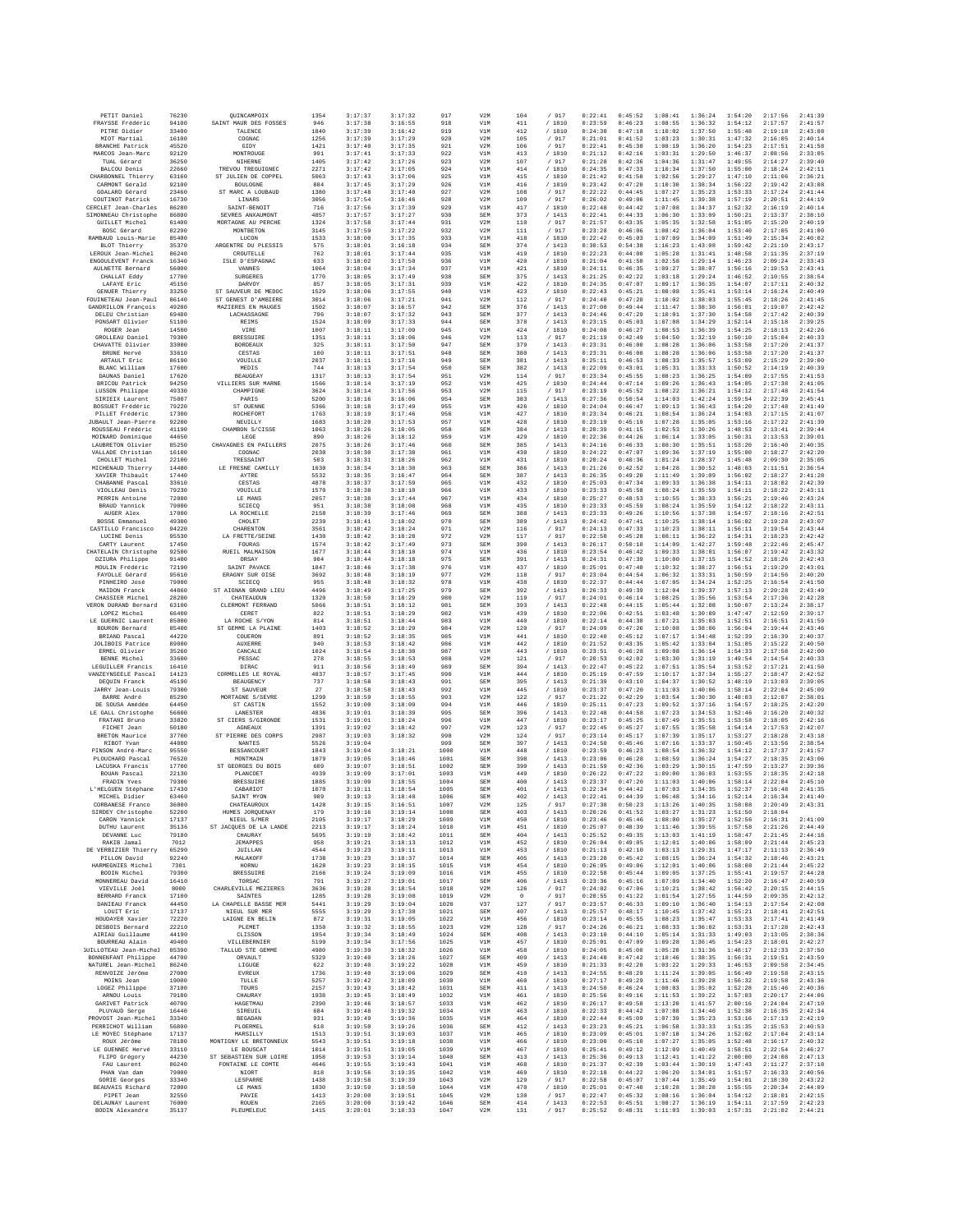| PETIT Daniel                                  | 76230          | QUINCAMPOIX                               | 1354         | 3:17:37            | 3:17:32            | 917          | V <sub>2M</sub>   | 104        | / 917            | 0:22:41            | 0:45:52            | 1:08:41            | 1:36:24            | 1:54:20            | 2:17:56            | 2:41:39            |
|-----------------------------------------------|----------------|-------------------------------------------|--------------|--------------------|--------------------|--------------|-------------------|------------|------------------|--------------------|--------------------|--------------------|--------------------|--------------------|--------------------|--------------------|
| FRAYSSE Frédéric                              | 94100          | SAINT MAUR DES FOSSES                     | 946          | 3:17:38            | 3:16:55            | 918          | V1M               | 411        | / 1810           | 0:23:59            | 0:46:23            | 1:08:55            | 1:36:32            | 1:54:12            | 2:17:57            | 2:41:57            |
| PITRE Didier<br>MIOT Martial                  | 33400<br>16100 | TALENCE<br>COGNAC                         | 1840<br>1256 | 3:17:39<br>3:17:39 | 3:16:42<br>3:17:29 | 919<br>920   | V1M<br>V2M        | 412<br>105 | /1810<br>/ 917   | 0:24:30<br>0:21:01 | 0:47:18<br>0:41:52 | 1:10:02<br>1:03:23 | 1:37:50<br>1:30:31 | 1:55:48<br>1:47:32 | 2:19:18<br>2:16:05 | 2:43:08<br>2:40:14 |
| <b>BRANCHE Patrick</b>                        | 45520          | GIDY                                      | 1421         | 3:17:40            | 3:17:35            | 921          | V2M               | 106        | / 917            | 0:22:41            | 0:45:38            | 1:08:19            | 1:36:20            | 1:54:23            | 2:17:51            | 2:41:58            |
| MARCOS Jean-Marc                              | 92120          | MONTROUGE                                 | 991          | 3:17:41            | 3:17:33<br>3:17:26 | 922          | V1M               | 413        | /1810            | 0:21:12<br>0:21:28 | 0:42:16            | 1:03:31<br>1:04:36 | 1:29:50<br>1:31:47 | 1:46:37            | 2:08:56            | 2:33:05<br>2:39:40 |
| TUAL Gérard<br>BALCOU Denis                   | 36250<br>22660 | NIHERNE<br>TREVOU TREGUIGNEC              | 1405<br>2271 | 3:17:42<br>3:17:42 | 3:17:05            | 923<br>924   | V2M<br>V1M        | 107<br>414 | / 917<br>/ 1810  | 0:24:35            | 0:42:36<br>0:47:33 | 1:10:34            | 1:37:50            | 1:49:55<br>1:55:00 | 2:14:27<br>2:18:24 | 2:42:11            |
| CHARBONNEL Thierry                            | 63160          | ST JULIEN DE COPPEL                       | 5063         | 3:17:43            | 3:17:06            | 925          | V1M               | 415        | / 1810           | 0:21:42            | 0:41:58            | 1:02:56            | 1:29:27            | 1:47:10            | 2:11:06            | 2:36:21            |
| CARMONT Gérald<br>GOALARD Gérard              | 92100<br>23460 | BOULOGNE<br>ST MARC A LOUBAUD             | 884<br>1380  | 3:17:45<br>3:17:48 | 3:17:29<br>3:17:40 | 926<br>927   | V1M<br>V2M        | 416<br>108 | /1810<br>/ 917   | 0:23:42<br>0:22:22 | 0:47:20<br>0:44:45 | 1:10:30<br>1:07:27 | 1:38:34<br>1:35:23 | 1:56:22<br>1:53:33 | 2:19:42<br>2:17:24 | 2:43:08<br>2:41:44 |
| COUTINOT Patrick                              | 16730          | LINARS                                    | 3056         | 3:17:54            | 3:16:46            | 928          | V2M               | 109        | / 917            | 0:26:02            | 0:49:06            | 1:11:45            | 1:39:38            | 1:57:19            | 2:20:51            | 2:44:19            |
| CERCLET Jean-Charles                          | 86280          | SAINT-BENOIT                              | 716          | 3:17:56            | 3:17:39            | 929          | V1M               | 417        | / 1810           | 0:22:48            | 0:44:42            | 1:07:08            | 1:34:37            | 1:52:32            | 2:16:19            | 2:40:14            |
| SIMONNEAU Christophe<br><b>GUILLET Michel</b> | 86800<br>61400 | SEVEES ANXAUMONT<br>MORTAGNE AU PERCHE    | 4857<br>1324 | 3:17:57<br>3:17:58 | 3:17:27<br>3:17:44 | 930<br>931   | SEM<br>V2M        | 373<br>110 | /1413<br>/ 917   | 0:22:41<br>0:21:57 | 0:44:33<br>0:43:35 | 1:06:30<br>1:05:35 | 1:33:09<br>1:32:58 | 1:50:21<br>1:51:05 | 2:13:37<br>2:15:20 | 2:38:10<br>2:40:19 |
| BOSC Gérard                                   | 82290          | MONTBETON                                 | 3145         | 3:17:59            | 3:17:22            | 932          | V2M               | $111\,$    | / 917            | 0:23:28            | 0:46:06            | 1:08:42            | 1:36:04            | 1:53:40            | 2:17:05            | 2:41:00            |
| RAMBAUD Louis-Marie                           | 85400          | LUCON                                     | 1533         | 3:18:00            | 3:17:35            | 933          | V1M               | 418        | /1810            | 0:22:42            | 0:45:03            | 1:07:09            | 1:34:09            | 1:51:49            | 2:15:34            | 2:40:02            |
| BLOT Thierry<br>LEROUX Jean-Michel            | 35370<br>86240 | ARGENTRE DU PLESSIS<br>CROUTELLE          | 575<br>762   | 3:18:01<br>3:18:01 | 3:16:18<br>3:17:44 | 934<br>935   | SEM<br>V1M        | 374<br>419 | /1413<br>/ 1810  | 0:30:53<br>0:22:23 | 0:54:38<br>0:44:00 | 1:16:23<br>1:05:28 | 1:43:08<br>1:31:41 | 1:59:42<br>1:48:58 | 2:21:10<br>2:11:35 | 2:43:17<br>2:37:19 |
| ENGOULEVENT Franck                            | 16340          | ISLE D'ESPAGNAC                           | 633          | 3:18:02            | 3:17:50            | 936          | V1M               | 420        | / 1810           | 0:21:04            | 0:41:50            | 1:02:58            | 1:29:14            | 1:46:23            | 2:09:24            | 2:33:43            |
| AULNETTE Bernard<br>CHALLAT Eddy              | 56000<br>17700 | VANNES<br><b>SURGERES</b>                 | 1064<br>1770 | 3:18:04<br>3:18:05 | 3:17:34<br>3:17:49 | 937<br>938   | V1M<br>SEM        | 421<br>375 | / 1810<br>/1413  | 0:24:11<br>0:21:25 | 0:46:35<br>0:42:22 | 1:09:27<br>1:03:18 | 1:38:07<br>1:29:24 | 1:56:16<br>1:46:52 | 2:19:53<br>2:10:55 | 2:43:41<br>2:38:54 |
| LAFAYE Eric                                   | 45150          | DARVOY                                    | 857          | 3:18:05            | 3:17:31            | 939          | V1M               | 422        | / 1810           | 0:24:35            | 0:47:07            | 1:09:17            | 1:36:35            | 1:54:07            | 2:17:11            | 2:40:32            |
| GENUER Thierry                                | 33250          | ST SAUVEUR DE MEDOC                       | 1529         | 3:18:06            | 3:17:55            | 940          | V1M               | 423        | / 1810           | 0:22:43            | 0:45:21            | 1:08:08            | 1:35:41            | 1:53:14            | 2:16:24            | 2:40:49            |
| FOUINETEAU Jean-Paul<br>GANDRILLON Francois   | 86140<br>49280 | ST GENEST D'AMBIERE<br>MAZIERES EN MAUGES | 3014<br>1502 | 3:18:06<br>3:18:07 | 3:17:21<br>3:16:57 | 941<br>942   | V2M<br>SEM        | 112<br>376 | / 917<br>/1413   | 0:24:40<br>0:27:00 | 0:47:20<br>0:49:44 | 1:10:02<br>1:11:47 | 1:38:03<br>1:38:30 | 1:55:45<br>1:56:01 | 2:18:26<br>2:19:07 | 2:41:45<br>2:42:42 |
| DELEU Christian                               | 69480          | LACHASSAGNE                               | 796          | 3:18:07            | 3:17:32            | 943          | SEM               | 377        | /1413            | 0:24:46            | 0:47:29            | 1:10:01            | 1:37:30            | 1:54:58            | 2:17:42            | 2:40:39            |
| PONSART Olivier<br>ROGER Jean                 | 51100          | <b>REIMS</b>                              | 1524         | 3:18:09            | 3:17:33<br>3:17:09 | 944          | SEM               | 378        | /1413            | 0:23:15<br>0:24:08 | 0:45:03            | 1:07:08            | 1:34:29            | 1:52:14            | 2:15:18            | 2:39:25            |
| GROLLEAU Daniel                               | 14500<br>79300 | VIRE<br><b>BRESSUIRE</b>                  | 1007<br>1351 | 3:18:11<br>3:18:11 | 3:18:06            | 945<br>946   | V1M<br>V2M        | 424<br>113 | /1810<br>/ 917   | 0:21:19            | 0:46:27<br>0:42:49 | 1:08:53<br>1:04:50 | 1:36:39<br>1:32:19 | 1:54:25<br>1:50:10 | 2:18:13<br>2:15:04 | 2:42:26<br>2:40:33 |
| CHAVATTE Olivier                              | 33000          | <b>BORDEAUX</b>                           | 325          | 3:18:11            | 3:17:50            | 947          | SEM               | 379        | /1413            | 0:23:31            | 0:46:00            | 1:08:28            | 1:36:06            | 1:53:58            | 2:17:20            | 2:41:37            |
| BRUNE Hervé<br>ARTAULT Eric                   | 33610<br>86190 | CESTAS<br>VOUILLE                         | 100<br>2037  | 3:18:11<br>3:18:11 | 3:17:51<br>3:17:16 | 948<br>949   | SEM<br>SEM        | 380<br>381 | /1413<br>/1413   | 0:23:31<br>0:25:11 | 0:46:00<br>0:46:53 | 1:08:28<br>1:08:33 | 1:36:06<br>1:35:57 | 1:53:58<br>1:53:09 | 2:17:20<br>2:15:29 | 2:41:37<br>2:39:00 |
| BLANC William                                 | 17600          | MEDIS                                     | 744          | 3:18:13            | 3:17:54            | 950          | SEM               | 382        | /1413            | 0:22:09            | 0:43:01            | 1:05:31            | 1:33:33            | 1:50:52            | 2:14:19            | 2:40:39            |
| DAUNAS Daniel                                 | 17620          | <b>BEAUGEAY</b>                           | 1317         | 3:18:13            | 3:17:54            | 951          | V2M               | 114        | / 917            | 0:23:34            | 0:45:55            | 1:08:23            | 1:36:25            | 1:54:09            | 2:17:55            | 2:41:53            |
| BRICOU Patrick<br>LUSSON Philippe             | 94250<br>49330 | VILLIERS SUR MARNE<br>CHAMPIGNE           | 1566<br>3624 | 3:18:14<br>3:18:14 | 3:17:19<br>3:17:56 | 952<br>953   | V1M<br>V2N        | 425<br>115 | / 1810<br>/ 917  | 0:24:44<br>0:23:19 | 0:47:14<br>0:45:52 | 1:09:26<br>1:08:22 | 1:36:43<br>1:36:21 | 1:54:05<br>1:54:12 | 2:17:38<br>2:17:48 | 2:41:05<br>2:41:54 |
| SIRIEIX Laurent                               | 75007          | PARIS                                     | 5200         | 3:18:16            | 3:16:06            | 954          | SEM               | 383        | /1413            | 0:27:36            | 0:50:54            | 1:14:03            | 1:42:24            | 1:59:54            | 2:22:39            | 2:45:41            |
| BOSSUET Frédéric                              | 79220          | ST OUENNE                                 | 5366         | 3:18:18            | 3:17:49            | 955          | V1M               | 426        | / 1810           | 0:24:04            | 0:46:47            | 1:09:13            | 1:36:43            | 1:54:20            | 2:17:48            | 2:41:49            |
| PILLET Frédéric<br>JUBAULT Jean-Pierre        | 17300<br>92200 | ROCHEFORT<br>NEUILLY                      | 1763<br>1683 | 3:18:19<br>3:18:20 | 3:17:46<br>3:17:53 | 956<br>957   | V1N<br>V1M        | 427<br>428 | / 1810<br>/1810  | 0:23:34<br>0:23:19 | 0:46:21<br>0:45:19 | 1:08:54<br>1:07:28 | 1:36:24<br>1:35:05 | 1:54:03<br>1:53:16 | 2:17:15<br>2:17:22 | 2:41:07<br>2:41:39 |
| ROUSSEAU Frédéric                             | 41190          | CHAMBON S/CISSE                           | 1063         | 3:18:26            | 3:18:05            | 958          | SEM               | 384        | /1413            | 0:20:39            | 0:41:15            | 1:02:53            | 1:30:26            | 1:48:53            | 2:13:41            | 2:39:44            |
| MOINARD Dominique<br>LAUBRETON Olivier        | 44650<br>85250 | LEGE<br>CHAVAGNES EN PAILLERS             | 890<br>2075  | 3:18:26<br>3:18:26 | 3:18:12<br>3:17:46 | 959<br>960   | V1M<br>SEN        | 429<br>385 | / 1810<br>/1413  | 0:22:36<br>0:24:16 | 0:44:26<br>0:46:33 | 1:06:14<br>1:08:30 | 1:33:05<br>1:35:51 | 1:50:31<br>1:53:20 | 2:13:53<br>2:16:40 | 2:39:01<br>2:40:35 |
| VALLADE Christian                             | 16100          | COGNAC                                    | 2030         | 3:18:30            | 3:17:38            | 961          | V1M               | 430        | / 1810           | 0:24:22            | 0:47:07            | 1:09:36            | 1:37:19            | 1:55:00            | 2:18:27            | 2:42:20            |
| CHOLLET Michel                                | 22100          | TRESSAINT                                 | 503          | 3:18:31            | 3:18:26            | 962          | V1M               | 431        | / 1810           | 0:20:24            | 0:40:36            | 1:01:24            | 1:28:37            | 1:45:48            | 2:09:30            | 2:35:05            |
| MICHENAUD Thierry<br>XAVIER Thibault          | 14480<br>17440 | LE FRESNE CAMILLY<br>AYTRE                | 1030<br>5532 | 3:18:34<br>3:18:35 | 3:18:30<br>3:16:47 | 963<br>964   | SEM<br>SEM        | 386<br>387 | /1413<br>/1413   | 0:21:26<br>0:26:35 | 0:42:52<br>0:49:20 | 1:04:28<br>1:11:49 | 1:30:52<br>1:39:09 | 1:48:03<br>1:56:02 | 2:11:51<br>2:18:27 | 2:36:54<br>2:41:28 |
| CHABANNE Pascal                               | 33610          | CESTAS                                    | 4878         | 3:18:37            | 3:17:59            | 965          | V1M               | 432        | / 1810           | 0:25:03            | 0:47:34            | 1:09:33            | 1:36:38            | 1:54:11            | 2:18:02            | 2:42:39            |
| VIOLLEAU Denis                                | 79230          | VOUILLE                                   | 1570         | 3:18:38            | 3:18:10            | 966          | V1M               | 433        | / 1810           | 0:23:33            | 0:45:58            | 1:08:24            | 1:35:59            | 1:54:11            | 2:18:22            | 2:43:11            |
| PERRIN Antoine<br>BRAUD Yannick               | 72000<br>79000 | LE MANS<br>SCIECO                         | 2057<br>951  | 3:18:38<br>3:18:38 | 3:17:44<br>3:18:08 | 967<br>968   | V1M<br>V1M        | 434<br>435 | / 1810<br>/ 1810 | 0:25:27<br>0:23:33 | 0:48:53<br>0:45:59 | 1:10:55<br>1:08:24 | 1:38:33<br>1:35:59 | 1:56:21<br>1:54:12 | 2:19:46<br>2:18:22 | 2:43:24<br>2:43:11 |
| AUGER Alex                                    | 17000          | LA ROCHELLE                               | 2158         | 3:18:39            | 3:17:46            | 969          | SEM               | 388        | /1413            | 0:23:33            | 0:49:26            | 1:10:56            | 1:37:38            | 1:54:57            | 2:18:16            | 2:42:51            |
| BOSSE Emmanuel<br>CASTILLO Francisco          | 49300<br>94220 | CHOLET<br>CHARENTON                       | 2239<br>3561 | 3:18:41<br>3:18:42 | 3:18:02<br>3:18:24 | 970<br>971   | SEM<br>V2N        | 389<br>116 | /1413<br>/ 917   | 0:24:42<br>0:24:13 | 0:47:41<br>0:47:33 | 1:10:25<br>1:10:23 | 1:38:14<br>1:38:11 | 1:56:02<br>1:56:11 | 2:19:28<br>2:19:54 | 2:43:07<br>2:43:44 |
| LUCINE Denis                                  | 95530          | LA FRETTE/SEINE                           | 1430         | 3:18:42            | 3:18:28            | 972          | V2M               | 117        | / 917            | 0:22:50            | 0:45:28            | 1:08:11            | 1:36:22            | 1:54:31            | 2:18:23            | 2:42:42            |
| CARTY Laurent                                 | 17450          | FOURAS                                    | 1574         | 3:18:42            | 3:17:49            | 973          | SEM               | 390        | /1413            | 0:26:17            | 0:50:10            | 1:14:09            | 1:42:27            | 1:59:48            | 2:22:46            | 2:45:47            |
| CHATELAIN Christophe<br>DZIURA Philippe       | 92500<br>91400 | RUEIL MALMAISON<br>ORSAY                  | 1677<br>904  | 3:18:44<br>3:18:44 | 3:18:10<br>3:18:18 | 974<br>975   | V1N<br>SEM        | 436<br>391 | / 1810<br>/1413  | 0:23:54<br>0:24:31 | 0:46:42<br>0:47:39 | 1:09:33<br>1:10:00 | 1:38:01<br>1:37:15 | 1:56:07<br>1:54:52 | 2:19:42<br>2:18:26 | 2:43:32<br>2:42:43 |
| MOULIN Frédéric                               | 72190          | SAINT PAVACE                              | 1847         | 3:18:46            | 3:17:38            | 976          | V1M               | 437        | / 1810           | 0:25:01            | 0:47:40            | 1:10:32            | 1:38:27            | 1:56:51            | 2:19:29            | 2:43:01            |
| FAYOLLE Gérard                                | 95610          | ERAGNY SUR OISE                           | 3692         | 3:18:48            | 3:18:19            | 977          | V2M               | 118        | / 917            | 0:23:04            | 0:44:54            | 1:06:32            | 1:33:31            | 1:50:59            | 2:14:56            | 2:40:20            |
| PINHEIRO José<br>MAIDON Franck                | 79000<br>44860 | SCIECO<br>ST AIGNAN GRAND LIEU            | 955<br>4496  | 3:18:48<br>3:18:49 | 3:18:32<br>3:17:25 | 978<br>979   | V1M<br>SEM        | 438<br>392 | / 1810<br>/1413  | 0:22:37<br>0:26:33 | 0:44:44<br>0:49:39 | 1:07:05<br>1:12:04 | 1:34:24<br>1:39:37 | 1:52:25<br>1:57:13 | 2:16:54<br>2:20:28 | 2:41:50<br>2:43:49 |
| CHASSIER Michel                               | 28200          | CHATEAUDUN                                | 1320         | 3:18:50            | 3:18:29            | 980          | V2M               | 119        | / 917            | 0:24:01            | 0:46:14            | 1:08:25            | 1:35:56            | 1:53:54            | 2:17:36            | 2:42:28            |
| VERON DURAND Bernard                          | 63100<br>66400 | CLERMONT FERRAND                          | 5066<br>822  | 3:18:51            | 3:18:12<br>3:18:29 | 981          | SEN<br>V1M        | 393        | /1413            | 0:22:48            | 0:44:15            | 1:05:44            | 1:32:08            | 1:50:07            | 2:13:24            | 2:38:17            |
| LOPEZ Michel<br>LE GUERNIC Laurent            | 85000          | CERET<br>LA ROCHE S/YON                   | 814          | 3:18:51<br>3:18:51 | 3:18:44            | 982<br>983   | V1M               | 439<br>440 | / 1810<br>/ 1810 | 0:22:06<br>0:22:14 | 0:42:51<br>0:44:38 | 1:03:48<br>1:07:21 | 1:30:09<br>1:35:03 | 1:47:47<br>1:52:51 | 2:12:59<br>2:16:51 | 2:39:17<br>2:41:59 |
| BOURON Bernard                                | 85400          | ST GEMME LA PLAINE                        | 1403         | 3:18:52            | 3:18:29            | 984          | V2M               | 120        | / 917            | 0:24:09            | 0:47:26            | 1:10:08            | 1:38:06            | 1:56:04            | 2:19:44            | 2:43:46            |
| BRIAND Pascal<br>JOLIBOIS Patrice             | 44220<br>89000 | COUEROL<br><b>AUXERRE</b>                 | 891<br>940   | 3:18:52<br>3:18:53 | 3:18:35<br>3:18:42 | 985<br>986   | V1N<br>V1M        | 441<br>442 | / 1810<br>/ 1810 | 0:22:40<br>0:21:52 | 0:45:12<br>0:43:35 | 1:07:17<br>1:05:42 | 1:34:48<br>1:33:04 | 1:52:39<br>1:51:05 | 2:16:39<br>2:15:22 | 2:40:37<br>2:40:50 |
| ERMEL Olivier                                 | 35260          | CANCALE                                   | 1024         | 3:18:54            | 3:18:30            | 987          | V1M               | 443        | / 1810           | 0:23:51            | 0:46:28            | 1:09:08            | 1:36:14            | 1:54:33            | 2:17:58            | 2:42:00            |
| BENNE Michel                                  | 33600          | PESSAC                                    | 278          | 3:18:55            | 3:18:53            | 988          | V2M               | 121        | / 917            | 0:20:53            | 0:42:02            | 1:03:30            | 1:31:19            | 1:49:54            | 2:14:54            | 2:40:33            |
| LEGUILLER Francis<br>VANZEYNSEELE Pascal      | 16410<br>14123 | DIRAC<br>CORMELLES LE ROYAL               | 911<br>4837  | 3:18:56<br>3:18:57 | 3:18:49<br>3:17:45 | 989<br>990   | SEM<br>V1M        | 394<br>444 | /1413<br>/ 1810  | 0:22:47<br>0:25:19 | 0:45:22<br>0:47:59 | 1:07:51<br>1:10:17 | 1:35:54<br>1:37:34 | 1:53:52<br>1:55:27 | 2:17:21<br>2:18:47 | 2:41:50<br>2:42:52 |
| DEQUIN Franck                                 | 45190          | <b>BEAUGENCY</b>                          | 737          | 3:18:58            | 3:18:43            | 991          | SEM               | 395        | /1413            | 0:21:39            | 0:43:10            | 1:04:37            | 1:30:52            | 1:48:19            | 2:13:03            | 2:39:05            |
| JARRY Jean-Louis<br>BARRE André               | 79300<br>85290 | ST SAUVEUR<br>MORTAGNE S/SEVRE            | 27<br>1299   | 3:18:58<br>3:18:59 | 3:18:43            | 992          | V1N               | 445<br>122 | / 1810<br>/ 917  | 0:23:37<br>0:21:22 | 0:47:20<br>0:42:29 | 1:11:03            | 1:40:06            | 1:58:14            | 2:22:04<br>2:12:07 | 2:45:09<br>2:38:01 |
| DE SOUSA Amédée                               | 64450          | ST CASTIN                                 | 1552         | 3:19:00            | 3:18:55<br>3:18:09 | 993<br>994   | V2M<br>V1M        | 446        | / 1810           | 0:25:11            | 0:47:23            | 1:03:54<br>1:09:52 | 1:30:30<br>1:37:16 | 1:48:03<br>1:54:57 | 2:18:25            | 2:42:20            |
| LE GALL Christophe                            | 56600          | LANESTER                                  | 4836         | 3:19:01            | 3:18:39            | 995          | SEM               | 396        | /1413            | 0:22:48            | 0:44:58            | 1:07:23            | 1:34:53            | 1:52:46            | 2:16:20            | 2:40:32            |
| FRATANI Brunc<br>FICHET Jean                  | 33820<br>50180 | ST CIERS S/GIRONDE<br><b>AGNEAUX</b>      | 1531<br>1391 | 3:19:01<br>3:19:02 | 3:18:24<br>3:18:42 | 996<br>997   | V1N<br>V2M        | 447<br>123 | / 1810<br>/ 917  | 0:23:17<br>0:22:45 | 0:45:25<br>0:45:27 | 1:07:49<br>1:07:55 | 1:35:51<br>1:35:58 | 1:53:58<br>1:54:14 | 2:18:05<br>2:17:53 | 2:42:16<br>2:42:07 |
| BRETON Maurice                                | 37700          | ST PIERRE DES CORPS                       | 2987         | 3:19:03            | 3:18:32            | 998          | V2M               | 124        | / 917            | 0:23:14            | 0:45:17            | 1:07:39            | 1:35:17            | 1:53:27            | 2:18:28            | 2:43:18            |
| RIBOT Yvan                                    | 44000          | NANTES                                    | 5526         | 3:19:04            |                    | 999          | SEN               | 397        | /1413            | 0:24:50            | 0:45:46            | 1:07:16            | 1:33:37            | 1:50:45            | 2:13:56            | 2:38:54            |
| PINSON André-Marc<br>PLOUCHARD Pascal         | 95550<br>76520 | <b>BESSANCOURT</b><br>MONTMAIN            | 1843<br>1079 | 3:19:04<br>3:19:05 | 3:18:21<br>3:18:46 | 1000<br>1001 | V1M<br>SEM        | 448<br>398 | / 1810<br>/1413  | 0:23:59<br>0:23:06 | 0:46:23<br>0:46:28 | 1:08:54<br>1:08:59 | 1:36:32<br>1:36:24 | 1:54:12<br>1:54:27 | 2:17:37<br>2:18:35 | 2:41:57<br>2:43:06 |
| LACUSKA Francis                               | 17700          | ST GEORGES DU BOIS                        | 609          | 3:19:07            | 3:18:51            | 1002         | SEM               | 399        | /1413            | 0:21:59            | 0:42:36            | 1:03:29            | 1:30:15            | 1:47:59            | 2:13:27            | 2:39:36            |
| BOUAN Pascal<br>FRADIN Yves                   | 22130<br>79300 | PLANCOET<br><b>BRESSUIRE</b>              | 4939<br>1885 | 3:19:09<br>3:19:09 | 3:17:01<br>3:18:55 | 1003<br>1004 | V1N<br>SEM        | 449<br>400 | / 1810<br>/1413  | 0:26:22<br>0:23:37 | 0:47:22<br>0:47:20 | 1:09:00<br>1:11:03 | 1:36:03<br>1:40:06 | 1:53:55<br>1:58:14 | 2:18:35<br>2:22:04 | 2:42:18<br>2:45:10 |
| L'HELGUEN Stéphane                            | 17430          | CARARTOT                                  | 1070         | 3:19:11            | 3:18:54            | 1005         | SEM               | 401        | /1413            | 0:22:34            | 0:44:42            | 1:07:03            | 1:34:35            | 1:52:37            | 2:16:48            | 2:41:35            |
| MICHEL Didier<br>CORBANESE Franco             | 63460<br>36000 | SAINT MYON<br>CHATEAUROUX                 | 989<br>1428  | 3:19:13<br>3:19:15 | 3:18:48<br>3:16:51 | 1006<br>1007 | SEM<br>V2M        | 402<br>125 | /1413<br>/ 917   | 0:22:41<br>0:27:38 | 0:44:39<br>0:50:23 | 1:06:48<br>1:13:26 | 1:34:16<br>1:40:35 | 1:52:14<br>1:58:08 | 2:16:34<br>2:20:49 | 2:41:40<br>2:43:31 |
| SIRDEY Christophe                             | 52200          | HUMES JORQUENAY                           | 179          | 3:19:16            | 3:19:14            | 1008         | SEM               | 403        | /1413            | 0:20:26            | 0:41:52            | 1:03:27            | 1:31:23            | 1:51:50            | 2:18:04            |                    |
| CARON Yannick                                 | 17137          | NIEUL S/MER                               | 2105         | 3:19:17            | 3:18:29            | 1009         | V1M               | 450        | / 1810           | 0:23:46            | 0:45:46            | 1:08:00            | 1:35:27            | 1:52:56            | 2:16:31            | 2:41:09            |
| DUTHU Laurent<br>DEVANNE Luc                  | 35136<br>79180 | ST JACOUES DE LA LANDE<br>CHAURAY         | 2213<br>5695 | 3:19:17<br>3:19:19 | 3:18:24<br>3:18:42 | 1010<br>1011 | V1M<br><b>SEM</b> | 451<br>404 | / 1810<br>/1413  | 0:25:07<br>0:25:52 | 0:48:39<br>0:49:35 | 1:11:46<br>1:13:03 | 1:39:55<br>1:41:19 | 1:57:58<br>1:58:47 | 2:21:26<br>2:21:45 | 2:44:49<br>2:44:18 |
| RAKIB Jamal                                   | 7012           | <b>TRMAPPRS</b>                           | 958          | 3:19:21            | 3:18:13            | 1012         | V1M               | 452        | /1810            | 0:26:04            | 0:49:05            | 1:12:01            | 1:40:06            | 1:58:09            | 2:21:44            | 2:45:23            |
| DE VERBIZIER Thierry                          | 65290          | JUILLAN                                   | 4544         | 3:19:23            | 3:19:11            | 1013         | V1M               | 453        | / 1810           | 0:21:13            | 0:42:10            | 1:03:13            | 1:29:31            | 1:47:17            | 2:11:13            | 2:36:49            |
| PILLON David<br>HARMEGNIES Michel             | 92240<br>7301  | MALAKOFF<br>HORNU                         | 1738<br>1628 | 3:19:23<br>3:19:23 | 3:18:37<br>3:18:15 | 1014<br>1015 | SEM<br>V1M        | 405<br>454 | /1413<br>/1810   | 0:23:20<br>0:26:05 | 0:45:42<br>0:49:06 | 1:08:15<br>1:12:01 | 1:36:24<br>1:40:06 | 1:54:32<br>1:58:08 | 2:18:46<br>2:21:44 | 2:43:21<br>2:45:22 |
| BODIN Michel                                  | 79300          | <b>BRESSUIRE</b>                          | 2166         | 3:19:24            | 3:19:09            | 1016         | V1M               | 455        | / 1810           | 0:22:58            | 0:45:44            | 1:09:05            | 1:37:25            | 1:55:41            | 2:19:57            | 2:44:28            |
| MONNEREAU David<br>VIEVILLE Joël              | 16410<br>8000  | TORSAC<br>CHARLEVILLE MEZIERES            | 791<br>3636  | 3:19:27<br>3:19:28 | 3:19:01<br>3:18:54 | 1017<br>1018 | SEM<br>V2M        | 406<br>126 | /1413<br>/ 917   | 0:23:36<br>0:24:02 | 0:45:16<br>0:47:06 | 1:07:09<br>1:10:21 | 1:34:40<br>1:38:42 | 1:52:20<br>1:56:42 | 2:16:47<br>2:20:15 | 2:40:59<br>2:44:15 |
| BERRARD Franck                                | 17100          | <b>SAINTES</b>                            | 1285         | 3:19:28            | 3:19:08            | 1019         | V2M               | $\circ$    | / 917            | 0:20:55            | 0:41:22            | 1:01:54            | 1:27:55            | 1:44:59            | 2:09:35            | 2:42:12            |
| DANIEAU Franck<br>LOUIT Eric                  | 44450          | LA CHAPELLE BASSE MER                     | 5441         | 3:19:29            | 3:19:04            | 1020         | V37               | 127        | / 917            | 0:23:57            | 0:46:33            | 1:09:10            | 1:36:40<br>1:37:42 | 1:54:13            | 2:17:54            | 2:42:08            |
| HOUDAYER Xavier                               | 17137<br>72220 | NIEUL SUR MER<br>LAIGNE EN BELIN          | 5555<br>872  | 3:19:29<br>3:19:31 | 3:17:38<br>3:19:05 | 1021<br>1022 | SEM<br>V1M        | 407<br>456 | /1413<br>/ 1810  | 0:25:57<br>0:23:14 | 0:48:17<br>0:45:55 | 1:10:45<br>1:08:23 | 1:35:47            | 1:55:21<br>1:53:33 | 2:18:41<br>2:17:41 | 2:42:51<br>2:41:49 |
| DESBOIS Bernard                               | 22210          | PLEMET                                    | 1350         | 3:19:32            | 3:18:55            | 1023         | V2M               | 128        | / 917            | 0:24:26            | 0:46:21            | 1:08:33            | 1:36:02            | 1:53:31            | 2:17:28            | 2:42:43            |
| AIRIAU Guillaume                              | 44190          | CLISSON<br>VILLEBERNIER                   | 1954         | 3:19:34            | 3:18:49            | 1024         | SEM               | 408        | /1413            | 0:23:10            | 0:44:10            | 1:05:14            | 1:31:33            | 1:49:03            | 2:13:05            | 2:38:36            |
| BOURREAU Alain<br>SUILLOTEAU Jean-Michel      | 49400<br>85390 | TALLUD STE GEMME                          | 5199<br>4980 | 3:19:34<br>3:19:39 | 3:17:56<br>3:18:32 | 1025<br>1026 | V1M<br>V1M        | 457<br>458 | / 1810<br>/1810  | 0:25:01<br>0:24:05 | 0:47:09<br>0:45:00 | 1:09:28<br>1:05:20 | 1:36:45<br>1:31:36 | 1:54:23<br>1:48:17 | 2:18:01<br>2:12:33 | 2:42:27<br>2:37:50 |
| BONNENFANT Philippe                           | 44700          | ORVAULT                                   | 5329         | 3:19:40            | 3:18:26            | 1027         | SEM               | 409        | /1413            | 0:24:40            | 0:47:42            | 1:10:46            | 1:38:35            | 1:56:31            | 2:19:51            | 2:43:59            |
| NATUREL Jean-Michel<br>RENVOIZE Jérôme        | 86240<br>27000 | LIGUGE<br>EVREUX                          | 622<br>1736  | 3:19:40<br>3:19:40 | 3:19:22<br>3:19:06 | 1028<br>1029 | V1M<br><b>SEM</b> | 459<br>410 | / 1810<br>/1413  | 0:21:33<br>0:24:55 | 0:42:20<br>0:48:29 | 1:03:22<br>1:11:24 | 1:29:33<br>1:39:05 | 1:46:53<br>1:56:49 | 2:09:58<br>2:19:58 | 2:34:45<br>2:43:15 |
| MOINS Jean                                    | 19000          | TULLE                                     | 5257         | 3:19:42            | 3:18:09            | 1030         | V1M               | 460        | / 1810           | 0:27:17            | 0:49:29            | 1:11:46            | 1:39:28            | 1:56:32            | 2:19:58            | 2:43:36            |
| LOGEZ Philippe<br>ARNOU Louis                 | 37100          | TOURS                                     | 2157         | 3:19:43            | 3:18:42            | 1031         | SEM               | 411        | /1413            | 0:24:50            | 0:46:24            | 1:08:03            | 1:35:02            | 1:52:28            | 2:15:46            | 2:40:36            |
| GARIVET Patrick                               | 79180<br>40700 | CHAURAY<br>HAGRTMAIL                      | 1938<br>2390 | 3:19:45<br>3:19:46 | 3:18:49<br>3:18:57 | 1032<br>1033 | V1M<br>V1M        | 461<br>462 | / 1810<br>/1810  | 0:25:56<br>0:26:17 | 0:49:16<br>0:49:58 | 1:11:53<br>1:13:20 | 1:39:22<br>1:41:57 | 1:57:03<br>2:00:16 | 2:20:17<br>2:24:04 | 2:44:06<br>2:47:10 |
| PLUYAUD Serge                                 | 16440          | SIREUIL                                   | 684          | 3:19:48            | 3:19:32            | 1034         | V1M               | 463        | / 1810           | 0:22:33            | 0:44:42            | 1:07:08            | 1:34:40            | 1:52:38            | 2:16:35            | 2:42:34            |
| PROVOST Jean-Michel<br>PERRICHOT William      | 33340<br>56800 | BEGADAN<br>PLOERMEL                       | 931<br>618   | 3:19:49<br>3:19:50 | 3:19:36<br>3:19:26 | 1035<br>1036 | V1M<br>SEM        | 464<br>412 | / 1810<br>/1413  | 0:22:44<br>0:23:23 | 0:45:09<br>0:45:21 | 1:07:39<br>1:06:58 | 1:35:23<br>1:33:33 | 1:53:16<br>1:51:35 | 2:17:13<br>2:15:53 | 2:42:19<br>2:40:53 |
| LE MOYEC Stéphane                             | 17137          | MARSILLY                                  | 1513         | 3:19:51            | 3:19:03            | 1037         | V1M               | 465        | /1810            | 0:23:09            | 0:45:01            | 1:07:18            | 1:34:26            | 1:52:02            | 2:17:04            | 2:43:14            |
| ROUX Jérôme                                   | 78180          | MONTIGNY LE BRETONNEUX                    | 5543         | 3:19:51            | 3:19:18            | 1038         | V1M               | 466        | / 1810           | 0:23:00            | 0:45:10            | 1:07:27            | 1:35:05            | 1:52:48            | 2:16:17            | 2:40:32            |
| LE GUENNEC Hervé<br>FLIPO Grégory             | 33110<br>44230 | LE BOUSCAT<br>ST SEBASTIEN SUR LOIRE      | 1014<br>1958 | 3:19:51<br>3:19:53 | 3:19:05<br>3:19:14 | 1039<br>1040 | V1M<br><b>SEM</b> | 467<br>413 | / 1810<br>/1413  | 0:25:41<br>0:25:36 | 0:49:12<br>0:49:13 | 1:12:09<br>1:12:41 | 1:40:49<br>1:41:22 | 1:58:51<br>2:00:00 | 2:22:54<br>2:24:08 | 2:46:27<br>2:47:13 |
| FAU Laurent                                   | 86240          | FONTAINE LE COMTE                         | 4646         | 3:19:55            | 3:19:43            | 1041         | V1M               | 468        | / 1810           | 0:21:37            | 0:42:39            | 1:03:44            | 1:30:19            | 1:47:43            | 2:11:27            | 2:37:18            |
| PHAN Van dam                                  | 79000          | NIORT                                     | 818          | 3:19:56            | 3:19:35            | 1042         | V1M               | 469        | / 1810           | 0:22:18            | 0:44:22            | 1:06:20            | 1:34:01            | 1:51:57            | 2:16:33            | 2:40:56            |
| <b>GORIE</b> Georges<br>BEAUVAIS Richard      | 33340<br>72000 | LESPARRE<br>LE MANS                       | 1438<br>1830 | 3:19:58<br>3:19:59 | 3:19:39<br>3:18:50 | 1043<br>1044 | V2M<br>V1M        | 129<br>470 | / 917<br>/ 1810  | 0:22:58<br>0:25:01 | 0:45:07<br>0:47:40 | 1:07:44<br>1:10:28 | 1:35:49<br>1:38:28 | 1:54:01<br>1:55:55 | 2:18:30<br>2:20:34 | 2:43:22<br>2:44:09 |
| PIPET Jean                                    | 32550          | PAVIE                                     | 1413         | 3:20:00            | 3:19:51            | 1045         | V2M               | 130        | / 917            | 0:22:47            | 0:45:32            | 1:08:16            | 1:36:04            | 1:54:12            | 2:18:01            | 2:42:15            |
| DELAUNAY Laurent<br>BODIN Alexandre           | 76000<br>35137 | ROUEN<br>PLEUMELEUC                       | 2165<br>1415 | 3:20:00<br>3:20:01 | 3:19:42<br>3:18:33 | 1046<br>1047 | SEM<br>V2M        | 414<br>131 | / 1413<br>/ 917  | 0:22:53<br>0:25:52 | 0:45:51<br>0:48:31 | 1:08:27<br>1:11:03 | 1:36:19<br>1:39:03 | 1:54:11<br>1:57:31 | 2:17:59<br>2:21:02 | 2:42:23<br>2:44:21 |
|                                               |                |                                           |              |                    |                    |              |                   |            |                  |                    |                    |                    |                    |                    |                    |                    |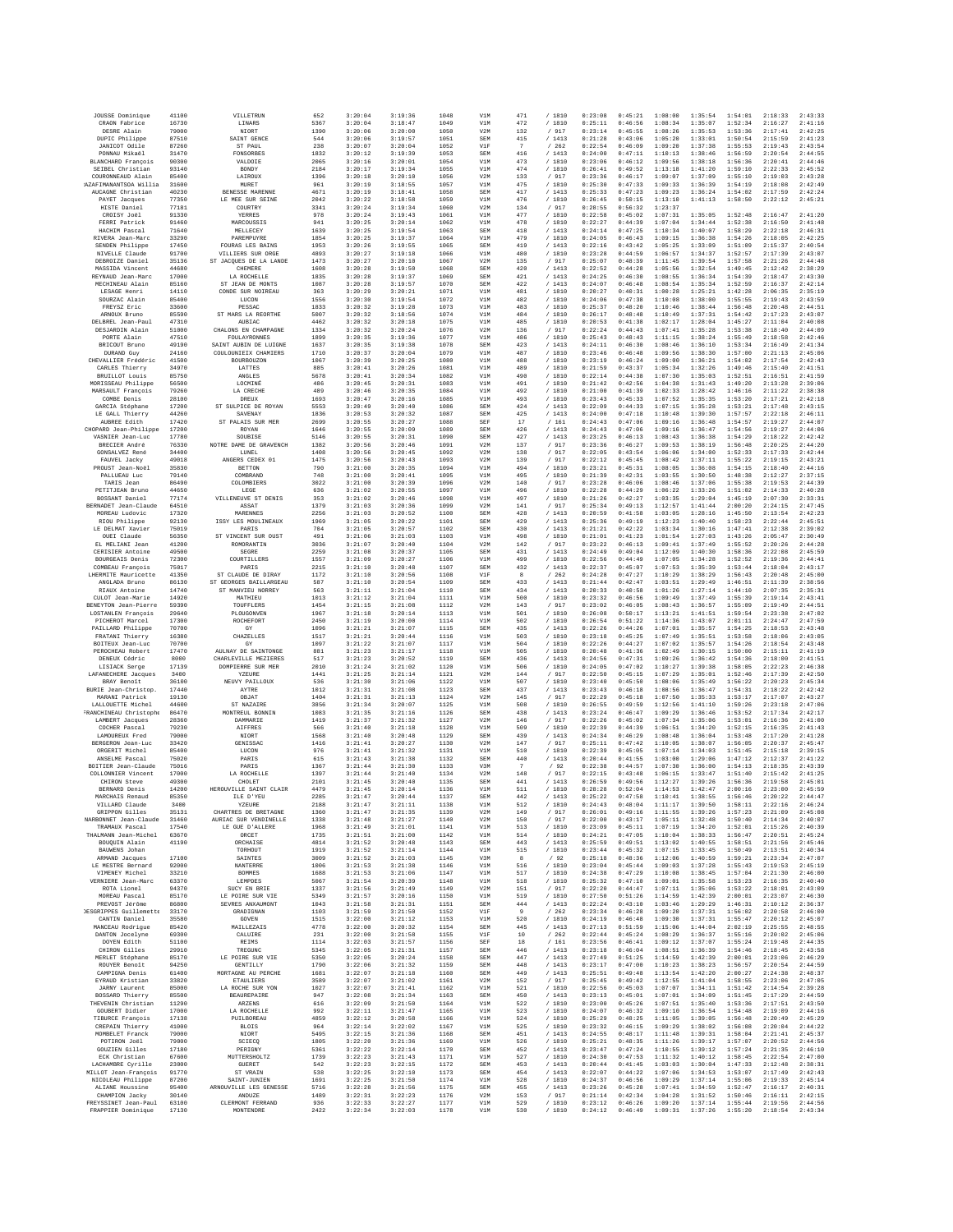| JOUSSE Dominique                           | 41100          | VILLETRUN                                   | 652          | 3:20:04            | 3:19:36            | 1048         | V1M               | 471                   | /1810             | 0:23:08            | 0:45:21            | 1:08:00            | 1:35:54            | 1:54:01            | 2:18:33            | 2:43:33            |
|--------------------------------------------|----------------|---------------------------------------------|--------------|--------------------|--------------------|--------------|-------------------|-----------------------|-------------------|--------------------|--------------------|--------------------|--------------------|--------------------|--------------------|--------------------|
| CRAON Fabrice<br>DESRE Alain               | 16730<br>79000 | LINARS<br>NIORT                             | 5367<br>1390 | 3:20:04<br>3:20:06 | 3:18:47<br>3:20:00 | 1049<br>1050 | V1M<br>V2M        | 472<br>132            | /1810<br>/ 917    | 0:25:11<br>0:23:14 | 0:46:56<br>0:45:55 | 1:08:34<br>1:08:26 | 1:35:07<br>1:35:53 | 1:52:34<br>1:53:36 | 2:16:27<br>2:17:41 | 2:41:16<br>2:42:25 |
| DUPIC Philippe                             | 87510          | SAINT GENCE                                 | 544          | 3:20:06            | 3:19:57            | 1051         | SEM               | 415                   | /1413             | 0:21:28            | 0:43:06            | 1:05:20            | 1:33:01            | 1:50:54            | 2:15:59            | 2:41:23            |
| JANICOT Odile                              | 87260          | ST PAUL                                     | 238          | 3:20:07            | 3:20:04            | 1052         | V1F               | 7                     | /262              | 0:22:54            | 0:46:09            | 1:09:20            | 1:37:38            | 1:55:53            | 2:19:43            | 2:43:54            |
| PONNAU Mikaěl<br><b>BLANCHARD</b> François | 31470<br>90300 | FONSORBES<br>VALDOIE                        | 1832<br>2065 | 3:20:12<br>3:20:16 | 3:19:39<br>3:20:01 | 1053<br>1054 | SEM<br>V1M        | 416<br>473            | /1413<br>/ 1810   | 0:24:00<br>0:23:06 | 0:47:11<br>0:46:12 | 1:10:13<br>1:09:56 | 1:38:46<br>1:38:18 | 1:56:59<br>1:56:36 | 2:20:54<br>2:20:41 | 2:44:55<br>2:44:46 |
| SEIBEL Christian                           | 93140          | BONDY                                       | 2184         | 3:20:17            | 3:19:34            | 1055         | V1M               | 474                   | / 1810            | 0:26:41            | 0:49:52            | 1:13:18            | 1:41:20            | 1:59:10            | 2:22:33            | 2:45:52            |
| COURONNEAUD Alain                          | 85400          | LAIROUX                                     | 1396         | 3:20:18            | 3:20:10            | 1056         | V2M               | 133                   | /917              | 0:23:36            | 0:46:17            | 1:09:07            | 1:37:09            | 1:55:10            | 2:19:03            | 2:43:28            |
| AZAFIMANANTSOA Willia<br>AUCAGNE Christian | 31600<br>40230 | MURET<br>BENESSE MARENNE                    | 961<br>4671  | 3:20:19<br>3:20:19 | 3:18:55<br>3:18:41 | 1057<br>1058 | V1M<br>SEM        | 475<br>417            | /1810<br>/1413    | 0:25:30<br>0:25:33 | 0:47:33<br>0:47:23 | 1:09:33<br>1:09:23 | 1:36:39<br>1:36:24 | 1:54:19<br>1:54:02 | 2:18:08<br>2:17:59 | 2:42:49<br>2:42:24 |
| PAYET Jacques                              | 77350          | LE MEE SUR SEINE                            | 2042         | 3:20:22            | 3:18:58            | 1059         | V1M               | 476                   | / 1810            | 0:26:45            | 0:50:15            | 1:13:10            | 1:41:13            | 1:58:50            | 2:22:12            | 2:45:21            |
| HISTE Daniel<br>CROISY Joël                | 77181<br>91330 | COURTRY                                     | 3341<br>978  | 3:20:24<br>3:20:24 | 3:19:34            | 1060<br>1061 | V2M<br>V1M        | 134<br>477            | /917              | 0:28:55<br>0:22:58 | 0:56:32<br>0:45:02 | 1:23:37            |                    |                    |                    | 2:41:20            |
| FERRI Patrick                              | 91460          | YERRES<br>MARCOUSSIS                        | 941          | 3:20:25            | 3:19:43<br>3:20:14 | 1062         | V1M               | 478                   | / 1810<br>/ 1810  | 0:22:27            | 0:44:39            | 1:07:31<br>1:07:04 | 1:35:05<br>1:34:44 | 1:52:48<br>1:52:38 | 2:16:47<br>2:16:50 | 2:41:48            |
| HACHIM Pascal                              | 71640          | MELLECEY                                    | 1639         | 3:20:25            | 3:19:54            | 1063         | SEM               | 418                   | /1413             | 0:24:14            | 0:47:25            | 1:10:34            | 1:40:07            | 1:58:29            | 2:22:18            | 2:46:31            |
| RIVERA Jean-Marc<br>SENDEN Philippe        | 33290<br>17450 | PAREMPUYRE<br><b>FOURAS LES BAINS</b>       | 1854<br>1953 | 3:20:25<br>3:20:26 | 3:19:37<br>3:19:55 | 1064<br>1065 | V1M<br>SEM        | 479<br>419            | / 1810<br>/1413   | 0:24:05<br>0:22:16 | 0:46:43<br>0:43:42 | 1:09:15<br>1:05:25 | 1:36:38<br>1:33:09 | 1:54:26<br>1:51:09 | 2:18:05<br>2:15:37 | 2:42:25<br>2:40:54 |
| NIVELLE Claude                             | 91700          | VILLIERS SUR ORGE                           | 4893         | 3:20:27            | 3:19:18            | 1066         | V1M               | 480                   | / 1810            | 0:23:28            | 0:44:59            | 1:06:57            | 1:34:37            | 1:52:57            | 2:17:39            | 2:43:07            |
| DEBROIZE Daniel                            | 35136          | ST JACOUES DE LA LANDE                      | 1473         | 3:20:27            | 3:20:10            | 1067         | V2M               | 135                   | /917              | 0:25:07            | 0:48:39            | 1:11:45            | 1:39:54            | 1:57:58            | 2:21:26            | 2:44:48            |
| MASSIDA Vincent<br>REYNAUD Jean-Marc       | 44680<br>17000 | CHEMERE<br>LA ROCHELLE                      | 1608<br>1835 | 3:20:28<br>3:20:28 | 3:19:50<br>3:19:37 | 1068<br>1069 | SEM<br>SEM        | 420<br>421            | / 1413<br>/1413   | 0:22:52<br>0:24:25 | 0:44:28<br>0:46:30 | 1:05:56<br>1:08:55 | 1:32:54<br>1:36:34 | 1:49:45<br>1:54:39 | 2:12:42<br>2:18:47 | 2:38:29<br>2:43:30 |
| MECHINEAU Alain                            | 85160          | ST JEAN DE MONTS                            | 1087         | 3:20:28            | 3:19:57            | 1070         | SEM               | 422                   | /1413             | 0:24:07            | 0:46:48            | 1:08:54            | 1:35:34            | 1:52:59            | 2:16:37            | 2:42:14            |
| LESAGE Henri                               | 14110          | CONDE SUR NOIREAU                           | 363          | 3:20:29            | 3:20:21            | 1071         | V1M               | 481                   | / 1810            | 0:20:27            | 0:40:31            | 1:00:28            | 1:25:21            | 1:42:28            | 2:06:35            | 2:35:19            |
| SOURZAC Alain<br>FREYSZ Eric               | 85400<br>33600 | LUCON<br>PESSAC                             | 1556<br>1833 | 3:20:30<br>3:20:32 | 3:19:54<br>3:19:28 | 1072<br>1073 | V1M<br>V1M        | 482<br>483            | / 1810<br>/ 1810  | 0:24:06<br>0:25:37 | 0:47:38<br>0:48:20 | 1:10:08<br>1:10:46 | 1:38:00<br>1:38:44 | 1:55:55<br>1:56:48 | 2:19:43<br>2:20:48 | 2:43:59<br>2:44:51 |
| ARNOUX Bruno                               | 85590          | ST MARS LA REORTHE                          | 5007         | 3:20:32            | 3:18:56            | 1074         | V1M               | 484                   | /1810             | 0:26:17            | 0:48:48            | 1:10:49            | 1:37:31            | 1:54:42            | 2:17:23            | 2:43:07            |
| DELBREL Jean-Paul<br>DESJARDIN Alain       | 47310<br>51000 | AUBIAC<br>CHALONS EN CHAMPAGNE              | 4462<br>1334 | 3:20:32<br>3:20:32 | 3:20:18<br>3:20:24 | 1075<br>1076 | V1M<br>V2M        | 485<br>136            | / 1810<br>/ 917   | 0:20:53<br>0:22:24 | 0:41:38<br>0:44:43 | 1:02:17<br>1:07:41 | 1:28:04<br>1:35:28 | 1:45:27<br>1:53:38 | 2:11:04<br>2:18:40 | 2:40:08<br>2:44:09 |
| PORTE Alain                                | 47510          | FOULAYRONNES                                | 1899         | 3:20:35            | 3:19:36            | 1077         | V1M               | 486                   | / 1810            | 0:25:43            | 0:48:43            | 1:11:15            | 1:38:24            | 1:55:49            | 2:18:58            | 2:42:46            |
| BRICOUT Bruno                              | 49190          | SAINT AUBIN DE LUIGNE                       | 1637         | 3:20:35            | 3:19:38            | 1078         | SEM               | 423                   | /1413             | 0:24:11            | 0:46:30            | 1:08:46            | 1:36:10            | 1:53:34            | 2:16:49            | 2:41:34            |
| DURAND Guy<br>CHEVALLIER Frédéric          | 24160<br>41500 | COULOUNIEIX CHAMIERS<br>BOURBOUZON          | 1710<br>1067 | 3:20:37<br>3:20:39 | 3:20:04<br>3:20:25 | 1079<br>1080 | V1M<br>V1M        | 487<br>488            | / 1810<br>/1810   | 0:23:46<br>0:23:19 | 0:46:48<br>0:46:24 | 1:09:56<br>1:09:00 | 1:38:30<br>1:36:21 | 1:57:00<br>1:54:02 | 2:21:13<br>2:17:54 | 2:45:06<br>2:42:43 |
| CARLES Thierry                             | 34970          | LATTES                                      | 885          | 3:20:41            | 3:20:26            | 1081         | V1M               | 489                   | /1810             | 0:21:59            | 0:43:37            | 1:05:34            | 1:32:26            | 1:49:46            | 2:15:40            | 2:41:51            |
| BRUILLOT Louis                             | 85750          | ANGLES                                      | 5678         | 3:20:41            | 3:20:34            | 1082         | V1M               | 490                   | / 1810            | 0:22:14            | 0:44:38            | 1:07:30            | 1:35:03            | 1:52:51            | 2:16:51            | 2:41:59            |
| MORISSEAU Philippe<br>MARSAULT François    | 56500<br>79260 | LOCMINÉ<br>LA CRECHE                        | 486<br>489   | 3:20:45<br>3:20:46 | 3:20:31<br>3:20:35 | 1083<br>1084 | V1M<br>V1M        | 491<br>492            | / 1810<br>/ 1810  | 0:21:42<br>0:21:00 | 0:42:56<br>0:41:39 | 1:04:38<br>1:02:33 | 1:31:43<br>1:28:42 | 1:49:20<br>1:46:16 | 2:13:28<br>2:11:22 | 2:39:06<br>2:38:38 |
| COMBE Denis                                | 28100          | <b>DREUX</b>                                | 1693         | 3:20:47            | 3:20:16            | 1085         | V1M               | 493                   | /1810             | 0:23:43            | 0:45:33            | 1:07:52            | 1:35:35            | 1:53:20            | 2:17:21            | 2:42:18            |
| GARCIA Stéphane<br>LE GALL Thierry         | 17200          | ST SULPICE DE ROYAN                         | 5553         | 3:20:49            | 3:20:40            | 1086         | SEM<br>SEM        | 424                   | /1413             | 0:22:09            | 0:44:33<br>0:47:18 | 1:07:15            | 1:35:28            | 1:53:21<br>1:57:57 | 2:17:48            | 2:43:15            |
| AUBREE Edith                               | 44260<br>17420 | SAVENAY<br>ST PALAIS SUR MER                | 1836<br>2699 | 3:20:53<br>3:20:55 | 3:20:32<br>3:20:27 | 1087<br>1088 | SEF               | 425<br>17             | /1413<br>/161     | 0:24:00<br>0:24:43 | 0:47:06            | 1:10:48<br>1:09:16 | 1:39:30<br>1:36:48 | 1:54:57            | 2:22:18<br>2:19:27 | 2:46:11<br>2:44:07 |
| CHOPARD Jean-Philippe                      | 17200          | ROYAN                                       | 1646         | 3:20:55            | 3:20:09            | 1089         | SEM               | 426                   | /1413             | 0:24:43            | 0:47:06            | 1:09:16            | 1:36:47            | 1:54:56            | 2:19:27            | 2:44:06            |
| VASNIER Jean-Luc<br>BRECIER André          | 17780<br>76330 | SOUBISE<br>NOTRE DAME DE GRAVENCH           | 5146<br>1382 | 3:20:55<br>3:20:56 | 3:20:31<br>3:20:46 | 1090         | SEM<br>V2M        | 427<br>137            | /1413<br>/ 917    | 0:23:25<br>0:23:36 | 0:46:13<br>0:46:27 | 1:08:43<br>1:09:53 | 1:36:38<br>1:38:19 | 1:54:29            | 2:18:22<br>2:20:25 | 2:42:42<br>2:44:20 |
| GONSALVEZ René                             | 34400          | LUNEL                                       | 1408         | 3:20:56            | 3:20:45            | 1091<br>1092 | V2M               | 138                   | /917              | 0:22:05            | 0:43:54            | 1:06:06            | 1:34:00            | 1:56:48<br>1:52:33 | 2:17:33            | 2:42:44            |
| FAUVEL Jacky                               | 49018          | ANGERS CEDEX 01                             | 1475         | 3:20:56            | 3:20:43            | 1093         | V2M               | 139                   | / 917             | 0:22:12            | 0:45:45            | 1:08:42            | 1:37:11            | 1:55:22            | 2:19:15            | 2:43:21            |
| PROUST Jean-Noël<br>PALLIEAU Luc           | 35830<br>79140 | <b>BETTON</b><br>COMBRAND                   | 790<br>748   | 3:21:00<br>3:21:00 | 3:20:35<br>3:20:41 | 1094<br>1095 | V1M<br>V1M        | 494<br>495            | / 1810<br>/1810   | 0:23:21<br>0:21:39 | 0:45:31<br>0:42:31 | 1:08:05<br>1:03:55 | 1:36:08<br>1:30:50 | 1:54:15<br>1:48:38 | 2:18:40<br>2:12:27 | 2:44:16<br>2:37:15 |
| TARIS Jean                                 | 86490          | COLOMBIERS                                  | 3022         | 3:21:00            | 3:20:39            | 1096         | V2M               | 140                   | $\,/\,$ 917       | 0:23:28            | 0:46:06            | 1:08:46            | 1:37:06            | 1:55:38            | 2:19:53            | 2:44:39            |
| PETITJEAN Brunc                            | 44650          | LEGE                                        | 636          | 3:21:02            | 3:20:55            | 1097         | V1M               | 496                   | / 1810            | 0:22:28            | 0:44:29            | 1:06:22            | 1:33:26            | 1:51:02            | 2:14:33            | 2:40:28            |
| BOSSANT Daniel<br>BERNADET Jean-Claude     | 77174<br>64510 | VILLENEUVE ST DENIS<br>ASSAT                | 353<br>1379  | 3:21:02<br>3:21:03 | 3:20:46<br>3:20:36 | 1098<br>1099 | V1M<br>V2M        | 497<br>141            | / 1810<br>/917    | 0:21:26<br>0:25:34 | 0:42:27<br>0:49:13 | 1:03:35<br>1:12:57 | 1:29:04<br>1:41:44 | 1:45:19<br>2:00:20 | 2:07:30<br>2:24:15 | 2:33:31<br>2:47:45 |
| MOREAU Ludovic                             | 17320          | MARENNES                                    | 2256         | 3:21:03            | 3:20:52            | 1100         | SEM               | 428                   | / 1413            | 0:20:59            | 0:41:58            | 1:03:05            | 1:28:16            | 1:45:50            | 2:13:54            | 2:42:23            |
| RIOU Philippe                              | 92130          | ISSY LES MOULINEAUX                         | 1969         | 3:21:05            | 3:20:22            | 1101         | SEM               | 429                   | /1413             | 0:25:36            | 0:49:19            | 1:12:23            | 1:40:40            | 1:58:23            | 2:22:44            | 2:45:51<br>2:39:02 |
| LE DELMAT Xavier<br>OUEI Claude            | 75019<br>56350 | PARIS<br>ST VINCENT SUR OUST                | 704<br>491   | 3:21:05<br>3:21:06 | 3:20:57<br>3:21:03 | 1102<br>1103 | SEM<br>V1M        | 430<br>498            | /1413<br>/ 1810   | 0:21:21<br>0:21:01 | 0:42:22<br>0:41:23 | 1:03:34<br>1:01:54 | 1:30:16<br>1:27:03 | 1:47:41<br>1:43:26 | 2:12:38<br>2:05:47 | 2:30:49            |
| EL MELIANI Jean                            | 41200          | ROMORANTIN                                  | 3036         | 3:21:07            | 3:20:40            | 1104         | V2M               | 142                   | / 917             | 0:23:22            | 0:46:13            | 1:09:41            | 1:37:49            | 1:55:52            | 2:20:26            | 2:44:28            |
| CERISIER Antoine<br>BOURGEAIS Denis        | 49500<br>72300 | <b>SEGRE</b><br>COURTILLERS                 | 2259<br>1557 | 3:21:08<br>3:21:09 | 3:20:37<br>3:20:27 | 1105<br>1106 | SEM<br>V1M        | 431<br>499            | /1413<br>/1810    | 0:24:49<br>0:22:56 | 0:49:04<br>0:44:49 | 1:12:09<br>1:07:05 | 1:40:30<br>1:34:28 | 1:58:36<br>1:52:52 | 2:22:08<br>2:19:36 | 2:45:59<br>2:44:41 |
| COMBEAU François                           | 75017          | PARIS                                       | 2215         | 3:21:10            | 3:20:48            | 1107         | SEM               | 432                   | / 1413            | 0:22:37            | 0:45:07            | 1:07:53            | 1:35:39            | 1:53:44            | 2:18:04            | 2:43:17            |
| LHERMITE Mauricette                        | 41350          | ST CLAUDE DE DIRAY                          | 1172         | 3:21:10            | 3:20:56            | 1108         | V1F               | 8                     | /262              | 0:24:28            | 0:47:27            | 1:10:29            | 1:38:29            | 1:56:43            | 2:20:48            | 2:45:00            |
| ANGLADA Bruno<br>RIAUX Antoine             | 86130<br>14740 | ST GEORGES BAILLARGEAU<br>ST MANVIEU NORREY | 587<br>563   | 3:21:10<br>3:21:11 | 3:20:54<br>3:21:04 | 1109<br>1110 | SEM<br>SEM        | 433<br>434            | /1413<br>/1413    | 0:21:44<br>0:20:33 | 0:42:47<br>0:40:58 | 1:03:51<br>1:01:26 | 1:29:49<br>1:27:14 | 1:46:51<br>1:44:10 | 2:11:39<br>2:07:35 | 2:38:56<br>2:35:31 |
| CULOT Jean-Marie                           | 14920          | MATHIEU                                     | 1013         | 3:21:12            | 3:21:04            | 1111         | V1M               | 500                   | / 1810            | 0:23:32            | 0:46:56            | 1:09:49            | 1:37:49            | 1:55:39            | 2:19:14            | 2:43:41            |
| BENEYTON Jean-Pierre                       | 59390          | TOUFFLERS                                   | 1454         | 3:21:15            | 3:21:08            | 1112         | V2M               | 143                   | / 917             | 0:23:02            | 0:46:05            | 1:08:43            | 1:36:57            | 1:55:09            | 2:19:49            | 2:44:51            |
| LOSTANLEN Francois<br>PICHEROT Marcel      | 29640<br>17300 | PLOUGONVEN<br>ROCHEFORT                     | 1967<br>2450 | 3:21:18<br>3:21:19 | 3:20:14<br>3:20:00 | 1113<br>1114 | V1M<br>V1M        | 501<br>502            | /1810<br>/ 1810   | 0:26:08<br>0:26:54 | 0:50:17<br>0:51:22 | 1:13:21<br>1:14:36 | 1:41:51<br>1:43:07 | 1:59:54<br>2:01:11 | 2:23:38<br>2:24:47 | 2:47:02<br>2:47:59 |
| PAILLARD Philippe                          | 70700          | GY                                          | 1096         | 3:21:21            | 3:21:07            | 1115         | SEM               | 435                   | /1413             | 0:22:26            | 0:44:26            | 1:07:01            | 1:35:57            | 1:54:25            | 2:18:53            | 2:43:48            |
| FRATANI Thierry                            | 16380          | CHAZELLES                                   | 1517         | 3:21:21            | 3:20:44            | 1116         | V1M               | 503                   | / 1810            | 0:23:18            | 0:45:25            | 1:07:49            | 1:35:51            | 1:53:58            | 2:18:06            | 2:43:05            |
| BOITEUX Jean-Luc<br>PEROCHEAU Robert       | 70700<br>17470 | GY<br>AULNAY DE SAINTONGE                   | 1097<br>881  | 3:21:22<br>3:21:23 | 3:21:07<br>3:21:17 | 1117<br>1118 | V1M<br>V1M        | 504<br>505            | /1810<br>/ 1810   | 0:22:26<br>0:20:48 | 0:44:27<br>0:41:36 | 1:07:02<br>1:02:49 | 1:35:57<br>1:30:15 | 1:54:26<br>1:50:00 | 2:18:54<br>2:15:11 | 2:43:48<br>2:41:19 |
| DENEUX Cédric                              | 8000           | CHARLEVILLE MEZIERES                        | 517          | 3:21:23            | 3:20:52            | 1119         | SEM               | 436                   | /1413             | 0:24:56            | 0:47:31            | 1:09:26            | 1:36:42            | 1:54:36            | 2:18:00            | 2:41:51            |
| LISIACK Serge                              | 17139<br>3400  | DOMPIERRE SUR MER<br>YZEURE                 | 2010<br>1441 | 3:21:24<br>3:21:25 | 3:21:02<br>3:21:14 | 1120<br>1121 | V1M<br>V2M        | 506<br>144            | /1810             | 0:24:05<br>0:22:50 | 0:47:02<br>0:45:15 | 1:10:27<br>1:07:29 | 1:39:38<br>1:35:01 | 1:58:05<br>1:52:46 | 2:22:23<br>2:17:39 | 2:46:38<br>2:42:50 |
| LAFANECHERE Jacques<br>BRAY Benoît         | 36100          | NEUVY PAILLOUX                              | 536          | 3:21:30            | 3:21:06            | 1122         | V1M               | 507                   | $/$ 917<br>/ 1810 | 0:23:40            | 0:45:50            | 1:08:06            | 1:35:49            | 1:56:22            | 2:20:23            | 2:45:34            |
| BURIE Jean-Christop.                       | 17440          | AYTRE                                       | 1012         | 3:21:31            | 3:21:08            | 1123         | SEM               | 437                   | /1413             | 0:23:43            | 0:46:18            | 1:08:56            | 1:36:47            | 1:54:31            | 2:18:22            | 2:42:42            |
| MARANI Patrick<br>LALLOUETTE Michel        | 19130<br>44600 | OBJAT<br>ST NAZAIRE                         | 1404<br>3856 | 3:21:31<br>3:21:34 | 3:21:13<br>3:20:07 | 1124<br>1125 | V2M<br>V1M        | 145<br>508            | / 917<br>/ 1810   | 0:22:29<br>0:26:55 | 0:45:18<br>0:49:59 | 1:07:50<br>1:12:56 | 1:35:33<br>1:41:10 | 1:53:17<br>1:59:26 | 2:17:07<br>2:23:18 | 2:43:27<br>2:47:06 |
| FRANCHINEAU Christophe                     | 86470          | MONTREUL BONNIN                             | 1083         | 3:21:35            | 3:21:16            | 1126         | SEM               | 438                   | /1413             | 0:23:24            | 0:46:47            | 1:09:29            | 1:36:46            | 1:53:52            | 2:17:34            | 2:42:17            |
| LAMBERT Jacques                            | 28360          | <b>DAMMARIE</b>                             | 1419         | 3:21:37            | 3:21:32            | 1127         | V2M               | 146                   | / 917             | 0:22:26            | 0:45:02            | 1:07:34            | 1:35:06            | 1:53:01            | 2:16:36            | 2:41:00            |
| COCHER Pascal<br>LAMOUREUX Fred            | 79230<br>79000 | <b>AIFFRES</b><br>NIORT                     | 566<br>1568  | 3:21:40<br>3:21:40 | 3:21:18<br>3:20:48 | 1128<br>1129 | V1M<br>SEM        | 509<br>439            | / 1810<br>/1413   | 0:22:39<br>0:24:34 | 0:44:39<br>0:46:29 | 1:06:51<br>1:08:48 | 1:34:20<br>1:36:04 | 1:52:15<br>1:53:48 | 2:16:35<br>2:17:20 | 2:41:43<br>2:41:28 |
| BERGERON Jean-Luc                          | 33420          | GENISSAO                                    | 1416         | 3:21:41            | 3:20:27            | 1130         | V2M               | 147                   | / 917             | 0:25:11            | 0:47:42            | 1:10:05            | 1:38:07            | 1:56:05            | 2:20:37            | 2:45:47            |
| ORGERIT Michel                             | 85400<br>75020 | LUCON<br>PARIS                              | 976<br>615   | 3:21:41<br>3:21:43 | 3:21:32<br>3:21:38 | 1131<br>1132 | V1M<br>SEM        | 510                   | /1810             | 0:22:39<br>0:20:44 | 0:45:05<br>0:41:55 | 1:07:14<br>1:03:00 | 1:34:03<br>1:29:06 | 1:51:45<br>1:47:12 | 2:15:18<br>2:12:37 | 2:39:15<br>2:41:22 |
| ANSELME Pascal<br>BOITIER Jean-Claude      | 75016          | PARIS                                       | 1367         | 3:21:44            | 3:21:30            | 1133         | V3M               | 440<br>$\overline{7}$ | / 1413<br>/92     | 0:22:38            | 0:44:57            | 1:07:30            | 1:36:00            | 1:54:13            | 2:18:35            | 2:43:39            |
| COLLONNIER Vincent                         | 17000          | LA ROCHELLE                                 | 1397         | 3:21:44            | 3:21:40            | 1134         | V2M               | 148                   | / 917             | 0:22:15            | 0:43:48            | 1:06:15            | 1:33:47            | 1:51:40            | 2:15:42            | 2:41:25            |
| CHIRON Steve<br>BERNARD Denis              | 49300<br>14200 | CHOLET<br>HEROUVILLE SAINT CLAIR            | 2101<br>4479 | 3:21:45<br>3:21:45 | 3:20:40<br>3:20:14 | 1135<br>1136 | <b>SEM</b><br>V1M | 441<br>511            | /1413<br>/1810    | 0:26:59<br>0:28:28 | 0:49:56<br>0:52:04 | 1:12:27<br>1:14:53 | 1:39:26<br>1:42:47 | 1:56:36<br>2:00:16 | 2:19:58<br>2:23:00 | 2:45:01<br>2:45:59 |
| MARCHAIS Renaud                            | 85350          | ILE D'YEU                                   | 2285         | 3:21:47            | 3:20:44            | 1137         | SEM               | 442                   | /1413             | 0:25:22            | 0:47:58            | 1:10:41            | 1:38:55            | 1:56:46            | 2:20:22            | 2:44:47            |
| VILLARD Claude<br>GRIPPON Gilles           | 3400           | YZEURE<br>CHARTRES DE BRETAGNE              | 2188         | 3:21:47<br>3:21:47 | 3:21:11<br>3:21:35 | 1138<br>1139 | V1M<br>V2M        | 512                   | / 1810<br>/ 917   | 0:24:43<br>0:26:01 | 0:48:04<br>0:49:16 | 1:11:17<br>1:11:55 | 1:39:50<br>1:39:26 | 1:58:11            | 2:22:16<br>2:21:09 | 2:46:24<br>2:45:08 |
| NARBONNET Jean-Claude                      | 35131<br>31460 | AURIAC SUR VENDINELLE                       | 1360<br>1338 | 3:21:48            | 3:21:27            | 1140         | V2M               | 149<br>150            | / 917             | 0:22:00            | 0:43:17            | 1:05:11            | 1:32:48            | 1:57:23<br>1:50:40 | 2:14:34            | 2:40:07            |
| TRAMAUX Pascal                             | 17540          | LE GUE D'ALLERE                             | 1968         | 3:21:49            | 3:21:01            | 1141         | V1M               | 513                   | / 1810            | 0:23:09            | 0:45:11            | 1:07:19            | 1:34:20            | 1:52:01            | 2:15:26            | 2:40:39            |
| THALMANN Jean-Michel<br>BOUQUIN Alain      | 63670<br>41190 | ORCET<br>ORCHAISE                           | 1735<br>4814 | 3:21:51<br>3:21:52 | 3:21:00<br>3:20:48 | 1142<br>1143 | V1M<br>SEM        | 514<br>443            | /1810<br>/ 1413   | 0:24:21<br>0:25:59 | 0:47:05<br>0:49:51 | 1:10:04<br>1:13:02 | 1:38:33<br>1:40:55 | 1:56:47<br>1:58:51 | 2:20:51<br>2:21:56 | 2:45:24<br>2:45:46 |
| BAUWENS Johan                              |                | TORHOUT                                     | 1919         | 3:21:52            | 3:21:14            | 1144         | V1M               | 515                   | / 1810            | 0:23:44            | 0:45:32            | 1:07:15            | 1:33:45            | 1:50:49            | 2:13:51            | 2:40:34            |
| ARMAND Jacques                             | 17100          | <b>SAINTES</b>                              | 3009         | 3:21:52            | 3:21:03            | 1145         | V3M               | 8                     | /92               | 0:25:18            | 0:48:36            | 1:12:06            | 1:40:59            | 1:59:21            | 2:23:34            | 2:47:07            |
| LE MESTRE Bernard<br>VIMENEY Michel        | 92000<br>33210 | NANTERRE<br><b>BOMMES</b>                   | 1006<br>1688 | 3:21:53<br>3:21:53 | 3:21:38<br>3:21:06 | 1146<br>1147 | V1M<br>V1M        | 516<br>517            | / 1810<br>/ 1810  | 0:23:04<br>0:24:38 | 0:45:44<br>0:47:29 | 1:09:03<br>1:10:08 | 1:37:28<br>1:38:45 | 1:55:43<br>1:57:04 | 2:19:53<br>2:21:30 | 2:45:19<br>2:46:00 |
| VERNIERE Jean-Marc                         | 63370          | LEMPDES                                     | 5067         | 3:21:54            | 3:20:39            | 1148         | V1M               | 518                   | / 1810            | 0:25:32            | 0:47:10            | 1:09:01            | 1:35:58            | 1:53:23            | 2:16:35            | 2:40:40            |
| ROTA Lionel<br>MOREAU Pascal               | 94370<br>85170 | SUCY EN BRIE<br>LE POIRE SUR VIE            | 1337<br>5349 | 3:21:56<br>3:21:57 | 3:21:49<br>3:20:16 | 1149<br>1150 | V2M<br>V1M        | 151<br>519            | / 917             | 0:22:20<br>0:27:50 | 0:44:47<br>0:51:26 | 1:07:11<br>1:14:59 | 1:35:06<br>1:42:39 | 1:53:22<br>2:00:01 | 2:18:01<br>2:23:07 | 2:43:09<br>2:46:30 |
| PREVOST Jérôme                             | 86800          | SEVRES ANXAUMONT                            | 1043         | 3:21:58            | 3:21:31            | 1151         | SEM               | 444                   | / 1810<br>/1413   | 0:22:24            | 0:43:10            | 1:03:46            | 1:29:29            | 1:46:31            | 2:10:12            | 2:36:37            |
| DESGRIPPES Guillemette                     | 33170          | GRADIGNAN                                   | 1103         | 3:21:59            | 3:21:50            | 1152         | V1F               | $\overline{9}$        | /262              | 0:23:34            | 0:46:28            | 1:09:20            | 1:37:31            | 1:56:02            | 2:20:58            | 2:46:00            |
| CANTIN Daniel<br>MANCEAU Rodrigue          | 35580<br>85420 | GOVEN<br>MAILLEZAIS                         | 1515<br>4778 | 3:22:00<br>3:22:00 | 3:21:12<br>3:20:32 | 1153<br>1154 | V1M<br>SEM        | 520<br>445            | / 1810<br>/1413   | 0:24:19<br>0:27:13 | 0:46:48<br>0:51:59 | 1:09:30<br>1:15:06 | 1:37:31<br>1:44:04 | 1:55:47<br>2:02:19 | 2:20:12<br>2:25:55 | 2:45:07<br>2:48:55 |
| DANTON Jocelyne                            | 69300          | CALUIRE                                     | 231          | 3:22:00            | 3:21:58            | 1155         | V1F               | 10                    | /262              | 0:22:44            | 0:45:24            | 1:08:29            | 1:36:37            | 1:55:16            | 2:20:02            | 2:45:06            |
| DOYEN Edith                                | 51100          | <b>REIMS</b>                                | 1114         | 3:22:03            | 3:21:57            | 1156         | SEF               | 18                    | /161              | 0:23:56            | 0:46:41            | 1:09:12            | 1:37:07            | 1:55:24            | 2:19:48            | 2:44:35            |
| CHIRON Gilles<br>MERLET Stéphane           | 29910<br>85170 | TREGUNC<br>LE POIRE SUR VIE                 | 5345<br>5350 | 3:22:05<br>3:22:05 | 3:21:31<br>3:20:24 | 1157<br>1158 | SEM<br>SEM        | 446<br>447            | / 1413<br>/1413   | 0:23:18<br>0:27:49 | 0:46:04<br>0:51:25 | 1:08:51<br>1:14:59 | 1:36:39<br>1:42:39 | 1:54:46<br>2:00:01 | 2:18:45<br>2:23:06 | 2:43:58<br>2:46:29 |
| ROUYER Benoît                              | 94250          | GENTILLY                                    | 1790         | 3:22:06            | 3:21:32            | 1159         | <b>SEM</b>        | 448                   | /1413             | 0:23:17            | 0:47:00            | 1:10:23            | 1:38:23            | 1:56:57            | 2:20:54            | 2:44:59            |
| CAMPIGNA Denis                             | 61400<br>33820 | MORTAGNE AU PERCHE<br><b>ETAULIERS</b>      | 1681<br>3589 | 3:22:07<br>3:22:07 | 3:21:18<br>3:21:02 | 1160<br>1161 | <b>SEM</b><br>V2M | 449<br>152            | /1413             | 0:25:51<br>0:25:45 | 0:49:48<br>0:49:42 | 1:13:54<br>1:12:55 | 1:42:20<br>1:41:04 | 2:00:27<br>1:58:55 | 2:24:38<br>2:23:06 | 2:48:37<br>2:47:05 |
| EYRAUD Kristian<br><b>JARNY</b> Laurent    | 85000          | LA ROCHE SUR YON                            | 1027         | 3:22:07            | 3:21:41            | 1162         | V1M               | 521                   | / 917<br>/ 1810   | 0:22:56            | 0:45:03            | 1:07:07            | 1:34:11            | 1:51:42            | 2:14:54            | 2:39:28            |
| BOSSARD Thierry                            | 85500          | <b>BEAUREPAIRE</b>                          | 947          | 3:22:08            | 3:21:34            | 1163         | <b>SEM</b>        | 450                   | /1413             | 0:23:13            | 0:45:01            | 1:07:01            | 1:34:09            | 1:51:45            | 2:17:29            | 2:44:59            |
| THEVENIN Christian<br>GOUBERT Didier       | 11290<br>17000 | ARZENS<br>LA ROCHELLE                       | 616<br>992   | 3:22:09<br>3:22:11 | 3:21:50<br>3:21:47 | 1164<br>1165 | V1M<br>V1M        | 522<br>523            | / 1810<br>/ 1810  | 0:23:00<br>0:24:07 | 0:45:26<br>0:46:32 | 1:07:51<br>1:09:10 | 1:35:40<br>1:36:54 | 1:53:36<br>1:54:48 | 2:17:51<br>2:19:09 | 2:43:50<br>2:44:16 |
| TIBURCE François                           | 17138          | PUILBOREAU                                  | 4859         | 3:22:12            | 3:20:58            | 1166         | V1M               | 524                   | / 1810            | 0:25:29            | 0:48:25            | 1:11:05            | 1:39:05            | 1:56:48            | 2:20:49            | 2:45:29            |
| CREPAIN Thierry                            | 41000          | <b>BLOIS</b>                                | 964          | 3:22:14            | 3:22:02            | 1167         | V1M               | 525                   | /1810             | 0:23:32            | 0:46:15            | 1:09:29            | 1:38:02            | 1:56:08            | 2:20:04            | 2:44:22            |
| MOMBELET Franck<br>POTIRON Joěl            | 79000<br>79000 | NIORT<br>SCIECO                             | 5495<br>1805 | 3:22:15<br>3:22:20 | 3:21:36<br>3:21:36 | 1168<br>1169 | SEM<br>V1M        | 451<br>526            | / 1413<br>/ 1810  | 0:24:55<br>0:25:21 | 0:48:17<br>0:48:35 | 1:11:48<br>1:11:26 | 1:39:31<br>1:39:17 | 1:58:04<br>1:57:07 | 2:21:41<br>2:20:52 | 2:45:37<br>2:44:56 |
| GOUZIEN Gilles                             | 17180          | PERIGNY                                     | 5361         | 3:22:22            | 3:22:14            | 1170         | <b>SEM</b>        | 452                   | /1413             | 0:23:47            | 0:47:24            | 1:10:55            | 1:39:12            | 1:57:24            | 2:21:35            | 2:46:10            |
| ECK Christian                              | 67600          | <b>MUTTERSHOLTZ</b>                         | 1739         | 3:22:23            | 3:21:43            | 1171         | V1M               | 527                   | / 1810            | 0:24:30            | 0:47:53            | 1:11:32            | 1:40:12            | 1:58:45            | 2:22:54            | 2:47:00            |
| LACHAMBRE Cyrille<br>MILLOT Jean-François  | 23000<br>91770 | GUERET<br>ST VRAIN                          | 542<br>538   | 3:22:23<br>3:22:25 | 3:22:15<br>3:22:10 | 1172<br>1173 | SEM<br>SEM        | 453<br>454            | /1413<br>/1413    | 0:20:44<br>0:22:07 | 0:41:45<br>0:44:22 | 1:03:03<br>1:07:06 | 1:30:04<br>1:34:53 | 1:47:33<br>1:53:07 | 2:12:48<br>2:17:49 | 2:38:31<br>2:42:43 |
| NICOLEAU Philippe                          | 87200          | SAINT-JUNIEN                                | 1691         | 3:22:25            | 3:21:50            | 1174         | V1M               | 528                   | / 1810            | 0:24:37            | 0:46:56            | 1:09:29            | 1:37:14            | 1:55:06            | 2:19:33            | 2:45:14            |
| ALIANE Houssine<br>CHAMPION Jacky          | 95400<br>30140 | ARNOUVILLE LES GENESSE<br><b>ANDUZE</b>     | 5716<br>1489 | 3:22:28<br>3:22:31 | 3:21:56<br>3:22:23 | 1175<br>1176 | SEM<br>V2M        | 455<br>153            | /1413<br>/ 917    | 0:23:26<br>0:21:14 | 0:45:28<br>0:42:34 | 1:07:41<br>1:04:28 | 1:34:59<br>1:31:52 | 1:52:47<br>1:50:46 | 2:16:17<br>2:16:11 | 2:40:31<br>2:42:15 |
| FREYSSINET Jean-Paul                       | 63100          | CLERMONT FERRAND                            | 936          | 3:22:33            | 3:22:27            | 1177         | V1M               | 529                   | /1810             | 0:23:12            | 0:46:26            | 1:09:20            | 1:37:14            | 1:55:44            | 2:19:56            | 2:44:56            |
| FRAPPIER Dominique                         | 17130          | MONTENDRE                                   | 2422         | 3:22:34            | 3:22:03            | 1178         | V1M               | 530                   | / 1810            | 0:24:12            | 0:46:49            | 1:09:31            | 1:37:26            | 1:55:20            | 2:18:54            | 2:43:34            |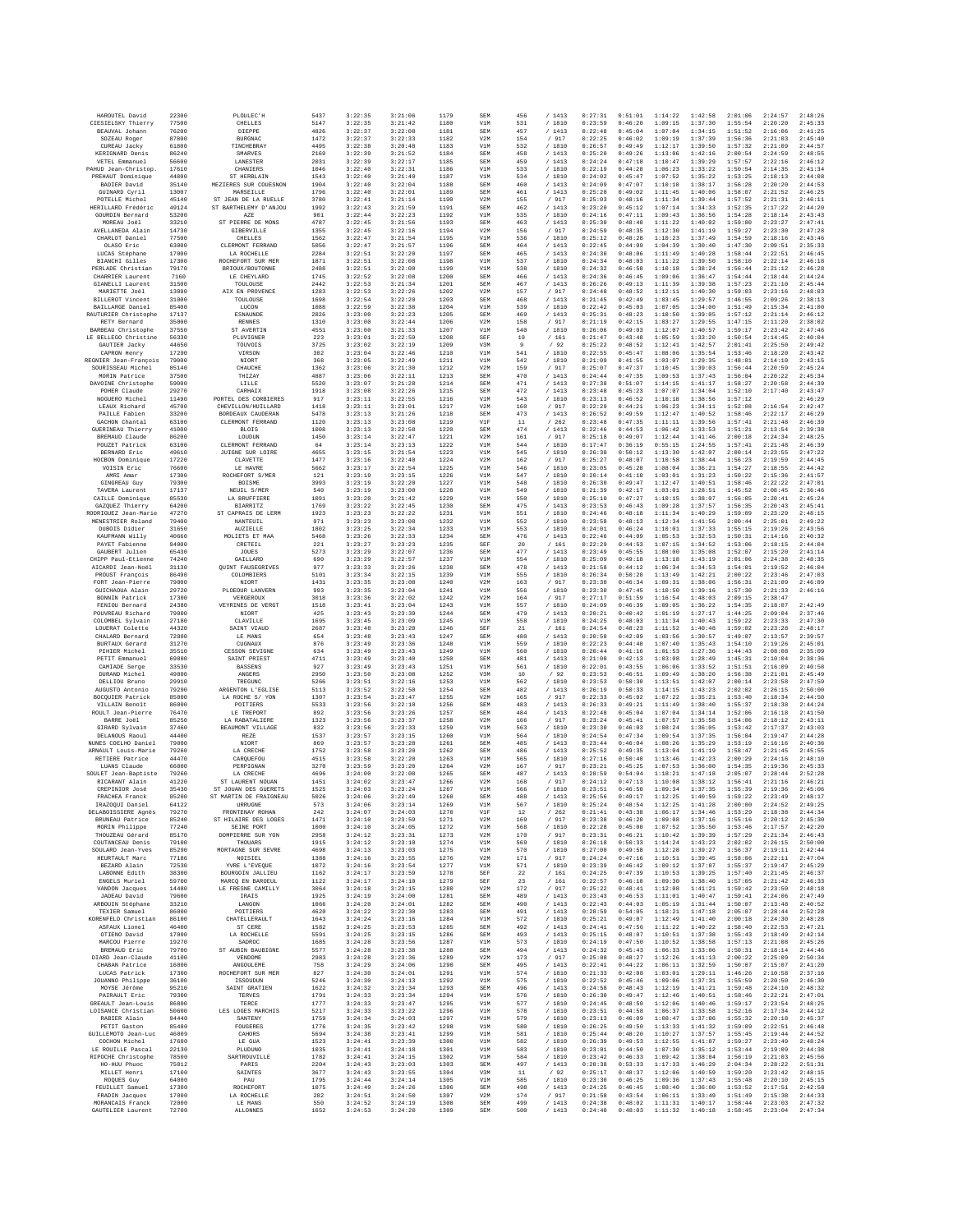| HAROUTEL David                              | 22300          | PLOULEC'H                                      | 5437         | 3:22:35            | 3:21:06            | 1179         | SEM               | 456           | /1413            | 0:27:31            | 0:51:01            | 1:14:22            | 1:42:58            | 2:01:06            | 2:24:57            | 2:48:26            |
|---------------------------------------------|----------------|------------------------------------------------|--------------|--------------------|--------------------|--------------|-------------------|---------------|------------------|--------------------|--------------------|--------------------|--------------------|--------------------|--------------------|--------------------|
| CIESIELSKY Thierry                          | 77500          | CHELLES                                        | 5147         | 3:22:35            | 3:21:42            | 1180         | V1M               | 531           | /1810<br>/1413   | 0:23:59            | 0:46:20            | 1:09:15            | 1:37:30            | 1:55:54            | 2:20:20            | 2:45:33            |
| BEAUVAL Johann<br>SOZEAU Roger              | 76200<br>87800 | DIEPPE<br>BURGNAC                              | 4826<br>1472 | 3:22:37<br>3:22:37 | 3:22:08<br>3:22:33 | 1181<br>1182 | SEM<br>V2M        | 457<br>154    | / 917            | 0:22:48<br>0:22:25 | 0:45:04<br>0:46:02 | 1:07:04<br>1:09:19 | 1:34:15<br>1:37:39 | 1:51:52<br>1:56:36 | 2:16:06<br>2:21:03 | 2:41:25<br>2:45:40 |
| CUREAU Jacky                                | 61800          | TINCHEBRAY                                     | 4495         | 3:22:38            | 3:20:48            | 1183         | V1M               | 532           | / 1810           | 0:26:57            | 0:49:49            | 1:12:17            | 1:39:50            | 1:57:32            | 2:21:09            | 2:44:57            |
| KERIGNARD Denis                             | 86240          | SMARVES                                        | 2169         | 3:22:39<br>3:22:39 | 3:21:52<br>3:22:17 | 1184         | SEM               | 458           | /1413            | 0:25:20            | 0:49:26<br>0:47:18 | 1:13:06<br>1:10:47 | 1:42:16            | 2:00:54<br>1:57:57 | 2:24:59<br>2:22:16 | 2:48:55<br>2:46:12 |
| VETEL Emmanuel<br>PAHUD Jean-Christop       | 56600<br>17610 | LANESTER<br>CHANIERS                           | 2031<br>1046 | 3:22:40            | 3:22:31            | 1185<br>1186 | SEM<br>V1M        | 459<br>533    | / 1413<br>/ 1810 | 0:24:24<br>0:22:19 | 0:44:28            | 1:06:23            | 1:39:29<br>1:33:22 | 1:50:54            | 2:14:35            | 2:41:34            |
| PREHAUT Dominique                           | 44800          | ST HERBLAIN                                    | 1543         | 3:22:40            | 3:21:40            | 1187         | V1M               | 534           | / 1810           | 0:24:02            | 0:45:47            | 1:07:52            | 1:35:22            | 1:53:25            | 2:18:13            | 2:44:08            |
| BADIER David<br>GUINARD Cyril               | 35140<br>13007 | MEZIERES SUR COUESNON<br>MARSEILLE             | 1904<br>1796 | 3:22:40<br>3:22:40 | 3:22:04<br>3:22:01 | 1188<br>1189 | SEM<br>SEM        | 460<br>461    | /1413<br>/1413   | 0:24:09<br>0:25:28 | 0:47:07<br>0:49:02 | 1:10:10<br>1:11:45 | 1:38:17<br>1:40:06 | 1:56:28<br>1:58:07 | 2:20:20<br>2:21:52 | 2:44:53<br>2:46:25 |
| POTELLE Michel                              | 45140          | ST JEAN DE LA RUELLE                           | 3780         | 3:22:41            | 3:21:14            | 1190         | V2M               | 155           | / 917            | 0:25:03            | 0:48:16            | 1:11:34            | 1:39:44            | 1:57:52            | 2:21:31            | 2:46:11            |
| HERILLARD Frédéric                          | 49124          | ST BARTHELEMY D'ANJOU                          | 1992         | 3:22:43            | 3:21:59            | 1191         | SEM               | 462           | /1413            | 0:23:20            | 0:45:12            | 1:07:14            | 1:34:33            | 1:52:35            | 2:17:22            | 2:44:20            |
| GOURDIN Bernard<br>MOREAU Joël              | 53200<br>33210 | AZE<br>ST PIERRE DE MONS                       | 901<br>4787  | 3:22:44<br>3:22:45 | 3:22:23<br>3:21:56 | 1192<br>1193 | V1M<br>SEM        | 535<br>463    | / 1810<br>/1413  | 0:24:16<br>0:25:30 | 0:47:11<br>0:48:40 | 1:09:43<br>1:11:22 | 1:36:56<br>1:40:02 | 1:54:28<br>1:59:00 | 2:18:14<br>2:23:27 | 2:43:43<br>2:47:41 |
| AVELLANEDA Alain                            | 14730          | GIBERVILLE                                     | 1355         | 3:22:45            | 3:22:16            | 1194         | V2M               | 156           | / 917            | 0:24:59            | 0:48:35            | 1:12:30            | 1:41:19            | 1:59:27            | 2:23:30            | 2:47:28            |
| CHARLOT Daniel                              | 77500          | CHELLES                                        | 1562         | 3:22:47            | 3:21:54            | 1195         | V1M               | 536           | / 1810           | 0:25:12            | 0:48:28            | 1:10:23            | 1:37:49            | 1:54:59            | 2:18:16            | 2:43:46            |
| OLASO Eric<br>LUCAS Stéphane                | 63000<br>17000 | CLERMONT FERRAND<br>LA ROCHELLE                | 5056<br>2284 | 3:22:47<br>3:22:51 | 3:21:57<br>3:22:20 | 1196<br>1197 | SEM<br>SEM        | 464<br>465    | / 1413<br>/1413  | 0:22:45<br>0:24:30 | 0:44:09<br>0:48:06 | 1:04:39<br>1:11:49 | 1:30:40<br>1:40:28 | 1:47:30<br>1:58:44 | 2:09:51<br>2:22:51 | 2:35:33<br>2:46:45 |
| <b>BIANCHI Gilles</b>                       | 17300          | ROCHEFORT SUR MER                              | 1871         | 3:22:51            | 3:22:08            | 1198         | V1M               | 537           | / 1810           | 0:24:34            | 0:48:03            | 1:11:22            | 1:39:50            | 1:58:10            | 2:22:14            | 2:46:18            |
| PERLADE Christian                           | 79170<br>7160  | BRIOUX/BOUTONNE<br>LE CHEYLARD                 | 2488<br>1745 | 3:22:51<br>3:22:52 | 3:22:00<br>3:22:08 | 1199<br>1200 | V1M<br>SEM        | 538<br>466    | /1810<br>/1413   | 0:24:32<br>0:24:36 | 0:46:58<br>0:46:45 | 1:10:18<br>1:09:06 | 1:38:24<br>1:36:47 | 1:56:44<br>1:54:44 | 2:21:12<br>2:18:44 | 2:46:28<br>2:44:24 |
| CHARRIER Laurent<br><b>GIANELLI</b> Laurent | 31500          | TOULOUSE                                       | 2442         | 3:22:53            | 3:21:34            | 1201         | SEM               | 467           | /1413            | 0:26:26            | 0:49:13            | 1:11:39            | 1:39:38            | 1:57:23            | 2:21:10            | 2:45:44            |
| MARIETTE Joël                               | 13090          | ATX EN PROVENCE                                | 1283         | 3:22:53            | 3:22:26            | 1202         | V2M               | 157           | /917             | 0:24:48            | 0:48:52            | 1:12:11            | 1:40:30            | 1:59:03            | 2:23:16            | 2:48:03            |
| <b>BILLEROT Vincent</b><br>BAILLARGE Daniel | 31000<br>85400 | TOULOUSE<br>LUCON                              | 1698<br>1088 | 3:22:54<br>3:22:59 | 3:22:20<br>3:22:38 | 1203<br>1204 | SEM<br>V1M        | 468<br>539    | /1413<br>/ 1810  | 0:21:45<br>0:22:42 | 0:42:49<br>0:45:03 | 1:03:45<br>1:07:05 | 1:29:57<br>1:34:00 | 1:46:55<br>1:51:49 | 2:09:26<br>2:15:34 | 2:38:13<br>2:41:00 |
| RAUTURIER Christophe                        | 17137          | ESNAUNDE                                       | 2026         | 3:23:00            | 3:22:23            | 1205         | SEM               | 469           | /1413            | 0:25:31            | 0:48:23            | 1:10:50            | 1:39:05            | 1:57:12            | 2:21:14            | 2:46:12            |
| RETY Bernard                                | 35000          | <b>RENNES</b>                                  | 1310         | 3:23:00            | 3:22:44            | 1206         | V2M               | 158           | /917             | 0:21:19            | 0:42:15            | 1:03:27            | 1:29:55            | 1:47:15            | 2:11:20            | 2:38:02            |
| BARBEAU Christophe<br>LE BELLEGO Christine  | 37550<br>56330 | ST AVERTIN<br>PLUVIGNEE                        | 4551<br>223  | 3:23:00<br>3:23:01 | 3:21:33<br>3:22:59 | 1207<br>1208 | V1M<br>SEF        | 540<br>19     | / 1810<br>/161   | 0:26:06<br>0:21:47 | 0:49:03<br>0:43:48 | 1:12:07<br>1:05:59 | 1:40:57<br>1:33:20 | 1:59:17<br>1:50:54 | 2:23:42<br>2:14:45 | 2:47:46<br>2:40:04 |
| GAUTIER Jacky                               | 44650          | TOUVOIS                                        | 3725         | 3:23:02            | 3:22:19            | 1209         | V3M               | $\mathbf{Q}$  | /92              | 0:25:22            | 0:48:52            | 1:12:41            | 1:42:57            | 2:01:41            | 2:25:50            | 2:49:42            |
| CAPRON Henry<br>REGNIER Jean-François       | 17290<br>79000 | VIRSON<br>NIORT                                | 302<br>368   | 3:23:04<br>3:23:05 | 3:22:46<br>3:22:49 | 1210<br>1211 | V1M<br>V1M        | 541<br>542    | / 1810<br>/ 1810 | 0:22:55<br>0:21:09 | 0:45:47<br>0:41:55 | 1:08:06<br>1:03:07 | 1:35:54<br>1:29:35 | 1:53:46<br>1:48:01 | 2:18:20<br>2:14:10 | 2:43:42<br>2:43:15 |
| SOURISSEAU Michel                           | 85140          | CHAUCHE                                        | 1362         | 3:23:06            | 3:21:30            | 1212         | V2M               | 159           | / 917            | 0:25:07            | 0:47:37            | 1:10:45            | 1:39:03            | 1:56:44            | 2:20:59            | 2:45:24            |
| MORIN Patrice                               | 37500          | THIZAY                                         | 4887         | 3:23:06            | 3:22:11            | 1213         | SEM               | 470           | /1413            | 0:24:44            | 0:47:35            | 1:09:53            | 1:37:43            | 1:56:04            | 2:20:22            | 2:45:34            |
| DAVOINE Christophe<br>POHER Claude          | 59000<br>29270 | LILLE<br>CARHAIX                               | 5520<br>1918 | 3:23:07<br>3:23:08 | 3:21:28<br>3:22:26 | 1214<br>1215 | SEM<br>SEM        | 471<br>472    | /1413<br>/1413   | 0:27:38<br>0:23:48 | 0:51:07<br>0:45:23 | 1:14:15<br>1:07:07 | 1:41:17<br>1:34:04 | 1:58:27<br>1:52:10 | 2:20:58<br>2:17:40 | 2:44:39<br>2:43:47 |
| NOGUERO Michel                              | 11490          | PORTEL DES CORBIERES                           | 917          | 3:23:11            | 3:22:55            | 1216         | V1M               | 543           | / 1810           | 0:23:13            | 0:46:52            | 1:10:18            | 1:38:56            | 1:57:12            |                    | 2:46:29            |
| LEAUX Richard                               | 45700          | CHEVILLON/HUILLARD                             | 1418         | 3:23:11            | 3:23:01            | 1217         | V2M               | 160           | /917             | 0:22:29            | 0:44:21            | 1:06:23            | 1:34:11            | 1:52:08            | 2:16:54            | 2:42:47            |
| PAILLE Fabien<br>GACHON Chantal             | 33200<br>63100 | BORDEAUX CAUDERAN<br>CLERMONT FERRAND          | 5478<br>1120 | 3:23:13<br>3:23:13 | 3:21:26<br>3:23:08 | 1218<br>1219 | SEM<br>V1F        | 473<br>$11\,$ | /1413<br>/262    | 0:26:52<br>0:23:48 | 0:49:59<br>0:47:35 | 1:12:47<br>1:11:11 | 1:40:52<br>1:39:56 | 1:58:46<br>1:57:41 | 2:22:17<br>2:21:48 | 2:46:29<br>2:46:39 |
| <b>GUERINEAU Thierry</b>                    | 41000          | <b>BLOIS</b>                                   | 1008         | 3:23:13            | 3:22:58            | 1220         | SEM               | 474           | /1413            | 0:22:46            | 0:44:53            | 1:06:42            | 1:33:53            | 1:51:21            | 2:13:54            | 2:39:38            |
| BREMAUD Claude                              | 86200          | LOUDUN                                         | 1450         | 3:23:14            | 3:22:47            | 1221         | V2M               | 161           | $/$ 917          | 0:25:18            | 0:49:07            | 1:12:44            | 1:41:46            | 2:00:18            | 2:24:34            | 2:48:25            |
| POUZET Patrick<br>BERNARD Eric              | 63100<br>49610 | CLERMONT FERRAND<br>JUIGNE SUR LOIRE           | 64<br>4655   | 3:23:14<br>3:23:15 | 3:23:13<br>3:21:54 | 1222<br>1223 | V1M<br>V1M        | 544<br>545    | / 1810<br>/ 1810 | 0:17:47<br>0:26:30 | 0:36:19<br>0:50:12 | 0:55:15<br>1:13:30 | 1:24:55<br>1:42:07 | 1:57:41<br>2:00:14 | 2:21:48<br>2:23:55 | 2:46:39<br>2:47:22 |
| HOCBON Dominique                            | 17220          | CLAVETTE                                       | 1477         | 3:23:16            | 3:22:40            | 1224         | V2M               | 162           | /917             | 0:25:27            | 0:48:07            | 1:10:58            | 1:38:44            | 1:56:23            | 2:19:59            | 2:44:45            |
| VOISIN Eric                                 | 76600          | LE HAVRE                                       | 5662<br>121  | 3:23:17            | 3:22:54            | 1225<br>1226 | V1M               | 546           | / 1810           | 0:23:05            | 0:45:28            | 1:08:04            | 1:36:21            | 1:54:27            | 2:18:55            | 2:44:42<br>2:41:57 |
| AMRI Amar<br>GINGREAU Guy                   | 17300<br>79300 | ROCHEFORT S/MER<br><b>BOISME</b>               | 3993         | 3:23:19<br>3:23:19 | 3:23:15<br>3:22:20 | 1227         | V1M<br>V1M        | 547<br>548    | / 1810<br>/ 1810 | 0:20:14<br>0:26:30 | 0:41:10<br>0:49:47 | 1:03:01<br>1:12:47 | 1:31:23<br>1:40:51 | 1:50:22<br>1:58:46 | 2:15:36<br>2:22:22 | 2:47:01            |
| TAVERA Laurent                              | 17137          | NEUIL S/MER                                    | 540          | 3:23:19            | 3:23:00            | 1228         | V1M               | 549           | / 1810           | 0:21:39            | 0:42:17            | 1:03:01            | 1:28:51            | 1:45:52            | 2:08:45            | 2:36:46            |
| CAILLE Dominique<br>GAZQUEZ Thierry         | 85530<br>64200 | LA BRUFFIERE<br><b>BIARRITZ</b>                | 1091<br>1769 | 3:23:20<br>3:23:22 | 3:21:42<br>3:22:45 | 1229<br>1230 | V1M<br>SEM        | 550<br>475    | / 1810<br>/1413  | 0:25:10<br>0:23:53 | 0:47:27<br>0:46:43 | 1:10:15<br>1:09:28 | 1:38:07<br>1:37:57 | 1:56:05<br>1:56:35 | 2:20:41<br>2:20:43 | 2:45:24<br>2:45:41 |
| RODRIGUEZ Jean-Marie                        | 47270          | ST CAPRAIS DE LERM                             | 1923         | 3:23:23            | 3:22:22            | 1231         | V1M               | 551           | / 1810           | 0:24:46            | 0:48:18            | 1:11:34            | 1:40:29            | 1:59:09            | 2:23:29            | 2:48:15            |
| MENESTRIER Roland                           | 79400          | NANTEUIL                                       | 971          | 3:23:23            | 3:23:08            | 1232         | V1M               | 552           | / 1810           | 0:23:58            | 0:48:13            | 1:12:34            | 1:41:56            | 2:00:44            | 2:25:01            | 2:49:22            |
| DUBOIS Didier<br>KAUFMANN Willy             | 31650<br>40660 | <b>AUZIELLE</b><br>MOLIETS ET MAA              | 1802<br>5468 | 3:23:25<br>3:23:26 | 3:22:34<br>3:22:33 | 1233<br>1234 | V1M<br>SEM        | 553<br>476    | / 1810<br>/1413  | 0:24:01<br>0:22:46 | 0:46:24<br>0:44:09 | 1:10:01<br>1:05:53 | 1:37:33<br>1:32:53 | 1:55:15<br>1:50:31 | 2:19:26<br>2:14:16 | 2:43:56<br>2:40:32 |
| PAYET Fabienne                              | 94000          | CRETEIL                                        | 221          | 3:23:27            | 3:23:23            | 1235         | SEF               | 20            | / 161            | 0:22:29            | 0:44:53            | 1:07:15            | 1:34:52            | 1:53:06            | 2:18:15            | 2:44:04            |
| GAUBERT Julien                              | 65430          | JOUES                                          | 5273         | 3:23:29            | 3:22:07            | 1236         | SEM               | 477           | /1413            | 0:23:49            | 0:45:55            | 1:08:00            | 1:35:08            | 1:52:07            | 2:15:20            | 2:41:14            |
| CHIPP Paul-Etienne<br>AICARDI Jean-Noël     | 74240<br>31130 | GAILLARD<br><b>OUINT FAUSEGRIVES</b>           | 690<br>977   | 3:23:29<br>3:23:33 | 3:22:57<br>3:23:26 | 1237<br>1238 | V1M<br>SEM        | 554<br>478    | / 1810<br>/1413  | 0:25:09<br>0:21:58 | 0:49:18<br>0:44:12 | 1:13:18<br>1:06:34 | 1:43:19<br>1:34:53 | 2:01:06<br>1:54:01 | 2:24:38<br>2:19:52 | 2:48:35<br>2:46:04 |
| PROUST François                             | 86490          | COLOMBIERS                                     | 5101         | 3:23:34            | 3:22:15            | 1239         | V1M               | 555           | / 1810           | 0:26:34            | 0:50:20            | 1:13:49            | 1:42:21            | 2:00:22            | 2:23:46            | 2:47:03            |
| FORT Jean-Pierre                            | 79000          | NIORT                                          | 1431         | 3:23:35            | 3:23:08            | 1240         | V2M               | 163           | / 917            | 0:23:30            | 0:46:34            | 1:09:31            | 1:38:06            | 1:56:31            | 2:21:09            | 2:46:09            |
| GUICHAOUA Alain<br>BONNIN Patrick           | 29720<br>17300 | PLOEOUR LANVERN<br>VERGEROUX                   | 993<br>3018  | 3:23:35<br>3:23:36 | 3:23:04<br>3:22:02 | 1241<br>1242 | V1M<br>V2M        | 556<br>164    | / 1810<br>/ 917  | 0:23:30<br>0:27:17 | 0:47:45<br>0:51:59 | 1:10:50<br>1:16:54 | 1:39:16<br>1:48:03 | 1:57:30<br>2:09:15 | 2:21:33<br>2:38:47 | 2:46:16            |
| FENIOU Bernard                              | 24380          | VEYRINES DE VERGI                              | 1518         | 3:23:41            | 3:23:04            | 1243         | V1M               | 557           | / 1810           | 0:24:09            | 0:46:39            | 1:09:05            | 1:36:22            | 1:54:35            | 2:18:07            | 2:42:49            |
| POUVREAU Richard<br>COLOMBEL Svlvain        | 79000<br>27180 | NIORT<br>CLAVILLE                              | 425<br>1695  | 3:23:43<br>3:23:45 | 3:23:39<br>3:23:09 | 1244<br>1245 | SEM<br>V1M        | 479<br>558    | /1413<br>/ 1810  | 0:20:21<br>0:24:25 | 0:40:42<br>0:48:03 | 1:01:19<br>1:11:34 | 1:27:17<br>1:40:43 | 1:44:25<br>1:59:22 | 2:09:04<br>2:23:33 | 2:37:46<br>2:47:30 |
| LOUERAT Colette                             | 44320          | SAINT VIAUD                                    | 2687         | 3:23:48            | 3:23:20            | 1246         | SEF               | 21            | /161             | 0:24:54            | 0:48:23            | 1:11:52            | 1:40:48            | 1:59:02            | 2:23:28            | 2:48:17            |
| CHALARD Bernard                             | 72000          | LE MANS                                        | 654          | 3:23:48            | 3:23:43            | 1247         | SEM               | 480           | /1413            | 0:20:58            | 0:42:09            | 1:03:56            | 1:30:57            | 1:49:07            | 2:13:57            | 2:39:57            |
| BURTAUX Gérard<br>PIHIER Michel             | 31270<br>35510 | CUGNAUX<br><b>CESSON SEVIGNE</b>               | 876<br>634   | 3:23:49<br>3:23:49 | 3:23:36<br>3:23:43 | 1248<br>1249 | V1M<br>V1M        | 559<br>560    | / 1810<br>/1810  | 0:22:23<br>0:20:44 | 0:44:48<br>0:41:16 | 1:07:40<br>1:01:53 | 1:35:43<br>1:27:36 | 1:54:10<br>1:44:43 | 2:19:26<br>2:08:08 | 2:45:01<br>2:35:09 |
| PETIT Emmanuel                              | 69800          | SAINT PRIEST                                   | 4711         | 3:23:49            | 3:23:40            | 1250         | SEM               | 481           | /1413            | 0:21:08            | 0:42:13            | 1:03:08            | 1:28:49            | 1:45:31            | 2:10:04            | 2:38:36            |
| CAMIADE Serge                               | 33530          | <b>BASSENS</b>                                 | 927          | 3:23:49            | 3:23:43            | 1251         | V1M               | 561           | / 1810           | 0:22:01            | 0:43:55            | 1:06:06            | 1:33:52            | 1:51:51            | 2:16:09            | 2:40:58            |
| DURAND Michel<br>DELLIOU Bruno              | 49000<br>29910 | ANGERS<br>TREGUNC                              | 2950<br>5266 | 3:23:50<br>3:23:51 | 3:23:08<br>3:22:16 | 1252<br>1253 | V3M<br>V1M        | 10<br>562     | /92<br>/ 1810    | 0:23:53<br>0:23:53 | 0:46:51<br>0:50:30 | 1:09:49<br>1:13:51 | 1:38:20<br>1:42:07 | 1:56:38<br>2:00:14 | 2:21:01<br>2:23:58 | 2:45:49<br>2:47:59 |
| AUGUSTO Antonio                             | 79290          | ARGENTON L'EGLISE                              | 5113         | 3:23:52            | 3:22:50            | 1254         | SEM               | 482           | /1413            | 0:26:19            | 0:50:33            | 1:14:15            | 1:43:23            | 2:02:02            | 2:26:15            | 2:50:00            |
| BOCQUIER Patrick                            | 85000          | LA ROCHE S/ YON                                | 1307         | 3:23:54            | 3:23:47            | 1255         | V2M               | 165           | / 917            | 0:22:33            | 0:45:02            | 1:07:22            | 1:35:21            | 1:53:40            | 2:18:34            | 2:44:50            |
| VILLAIN Benoît<br>ROULT Jean-Pierre         | 86000<br>76470 | POITIERS<br>LE TREPORT                         | 5533<br>892  | 3:23:56<br>3:23:56 | 3:22:10<br>3:23:26 | 1256<br>1257 | SEM<br>SEM        | 483<br>484    | /1413<br>/ 1413  | 0:26:33<br>0:22:48 | 0:49:21<br>0:45:04 | 1:11:49<br>1:07:04 | 1:38:40<br>1:34:14 | 1:55:37<br>1:52:06 | 2:18:38<br>2:16:18 | 2:44:24<br>2:41:50 |
| BARRE Joël                                  | 85250          | LA RABATALIERE                                 | 1323         | 3:23:56            | 3:23:37            | 1258         | V2M               | 166           | / 917            | 0:23:24            | 0:45:41            | 1:07:57            | 1:35:58            | 1:54:06            | 2:18:12            | 2:43:11            |
| GIRARD Sylvain                              | 37460<br>44400 | BEAUMONT VILLAGE                               | 832          | 3:23:56            | 3:23:33            | 1259         | V1M               | 563           | /1810            | 0:23:30            | 0:46:03            | 1:08:24            | 1:36:05            | 1:53:42            | 2:17:37            | 2:43:03            |
| DELANOUS Raoul<br>NUNES COELHO Daniel       | 79000          | REZE<br>NIOR <sub>1</sub>                      | 1537<br>869  | 3:23:57<br>3:23:57 | 3:23:15<br>3:23:28 | 1260<br>1261 | V1M<br>SEM        | 564<br>485    | / 1810<br>/1413  | 0:24:54<br>0:23:44 | 0:47:34<br>0:46:04 | 1:09:54<br>1:08:26 | 1:37:35<br>1:35:29 | 1:56:04<br>1:53:19 | 2:19:47<br>2:16:16 | 2:44:28<br>2:40:36 |
| ARNAULT Louis-Marie                         | 79260          | LA CRECHE                                      | 1752         | 3:23:58            | 3:23:20            | 1262         | SEM               | 486           | /1413            | 0:25:52            | 0:49:35            | 1:13:04            | 1:41:19            | 1:58:47            | 2:21:45            | 2:45:55            |
| RETIERE Patrice<br>LUANS Claude             | 44470<br>66000 | CAROUEFOU<br>PERPIGNAN                         | 4515<br>3270 | 3:23:58<br>3:23:59 | 3:22:20<br>3:23:20 | 1263<br>1264 | V1M<br>V2M        | 565<br>167    | / 1810<br>/ 917  | 0:27:16<br>0:23:21 | 0:50:40<br>0:45:25 | 1:13:46<br>1:07:53 | 1:42:23<br>1:36:00 | 2:00:29<br>1:54:35 | 2:24:16<br>2:19:36 | 2:48:10<br>2:45:33 |
| SOULET Jean-Baptiste                        | 79260          | LA CRECHE                                      | 4696         | 3:24:00            | 3:22:08            | 1265         | SEM               | 487           | /1413            | 0:28:59            | 0:54:04            | 1:18:21            | 1:47:18            | 2:05:07            | 2:28:44            | 2:52:28            |
| RICARANT Alain                              | 41220          | ST LAURENT NOUAN                               | 1451         | 3:24:02            | 3:23:47            | 1266         | V2M               | 168           | / 917            | 0:24:12            | 0:47:13            | 1:10:08            | 1:38:12            | 1:56:41            | 2:21:16            | 2:46:21            |
| CREPINIOR José<br>FRACHEA Franck            | 35430<br>85200 | ST JOHAN DES GUERETS<br>ST MARTIN DE FRAIGNEAU | 1525<br>5026 | 3:24:03<br>3:24:06 | 3:23:24<br>3:22:49 | 1267<br>1268 | V1M<br>SEM        | 566<br>488    | / 1810<br>/1413  | 0:23:51<br>0:25:56 | 0:46:50<br>0:49:17 | 1:09:34<br>1:12:25 | 1:37:35<br>1:40:59 | 1:55:39<br>1:59:22 | 2:19:36<br>2:23:49 | 2:45:06<br>2:48:17 |
| IRAZOOUI Daniel                             | 64122          | URRUGNE                                        | 573          | 3:24:06            | 3:23:14            | 1269         | V1M               | 567           | / 1810           | 0:25:24            | 0:48:54            | 1:12:25            | 1:41:28            | 2:00:00            | 2:24:52            | 2:49:25            |
| DELABOISSIERE Agnès                         | 79270          | FRONTENAY ROHAN                                | 242          | 3:24:07            | 3:24:03            | 1270         | VIF               | 12            | /262             | 0:21:41            | 0:43:38            | 1:06:17            | 1:34:46            | 1:53:29            | 2:18:38            | 2:44:34            |
| BRUNEAU Patrice<br>MORIN Philippe           | 85240<br>77240 | ST HILAIRE DES LOGES<br>SEINE PORT             | 1471<br>1000 | 3:24:10<br>3:24:10 | 3:23:59<br>3:24:05 | 1271<br>1272 | V2M<br>V1M        | 169<br>568    | / 917<br>/ 1810  | 0:23:38<br>0:22:28 | 0:46:20<br>0:45:00 | 1:09:08<br>1:07:52 | 1:37:16<br>1:35:50 | 1:55:16<br>1:53:46 | 2:20:12<br>2:17:57 | 2:45:30<br>2:42:20 |
| THOUZEAU Gérard                             | 85170          | DOMPIERRE SUR YON                              | 2958         | 3:24:12            | 3:23:31            | 1273         | V2M               | 170           | / 917            | 0:23:31            | 0:46:21            | 1:10:42            | 1:39:39            | 1:57:29            | 2:21:34            | 2:46:43            |
| COUTANCEAU Denis<br>SOULARD Jean-Yves       | 79100<br>85290 | THOUARS<br>MORTAGNE SUR SEVRE                  | 1915<br>4698 | 3:24:12<br>3:24:13 | 3:23:10<br>3:23:03 | 1274<br>1275 | V1M<br>V1M        | 569<br>570    | / 1810<br>/ 1810 | 0:26:18<br>0:27:00 | 0:50:33<br>0:49:58 | 1:14:24<br>1:12:28 | 1:43:23<br>1:39:27 | 2:02:02<br>1:56:37 | 2:26:15<br>2:19:11 | 2:50:00<br>2:42:44 |
| HEURTAULT Marc                              | 77186          | NOISIEL                                        | 1388         | 3:24:16            | 3:23:55            | 1276         | V2M               | 171           | / 917            | 0:24:24            | 0:47:16            | 1:10:51            | 1:39:45            | 1:58:06            | 2:22:11            | 2:47:04            |
| BEZARD Alain<br>LABONNE Edith               | 72530<br>38300 | YVRE L'EVEOUE                                  | 1072<br>1162 | 3:24:16<br>3:24:17 | 3:23:54<br>3:23:59 | 1277         | V1M<br>SEF        | 571<br>22     | / 1810           | 0:23:39<br>0:24:25 | 0:46:42<br>0:47:39 | 1:09:12<br>1:10:53 | 1:37:07<br>1:39:25 | 1:55:37<br>1:57:40 | 2:19:47<br>2:21:45 | 2:45:29<br>2:46:37 |
| ENGELS Muriel                               | 59700          | BOURGOIN JALLIEU<br>MARCQ EN BAROEUL           | 1122         | 3:24:17            | 3:24:10            | 1278<br>1279 | SEF               | 23            | / 161<br>/161    | 0:22:57            | 0:46:10            | 1:09:30            | 1:38:40            | 1:57:05            | 2:21:42            | 2:46:33            |
| VANDON Jacques                              | 14480          | LE FRESNE CAMILLY                              | 3064         | 3:24:18            | 3:23:15            | 1280         | V2M               | 172           | / 917            | 0:25:22            | 0:48:41            | 1:12:08            | 1:41:21            | 1:59:42            | 2:23:50            | 2:48:18            |
| JADEAU David<br>ARBOUIN Stéphane            | 79600<br>33210 | <b>IRAIS</b><br>LANGON                         | 1925<br>1066 | 3:24:19<br>3:24:20 | 3:24:00<br>3:24:01 | 1281<br>1282 | <b>SEM</b><br>SEM | 489<br>490    | /1413<br>/ 1413  | 0:23:43<br>0:22:43 | 0:46:53<br>0:44:03 | 1:11:01<br>1:05:19 | 1:40:47<br>1:31:44 | 1:59:41<br>1:50:07 | 2:24:06<br>2:13:48 | 2:47:49<br>2:40:52 |
| TEXIER Samuel                               | 86000          | POITIERS                                       | 4620         | 3:24:22            | 3:22:30            | 1283         | SEM               | 491           | /1413            | 0:28:59            | 0:54:05            | 1:18:21            | 1:47:18            | 2:05:07            | 2:28:44            | 2:52:28            |
| KORENFELD Christian                         | 86100          | CHATELLERAULT                                  | 1643         | 3:24:24            | 3:23:16            | 1284         | V1M               | 572           | /1810            | 0:25:21            | 0:49:07            | 1:12:49            | 1:41:40            | 2:00:18            | 2:24:30            | 2:48:28            |
| ASFAUX Lionel<br>OTIENO David               | 46400<br>17000 | ST CERE<br>LA ROCHELLE                         | 1582<br>5591 | 3:24:25<br>3:24:25 | 3:23:53<br>3:23:15 | 1285<br>1286 | <b>SEM</b><br>SEM | 492<br>493    | / 1413<br>/1413  | 0:24:41<br>0:25:15 | 0:47:56<br>0:48:07 | 1:11:22<br>1:10:51 | 1:40:22<br>1:37:38 | 1:58:40<br>1:55:43 | 2:22:53<br>2:18:49 | 2:47:21<br>2:42:14 |
| MARCOU Pierre                               | 19270          | SADROC                                         | 1685         | 3:24:28            | 3:23:56            | 1287         | V1M               | 573           | / 1810           | 0:24:19            | 0:47:50            | 1:10:52            | 1:38:58            | 1:57:13            | 2:21:08            | 2:45:26            |
| BREMAUD Eric<br>DIARD Jean-Claude           | 79700<br>41100 | ST AURIN BAURIGNE<br>VENDOME                   | 5577<br>2983 | 3:24:28<br>3:24:28 | 3:23:38<br>3:23:36 | 1288<br>1289 | <b>SEM</b><br>V2M | 494<br>173    | /1413<br>/ 917   | 0:24:32<br>0:25:08 | 0:45:43<br>0:48:27 | 1:06:33<br>1:12:26 | 1:33:06<br>1:41:13 | 1:50:31<br>2:00:22 | 2:18:14<br>2:25:09 | 2:44:46<br>2:50:34 |
| CHABAN Patrice                              | 16000          | ANGOULEME                                      | 758          | 3:24:29            | 3:24:06            | 1290         | SEM               | 495           | /1413            | 0:22:41            | 0:44:22            | 1:06:11            | 1:32:59            | 1:50:07            | 2:15:07            | 2:41:20            |
| LUCAS Patrick                               | 17300          | ROCHEFORT SUR MER                              | 827          | 3:24:30            | 3:24:01            | 1291         | V1M               | 574           | / 1810           | 0:21:33            | 0:42:08            | 1:03:01            | 1:29:11            | 1:46:26            | 2:10:58            | 2:37:16            |
| JOUANNO Philippe<br>MOYSE Jérôme            | 36100<br>95210 | ISSOUDUN<br>SAINT GRATIEN                      | 5246<br>1622 | 3:24:30<br>3:24:32 | 3:24:13<br>3:23:34 | 1292<br>1293 | V1M<br>SEM        | 575<br>496    | / 1810<br>/ 1413 | 0:22:52<br>0:24:58 | 0:45:46<br>0:48:43 | 1:09:06<br>1:12:19 | 1:37:31<br>1:41:21 | 1:55:59<br>1:59:48 | 2:20:50<br>2:24:10 | 2:46:30<br>2:48:32 |
| PAIRAULT Eric                               | 79300          | TERVES                                         | 1791         | 3:24:33            | 3:23:34            | 1294         | V1M               | 576           | / 1810           | 0:26:30            | 0:49:47            | 1:12:46            | 1:40:51            | 1:58:46            | 2:22:21            | 2:47:01            |
| GREAULT Jean-Louis                          | 86800          | TERCE                                          | 1777         | 3:24:33            | 3:23:47            | 1295         | V1M               | 577           | /1810            | 0:24:45            | 0:48:50            | 1:12:06            | 1:40:46            | 1:59:17            | 2:23:54            | 2:48:25            |
| LOISANCE Christian<br>RABIER Alain          | 50600<br>94440 | LES LOGES MARCHIS<br>SANTENY                   | 5217<br>1759 | 3:24:33<br>3:24:34 | 3:23:22<br>3:24:03 | 1296<br>1297 | V1M<br>V1M        | 578<br>579    | / 1810<br>/ 1810 | 0:23:51<br>0:23:13 | 0:44:58<br>0:46:09 | 1:06:37<br>1:08:47 | 1:33:58<br>1:37:06 | 1:52:16<br>1:55:32 | 2:17:34<br>2:20:18 | 2:44:12<br>2:45:37 |
| PETIT Gaston                                | 85480          | FOUGERES                                       | 1776         | 3:24:35            | 3:23:42            | 1298         | V1M               | 580           | / 1810           | 0:26:25            | 0:49:50            | 1:13:33            | 1:41:32            | 1:59:09            | 2:22:51            | 2:46:48            |
| GUILLEMOTO Jean-Luc                         | 46009          | CAHORS                                         | 5694         | 3:24:38            | 3:23:41            | 1299         | V1M               | 581           | / 1810           | 0:25:44            | 0:48:20            | 1:10:27            | 1:37:57            | 1:55:45            | 2:19:44            | 2:44:52            |
| COCHON Michel<br>LE ROUILLE Pascal          | 17600<br>22130 | LE GUA<br>PLUDUNO                              | 1523<br>1035 | 3:24:41<br>3:24:41 | 3:23:39<br>3:24:18 | 1300<br>1301 | V1M<br>V1M        | 582<br>583    | / 1810<br>/ 1810 | 0:26:39<br>0:23:01 | 0:49:53<br>0:44:50 | 1:12:55<br>1:07:30 | 1:41:07<br>1:35:12 | 1:59:27<br>1:53:44 | 2:23:49<br>2:19:09 | 2:48:24<br>2:44:38 |
| RIPOCHE Christophe                          | 78500          | SARTROUVILLE                                   | 1782         | 3:24:41            | 3:24:15            | 1302         | V1M               | 584           | / 1810           | 0:23:42            | 0:46:33            | 1:09:42            | 1:38:04            | 1:56:19            | 2:21:03            | 2:45:56            |
| HO-HUU Phuoc<br>MILLET Henri                | 75012<br>17100 | PARIS<br>SAINTES                               | 2204<br>3677 | 3:24:43<br>3:24:43 | 3:23:03<br>3:23:55 | 1303<br>1304 | SEM<br>V3M        | 497<br>11     | / 1413<br>/92    | 0:28:38<br>0:25:17 | 0:53:33<br>0:48:37 | 1:17:33<br>1:12:06 | 1:46:29<br>1:40:59 | 2:04:34<br>1:59:20 | 2:28:22<br>2:23:42 | 2:51:31<br>2:48:15 |
| ROQUES Guy                                  | 64000          | PAU                                            | 1795         | 3:24:44            | 3:24:14            | 1305         | V1M               | 585           | / 1810           | 0:23:30            | 0:46:25            | 1:09:36            | 1:37:43            | 1:55:48            | 2:20:10            | 2:45:15            |
| FEUILLET Samuel                             | 17300          | ROCHEFORT                                      | 1075         | 3:24:49            | 3:24:26            | 1306         | <b>SEM</b>        | 498           | /1413            | 0:24:25            | 0:46:45            | 1:08:40            | 1:36:00            | 1:53:52            | 2:17:51            | 2:42:58            |
| FRADIN Jacques<br>MORANCAIS Franck          | 17000<br>72000 | LA ROCHELLE<br>LE MANS                         | 282<br>550   | 3:24:51<br>3:24:52 | 3:24:50<br>3:24:19 | 1307<br>1308 | V2M<br>SEM        | 174<br>499    | / 917<br>/ 1413  | 0:21:58<br>0:24:38 | 0:43:54<br>0:48:02 | 1:06:11<br>1:11:31 | 1:33:49<br>1:40:17 | 1:51:49<br>1:58:44 | 2:15:38<br>2:23:03 | 2:44:33<br>2:47:32 |
| GAUTELIER Laurent                           | 72700          | ALLONNES                                       | 1652         | 3:24:53            | 3:24:20            | 1309         | SEM               | 500           | / 1413           | 0:24:40            | 0:48:03            | 1:11:32            | 1:40:18            | 1:58:45            | 2:23:04            | 2:47:34            |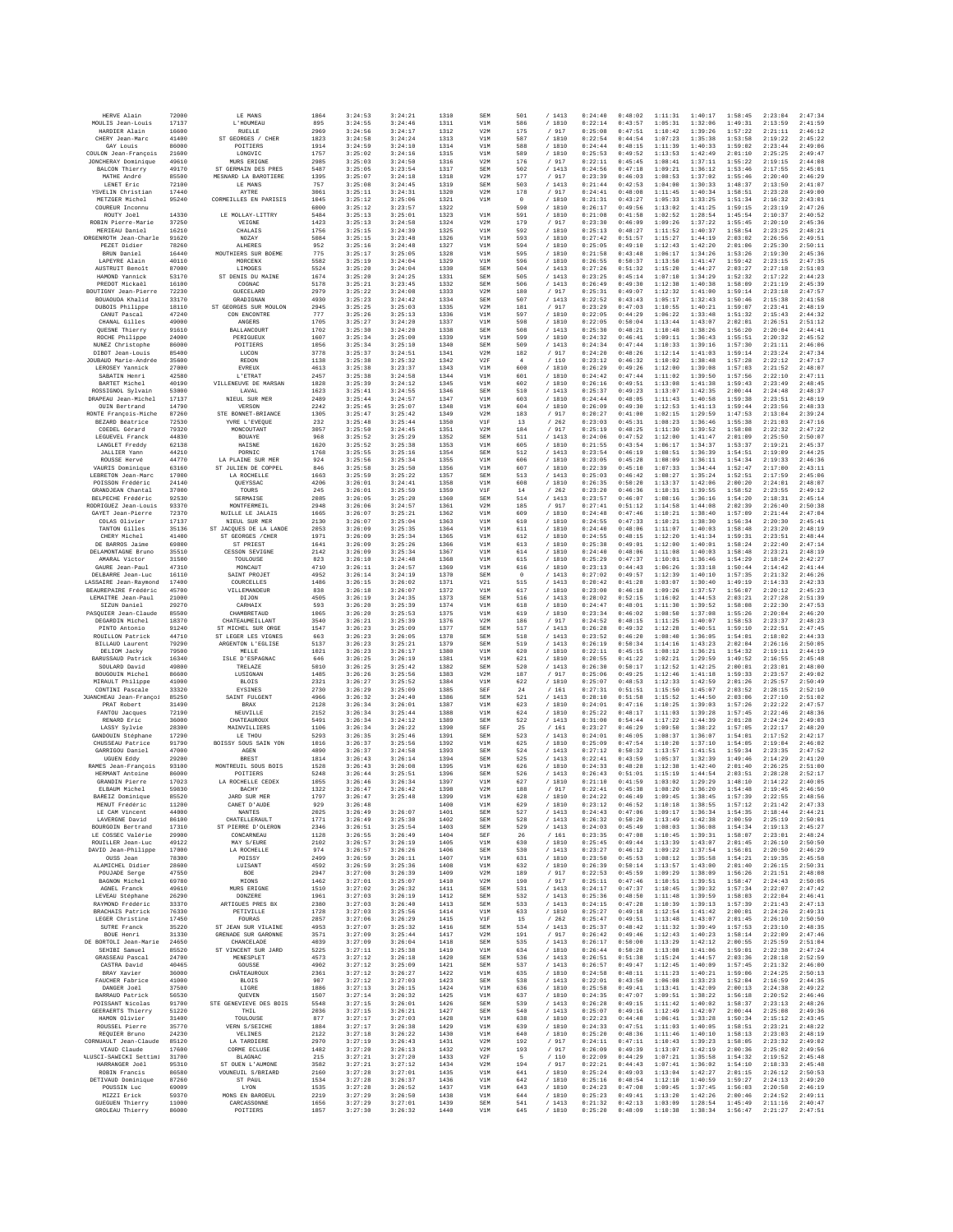| HERVE Alain                                  | 72000          | LE MANS                                     | 1864         | 3:24:53            | 3:24:21            | 1310         | SEM        | 501                  | /1413            | 0:24:40            | 0:48:02            | 1:11:31            | 1:40:17            | 1:58:45            | 2:23:04            | 2:47:34            |
|----------------------------------------------|----------------|---------------------------------------------|--------------|--------------------|--------------------|--------------|------------|----------------------|------------------|--------------------|--------------------|--------------------|--------------------|--------------------|--------------------|--------------------|
| MOULIS Jean-Louis                            | 17137          | L'HOUMEAU                                   | 895          | 3:24:55            | 3:24:46            | 1311         | V1M        | 586                  | /1810            | 0:22:14            | 0:43:57            | 1:05:31            | 1:32:06            | 1:49:31            | 2:13:59            | 2:41:59            |
| HARDIER Alain                                | 16600          | RUELLE                                      | 2969         | 3:24:56            | 3:24:17            | 1312         | V2M        | 175                  | 917              | 0:25:08<br>0:22:54 | 0:47:51            | 1:10:42            | 1:39:26            | 1:57:22            | 2:21:11            | 2:46:12            |
| CHERY Jean-Marc<br>GAY Louis                 | 41400<br>86000 | ST GEORGES / CHER<br>POITIERS               | 1823<br>1914 | 3:24:58<br>3:24:59 | 3:24:24<br>3:24:10 | 1313<br>1314 | V1M<br>V1M | 587<br>588           | /1810<br>/1810   | 0:24:44            | 0:44:54<br>0:48:15 | 1:07:23<br>1:11:39 | 1:35:38<br>1:40:33 | 1:53:58<br>1:59:02 | 2:19:22<br>2:23:44 | 2:45:22<br>2:49:06 |
| COULON Jean-François                         | 21600          | LONGVIC                                     | 1757         | 3:25:02            | 3:24:16            | 1315         | V1M        | 589                  | / 1810           | 0:25:53            | 0:49:52            | 1:13:53            | 1:42:49            | 2:01:10            | 2:25:25            | 2:49:47            |
| JONCHERAY Dominique                          | 49610          | MURS ERIGNE                                 | 2985         | 3:25:03            | 3:24:50            | 1316         | V2M        | 176                  | / 917            | 0:22:11            | 0:45:45            | 1:08:41            | 1:37:11            | 1:55:22            | 2:19:15            | 2:44:08            |
| BALCON Thierry                               | 49170          | ST GERMAIN DES PRES                         | 5487         | 3:25:05            | 3:23:54            | 1317         | SEM        | 502                  | /1413            | 0:24:56            | 0:47:18            | 1:09:21            | 1:36:12            | 1:53:46            | 2:17:55            | 2:45:01            |
| MATHE André                                  | 85500          | MESNARD LA BAROTIERE                        | 1395         | 3:25:07            | 3:24:18            | 1318         | V2M        | 177                  | / 917            | 0:23:39            | 0:46:03            | 1:08:53            | 1:37:02            | 1:55:46            | 2:20:40            | 2:46:29            |
| LENET Eric                                   | 72100          | LE MANS                                     | 757          | 3:25:08            | 3:24:45            | 1319         | SEM        | 503                  | /1413            | 0:21:44            | 0:42:53            | 1:04:00            | 1:30:33            | 1:48:37            | 2:13:50            | 2:41:07            |
| YSVELIN Christian<br>METZGER Michel          | 17440<br>95240 | AYTRE<br>CORMETILES EN PARTSIS              | 3061<br>1045 | 3:25:11<br>3:25:12 | 3:24:31<br>3:25:06 | 1320<br>1321 | V2M<br>V1M | 178<br>$\circ$       | 917<br>/1810     | 0:24:41<br>0:21:31 | 0:48:08<br>0:43:27 | 1:11:45<br>1:05:33 | 1:40:34<br>1:33:25 | 1:58:51<br>1:51:34 | 2:23:28<br>2:16:32 | 2:49:00<br>2:43:01 |
| COUREUR Inconnu                              |                |                                             | 6000         | 3:25:12            | 3:23:57            | 1322         |            | 590                  | /1810            | 0:26:17            | 0:49:56            | 1:13:02            | 1:41:25            | 1:59:15            | 2:23:19            | 2:47:26            |
| ROUTY Joel                                   | 14330          | LE MOLLAY-LITTRY                            | 5484         | 3:25:13            | 3:25:01            | 1323         | V1M        | 591                  | / 1810           | 0:21:08            | 0:41:58            | 1:02:52            | 1:28:54            | 1:45:54            | 2:10:37            | 2:40:52            |
| ROBIN Pierre-Marie                           | 37250          | VEIGNE                                      | 1423         | 3:25:13            | 3:24:58            | 1324         | V2M        | 179                  | /917             | 0:23:30            | 0:46:09            | 1:09:26            | 1:37:22            | 1:55:45            | 2:20:10            | 2:45:36            |
| MERIEAU Daniel                               | 16210          | CHALAIS                                     | 1756         | 3:25:15            | 3:24:39            | 1325         | V1M        | 592                  | / 1810           | 0:25:13            | 0:48:27            | 1:11:52            | 1:40:37            | 1:58:54            | 2:23:25            | 2:48:21            |
| ORGENROTH Jean-Charle                        | 91620          | NOZAY                                       | 5084         | 3:25:15            | 3:23:48            | 1326         | V1M        | 593                  | / 1810           | 0:27:42            | 0:51:57            | 1:15:27            | 1:44:19            | 2:03:02            | 2:26:56            | 2:49:51            |
| PEZET Didier                                 | 78260          | <b>ALHERES</b>                              | 952          | 3:25:16            | 3:24:48            | 1327         | V1M        | 594                  | / 1810           | 0:25:05            | 0:49:10            | 1:12:43            | 1:42:20            | 2:01:06            | 2:25:30            | 2:50:11            |
| BRUN Daniel<br>LAPEYRE Alain                 | 16440<br>40110 | MOUTHIERS SUR BOEME<br>MORCENX              | 775<br>5582  | 3:25:17<br>3:25:19 | 3:25:05<br>3:24:04 | 1328<br>1329 | V1M<br>V1M | 595<br>596           | /1810<br>/ 1810  | 0:21:58<br>0:26:55 | 0:43:48<br>0:50:37 | 1:06:17<br>1:13:50 | 1:34:26<br>1:41:47 | 1:53:26<br>1:59:42 | 2:19:30<br>2:23:15 | 2:45:36<br>2:47:35 |
| AUSTRUIT Benoît                              | 87000          | LIMOGES                                     | 5524         | 3:25:20            | 3:24:04            | 1330         | SEM        | 504                  | /1413            | 0:27:26            | 0:51:32            | 1:15:20            | 1:44:27            | 2:03:27            | 2:27:18            | 2:51:03            |
| HAMOND Yannick                               | 53170          | ST DENIS DU MAINE                           | 1674         | 3:25:20            | 3:24:25            | 1331         | SEM        | 505                  | /1413            | 0:23:25            | 0:45:14            | 1:07:10            | 1:34:29            | 1:52:32            | 2:17:22            | 2:44:23            |
| PREDOT Mickael                               | 16100          | COGNAC                                      | 5178         | 3:25:21            | 3:23:45            | 1332         | SEM        | 506                  | /1413            | 0:26:49            | 0:49:30            | 1:12:38            | 1:40:38            | 1:58:09            | 2:21:19            | 2:45:39            |
| BOUTIGNY Jean-Pierre                         | 72230          | GUECELARD                                   | 2979         | 3:25:22            | 3:24:08            | 1333         | V2M        | 180                  | / 917            | 0:25:31            | 0:49:07            | 1:12:32            | 1:41:00            | 1:59:14            | 2:23:18            | 2:47:57            |
| BOUAOUDA Khalid                              | 33170          | GRADIGNAN                                   | 4930         | 3:25:23            | 3:24:42            | 1334         | SEM        | 507                  | /1413            | 0:22:52            | 0:43:43            | 1:05:17            | 1:32:43            | 1:50:46            | 2:15:38            | 2:41:58            |
| DUBOIS Philippe                              | 18110<br>47240 | ST GEORGES SUR MOULON                       | 2945<br>777  | 3:25:25<br>3:25:26 | 3:25:03            | 1335<br>1336 | V2M<br>V1M | 181<br>597           | /917<br>/ 1810   | 0:23:29<br>0:22:05 | 0:47:03<br>0:44:29 | 1:10:55<br>1:06:22 | 1:40:21            | 1:59:07            | 2:23:41            | 2:48:19<br>2:44:32 |
| CANUT Pascal<br>CHANAL Gilles                | 49000          | CON ENCONTRE<br>ANGERS                      | 1705         | 3:25:27            | 3:25:13<br>3:24:20 | 1337         | V1M        | 598                  | / 1810           | 0:22:05            | 0:50:04            | 1:13:44            | 1:33:48<br>1:43:07 | 1:51:32<br>2:02:01 | 2:15:43<br>2:26:51 | 2:51:12            |
| QUESNE Thierry                               | 91610          | <b>BALLANCOURT</b>                          | 1702         | 3:25:30            | 3:24:20            | 1338         | SEM        | 508                  | /1413            | 0:25:30            | 0:48:21            | 1:10:48            | 1:38:26            | 1:56:20            | 2:20:04            | 2:44:41            |
| ROCHE Philippe                               | 24000          | PERIGUEUX                                   | 1607         | 3:25:34            | 3:25:00            | 1339         | V1M        | 599                  | /1810            | 0:24:32            | 0:46:41            | 1:09:11            | 1:36:43            | 1:55:51            | 2:20:32            | 2:45:52            |
| NUNEZ Christophe                             | 86000          | POITIERS                                    | 1056         | 3:25:34            | 3:25:10            | 1340         | SEM        | 509                  | /1413            | 0:24:34            | 0:47:44            | 1:10:33            | 1:39:16            | 1:57:30            | 2:21:11            | 2:46:06            |
| DIBOT Jean-Louis                             | 85400          | LUCON                                       | 3778         | 3:25:37            | 3:24:51            | 1341         | V2M        | 182                  | / 917            | 0:24:20            | 0:48:26            | 1:12:14            | 1:41:03            | 1:59:14            | 2:23:24            | 2:47:34            |
| JOUBAUD Marie-Andrée                         | 35600<br>27000 | REDON                                       | 1138         | 3:25:38            | 3:25:32            | 1342         | V2F<br>V1M | $\frac{4}{3}$<br>600 | /110             | 0:23:12<br>0:26:29 | 0:46:32<br>0:49:26 | 1:10:02<br>1:12:00 | 1:38:48            | 1:57:28<br>1:57:03 | 2:22:12<br>2:21:52 | 2:47:17<br>2:48:07 |
| LEROSEY Yannick<br>SABATIN Henri             | 42580          | EVREUX<br>L'ETRAT                           | 4613<br>2457 | 3:25:38<br>3:25:38 | 3:23:37<br>3:24:58 | 1343<br>1344 | V1M        | 601                  | / 1810<br>/ 1810 | 0:24:42            | 0:47:44            | 1:11:02            | 1:39:08<br>1:39:50 | 1:57:56            | 2:22:10            | 2:47:11            |
| BARTET Michel                                | 40190          | VILLENEUVE DE MARSAN                        | 1828         | 3:25:39            | 3:24:12            | 1345         | V1M        | 602                  | / 1810           | 0:26:16            | 0:49:51            | 1:13:08            | 1:41:38            | 1:59:43            | 2:23:49            | 2:48:45            |
| ROSSIGNOL Sylvain                            | 53000          | LAVAL                                       | 1623         | 3:25:41            | 3:24:55            | 1346         | SEM        | 510                  | /1413            | 0:25:37            | 0:49:23            | 1:13:07            | 1:42:35            | 2:00:44            | 2:24:48            | 2:48:37            |
| DRAPEAU Jean-Michel                          | 17137          | NIEUL SUR MER                               | 2489         | 3:25:44            | 3:24:57            | 1347         | V1M        | 603                  | / 1810           | 0:24:44            | 0:48:05            | 1:11:43            | 1:40:58            | 1:59:38            | 2:23:51            | 2:48:19            |
| OUIN Bertrand                                | 14790          | VERSON                                      | 2242         | 3:25:45            | 3:25:07            | 1348         | V1M        | 604                  | / 1810           | 0:26:09            | 0:49:30            | 1:12:53            | 1:41:13            | 1:59:44            | 2:23:56            | 2:48:33            |
| RONTE Francois-Miche                         | 87260          | STE BONNET-BRIANCE                          | 1305         | 3:25:47            | 3:25:42            | 1349         | V2M        | 183                  | /917             | 0:20:27            | 0:41:00            | 1:02:15            | 1:29:59            | 1:47:53            | 2:13:04            | 2:39:24            |
| BEZARD Béatrice<br>COEDEL Gérard             | 72530<br>79320 | YVRE L'EVEQUE<br>MONCOUTANT                 | 232<br>3057  | 3:25:48<br>3:25:50 | 3:25:44<br>3:24:45 | 1350<br>1351 | V1F<br>V2M | 13<br>184            | /262<br>917      | 0:23:03<br>0:25:19 | 0:45:31<br>0:48:25 | 1:08:23<br>1:11:30 | 1:36:46<br>1:39:52 | 1:55:38<br>1:58:08 | 2:21:03<br>2:22:32 | 2:47:16<br>2:47:22 |
| LEGUEVEL Franck                              | 44830          | BOUAYE                                      | 968          | 3:25:52            | 3:25:29            | 1352         | SEM        | 511                  | /1413            | 0:24:06            | 0:47:52            | 1:12:00            | 1:41:47            | 2:01:09            | 2:25:50            | 2:50:07            |
| LANGLET Freddy                               | 62138          | HAISNE                                      | 1620         | 3:25:52            | 3:25:38            | 1353         | V1M        | 605                  | /1810            | 0:21:55            | 0:43:54            | 1:06:17            | 1:34:37            | 1:53:37            | 2:19:21            | 2:45:37            |
| <b>JALLIER Yann</b>                          | 44210          | PORNIC                                      | 1768         | 3:25:55            | 3:25:16            | 1354         | SEM        | 512                  | / 1413           | 0:23:54            | 0:46:19            | 1:08:51            | 1:36:39            | 1:54:51            | 2:19:09            | 2:44:25            |
| ROUSSE Hervé                                 | 44770          | LA PLAINE SUR MER                           | 924          | 3:25:56            | 3:25:34            | 1355         | V1M        | 606                  | / 1810           | 0:23:05            | 0:45:28            | 1:08:09            | 1:36:11            | 1:54:34            | 2:19:33            | 2:46:36            |
| VAURIS Dominique                             | 63160          | ST JULIEN DE COPPEL                         | 846          | 3:25:58            | 3:25:50            | 1356         | V1M        | 607                  | / 1810           | 0:22:39            | 0:45:10            | 1:07:33            | 1:34:44            | 1:52:47            | 2:17:00            | 2:43:11            |
| LEBRETON Jean-Marc                           | 17000          | LA ROCHELLE                                 | 1663         | 3:25:59            | 3:25:22            | 1357         | SEM        | 513                  | /1413            | 0:25:03            | 0:46:42            | 1:08:27            | 1:35:24            | 1:52:51            | 2:17:59            | 2:45:06            |
| POISSON Frédéric<br>GRANDJEAN Chantal        | 24140<br>37000 | QUEYSSAC<br>TOURS                           | 4206<br>245  | 3:26:01<br>3:26:01 | 3:24:41<br>3:25:59 | 1358<br>1359 | V1M<br>V1F | 608<br>14            | / 1810<br>262    | 0:26:35<br>0:23:20 | 0:50:20<br>0:46:36 | 1:13:37<br>1:10:31 | 1:42:06<br>1:39:55 | 2:00:20<br>1:58:52 | 2:24:01<br>2:23:55 | 2:48:07<br>2:49:12 |
| BELPECHE Frédéric                            | 92530          | SERMATSE                                    | 2085         | 3:26:05            | 3:25:20            | 1360         | SEM        | 514                  | /1413            | 0:23:57            | 0:46:07            | 1:08:16            | 1:36:16            | 1:54:20            | 2:18:31            | 2:45:14            |
| RODRIGUEZ Jean-Louis                         | 93370          | MONTFERMEIL                                 | 2948         | 3:26:06            | 3:24:57            | 1361         | V2M        | 185                  | / 917            | 0:27:41            | 0:51:12            | 1:14:58            | 1:44:08            | 2:02:39            | 2:26:40            | 2:50:38            |
| GAYET Jean-Pierre                            | 72370          | NUILLE LE JALAIS                            | 1665         | 3:26:07            | 3:25:21            | 1362         | V1M        | 609                  | / 1810           | 0:24:48            | 0:47:46            | 1:10:21            | 1:38:40            | 1:57:09            | 2:21:44            | 2:47:04            |
| COLAS Olivier                                | 17137          | NIEUL SUR MER                               | 2130         | 3:26:07            | 3:25:04            | 1363         | V1M        | 610                  | / 1810           | 0:24:55            | 0:47:33            | 1:10:21            | 1:38:30            | 1:56:34            | 2:20:30            | 2:45:41            |
| TANTON Gilles                                | 35136          | ST JACOUES DE LA LANDE<br>ST GEORGES / CHER | 2053         | 3:26:09            | 3:25:35            | 1364         | V1M        | 611                  | /1810            | 0:24:40            | 0:48:06            | 1:11:07            | 1:40:03            | 1:58:48            | 2:23:20            | 2:48:19            |
| CHERY Michel<br>DE BARROS Jaime              | 41400<br>69800 | ST PRIEST                                   | 1971<br>1641 | 3:26:09<br>3:26:09 | 3:25:34<br>3:25:26 | 1365<br>1366 | V1M<br>V1M | 612<br>613           | / 1810<br>/ 1810 | 0:24:55<br>0:25:38 | 0:48:15<br>0:49:01 | 1:12:20<br>1:12:00 | 1:41:34<br>1:40:01 | 1:59:31<br>1:58:24 | 2:23:51<br>2:22:40 | 2:48:44<br>2:47:14 |
| DELAMONTAGNE Bruno                           | 35510          | <b>CESSON SEVIGNE</b>                       | 2142         | 3:26:09            | 3:25:34            | 1367         | V1M        | 614                  | /1810            | 0:24:40            | 0:48:06            | 1:11:08            | 1:40:03            | 1:58:48            | 2:23:21            | 2:48:19            |
| AMARAL Victor                                | 31500          | TOULOUSE                                    | 823          | 3:26:10            | 3:24:48            | 1368         | V1M        | 615                  | / 1810           | 0:25:29            | 0:47:37            | 1:10:01            | 1:36:46            | 1:54:29            | 2:18:24            | 2:42:27            |
| GAURE Jean-Paul                              | 47310          | MONCAUT                                     | 4710         | 3:26:11            | 3:24:57            | 1369         | V1M        | 616                  | / 1810           | 0:23:13            | 0:44:43            | 1:06:26            | 1:33:18            | 1:50:44            | 2:14:42            | 2:41:44            |
| DELBARRE Jean-Luc                            | 16110          | SAINT PROJET                                | 4952         | 3:26:14            | 3:24:19            | 1370         | SEM        | $\circ$              | /1413            | 0:27:02            | 0:49:57            | 1:12:39            | 1:40:10            | 1:57:35            | 2:21:32            | 2:46:26            |
| LASSAIRE Jean-Raymond                        | 17400          | COURCELLES                                  | 1486         | 3:26:15            | 3:26:02            | 1371         | V21        | 515<br>617           | /1413            | 0:20:42<br>0:23:00 | 0:41:28<br>0:46:18 | 1:03:07            | 1:30:40<br>1:37:57 | 1:49:19            | 2:14:33            | 2:42:33            |
| BEAUREPAIRE Frédéric<br>LEMAITRE Jean-Paul   | 45700<br>21000 | VILLEMANDEUR<br>DIJON                       | 838<br>4505  | 3:26:18<br>3:26:19 | 3:26:07<br>3:24:35 | 1372<br>1373 | V1M<br>SEM | 516                  | / 1810<br>/1413  | 0:28:02            | 0:52:15            | 1:09:26<br>1:16:02 | 1:44:53            | 1:56:07<br>2:03:21 | 2:20:12<br>2:27:28 | 2:45:23<br>2:51:39 |
| SIZUN Daniel                                 | 29270          | CARHAIX                                     | 593          | 3:26:20            | 3:25:39            | 1374         | V1M        | 618                  | /1810            | 0:24:47            | 0:48:01            | 1:11:30            | 1:39:52            | 1:58:08            | 2:22:30            | 2:47:53            |
| PASQUIER Jean-Claude                         | 85500          | CHAMBRETAUD                                 | 1065         | 3:26:20            | 3:25:53            | 1375         | V1M        | 619                  | / 1810           | 0:23:34            | 0:46:02            | 1:08:50            | 1:37:08            | 1:55:26            | 2:20:04            | 2:46:20            |
| DEGARDIN Michel                              | 18370          | CHATEAUMEILLANT                             | 3540         | 3:26:21            | 3:25:39            | 1376         | V2M        | 186                  | 917              | 0:24:52            | 0:48:15            | 1:11:25            | 1:40:07            | 1:58:53            | 2:23:37            | 2:48:23            |
| PINTO Antonio                                | 91240          | ST MICHEL SUR ORGE                          | 1547         | 3:26:23            | 3:25:09            | 1377         | SEM        | 517                  | /1413            | 0:26:28            | 0:49:32            | 1:12:28            | 1:40:51            | 1:59:10            | 2:22:51            | 2:47:45            |
| ROUILLON Patrick                             | 44710          | ST LEGER LES VIGNES                         | 663          | 3:26:23            | 3:26:05            | 1378         | SEM        | 518                  | /1413            | 0:23:52            | 0:46:20            | 1:08:40            | 1:36:05            | 1:54:01            | 2:18:02            | 2:44:33            |
| <b>BILLAUD</b> Laurent<br>DELIOM Jacky       | 79290<br>79500 | ARGENTON L'EGLISE<br>MELLE                  | 5137<br>1021 | 3:26:23<br>3:26:23 | 3:25:21<br>3:26:17 | 1379<br>1380 | SEM<br>V1M | 519<br>620           | /1413<br>/ 1810  | 0:26:19<br>0:22:11 | 0:50:34<br>0:45:15 | 1:14:16<br>1:08:12 | 1:43:23<br>1:36:21 | 2:02:04<br>1:54:32 | 2:26:16<br>2:19:11 | 2:50:05<br>2:44:19 |
| BARUSSAUD Patrick                            | 16340          | ISLE D'ESPAGNAC                             | 646          | 3:26:25            | 3:26:19            | 1381         | V1M        | 621                  | / 1810           | 0:20:55            | 0:41:22            | 1:02:21            | 1:29:59            | 1:49:52            | 2:16:55            | 2:45:48            |
| SOULARD David                                | 49800          | TRELAZE                                     | 5010         | 3:26:25            | 3:25:42            | 1382         | SEM        | 520                  | /1413            | 0:26:30            | 0:50:17            | 1:12:52            | 1:42:25            | 2:00:01            | 2:23:01            | 2:48:00            |
| BOUGOUIN Michel                              | 86600          | LUSIGNAN                                    | 1485         | 3:26:26            | 3:25:56            | 1383         | V2M        | 187                  | / 917            | 0:25:06            | 0:49:25            | 1:12:46            | 1:41:18            | 1:59:33            | 2:23:57            | 2:49:02            |
| MIRAULT Philippe                             | 41000          | <b>BLOIS</b>                                | 2321         | 3:26:27            | 3:25:52            | 1384         | V1M        | 622                  | / 1810           | 0:25:07            | 0:48:53            | 1:12:33            | 1:42:59            | 2:01:26            | 2:25:57            | 2:50:49            |
| CONTINI Pascale                              | 33320          | <b>EYSINES</b>                              | 2730         | 3:26:29            | 3:25:09            | 1385         | SEF        | 24                   | /161             | 0:27:31            | 0:51:51            | 1:15:50            | 1:45:07            | 2:03:52            | 2:28:15            | 2:52:10            |
| <b>JUANCHEAU</b> Jean-Françoi<br>PRAT Robert | 85250<br>31490 | SAINT FULGENT<br>BRAX                       | 4966<br>2128 | 3:26:32<br>3:26:34 | 3:24:40<br>3:26:01 | 1386<br>1387 | SEM<br>V1M | 521<br>623           | /1413<br>/ 1810  | 0:28:10<br>0:24:01 | 0:51:58<br>0:47:16 | 1:15:52<br>1:10:25 | 1:44:50<br>1:39:03 | 2:03:06<br>1:57:26 | 2:27:10<br>2:22:22 | 2:51:02<br>2:47:57 |
| FANTOU Jacques                               | 72190          | NEUVILLE                                    | 2152         | 3:26:34            | 3:25:44            | 1388         | V1M        | 624                  | / 1810           | 0:25:22            | 0:48:17            | 1:11:03            | 1:39:28            | 1:57:45            | 2:22:46            | 2:48:36            |
| RENARD Rric                                  | 36000          | CHATEAUROUX                                 | 5491         | 3:26:34            | 3:24:12            | 1389         | SEM        | 522                  | /1413            | 0:31:00            | 0:54:44            | 1:17:22            | 1:44:39            | 2:01:28            | 2:24:24            | 2:49:03            |
| LASSY Svlvie                                 | 28300          | MAINVILLIERS                                | 1106         | 3:26:34            | 3:26:22            | 1390         | SEF        | 25                   | /161             | 0:23:27            | 0:46:29            | 1:09:50            | 1:38:22            | 1:57:05            | 2:22:17            | 2:48:20            |
| GANDOUIN Stéphane                            | 17290          | LE THOU                                     | 5293         | 3:26:35            | 3:25:46            | 1391         | SEM        | 523                  | /1413            | 0:24:01            | 0:46:05            | 1:08:37            | 1:36:07            | 1:54:01            | 2:17:52            | 2:42:17            |
| CHUSSEAU Patrice                             | 91790          | BOTSSY SOUS SAIN YON                        | 1016         | 3:26:37            | 3:25:56            | 1392         | V1M        | 625                  | /1810            | 0:25:09            | 0:47:54            | 1:10:20            | 1:37:10            | 1:54:05            | 2:19:04            | 2:46:02            |
| GARRIGOU Daniel<br>UGUEN Eddy                | 47000          | AGEN                                        | 4890         | 3:26:37            | 3:24:58            | 1393         | SEM        | 524                  | / 1413           | 0:27:12            | 0:50:32            | 1:13:57            | 1:41:51            | 1:59:34            | 2:23:35            | 2:47:52            |
| RAMES Jean-François                          | 29200<br>93100 | <b>BREST</b><br>MONTREUIL SOUS BOIS         | 1814<br>1528 | 3:26:43<br>3:26:43 | 3:26:14<br>3:26:08 | 1394<br>1395 | SEM<br>V1M | 525<br>626           | /1413<br>/ 1810  | 0:22:41<br>0:24:33 | 0:43:59<br>0:48:28 | 1:05:37<br>1:12:38 | 1:32:39<br>1:42:40 | 1:49:46<br>2:01:40 | 2:14:29<br>2:26:25 | 2:41:20<br>2:51:00 |
| HERMANT Antoine                              | 86000          | POITIERS                                    | 5248         | 3:26:44            | 3:25:51            | 1396         | SEM        | 526                  | /1413            | 0:26:43            | 0:51:01            | 1:15:19            | 1:44:54            | 2:03:51            | 2:28:28            | 2:52:17            |
| GRANDIN Pierre                               | 17023          | LA ROCHELLE CEDEX                           | 1055         | 3:26:46            | 3:26:34            | 1397         | V1M        | 627                  | /1810            | 0:21:10            | 0:41:59            | 1:03:02            | 1:29:29            | 1:48:10            | 2:14:22            | 2:40:05            |
| ELBAUM Michel                                | 59830          | BACHY                                       | 1322         | 3:26:47            | 3:26:42            | 1398         | V2M        | 188                  | 917              | 0:22:41            | 0:45:38            | 1:08:20            | 1:36:20            | 1:54:48            | 2:19:45            | 2:46:50            |
| BAREIZ Dominique                             | 85520          | <b>JARD SUR MER</b>                         | 1797         | 3:26:47            | 3:25:48            | 1399         | V1M        | 628                  | /1810            | 0:24:22            | 0:46:49            | 1:09:45            | 1:38:45            | 1:57:39            | 2:22:55            | 2:48:56            |
| MENUT Frédéric                               | 11200          | CANET D'AUDE                                | 929          | 3:26:48            |                    | 1400         | V1M        | 629                  | / 1810           | 0:23:12            | 0:46:52            | 1:10:18            | 1:38:55            | 1:57:12            | 2:21:42            | 2:47:33            |
| LE CAM Vincent<br>LAVERGNE David             | 44000<br>86100 | <b>NANTES</b><br>CHATELLERAULT              | 2025<br>1771 | 3:26:49<br>3:26:49 | 3:26:07<br>3:25:30 | 1401<br>1402 | SEM<br>SEM | 527<br>528           | /1413<br>/1413   | 0:24:43<br>0:26:32 | 0:47:06<br>0:50:20 | 1:09:17<br>1:13:49 | 1:36:34<br>1:42:38 | 1:54:35<br>2:00:59 | 2:18:44<br>2:25:19 | 2:44:21<br>2:50:01 |
| BOURGOIN Bertrand                            | 17310          | ST PIERRE D'OLERON                          | 2346         | 3:26:51            | 3:25:54            | 1403         | <b>SEM</b> | 529                  | /1413            | 0:24:03            | 0:45:49            | 1:08:03            | 1:36:08            | 1:54:34            | 2:19:13            | 2:45:27            |
| LE COSSEC Valérie                            | 29900          | CONCARNEAU                                  | 1128         | 3:26:55            | 3:26:49            | 1404         | SEF        | 26                   | / 161            | 0:23:35            | 0:47:08            | 1:10:45            | 1:39:31            | 1:58:07            | 2:23:01            | 2:48:24            |
| ROUILLER Jean-Luc                            | 49122          | MAY S/EURE                                  | 2102         | 3:26:57            | 3:26:19            | 1405         | V1M        | 630                  | / 1810           | 0:25:45            | 0:49:44            | 1:13:39            | 1:43:07            | 2:01:45            | 2:26:10            | 2:50:50            |
| DAVID Jean-Philippe                          | 17000          | LA ROCHELLE                                 | 974          | 3:26:57            | 3:26:26            | 1406         | <b>SEM</b> | 530                  | /1413            | 0:23:27            | 0:46:12            | 1:09:22            | 1:37:54            | 1:56:01            | 2:20:50            | 2:46:29            |
| OUSS Jean<br>ALAMICHEL Didier                | 78300<br>28600 | POISSY<br>LUISANT                           | 2499<br>4592 | 3:26:59<br>3:26:59 | 3:26:11<br>3:25:36 | 1407<br>1408 | V1M<br>V1M | 631<br>632           | / 1810<br>/ 1810 | 0:23:50<br>0:26:39 | 0:45:53<br>0:50:14 | 1:08:12<br>1:13:57 | 1:35:58<br>1:43:00 | 1:54:21<br>2:01:40 | 2:19:35<br>2:26:15 | 2:45:58<br>2:50:31 |
| POUJADE Serge                                | 47550          | BOE                                         | 2947         | 3:27:00            | 3:26:39            | 1409         | V2M        | 189                  | / 917            | 0:22:53            | 0:45:59            | 1:09:29            | 1:38:09            | 1:56:26            | 2:21:51            | 2:48:08            |
| BAGNON Michel                                | 69780          | MIONS                                       | 1462         | 3:27:01            | 3:25:07            | 1410         | V2M        | 190                  | /917             | 0:25:11            | 0:47:46            | 1:10:51            | 1:39:51            | 1:58:47            | 2:24:43            | 2:50:05            |
| AGNEL Franck                                 | 49610          | MURS ERIGNE                                 | 1510         | 3:27:02            | 3:26:32            | 1411         | <b>SEM</b> | 531                  | /1413            | 0:24:17            | 0:47:37            | 1:10:45            | 1:39:32            | 1:57:34            | 2:22:07            | 2:47:42            |
| LEVEAU Stéphane                              | 26290          | <b>DONZERE</b>                              | 1961         | 3:27:03            | 3:26:19            | 1412         | SEM        | 532                  | /1413            | 0:25:36            | 0:48:50            | 1:11:48            | 1:39:59            | 1:58:03            | 2:22:04            | 2:46:41            |
| RAYMOND Frédéric                             | 33370          | ARTIGUES PRES BX                            | 2380         | 3:27:03            | 3:26:40            | 1413         | SEM        | 533                  | /1413            | 0:24:15            | 0:47:28            | 1:10:39            | 1:39:13            | 1:57:39            | 2:21:43            | 2:47:13            |
| <b>BRACHAIS Patrick</b>                      | 76330          | PRTTVTLLR                                   | 1728         | 3:27:03            | 3:25:56            | 1414         | V1M        | 633                  | / 1810           | 0:25:27            | 0:49:18            | 1:12:54            | 1:41:42            | 2:00:01            | 2:24:26            | 2:49:31            |
| LEGER Christine<br>SUTRE Franck              | 17450<br>35220 | FOURAS<br>ST JEAN SUR VILAINE               | 2857<br>4953 | 3:27:06<br>3:27:07 | 3:26:29<br>3:25:32 | 1415<br>1416 | V1F<br>SEM | 15<br>534            | 262<br>/1413     | 0:25:47<br>0:25:37 | 0:49:51<br>0:48:42 | 1:13:48<br>1:11:32 | 1:43:07<br>1:39:49 | 2:01:45<br>1:57:53 | 2:26:10<br>2:23:10 | 2:50:50<br>2:48:35 |
| BOUE Henri                                   | 31330          | GRENADE SUR GARONNE                         | 3571         | 3:27:09            | 3:25:44            | 1417         | V2M        | 191                  | / 917            | 0:26:42            | 0:49:46            | 1:12:43            | 1:40:23            | 1:58:14            | 2:22:09            | 2:47:46            |
| DE BORTOLI Jean-Marie                        | 24650          | CHANCELADE                                  | 4039         | 3:27:09            | 3:26:04            | 1418         | <b>SEM</b> | 535                  | /1413            | 0:26:17            | 0:50:00            | 1:13:29            | 1:42:12            | 2:00:55            | 2:25:59            | 2:51:04            |
| SEHIBI Samuel                                | 85520          | ST VINCENT SUR JARD                         | 5225         | 3:27:11            | 3:25:38            | 1419         | V1M        | 634                  | / 1810           | 0:26:44            | 0:50:28            | 1:13:08            | 1:41:06            | 1:59:01            | 2:22:38            | 2:47:24            |
| GRASSEAU Pascal                              | 24700          | MENESPLET                                   | 4573         | 3:27:12            | 3:26:18            | 1420         | <b>SEM</b> | 536                  | /1413            | 0:26:51            | 0:51:38            | 1:15:24            | 1:44:57            | 2:03:36            | 2:28:18            | 2:52:59            |
| CASTRA David                                 | 40465<br>36000 | GOUSSE<br>CHÂTEAUROUX                       | 4902<br>2361 | 3:27:12<br>3:27:12 | 3:25:09<br>3:26:27 | 1421<br>1422 | SEM<br>V1M | 537                  | /1413            | 0:26:57<br>0:24:58 | 0:49:47<br>0:48:11 | 1:12:45<br>1:11:23 | 1:40:09<br>1:40:21 | 1:57:45<br>1:59:06 | 2:21:32<br>2:24:25 | 2:46:00<br>2:50:13 |
| BRAY Xavier<br>FAUCHER Fabrice               | 41000          | <b>BLOIS</b>                                | 907          | 3:27:12            | 3:27:03            | 1423         | SEM        | 635<br>538           | / 1810<br>/1413  | 0:22:01            | 0:43:50            | 1:06:08            | 1:33:23            | 1:52:04            | 2:16:59            | 2:44:35            |
| DANGER Joãl                                  | 37500          | LIGRE                                       | 1886         | 3:27:13            | 3:26:15            | 1424         | V1M        | 636                  | /1810            | 0:25:58            | 0:49:41            | 1:13:41            | 1:42:09            | 2:00:13            | 2:24:38            | 2:49:22            |
| BARRAUD Patrick                              | 56530          | QUEVEN                                      | 1507         | 3:27:14            | 3:26:32            | 1425         | V1M        | 637                  | / 1810           | 0:24:35            | 0:47:07            | 1:09:51            | 1:38:22            | 1:56:18            | 2:20:52            | 2:46:46            |
| POISSANT Nicolas                             | 91700          | STE GENEVIEVE DES BOIS                      | 5548         | 3:27:15            | 3:26:01            | 1426         | SEM        | 539                  | /1413            | 0:26:28            | 0:49:15            | 1:11:42            | 1:40:02            | 1:58:37            | 2:23:13            | 2:48:26            |
| GEERAERTS Thierry                            | 51220          | THIL                                        | 2036         | 3:27:15            | 3:26:21            | 1427         | SEM        | 540                  | /1413            | 0:25:07            | 0:49:16            | 1:12:49            | 1:42:07            | 2:00:44            | 2:25:08            | 2:49:36            |
| HAMON Olivier<br>ROUSSEL Pierre              | 31400<br>35770 | TOULOUSE<br>VERN S/SEICHE                   | 877<br>1884  | 3:27:17<br>3:27:17 | 3:27:03<br>3:26:38 | 1428<br>1429 | V1M<br>V1M | 638<br>639           | /1810<br>/ 1810  | 0:22:23<br>0:24:33 | 0:44:48<br>0:47:51 | 1:06:41<br>1:11:03 | 1:33:28<br>1:40:05 | 1:50:34<br>1:58:51 | 2:15:12<br>2:23:21 | 2:43:45<br>2:48:22 |
| REQUIER Bruno                                | 24230          | VELINES                                     | 2122         | 3:27:18            | 3:26:22            | 1430         | V1M        | 640                  | / 1810           | 0:25:20            | 0:48:36            | 1:11:46            | 1:40:10            | 1:58:13            | 2:23:03            | 2:48:19            |
| CORNUAULT Jean-Claude                        | 85120          | LA TARDIERE                                 | 2970         | 3:27:19            | 3:26:43            | 1431         | V2M        | 192                  | / 917            | 0:24:11            | 0:47:11            | 1:10:43            | 1:39:23            | 1:58:05            | 2:23:32            | 2:49:02            |
| VIAUD Claude                                 | 17600          | CORME ECLUSE                                | 1482         | 3:27:20            | 3:26:13            | 1432         | V2M        | 193                  | / 917            | 0:26:09            | 0:49:39            | 1:13:07            | 1:42:19            | 2:00:36            | 2:25:02            | 2:49:56            |
| <b>ALUSCI-SAWICKI Settimi</b>                | 31700          | <b>BLAGNAC</b>                              | 215          | 3:27:21            | 3:27:20            | 1433         | V2F        | 5                    | /110             | 0:22:09            | 0:44:29            | 1:07:21            | 1:35:58            | 1:54:32            | 2:19:52            | 2:45:48            |
| HARRANGER Joël                               | 95310          | ST OUEN L'AUMONE                            | 3582         | 3:27:21            | 3:27:12            | 1434         | V2M        | 194                  | / 917            | 0:22:21            | 0:44:43            | 1:07:41            | 1:36:02            | 1:54:10            | 2:18:33            | 2:45:48            |
| ROBIN Francis<br>DETIVAUD Dominique          | 86580<br>87260 | VOUNEUIL S/BRIARD<br>ST PAUL                | 2160<br>1534 | 3:27:28<br>3:27:28 | 3:27:01<br>3:26:37 | 1435<br>1436 | V1M<br>V1M | 641<br>642           | /1810<br>/ 1810  | 0:25:24<br>0:25:16 | 0:49:03<br>0:48:54 | 1:13:04<br>1:12:10 | 1:42:27<br>1:40:59 | 2:01:15<br>1:59:27 | 2:26:12<br>2:24:13 | 2:50:53<br>2:49:20 |
| POUSSIN Luc                                  | 69009          | LYON                                        | 1535         | 3:27:28            | 3:26:52            | 1437         | V1M        | 643                  | / 1810           | 0:24:23            | 0:47:08            | 1:09:45            | 1:37:45            | 1:56:03            | 2:20:58            | 2:46:19            |
| MIZZI Erick                                  | 59370          | MONS EN BAROEUL                             | 2219         | 3:27:29            | 3:26:50            | 1438         | V1M        | 644                  | / 1810           | 0:25:23            | 0:49:41            | 1:13:20            | 1:42:26            | 2:00:46            | 2:24:52            | 2:49:11            |
| <b>GUEGUEN Thierry</b>                       | 11000          | CARCASSONNE                                 | 1656         | 3:27:29            | 3:27:01            | 1439         | <b>SEM</b> | 541                  | /1413            | 0:21:32            | 0:42:13            | 1:03:09            | 1:28:54            | 1:45:49            | 2:11:16            | 2:40:47            |
| GROLEAU Thierry                              | 86000          | POITIERS                                    | 1857         | 3:27:30            | 3:26:32            | 1440         | V1M        | 645                  | / 1810           | 0:25:20            | 0:48:09            | 1:10:38            | 1:38:34            | 1:56:47            | 2:21:27            | 2:47:51            |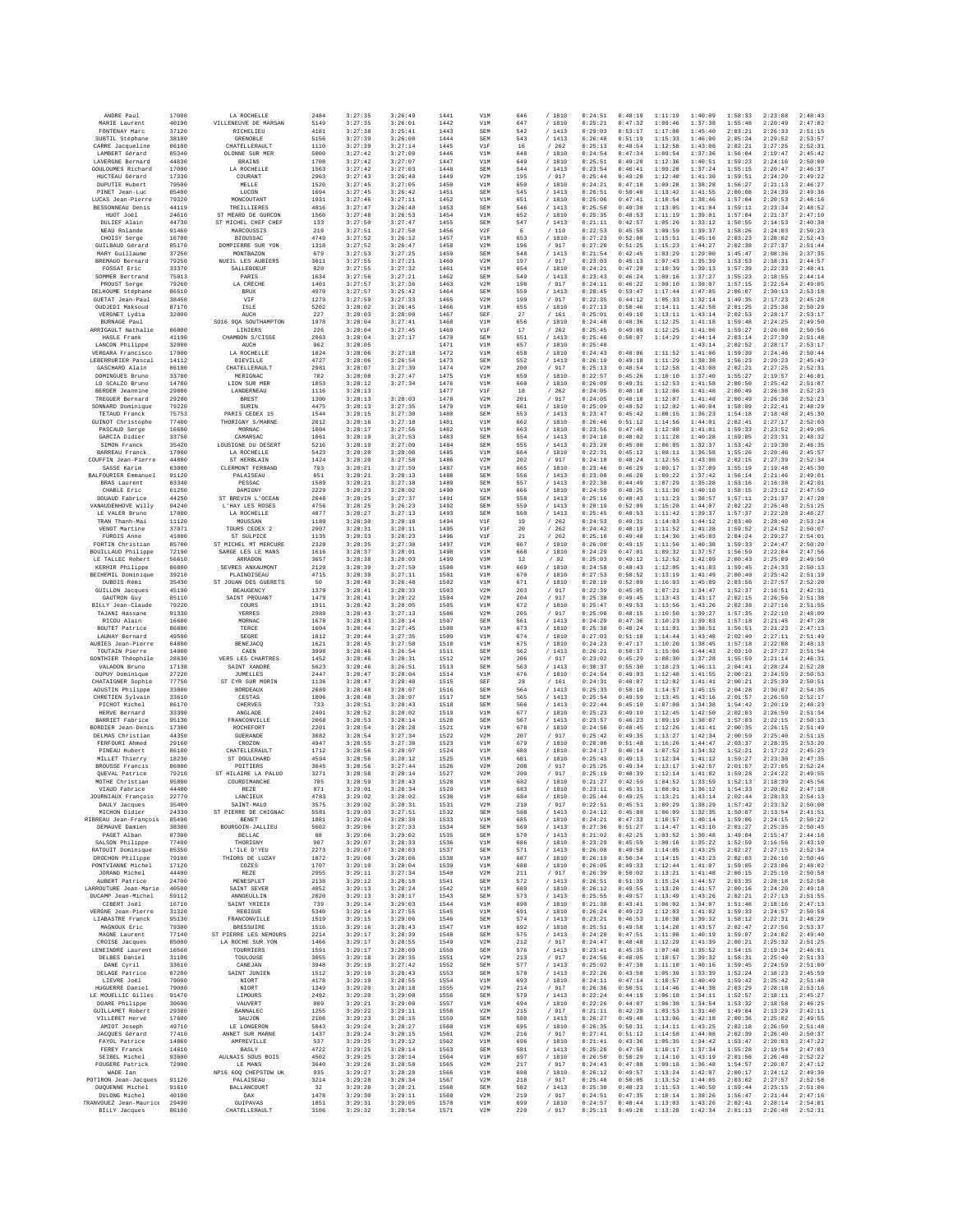| ANDRE Paul                                            | 17000          | LA ROCHELLE                               | 2484         | 3:27:35            | 3:26:49            | 1441         | V1M               | 646        | / 1810           | 0:24:51            | 0:48:19            | 1:11:19            | 1:40:09            | 1:58:33            | 2:23:08            | 2:48:43            |
|-------------------------------------------------------|----------------|-------------------------------------------|--------------|--------------------|--------------------|--------------|-------------------|------------|------------------|--------------------|--------------------|--------------------|--------------------|--------------------|--------------------|--------------------|
| MARIE Laurent                                         | 40190          | VILLENEUVE DE MARSAN                      | 5149         | 3:27:35            | 3:26:01            | 1442         | $_{\tt VM}$       | 647        | / 1810           | 0:25:21            | 0:47:32            | 1:09:46            | 1:37:38            | 1:55:48            | 2:20:49            | 2:47:02            |
| FONTENAY Marc                                         | 37120          | RTCHRLTRIT<br>GRENOBLE                    | 4181         | 3:27:38            | 3:25:41            | 1443<br>1444 | SEM               | 542        | /1413            | 0:29:03            | 0:53:17            | 1:17:00            | 1:45:40            | 2:03:21            | 2:26:33            | 2:51:15            |
| SUBTIL Stéphane<br>CARRE Jacqueline                   | 38100<br>86100 | <b>CHATELLERAUL?</b>                      | 5156<br>1110 | 3:27:39<br>3:27:39 | 3:26:08<br>3:27:14 | 1445         | <b>SEM</b><br>V1F | 543<br>16  | /1413<br>/262    | 0:26:48<br>0:25:13 | 0:51:19<br>0:48:54 | 1:15:33<br>1:12:58 | 1:46:00<br>1:43:08 | 2:05:24<br>2:02:21 | 2:29:52<br>2:27:25 | 2:53:57<br>2:52:31 |
| LAMBERT Gérard                                        | 85340          | OLONNE SUR MER                            | 5000         | 3:27:42            | 3:27:00            | 1446         | V1M               | 648        | /1810            | 0:24:54            | 0:47:34            | 1:09:54            | 1:37:36            | 1:56:04            | 2:19:47            | 2:45:42            |
| LAVERGNE Bernard                                      | 44830          | <b>BRAINS</b>                             | 1708         | 3:27:42            | 3:27:07            | 1447         | V1M               | 649        | /1810            | 0:25:51            | 0:49:20            | 1:12:36            | 1:40:51            | 1:59:23            | 2:24:16            | 2:50:00            |
| GOULOUMES Richard                                     | 17000          | LA ROCHELLE                               | 1563         | 3:27:42            | 3:27:03            | 1448         | SEM               | 544        | /1413            | 0:23:54            | 0:46:41            | 1:09:28            | 1:37:24            | 1:55:15            | 2:20:47            | 2:46:37            |
| HUCTEAU Gérard<br><b>DUPUTIE Hubert</b>               | 17330<br>79500 | COURANT<br>MELLE                          | 2963<br>1520 | 3:27:43<br>3:27:45 | 3:26:40<br>3:27:05 | 1449<br>1450 | V2M<br>V1M        | 195<br>650 | / 917<br>/1810   | 0:25:44<br>0:24:21 | 0:49:20<br>0:47:10 | 1:12:40<br>1:09:28 | 1:41:30<br>1:38:28 | 1:59:51<br>1:56:27 | 2:24:20<br>2:21:13 | 2:49:22<br>2:46:27 |
| PINET Jean-Luc                                        | 85400          | LUCON                                     | 1694         | 3:27:45            | 3:26:42            | 1451         | SEM               | 545        | /1413            | 0:26:51            | 0:50:40            | 1:13:42            | 1:41:55            | 2:00:08            | 2:24:39            | 2:49:36            |
| LUCAS Jean-Pierre                                     | 79320          | MONCOUTANT                                | 1931         | 3:27:46            | 3:27:11            | 1452         | V1M               | 651        | / 1810           | 0:25:06            | 0:47:41            | 1:10:54            | 1:38:46            | 1:57:04            | 2:20:53            | 2:46:16            |
| BESSONNEAU Denis                                      | 44119          | TREILLIERES                               | 4816         | 3:27:47            | 3:26:40            | 1453         | SEM               | 546        | /1413            | 0:25:50            | 0:49:38            | 1:13:05            | 1:41:04            | 1:59:11            | 2:23:34            | 2:48:52            |
| HUOT Joël<br>DULIEF Alain                             | 24610<br>44730 | ST MEARD DE GURCON<br>ST MICHEL CHEF CHEF | 1560<br>133  | 3:27:48<br>3:27:50 | 3:26:53<br>3:27:47 | 1454<br>1455 | V1M<br>SEM        | 652<br>547 | /1810<br>/1413   | 0:25:35<br>0:21:11 | 0:48:53<br>0:42:57 | 1:11:19<br>1:05:26 | 1:39:01<br>1:33:12 | 1:57:04<br>1:50:55 | 2:21:37<br>2:14:53 | 2:47:10<br>2:40:38 |
| NEAU Rolande                                          | 91460          | MARCOUSSIS                                | 219          | 3:27:51            | 3:27:50            | 1456         | V2F               | 6          | /110             | 0:22:53            | 0:45:59            | 1:09:59            | 1:39:37            | 1:58:26            | 2:24:03            | 2:50:23            |
| CHOISY Serge                                          | 16700          | <b>BIOUSSAC</b>                           | 4749         | 3:27:52            | 3:26:12            | 1457         | V1M               | 653        | /1810            | 0:27:23            | 0:52:00            | 1:15:51            | 1:45:16            | 2:03:23            | 2:28:02            | 2:52:43            |
| GUILBAUD Gérard                                       | 85170          | DOMPIERRE SUR YON                         | 1318         | 3:27:52            | 3:26:47            | 1458         | V2M               | 196        | / 917            | 0:27:20            | 0:51:25            | 1:15:23            | 1:44:27            | 2:02:38            | 2:27:37            | 2:51:44            |
| MARY Guillaume                                        | 37250          | <b>MONTBAZON</b>                          | 679          | 3:27:53            | 3:27:25            | 1459         | SEM               | 548        | /1413            | 0:21:54            | 0:42:45            | 1:03:29            | 1:29:00            | 1:45:47            | 2:08:36            | 2:37:35            |
| BREMAUD Bernard<br>FOSSAT Eric                        | 79250<br>33370 | NUEIL LES AUBIERS<br>SALLERORITE          | 3011<br>820  | 3:27:55<br>3:27:55 | 3:27:21<br>3:27:32 | 1460<br>1461 | V2M<br>V1M        | 197<br>654 | / 917<br>/1810   | 0:23:03<br>0:24:21 | 0:45:13<br>0:47:28 | 1:07:43<br>1:10:39 | 1:35:39<br>1:39:13 | 1:53:53<br>1:57:39 | 2:18:31<br>2:22:33 | 2:44:57<br>2:48:41 |
| SOMMER Bertrand                                       | 75013          | PARIS                                     | 1634         | 3:27:56            | 3:27:21            | 1462         | SEM               | 549        | /1413            | 0:23:43            | 0:46:24            | 1:09:16            | 1:37:27            | 1:55:23            | 2:18:55            | 2:44:14            |
| PROUST Serge                                          | 79260          | LA CRECHE                                 | 1401         | 3:27:57            | 3:27:36            | 1463         | V2M               | 198        | / 917            | 0:24:11            | 0:46:22            | 1:09:10            | 1:38:07            | 1:57:15            | 2:22:54            | 2:49:05            |
| DELHOUME Stéphane                                     | 86510          | <b>BRUX</b>                               | 4970         | 3:27:57            | 3:25:42            | 1464         | <b>SEM</b>        | 550        | /1413            | 0:28:45            | 0:53:47            | 1:17:44            | 1:47:05            | 2:06:07            | 2:30:13            | 2:53:18            |
| GUETAT Jean-Paul<br>OUDJEDI Maksoud                   | 38450<br>87170 | VIF<br>ISLE                               | 1279<br>5202 | 3:27:59<br>3:28:02 | 3:27:33<br>3:26:45 | 1465<br>1466 | V2M<br>V1M        | 199<br>655 | / 917<br>/ 1810  | 0:22:35<br>0:27:13 | 0:44:12<br>0:50:46 | 1:05:33<br>1:14:11 | 1:32:14<br>1:42:58 | 1:49:35<br>2:01:25 | 2:17:23<br>2:25:38 | 2:45:28<br>2:50:29 |
| VERGNET Lydia                                         | 32000          | AUCH                                      | 227          | 3:28:03            | 3:28:00            | 1467         | SEF               | 27         | /161             | 0:25:01            | 0:49:10            | 1:13:11            | 1:43:14            | 2:02:53            | 2:28:17            | 2:53:17            |
| BURNAGE Paul                                          |                | SO16 9OA SOUTHAMPTON                      | 1978         | 3:28:04            | 3:27:41            | 1468         | V1M               | 656        | /1810            | 0:24:48            | 0:48:36            | 1:12:25            | 1:41:18            | 1:59:48            | 2:24:25            | 2:49:50            |
| ARRIGAULT Nathalie<br>HASLE Frank                     | 86800<br>41190 | LINIERS<br>CHAMBON S/CISSE                | 226<br>2063  | 3:28:04<br>3:28:04 | 3:27:45<br>3:27:17 | 1469<br>1470 | V1F<br>SEM        | 17<br>551  | /262<br>/1413    | 0:25:45<br>0:25:40 | 0:49:09<br>0:50:07 | 1:12:25<br>1:14:29 | 1:41:06<br>1:44:14 | 1:59:27<br>2:03:14 | 2:26:08<br>2:27:39 | 2:50:56<br>2:51:48 |
| LANCON Philippe                                       | 32000          | AUCH                                      | 962          | 3:28:05            |                    | 1471         | V1M               | 657        | /1810            | 0:25:40            |                    |                    | 1:43:14            | 2:02:52            | 2:28:17            | 2:53:17            |
| VERGARA Francisco                                     | 17000          | LA ROCHELLE                               | 1824         | 3:28:06            | 3:27:18            | 1472         | V1M               | 658        | /1810            | 0:24:43            | 0:48:06            | 1:11:52            | 1:41:00            | 1:59:39            | 2:24:46            | 2:50:44            |
| LEBERRURIER Pascal                                    | 14112          | <b>BIEVILLE</b>                           | 4727         | 3:28:06            | 3:26:54            | 1473         | SEM               | 552        | /1413            | 0:26:19            | 0:49:18            | 1:11:29            | 1:38:38            | 1:56:23            | 2:20:23            | 2:45:43            |
| GASCHARD Alain<br>DOMINGUES Bruno                     | 86100<br>33700 | CHATELLERAULT<br>MERIGNAC                 | 2981<br>782  | 3:28:07<br>3:28:08 | 3:27:39<br>3:27:47 | 1474<br>1475 | V2M<br>V1M        | 200<br>659 | / 917<br>/1810   | 0:25:13<br>0:22:57 | 0:48:54<br>0:45:26 | 1:12:58<br>1:10:10 | 1:43:08<br>1:37:40 | 2:02:21<br>1:55:27 | 2:27:25<br>2:19:57 | 2:52:31<br>2:46:01 |
| LO SCALZO Bruno                                       | 14780          | LION SUR MER                              | 1853         | 3:28:12            | 3:27:34            | 1476         | V1M               | 660        | /1810            | 0:26:09            | 0:49:31            | 1:12:53            | 1:41:58            | 2:00:50            | 2:25:42            | 2:51:07            |
| <b>BERDER</b> Jeannine                                | 29800          | LANDERNEAU                                | 1116         | 3:28:13            |                    | 1477         | V1F               | $18\,$     | /262             | 0:24:05            | 0:48:10            | 1:12:06            | 1:41:48            | 2:00:49            | 2:26:38            | 2:52:23            |
| TREGUER Bernard                                       | 29200          | BREST                                     | 1300         | 3:28:13            | 3:28:03            | 1478         | V2M               | 201        | / 917            | 0:24:05            | 0:48:10            | 1:12:07            | 1:41:48            | 2:00:49            | 2:26:38            | 2:52:23            |
| SONNARD Dominique<br>TETAUD Franck                    | 79220<br>75753 | SURIN<br>PARIS CEDEX 15                   | 4475<br>1544 | 3:28:13<br>3:28:15 | 3:27:35<br>3:27:30 | 1479<br>1480 | V1M<br>SEM        | 661<br>553 | /1810<br>/1413   | 0:25:09<br>0:23:47 | 0:48:52<br>0:45:42 | 1:12:02<br>1:08:15 | 1:40:04<br>1:36:23 | 1:58:09<br>1:54:18 | 2:22:41<br>2:18:48 | 2:48:29<br>2:45:30 |
| GUINOT Christophe                                     | 77400          | THORIGNY S/MARNE                          | 2012         | 3:28:16            | 3:27:18            | 1481         | $_{\tt VM}$       | 662        | / 1810           | 0:26:46            | 0:51:12            | 1:14:56            | 1:44:01            | 2:02:41            | 2:27:17            | 2:52:03            |
| PASCAUD Serge                                         | 16600          | MORNAC                                    | 1004         | 3:28:17            | 3:27:56            | 1482         | V1M               | 663        | /1810            | 0:23:56            | 0:47:48            | 1:12:08            | 1:41:01            | 1:59:33            | 2:23:52            | 2:49:05            |
| GARCIA Didier                                         | 33750          | CAMARSAC                                  | 1061         | 3:28:19            | 3:27:53            | 1483         | SEM               | 554        | /1413            | 0:24:10            | 0:48:02            | 1:11:28            | 1:40:28            | 1:59:05            | 2:23:31            | 2:48:32            |
| SIMON Franck<br>BARREAU Franck                        | 35420<br>17000 | LOUSIGNE DU DESERT<br>LA ROCHELLE         | 5216<br>5423 | 3:28:19<br>3:28:20 | 3:27:09<br>3:28:08 | 1484<br>1485 | SEM<br>V1M        | 555<br>664 | /1413<br>/1810   | 0:23:28<br>0:22:31 | 0:45:00<br>0:45:12 | 1:06:05<br>1:08:11 | 1:32:37<br>1:36:58 | 1:53:42<br>1:55:26 | 2:19:30<br>2:20:46 | 2:46:35<br>2:45:57 |
| COUFFIN Jean-Pierre                                   | 44800          | ST HERBLATN                               | 1424         | 3:28:20            | 3:27:58            | 1486         | V2M               | 202        | /917             | 0:24:18            | 0:48:24            | 1:12:55            | 1:43:00            | 2:02:15            | 2:27:39            | 2:52:34            |
| SASSE Karim                                           | 63000          | CLERMONT FERRAND                          | 793          | 3:28:21            | 3:27:59            | 1487         | V1M               | 665        | /1810            | 0:23:46            | 0:46:29            | 1:09:17            | 1:37:09            | 1:55:19            | 2:19:48            | 2:45:30            |
| BALFOURIER Emmanuel                                   | 91120          | PALAISEAU                                 | 651          | 3:28:21            | 3:28:13            | 1488         | SEM               | 556        | / 1413           | 0:23:08            | 0:46:20            | 1:09:22            | 1:37:42            | 1:56:14            | 2:21:46            | 2:49:01            |
| BRAS Laurent<br>CHABLE Eric                           | 83340<br>61250 | PESSAC<br>DAMIGNY                         | 1589<br>2229 | 3:28:21<br>3:28:23 | 3:27:18<br>3:28:02 | 1489<br>1490 | <b>SEM</b><br>V1M | 557<br>666 | /1413<br>/1810   | 0:22:30<br>0:24:59 | 0:44:49<br>0:48:25 | 1:07:29<br>1:11:30 | 1:35:28<br>1:40:10 | 1:53:16<br>1:58:15 | 2:16:38<br>2:23:12 | 2:42:01<br>2:47:59 |
| DOUAUD Fabrice                                        | 44250          | ST BREVIN L'OCEAN                         | 2048         | 3:28:25            | 3:27:37            | 1491         | SEM               | 558        | /1413            | 0:25:16            | 0:48:43            | 1:11:23            | 1:38:57            | 1:57:11            | 2:21:37            | 2:47:28            |
| VANAUDENHOVE Willy                                    | 94240          | L'HAY LES ROSES                           | 4756         | 3:28:25            | 3:26:23            | 1492         | SEM               | 559        | / 1413           | 0:28:19            | 0:52:09            | 1:15:28            | 1:44:07            | 2:02:22            | 2:26:48            | 2:51:25            |
| LE VALER Bruno                                        | 17000          | LA ROCHELLE                               | 4877         | 3:28:27            | 3:27:13            | 1493         | <b>SEM</b>        | 560        | /1413            | 0:25:45            | 0:48:53            | 1:11:42            | 1:39:37            | 1:57:37            | 2:22:28            | 2:48:27            |
| TRAN Thanh-Mai<br>VENOT Martine                       | 11120<br>37071 | MOUSSAN<br>TOURS CEDEX 2                  | 1180<br>2907 | 3:28:30<br>3:28:31 | 3:28:18<br>3:28:11 | 1494<br>1495 | V1F<br>V1F        | 19<br>20   | /262<br>/262     | 0:24:53<br>0:24:42 | 0:49:31<br>0:48:19 | 1:14:03<br>1:11:52 | 1:44:12<br>1:41:28 | 2:03:40<br>1:59:52 | 2:28:40<br>2:24:52 | 2:53:24<br>2:50:07 |
| FUROIS Anne                                           | 41000          | ST SULPICE                                | 1135         | 3:28:33            | 3:28:23            | 1496         | VIF               | 21         | /262             | 0:25:10            | 0:49:48            | 1:14:36            | 1:45:03            | 2:04:24            | 2:29:27            | 2:54:01            |
| FORTIN Christian                                      | 85700          | ST MICHEL MT MERCURE                      | 2320         | 3:28:35            | 3:27:30            | 1497         | V1M               | 667        | /1810            | 0:26:00            | 0:49:15            | 1:11:56            | 1:40:38            | 1:59:33            | 2:24:47            | 2:50:20            |
| BOUILLAUD Philippe                                    | 72190          | SARGE LES LE MANS                         | 1616         | 3:28:37            | 3:28:01            | 1498         | V1M               | 668        | / 1810           | 0:24:29            | 0:47:01            | 1:09:32            | 1:37:57            | 1:56:59            | 2:22:04            | 2:47:56            |
| LE TALLEC Robert<br>KERHIR Philippe                   | 56610<br>86800 | ARRADON<br>SEVRES ANXAUMONT               | 3657<br>2120 | 3:28:38<br>3:28:39 | 3:28:03<br>3:27:59 | 1499<br>1500 | V3M<br>V1M        | 12<br>669  | /92<br>/1810     | 0:25:03<br>0:24:58 | 0:49:12<br>0:48:43 | 1:12:52<br>1:12:05 | 1:42:09<br>1:41:03 | 2:00:43<br>1:59:45 | 2:25:09<br>2:24:33 | 2:49:50<br>2:50:13 |
| BECHEMIL Dominique                                    | 39210          | PLAINOISEAU                               | 4715         | 3:28:39            | 3:27:11            | 1501         | V1M               | 670        | /1810            | 0:27:53            | 0:50:52            | 1:13:19            | 1:41:49            | 2:00:40            | 2:25:42            | 2:51:19            |
| DUBOIS Rémi                                           | 35430          | ST JOUAN DES GUERETS                      | 50           | 3:28:40            | 3:26:48            | 1502         | V1M               | 671        | / 1810           | 0:28:19            | 0:52:09            | 1:16:03            | 1:45:09            | 2:03:56            | 2:27:57            | 2:52:20            |
| <b>GUILLON</b> Jacques                                | 45190          | <b>BEAUGENCY</b>                          | 1370         | 3:28:41            | 3:28:33            | 1503         | V2M               | 203        | / 917            | 0:22:39            | 0:45:05            | 1:07:21            | 1:34:47            | 1:52:37            | 2:16:51            | 2:42:31            |
| GAUTRON Guy<br>BILLY Jean-Claude                      | 85110<br>79220 | SAINT PROUANT<br>COURS                    | 1479<br>1911 | 3:28:41<br>3:28:42 | 3:28:22<br>3:28:05 | 1504<br>1505 | V2M<br>V1M        | 204<br>672 | /917<br>/ 1810   | 0:25:38<br>0:25:47 | 0:49:45<br>0:49:53 | 1:13:43<br>1:13:56 | 1:43:17<br>1:43:26 | 2:02:15<br>2:02:38 | 2:26:56<br>2:27:16 | 2:51:38<br>2:51:55 |
| TAJANI Hassane                                        | 91330          | YERRES                                    | 2989         | 3:28:43            | 3:27:13            | 1506         | V2M               | 205        | / 917            | 0:25:08            | 0:48:15            | 1:10:50            | 1:39:27            | 1:57:35            | 2:22:10            | 2:48:09            |
| RICOU Alain                                           | 16600          | MORNAC                                    | 1678         | 3:28:43            | 3:28:14            | 1507         | <b>SEM</b>        | 561        | /1413            | 0:24:29            | 0:47:36            | 1:10:23            | 1:39:03            | 1:57:18            | 2:21:45            | 2:47:28            |
| BOUTET Patrice                                        | 86800          | TERCE                                     | 1604         | 3:28:44            | 3:27:45            | 1508         | V1M               | 673        | /1810            | 0:25:30            | 0:48:24            | 1:11:01            | 1:38:51            | 1:56:51            | 2:21:23            | 2:47:13            |
| LAUNAY Bernard<br>AUBIES Jean-Pierre                  | 49500<br>64800 | SEGRE<br>BENEJACQ                         | 1812<br>1621 | 3:28:44<br>3:28:45 | 3:27:35<br>3:27:58 | 1509<br>1510 | V1M<br>V1M        | 674<br>675 | / 1810<br>/ 1810 | 0:27:03<br>0:24:23 | 0:51:10<br>0:47:17 | 1:14:44<br>1:10:20 | 1:43:48<br>1:38:45 | 2:02:40<br>1:57:18 | 2:27:11<br>2:22:08 | 2:51:49<br>2:48:13 |
| TOUTAIN Pierre                                        | 14000          | CAEN                                      | 3998         | 3:28:46            | 3:26:54            | 1511         | <b>SEM</b>        | 562        | /1413            | 0:26:21            | 0:50:37            | 1:15:06            | 1:44:43            | 2:03:10            | 2:27:27            | 2:51:54            |
| GONTHIER Théophile                                    | 28630          | VERS LES CHARTRES                         | 1452         | 3:28:46            | 3:28:31            | 1512         | V2M               | 206        | / 917            | 0:23:02            | 0:45:29            | 1:08:30            | 1:37:28            | 1:55:59            | 2:21:14            | 2:46:31            |
| VALADON Bruno                                         | 17138          | SAINT XANDRE                              | 5623         | 3:28:46            | 3:26:51            | 1513         | SEM               | 563        | /1413            | 0:30:37            | 0:55:30            | 1:18:23            | 1:46:11            | 2:04:41            | 2:28:24            | 2:52:28            |
| DUPUY Dominique<br>CHATAIGNER Sophie                  | 27220<br>77750 | JUMELLES<br>ST CYR SUR MORIN              | 2447<br>1136 | 3:28:47<br>3:28:47 | 3:28:04<br>3:28:40 | 1514<br>1515 | V1M<br>SEF        | 676<br>28  | /1810<br>/161    | 0:24:54<br>0:24:31 | 0:49:03<br>0:48:07 | 1:12:48<br>1:12:02 | 1:41:55<br>1:41:41 | 2:00:21<br>2:00:21 | 2:24:59<br>2:25:39 | 2:50:53<br>2:50:51 |
| AOUSTIN Philippe                                      | 33000          | <b>BORDEAUX</b>                           | 2089         | 3:28:48            | 3:28:07            | 1516         | SEM               | 564        | /1413            | 0:25:33            | 0:50:10            | 1:14:57            | 1:45:15            | 2:04:28            | 2:30:07            | 2:54:35            |
| CHRETIEN Sylvain                                      | 33610          | CESTAS                                    | 1806         | 3:28:48            | 3:28:07            | 1517         | SEM               | 565        | 1413<br>$\prime$ | 0:25:54            | 0:49:59            | 1:13:45            | 1:43:16            | 2:01:57            | 2:26:50            | 2:52:17            |
| PICHOT Michel                                         | 86170          | CHERVES                                   | 733          | 3:28:51            | 3:28:43            | 1518         | <b>SEM</b>        | 566        | /1413            | 0:22:44            | 0:45:10            | 1:07:08            | 1:34:38            | 1:54:42            | 2:20:19            | 2:48:23            |
| HERVE Bernard<br>BARRIET Fabrice                      | 33390<br>95130 | ANGLADE<br>FRANCONVILLE                   | 2401<br>2068 | 3:28:52<br>3:28:53 | 3:28:02<br>3:28:14 | 1519<br>1520 | V1M<br>SEM        | 677<br>567 | /1810<br>/1413   | 0:25:23<br>0:23:57 | 0:49:10<br>0:46:23 | 1:12:45<br>1:09:19 | 1:42:50<br>1:38:07 | 2:02:03<br>1:57:03 | 2:26:50<br>2:22:15 | 2:51:34<br>2:50:13 |
| BORDIER Jean-Denis                                    | 17300          | ROCHEFORT                                 | 2201         | 3:28:54            | 3:28:28            | 1521         | V1M               | 678        | /1810            | 0:24:50            | 0:48:45            | 1:12:26            | 1:41:41            | 2:00:35            | 2:26:15            | 2:51:49            |
| DELMAS Christian                                      | 44350          | <b>GUERANDE</b>                           | 3082         | 3:28:54            | 3:27:34            | 1522         | V2M               | 207        | / 917            | 0:25:42            | 0:49:35            | 1:13:27            | 1:42:34            | 2:00:59            | 2:25:40            | 2:51:15            |
| FERFOURI Ahmed                                        | 29160          | CROZON                                    | 4947         | 3:28:55            | 3:27:38            | 1523         | V1M               | 679        | / 1810           | 0:28:00            | 0:51:48            | 1:16:26            | 1:44:47            | 2:03:37            | 2:28:35            | 2:53:20            |
| PINEAU Hubert<br>MILLET Thierry                       | 86100<br>18230 | CHATELLERAULT<br>ST DOULCHARD             | 1712<br>4594 | 3:28:56<br>3:28:56 | 3:28:07<br>3:28:12 | 1524<br>1525 | V1M<br>V1M        | 680<br>681 | / 1810<br>/1810  | 0:24:17<br>0:25:43 | 0:46:14<br>0:49:13 | 1:07:52<br>1:12:34 | 1:34:32<br>1:41:12 | 1:52:21<br>1:59:27 | 2:17:22<br>2:23:30 | 2:45:23<br>2:47:35 |
| BROUSSE Francis                                       | 86000          | POITIERS                                  | 3045         | 3:28:56            | 3:27:44            | 1526         | V2M               | 208        | / 917            | 0:25:25            | 0:49:34            | 1:13:17            | 1:42:57            | 2:01:57            | 2:27:05            | 2:52:24            |
| QUEVAL Patrice                                        | 79210          | ST HILAIRE LA PALUD                       | 3271         | 3:28:58            | 3:28:14            | 1527         | V2M               | 209        | / 917            | 0:25:19            | 0:48:39            | 1:12:14            | 1:41:02            | 1:59:28            | 2:24:22            | 2:49:55            |
| MOTHE Christian<br>VIAUD Fabrice                      | 95800<br>44400 | COURDIMANCHE<br><b>REZE</b>               | 785<br>871   | 3:28:59<br>3:29:01 | 3:28:43<br>3:28:34 | 1528<br>1529 | V1M<br>V1M        | 682<br>683 | 1810<br>/1810    | 0:21:27<br>0:23:11 | 0:42:59<br>0:45:31 | 1:04:52<br>1:08:01 | 1:33:59<br>1:36:12 | 1:52:13<br>1:54:33 | 2:18:39<br>2:20:02 | 2:45:56<br>2:47:18 |
| JOURNIAUX François                                    | 22770          | LANCIEUX                                  | 4783         | 3:29:02            | 3:28:02            | 1530         | V1M               | 684        | / 1810           | 0:25:44            | 0:49:25            | 1:13:21            | 1:43:14            | 2:02:44            | 2:28:33            | 2:54:13            |
| DAULY Jacques                                         | 35400          | SAINT-MALO                                | 3575         | 3:29:02            | 3:28:31            | 1531         | V2M               | 210        | / 917            | 0:22:51            | 0:45:51            | 1:09:29            | 1:38:29            | 1:57:42            | 2:23:32            | 2:50:08            |
| MICHON Didier                                         | 24330<br>85490 | ST PIERRE DE CHIGNAC<br>BENET             | 5581<br>1881 | 3:29:03<br>3:29:04 | 3:27:51<br>3:28:30 | 1532<br>1533 | <b>SEM</b><br>V1M | 568        | /1413<br>/1810   | 0:24:12<br>0:24:21 | 0:45:08<br>0:47:33 | 1:06:09<br>1:10:57 | 1:32:35            | 1:50:07<br>1:59:06 | 2:13:54<br>2:24:15 | 2:41:51<br>2:50:22 |
| RIBREAU Jean-François<br>DEMAUVE Damien               | 38300          | BOURGOIN-JALLIEU                          | 5602         | 3:29:06            | 3:27:33            | 1534         | SEM               | 685<br>569 | /1413            | 0:27:36            | 0:51:27            | 1:14:47            | 1:40:14<br>1:43:10 | 2:01:27            | 2:25:35            | 2:50:45            |
| PAGET Alban                                           | 87300          | <b>BELLAC</b>                             | 88           | 3:29:06            | 3:29:02            | 1535         | SEM               | 570        | /1413            | 0:21:02            | 0:42:25            | 1:03:52            | 1:30:48            | 1:49:04            | 2:15:47            | 2:44:18            |
| SALSON Philippe                                       | 77400          | THORIGNY                                  | 987          | 3:29:07            | 3:28:33            | 1536         | V1M               | 686        | /1810            | 0:23:29            | 0:45:59            | 1:08:16            | 1:35:22            | 1:52:59            | 2:16:56            | 2:43:10            |
| RATOUIT Dominique<br>DROCHON Philippe                 | 85350<br>79100 | L'ILE D'YEU<br>THIORS DE LUZAY            | 2273<br>1872 | 3:29:07<br>3:29:08 | 3:28:03<br>3:28:06 | 1537<br>1538 | SEM<br>V1M        | 571<br>687 | /1413<br>/ 1810  | 0:26:08<br>0:26:19 | 0:49:58<br>0:50:34 | 1:14:05<br>1:14:15 | 1:43:25<br>1:43:23 | 2:02:27<br>2:02:03 | 2:27:15<br>2:26:16 | 2:52:34<br>2:50:46 |
| PONTVIANNE Michel                                     | 17120          | COZES                                     | 1707         | 3:29:10            | 3:28:04            | 1539         | V1M               | 688        | /1810            | 0:26:05            | 0:49:33            | 1:12:44            | 1:41:07            | 1:59:05            | 2:23:06            | 2:48:02            |
| JORAND Michel                                         | 44400          | REZE                                      | 2955         | 3:29:11            | 3:27:34            | 1540         | V2M               | 211        | / 917            | 0:26:39            | 0:50:02            | 1:13:21            | 1:41:48            | 2:00:15            | 2:25:10            | 2:50:58            |
| AUBERT Patrice<br>LARROUTURE Jean-Marie               | 24700<br>40500 | <b>MENESPLET</b><br>SAINT SEVER           | 2138<br>4852 | 3:29:12<br>3:29:13 | 3:28:18<br>3:28:24 | 1541<br>1542 | SEM<br>V1M        | 572<br>689 | /1413<br>/ 1810  | 0:26:51<br>0:26:12 | 0:51:39<br>0:49:55 | 1:15:24<br>1:13:20 | 1:44:57<br>1:41:57 | 2:03:35<br>2:00:16 | 2:28:18<br>2:24:20 | 2:52:58<br>2:49:18 |
| DUCAMP Jean-Michel                                    | 59112          | ANNOEULLIN                                | 2020         | 3:29:13            | 3:28:17            | 1543         | SEM               | 573        | /1413            | 0:25:55            | 0:49:57            | 1:13:49            | 1:43:26            | 2:02:21            | 2:27:13            | 2:51:55            |
| CIBERT Joel                                           | 16710          | SAINT YRIEIX                              | 739          | 3:29:14            | 3:29:03            | 1544         | V1M               | 690        | /1810            | 0:21:38            | 0:43:41            | 1:06:02            | 1:34:07            | 1:51:48            | 2:18:16            | 2:47:13            |
| VERGNE Jean-Pierre                                    | 31320          | REBIGUE                                   | 5340         | 3:29:14            | 3:27:55            | 1545         | V1M               | 691        | / 1810           | 0:26:24            | 0:49:22            | 1:12:03            | 1:41:02            | 1:59:33            | 2:24:57            | 2:50:58            |
| LIABASTRE Franck<br>MAGNOUX Eric                      | 95130<br>79300 | <b>FRANCONVILLE</b><br><b>BRESSUIRE</b>   | 1519<br>1516 | 3:29:15<br>3:29:16 | 3:29:06<br>3:28:43 | 1546<br>1547 | <b>SEM</b><br>V1M | 574<br>692 | /1413<br>/1810   | 0:23:21<br>0:25:51 | 0:46:53<br>0:49:58 | 1:10:38<br>1:14:28 | 1:39:32<br>1:43:57 | 1:58:12<br>2:02:47 | 2:22:31<br>2:27:56 | 2:48:29<br>2:53:37 |
| MAGNE Laurent                                         | 77140          | ST PIERRE LES NEMOURS                     | 2214         | 3:29:17            | 3:28:39            | 1548         | SEM               | 575        | /1413            | 0:24:20            | 0:47:51            | 1:11:08            | 1:40:19            | 1:59:07            | 2:24:02            | 2:49:40            |
| CROISE Jacques                                        | 85000          | LA ROCHE SUR YON                          | 1466         | 3:29:17            | 3:28:55            | 1549         | V2M               | 212        | / 917            | 0:24:47            | 0:48:48            | 1:12:29            | 1:41:39            | 2:00:21            | 2:25:32            | 2:51:25            |
| LENEINDRE Laurent                                     | 16560          | TOURRIERS                                 | 1591         | 3:29:17            | 3:28:09            | 1550         | <b>SEM</b>        | 576        | /1413            | 0:23:41            | 0:45:35            | 1:07:48            | 1:35:52            | 1:54:15            | 2:19:34            | 2:46:01            |
| DELBES Daniel<br>DANE Cyril                           | 31100<br>33610 | TOULOUSE<br>CANEJAN                       | 3055<br>3948 | 3:29:18<br>3:29:19 | 3:28:35<br>3:27:42 | 1551<br>1552 | V2M<br>SEM        | 213<br>577 | / 917<br>/1413   | 0:24:56<br>0:25:02 | 0:48:05<br>0:47:38 | 1:10:57<br>1:11:10 | 1:39:32<br>1:40:16 | 1:58:31<br>1:59:45 | 2:25:40<br>2:24:59 | 2:51:33<br>2:51:00 |
| DELAGE Patrice                                        | 87200          | SAINT JUNIEN                              | 1512         | 3:29:19            | 3:28:43            | 1553         | SEM               | 578        | /1413            | 0:22:26            | 0:43:50            | 1:05:39            | 1:33:39            | 1:52:24            | 2:18:23            | 2:45:59            |
| LIEVRE Joël                                           | 79000          | NIORT                                     | 4178         | 3:29:19            | 3:28:55            | 1554         | V1M               | 693        | / 1810           | 0:24:11            | 0:47:14            | 1:10:57            | 1:40:49            | 1:59:42            | 2:25:42            | 2:51:48            |
| HUGUERRE Daniel                                       | 79000          | NIORT                                     | 1349         | 3:29:20            | 3:28:18            | 1555         | V2M               | 214        | / 917            | 0:26:36            | 0:50:51            | 1:14:46            | 1:44:38            | 2:03:29            | 2:28:18            | 2:53:16            |
| LE MOUELLIC Gilles<br>DOARE Philippe                  | 91470<br>30600 | LIMOURS<br>VAUVERT                        | 2492<br>809  | 3:29:20<br>3:29:21 | 3:29:08<br>3:29:00 | 1556<br>1557 | SEM<br>V1M        | 579<br>694 | /1413<br>/ 1810  | 0:22:24<br>0:22:26 | 0:44:19<br>0:44:07 | 1:06:18<br>1:06:38 | 1:34:11<br>1:34:54 | 1:52:57<br>1:53:32 | 2:18:11<br>2:18:58 | 2:45:27<br>2:46:25 |
| <b>GUILLAMET Robert</b>                               | 29380          | <b>BANNALEC</b>                           | 1255         | 3:29:22            | 3:29:11            | 1558         | V2M               | 215        | / 917            | 0:21:11            | 0:42:29            | 1:03:53            | 1:31:40            | 1:49:04            | 2:13:29            | 2:42:11            |
| VILLERET Hervé                                        | 17600          | SAUJON                                    | 2106         | 3:29:23            | 3:28:15            | 1559         | SEM               | 580        | /1413            | 0:26:27            | 0:49:40            | 1:13:06            | 1:42:18            | 2:00:36            | 2:25:02            | 2:49:55            |
| AMIOT Joseph<br>JACOUES Gérard                        | 49710<br>77410 | LE LONGERON<br>ANNET SUR MARNE            | 5043<br>1437 | 3:29:24<br>3:29:24 | 3:28:27<br>3:28:15 | 1560<br>1561 | V1M<br>V2M        | 695<br>216 | /1810<br>/917    | 0:26:35<br>0:27:41 | 0:50:31<br>0:51:12 | 1:14:11<br>1:14:58 | 1:43:25<br>1:44:08 | 2:02:18<br>2:02:39 | 2:26:50<br>2:26:40 | 2:51:48<br>2:50:37 |
| FAYOL Patrice                                         | 14860          | AMFREVILLE                                | 537          | 3:29:25            | 3:29:12            | 1562         | V1M               | 696        | / 1810           | 0:21:41            | 0:43:36            | 1:05:35            | 1:34:42            | 1:53:47            | 2:20:03            | 2:47:22            |
| FEREY Franck                                          | 14610          | BASLY                                     | 4722         | 3:29:25            | 3:28:14            | 1563         | SEM               | 581        | /1413            | 0:25:20            | 0:47:58            | 1:10:17            | 1:37:34            | 1:55:28            | 2:19:54            | 2:47:03            |
| SEIBEL Michel                                         | 93600          | AULNAIS SOUS BOIS                         | 4502         | 3:29:25            | 3:28:14            | 1564         | V1M               | 697        | /1810            | 0:26:50            | 0:50:29            | 1:14:10            | 1:43:19            | 2:01:56            | 2:26:48            | 2:52:22            |
| FOUGERE Patrick<br>WADE Ian                           | 72000          | LE MANS<br>NP16 600 CHEPSTOW UK           | 3640<br>935  | 3:29:26<br>3:29:27 | 3:28:58<br>3:28:20 | 1565<br>1566 | V2M<br>V1M        | 217<br>698 | / 917<br>/1810   | 0:24:43<br>0:26:12 | 0:47:08<br>0:49:57 | 1:09:18<br>1:13:24 | 1:36:48<br>1:42:07 | 1:54:57<br>2:00:17 | 2:20:07<br>2:24:12 | 2:47:12<br>2:49:36 |
| POTIRON Jean-Jacques                                  | 91120          | PALAISEAU                                 | 3214         | 3:29:28            | 3:28:34            | 1567         | V2M               | 218        | / 917            | 0:25:48            | 0:50:05            | 1:13:52            | 1:44:05            | 2:03:02            | 2:27:57            | 2:52:58            |
| DUOUENNE Michel                                       | 91610          | <b>BALLANCOURT</b>                        | 32           | 3:29:28            | 3:28:21            | 1568         | <b>SEM</b>        | 582        | /1413            | 0:25:30            | 0:48:23            | 1:11:53            | 1:40:50            | 1:59:44            | 2:25:15            | 2:51:06            |
| DULONG Michel                                         | 40100          | DAX                                       | 1478         | 3:29:30            | 3:29:11            | 1569         | V2M               | 219        | / 917            | 0:24:51            | 0:47:35            | 1:10:14            | 1:38:26            | 1:56:47            | 2:21:44            | 2:47:16            |
| <b>FRANVOUEZ</b> Jean-Maurice<br><b>BILLY</b> Jacques | 29490<br>86100 | GUIPAVAS<br>CHATELLERAULT                 | 1851<br>3106 | 3:29:31<br>3:29:32 | 3:29:05<br>3:28:54 | 1570<br>1571 | V1M<br>V2M        | 699<br>220 | / 1810<br>/ 917  | 0:24:57<br>0:25:13 | 0:48:44<br>0:49:20 | 1:13:03<br>1:13:28 | 1:43:26<br>1:42:34 | 2:02:41<br>2:01:13 | 2:28:14<br>2:26:48 | 2:54:01<br>2:52:31 |
|                                                       |                |                                           |              |                    |                    |              |                   |            |                  |                    |                    |                    |                    |                    |                    |                    |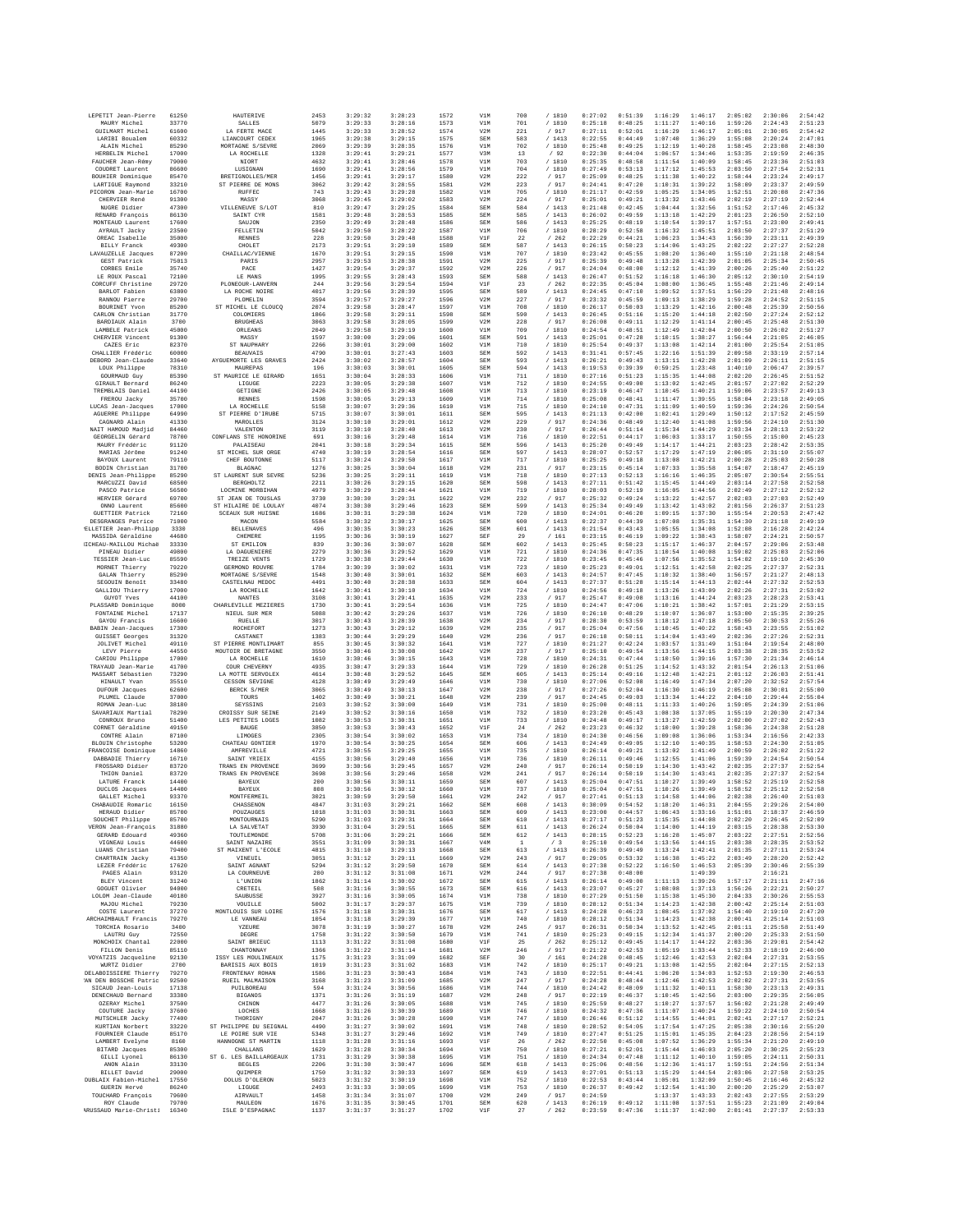| LEPETIT Jean-Pierre                         | 61250          | <b>HAUTERIVE</b>                           | 2453         | 3:29:32            | 3:28:23            | 1572         | V1M               | 700          | /1810                             | 0:27:02            | 0:51:39            | 1:16:29            | 1:46:17            | 2:05:02            | 2:30:06            | 2:54:42            |
|---------------------------------------------|----------------|--------------------------------------------|--------------|--------------------|--------------------|--------------|-------------------|--------------|-----------------------------------|--------------------|--------------------|--------------------|--------------------|--------------------|--------------------|--------------------|
| MAURY Michel<br><b>GUILMART Michel</b>      | 33770<br>61600 | <b>SALLES</b><br>LA FERTE MACE             | 5079<br>1445 | 3:29:33<br>3:29:33 | 3:28:16<br>3:28:52 | 1573<br>1574 | V1M<br>V2M        | 701<br>221   | /1810<br>/ 917                    | 0:25:18<br>0:27:11 | 0:48:25<br>0:52:01 | 1:11:27<br>1:16:29 | 1:40:16<br>1:46:17 | 1:59:26<br>2:05:01 | 2:24:43<br>2:30:05 | 2:51:23<br>2:54:42 |
| LARIBI Boualem                              | 60332          | LIANCOURT CEDEX                            | 1965         | 3:29:38            | 3:29:15            | 1575         | SEM               | 583          | /1413                             | 0:22:55            | 0:44:49            | 1:07:40            | 1:36:29            | 1:55:08            | 2:20:24            | 2:47:01            |
| ALAIN Michel<br>HERBELIN Michel             | 85290<br>17000 | MORTAGNE S/SEVRE<br>LA ROCHELLE            | 2069<br>1328 | 3:29:39<br>3:29:41 | 3:28:35<br>3:29:21 | 1576<br>1577 | V1M<br>V3M        | 702<br>13    | / 1810<br>/92                     | 0:25:48<br>0:22:30 | 0:49:25<br>0:44:04 | 1:12:19<br>1:06:57 | 1:40:28<br>1:34:46 | 1:58:45<br>1:53:35 | 2:23:08<br>2:19:59 | 2:48:30<br>2:46:35 |
| FAUCHER Jean-Rémy                           | 79000          | NIORT                                      | 4632         | 3:29:41            | 3:28:46            | 1578         | V1M               | 703          | / 1810                            | 0:25:35            | 0:48:58            | 1:11:54            | 1:40:09            | 1:58:45            | 2:23:36            | 2:51:03            |
| COUDRET Laurent<br>BOUHIER Dominique        | 86600<br>85470 | LUSIGNAN<br>BRETIGNOLLES/MER               | 1690<br>1456 | 3:29:41<br>3:29:41 | 3:28:56<br>3:29:17 | 1579<br>1580 | V1M<br>V2M        | 704<br>222   | / 1810<br>/ 917                   | 0:27:49<br>0:25:09 | 0:53:13<br>0:48:25 | 1:17:12<br>1:11:38 | 1:45:53<br>1:40:22 | 2:03:50<br>1:58:44 | 2:27:54<br>2:23:24 | 2:52:31<br>2:49:17 |
| LARTIGUE Raymond                            | 33210          | ST PIERRE DE MONS                          | 3062         | 3:29:42            | 3:28:55            | 1581         | V2M               | 223<br>705   | / 917<br>/ 1810                   | 0:24:41            | 0:47:20            | 1:10:31            | 1:39:22            | 1:58:09            | 2:23:37            | 2:49:55<br>2:47:36 |
| PICORON Jean-Marie<br>CHERVIER René         | 16700<br>91300 | RUFFEC<br>MASSY                            | 743<br>3068  | 3:29:43<br>3:29:45 | 3:29:28<br>3:29:02 | 1582<br>1583 | V1M<br>V2M        | 224          | /917                              | 0:21:17<br>0:25:01 | 0:42:59<br>0:49:21 | 1:05:25<br>1:13:32 | 1:34:05<br>1:43:46 | 1:52:51<br>2:02:19 | 2:20:08<br>2:27:19 | 2:52:44            |
| NUGRE Didier<br>RENARD François             | 47300<br>86130 | VILLENEUVE S/LOT<br>SAINT CYR              | 810<br>1581  | 3:29:47<br>3:29:48 | 3:29:25<br>3:28:53 | 1584<br>1585 | <b>SEM</b><br>SEM | 584<br>585   | /1413<br>/1413                    | 0:21:48<br>0:26:02 | 0:42:45<br>0:49:59 | 1:04:44<br>1:13:18 | 1:32:56<br>1:42:29 | 1:51:52<br>2:01:23 | 2:17:46<br>2:26:50 | 2:45:32<br>2:52:10 |
| MONTEAUD Laurent                            | 17600          | SAUJON                                     | 2350         | 3:29:49            | 3:28:48            | 1586         | SEM               | 586          | /1413                             | 0:25:25            | 0:48:19            | 1:10:54            | 1:39:17            | 1:57:51            | 2:23:00            | 2:49:41            |
| AYRAULT Jacky<br>OREAC Isabelle             | 23500<br>35000 | <b>FELLETIN</b><br><b>RENNES</b>           | 5042<br>228  | 3:29:50<br>3:29:50 | 3:28:22<br>3:29:48 | 1587<br>1588 | V1M<br>V1F        | 706<br>22    | / 1810<br>262<br>$\sqrt{2}$       | 0:28:29<br>0:22:29 | 0:52:58<br>0:44:21 | 1:16:32<br>1:06:23 | 1:45:51<br>1:34:43 | 2:03:50<br>1:56:39 | 2:27:37<br>2:23:11 | 2:51:29<br>2:49:39 |
| <b>BILLY Franck</b>                         | 49300          | CHOLET                                     | 2173         | 3:29:51            | 3:29:10            | 1589         | SEM               | 587          | /1413                             | 0:26:15            | 0:50:23            | 1:14:06            | 1:43:25            | 2:02:22            | 2:27:27            | 2:52:28            |
| LAVAUZELLE Jacques<br>GEST Patrick          | 87200<br>75013 | CHAILLAC/VIENNE<br>PARIS                   | 1670<br>2957 | 3:29:51<br>3:29:53 | 3:29:15<br>3:28:38 | 1590<br>1591 | V1M<br>V2M        | 707<br>225   | / 1810<br>/ 917                   | 0:23:42<br>0:25:39 | 0:45:55<br>0:49:48 | 1:08:20<br>1:13:28 | 1:36:40<br>1:42:39 | 1:55:10<br>2:01:05 | 2:21:18<br>2:25:34 | 2:48:54<br>2:50:45 |
| CORBES Emile                                | 35740          | PACE                                       | 1427         | 3:29:54            | 3:29:37            | 1592         | V2M               | 226          | / 917                             | 0:24:04            | 0:48:00            | 1:12:12            | 1:41:39            | 2:00:26            | 2:25:40            | 2:51:22            |
| LE ROUX Pascal<br>CORCUFF Christine         | 72100<br>29720 | LE MANS<br>PLONEOUR-LANVERN                | 1995<br>244  | 3:29:55<br>3:29:56 | 3:28:43<br>3:29:54 | 1593<br>1594 | SEM<br>V1F        | 588<br>23    | /1413<br>$\left/ {~~}262 \right.$ | 0:26:47<br>0:22:35 | 0:51:52<br>0:45:04 | 1:16:18<br>1:08:00 | 1:46:30<br>1:36:45 | 2:05:12<br>1:55:48 | 2:30:10<br>2:21:46 | 2:54:19<br>2:49:14 |
| BARLOT Fabien                               | 63800          | LA ROCHE NOIRE                             | 4017         | 3:29:56            | 3:28:39            | 1595         | SEM               | 589          | /1413                             | 0:24:45            | 0:47:10            | 1:09:52            | 1:37:51            | 1:56:29            | 2:21:48            | 2:48:16            |
| RANNOU Pierre<br>BOURINET Yvon              | 29700<br>85200 | PLOMELIN<br>ST MICHEL LE CLOUCQ            | 3594<br>2074 | 3:29:57<br>3:29:58 | 3:29:27<br>3:28:47 | 1596<br>1597 | V2M<br>V1M        | 227<br>708   | / 917<br>/1810                    | 0:23:32<br>0:26:17 | 0:45:59<br>0:50:03 | 1:09:13<br>1:13:29 | 1:38:29<br>1:42:16 | 1:59:28<br>2:00:48 | 2:24:52<br>2:25:39 | 2:51:15<br>2:50:56 |
| CARLON Christian                            | 31770          | COLOMIERS                                  | 1866         | 3:29:58            | 3:29:11            | 1598         | <b>SEM</b>        | 590          | / 1413                            | 0:26:45            | 0:51:16            | 1:15:20            | 1:44:18            | 2:02:50            | 2:27:24            | 2:52:12            |
| <b>BARDIAUX Alain</b><br>LAMBELE Patrick    | 3700<br>45000  | <b>BRUGHEAS</b><br>ORLEANS                 | 3063<br>2049 | 3:29:58<br>3:29:58 | 3:28:05<br>3:29:19 | 1599<br>1600 | V2M<br>V1M        | 228<br>709   | / 917<br>/ 1810                   | 0:26:08<br>0:24:54 | 0:49:11<br>0:48:51 | 1:12:29<br>1:12:49 | 1:41:14<br>1:42:04 | 2:00:45<br>2:00:50 | 2:25:48<br>2:26:02 | 2:51:30<br>2:51:27 |
| CHERVIER Vincent                            | 91300          | MASSY                                      | 1597         | 3:30:00            | 3:29:06            | 1601         | <b>SEM</b>        | 591          | /1413                             | 0:25:01            | 0:47:28            | 1:10:15            | 1:38:27            | 1:56:44            | 2:21:05            | 2:46:05            |
| CAZES Eric<br>CHALLIER Frédéric             | 82370<br>60000 | ST NAUPHARY<br><b>BEAUVAIS</b>             | 2266<br>4790 | 3:30:01<br>3:30:01 | 3:29:00<br>3:27:43 | 1602<br>1603 | V1M<br>SEM        | 710<br>592   | / 1810<br>/1413                   | 0:25:54<br>0:31:41 | 0:49:37<br>0:57:45 | 1:13:08<br>1:22:16 | 1:42:14<br>1:51:39 | 2:01:00<br>2:09:58 | 2:25:54<br>2:33:19 | 2:51:05<br>2:57:14 |
| DEBORD Jean-Claude                          | 33640          | AYGUEMORTE LES GRAVES                      | 2424         | 3:30:02            | 3:28:57            | 1604         | <b>SEM</b>        | 593          | /1413                             | 0:26:21            | 0:49:43            | 1:13:11            | 1:42:28            | 2:01:09            | 2:26:11            | 2:51:15            |
| LOUX Philippe<br>GOURMAUD Guy               | 78310<br>85390 | MAUREPAS<br>ST MAURICE LE GIRARD           | 196<br>1651  | 3:30:03<br>3:30:04 | 3:30:01<br>3:28:33 | 1605<br>1606 | SEM<br>V1M        | 594<br>711   | / 1413<br>/ 1810                  | 0:19:53<br>0:27:16 | 0:39:39<br>0:51:23 | 0:59:25<br>1:15:35 | 1:23:48<br>1:44:08 | 1:40:10<br>2:02:20 | 2:06:47<br>2:26:45 | 2:39:57<br>2:51:52 |
| GIRAULT Bernard                             | 86240          | LIGUGE                                     | 2223         | 3:30:05            | 3:29:38            | 1607         | V1M               | 712          | / 1810                            | 0:24:55            | 0:49:00            | 1:13:02            | 1:42:45            | 2:01:57            | 2:27:02            | 2:52:29            |
| TREMBLAIS Daniel<br>FREROU Jacky            | 44190<br>35700 | <b>GETIGNE</b><br><b>RENNES</b>            | 2426<br>1598 | 3:30:05<br>3:30:05 | 3:29:48<br>3:29:13 | 1608<br>1609 | V1M<br>V1M        | 713<br>714   | /1810<br>/ 1810                   | 0:23:19<br>0:25:08 | 0:46:47<br>0:48:41 | 1:10:45<br>1:11:47 | 1:40:21<br>1:39:55 | 1:59:06<br>1:58:04 | 2:23:57<br>2:23:18 | 2:49:13<br>2:49:05 |
| LUCAS Jean-Jacques                          | 17000          | LA ROCHELLE<br>ST PIERRE D'IRUBE           | 5158         | 3:30:07            | 3:29:36            | 1610         | V1M               | 715          | / 1810                            | 0:24:10            | 0:47:31            | 1:11:09            | 1:40:59            | 1:59:36            | 2:24:26            | 2:50:54            |
| AGUERRE Philippe<br>CAGNARD Alain           | 64990<br>41330 | MAROLLES                                   | 5715<br>3124 | 3:30:07<br>3:30:10 | 3:30:01<br>3:29:01 | 1611<br>1612 | SEM<br>V2M        | 595<br>229   | /1413<br>/ 917                    | 0:21:13<br>0:24:36 | 0:42:00<br>0:48:49 | 1:02:41<br>1:12:40 | 1:29:49<br>1:41:08 | 1:50:12<br>1:59:56 | 2:17:52<br>2:24:10 | 2:45:59<br>2:51:30 |
| NAIT HAMOUD Madjid<br>GEORGELIN Gérard      | 84460<br>78700 | VALENTON<br>CONFLANS STE HONORINE          | 3119<br>691  | 3:30:10<br>3:30:16 | 3:28:40<br>3:29:48 | 1613<br>1614 | V2M<br>V1M        | 230<br>716   | / 917<br>/ 1810                   | 0:26:44<br>0:22:51 | 0:51:14<br>0:44:17 | 1:15:34<br>1:06:03 | 1:44:29<br>1:33:17 | 2:03:34<br>1:50:55 | 2:28:13<br>2:15:00 | 2:53:22<br>2:45:23 |
| MAURY Frédéric                              | 91120          | <b>PALATSRAIL</b>                          | 2041         | 3:30:18            | 3:29:34            | 1615         | <b>SEM</b>        | 596          | /1413                             | 0:25:20            | 0:49:49            | 1:14:17            | 1:44:21            | 2:03:23            | 2:28:42            | 2:53:35            |
| MARIAS Jérôme<br>BAYOUX Laurent             | 91240<br>79110 | ST MICHEL SUR ORGE<br>CHEF BOUTONNE        | 4740<br>5117 | 3:30:19<br>3:30:24 | 3:28:54<br>3:29:50 | 1616<br>1617 | SEM<br>V1M        | 597<br>717   | /1413<br>/ 1810                   | 0:28:07<br>0:25:25 | 0:52:57<br>0:49:18 | 1:17:29<br>1:13:08 | 1:47:19<br>1:42:21 | 2:06:05<br>2:00:28 | 2:31:10<br>2:25:03 | 2:55:07<br>2:50:28 |
| BODIN Christian                             | 31700          | <b>BLAGNAC</b>                             | 1276         | 3:30:25            | 3:30:04            | 1618         | V2M               | 231          | / 917                             | 0:23:15            | 0:45:14            | 1:07:33            | 1:35:58            | 1:54:07            | 2:18:47            | 2:45:19            |
| DENIS Jean-Philippe<br>MARCUZZI David       | 85290<br>68500 | ST LAURENT SUR SEVRE<br><b>BERGHOLTZ</b>   | 5236<br>2211 | 3:30:25<br>3:30:26 | 3:29:11<br>3:29:15 | 1619<br>1620 | V1M<br>SEM        | 718<br>598   | / 1810<br>/1413                   | 0:27:13<br>0:27:11 | 0:52:13<br>0:51:42 | 1:16:16<br>1:15:45 | 1:46:35<br>1:44:49 | 2:05:07<br>2:03:14 | 2:30:54<br>2:27:58 | 2:55:51<br>2:52:58 |
| PASCO Patrice                               | 56500          | LOCMINE MORBIHAN                           | 4979         | 3:30:29            | 3:28:44            | 1621         | V1M               | 719          | / 1810                            | 0:28:03            | 0:52:19            | 1:16:05            | 1:44:56            | 2:02:49            | 2:27:12            | 2:52:12            |
| HERVIER Gérard<br>ONNO Laurent              | 69700<br>85600 | ST JEAN DE TOUSLAS<br>ST HILAIRE DE LOULAY | 3730<br>4074 | 3:30:30<br>3:30:30 | 3:29:31<br>3:29:46 | 1622<br>1623 | V2M<br><b>SEM</b> | 232<br>599   | / 917<br>/1413                    | 0:25:32<br>0:25:34 | 0:49:24<br>0:49:49 | 1:13:22<br>1:13:42 | 1:42:57<br>1:43:02 | 2:02:03<br>2:01:56 | 2:27:03<br>2:26:37 | 2:52:49<br>2:51:23 |
| <b>GUETTIER Patrick</b>                     | 72160          | <b>SCEAUX SUR HUISNE</b>                   | 1686         | 3:30:31            | 3:29:38            | 1624         | V1M               | 720          | / 1810                            | 0:24:01            | 0:46:20            | 1:09:15            | 1:37:30            | 1:55:54            | 2:20:53            | 2:47:42            |
| DESGRANGES Patrice<br>ELLETIER Jean-Philipp | 71000<br>3330  | MACON<br><b>BELLENAVES</b>                 | 5584<br>496  | 3:30:32<br>3:30:35 | 3:30:17<br>3:30:23 | 1625<br>1626 | SEM<br><b>SEM</b> | 600<br>601   | /1413<br>/1413                    | 0:22:37<br>0:21:54 | 0:44:39<br>0:43:43 | 1:07:08<br>1:05:55 | 1:35:31<br>1:34:08 | 1:54:30<br>1:52:08 | 2:21:18<br>2:16:28 | 2:49:19<br>2:42:24 |
| MASSIDA Géraldine                           | 44680          | CHEMERE                                    | 1195         | 3:30:36            | 3:30:19            | 1627         | SEF               | 29           | /161                              | 0:23:15            | 0:46:19            | 1:09:22            | 1:38:43            | 1:58:07            | 2:24:21            | 2:50:57            |
| IICHEAU-MAILLOU Michaë<br>PINEAU Didier     | 33330<br>49800 | ST EMILION<br>LA DAGUENIERE                | 839<br>2279  | 3:30:36<br>3:30:36 | 3:30:07<br>3:29:52 | 1628<br>1629 | SEM<br>V1M        | 602<br>721   | /1413<br>/ 1810                   | 0:25:45<br>0:24:36 | 0:50:23<br>0:47:35 | 1:15:17<br>1:10:54 | 1:46:37<br>1:40:08 | 2:04:57<br>1:59:02 | 2:29:06<br>2:25:03 | 2:53:48<br>2:52:06 |
| TESSIER Jean-Luc                            | 85590          | TREIZE VENTS                               | 1729         | 3:30:38            | 3:29:44            | 1630         | V1M               | 722          | / 1810                            | 0:23:45            | 0:45:46            | 1:07:56            | 1:35:52            | 1:54:02            | 2:19:10            | 2:45:30            |
| MORNET Thierry<br>GALAN Thierry             | 79220<br>85290 | GERMOND ROUVRE<br>MORTAGNE S/SEVRE         | 1784<br>1548 | 3:30:39<br>3:30:40 | 3:30:02<br>3:30:01 | 1631<br>1632 | V1M<br>SEM        | 723<br>603   | / 1810<br>/1413                   | 0:25:23<br>0:24:57 | 0:49:01<br>0:47:45 | 1:12:51<br>1:10:32 | 1:42:58<br>1:38:40 | 2:02:25<br>1:56:57 | 2:27:37<br>2:21:27 | 2:52:31<br>2:48:13 |
| SEGOUIN Benoît                              | 33480          | CASTELNAU MEDOC                            | 4491         | 3:30:40            | 3:28:38            | 1633         | SEM               | 604          | /1413                             | 0:27:37            | 0:51:28            | 1:15:14            | 1:44:13            | 2:02:44            | 2:27:32            | 2:52:53            |
| GALLIOU Thierry<br><b>GUYOT Yves</b>        | 17000<br>44100 | LA ROCHELLE<br><b>NANTES</b>               | 1642<br>3108 | 3:30:41<br>3:30:41 | 3:30:10<br>3:29:41 | 1634<br>1635 | V1M<br>V2M        | 724<br>233   | / 1810<br>/ 917                   | 0:24:56<br>0:25:47 | 0:49:18<br>0:49:08 | 1:13:26<br>1:13:16 | 1:43:09<br>1:44:24 | 2:02:26<br>2:03:23 | 2:27:31<br>2:28:23 | 2:53:02<br>2:53:41 |
| PLASSARD Dominique                          | 8000           | CHARLEVILLE MEZIERES                       | 1730         | 3:30:41            | 3:29:54            | 1636         | V1M               | 725          | /1810                             | 0:24:47            | 0:47:06            | 1:10:21            | 1:38:42            | 1:57:01            | 2:21:29            | 2:53:15            |
| FONTAINE Michel<br>GAYOU Francis            | 17137<br>16600 | NIEUL SUR MER<br>RUELLE                    | 5088<br>3017 | 3:30:42<br>3:30:43 | 3:29:26<br>3:28:39 | 1637<br>1638 | V1M<br>V2M        | 726<br>234   | /1810<br>917<br>$\sqrt{ }$        | 0:26:10<br>0:28:30 | 0:48:29<br>0:53:59 | 1:10:07<br>1:18:12 | 1:36:07<br>1:47:18 | 1:53:00<br>2:05:50 | 2:15:35<br>2:30:53 | 2:39:25<br>2:55:26 |
| BABIN Jean-Jacques<br>GUISSET Georges       | 17300<br>31320 | ROCHEFORT<br>CASTANET                      | 1273<br>1383 | 3:30:43<br>3:30:44 | 3:29:12<br>3:29:29 | 1639<br>1640 | V2M<br>V2M        | 235<br>236   | / 917<br>/917                     | 0:25:04<br>0:26:18 | 0:47:56<br>0:50:11 | 1:10:45<br>1:14:04 | 1:40:22<br>1:43:49 | 1:58:43<br>2:02:36 | 2:23:55<br>2:27:26 | 2:51:02<br>2:52:31 |
| JOLIVET Michel                              | 49110          | ST PIERRE MONTLIMART                       | 855          | 3:30:45            | 3:30:32            | 1641         | V1M               | 727          | / 1810                            | 0:21:27            | 0:42:24            | 1:03:57            | 1:31:49            | 1:51:04            | 2:19:54            | 2:48:00            |
| LEVY Pierre<br>CARIOU Philippe              | 44550<br>17000 | MOUTOIR DE BRETAGNE<br>LA ROCHELLE         | 3550<br>1610 | 3:30:46<br>3:30:46 | 3:30:08<br>3:30:15 | 1642<br>1643 | V2M<br>V1M        | 237<br>728   | / 917<br>/ 1810                   | 0:25:10<br>0:24:31 | 0:49:54<br>0:47:44 | 1:13:56<br>1:10:50 | 1:44:15<br>1:39:16 | 2:03:38<br>1:57:30 | 2:28:35<br>2:21:34 | 2:53:52<br>2:46:14 |
| TRAYAUD Jean-Marie                          | 41700          | COUR CHEVERNY                              | 4935         | 3:30:47            | 3:29:33            | 1644         | V1M               | 729          | / 1810                            | 0:26:28            | 0:51:25            | 1:14:52            | 1:43:32            | 2:01:54            | 2:26:13            | 2:51:06            |
| MASSART Sébastien<br>HINAULT Yvan           | 73290<br>35510 | LA MOTTE SERVOLEX<br>CESSON SEVIGNE        | 4614<br>4128 | 3:30:48<br>3:30:49 | 3:29:52<br>3:29:49 | 1645<br>1646 | SEM<br>V1M        | 605<br>730   | /1413<br>/ 1810                   | 0:25:14<br>0:27:06 | 0:49:16<br>0:52:08 | 1:12:48<br>1:16:49 | 1:42:21<br>1:47:34 | 2:01:12<br>2:07:20 | 2:26:03<br>2:32:52 | 2:51:41<br>2:57:54 |
| DUFOUR Jacques                              | 62600          | BERCK S/MER                                | 3065         | 3:30:49            | 3:30:13            | 1647         | V2M               | 238          | / 917                             | 0:27:26            | 0:52:04            | 1:16:30            | 1:46:19            | 2:05:08            | 2:30:01            | 2:55:00            |
| PLUMEL Claude<br>ROMAN Jean-Luc             | 37000<br>38180 | TOURS<br>SEYSSINS                          | 1402<br>2103 | 3:30:49<br>3:30:52 | 3:30:21<br>3:30:00 | 1648<br>1649 | V2M<br>V1M        | 239<br>731   | / 917<br>/ 1810                   | 0:24:45<br>0:25:00 | 0:49:03<br>0:48:11 | 1:13:34<br>1:11:33 | 1:44:22<br>1:40:26 | 2:04:10<br>1:59:05 | 2:29:44<br>2:24:39 | 2:55:04<br>2:51:06 |
| SAVARIAUX Martial                           | 78290          | CROISSY SUR SEINE                          | 2149         | 3:30:52            | 3:30:16            | 1650         | V1M               | 732          | / 1810                            | 0:23:20            | 0:45:43            | 1:08:38            | 1:37:05            | 1:55:19            | 2:20:30            | 2:47:34            |
| CONROUX Bruno<br>CORNET Géraldine           | 51400<br>49150 | LES PETITES LOGES<br><b>BAUGE</b>          | 1082<br>3850 | 3:30:53<br>3:30:53 | 3:30:31<br>3:30:43 | 1651<br>1652 | V1M<br>V1F        | 733<br>24    | /1810<br>/262                     | 0:24:48<br>0:23:23 | 0:49:17<br>0:46:32 | 1:13:27<br>1:10:00 | 1:42:59<br>1:39:28 | 2:02:00<br>1:58:36 | 2:27:02<br>2:24:38 | 2:52:43<br>2:51:28 |
| CONTRE Alain                                | 87100          | LIMOGES                                    | 2305         | 3:30:54            | 3:30:02            | 1653         | V1M               | 734          | / 1810                            | 0:24:30            | 0:46:56            | 1:09:08            | 1:36:06            | 1:53:34            | 2:16:56            | 2:42:33            |
| BLOUIN Christophe<br>FRANCOISE Dominique    | 53200<br>14860 | CHATEAU GONTIER<br>AMFREVILLE              | 1970<br>4721 | 3:30:54<br>3:30:55 | 3:30:25<br>3:29:25 | 1654<br>1655 | <b>SEM</b><br>V1M | 606<br>735   | /1413<br>/ 1810                   | 0:24:49<br>0:26:14 | 0:49:05<br>0:49:21 | 1:12:10<br>1:13:02 | 1:40:35<br>1:41:49 | 1:58:53<br>2:00:59 | 2:24:30<br>2:26:02 | 2:51:05<br>2:51:22 |
| DABBADIE Thierry<br>FROSSARD Didier         | 16710<br>83720 | SAINT YRIEI)<br>TRANS EN PROVENCE          | 4155<br>3699 | 3:30:56<br>3:30:56 | 3:29:40<br>3:29:45 | 1656<br>1657 | V1M<br>V2M        | 736<br>240   | / 1810<br>/ 917                   | 0:26:11<br>0:26:14 | 0:49:46<br>0:50:19 | 1:12:55<br>1:14:30 | 1:41:06<br>1:43:42 | 1:59:39<br>2:02:35 | 2:24:54<br>2:27:37 | 2:50:54<br>2:52:54 |
| THION Daniel                                | 83720          | TRANS EN PROVENCE                          | 3698         | 3:30:56            | 3:29:46            | 1658         | V2M               | 241          | /917                              | 0:26:14            | 0:50:19            | 1:14:30            | 1:43:41            | 2:02:35            | 2:27:37            | 2:52:54            |
| LATURE Franck<br>DUCLOS Jacques             | 14400<br>14400 | BAYEUX<br>BAYEUX                           | 200<br>808   | 3:30:56<br>3:30:56 | 3:30:11<br>3:30:12 | 1659<br>1660 | SEM<br>V1M        | 607<br>737   | /1413<br>/ 1810                   | 0:25:04<br>0:25:04 | 0:47:51<br>0:47:51 | 1:10:27<br>1:10:26 | 1:39:49<br>1:39:49 | 1:58:52<br>1:58:52 | 2:25:19<br>2:25:12 | 2:52:58<br>2:52:58 |
| GALLET Michel                               | 93370          | MONTFERMEIL                                | 3021         | 3:30:59            | 3:29:50            | 1661         | V2M               | 242          | /917                              | 0:27:41            | 0:51:13            | 1:14:58            | 1:44:06            | 2:02:38            | 2:26:40            | 2:51:03            |
| CHABAUDIE Romaric<br>HERAUD Didier          | 16150<br>85700 | CHASSENON<br>POUZAUGES                     | 4847<br>1018 | 3:31:03<br>3:31:03 | 3:29:21<br>3:30:31 | 1662<br>1663 | SEM<br>SEM        | 608<br>609   | / 1413<br>/1413                   | 0:30:09<br>0:23:00 | 0:54:52<br>0:44:57 | 1:18:20<br>1:06:43 | 1:46:31<br>1:33:16 | 2:04:55<br>1:51:01 | 2:29:26<br>2:18:37 | 2:54:00<br>2:46:59 |
| SOUCHET Philippe                            | 85700          | <b>MONTOURNAIS</b>                         | 5290         | 3:31:03            | 3:29:31            | 1664         | SEM               | 610          | /1413                             | 0:27:17            | 0:51:23            | 1:15:35            | 1:44:08            | 2:02:20            | 2:26:45            | 2:52:09            |
| VERON Jean-Francois<br>GERARD Edouard       | 31880<br>49360 | LA SALVETAT<br>TOUTLEMONDE                 | 3930<br>5708 | 3:31:04<br>3:31:06 | 3:29:51<br>3:29:21 | 1665<br>1666 | SEM<br>SEM        | 611<br>612   | /1413<br>/ 1413                   | 0:26:24<br>0:28:15 | 0:50:04<br>0:52:23 | 1:14:00<br>1:16:28 | 1:44:19<br>1:45:07 | 2:03:15<br>2:03:22 | 2:28:38<br>2:27:51 | 2:53:30<br>2:52:56 |
| VIGNEAU Louis                               | 44600          | SAINT NAZAIRE                              | 3551         | 3:31:09            | 3:30:31            | 1667         | V4M               | $\mathbf{1}$ | /3                                | 0:25:10            | 0:49:54            | 1:13:56            | 1:44:15            | 2:03:38            | 2:28:35            | 2:53:52            |
| LUANS Christian<br>CHARTRAIN Jacky          | 79400<br>41350 | ST MAIXENT L'ECOLE<br>VINEUIL              | 4815<br>3051 | 3:31:10<br>3:31:12 | 3:29:13<br>3:29:11 | 1668<br>1669 | SEM<br>V2M        | 613<br>243   | /1413<br>/ 917                    | 0:26:39<br>0:29:05 | 0:49:49<br>0:53:32 | 1:13:24<br>1:16:38 | 1:42:41<br>1:45:22 | 2:01:35<br>2:03:49 | 2:27:11<br>2:28:20 | 2:53:24<br>2:52:42 |
| LEZER Frédéric                              | 17620          | SAINT AGNANT<br>LA COURNEUVE               | 5294         | 3:31:12            | 3:29:50            | 1670         | SEM               | 614          | /1413                             | 0:27:38            | 0:52:22            | 1:16:50            | 1:46:53            | 2:05:39            | 2:30:46            | 2:55:39            |
| PAGES Alain<br><b>BLEY Vincent</b>          | 93120<br>31240 | L'UNION                                    | 280<br>1862  | 3:31:12<br>3:31:14 | 3:31:08<br>3:30:02 | 1671<br>1672 | V2M<br>SEM        | 244<br>615   | / 917<br>/1413                    | 0:27:38<br>0:26:14 | 0:48:00<br>0:49:00 | 1:11:13            | 1:49:39<br>1:39:26 | 1:57:17            | 2:16:21<br>2:21:11 | 2:47:16            |
| GOGUET Olivier<br>LOLOM Jean-Claude         | 94000<br>40180 | CRETEIL<br>SAUBUSSE                        | 508<br>3927  | 3:31:16<br>3:31:16 | 3:30:55<br>3:30:05 | 1673<br>1674 | SEM<br>V1M        | 616<br>738   | / 1413<br>/ 1810                  | 0:23:07<br>0:27:29 | 0:45:27<br>0:51:50 | 1:08:08<br>1:15:38 | 1:37:13<br>1:45:30 | 1:56:26<br>2:04:33 | 2:22:21<br>2:30:26 | 2:50:27<br>2:55:53 |
| MAJOU Michel                                | 79230          | VOUILLE                                    | 5002         | 3:31:17            | 3:29:37            | 1675         | V1M               | 739          | /1810                             | 0:28:12            | 0:51:34            | 1:14:23            | 1:42:38            | 2:00:42            | 2:25:14            | 2:51:03            |
| COSTE Laurent<br>ARCHAIMBAULT Francis       | 37270<br>79270 | MONTLOUIS SUR LOIRE<br>LE VANNEAU          | 1576<br>1054 | 3:31:18<br>3:31:18 | 3:30:31<br>3:29:39 | 1676<br>1677 | SEM<br>V1M        | 617<br>740   | /1413<br>/ 1810                   | 0:24:28<br>0:28:12 | 0:46:23<br>0:51:34 | 1:08:45<br>1:14:23 | 1:37:02<br>1:42:38 | 1:54:40<br>2:00:41 | 2:19:10<br>2:25:14 | 2:47:20<br>2:51:03 |
| TORCHIA Rosario                             | 3400           | YZEURE                                     | 3078         | 3:31:19            | 3:30:27            | 1678         | V2M               | 245          | / 917                             | 0:26:31            | 0:50:34            | 1:13:52            | 1:42:45            | 2:01:11            | 2:25:58            | 2:51:49            |
| LAUTRU Guy                                  | 72550<br>22000 | DEGRE<br>SAINT BRIEUC                      | 1758<br>1113 | 3:31:22<br>3:31:22 | 3:30:50<br>3:31:08 | 1679<br>1680 | V1M<br>V1F        | 741<br>25    | / 1810<br>/262                    | 0:25:23<br>0:25:12 | 0:49:15<br>0:49:45 | 1:12:34<br>1:14:17 | 1:41:37<br>1:44:22 | 2:00:20<br>2:03:36 | 2:25:33<br>2:29:01 | 2:51:50<br>2:54:42 |
| MONCHOIX Chantal<br>FILLON Denis            | 85110          | CHANTONNAY                                 | 1366         | 3:31:22            | 3:31:14            | 1681         | V2M               | 246          | / 917                             | 0:21:22            | 0:42:53            | 1:05:19            | 1:33:44            | 1:52:33            | 2:18:19            | 2:46:00            |
| VOYATZIS Jacqueline<br>WHRTZ Didier         | 92130<br>2700  | ISSY LES MOULINEAUX<br>BARISIS AUX BOIS    | 1175<br>1019 | 3:31:23<br>3:31:23 | 3:31:09<br>3:31:02 | 1682<br>1683 | SEF<br>V1M        | 30<br>742    | /161<br>/1810                     | 0:24:28<br>0:25:17 | 0:48:45<br>0:49:21 | 1:12:46<br>1:13:08 | 1:42:53<br>1:42:55 | 2:02:04<br>2:02:04 | 2:27:31<br>2:27:15 | 2:53:55<br>2:52:13 |
| DELABOISSIERE Thierry                       | 79270          | FRONTENAY ROHAN                            | 1586         | 3:31:23            | 3:30:43            | 1684         | V1M               | 743          | / 1810                            | 0:22:51            | 0:44:41            | 1:06:20            | 1:34:03            | 1:52:53            | 2:19:30            | 2:46:53            |
| AN DEN BOSSCHE Patric<br>STCAUD Jean-Louis  | 92500<br>17138 | RUEIL MALMAISON<br>PUILBOREAU              | 3168<br>594  | 3:31:23<br>3:31:24 | 3:31:09<br>3:30:56 | 1685<br>1686 | V2M<br>V1M        | 247<br>744   | / 917<br>/1810                    | 0:24:28<br>0:24:42 | 0:48:44<br>0:48:09 | 1:12:46<br>1:11:32 | 1:42:53<br>1:40:11 | 2:02:02<br>1:58:30 | 2:27:31<br>2:23:13 | 2:53:55<br>2:49:31 |
| DENECHAUD Bernard                           | 33380          | <b>BIGANOS</b>                             | 1371         | 3:31:26            | 3:31:19            | 1687         | V2M               | 248          | $/$ 917                           | 0:22:19            | 0:46:37            | 1:10:45            | 1:42:56            | 2:03:00            | 2:29:35            | 2:56:05            |
| OZERAY Michel<br>COUTURE Jacky              | 37500<br>37600 | CHINON<br>LOCHES                           | 4477<br>1668 | 3:31:26<br>3:31:26 | 3:30:05<br>3:30:39 | 1688<br>1689 | V1M<br>V1M        | 745<br>746   | / 1810<br>/ 1810                  | 0:25:59<br>0:24:32 | 0:48:27<br>0:47:36 | 1:10:27<br>1:11:07 | 1:37:57<br>1:40:24 | 1:56:02<br>1:59:22 | 2:21:28<br>2:24:10 | 2:49:49<br>2:50:54 |
| MUTSCHLER Jacky                             | 77400          | THORIGNY                                   | 2047         | 3:31:26            | 3:30:28            | 1690         | V1M               | 747          | / 1810                            | 0:26:46            | 0:51:12            | 1:14:55            | 1:44:01            | 2:02:41            | 2:27:17            | 2:52:21            |
| KURTIAN Norbert<br>FOURNIER Claude          | 33220<br>85170 | ST PHILIPPE DU SEIGNAL<br>LE POIRE SUR VIE | 4490<br>5348 | 3:31:27<br>3:31:27 | 3:30:02<br>3:29:46 | 1691<br>1692 | V1M<br>V1M        | 748<br>749   | / 1810<br>/ 1810                  | 0:28:52<br>0:27:47 | 0:54:05<br>0:51:25 | 1:17:54<br>1:15:01 | 1:47:25<br>1:45:35 | 2:05:38<br>2:04:23 | 2:30:16<br>2:28:56 | 2:55:20<br>2:54:19 |
| LAMBERT Evelyne                             | 8160           | HANNOGNE ST MARTIN                         | 1118         | 3:31:28            | 3:31:16            | 1693         | V1F               | 26           | /262                              | 0:22:50            | 0:45:08            | 1:07:52            | 1:36:29            | 1:55:34            | 2:21:20            | 2:49:10            |
| BITARD Jacques<br>GILLI Lyonel              | 85300<br>86130 | CHALLANS<br>ST G. LES BAILLARGEAUX         | 1629<br>1731 | 3:31:28<br>3:31:29 | 3:30:34<br>3:30:38 | 1694<br>1695 | V1M<br>V1M        | 750<br>751   | / 1810<br>/ 1810                  | 0:27:21<br>0:24:34 | 0:52:01<br>0:47:48 | 1:15:44<br>1:11:12 | 1:46:03<br>1:40:10 | 2:05:20<br>1:59:05 | 2:30:25<br>2:24:11 | 2:55:23<br>2:50:31 |
| ANON Alain<br><b>BILLET</b> David           | 33130<br>29000 | <b>BEGLES</b><br>OUIMPER                   | 2206<br>1750 | 3:31:30<br>3:31:32 | 3:30:47<br>3:30:33 | 1696<br>1697 | SEM<br>SEM        | 618<br>619   | /1413<br>/1413                    | 0:25:06<br>0:27:01 | 0:48:56<br>0:51:13 | 1:12:36<br>1:15:29 | 1:41:17<br>1:44:54 | 1:59:51<br>2:03:06 | 2:24:56<br>2:27:58 | 2:51:34<br>2:53:25 |
| DUBLAIX Fabien-Michel                       | 17550          | DOLUS D'OLERON                             | 5023         | 3:31:32            | 3:30:19            | 1698         | V1M               | 752          | / 1810                            | 0:22:53            | 0:43:44            | 1:05:01            | 1:32:09            | 1:50:45            | 2:16:46            | 2:45:32            |
| <b>GUERIN Hervé</b><br>TOUCHARD François    | 86240<br>79600 | LIGUGE<br>AIRVAULT                         | 2493<br>1458 | 3:31:33<br>3:31:34 | 3:30:05<br>3:31:07 | 1699<br>1700 | V1M<br>V2M        | 753<br>249   | / 1810<br>/ 917                   | 0:26:37<br>0:24:59 | 0:49:42            | 1:12:54<br>1:13:37 | 1:41:30<br>1:43:33 | 2:00:20<br>2:02:43 | 2:25:29<br>2:27:55 | 2:53:07<br>2:53:29 |
| ROY Claude                                  | 79700          | MAULEON                                    | 1676         | 3:31:35            | 3:30:45            | 1701         | SEM               | 620          | /1413                             | 0:26:19            | 0:49:12            | 1:11:08            | 1:37:51            | 1:55:23            | 2:21:09            | 2:49:04            |
| ARUSSAUD Marie-Christi                      | 16340          | ISLE D'ESPAGNAC                            | 1137         | 3:31:37            | 3:31:27            | 1702         | V1F               | 27           | /262                              | 0:23:59            | 0:47:36            | 1:11:37            | 1:42:00            | 2:01:41            | 2:27:37            | 2:53:33            |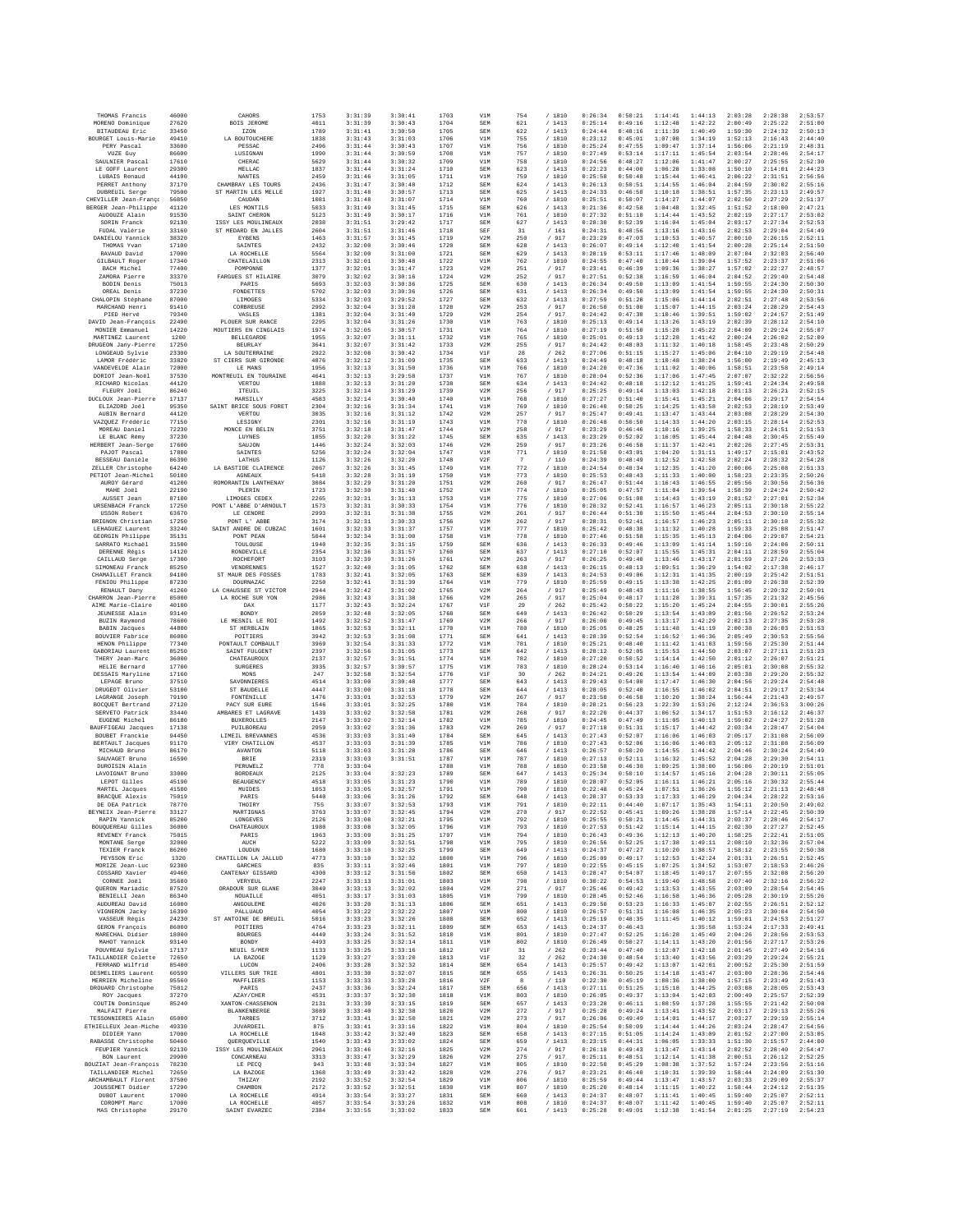| THOMAS Francis                             | 46000          | CAHORS                                  | 1753         | 3:31:39            | 3:30:41            | 1703         | V1M               | 754                   | /1810                    | 0:26:34            | 0:50:21            | 1:14:41            | 1:44:13            | 2:03:28            | 2:28:38            | 2:53:57            |
|--------------------------------------------|----------------|-----------------------------------------|--------------|--------------------|--------------------|--------------|-------------------|-----------------------|--------------------------|--------------------|--------------------|--------------------|--------------------|--------------------|--------------------|--------------------|
| MORENO Dominique<br><b>BITAUDEAU Eric</b>  | 27620<br>33450 | <b>BOIS JEROME</b><br>IZON              | 4011<br>1789 | 3:31:39<br>3:31:41 | 3:30:43<br>3:30:50 | 1704<br>1705 | SEM<br>SEM        | 621<br>622            | /1413<br>/1413           | 0:25:14<br>0:24:44 | 0:49:16<br>0:48:16 | 1:12:48<br>1:11:39 | 1:42:22<br>1:40:49 | 2:00:49<br>1:59:30 | 2:25:22<br>2:24:32 | 2:51:00<br>2:50:13 |
| BOURGET Louis-Marie                        | 49410          | LA BOUTOUCHERE                          | 1838         | 3:31:43            | 3:31:03            | 1706         | V1M               | 755                   | / 1810                   | 0:23:12            | 0:45:01            | 1:07:00            | 1:34:19            | 1:52:13            | 2:16:43            | 2:44:40            |
| PERY Pascal                                | 33600          | PESSAC                                  | 2496         | 3:31:44            | 3:30:43            | 1707         | V1M               | 756                   | /1810                    | 0:25:24            | 0:47:55            | 1:09:47            | 1:37:14            | 1:56:06            | 2:21:19            | 2:48:31            |
| VUZE Guy<br>SAULNIER Pascal                | 86600<br>17610 | LUSIGNAN<br>CHERAC                      | 1990<br>5629 | 3:31:44<br>3:31:44 | 3:30:59<br>3:30:32 | 1708<br>1709 | V1M<br>V1M        | 757<br>758            | /1810<br>/ 1810          | 0:27:49<br>0:24:56 | 0:53:14<br>0:48:27 | 1:17:11<br>1:12:06 | 1:45:54<br>1:41:47 | 2:03:54<br>2:00:27 | 2:28:46<br>2:25:55 | 2:54:17<br>2:52:30 |
| LE GOFF Laurent                            | 29300          | MELLAC                                  | 1837         | 3:31:44            | 3:31:24            | 1710         | SEM               | 623                   | / 1413                   | 0:22:23            | 0:44:00            | 1:06:28            | 1:33:08            | 1:50:10            | 2:14:01            | 2:44:23            |
| LUBAIS Renaud<br>PERRET Anthony            | 44100<br>37170 | NANTES<br>CHAMBRAY LES TOURS            | 2459<br>2436 | 3:31:46<br>3:31:47 | 3:31:05<br>3:30:48 | 1711<br>1712 | V1M<br><b>SEM</b> | 759<br>624            | /1810<br>/1413           | 0:25:58<br>0:26:13 | 0:50:48<br>0:50:51 | 1:15:44<br>1:14:55 | 1:46:41<br>1:46:04 | 2:06:22<br>2:04:59 | 2:31:51<br>2:30:02 | 2:56:56<br>2:55:16 |
| DUBREUIL Serge                             | 79500          | ST MARTIN LES MELLE                     | 1927         | 3:31:48            | 3:30:57            | 1713         | SEM               | 625                   | /1413                    | 0:24:33            | 0:46:58            | 1:10:18            | 1:38:51            | 1:57:35            | 2:23:13            | 2:49:57            |
| CHEVILLER Jean-Franco                      | 56850          | CAUDAN<br>LES MONTILS                   | 1081         | 3:31:48            | 3:31:07            | 1714         | V1M               | 760                   | /1810                    | 0:25:51            | 0:50:07            | 1:14:27            | 1:44:07            | 2:02:50            | 2:27:29            | 2:51:37            |
| BERGER Jean-Philippe<br>AUDOUZE Alain      | 41120<br>91530 | SAINT CHERON                            | 5033<br>5123 | 3:31:49<br>3:31:49 | 3:31:45<br>3:30:17 | 1715<br>1716 | SEM<br>V1M        | 626<br>761            | /1413<br>/ 1810          | 0:21:36<br>0:27:32 | 0:42:58<br>0:51:10 | 1:04:48<br>1:14:44 | 1:32:45<br>1:43:52 | 1:51:52<br>2:02:19 | 2:18:00<br>2:27:17 | 2:47:21<br>2:53:02 |
| SORIN Franck                               | 92130          | ISSY LES MOULINEAUX                     | 2038         | 3:31:51            | 3:29:42            | 1717         | SEM               | 627                   | /1413                    | 0:28:30            | 0:52:39            | 1:16:04            | 1:45:04            | 2:03:17            | 2:27:34            | 2:52:53            |
| FUDAL Valérie<br>DANIELOU Yannick          | 33160<br>38320 | ST MEDARD EN JALLES<br><b>EYBENS</b>    | 2604<br>1463 | 3:31:51<br>3:31:57 | 3:31:46<br>3:31:45 | 1718<br>1719 | SEF<br>V2M        | 31<br>250             | /161<br>/ 917            | 0:24:31<br>0:23:29 | 0:48:56<br>0:47:03 | 1:13:16<br>1:10:53 | 1:43:16<br>1:40:57 | 2:02:53<br>2:00:10 | 2:29:04<br>2:26:15 | 2:54:49<br>2:52:11 |
| THOMAS Yvan                                | 17100          | SAINTES                                 | 2432         | 3:32:00            | 3:30:46            | 1720         | SEM               | 628                   | /1413                    | 0:26:07            | 0:49:14            | 1:12:40            | 1:41:54            | 2:00:28            | 2:25:14            | 2:51:50            |
| RAVAUD David                               | 17000          | LA ROCHELLE                             | 5564         | 3:32:00            | 3:31:00            | 1721         | SEM               | 629                   | /1413                    | 0:28:19            | 0:53:11            | 1:17:46            | 1:48:09            | 2:07:04            | 2:32:03            | 2:56:40            |
| GILBAULT Roger<br>BACH Michel              | 17340<br>77400 | CHATELAILLON<br>POMPONNE                | 2313<br>1377 | 3:32:01<br>3:32:01 | 3:30:48<br>3:31:47 | 1722<br>1723 | V1M<br>V2M        | 762<br>251            | /1810<br>/ 917           | 0:24:55<br>0:23:41 | 0:47:40<br>0:46:39 | 1:10:44<br>1:09:36 | 1:39:04<br>1:38:27 | 1:57:52<br>1:57:02 | 2:23:37<br>2:22:27 | 2:51:06<br>2:48:57 |
| ZAMORA Pierre                              | 33370          | FARGUES ST HILAIRE                      | 3079         | 3:32:02            | 3:30:16            | 1724         | V2M               | 252                   | / 917                    | 0:27:51            | 0:52:38            | 1:16:59            | 1:46:04            | 2:04:52            | 2:29:40            | 2:54:48            |
| BODIN Denis                                | 75013          | PARIS                                   | 5693         | 3:32:03            | 3:30:36            | 1725         | SEM               | 630                   | /1413                    | 0:26:34            | 0:49:50            | 1:13:09            | 1:41:54            | 1:59:55            | 2:24:30            | 2:50:30            |
| OREAL Denis<br>CHALOPIN Stéphane           | 37230<br>87000 | FONDETTES<br>LIMOGES                    | 5702<br>5334 | 3:32:03<br>3:32:03 | 3:30:36<br>3:29:52 | 1726<br>1727 | SEM<br>SEM        | 631<br>632            | /1413<br>/1413           | 0:26:34<br>0:27:59 | 0:49:50<br>0:51:28 | 1:13:09<br>1:15:06 | 1:41:54<br>1:44:14 | 1:59:55<br>2:02:51 | 2:24:30<br>2:27:48 | 2:50:31<br>2:53:56 |
| MARCHAND Henri                             | 91410          | CORBREUSE                               | 2992         | 3:32:04            | 3:31:28            | 1728         | V2M               | 253                   | / 917                    | 0:26:50            | 0:51:00            | 1:15:07            | 1:44:15            | 2:03:24            | 2:28:29            | 2:54:43            |
| PIED Hervé<br>DAVID Jean-François          | 79340<br>22490 | VASLES<br>PLOUER SUR RANCE              | 1381<br>2295 | 3:32:04<br>3:32:04 | 3:31:40<br>3:31:26 | 1729<br>1730 | V2M<br>V1M        | 254<br>763            | / 917<br>/ 1810          | 0:24:42<br>0:25:13 | 0:47:38<br>0:49:14 | 1:10:46<br>1:13:26 | 1:39:51<br>1:43:19 | 1:59:02<br>2:02:39 | 2:24:57<br>2:28:12 | 2:51:49<br>2:54:10 |
| MONIER Emmanuel                            | 14220          | MOUTIERS EN CINGLAIS                    | 1974         | 3:32:05            | 3:30:57            | 1731         | V1M               | 764                   | / 1810                   | 0:27:19            | 0:51:50            | 1:15:28            | 1:45:22            | 2:04:09            | 2:29:24            | 2:55:07            |
| MARTINEZ Laurent                           | 1200           | <b>BELLEGARDE</b>                       | 1955         | 3:32:07            | 3:31:11            | 1732         | V1M               | 765                   | /1810                    | 0:25:01            | 0:49:13            | 1:12:28            | 1:41:42            | 2:00:24            | 2:26:02            | 2:52:09            |
| DRUGEON Jany-Pierre<br>LONGEAUD Sylvie     | 17250<br>23300 | <b>BEURLAY</b><br>LA SOUTERRAINE        | 3641<br>2922 | 3:32:07<br>3:32:08 | 3:31:42<br>3:30:42 | 1733<br>1734 | V2M<br>V1F        | 255<br>28             | / 917<br>/262            | 0:24:42<br>0:27:06 | 0:48:03<br>0:51:15 | 1:11:32<br>1:15:27 | 1:40:18<br>1:45:06 | 1:58:45<br>2:04:10 | 2:23:48<br>2:29:19 | 2:50:29<br>2:54:48 |
| LAMOR Frédéric                             | 33820          | ST CIERS SUR GIRONDE                    | 4876         | 3:32:12            | 3:31:09            | 1735         | SEM               | 633                   | /1413                    | 0:24:49            | 0:48:18            | 1:10:48            | 1:38:24            | 1:56:00            | 2:19:49            | 2:45:13            |
| VANDEVELDE Alain                           | 72000          | LE MANS                                 | 1956         | 3:32:13            | 3:31:50            | 1736         | V1M               | 766                   | /1810                    | 0:24:20            | 0:47:36            | 1:11:02            | 1:40:06            | 1:58:51            | 2:23:58            | 2:49:14            |
| DORIOT Jean-Noël<br>RICHARD Nicolas        | 37530<br>44120 | MONTREUIL EN TOURAINE<br>VERTOU         | 4641<br>1888 | 3:32:13<br>3:32:13 | 3:29:58<br>3:31:20 | 1737<br>1738 | V1M<br>SEM        | 767<br>634            | /1810<br>/1413           | 0:28:04<br>0:24:42 | 0:52:36<br>0:48:18 | 1:17:06<br>1:12:12 | 1:47:45<br>1:41:25 | 2:07:07<br>1:59:41 | 2:32:22<br>2:24:34 | 2:56:56<br>2:49:58 |
| FLEURY Joël                                | 86240          | ITEUIL                                  | 3225         | 3:32:14            | 3:31:29            | 1739         | V2M               | 256                   | / 917                    | 0:25:25            | 0:49:14            | 1:13:03            | 1:42:18            | 2:01:13            | 2:26:21            | 2:52:15            |
| DUCLOUX Jean-Pierre<br>ELIAZORD Joël       | 17137<br>95350 | MARSILLY<br>SAINT BRICE SOUS FORET      | 4583<br>2304 | 3:32:14<br>3:32:16 | 3:30:40<br>3:31:34 | 1740<br>1741 | V1M<br>V1M        | 768<br>769            | /1810<br>/1810           | 0:27:27<br>0:26:40 | 0:51:40<br>0:50:25 | 1:15:41<br>1:14:25 | 1:45:21<br>1:43:58 | 2:04:06<br>2:02:53 | 2:29:17<br>2:28:19 | 2:54:54<br>2:53:49 |
| AUBIN Bernard                              | 44120          | VERTOU                                  | 3035         | 3:32:16            | 3:31:12            | 1742         | V2M               | 257                   | / 917                    | 0:25:47            | 0:49:41            | 1:13:47            | 1:43:44            | 2:03:08            | 2:28:29            | 2:54:30            |
| VAZOUEZ Frédéric                           | 77150          | LESIGNY                                 | 2301         | 3:32:16            | 3:31:19            | 1743         | V1M               | 770                   | /1810                    | 0:26:48            | 0:50:50            | 1:14:33            | 1:44:20            | 2:03:15            | 2:28:14            | 2:52:53            |
| MOREAU Daniel<br>LE BLANC Rémy             | 72230<br>37230 | MONCE EN BELIN<br>LUYNES                | 3751<br>1855 | 3:32:18<br>3:32:20 | 3:31:47<br>3:31:22 | 1744<br>1745 | V2M<br>SEM        | 258<br>635            | / 917<br>/1413           | 0:23:29<br>0:23:29 | 0:46:46<br>0:52:02 | 1:10:16<br>1:16:05 | 1:39:25<br>1:45:44 | 1:58:33<br>2:04:48 | 2:24:51<br>2:30:45 | 2:51:53<br>2:55:49 |
| HERBERT Jean-Serge                         | 17600          | SAUJON                                  | 1446         | 3:32:24            | 3:32:03            | 1746         | V2M               | 259                   | / 917                    | 0:23:26            | 0:46:58            | 1:11:37            | 1:42:41            | 2:02:26            | 2:27:45            | 2:53:31            |
| PAJOT Pascal                               | 17800          | <b>SAINTES</b>                          | 5256         | 3:32:24            | 3:32:04            | 1747         | V1M               | 771                   | /1810                    | 0:21:58            | 0:43:01            | 1:04:20            | 1:31:11            | 1:49:17            | 2:15:01            | 2:43:52            |
| BESSEAU Danièle<br>ZELLER Christophe       | 86390<br>64240 | LATHUS<br>LA BASTIDE CLAIRENCE          | 1126<br>2067 | 3:32:26<br>3:32:26 | 3:32:20<br>3:31:45 | 1748<br>1749 | V2F<br>V1M        | $\overline{7}$<br>772 | / 110<br>/ 1810          | 0:24:39<br>0:24:54 | 0:48:49<br>0:48:34 | 1:12:52<br>1:12:35 | 1:42:58<br>1:41:20 | 2:02:24<br>2:00:06 | 2:28:32<br>2:25:08 | 2:54:28<br>2:51:33 |
| PETIOT Jean-Michel                         | 50180          | <b>AGNEAUX</b>                          | 5418         | 3:32:28            | 3:31:10            | 1750         | V1M               | 773                   | /1810                    | 0:25:53            | 0:48:43            | 1:11:33            | 1:40:00            | 1:58:23            | 2:23:35            | 2:50:26            |
| AUROY Gérard                               | 41200          | ROMORANTIN LANTHENAY                    | 3084         | 3:32:29            | 3:31:20            | 1751         | V2M               | 260                   | / 917                    | 0:26:47            | 0:51:44            | 1:16:43            | 1:46:55            | 2:05:56            | 2:30:56            | 2:56:36            |
| MAHE Joěl<br>AUSSET Jean                   | 22190<br>87100 | PLERIN<br>LIMOGES CEDEX                 | 1723<br>2265 | 3:32:30<br>3:32:31 | 3:31:40<br>3:31:13 | 1752<br>1753 | V1M<br>V1M        | 774<br>775            | / 1810<br>/1810          | 0:25:05<br>0:27:06 | 0:47:57<br>0:51:08 | 1:11:04<br>1:14:43 | 1:39:54<br>1:43:19 | 1:58:39<br>2:01:52 | 2:24:24<br>2:27:01 | 2:50:42<br>2:52:34 |
| URSENBACH Franck                           | 17250          | PONT L'ARRE D'ARNOULT                   | 1573         | 3:32:31            | 3:30:33            | 1754         | V1M               | 776                   | /1810                    | 0:28:32            | 0:52:41            | 1:16:57            | 1:46:23            | 2:05:11            | 2:30:18            | 2:55:22            |
| USSON Robert<br>BRIGNON Christian          | 63670<br>17250 | LE CENDRE<br>PONT L'ABBE                | 2993<br>3174 | 3:32:31<br>3:32:31 | 3:31:38<br>3:30:33 | 1755<br>1756 | V2M<br>V2M        | 261<br>262            | / 917<br>/ 917           | 0:26:44<br>0:28:31 | 0:51:30<br>0:52:41 | 1:15:50<br>1:16:57 | 1:45:44<br>1:46:23 | 2:04:53<br>2:05:11 | 2:30:10<br>2:30:18 | 2:55:14<br>2:55:32 |
| LEHAGUEZ Laurent                           | 33240          | SAINT ANDRE DE CUBZAC                   | 1601         | 3:32:33            | 3:31:37            | 1757         | V1M               | 777                   | /1810                    | 0:25:42            | 0:48:38            | 1:11:32            | 1:40:28            | 1:59:33            | 2:25:08            | 2:51:47            |
| GEORGIN Philippe                           | 35131          | PONT PEAN                               | 5044         | 3:32:34            | 3:31:00            | 1758         | V1M               | 778                   | /1810                    | 0:27:46            | 0:51:58            | 1:15:35            | 1:45:13            | 2:04:06            | 2:29:07            | 2:54:21            |
| SARRATO Michaël<br>DERENNE Régis           | 31500<br>14120 | TOULOUSE<br>RONDEVILLE                  | 1940<br>2354 | 3:32:35<br>3:32:36 | 3:31:15<br>3:31:57 | 1759<br>1760 | SEM<br>SEM        | 636<br>637            | /1413<br>/1413           | 0:26:33<br>0:27:10 | 0:49:46<br>0:52:07 | 1:13:09<br>1:15:55 | 1:41:14<br>1:45:31 | 1:59:16<br>2:04:11 | 2:24:06<br>2:28:59 | 2:50:11<br>2:55:04 |
| CAILLAUD Serge                             | 17300          | ROCHEFORT                               | 3103         | 3:32:39            | 3:31:26            | 1761         | V2M               | 263                   | /917                     | 0:26:25            | 0:49:40            | 1:13:46            | 1:43:17            | 2:01:59            | 2:27:26            | 2:53:33            |
| SIMONEAU Franck                            | 85250          | VENDRENNES                              | 1527         | 3:32:40            | 3:31:05            | 1762         | SEM               | 638                   | /1413                    | 0:26:15            | 0:48:13            | 1:09:51            | 1:36:29            | 1:54:02            | 2:17:38            | 2:46:17            |
| CHAMAILLET Franck<br>FENIOU Philippe       | 94100<br>87230 | ST MAUR DES FOSSES<br>DOURNAZAC         | 1783<br>2250 | 3:32:41<br>3:32:41 | 3:32:05<br>3:31:39 | 1763<br>1764 | SEM<br>V1M        | 639<br>779            | /1413<br>/1810           | 0:24:53<br>0:25:59 | 0:49:06<br>0:49:15 | 1:12:31<br>1:13:38 | 1:41:35<br>1:42:25 | 2:00:19<br>2:01:09 | 2:25:42<br>2:26:38 | 2:51:51<br>2:52:39 |
| RENAULT Dany                               | 41260          | LA CHAUSSEE ST VICTOR                   | 2944         | 3:32:42            | 3:31:02            | 1765         | V2M               | 264                   | / 917                    | 0:25:49            | 0:48:43            | 1:11:16            | 1:38:55            | 1:56:45            | 2:20:32            | 2:50:01            |
| CHARRON Jean-Pierre                        | 85000          | LA ROCHE SUR YON                        | 2986<br>1177 | 3:32:43<br>3:32:43 | 3:31:38            | 1766         | V2M               | 265                   | / 917<br>/262            | 0:25:04            | 0:48:17<br>0:50:22 | 1:11:28            | 1:39:31<br>1:45:24 | 1:57:35<br>2:04:55 | 2:21:32            | 2:45:56<br>2:55:26 |
| AIME Marie-Claire<br><b>JEUNESSE Alain</b> | 40100<br>93140 | DAX<br>BONDY                            | 2059         | 3:32:48            | 3:32:24<br>3:32:05 | 1767<br>1768 | V1F<br>SEM        | 29<br>640             | /1413                    | 0:25:42<br>0:26:42 | 0:50:29            | 1:15:20<br>1:13:54 | 1:43:09            | 2:01:56            | 2:30:01<br>2:26:52 | 2:53:24            |
| BUZIN Raymond                              | 78600          | LE MESNIL LE ROI                        | 1492         | 3:32:52            | 3:31:47            | 1769         | V2M               | 266                   | / 917                    | 0:26:00            | 0:49:45            | 1:13:17            | 1:42:29            | 2:02:13            | 2:27:35            | 2:53:28            |
| <b>BABIN</b> Jacques<br>BOUVIER Fabrice    | 44800<br>86000 | ST HERBLAIN<br>POITIERS                 | 1865<br>3942 | 3:32:53<br>3:32:53 | 3:32:11<br>3:31:08 | 1770<br>1771 | V1M<br>SEM        | 780<br>641            | / 1810<br>/ 1413         | 0:25:05<br>0:28:39 | 0:48:25<br>0:52:54 | 1:11:48<br>1:16:52 | 1:41:19<br>1:46:36 | 2:00:38<br>2:05:49 | 2:26:03<br>2:30:53 | 2:51:53<br>2:55:56 |
| HENON Philippe                             | 77340          | PONTAULT COMBAULT                       | 3969         | 3:32:54            | 3:31:33            | 1772         | V1M               | 781                   | /1810                    | 0:25:21            | 0:48:40            | 1:11:42            | 1:41:03            | 1:59:56            | 2:25:30            | 2:51:44            |
| GABORIAU Laurent                           | 85250          | SAINT FULGENT                           | 2397         | 3:32:56            | 3:31:05            | 1773         | <b>SEM</b>        | 642                   | /1413                    | 0:28:12            | 0:52:05            | 1:15:53            | 1:44:50            | 2:03:07            | 2:27:11            | 2:51:23            |
| THERY Jean-Marc<br>HELIE Bernard           | 36000<br>17700 | CHATEAUROUX<br><b>SURGERES</b>          | 2137<br>3935 | 3:32:57<br>3:32:57 | 3:31:51<br>3:30:57 | 1774<br>1775 | V1M<br>V1M        | 782<br>783            | / 1810<br>/1810          | 0:27:20<br>0:28:24 | 0:50:52<br>0:53:14 | 1:14:14<br>1:16:40 | 1:42:50<br>1:46:16 | 2:01:12<br>2:05:01 | 2:26:07<br>2:30:08 | 2:51:21<br>2:55:32 |
| DESSAIS Maryline                           | 17160          | MONS                                    | 247          | 3:32:58            | 3:32:54            | 1776         | V1F               | 30                    | /262                     | 0:24:21            | 0:49:26            | 1:13:54            | 1:44:09            | 2:03:38            | 2:29:20            | 2:55:32            |
| LEPAGE Bruno                               | 37510          | SAVONNIERES                             | 4514         | 3:33:00            | 3:30:48            | 1777         | SEM               | 643                   | 1413                     | 0:29:43            | 0:54:00            | 1:17:47            | 1:46:30            | 2:04:56            | 2:29:24            | 2:54:48            |
| DRUGEOT Olivier<br>LAGRANGE Joseph         | 53100<br>79190 | ST BAUDELLE<br>FONTENILLE               | 4447<br>1476 | 3:33:00<br>3:33:01 | 3:31:18<br>3:32:53 | 1778<br>1779 | SEM<br>V2M        | 644<br>267            | /1413<br>/917            | 0:28:05<br>0:23:50 | 0:52:40<br>0:46:58 | 1:16:55<br>1:10:20 | 1:46:02<br>1:38:24 | 2:04:51<br>1:56:44 | 2:29:17<br>2:21:43 | 2:53:34<br>2:49:57 |
| BOCQUET Bertrand                           | 27120          | PACY SUR EURE                           | 1546         | 3:33:01            | 3:32:25            | 1780         | V1M               | 784                   | /1810                    | 0:28:21            | 0:56:23            | 1:22:39            | 1:53:26            | 2:12:24            | 2:36:53            | 3:00:26            |
| SERVETO Patrick                            | 33440<br>86180 | AMBARES ET LAGRAVE<br><b>BUXEROLLES</b> | 1439<br>2147 | 3:33:02<br>3:33:02 | 3:32:58<br>3:32:14 | 1781<br>1782 | V2M<br>V1M        | 268<br>785            | / 917<br>/1810           | 0:22:20<br>0:24:45 | 0:44:37<br>0:47:49 | 1:06:52<br>1:11:05 | 1:34:17<br>1:40:13 | 1:51:53<br>1:59:02 | 2:16:12<br>2:24:27 | 2:46:37<br>2:51:28 |
| EUGENE Michel<br>BAUFFIGEAU Jacques        | 17138          | PUILBOREAU                              | 2959         | 3:33:02            | 3:31:36            | 1783         | V2M               | 269                   | / 917                    | 0:27:18            | 0:51:31            | 1:15:17            | 1:44:42            | 2:03:34            | 2:28:47            | 2:54:04            |
| BOUBET Franckie                            | 94450          | LIMEIL BREVANNES                        | 4536         | 3:33:03            | 3:31:40            | 1784         | SEM               | 645                   | /1413                    | 0:27:43            | 0:52:07            | 1:16:06            | 1:46:03            | 2:05:17            | 2:31:08            | 2:56:09            |
| <b>BERTAULT</b> Jacques<br>MICHAUD Bruno   | 91170<br>86170 | VIRY CHATILLON<br><b>AVANTON</b>        | 4537<br>5118 | 3:33:03<br>3:33:03 | 3:31:39<br>3:31:28 | 1785<br>1786 | V1M<br>SEM        | 786<br>646            | 1810<br>/1413            | 0:27:43<br>0:26:57 | 0:52:06<br>0:50:20 | 1:16:06<br>1:14:55 | 1:46:03<br>1:44:42 | 2:05:12<br>2:04:46 | 2:31:08<br>2:30:24 | 2:56:09<br>2:54:49 |
| SAUVAGET Brunc                             | 16590          | BRIE                                    | 2319         | 3:33:03            | 3:31:51            | 1787         | V1M               | 787                   | /1810                    | 0:27:13            | 0:52:11            | 1:16:32            | 1:45:52            | 2:04:28            | 2:29:30            | 2:54:11            |
| DUROISIN Alain                             |                | <b>PERUWELZ</b>                         | 778<br>2125  | 3:33:04            |                    | 1788         | V1M               | 788                   | 1810                     | 0:23:58            | 0:46:38<br>0:50:10 | 1:09:25            | 1:38:00            | 1:56:06<br>2:04:28 | 2:20:19            | 2:51:01            |
| LAVOIGNAT Bruno<br>LEPOT Gilles            | 33000<br>45190 | <b>BORDEAUX</b><br><b>BEAUGENCY</b>     | 4518         | 3:33:04<br>3:33:05 | 3:32:23<br>3:31:23 | 1789<br>1790 | SEM<br>V1M        | 647<br>789            | /1413<br>1810            | 0:25:34<br>0:28:07 | 0:52:05            | 1:14:57<br>1:16:11 | 1:45:16<br>1:46:21 | 2:05:16            | 2:30:11<br>2:30:32 | 2:55:05<br>2:55:44 |
| MARTEL Jacques                             | 41500          | MUIDES                                  | 1053         | 3:33:05            | 3:32:57            | 1791         | V1M               | 790                   | /1810                    | 0:22:48            | 0:45:24            | 1:07:51            | 1:36:26            | 1:55:12            | 2:21:13            | 2:48:48            |
| BRACQUE Alexis<br>DE DEA Patrick           | 75019<br>78770 | PARIS<br>THOIRY                         | 5440<br>755  | 3:33:06<br>3:33:07 | 3:31:26<br>3:32:53 | 1792<br>1793 | SEM<br>V1M        | 648<br>791            | /1413<br>1810            | 0:28:37<br>0:22:11 | 0:53:33<br>0:44:40 | 1:17:33<br>1:07:17 | 1:46:29<br>1:35:43 | 2:04:34<br>1:54:11 | 2:28:22<br>2:20:50 | 2:53:16<br>2:49:02 |
| BEYNEIX Jean-Pierre                        | 33127          | MARTIGNAS                               | 3763         | 3:33:07            | 3:32:45            | 1794         | V2M               | 270                   | / 917                    | 0:22:52            | 0:45:41            | 1:09:26            | 1:38:28            | 1:57:14            | 2:22:45            | 2:50:39            |
| RAPIN Yannick                              | 85200          | LONGEVES                                | 2126         | 3:33:08            | 3:32:21            | 1795         | V1M               | 792                   | / 1810                   | 0:25:55            | 0:50:21            | 1:14:45            | 1:44:31            | 2:03:37            | 2:28:46            | 2:54:17            |
| BOUQUEREAU Gilles<br>REVENEY Franck        | 36000<br>75015 | CHATEAUROUX<br>PARIS                    | 1980<br>1963 | 3:33:08<br>3:33:09 | 3:32:05<br>3:31:25 | 1796<br>1797 | V1M<br>V1M        | 793<br>794            | 1810<br>1<br>/1810       | 0:27:53<br>0:26:43 | 0:51:42<br>0:49:36 | 1:15:14<br>1:12:13 | 1:44:15<br>1:40:20 | 2:02:30<br>1:58:25 | 2:27:27<br>2:22:41 | 2:52:45<br>2:51:05 |
| MONTANE Serge                              | 32000          | AUCH                                    | 5222         | 3:33:09            | 3:32:51            | 1798         | V1M               | 795                   | / 1810                   | 0:26:56            | 0:52:25            | 1:17:38            | 1:49:11            | 2:08:10            | 2:32:36            | 2:57:04            |
| TEXIER Franck<br>PEYSSON Eric              | 86200<br>1320  | LOUDUN                                  | 1680<br>4773 | 3:33:10            | 3:32:25<br>3:32:32 | 1799<br>1800 | SEM               | 649<br>796            | /1413<br>/1810           | 0:24:37<br>0:25:09 | 0:47:27<br>0:49:17 | 1:10:20<br>1:12:53 | 1:38:57<br>1:42:24 | 1:58:12<br>2:01:31 | 2:23:55            | 2:50:38<br>2:52:45 |
| MORIZE Jean-Luc                            | 92380          | CHATILLON LA JALLUD<br>GARCHES          | 835          | 3:33:10<br>3:33:11 | 3:32:46            | 1801         | V1M<br>V1M        | 797                   | / 1810                   | 0:22:55            | 0:45:15            | 1:07:25            | 1:34:52            | 1:53:07            | 2:26:51<br>2:18:53 | 2:46:26            |
| COSSARD Xavier                             | 49460          | CANTENAY GISSARD                        | 4300         | 3:33:12            | 3:31:56            | 1802         | SEM               | 650                   | 1413                     | 0:28:47            | 0:54:07            | 1:18:45            | 1:49:17            | 2:07:55            | 2:32:08            | 2:56:20            |
| CORNEE Joël<br>OUERON Mariadic             | 35680<br>87520 | VERYEUL<br>ORADOUR SUR GLANE            | 2247<br>3049 | 3:33:13<br>3:33:13 | 3:31:01<br>3:32:02 | 1803<br>1804 | V1M<br>V2M        | 798<br>271            | / 1810<br>/ 917          | 0:30:22<br>0:25:46 | 0:54:53<br>0:49:42 | 1:19:40<br>1:13:53 | 1:48:58<br>1:43:55 | 2:07:40<br>2:03:09 | 2:32:16<br>2:28:54 | 2:56:22<br>2:54:45 |
| BENIELLI Jean                              | 86340          | NOUAILLE                                | 4051         | 3:33:17            | 3:31:03            | 1805         | V1M               | 799                   | /1810                    | 0:28:45            | 0:52:46            | 1:16:58            | 1:46:36            | 2:05:28            | 2:30:19            | 2:55:26            |
| AUDUREAU David                             | 16000          | ANGOULEME                               | 4026         | 3:33:20            | 3:31:13            | 1806         | SEM               | 651                   | /1413                    | 0:29:50            | 0:53:23            | 1:16:33            | 1:45:07            | 2:02:55            | 2:26:51            | 2:52:12            |
| VIGNERON Jacky<br>VASSEUR Régis            | 16390<br>24230 | PALLUAUD<br>ST ANTOINE DE BREUIL        | 4054<br>5016 | 3:33:22<br>3:33:23 | 3:32:22<br>3:32:26 | 1807<br>1808 | V1M<br>SEM        | 800<br>652            | / 1810<br>/1413          | 0:26:57<br>0:25:19 | 0:51:31<br>0:48:35 | 1:16:08<br>1:11:45 | 1:46:35<br>1:40:12 | 2:05:23<br>1:59:01 | 2:30:04<br>2:24:53 | 2:54:50<br>2:51:27 |
| GERON François                             | 86000          | POITIERS                                | 4764         | 3:33:23            | 3:32:11            | 1809         | SEM               | 653                   | /1413                    | 0:24:37            | 0:46:43            |                    | 1:35:58            | 1:53:24            | 2:17:33            | 2:49:41            |
| MARECHAL Didier                            | 18000          | <b>BOURGES</b>                          | 4449         | 3:33:24            | 3:31:52            | 1810         | V1M               | 801                   | / 1810                   | 0:27:47<br>0:26:49 | 0:52:25            | 1:16:28            | 1:45:49            | 2:04:26            | 2:28:56<br>2:27:17 | 2:53:53            |
| MAHOT Yannick<br>POUVREAU Sylvie           | 93140<br>17137 | BONDY<br>NEUIL S/MER                    | 4493<br>1133 | 3:33:25<br>3:33:25 | 3:32:14<br>3:33:16 | 1811<br>1812 | V1M<br>V1F        | 802<br>31             | /1810<br>$\,$ / $\,$ 262 | 0:23:44            | 0:50:27<br>0:47:40 | 1:14:11<br>1:12:07 | 1:43:20<br>1:42:18 | 2:01:56<br>2:01:45 | 2:27:49            | 2:53:26<br>2:54:16 |
| TAILLANDIER Colette                        | 72650          | LA BAZOGE                               | 1129         | 3:33:27            | 3:33:20            | 1813         | V1F               | 32                    | /262                     | 0:24:30            | 0:48:54            | 1:13:40            | 1:43:56            | 2:03:29            | 2:29:24            | 2:55:21            |
| FERRAND Wilfrid<br>DESMELIERS Laurent      | 85400<br>60590 | LUCON<br>VILLERS SUR TRIE               | 2406<br>4801 | 3:33:28<br>3:33:30 | 3:32:32<br>3:32:07 | 1814<br>1815 | SEM<br>SEM        | 654<br>655            | / 1413<br>/1413          | 0:25:57<br>0:26:31 | 0:49:42<br>0:50:25 | 1:13:07<br>1:14:18 | 1:42:01<br>1:43:47 | 2:00:52<br>2:03:00 | 2:25:30<br>2:28:36 | 2:51:59<br>2:54:46 |
| MERRIEN Micheline                          | 95560          | MAFFLIERS                               | 1153         | 3:33:33            | 3:33:28            | 1816         | V2F               | 8                     | / 110                    | 0:22:30            | 0:45:19            | 1:08:36            | 1:38:00            | 1:57:15            | 2:23:49            | 2:51:43            |
| DROUARD Christophe                         | 75012          | PARIS                                   | 2437         | 3:33:36            | 3:32:24            | 1817         | SEM               | 656                   | /1413                    | 0:27:11            | 0:51:25            | 1:15:18            | 1:44:25            | 2:03:08            | 2:28:05            | 2:53:43            |
| ROY Jacques<br>COUTIN Dominique            | 37270<br>85240 | AZAY/CHER<br>XANTON-CHASSENON           | 4531<br>2131 | 3:33:37<br>3:33:39 | 3:32:30<br>3:33:15 | 1818<br>1819 | V1M<br>SEM        | 803<br>657            | /1810<br>/ 1413          | 0:26:05<br>0:23:28 | 0:49:37<br>0:46:11 | 1:13:04<br>1:08:59 | 1:42:03<br>1:37:28 | 2:00:49<br>1:55:55 | 2:25:57<br>2:21:42 | 2:52:39<br>2:50:08 |
| MALFAIT Pierre                             |                | BLANKENBERGE                            | 3089         | 3:33:40            | 3:32:38            | 1820         | V2M               | 272                   | / 917                    | 0:25:28            | 0:49:24            | 1:13:41            | 1:43:52            | 2:03:17            | 2:29:13            | 2:55:26            |
| TESSONNIERES Alain                         | 65000          | TARBES                                  | 3712         | 3:33:41            | 3:32:50            | 1821         | V2M               | 273                   | / 917                    | 0:26:06            | 0:49:49            | 1:14:01            | 1:44:17            | 2:03:27            | 2:29:19            | 2:55:14            |
| ETHIELLEUX Jean-Miche<br>DIDIER Yann       | 49330<br>17000 | <b>JUVARDEIL</b><br>LA ROCHELLE         | 875<br>1048  | 3:33:41<br>3:33:42 | 3:33:16<br>3:32:40 | 1822<br>1823 | V1M<br>SEM        | 804<br>658            | /1810<br>/ 1413          | 0:25:54<br>0:27:15 | 0:50:09<br>0:51:05 | 1:14:44<br>1:14:24 | 1:44:26<br>1:43:09 | 2:03:24<br>2:01:52 | 2:28:47<br>2:27:00 | 2:54:56<br>2:53:05 |
| RABASSE Christophe                         | 50460          | QUERQUEVILLE                            | 1540         | 3:33:43            | 3:33:02            | 1824         | SEM               | 659                   | /1413                    | 0:23:15            | 0:44:31            | 1:06:05            | 1:33:33            | 1:51:30            | 2:15:57            | 2:44:00            |
| FEUPIER Yannick                            | 92130<br>29900 | ISSY LES MOULINEAUX<br>CONCARNEAU       | 2961<br>3313 | 3:33:46<br>3:33:47 | 3:32:16<br>3:32:29 | 1825         | V2M               | 274<br>275            | / 917<br>/ 917           | 0:26:18<br>0:25:11 | 0:49:43<br>0:48:51 | 1:13:47<br>1:12:14 | 1:43:14<br>1:41:38 | 2:02:52<br>2:00:51 | 2:28:40<br>2:26:12 | 2:54:47<br>2:52:25 |
| BON Laurent<br>BOUZIAT Jean-François       | 78230          | LE PECQ                                 | 943          | 3:33:48            | 3:33:34            | 1826<br>1827 | V2M<br>V1M        | 805                   | / 1810                   | 0:22:50            | 0:45:29            | 1:08:38            | 1:37:52            | 1:57:24            | 2:23:56            | 2:51:16            |
| TAILLANDIER Michel                         | 72650          | LA BAZOGE                               | 1368         | 3:33:49            | 3:33:42            | 1828         | V2M               | 276                   | / 917                    | 0:23:21            | 0:46:40            | 1:10:31            | 1:39:39            | 1:58:44            | 2:24:09            | 2:51:30            |
| ARCHAMBAULT Florent<br>JOUSSEMET Didier    | 37500<br>17290 | THIZAY<br>CHAMBON                       | 2192<br>2172 | 3:33:52<br>3:33:52 | 3:32:54<br>3:32:51 | 1829<br>1830 | V1M<br>V1M        | 806<br>807            | /1810<br>/ 1810          | 0:25:59<br>0:25:20 | 0:49:44<br>0:48:14 | 1:13:47<br>1:11:15 | 1:43:57<br>1:40:22 | 2:03:33<br>1:58:44 | 2:29:09<br>2:24:12 | 2:55:37<br>2:51:35 |
| <b>DUBOT</b> Laurent                       | 17000          | LA ROCHELLE                             | 4914         | 3:33:54            | 3:33:27            | 1831         | SEM               | 660                   | /1413                    | 0:24:37            | 0:48:07            | 1:11:41            | 1:40:45            | 1:59:40            | 2:25:07            | 2:52:11            |
|                                            | 17000          | LA ROCHELLE                             | 4057         | 3:33:54            | 3:33:26            | 1832         | V1M               | 808                   | /1810                    | 0:24:37            | 0:48:07            | 1:11:42            | 1:40:45            | 1:59:40            | 2:25:07            | 2:52:11            |
| COROMPT Marc<br>MAS Christophe             | 29170          | SAINT EVARZEC                           | 2384         | 3:33:55            | 3:33:02            | 1833         | SEM               | 661                   | / 1413                   | 0:25:28            | 0:49:01            | 1:12:38            | 1:41:54            | 2:01:25            | 2:27:19            | 2:54:23            |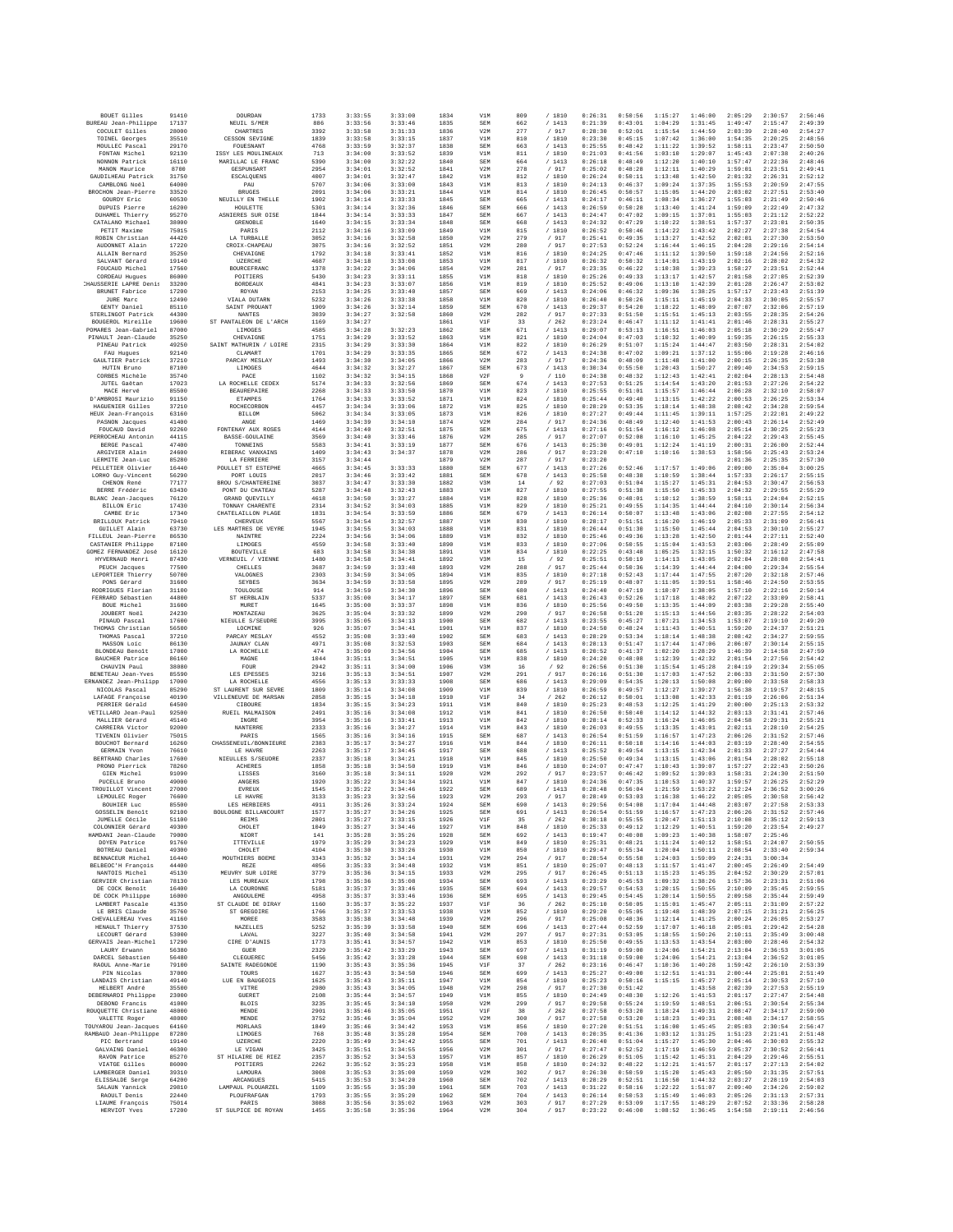| BOUET Gilles                                       | 91410          | DOURDAN                                  | 1733         | 3:33:55            | 3:33:00            | 1834         | V1M               | 809        | /1810            | 0:26:31            | 0:50:56            | 1:15:27            | 1:46:00            | 2:05:29            | 2:30:57            | 2:56:46            |
|----------------------------------------------------|----------------|------------------------------------------|--------------|--------------------|--------------------|--------------|-------------------|------------|------------------|--------------------|--------------------|--------------------|--------------------|--------------------|--------------------|--------------------|
| BUREAU Jean-Philippe<br>COCULET Gilles             | 17137<br>28000 | NEUIL S/MER<br>CHARTRES                  | 886<br>3392  | 3:33:56<br>3:33:58 | 3:33:46<br>3:31:33 | 1835<br>1836 | SEM<br>V2M        | 662<br>277 | /1413<br>/ 917   | 0:21:39<br>0:28:30 | 0:43:01<br>0:52:01 | 1:04:29<br>1:15:54 | 1:31:45<br>1:44:59 | 1:49:47<br>2:03:39 | 2:15:47<br>2:28:40 | 2:49:39<br>2:54:27 |
| TOINEL Georges                                     | 35510          | CESSON SEVIGNE                           | 1839         | 3:33:58            | 3:33:15            | 1837         | V1M               | 810        | / 1810           | 0:23:30            | 0:45:15            | 1:07:42            | 1:36:00            | 1:54:35            | 2:20:25            | 2:48:56            |
| MOULLEC Pascal<br>FONTAN Michel                    | 29170<br>92130 | <b>FOUE SNANT</b><br>ISSY LES MOULINEAUX | 4768<br>713  | 3:33:59<br>3:34:00 | 3:32:37<br>3:33:52 | 1838<br>1839 | <b>SEM</b><br>V1M | 663<br>811 | /1413<br>/ 1810  | 0:25:55<br>0:21:03 | 0:48:42<br>0:41:56 | 1:11:22<br>1:03:10 | 1:39:52<br>1:29:07 | 1:58:11<br>1:45:43 | 2:23:47<br>2:07:38 | 2:50:50<br>2:40:26 |
| NONNON Patrick                                     | 16110          | MARILLAC LE FRANC                        | 5390         | 3:34:00            | 3:32:22            | 1840         | SEM               | 664        | /1413            | 0:26:18            | 0:48:49            | 1:12:20            | 1:40:10            | 1:57:47            | 2:22:36            | 2:48:46            |
| MANON Maurice<br>GAUDILHEAU Patrick                | 8700<br>31750  | GESPUNSART<br>ESCALQUENS                 | 2954<br>4007 | 3:34:01<br>3:34:01 | 3:32:52<br>3:32:47 | 1841<br>1842 | V2M<br>V1M        | 278<br>812 | / 917<br>/ 1810  | 0:25:02<br>0:26:24 | 0:48:28<br>0:50:11 | 1:12:11<br>1:13:48 | 1:40:29<br>1:42:50 | 1:59:01<br>2:01:32 | 2:23:51<br>2:26:31 | 2:49:41<br>2:52:12 |
| CAMBLONG Noël                                      | 64000          | PAU                                      | 5707         | 3:34:06            | 3:33:00            | 1843         | V1M               | 813        | / 1810           | 0:24:13            | 0:46:37            | 1:09:24            | 1:37:35            | 1:55:53            | 2:20:59            | 2:47:55            |
| BROCHON Jean-Pierre<br>GOURDY Eric                 | 33520<br>60530 | <b>BRUGES</b><br>NEUILLY EN THELLE       | 2091<br>1902 | 3:34:06<br>3:34:14 | 3:33:21<br>3:33:33 | 1844<br>1845 | V1M<br><b>SEM</b> | 814<br>665 | / 1810<br>/1413  | 0:26:45<br>0:24:17 | 0:50:57<br>0:46:11 | 1:15:05<br>1:08:34 | 1:44:20<br>1:36:27 | 2:03:02<br>1:55:03 | 2:27:51<br>2:21:49 | 2:53:40<br>2:50:46 |
| DUPUIS Pierre                                      | 16200          | HOULETTE                                 | 5301         | 3:34:14            | 3:32:36            | 1846         | <b>SEM</b>        | 666        | / 1413           | 0:26:59            | 0:50:28            | 1:13:40            | 1:41:24            | 1:59:09            | 2:22:49            | 2:47:32            |
| DUHAMEL Thierry                                    | 95270          | ASNIERES SUR OISE                        | 1844         | 3:34:14            | 3:33:33            | 1847         | SEM               | 667        | /1413            | 0:24:47            | 0:47:02            | 1:09:15            | 1:37:01            | 1:55:03            | 2:21:12            | 2:52:22            |
| CATALANO Michael<br>PETIT Maxime                   | 38000<br>75015 | GRENOBLE<br>PARIS                        | 1640<br>2112 | 3:34:15<br>3:34:16 | 3:33:34<br>3:33:09 | 1848<br>1849 | <b>SEM</b><br>V1M | 668<br>815 | /1413<br>/ 1810  | 0:24:32<br>0:26:52 | 0:47:29<br>0:50:46 | 1:10:22<br>1:14:22 | 1:38:51<br>1:43:42 | 1:57:37<br>2:02:27 | 2:23:01<br>2:27:38 | 2:50:35<br>2:54:54 |
| ROBIN Christian                                    | 44420          | LA TURBALLE                              | 3052         | 3:34:16            | 3:32:58            | 1850         | V2M               | 279        | / 917            | 0:25:41            | 0:49:35            | 1:13:27            | 1:42:52            | 2:02:01            | 2:27:30            | 2:53:50            |
| AUDONNET Alain<br>ALLAIN Bernard                   | 17220<br>35250 | CROIX-CHAPEAU<br>CHEVAIGNE               | 3075<br>1792 | 3:34:16<br>3:34:18 | 3:32:52<br>3:33:41 | 1851<br>1852 | V2M<br>V1M        | 280<br>816 | / 917<br>/1810   | 0:27:53<br>0:24:25 | 0:52:24<br>0:47:46 | 1:16:44<br>1:11:12 | 1:46:15<br>1:39:50 | 2:04:28<br>1:59:18 | 2:29:16<br>2:24:56 | 2:54:14<br>2:52:16 |
| SALVANT Gérard                                     | 19140          | <b>UZERCHE</b>                           | 4687         | 3:34:18            | 3:33:08            | 1853         | V1M               | 817        | / 1810           | 0:26:32            | 0:50:32            | 1:14:01            | 1:43:19            | 2:02:16            | 2:28:02            | 2:54:32            |
| FOUCAUD Michel<br>CORDEAU Hugues                   | 17560<br>86000 | BOURCEFRANC<br>POITIERS                  | 1378<br>5430 | 3:34:22<br>3:34:23 | 3:34:06<br>3:33:11 | 1854<br>1855 | V2M<br>V1M        | 281<br>818 | / 917<br>/ 1810  | 0:23:35<br>0:25:26 | 0:46:22<br>0:49:33 | 1:10:38<br>1:13:17 | 1:39:23<br>1:42:57 | 1:58:27<br>2:01:58 | 2:23:51<br>2:27:05 | 2:52:44<br>2:52:39 |
| CHAUSSERIE LAPRE Denis                             | 33200          | <b>BORDEAUX</b>                          | 4841         | 3:34:23            | 3:33:07            | 1856         | V1M               | 819        | / 1810           | 0:25:52            | 0:49:06            | 1:13:10            | 1:42:39            | 2:01:28            | 2:26:47            | 2:53:02            |
| BRUNET Fabrice<br>JURE Marc                        | 17200<br>12490 | ROYAN<br>VIALA DUTARN                    | 2153<br>5232 | 3:34:25<br>3:34:26 | 3:33:40<br>3:33:38 | 1857<br>1858 | SEM<br>V1M        | 669<br>820 | /1413<br>/ 1810  | 0:24:06<br>0:26:40 | 0:46:32<br>0:50:26 | 1:09:36<br>1:15:11 | 1:38:25<br>1:45:19 | 1:57:17<br>2:04:33 | 2:23:43<br>2:30:05 | 2:51:39<br>2:55:57 |
| GENTY Daniel                                       | 85110          | SAINT PROUANT                            | 1909         | 3:34:26            | 3:32:14            | 1859         | <b>SEM</b>        | 670        | /1413            | 0:29:37            | 0:54:20            | 1:18:22            | 1:48:09            | 2:07:07            | 2:32:06            | 2:57:19            |
| STERLINGOT Patrick<br>BOUGEROL Mireille            | 44300<br>19600 | <b>NANTES</b><br>ST PANTALEON DE L'ARCH  | 3039<br>1169 | 3:34:27<br>3:34:27 | 3:32:58            | 1860<br>1861 | V2M<br>V1F        | 282<br>33  | / 917<br>/262    | 0:27:33<br>0:23:24 | 0:51:50<br>0:46:47 | 1:15:51<br>1:11:12 | 1:45:13<br>1:41:41 | 2:03:55<br>2:01:46 | 2:28:35<br>2:28:31 | 2:54:26<br>2:55:27 |
| POMARES Jean-Gabriel                               | 87000          | LIMOGES                                  | 4585         | 3:34:28            | 3:32:23            | 1862         | <b>SEM</b>        | 671        | /1413            | 0:29:07            | 0:53:13            | 1:16:51            | 1:46:03            | 2:05:18            | 2:30:29            | 2:55:47            |
| PINAULT Jean-Claude<br>PINEAU Patrick              | 35250<br>49250 | CHEVAIGNE<br>SAINT MATHURIN / LOIRE      | 1751<br>2315 | 3:34:29<br>3:34:29 | 3:33:52<br>3:33:30 | 1863<br>1864 | V1M<br>V1M        | 821<br>822 | / 1810<br>/ 1810 | 0:24:04<br>0:26:29 | 0:47:03<br>0:51:07 | 1:10:32<br>1:15:24 | 1:40:09<br>1:44:47 | 1:59:35<br>2:03:50 | 2:26:15<br>2:28:31 | 2:55:33<br>2:54:02 |
| FAU Hugues                                         | 92140          | CLAMART                                  | 1701         | 3:34:29            | 3:33:35            | 1865         | <b>SEM</b>        | 672        | /1413            | 0:24:38            | 0:47:02            | 1:09:21            | 1:37:12            | 1:55:06            | 2:19:28            | 2:46:16            |
| GAULTIER Patrick<br>HUTIN Brunc                    | 37210<br>87100 | PARCAY MESLAY<br>LIMOGES                 | 1493<br>4644 | 3:34:30<br>3:34:32 | 3:34:05<br>3:32:27 | 1866<br>1867 | V2M<br>SEM        | 283<br>673 | / 917<br>/1413   | 0:24:36<br>0:30:34 | 0:48:09<br>0:55:50 | 1:11:48<br>1:20:43 | 1:41:00<br>1:50:27 | 2:00:15<br>2:09:40 | 2:26:35<br>2:34:53 | 2:53:38<br>2:59:15 |
| CORBES Michèle                                     | 35740          | PACE                                     | 1102         | 3:34:32            | 3:34:15            | 1868         | V2F               |            | /110             | 0:24:38            | 0:48:32            | 1:12:43            | 1:42:41            | 2:02:04            | 2:28:13            | 2:54:48            |
| JUTEL Gaětan<br>MACE Hervé                         | 17023<br>85500 | LA ROCHELLE CEDEX<br><b>BEAUREPAIRE</b>  | 5174<br>2268 | 3:34:33<br>3:34:33 | 3:32:56<br>3:33:50 | 1869<br>1870 | <b>SEM</b><br>V1M | 674<br>823 | /1413<br>/1810   | 0:27:53<br>0:25:55 | 0:51:25<br>0:51:01 | 1:14:54<br>1:15:57 | 1:43:20<br>1:46:44 | 2:01:53<br>2:06:28 | 2:27:26<br>2:32:10 | 2:54:22<br>2:58:07 |
| D'AMBROSI Maurizio                                 | 91150          | <b>ETAMPES</b>                           | 1764         | 3:34:33            | 3:33:52            | 1871         | V1M               | 824        | / 1810           | 0:25:44            | 0:49:40            | 1:13:15            | 1:42:22            | 2:00:53            | 2:26:25            | 2:53:34            |
| HAGUENIER Gilles<br>HEUX Jean-Francois             | 37210<br>63160 | ROCHECORBON<br><b>BILLOM</b>             | 4457<br>5062 | 3:34:34<br>3:34:34 | 3:33:06<br>3:33:05 | 1872<br>1873 | V1M<br>V1M        | 825<br>826 | / 1810<br>/1810  | 0:28:29<br>0:27:27 | 0:53:35<br>0:49:44 | 1:18:14<br>1:11:45 | 1:48:38<br>1:39:11 | 2:08:42<br>1:57:25 | 2:34:28<br>2:22:01 | 2:59:54<br>2:49:22 |
| PASNON Jacques                                     | 41400          | ANGE                                     | 1469         | 3:34:39            | 3:34:10            | 1874         | V2M               | 284        | / 917            | 0:24:36            | 0:48:49            | 1:12:40            | 1:41:53            | 2:00:43            | 2:26:14            | 2:52:49            |
| FOUCAUD David<br>PERROCHEAU Antonin                | 92260          | FONTENAY AUX ROSES<br>BASSE-GOULAINE     | 4144<br>3569 | 3:34:40<br>3:34:40 | 3:32:51<br>3:33:46 | 1875<br>1876 | SEM               | 675<br>285 | /1413            | 0:27:16<br>0:27:07 | 0:51:54<br>0:52:08 | 1:16:12            | 1:46:08<br>1:45:25 | 2:05:14<br>2:04:22 | 2:30:25<br>2:29:43 | 2:55:23<br>2:55:45 |
| BERGE Pascal                                       | 44115<br>47400 | TONNETNS                                 | 5583         | 3:34:41            | 3:33:19            | 1877         | V2M<br><b>SEM</b> | 676        | / 917<br>/1413   | 0:25:30            | 0:49:01            | 1:16:10<br>1:12:24 | 1:41:19            | 2:00:31            | 2:26:00            | 2:52:44            |
| ARGIVIER Alain<br>LERMITE Jean-Luc                 | 24600          | RIBERAC VANXAINS<br>LA FERRIERE          | 1409         | 3:34:43            | 3:34:37            | 1878         | V2M               | 286        | / 917            | 0:23:20            | 0:47:10            | 1:10:16            | 1:38:53            | 1:58:56            | 2:25:43            | 2:53:24            |
| PELLETIER Olivier                                  | 85280<br>16440 | POULLET ST ESTEPHE                       | 3157<br>4665 | 3:34:44<br>3:34:45 | 3:33:33            | 1879<br>1880 | V2M<br>SEM        | 287<br>677 | / 917<br>/1413   | 0:23:20<br>0:27:26 | 0:52:46            | 1:17:57            | 1:49:06            | 2:01:36<br>2:09:00 | 2:25:35<br>2:35:04 | 2:57:30<br>3:00:25 |
| LORHO Guy-Vincent                                  | 56290          | PORT LOUIS                               | 2017         | 3:34:46            | 3:33:42            | 1881         | SEM               | 678        | /1413            | 0:25:58            | 0:48:38            | 1:10:59            | 1:38:44            | 1:57:33            | 2:26:17            | 2:55:15            |
| CHENON René<br>BERRE Frédéric                      | 77177<br>63430 | BROU S/CHANTEREINE<br>PONT DU CHATEAU    | 3037<br>5287 | 3:34:47<br>3:34:48 | 3:33:30<br>3:32:43 | 1882<br>1883 | V3M<br>V1M        | 14<br>827  | /92<br>/ 1810    | 0:27:03<br>0:27:55 | 0:51:04<br>0:51:38 | 1:15:27<br>1:15:50 | 1:45:31<br>1:45:33 | 2:04:53<br>2:04:32 | 2:30:47<br>2:29:55 | 2:56:53<br>2:55:29 |
| BLANC Jean-Jacques                                 | 76120          | GRAND OUEVILLY                           | 4618         | 3:34:50            | 3:33:27            | 1884         | V1M               | 828        | /1810            | 0:25:36            | 0:48:01            | 1:10:12            | 1:38:59            | 1:58:11            | 2:24:04            | 2:52:15            |
| <b>BILLON Eric</b><br>CAMBE Eric                   | 17430<br>17340 | TONNAY CHARENTE<br>CHATELAILLON PLAGE    | 2314<br>1831 | 3:34:52<br>3:34:54 | 3:34:03<br>3:33:59 | 1885<br>1886 | V1M<br>SEM        | 829<br>679 | / 1810<br>/1413  | 0:25:21<br>0:26:14 | 0:49:55<br>0:50:07 | 1:14:35<br>1:13:48 | 1:44:44<br>1:43:06 | 2:04:10<br>2:02:08 | 2:30:14<br>2:27:55 | 2:56:34<br>2:54:12 |
| BRILLOUX Patrick                                   | 79410          | CHERVEILY                                | 5567         | 3:34:54            | 3:32:57            | 1887         | V1M               | 830        | / 1810           | 0:28:17            | 0:51:51            | 1:16:20            | 1:46:19            | 2:05:33            | 2:31:09            | 2:56:41            |
| GUILLET Alain<br>FILLEUL Jean-Pierre               | 63730<br>86530 | LES MARTRES DE VEVRE<br>NAINTRE          | 1945<br>2224 | 3:34:55<br>3:34:56 | 3:34:03<br>3:34:06 | 1888<br>1889 | V1M<br>V1M        | 831<br>832 | /1810<br>/ 1810  | 0:26:44<br>0:25:46 | 0:51:30<br>0:49:36 | 1:15:50<br>1:13:28 | 1:45:44<br>1:42:50 | 2:04:53<br>2:01:44 | 2:30:10<br>2:27:11 | 2:55:27<br>2:52:40 |
| CASTANIER Philippe                                 | 87100          | LIMOGES                                  | 4559         | 3:34:58            | 3:33:40            | 1890         | V1M               | 833        | / 1810           | 0:27:06            | 0:50:55            | 1:15:04            | 1:43:53            | 2:03:06            | 2:28:49            | 2:55:09            |
| GOMEZ FERNANDEZ José<br>HYVERNAUD Henri            | 16120<br>87430 | BOUTEVILLE<br>VERNEUIL / VIENNE          | 683<br>1480  | 3:34:58<br>3:34:58 | 3:34:38<br>3:34:41 | 1891<br>1892 | V1M<br>V3M        | 834<br>15  | / 1810<br>/92    | 0:22:25<br>0:25:51 | 0:43:48<br>0:50:19 | 1:05:25<br>1:14:13 | 1:32:15<br>1:43:05 | 1:50:32<br>2:02:04 | 2:16:12<br>2:28:08 | 2:47:58<br>2:54:41 |
| PEUCH Jacques                                      | 77500          | CHELLES                                  | 3687         | 3:34:59            | 3:33:48            | 1893         | V2M               | 288        | / 917            | 0:25:44            | 0:50:36            | 1:14:39            | 1:44:44            | 2:04:00            | 2:29:34            | 2:55:54            |
| LEPORTIER Thierry<br>PONS Gérard                   | 50700<br>31600 | VALOGNES<br><b>SEYBES</b>                | 2303<br>3634 | 3:34:59<br>3:34:59 | 3:34:05<br>3:33:58 | 1894<br>1895 | V1M<br>V2M        | 835<br>289 | / 1810<br>/917   | 0:27:18<br>0:25:19 | 0:52:43<br>0:48:07 | 1:17:44<br>1:11:05 | 1:47:55<br>1:39:51 | 2:07:20<br>1:58:46 | 2:32:18<br>2:24:50 | 2:57:46<br>2:53:55 |
| RODRIGUES Florian                                  | 31100          | TOULOUSE                                 | 914          | 3:34:59            | 3:34:30            | 1896         | <b>SEM</b>        | 680        | /1413            | 0:24:40            | 0:47:19            | 1:10:07            | 1:38:05            | 1:57:10            | 2:22:16            | 2:50:14            |
| FERRARD Sébastien                                  | 44800          | ST HERBLAIN                              | 5337         | 3:35:00            | 3:34:17            | 1897         | SEM               | 681        | /1413            | 0:26:43            | 0:52:26            | 1:17:18            | 1:48:02            | 2:07:22            | 2:33:09            | 2:58:41            |
| BOUE Michel<br>JOUBERT Noël                        | 31600<br>24230 | MURET<br>MONTAZEAU                       | 1645<br>3625 | 3:35:00<br>3:35:04 | 3:33:37<br>3:33:32 | 1898<br>1899 | V1M<br>V2M        | 836<br>290 | /1810<br>/ 917   | 0:25:56<br>0:26:58 | 0:49:50<br>0:51:20 | 1:13:35<br>1:15:13 | 1:44:09<br>1:44:56 | 2:03:38<br>2:03:35 | 2:29:28<br>2:28:22 | 2:55:40<br>2:54:03 |
| PINAUD Pascal                                      | 17600          | NIEULLE S/SEUDRE                         | 3995         | 3:35:05            | 3:34:13            | 1900         | SEM               | 682        | /1413            | 0:23:55            | 0:45:27            | 1:07:21            | 1:34:53            | 1:53:07            | 2:19:10            | 2:49:20            |
| THOMAS Christian<br>THOMAS Pascal                  | 56500<br>37210 | LOCMINE<br>PARCAY MESLAY                 | 926<br>4552  | 3:35:07<br>3:35:08 | 3:34:41<br>3:33:40 | 1901<br>1902 | V1M<br><b>SEM</b> | 837<br>683 | / 1810<br>/1413  | 0:24:50<br>0:28:29 | 0:48:24<br>0:53:34 | 1:11:43<br>1:18:14 | 1:40:51<br>1:48:38 | 1:59:20<br>2:08:42 | 2:24:37<br>2:34:27 | 2:51:21<br>2:59:55 |
| MASSON Loic                                        | 86130          | <b>JAUNAY CLAN</b>                       | 4971         | 3:35:08            | 3:32:53            | 1903         | <b>SEM</b>        | 684        | /1413            | 0:28:13            | 0:51:47            | 1:17:44            | 1:47:06            | 2:06:07            | 2:30:14            | 2:55:15            |
| <b>BLONDEAU Benoît</b><br><b>BAUCHER Patrice</b>   | 17000<br>86160 | LA ROCHELLE<br>MAGNE                     | 474<br>1044  | 3:35:09<br>3:35:11 | 3:34:56<br>3:34:51 | 1904<br>1905 | SEM<br>V1M        | 685<br>838 | /1413<br>/ 1810  | 0:20:52<br>0:24:20 | 0:41:37<br>0:48:08 | 1:02:20<br>1:12:39 | 1:28:29<br>1:42:32 | 1:46:39<br>2:01:54 | 2:14:58<br>2:27:56 | 2:47:59<br>2:54:42 |
| CHAUVIN Paul                                       | 38080          | FOUR                                     | 2942         | 3:35:11            | 3:34:00            | 1906         | V3M               | 16         | /92              | 0:26:56            | 0:51:30            | 1:15:54            | 1:45:28            | 2:04:19            | 2:29:34            | 2:55:05            |
| <b>BENETEAU</b> Jean-Yves<br>ERNANDEZ Jean-Philipp | 85590<br>17000 | LES EPESSES<br>LA ROCHELLE               | 3216<br>4556 | 3:35:13<br>3:35:13 | 3:34:51<br>3:33:33 | 1907<br>1908 | V2M<br><b>SEM</b> | 291<br>686 | / 917<br>/1413   | 0:26:16<br>0:29:09 | 0:51:30<br>0:54:35 | 1:17:03<br>1:20:13 | 1:47:52<br>1:50:08 | 2:06:33<br>2:09:00 | 2:31:50<br>2:33:58 | 2:57:30<br>2:58:33 |
| NICOLAS Pascal                                     | 85290          | ST LAURENT SUR SEVRE                     | 1809         | 3:35:14            | 3:34:08            | 1909         | V1M               | 839        | /1810            | 0:26:59            | 0:49:57            | 1:12:27            | 1:39:27            | 1:56:38            | 2:19:57            | 2:48:15            |
| LAFAGE Françoise<br>PERRIER Gérald                 | 40190<br>64500 | VILLENEUVE DE MARSAN<br>CIBOURE          | 2858<br>1834 | 3:35:15<br>3:35:15 | 3:34:18<br>3:34:23 | 1910<br>1911 | V1F<br>V1M        | 34<br>840  | /262<br>/ 1810   | 0:26:12<br>0:25:23 | 0:50:01<br>0:48:53 | 1:13:08<br>1:12:25 | 1:42:33<br>1:41:29 | 2:01:19<br>2:00:00 | 2:26:06<br>2:25:13 | 2:51:34<br>2:53:32 |
| VETILLARD Jean-Paul                                | 92500          | RUEIL MALMAISON                          | 2491         | 3:35:16            | 3:34:08            | 1912         | V1M               | 841        | / 1810           | 0:26:50            | 0:50:40            | 1:14:12            | 1:44:32            | 2:03:13            | 2:31:41            | 2:57:46            |
| MALLIER Gérard<br>CARREIRA Victor                  | 45140<br>92000 | INGRE<br>NANTERRE                        | 3954<br>2333 | 3:35:16<br>3:35:16 | 3:33:41<br>3:34:27 | 1913<br>1914 | V1M<br>V1M        | 842<br>843 | / 1810<br>/ 1810 | 0:28:14<br>0:26:03 | 0:52:33<br>0:49:55 | 1:16:24<br>1:13:35 | 1:46:05<br>1:43:01 | 2:04:58<br>2:02:11 | 2:29:31<br>2:28:10 | 2:55:21<br>2:54:25 |
| TIVENIN Olivier                                    | 75015          | PARIS                                    | 1565         | 3:35:16            | 3:34:16            | 1915         | <b>SEM</b>        | 687        | /1413            | 0:26:54            | 0:51:59            | 1:16:57            | 1:47:23            | 2:06:26            | 2:31:52            | 2:57:46            |
| BOUCHOT Bernard<br>GERMAIN Yvon                    | 16260<br>76610 | CHASSENEUIL/BONNIEURE<br>LE HAVRE        | 2383<br>2263 | 3:35:17<br>3:35:17 | 3:34:27<br>3:34:45 | 1916<br>1917 | V1M<br><b>SEM</b> | 844<br>688 | /1810<br>/1413   | 0:26:11<br>0:25:52 | 0:50:18<br>0:49:54 | 1:14:16<br>1:13:15 | 1:44:03<br>1:42:34 | 2:03:19<br>2:01:33 | 2:28:40<br>2:27:27 | 2:54:55<br>2:54:44 |
| BERTRAND Charles                                   | 17600          | NIEULLES S/SEUDRE                        | 2337         | 3:35:18            | 3:34:21            | 1918         | V1M               | 845        | / 1810           | 0:25:50            | 0:49:34            | 1:13:15            | 1:43:06            | 2:01:54            | 2:28:02            | 2:55:18            |
| PRONO Pierrick<br>GIEN Michel                      | 78260<br>91090 | <b>ACHERES</b><br>LISSES                 | 1858<br>3160 | 3:35:18<br>3:35:18 | 3:34:50<br>3:34:11 | 1919<br>1920 | V1M<br>V2M        | 846<br>292 | / 1810<br>/917   | 0:24:07<br>0:23:57 | 0:47:47<br>0:46:42 | 1:10:43<br>1:09:52 | 1:39:07<br>1:39:03 | 1:57:27<br>1:58:31 | 2:22:43<br>2:24:30 | 2:50:26<br>2:51:50 |
| PUCELLE Bruno                                      | 49000          | ANGERS                                   | 1920         | 3:35:22            | 3:34:34            | 1921         | V1M               | 847        | / 1810           | 0:24:36            | 0:47:35            | 1:10:53            | 1:40:37            | 1:59:57            | 2:26:25            | 2:52:29            |
| TROUILLOT Vincent<br>LEMOULEC Roger                | 27000<br>76600 | EVREUX<br>LE HAVRE                       | 1545<br>3133 | 3:35:22<br>3:35:23 | 3:34:46<br>3:32:56 | 1922<br>1923 | SEM<br>V2M        | 689<br>293 | /1413<br>/ 917   | 0:28:48<br>0:28:49 | 0:56:04<br>0:53:03 | 1:21:59<br>1:16:38 | 1:53:22<br>1:46:22 | 2:12:24<br>2:05:05 | 2:36:52<br>2:30:58 | 3:00:26<br>2:56:42 |
| BOUHIER Luc                                        | 85500          | LES HERBIERS                             | 4911         | 3:35:26            | 3:33:24            | 1924         | SEM               | 690        | / 1413           | 0:29:56            | 0:54:08            | 1:17:04            | 1:44:48            | 2:03:07            | 2:27:58            | 2:53:33            |
| <b>GOSSELIN Benoît</b><br>JUMELLE Cécile           | 92100<br>51100 | BOULOGNE BILLANCOURT<br><b>REIMS</b>     | 1577<br>2801 | 3:35:27<br>3:35:27 | 3:34:26<br>3:33:15 | 1925<br>1926 | SEM<br>VIF        | 691<br>35  | /1413<br>/262    | 0:26:54<br>0:30:18 | 0:51:59<br>0:55:55 | 1:16:57<br>1:20:47 | 1:47:23<br>1:51:13 | 2:06:26<br>2:10:08 | 2:31:52<br>2:35:12 | 2:57:46<br>2:59:13 |
| COLONNIER Gérard                                   | 49300          | CHOLET                                   | 1049         | 3:35:27            | 3:34:46            | 1927         | V1M               | 848        | / 1810           | 0:25:33            | 0:49:12            | 1:12:29            | 1:40:51            | 1:59:20            | 2:23:54            | 2:49:27            |
| HAMDANI Jean-Claude<br>DOYEN Patrice               | 79000<br>91760 | NIORT<br>ITTEVILLE                       | 141<br>1979  | 3:35:28<br>3:35:29 | 3:35:26<br>3:34:23 | 1928<br>1929 | SEM<br>V1M        | 692<br>849 | / 1413<br>/ 1810 | 0:19:47<br>0:25:31 | 0:40:08<br>0:48:21 | 1:09:23<br>1:11:24 | 1:40:38<br>1:40:12 | 1:58:07<br>1:58:51 | 2:25:46<br>2:24:07 | 2:50:55            |
| BOTREAU Daniel                                     | 49300          | CHOLET                                   | 4104         | 3:35:30            | 3:33:26            | 1930         | V1M               | 850        | /1810            | 0:29:47            | 0:55:34            | 1:20:04            | 1:50:11            | 2:08:54            | 2:33:40            | 2:59:34            |
| BENNACEUR Michel<br>BELBEOC'H François             | 16440<br>44400 | MOUTHIERS BOEME<br>REZE                  | 3343<br>4056 | 3:35:32<br>3:35:33 | 3:34:14<br>3:34:48 | 1931<br>1932 | V2M<br>V1M        | 294<br>851 | / 917<br>/ 1810  | 0:28:54<br>0:25:07 | 0:55:58<br>0:48:13 | 1:24:03<br>1:11:57 | 1:59:09<br>1:41:47 | 2:24:31<br>2:00:45 | 3:00:34<br>2:26:49 | 2:54:49            |
| NANTOIS Michel                                     | 45130          | MEUVRY SUR LOIRE                         | 3779         | 3:35:36            | 3:34:15            | 1933         | V2M               | 295        | / 917            | 0:26:45            | 0:51:13            | 1:15:23            | 1:45:35            | 2:04:52            | 2:30:29            | 2:57:01            |
| GERVIER Christian<br>DE COCK Benoît                | 78130<br>16400 | LES MIREAILY<br>LA COURONNE              | 1798<br>5181 | 3:35:36<br>3:35:37 | 3:35:08<br>3:33:46 | 1934<br>1935 | SEM<br>SEM        | 693<br>694 | /1413<br>/ 1413  | 0:23:29<br>0:29:57 | 0:45:53<br>0:54:53 | 1:09:32<br>1:20:15 | 1:38:26<br>1:50:55 | 1:57:36<br>2:10:09 | 2:23:31<br>2:35:45 | 2:51:06<br>2:59:55 |
| DE COCK Philippe                                   | 16000          | ANGOULEME                                | 4958         | 3:35:37            | 3:33:46            | 1936         | SEM               | 695        | /1413            | 0:29:45            | 0:54:45            | 1:20:14            | 1:50:55            | 2:09:58            | 2:35:44            | 2:59:49            |
| LAMBERT Pascale<br>LE BRIS Claude                  | 41350<br>35760 | ST CLAUDE DE DIRAY<br>ST GREGOTER        | 1160<br>1766 | 3:35:37<br>3:35:37 | 3:35:22<br>3:33:53 | 1937<br>1938 | V1F<br>V1M        | 36<br>852  | /262<br>/ 1810   | 0:25:10<br>0:29:20 | 0:50:05<br>0:55:05 | 1:15:01<br>1:19:48 | 1:45:47<br>1:48:39 | 2:05:11<br>2:07:15 | 2:31:09<br>2:31:21 | 2:57:22<br>2:56:25 |
| CHEVALLEREAU Yves                                  | 41160          | MOREE                                    | 3583         | 3:35:38            | 3:34:48            | 1939         | V2M               | 296        | / 917            | 0:25:08            | 0:48:36            | 1:12:14            | 1:41:25            | 2:00:24            | 2:26:05            | 2:53:27            |
| HENAULT Thierry                                    | 37530          | <b>NAZELLES</b>                          | 5252         | 3:35:39            | 3:33:58            | 1940         | SEM               | 696        | /1413            | 0:27:44            | 0:52:59            | 1:17:07            | 1:46:18            | 2:05:01            | 2:29:42            | 2:54:28            |
| LECOURT Gérard<br>GERVAIS Jean-Michel              | 53000<br>17290 | LAVAL<br>CIRE D'AUNIS                    | 3227<br>1773 | 3:35:40<br>3:35:41 | 3:34:58<br>3:34:57 | 1941<br>1942 | V2M<br>V1M        | 297<br>853 | / 917<br>/ 1810  | 0:27:31<br>0:25:50 | 0:53:05<br>0:49:55 | 1:18:55<br>1:13:53 | 1:50:26<br>1:43:54 | 2:10:11<br>2:03:00 | 2:35:49<br>2:28:46 | 3:00:48<br>2:54:32 |
| LAURY Erwann                                       | 56380          | GUER                                     | 2329         | 3:35:42            | 3:33:29            | 1943         | SEM               | 697        | /1413            | 0:31:19            | 0:59:00            | 1:24:06            | 1:54:21            | 2:13:04            | 2:36:53            | 3:01:05            |
| DARCEL Sébastien<br>RAOUL Anne-Marie               | 56480<br>79100 | CLEGUEREC<br>SAINTE RADEGONDE            | 5456<br>1190 | 3:35:42<br>3:35:43 | 3:33:28<br>3:35:36 | 1944<br>1945 | SEM<br>V1F        | 698<br>37  | /1413<br>/262    | 0:31:18<br>0:23:16 | 0:59:00<br>0:46:47 | 1:24:06<br>1:10:36 | 1:54:21<br>1:40:28 | 2:13:04<br>1:59:42 | 2:36:52<br>2:26:10 | 3:01:05<br>2:53:39 |
| PIN Nicolas                                        | 37000          | TOURS                                    | 1627         | 3:35:43            | 3:34:50            | 1946         | <b>SEM</b>        | 699        | / 1413           | 0:25:27            | 0:49:00            | 1:12:51            | 1:41:31            | 2:00:44            | 2:25:01            | 2:51:49            |
| LANDAIS Christian<br>HELBERT André                 | 49140<br>35500 | LUE EN BAUGEOIS<br>VITRE                 | 1625<br>2980 | 3:35:43<br>3:35:43 | 3:35:11<br>3:34:05 | 1947<br>1948 | V1M<br>V2M        | 854<br>298 | / 1810<br>/ 917  | 0:25:23<br>0:27:30 | 0:50:16<br>0:51:42 | 1:15:15            | 1:45:27<br>1:43:58 | 2:05:14<br>2:02:39 | 2:30:53<br>2:27:53 | 2:57:10<br>2:55:19 |
| DEBERNARDI Philippe                                | 23000          | <b>GUERET</b>                            | 2108         | 3:35:44            | 3:34:57            | 1949         | V1M               | 855        | / 1810           | 0:24:49            | 0:48:30            | 1:12:26            | 1:41:53            | 2:01:17            | 2:27:47            | 2:54:48            |
| DEBONO Francis<br>ROUQUETTE Christiane             | 41000<br>48000 | <b>BLOIS</b><br>MENDE                    | 3235<br>2901 | 3:35:45<br>3:35:46 | 3:34:10<br>3:35:05 | 1950<br>1951 | V2M<br>V1F        | 299<br>38  | / 917<br>/262    | 0:29:58<br>0:27:58 | 0:55:24<br>0:53:20 | 1:19:59<br>1:18:24 | 1:48:51<br>1:49:31 | 2:06:51<br>2:08:47 | 2:30:54<br>2:34:17 | 2:55:34<br>2:59:00 |
| VALETTE Roger                                      | 48000          | MENDE                                    | 3752         | 3:35:46            | 3:35:04            | 1952         | V2M               | 300        | / 917            | 0:27:58            | 0:53:20            | 1:18:23            | 1:49:31            | 2:08:48            | 2:34:17            | 2:58:55            |
| TOUYAROU Jean-Jacques<br>RAMBAUD Jean-Philippe     | 64160<br>87280 | MORLAAS<br>LIMOGES                       | 1849<br>768  | 3:35:46<br>3:35:48 | 3:34:42<br>3:35:28 | 1953<br>1954 | V1M<br>SEM        | 856<br>700 | / 1810<br>/1413  | 0:27:20<br>0:20:35 | 0:51:51<br>0:41:36 | 1:16:00<br>1:03:12 | 1:45:45<br>1:31:25 | 2:05:03<br>1:51:23 | 2:30:54<br>2:21:41 | 2:56:47<br>2:51:48 |
| PIC Bertrand                                       | 19140          | UZERCHE                                  | 2220         | 3:35:49            | 3:34:42            | 1955         | SEM               | 701        | /1413            | 0:26:40            | 0:51:04            | 1:15:27            | 1:45:30            | 2:04:46            | 2:30:03            | 2:55:32            |
| GALVAING Daniel<br>RAVON Patrice                   | 46300<br>85270 | LE VIGAN<br>ST HILAIRE DE RIEZ           | 3425<br>2357 | 3:35:51<br>3:35:52 | 3:34:55<br>3:34:53 | 1956<br>1957 | V2M<br>V1M        | 301<br>857 | / 917<br>/ 1810  | 0:27:47<br>0:26:29 | 0:52:52<br>0:51:05 | 1:17:19<br>1:15:42 | 1:46:59<br>1:45:31 | 2:05:37<br>2:04:29 | 2:30:52<br>2:29:46 | 2:56:41<br>2:55:51 |
| VIATGE Gilles                                      | 86000          | POITIERS                                 | 2262         | 3:35:52            | 3:35:23            | 1958         | V1M               | 858        | / 1810           | 0:24:32            | 0:48:22            | 1:12:21            | 1:41:57            | 2:01:17            | 2:27:13            | 2:54:02            |
| LAMBERGER Daniel<br>ELISSALDE Serge                | 39310<br>64200 | LAMOURA<br>ARCANGUES                     | 3008<br>5415 | 3:35:53<br>3:35:53 | 3:35:00<br>3:34:20 | 1959<br>1960 | V2M<br>SEM        | 302<br>702 | / 917<br>/ 1413  | 0:26:30<br>0:28:29 | 0:50:59<br>0:52:51 | 1:15:20<br>1:16:50 | 1:45:43<br>1:44:32 | 2:05:50<br>2:03:27 | 2:31:35<br>2:28:19 | 2:57:51<br>2:54:03 |
| SALAUN Yannick                                     | 29810          | LAMPAUL PLOUARZEL                        | 1109         | 3:35:55            | 3:35:30            | 1961         | SEM               | 703        | /1413            | 0:31:22            | 0:58:16            | 1:22:22            | 1:51:07            | 2:09:40            | 2:34:26            | 2:59:02            |
| RAOULT Denis                                       | 22440          | PLOUFRAFGAN                              | 1793         | 3:35:55            | 3:35:20            | 1962         | SEM               | 704        | /1413<br>/ 917   | 0:26:14<br>0:27:29 | 0:50:53<br>0:53:09 | 1:15:49<br>1:17:55 | 1:46:03<br>1:48:29 | 2:05:26<br>2:07:52 | 2:31:13            | 2:57:31<br>2:58:28 |
| LIAUME François                                    | 75014          | PARIS                                    | 3088         | 3:35:56            | 3:35:02            | 1963         | V2M               | 303        |                  |                    |                    |                    |                    |                    | 2:33:36            |                    |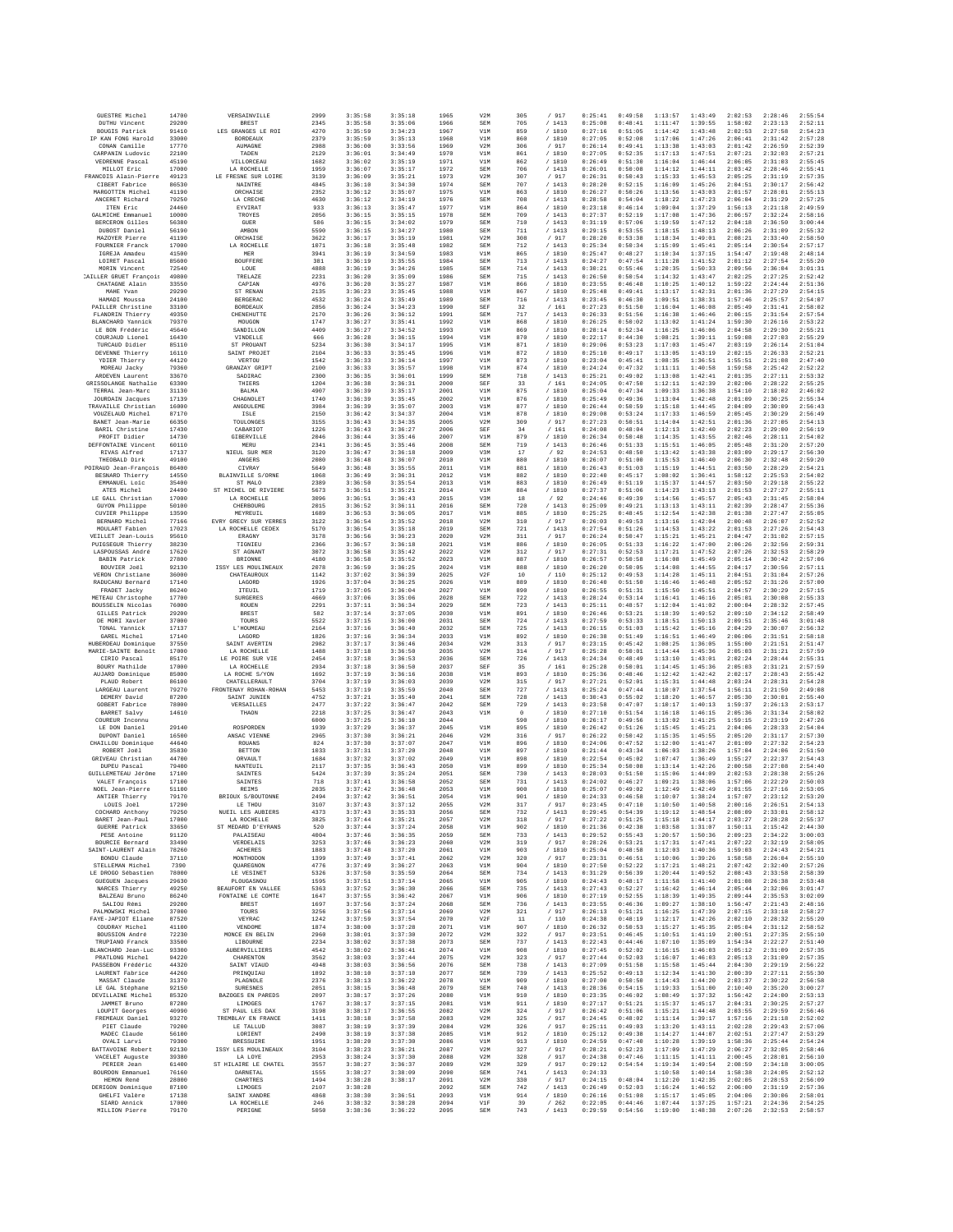| GUESTRE Michel                             | 14700          | VERSAINVILLE                                | 2999         | 3:35:58            | 3:35:18            | 1965         | V2M               | 305        | / 917            | 0:25:41            | 0:49:58            | 1:13:57            | 1:43:49            | 2:02:53            | 2:28:46            | 2:55:54            |
|--------------------------------------------|----------------|---------------------------------------------|--------------|--------------------|--------------------|--------------|-------------------|------------|------------------|--------------------|--------------------|--------------------|--------------------|--------------------|--------------------|--------------------|
| <b>DUTHU Vincent</b><br>BOUGIS Patrick     | 29200<br>91410 | <b>BREST</b><br>LES GRANGES LE ROI          | 2345<br>4270 | 3:35:58<br>3:35:59 | 3:35:06<br>3:34:23 | 1966<br>1967 | SEM<br>V1M        | 705<br>859 | /1413<br>/ 1810  | 0:25:08<br>0:27:16 | 0:48:41<br>0:51:05 | 1:11:47<br>1:14:42 | 1:39:55<br>1:43:48 | 1:58:02<br>2:02:53 | 2:23:13<br>2:27:58 | 2:52:11<br>2:54:23 |
| IP KAN FONG Harold                         | 33000          | <b>BORDRAIIX</b>                            | 2379         | 3:35:59            | 3:35:13            | 1968         | V1M               | 860        | /1810            | 0:27:05            | 0:52:08            | 1:17:06            | 1:47:26            | 2:06:41            | 2:31:42            | 2:57:28            |
| CONAN Camille<br>CARPANIN Ludovic          | 17770<br>22100 | <b>AUMAGNE</b>                              | 2988<br>2129 | 3:36:00<br>3:36:01 | 3:33:56<br>3:34:49 | 1969<br>1970 | V2M               | 306<br>861 | / 917<br>/ 1810  | 0:26:14<br>0:27:05 | 0:49:41<br>0:52:35 | 1:13:38<br>1:17:13 | 1:43:03<br>1:47:51 | 2:01:42<br>2:07:21 | 2:26:59<br>2:32:03 | 2:52:39<br>2:57:21 |
| VEDRENNE Pascal                            | 45190          | TADEN<br>VILLORCEAU                         | 1682         | 3:36:02            | 3:35:19            | 1971         | V1M<br>V1M        | 862        | / 1810           | 0:26:49            | 0:51:30            | 1:16:04            | 1:46:44            | 2:06:05            | 2:31:03            | 2:55:45            |
| MILLOT Eric                                | 17000          | LA ROCHELLE                                 | 1959         | 3:36:07            | 3:35:17            | 1972         | SEM               | 706        | /1413            | 0:26:01            | 0:50:08            | 1:14:12            | 1:44:11            | 2:03:42            | 2:28:46            | 2:55:41            |
| FRANCOIS Alain-Pierre<br>CIBERT Fabrice    | 49123<br>86530 | LE FRESNE SUR LOIRE<br>NAINTRE              | 3139<br>4845 | 3:36:09<br>3:36:10 | 3:35:21<br>3:34:30 | 1973<br>1974 | V2M<br>SEM        | 307<br>707 | / 917<br>/1413   | 0:26:31<br>0:28:20 | 0:50:43<br>0:52:15 | 1:15:33<br>1:16:09 | 1:45:53<br>1:45:26 | 2:05:25<br>2:04:51 | 2:31:19<br>2:30:17 | 2:57:35<br>2:56:42 |
| MARGOTTIN Michel                           | 41190          | ORCHATSE                                    | 2352         | 3:36:12            | 3:35:07            | 1975         | V1M               | 863        | / 1810           | 0:26:27            | 0:50:26            | 1:13:56            | 1:43:03            | 2:01:57            | 2:28:01            | 2:55:13            |
| ANCERET Richard<br>ITEN Eric               | 79250<br>24460 | LA CRECHE<br>EYVIRAT                        | 4630<br>933  | 3:36:12<br>3:36:13 | 3:34:19<br>3:35:47 | 1976<br>1977 | SEM<br>V1M        | 708<br>864 | / 1413<br>/ 1810 | 0:28:58<br>0:23:18 | 0:54:04<br>0:46:14 | 1:18:22<br>1:09:04 | 1:47:23<br>1:37:29 | 2:06:04<br>1:56:13 | 2:31:29<br>2:21:18 | 2:57:25<br>2:49:59 |
| GALMICHE Emmanuel                          | 10000          | TROYES                                      | 2056         | 3:36:15            | 3:35:15            | 1978         | SEM               | 709        | /1413            | 0:27:37            | 0:52:19            | 1:17:08            | 1:47:36            | 2:06:57            | 2:32:24            | 2:58:16            |
| BERCERON Gilles                            | 56380          | GUER                                        | 586          | 3:36:15            | 3:34:02            | 1979         | SEM               | 710        | / 1413           | 0:31:19            | 0:57:06            | 1:19:59            | 1:47:12            | 2:04:18            | 2:36:50            | 3:00:44            |
| DUBOST Daniel<br>MAZOYER Pierre            | 56190<br>41190 | AMBON<br>ORCHAISE                           | 5590<br>3622 | 3:36:15<br>3:36:17 | 3:34:27<br>3:35:19 | 1980<br>1981 | SEM<br>V2M        | 711<br>308 | /1413<br>/ 917   | 0:29:15<br>0:28:20 | 0:53:55<br>0:53:38 | 1:18:15<br>1:18:34 | 1:48:13<br>1:49:01 | 2:06:26<br>2:08:21 | 2:31:09<br>2:33:40 | 2:55:32<br>2:58:50 |
| FOURNIER Franck                            | 17000          | LA ROCHELLE                                 | 1071         | 3:36:18            | 3:35:48            | 1982         | SEM               | 712        | /1413            | 0:25:34            | 0:50:34            | 1:15:09            | 1:45:41            | 2:05:14            | 2:30:54            | 2:57:17            |
| IGREJA Amadeu<br>LOIRET Pascal             | 41500<br>85600 | MEF<br><b>BOUFFERE</b>                      | 3941<br>381  | 3:36:19<br>3:36:19 | 3:34:59<br>3:35:55 | 1983<br>1984 | V1M<br>SEM        | 865<br>713 | / 1810<br>/1413  | 0:25:47<br>0:24:27 | 0:48:27<br>0:47:54 | 1:10:34<br>1:11:28 | 1:37:15<br>1:41:52 | 1:54:47<br>2:01:12 | 2:19:48<br>2:27:54 | 2:48:14<br>2:55:20 |
| MORIN Vincent                              | 72540          | LOUE                                        | 4888         | 3:36:19            | 3:34:26            | 1985         | SEM               | 714        | /1413            | 0:30:21            | 0:55:46            | 1:20:35            | 1:50:33            | 2:09:56            | 2:36:04            | 3:01:31            |
| CAILLER GRUET Francois                     | 49800          | <b>TRELAZE</b>                              | 2231         | 3:36:20            | 3:35:09            | 1986         | SEM               | 715        | /1413            | 0:26:50            | 0:50:54            | 1:14:32            | 1:43:47            | 2:02:25            | 2:27:25            | 2:52:42            |
| CHATAGNE Alain<br>MAHE Yvan                | 33550<br>29290 | CAPIAN<br>ST RENAN                          | 4976<br>2135 | 3:36:20<br>3:36:23 | 3:35:27<br>3:35:45 | 1987<br>1988 | V1M<br>V1M        | 866<br>867 | / 1810<br>/ 1810 | 0:23:55<br>0:25:48 | 0:46:48<br>0:49:41 | 1:10:25<br>1:13:17 | 1:40:12<br>1:42:31 | 1:59:22<br>2:01:36 | 2:24:44<br>2:27:29 | 2:51:36<br>2:54:15 |
| HAMADI Moussa                              | 24100          | BERGERAC                                    | 4532         | 3:36:24            | 3:35:49            | 1989         | SEM               | 716        | /1413            | 0:23:45            | 0:46:30            | 1:09:51            | 1:38:31            | 1:57:46            | 2:25:57            | 2:54:07            |
| PAILLER Christine<br>FLANDRIN Thierry      | 33100<br>49350 | <b>BORDEAUX</b><br>CHENEHUTTE               | 2856<br>2170 | 3:36:24<br>3:36:26 | 3:34:23<br>3:36:12 | 1990<br>1991 | SEF<br>SEM        | 32<br>717  | /161<br>/1413    | 0:27:23<br>0:26:33 | 0:51:50<br>0:51:56 | 1:16:04<br>1:16:38 | 1:46:08<br>1:46:46 | 2:05:49<br>2:06:15 | 2:31:41<br>2:31:54 | 2:58:02<br>2:57:54 |
| BLANCHARD Yannick                          | 79370          | MOUGON                                      | 1747         | 3:36:27            | 3:35:41            | 1992         | V1M               | 868        | / 1810           | 0:26:25            | 0:50:02            | 1:13:02            | 1:41:24            | 1:59:30            | 2:26:16            | 2:53:22            |
| LE BON Frédéric<br>COURJAUD Lionel         | 45640<br>16430 | SANDILLON<br>VINDELLE                       | 4409<br>666  | 3:36:27<br>3:36:28 | 3:34:52<br>3:36:15 | 1993<br>1994 | V1M<br>V1M        | 869<br>870 | /1810<br>/ 1810  | 0:28:14<br>0:22:17 | 0:52:34<br>0:44:30 | 1:16:25<br>1:08:21 | 1:46:06<br>1:39:11 | 2:04:58<br>1:59:08 | 2:29:30<br>2:27:03 | 2:55:21<br>2:55:29 |
| TURCAUD Didier                             | 85110          | ST PROUANT                                  | 5234         | 3:36:30            | 3:34:17            | 1995         | V1M               | 871        | / 1810           | 0:29:06            | 0:53:23            | 1:17:03            | 1:45:47            | 2:03:19            | 2:26:14            | 2:51:04            |
| DEVENNE Thierry                            | 16110          | SAINT PROJET                                | 2104         | 3:36:33            | 3:35:45            | 1996         | V1M               | 872        | /1810            | 0:25:10            | 0:49:17            | 1:13:05            | 1:43:19            | 2:02:15            | 2:26:33            | 2:52:21<br>2:47:40 |
| YDIER Thierry<br>MOREAU Jacky              | 44120<br>79360 | VERTOU<br>GRANZAY GRIPT                     | 1542<br>2100 | 3:36:33<br>3:36:33 | 3:36:14<br>3:35:57 | 1997<br>1998 | V1M<br>V1M        | 873<br>874 | / 1810<br>/ 1810 | 0:23:04<br>0:24:24 | 0:45:41<br>0:47:32 | 1:08:35<br>1:11:11 | 1:36:51<br>1:40:58 | 1:55:51<br>1:59:58 | 2:21:08<br>2:25:42 | 2:52:22            |
| ARDEVEN Laurent                            | 33670          | SADIRAC                                     | 2300         | 3:36:35            | 3:36:01            | 1999         | SEM               | 718        | /1413            | 0:25:21            | 0:49:02            | 1:13:08            | 1:42:41            | 2:01:35            | 2:27:11            | 2:53:32            |
| GRISSOLANGE Nathalie<br>TERRAL Jean-Marc   | 63300<br>31130 | THIERS<br>BALMA                             | 1204<br>4907 | 3:36:38<br>3:36:39 | 3:36:31<br>3:35:17 | 2000<br>2001 | SEF<br>V1M        | 33<br>875  | /161<br>/ 1810   | 0:24:05<br>0:25:04 | 0:47:50<br>0:47:34 | 1:12:11<br>1:09:33 | 1:42:39<br>1:36:38 | 2:02:06<br>1:54:10 | 2:28:22<br>2:18:02 | 2:55:25<br>2:46:02 |
| <b>JOURDAIN Jacques</b>                    | 17139          | CHAGNOLE <sub>1</sub>                       | 1740         | 3:36:39            | 3:35:45            | 2002         | V1M               | 876        | / 1810           | 0:25:49            | 0:49:36            | 1:13:04            | 1:42:48            | 2:01:09            | 2:30:25            | 2:55:34            |
| TRAVAILLE Christian                        | 16000<br>87170 | ANGOULEME                                   | 3984<br>2150 | 3:36:39<br>3:36:42 | 3:35:07<br>3:34:37 | 2003<br>2004 | V1M<br>V1M        | 877<br>878 | / 1810<br>/ 1810 | 0:26:44<br>0:29:08 | 0:50:59<br>0:53:24 | 1:15:18<br>1:17:33 | 1:44:45<br>1:46:59 | 2:04:09<br>2:05:45 | 2:30:09<br>2:30:29 | 2:56:43<br>2:56:49 |
| VOUZELAUD Michel<br>BANET Jean-Marie       | 66350          | ISLE<br>TOULONGES                           | 3155         | 3:36:43            | 3:34:35            | 2005         | V2M               | 309        | / 917            | 0:27:23            | 0:50:51            | 1:14:04            | 1:42:51            | 2:01:36            | 2:27:05            | 2:54:13            |
| BARIL Christine                            | 17430          | CABARIOT                                    | 1226         | 3:36:43            | 3:36:27            | 2006         | SEF               | 34         | /161             | 0:24:08            | 0:48:04            | 1:12:13            | 1:42:40            | 2:02:23            | 2:29:00            | 2:56:19            |
| PROFIT Didier<br>DEFFONTAINE Vincent       | 14730<br>60110 | GIBERVILLE<br>MERU                          | 2046<br>2341 | 3:36:44<br>3:36:45 | 3:35:46<br>3:35:46 | 2007<br>2008 | V1M<br>SEM        | 879<br>719 | / 1810<br>/1413  | 0:26:34<br>0:26:46 | 0:50:48<br>0:51:33 | 1:14:35<br>1:15:51 | 1:43:55<br>1:46:05 | 2:02:46<br>2:05:48 | 2:28:11<br>2:31:20 | 2:54:02<br>2:57:20 |
| RIVAS Alfred                               | 17137          | NIEUL SUR MER                               | 3120         | 3:36:47            | 3:36:18            | 2009         | V3M               | 17         | /92              | 0:24:53            | 0:48:50            | 1:13:42            | 1:43:38            | 2:03:09            | 2:29:17            | 2:56:30            |
| THEOBALD Dirk<br>POTRAIID Jean-Francois    | 49100<br>86400 | ANGERS<br>CIVRAY                            | 2080<br>5649 | 3:36:48<br>3:36:48 | 3:36:07<br>3:35:55 | 2010<br>2011 | V1M<br>V1M        | 880<br>881 | / 1810<br>/ 1810 | 0:26:07<br>0:26:43 | 0:51:00<br>0:51:03 | 1:15:53<br>1:15:19 | 1:46:40<br>1:44:51 | 2:06:30<br>2:03:50 | 2:32:48<br>2:28:29 | 2:59:20<br>2:54:21 |
| BESNARD Thierry                            | 14550          | BLAINVILLE S/ORNE                           | 1068         | 3:36:49            | 3:36:31            | 2012         | V1M               | 882        | / 1810           | 0:22:40            | 0:45:17            | 1:08:02            | 1:36:41            | 1:58:12            | 2:25:53            | 2:54:02            |
| EMMANUEL Loic                              | 35400          | ST MALO                                     | 2389         | 3:36:50            | 3:35:54            | 2013         | V1M               | 883        | / 1810           | 0:26:49            | 0:51:19            | 1:15:37            | 1:44:57            | 2:03:50            | 2:29:18            | 2:55:22            |
| ATES Michel<br>LE GALL Christian           | 24490<br>17000 | ST MICHEL DE RIVIERE<br>LA ROCHELLE         | 5673<br>3096 | 3:36:51<br>3:36:51 | 3:35:21<br>3:36:43 | 2014<br>2015 | V1M<br>V3M        | 884<br>18  | / 1810<br>$/$ 92 | 0:27:37<br>0:24:46 | 0:51:06<br>0:49:39 | 1:14:23<br>1:14:56 | 1:43:13<br>1:45:57 | 2:01:53<br>2:05:43 | 2:27:27<br>2:31:45 | 2:55:11<br>2:58:04 |
| GUYON Philippe                             | 50100          | CHERBOURG                                   | 2015         | 3:36:52            | 3:36:11            | 2016         | SEM               | 720        | /1413            | 0:25:09            | 0:49:21            | 1:13:13            | 1:43:11            | 2:02:39            | 2:28:47            | 2:55:36            |
| CUVIER Philippe<br>BERNARD Michel          | 13590<br>77166 | MEYREUIL<br>EVRY GRECY SUR YERRES           | 1689<br>3122 | 3:36:53<br>3:36:54 | 3:36:05<br>3:35:52 | 2017<br>2018 | V1M<br>V2M        | 885<br>310 | / 1810<br>/917   | 0:25:25<br>0:26:03 | 0:48:45<br>0:49:53 | 1:12:54<br>1:13:16 | 1:42:38<br>1:42:04 | 2:01:38<br>2:00:48 | 2:27:47<br>2:26:07 | 2:55:05<br>2:52:52 |
| MOULART Fabien                             | 17023          | LA ROCHELLE CEDEX                           | 5170         | 3:36:54            | 3:35:18            | 2019         | SEM               | 721        | /1413            | 0:27:54            | 0:51:26            | 1:14:53            | 1:43:22            | 2:01:53            | 2:27:26            | 2:54:43            |
| VEILLET Jean-Louis                         | 95610          | ERAGNY                                      | 3178         | 3:36:56            | 3:36:23            | 2020         | V2M               | 311        | / 917            | 0:26:24            | 0:50:47            | 1:15:21            | 1:45:21            | 2:04:47            | 2:31:02            | 2:57:15            |
| PUIGSEGUR Thierry<br>LASPOUSSAS André      | 38230<br>17620 | TIGNIEU<br>ST AGNANT                        | 2366<br>3072 | 3:36:57<br>3:36:58 | 3:36:18<br>3:35:42 | 2021<br>2022 | V1M<br>V2M        | 886<br>312 | /1810<br>/ 917   | 0:26:05<br>0:27:31 | 0:51:33<br>0:52:53 | 1:16:22<br>1:17:21 | 1:47:00<br>1:47:52 | 2:06:26<br>2:07:26 | 2:32:56<br>2:32:53 | 2:59:31<br>2:58:29 |
| <b>BABIN Patrick</b>                       | 27800          | BRIONNE                                     | 4180         | 3:36:58            | 3:35:52            | 2023         | V1M               | 887        | / 1810           | 0:26:57            | 0:50:58            | 1:16:08            | 1:45:49            | 2:05:14            | 2:30:42            | 2:57:06            |
| BOUVIER Joěl<br>VERON Christiane           | 92130<br>36000 | ISSY LES MOULINEAUX<br>CHATEAUROUX          | 2078<br>1142 | 3:36:59<br>3:37:02 | 3:36:25<br>3:36:39 | 2024<br>2025 | V1M<br>V2F        | 888<br>10  | / 1810<br>/110   | 0:26:20<br>0:25:12 | 0:50:05<br>0:49:53 | 1:14:08<br>1:14:28 | 1:44:55<br>1:45:11 | 2:04:17<br>2:04:51 | 2:30:56<br>2:31:04 | 2:57:11<br>2:57:26 |
| RADUCANU Bernard                           | 17140          | LAGORD                                      | 1926         | 3:37:04            | 3:36:25            | 2026         | V1M               | 889        | / 1810           | 0:26:40            | 0:51:50            | 1:16:46            | 1:46:48            | 2:05:52            | 2:31:26            | 2:57:00            |
| FRADET Jacky<br>METEAU Christophe          | 86240<br>17700 | ITEUIL<br>SURGERES                          | 1719<br>4669 | 3:37:05<br>3:37:06 | 3:36:04<br>3:35:06 | 2027<br>2028 | V1M<br>SEM        | 890<br>722 | / 1810<br>/1413  | 0:26:55<br>0:28:24 | 0:51:31<br>0:53:14 | 1:15:50<br>1:16:41 | 1:45:51<br>1:46:16 | 2:04:57<br>2:05:01 | 2:30:29<br>2:30:08 | 2:57:15<br>2:55:33 |
| BOUSSELIN Nicolas                          | 76000          | ROUEN                                       | 2291         | 3:37:11            | 3:36:34            | 2029         | SEM               | 723        | / 1413           | 0:25:11            | 0:48:57            | 1:12:04            | 1:41:02            | 2:00:04            | 2:28:32            | 2:57:45            |
| GILLES Patrick                             | 29200          | <b>BREST</b>                                | 582          | 3:37:14            | 3:37:05            | 2030         | V1M               | 891        | / 1810           | 0:26:46            | 0:53:21            | 1:18:39            | 1:49:52            | 2:09:10            | 2:34:12            | 2:58:49            |
| DE MORI Xavier<br>TONAL Yannick            | 37000<br>17137 | TOURS<br>L'HOUMEAU                          | 5522<br>2164 | 3:37:15<br>3:37:16 | 3:36:00<br>3:36:40 | 2031<br>2032 | SEM<br>SEM        | 724<br>725 | /1413<br>/1413   | 0:27:59<br>0:26:15 | 0:53:33<br>0:51:03 | 1:18:51<br>1:15:42 | 1:50:13<br>1:45:16 | 2:09:51<br>2:04:29 | 2:35:46<br>2:30:07 | 3:01:48<br>2:56:32 |
| GAREL Michel                               | 17140          | LAGORD                                      | 1826         | 3:37:16            | 3:36:34            | 2033         | V1M               | 892        | / 1810           | 0:26:38            | 0:51:49            | 1:16:51            | 1:46:49            | 2:06:06            | 2:31:51            | 2:58:18            |
| HUBERDEAU Dominique<br>MARIE-SAINTE Benoît | 37550<br>17000 | SAINT AVERTIN<br>LA ROCHELLE                | 2982<br>1488 | 3:37:17<br>3:37:18 | 3:36:46<br>3:36:50 | 2034<br>2035 | V2M<br>V2M        | 313<br>314 | / 917<br>/ 917   | 0:23:15<br>0:25:28 | 0:45:42<br>0:50:01 | 1:08:25<br>1:14:44 | 1:36:05<br>1:45:36 | 1:55:00<br>2:05:03 | 2:21:51<br>2:31:21 | 2:51:47<br>2:57:59 |
| CIRIO Pascal                               | 85170          | LE POIRE SUR VIE                            | 2454         | 3:37:18            | 3:36:53            | 2036         | SEM               | 726        | /1413            | 0:24:34            | 0:48:49            | 1:13:10            | 1:43:01            | 2:02:24            | 2:28:44            | 2:55:31            |
| BOURY Mathilde                             | 17000          | LA ROCHELLE                                 | 2934         | 3:37:18            | 3:36:50            | 2037         | SEF               | 35         | /161             | 0:25:28            | 0:50:01            | 1:14:45            | 1:45:36            | 2:05:03            | 2:31:21            | 2:57:59            |
| AUJARD Dominique<br>PLAUD Robert           | 85000<br>86100 | LA ROCHE S/YON<br>CHATELLERAULT             | 1692<br>3704 | 3:37:19<br>3:37:19 | 3:36:16<br>3:36:03 | 2038<br>2039 | V1M<br>V2M        | 893<br>315 | / 1810<br>/917   | 0:25:36<br>0:27:21 | 0:48:46<br>0:52:01 | 1:12:42<br>1:15:31 | 1:42:42<br>1:44:48 | 2:02:17<br>2:03:24 | 2:28:43<br>2:28:31 | 2:55:42<br>2:54:28 |
| LARGEAU Laurent                            | 79270          | FRONTENAY ROHAN-ROHAN                       | 5453         | 3:37:19            | 3:35:59            | 2040         | SEM               | 727        | / 1413           | 0:25:24            | 0:47:44            | 1:10:07            | 1:37:54            | 1:56:11            | 2:21:50            | 2:49:08            |
| DEMERY David<br>GOBERT Fabrice             | 87200<br>78000 | SAINT JUNIEN<br>VERSAILLES                  | 4752<br>2477 | 3:37:21<br>3:37:22 | 3:35:40<br>3:36:47 | 2041<br>2042 | SEM<br>SEM        | 728<br>729 | /1413<br>/1413   | 0:30:43<br>0:23:58 | 0:55:02<br>0:47:07 | 1:18:20<br>1:10:17 | 1:46:57<br>1:40:13 | 2:05:30<br>1:59:37 | 2:30:01<br>2:26:13 | 2:55:40<br>2:53:17 |
| BARRET Salvy                               | 14610          | THAON                                       | 2218         | 3:37:25            | 3:36:47            | 2043         | V1M               | $\circ$    | /1810            | 0:27:10            | 0:51:54            | 1:16:18            | 1:46:15            | 2:05:36            | 2:31:34            | 2:58:02            |
| COUREUR Inconnu                            | 29140          |                                             | 6000         | 3:37:25<br>3:37:29 | 3:36:10<br>3:36:37 | 2044<br>2045 | V1M               | 590<br>895 | /1810            | 0:26:17            | 0:49:56<br>0:51:26 | 1:13:02            | 1:41:25            | 1:59:15            | 2:23:19            | 2:47:26<br>2:54:04 |
| LE DON Daniel<br>DUPONT Daniel             | 16500          | ROSPORDEN<br>ANSAC VIENNE                   | 1939<br>2965 | 3:37:30            | 3:36:21            | 2046         | V2M               | 316        | / 1810<br>/ 917  | 0:26:42<br>0:26:22 | 0:50:42            | 1:15:45<br>1:15:35 | 1:45:21<br>1:45:55 | 2:04:06<br>2:05:20 | 2:28:33<br>2:31:17 | 2:57:30            |
| CHAILLOU Dominique                         | 44640          | ROUANS                                      | 824          | 3:37:30            | 3:37:07            | 2047         | V1M               | 896        | / 1810           | 0:24:06            | 0:47:52            | 1:12:00            | 1:41:47            | 2:01:09            | 2:27:32            | 2:54:23            |
| ROBERT Joël<br>GRIVEAU Christian           | 35830<br>44700 | BETTON<br>ORVAULT                           | 1033<br>1684 | 3:37:31<br>3:37:32 | 3:37:20<br>3:37:02 | 2048<br>2049 | V1M<br>V1M        | 897<br>898 | / 1810<br>/1810  | 0:21:44<br>0:22:54 | 0:43:34<br>0:45:02 | 1:06:03<br>1:07:47 | 1:38:26<br>1:36:49 | 1:57:04<br>1:55:27 | 2:24:06<br>2:22:37 | 2:51:50<br>2:54:43 |
| DUPEU Pascal                               | 79400          | NANTRITT.                                   | 2117         | 3:37:35            | 3:36:43            | 2050         | V1M               | 899        | /1810            | 0:25:34            | 0:50:08            | 1:13:14            | 1:42:26            | 2:00:58            | 2:27:08            | 2:54:40            |
| GUILLEMETEAU Jérôme<br>VALET François      | 17100<br>17100 | SAINTES<br>SAINTES                          | 5424<br>718  | 3:37:39<br>3:37:41 | 3:35:24<br>3:36:58 | 2051<br>2052 | SEM<br>SEM        | 730<br>731 | / 1413<br>/1413  | 0:28:03<br>0:24:02 | 0:51:50<br>0:46:27 | 1:15:06<br>1:09:21 | 1:44:09<br>1:38:06 | 2:02:53<br>1:57:06 | 2:28:38<br>2:22:29 | 2:55:26<br>2:50:03 |
| NOEL Jean-Pierre                           | 51100          | <b>REIMS</b>                                | 2035         | 3:37:42            | 3:36:48            | 2053         | V1M               | 900        | / 1810           | 0:25:07            | 0:49:02            | 1:12:49            | 1:42:49            | 2:01:55            | 2:27:16            | 2:53:05            |
| ANTIER Thierry                             | 79170          | BRIOUX S/BOUTONNE                           | 2494         | 3:37:42            | 3:36:51            | 2054         | V1M               | 901        | / 1810           | 0:24:33            | 0:46:58            | 1:10:07            | 1:38:24            | 1:57:07            | 2:23:12            | 2:53:20            |
| LOUIS Joël<br>COCHARD Anthony              | 17290<br>79250 | LE THOU<br>NUEIL LES AUBIERS                | 3107<br>4373 | 3:37:43<br>3:37:43 | 3:37:12<br>3:35:33 | 2055<br>2056 | V2M<br><b>SEM</b> | 317<br>732 | 917<br>/1413     | 0:23:45<br>0:29:45 | 0:47:10<br>0:54:39 | 1:10:50<br>1:19:12 | 1:40:58<br>1:48:54 | 2:00:16<br>2:08:09 | 2:26:51<br>2:33:01 | 2:54:13<br>2:58:12 |
| BARET Jean-Paul                            | 17000          | LA ROCHRLLE                                 | 3825         | 3:37:44            | 3:35:21            | 2057         | V2M               | 318        | /917             | 0:27:22            | 0:51:25            | 1:15:18            | 1:44:17            | 2:03:27            | 2:28:28            | 2:55:37            |
| <b>GUERRE Patrick</b><br>PESE Antoine      | 33650<br>91120 | ST MEDARD D'EYRANS<br>PALAISEAU             | 520<br>4004  | 3:37:44<br>3:37:46 | 3:37:24<br>3:36:35 | 2058<br>2059 | V1M<br>SEM        | 902<br>733 | / 1810<br>/1413  | 0:21:36<br>0:29:52 | 0:42:38<br>0:55:43 | 1:03:58<br>1:20:57 | 1:31:07<br>1:50:36 | 1:50:11<br>2:09:23 | 2:15:42<br>2:34:22 | 2:44:30<br>3:00:03 |
| BOURCIE Bernard                            | 33490          | VERDELAIS                                   | 3253         | 3:37:46            | 3:36:23            | 2060         | V2M               | 319        | / 917            | 0:28:26            | 0:53:21            | 1:17:31            | 1:47:41            | 2:07:22            | 2:32:19            | 2:58:05            |
| SAINT-LAURENT Alain<br>BONDU Claude        | 78260<br>37110 | <b>ACHERES</b><br>MONTHODON                 | 1883<br>1399 | 3:37:48<br>3:37:49 | 3:37:20<br>3:37:41 | 2061<br>2062 | V1M<br>V2M        | 903<br>320 | / 1810<br>/ 917  | 0:25:04<br>0:23:31 | 0:48:58<br>0:46:51 | 1:12:03<br>1:10:06 | 1:40:36<br>1:39:26 | 1:59:03<br>1:58:58 | 2:24:43<br>2:26:04 | 2:54:21<br>2:55:10 |
| STELLEMAN Michel                           | 7390           | QUAREGNON                                   | 4776         | 3:37:49            | 3:36:27            | 2063         | V1M               | 904        | / 1810           | 0:27:50            | 0:52:22            | 1:17:21            | 1:48:21            | 2:07:42            | 2:32:40            | 2:57:26            |
| LE DROGO Sébastien                         | 78000          | LE VESINET                                  | 5326         | 3:37:50            | 3:35:59            | 2064         | <b>SEM</b>        | 734        | /1413            | 0:31:29            | 0:56:39            | 1:20:44            | 1:49:52            | 2:08:43            | 2:33:58            | 2:58:39            |
| <b>GUEGUEN</b> Jacques<br>NARCES Thierry   | 29630<br>49250 | PLOUGASNOU<br>BEAUFORT EN VALLEE            | 1595<br>5363 | 3:37:51<br>3:37:52 | 3:37:14<br>3:36:30 | 2065<br>2066 | V1M<br>SEM        | 905<br>735 | / 1810<br>/1413  | 0:24:43<br>0:27:43 | 0:48:17<br>0:52:27 | 1:11:58<br>1:16:42 | 1:41:40<br>1:46:14 | 2:01:08<br>2:05:44 | 2:26:38<br>2:32:06 | 2:53:48<br>3:01:47 |
| BALZEAU Bruno                              | 86240          | FONTAINE LE COMTE                           | 1647         | 3:37:55            | 3:36:42            | 2067         | V1M               | 906        | / 1810           | 0:27:19            | 0:52:55            | 1:18:39            | 1:49:35            | 2:09:44            | 2:35:53            | 3:02:09            |
| SALIOH Rémi<br>PALMOWSKI Michel            | 29200<br>37000 | BREST<br>TOURS                              | 1697<br>3256 | 3:37:56<br>3:37:56 | 3:37:24<br>3:37:14 | 2068<br>2069 | <b>SEM</b><br>V2M | 736<br>321 | /1413<br>/ 917   | 0:23:55<br>0:26:13 | 0:46:36<br>0:51:21 | 1:09:27<br>1:16:25 | 1:38:10<br>1:47:39 | 1:56:47<br>2:07:15 | 2:21:43<br>2:33:18 | 2:48:16<br>2:58:27 |
| FAYE-JAPIOT Eliane                         | 87520          | VEYRAC                                      | 1242         | 3:37:59            | 3:37:54            | 2070         | V2F               | 11         | /110             | 0:24:38            | 0:48:19            | 1:12:17            | 1:42:26            | 2:02:10            | 2:28:32            | 2:55:20            |
| COUDRAY Michel                             | 41100          | VENDOME                                     | 1874         | 3:38:00            | 3:37:28            | 2071         | V1M               | 907        | / 1810           | 0:26:32            | 0:50:53            | 1:15:27            | 1:45:35            | 2:05:04            | 2:31:12            | 2:58:52            |
| BOUSSION André<br>TRUPIANO Franck          | 72230<br>33500 | MONCE EN BELIN<br>LIBOURNE                  | 2960<br>2234 | 3:38:01<br>3:38:02 | 3:37:30<br>3:37:38 | 2072<br>2073 | V2M<br>SEM        | 322<br>737 | / 917<br>/1413   | 0:23:51<br>0:22:43 | 0:46:45<br>0:44:46 | 1:10:51<br>1:07:10 | 1:41:19<br>1:35:09 | 2:00:51<br>1:54:34 | 2:27:35<br>2:22:27 | 2:55:10<br>2:51:40 |
| BLANCHARD Jean-Luc                         | 93300          | AUBERVILLIERS                               | 4542         | 3:38:02            | 3:36:41            | 2074         | V1M               | 908        | / 1810           | 0:27:45            | 0:52:02            | 1:16:15            | 1:46:03            | 2:05:12            | 2:31:09            | 2:57:35            |
| PRATLONG Michel<br>PASSEBON Frédéric       | 94220<br>44320 | CHARRNTON<br>SAINT VIAUD                    | 3562<br>4948 | 3:38:03<br>3:38:03 | 3:37:44<br>3:36:56 | 2075<br>2076 | V2M<br><b>SEM</b> | 323<br>738 | /917<br>/ 1413   | 0:27:44<br>0:27:09 | 0:52:03<br>0:51:58 | 1:16:07<br>1:15:58 | 1:46:03<br>1:45:44 | 2:05:13<br>2:04:30 | 2:31:09<br>2:29:19 | 2:57:35<br>2:56:22 |
| LAURENT Fabrice                            | 44260          | PRINQUIAU                                   | 1892         | 3:38:10            | 3:37:10            | 2077         | SEM               | 739        | /1413            | 0:25:52            | 0:49:13            | 1:12:34            | 1:41:30            | 2:00:39            | 2:27:11            | 2:55:30            |
| MASSAT Claude                              | 31370          | PLAGNOLE                                    | 2376         | 3:38:13            | 3:36:22            | 2078         | V1M               | 909        | / 1810           | 0:27:00            | 0:50:50            | 1:14:43            | 1:44:20            | 2:03:37            | 2:30:22            | 2:56:58            |
| LE GAL Stéphane<br>DEVILLAINE Michel       | 92150<br>85320 | <b>SURESNES</b><br><b>BAZOGES EN PAREDS</b> | 2051<br>2097 | 3:38:15<br>3:38:17 | 3:36:48<br>3:37:26 | 2079<br>2080 | SEM<br>V1M        | 740<br>910 | / 1413<br>/ 1810 | 0:28:36<br>0:23:35 | 0:54:15<br>0:46:02 | 1:19:33<br>1:08:49 | 1:51:00<br>1:37:32 | 2:10:40<br>1:56:42 | 2:35:20<br>2:24:00 | 3:00:27<br>2:53:13 |
| <b>JAMMET Bruno</b>                        | 87280          | LIMOGES                                     | 1767         | 3:38:17            | 3:37:15            | 2081         | V1M               | 911        | / 1810           | 0:27:17            | 0:51:21            | 1:15:37            | 1:45:17            | 2:04:31            | 2:30:25            | 2:57:27            |
| LOUPIT Georges<br>FREMEAUX Daniel          | 40990<br>93270 | ST PAUL LES DAX<br>TREMBLAY EN FRANCE       | 3198<br>1411 | 3:38:17<br>3:38:18 | 3:36:55<br>3:37:58 | 2082<br>2083 | V2M<br>V2M        | 324<br>325 | /917<br>/ 917    | 0:26:42<br>0:24:45 | 0:51:06<br>0:48:02 | 1:15:21<br>1:11:14 | 1:44:48<br>1:39:17 | 2:03:55<br>1:57:16 | 2:29:59<br>2:21:18 | 2:56:46<br>2:52:02 |
| PIET Claude                                | 79200          | LE TALLUD                                   | 3087         | 3:38:19            | 3:37:39            | 2084         | V2M               | 326        | / 917            | 0:25:11            | 0:49:03            | 1:13:20            | 1:43:11            | 2:02:28            | 2:29:43            | 2:57:06            |
| MADEC Claude                               | 56100          | LORIENT                                     | 2490         | 3:38:19            | 3:37:38            | 2085         | V1M               | 912        | / 1810           | 0:25:12            | 0:49:38            | 1:14:27            | 1:44:07            | 2:02:51            | 2:27:47            | 2:53:29            |
| OVALI Larvi<br>BATTAVOINE Robert           | 79300<br>92130 | <b>BRESSUIRE</b><br>ISSY LES MOULINEAUX     | 1951<br>3104 | 3:38:20<br>3:38:23 | 3:37:30<br>3:36:21 | 2086<br>2087 | V1M<br>V2M        | 913<br>327 | / 1810<br>/ 917  | 0:24:59<br>0:28:21 | 0:47:40<br>0:52:23 | 1:10:28<br>1:17:09 | 1:39:19<br>1:47:29 | 1:58:36<br>2:06:27 | 2:25:44<br>2:32:05 | 2:54:24<br>2:58:46 |
| VACELET Auguste                            | 39380          | LA LOYE                                     | 2953         | 3:38:24            | 3:37:30            | 2088         | V2M               | 328        | / 917            | 0:24:38            | 0:47:46            | 1:11:15            | 1:41:11            | 2:00:45            | 2:28:01            | 2:56:10            |
| PERIER Jean<br>BOURDON Emmanuel            | 61400<br>76160 | ST HILAIRE LE CHATEL<br><b>DARNETAL</b>     | 3557<br>1555 | 3:38:27<br>3:38:27 | 3:36:37<br>3:38:09 | 2089<br>2090 | V2M<br><b>SEM</b> | 329<br>741 | /917<br>/ 1413   | 0:29:12<br>0:24:33 | 0:54:54            | 1:19:34<br>1:10:58 | 1:49:54<br>1:40:14 | 2:08:59<br>1:58:38 | 2:34:18<br>2:24:05 | 3:00:05<br>2:52:12 |
| HEMON René                                 | 28000          | CHARTRES                                    | 1494         | 3:38:28            | 3:38:17            | 2091         | V2M               | 330        | / 917            | 0:24:15            | 0:48:04            | 1:12:20            | 1:42:35            | 2:02:05            | 2:28:53            | 2:56:09            |
| DERIGON Dominique<br>GHELFI Valère         | 87100          | LIMOGES<br>SAINT XANDRE                     | 2107<br>4868 | 3:38:28<br>3:38:30 | 3:36:51            | 2092<br>2093 | SEM<br>V1M        | 742<br>914 | /1413<br>/ 1810  | 0:26:49<br>0:26:16 | 0:52:03<br>0:51:08 | 1:16:24<br>1:15:17 | 1:46:52<br>1:45:05 | 2:06:00<br>2:04:06 | 2:31:19<br>2:30:06 | 2:57:36<br>2:58:01 |
|                                            |                |                                             |              |                    |                    |              |                   |            |                  |                    |                    |                    |                    |                    |                    |                    |
| SIARD Annick                               | 17138<br>17000 | LA ROCHELLE                                 | 246          | 3:38:32            | 3:38:28            | 2094         | $_{\rm VIF}$      | 39         | /262             | 0:22:05            | 0:44:46            | 1:07:44            | 1:37:25            | 1:57:21            | 2:24:36            | 2:54:25            |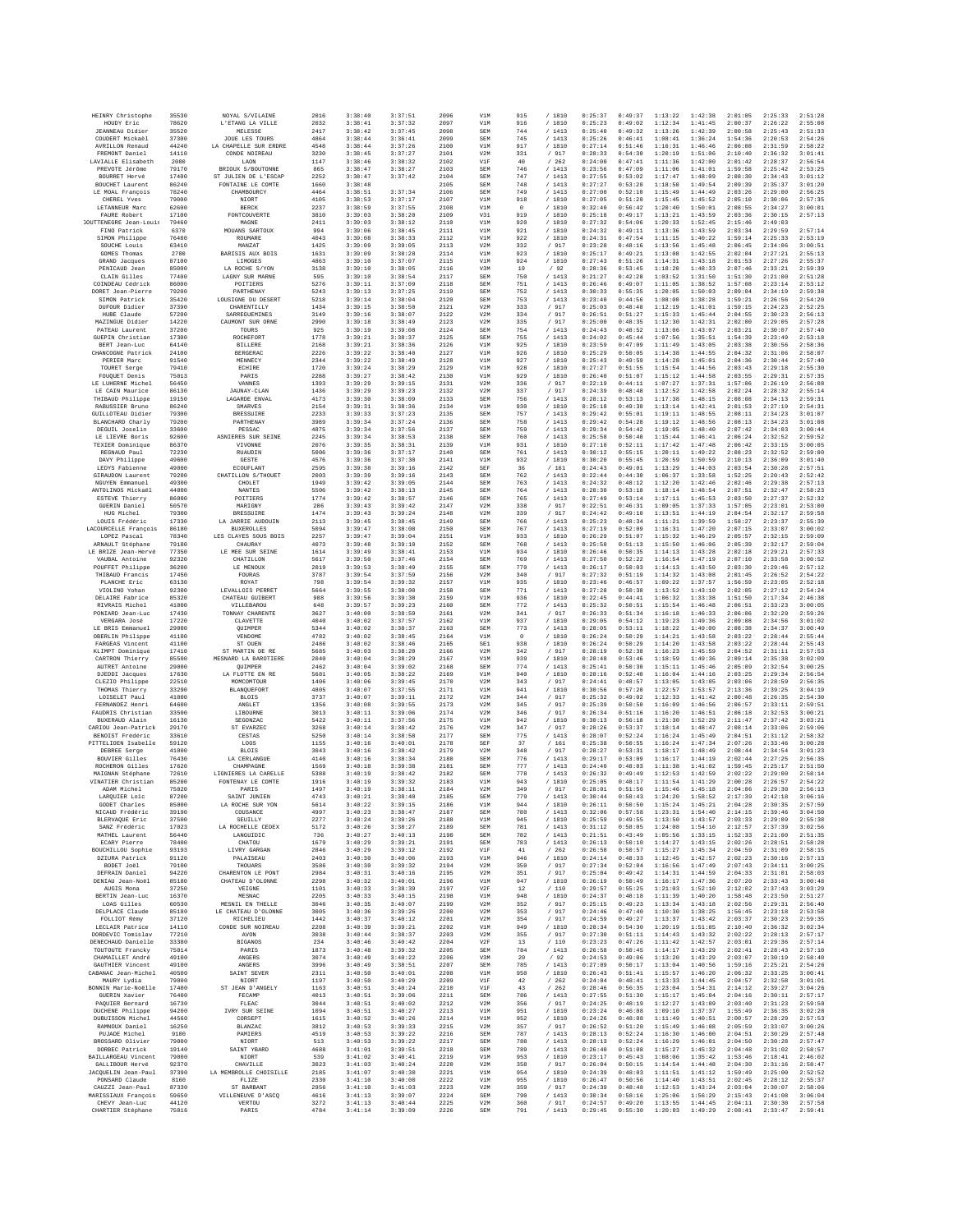| HEINRY Christophe                         | 35530          | NOYAL S/VILAINE                           | 2016         | 3:38:40            | 3:37:51            | 2096         | V1M                    | 915            | /1810            | 0:25:37            | 0:49:37            | 1:13:22            | 1:42:38            | 2:01:05            | 2:25:33            | 2:51:28            |
|-------------------------------------------|----------------|-------------------------------------------|--------------|--------------------|--------------------|--------------|------------------------|----------------|------------------|--------------------|--------------------|--------------------|--------------------|--------------------|--------------------|--------------------|
| HOUDY Eric                                | 78620          | L'ETANG LA VILLE                          | 2032         | 3:38:41            | 3:37:32            | 2097         | V1M                    | 916            | /1810            | 0:25:23            | 0:49:02            | 1:12:34            | 1:41:45            | 2:00:37            | 2:26:22            | 2:55:08            |
| <b>JEANNEAU</b> Didier<br>COUDERT Mickaël | 35520<br>37300 | MELESSE<br>JOUE LES TOURS                 | 2417<br>4864 | 3:38:42<br>3:38:44 | 3:37:45<br>3:36:41 | 2098<br>2099 | SEM<br>SEM             | 744<br>745     | /1413<br>/1413   | 0:25:40<br>0:25:26 | 0:49:32<br>0:46:41 | 1:13:26<br>1:08:41 | 1:42:39<br>1:36:24 | 2:00:58<br>1:54:36 | 2:25:43<br>2:20:53 | 2:51:33<br>2:54:26 |
| <b>AVRILLON Renaud</b>                    | 44240          | LA CHAPELLE SUR ERDRE                     | 4548         | 3:38:44            | 3:37:26            | 2100         | V1M                    | 917            | / 1810           | 0:27:14            | 0:51:46            | 1:16:31            | 1:46:46            | 2:06:08            | 2:31:59            | 2:58:22            |
| FREMONT Daniel                            | 14110          | CONDE NOIREAU                             | 3230         | 3:38:45            | 3:37:27            | 2101         | V2M                    | 331            | / 917            | 0:28:33            | 0:54:30            | 1:20:19            | 1:51:06            | 2:10:40            | 2:36:32            | 3:01:41            |
| LAVIALLE Elisabeth<br>PREVOTE Jérôme      | 2000<br>79170  | LAON<br>BRIOUX S/BOUTONNE                 | 1147<br>865  | 3:38:46<br>3:38:47 | 3:38:32<br>3:38:27 | 2102<br>2103 | V1F<br>SEM             | 40<br>746      | /262<br>/1413    | 0:24:00<br>0:23:56 | 0:47:41<br>0:47:09 | 1:11:36<br>1:11:06 | 1:42:00<br>1:41:01 | 2:01:42<br>1:59:58 | 2:28:37<br>2:25:42 | 2:56:54<br>2:53:25 |
| BOURRET Hervé                             | 17400          | ST JULIEN DE L'ESCAP                      | 2252         | 3:38:47            | 3:37:42            | 2104         | SEM                    | 747            | /1413            | 0:27:55            | 0:53:02            | 1:17:47            | 1:48:09            | 2:08:30            | 2:34:43            | 3:01:12            |
| BOUCHET Laurent                           | 86240          | FONTAINE LE COMTE                         | 1660         | 3:38:48            |                    | 2105         | SEM                    | 748            | /1413            | 0:27:27            | 0:53:20            | 1:18:50            | 1:49:54            | 2:09:39            | 2:35:37            | 3:01:20            |
| LE MOAL Francois                          | 78240<br>79000 | CHAMBOURCY                                | 4464<br>4105 | 3:38:51<br>3:38:53 | 3:37:34<br>3:37:17 | 2106<br>2107 | SEM                    | 749            | /1413<br>/ 1810  | 0:27:00<br>0:27:05 | 0:52:10<br>0:51:20 | 1:15:49<br>1:15:45 | 1:44:49<br>1:45:52 | 2:03:26<br>2:05:10 | 2:29:00<br>2:30:06 | 2:56:25<br>2:57:35 |
| CHEREL Yves<br>LETANNEUR Marc             | 62600          | NIORT<br><b>BERCK</b>                     | 2237         | 3:38:59            | 3:37:55            | 2108         | V1M<br>V1M             | 918<br>$\circ$ | /1810            | 0:32:40            | 0:56:42            | 1:20:40            | 1:50:01            | 2:08:55            | 2:34:27            | 3:00:01            |
| FAURE Robert                              | 17100          | FONTCOUVERTE                              | 3810         | 3:39:03            | 3:38:20            | 2109         | V31                    | 919            | / 1810           | 0:25:18            | 0:49:17            | 1:13:21            | 1:43:59            | 2:03:36            | 2:30:15            | 2:57:13            |
| <b>SOUTTENEGRE Jean-Louis</b>             | 79460          | MAGNE                                     | 2411         | 3:39:03            | 3:38:12            | 2110         | V1M                    | 920            | / 1810           | 0:27:32            | 0:54:06            | 1:20:33            | 1:52:45            | 2:15:46            | 2:49:03            |                    |
| FINO Patrick<br>SIMON Philippe            | 6370<br>76480  | MOUANS SARTOUX<br>ROUMARE                 | 994<br>4043  | 3:39:06<br>3:39:08 | 3:38:45<br>3:38:33 | 2111<br>2112 | V1M<br>V1M             | 921<br>922     | /1810<br>/ 1810  | 0:24:32<br>0:24:31 | 0:49:11<br>0:47:54 | 1:13:36<br>1:11:15 | 1:43:59<br>1:40:22 | 2:03:34<br>1:59:14 | 2:29:59<br>2:25:33 | 2:57:14<br>2:53:19 |
| SOUCHE Louis                              | 63410          | MANZAT                                    | 1425         | 3:39:09            | 3:39:05            | 2113         | V2M                    | 332            | / 917            | 0:23:28            | 0:48:16            | 1:13:56            | 1:45:48            | 2:06:45            | 2:34:06            | 3:00:51            |
| GOMES Thomas                              | 2700           | BARISIS AUX BOIS                          | 1631         | 3:39:09            | 3:38:28            | 2114         | V1M                    | 923            | / 1810           | 0:25:17            | 0:49:21            | 1:13:08            | 1:42:55            | 2:02:04            | 2:27:21            | 2:55:13            |
| <b>GRAND</b> Jacques                      | 87100<br>85000 | LIMOGES<br>LA ROCHE S/YON                 | 4863<br>3138 | 3:39:10<br>3:39:10 | 3:37:07<br>3:38:05 | 2115<br>2116 | V1M<br>V3M             | 924<br>19      | / 1810<br>$/$ 92 | 0:27:43<br>0:28:36 | 0:51:26<br>0:53:45 | 1:14:31<br>1:18:20 | 1:43:18<br>1:48:33 | 2:01:53<br>2:07:46 | 2:27:26<br>2:33:21 | 2:55:37<br>2:59:39 |
| PENICAUD Jean<br>CLAIN Gilles             | 77400          | LAGNY SUR MARNE                           | 595          | 3:39:10            | 3:38:54            | 2117         | SEM                    | 750            | /1413            | 0:21:27            | 0:42:28            | 1:03:52            | 1:31:50            | 1:51:30            | 2:21:00            | 2:51:28            |
| COINDEAU Cédrick                          | 86000          | POITIERS                                  | 5276         | 3:39:11            | 3:37:09            | 2118         | SEM                    | 751            | /1413            | 0:26:46            | 0:49:07            | 1:11:05            | 1:38:52            | 1:57:08            | 2:23:14            | 2:53:12            |
| DORET Jean-Pierre                         | 79200          | PARTHENAY                                 | 5243         | 3:39:13            | 3:37:25            | 2119         | SEM                    | 752            | /1413            | 0:30:33            | 0:55:35            | 1:20:05            | 1:50:03            | 2:09:04            | 2:34:19            | 2:59:38            |
| SIMON Patrick<br>DUFOUR Didier            | 35420<br>37390 | LOUSIGNE DU DESERT<br>CHARENTILLY         | 5218<br>1434 | 3:39:14<br>3:39:15 | 3:38:04<br>3:38:50 | 2120<br>2121 | SEM<br>V2M             | 753<br>333     | /1413<br>/ 917   | 0:23:40<br>0:25:03 | 0:44:56<br>0:48:48 | 1:08:00<br>1:12:19 | 1:38:28<br>1:41:01 | 1:59:21<br>1:59:15 | 2:26:56<br>2:24:23 | 2:54:20<br>2:52:25 |
| HUBE Claude                               | 57200          | <b>SARREGUEMINES</b>                      | 3149         | 3:39:16            | 3:38:07            | 2122         | V2M                    | 334            | / 917            | 0:26:51            | 0:51:27            | 1:15:33            | 1:45:44            | 2:04:55            | 2:30:23            | 2:56:13            |
| MAZINGUE Didier                           | 14220          | CAUMONT SUR ORNE                          | 2990         | 3:39:18            | 3:38:49            | 2123         | V2M                    | 335            | / 917            | 0:25:00            | 0:48:35            | 1:12:30            | 1:42:31            | 2:02:00            | 2:29:05            | 2:57:28            |
| PATEAU Laurent<br>GUEPIN Christian        | 37200<br>17300 | TOURS<br>ROCHEFORT                        | 925<br>1778  | 3:39:19<br>3:39:21 | 3:39:08<br>3:38:37 | 2124<br>2125 | SEM<br>SEM             | 754<br>755     | /1413<br>/1413   | 0:24:43<br>0:24:02 | 0:48:52<br>0:45:44 | 1:13:06<br>1:07:56 | 1:43:07<br>1:35:51 | 2:03:21<br>1:54:39 | 2:30:07<br>2:23:49 | 2:57:40<br>2:53:18 |
| BERT Jean-Luc                             | 64140          | <b>BILLERE</b>                            | 2168         | 3:39:21            | 3:38:36            | 2126         | V1M                    | 925            | / 1810           | 0:23:59            | 0:47:09            | 1:11:49            | 1:43:05            | 2:03:38            | 2:30:56            | 2:58:36            |
| CHANCOGNE Patrick                         | 24100          | BERGERAC                                  | 2226         | 3:39:22            | 3:38:40            | 2127         | V1M                    | 926            | / 1810           | 0:25:29            | 0:50:05            | 1:14:38            | 1:44:55            | 2:04:32            | 2:31:06            | 2:58:07            |
| PERIER Marc                               | 91540          | MENNECY                                   | 2344         | 3:39:22            | 3:38:49            | 2128         | V1M                    | 927            | / 1810           | 0:25:43            | 0:49:59            | 1:14:28            | 1:45:01            | 2:04:36            | 2:30:44            | 2:57:40            |
| TOURET Serge<br>FOUQUET Denis             | 79410<br>75013 | ECHIRE<br>PARIS                           | 1720<br>2288 | 3:39:24<br>3:39:27 | 3:38:29<br>3:38:42 | 2129<br>2130 | V1M<br>V1M             | 928<br>929     | /1810<br>/ 1810  | 0:27:27<br>0:26:40 | 0:51:55<br>0:51:07 | 1:15:54<br>1:15:12 | 1:44:56<br>1:44:58 | 2:03:43<br>2:03:55 | 2:29:18<br>2:29:31 | 2:55:30<br>2:57:35 |
| LE LUHERNE Michel                         | 56450          | VANNES                                    | 1393         | 3:39:29            | 3:39:15            | 2131         | V2M                    | 336            | / 917            | 0:22:19            | 0:44:11            | 1:07:27            | 1:37:31            | 1:57:06            | 2:26:19            | 2:56:08            |
| LE CAIN Maurice                           | 86130          | JAUNAY-CLAN                               | 1436         | 3:39:29            | 3:39:23            | 2132         | V2M                    | 337            | / 917            | 0:24:39            | 0:48:48            | 1:12:52            | 1:42:58            | 2:02:24            | 2:28:32            | 2:55:14            |
| THIBAUD Philippe<br>RABUSSIER Bruno       | 19150<br>86240 | LAGARDE ENVAL<br><b>SMARVES</b>           | 4173<br>2154 | 3:39:30<br>3:39:31 | 3:38:09<br>3:38:36 | 2133<br>2134 | SEM<br>V1M             | 756<br>930     | /1413<br>/ 1810  | 0:28:12<br>0:25:18 | 0:53:13<br>0:49:30 | 1:17:38<br>1:13:14 | 1:48:15<br>1:42:41 | 2:08:08<br>2:01:53 | 2:34:13<br>2:27:19 | 2:59:31<br>2:54:31 |
| GUILLOTEAU Didier                         | 79300          | <b>BRESSUIRE</b>                          | 2233         | 3:39:33            | 3:37:23            | 2135         | SEM                    | 757            | /1413            | 0:29:42            | 0:55:01            | 1:19:11            | 1:48:55            | 2:08:11            | 2:34:23            | 3:01:07            |
| BLANCHARD Charly                          | 79200          | PARTHENAY                                 | 3989         | 3:39:34            | 3:37:24            | 2136         | SEM                    | 758            | /1413            | 0:29:42            | 0:54:28            | 1:19:12            | 1:48:56            | 2:08:13            | 2:34:23            | 3:01:08            |
| DEGUIL Joselin                            | 33600          | PESSAC                                    | 4875         | 3:39:34            | 3:37:56            | 2137         | SEM                    | 759            | / 1413           | 0:29:34            | 0:54:42            | 1:19:05            | 1:48:40            | 2:07:42            | 2:34:03            | 3:00:44            |
| LE LIEVRE Boris<br>TEXIER Dominique       | 92600<br>86370 | ASNIERES SUR SEINE<br>VIVONNE             | 2245<br>2076 | 3:39:34<br>3:39:35 | 3:38:53<br>3:38:31 | 2138<br>2139 | SEM<br>V1M             | 760<br>931     | /1413<br>/ 1810  | 0:25:58<br>0:27:10 | 0:50:48<br>0:52:11 | 1:15:44<br>1:17:42 | 1:46:41<br>1:47:48 | 2:06:24<br>2:06:42 | 2:32:52<br>2:33:15 | 2:59:52<br>3:00:05 |
| REGNAUD Paul                              | 72230          | <b>RUAUDIN</b>                            | 5006         | 3:39:36            | 3:37:17            | 2140         | SEM                    | 761            | /1413            | 0:30:12            | 0:55:15            | 1:20:11            | 1:49:22            | 2:08:23            | 2:32:52            | 2:59:00            |
| DAVY Philippe                             | 49600          | <b>GESTE</b>                              | 4576         | 3:39:36            | 3:37:30            | 2141         | V1M                    | 932            | / 1810           | 0:30:20            | 0:55:45            | 1:20:59            | 1:50:59            | 2:10:13            | 2:36:09            | 3:01:40            |
| LEDYS Fabienne                            | 49000          | ECOUFLANT<br>CHATTLLON S/THOURT           | 2595         | 3:39:38            | 3:39:16            | 2142         | SEF                    | 36<br>762      | /161<br>/1413    | 0:24:43            | 0:49:01            | 1:13:29            | 1:44:03            | 2:03:54            | 2:30:28            | 2:57:51            |
| GIRAUDON Laurent<br>NGUYEN Emmanuel       | 79200<br>49300 | CHOLET                                    | 2003<br>1949 | 3:39:39<br>3:39:42 | 3:39:16<br>3:39:05 | 2143<br>2144 | SEM<br>SEM             | 763            | /1413            | 0:22:44<br>0:24:32 | 0:44:30<br>0:48:12 | 1:06:37<br>1:12:20 | 1:33:58<br>1:42:46 | 1:52:25<br>2:02:46 | 2:20:43<br>2:29:38 | 2:52:42<br>2:57:13 |
| ANTOLINOS Mickaël                         | 44000          | NANTES                                    | 5506         | 3:39:42            | 3:38:13            | 2145         | SEM                    | 764            | /1413            | 0:28:30            | 0:53:18            | 1:18:14            | 1:48:54            | 2:07:51            | 2:32:47            | 2:58:23            |
| ESTEVE Thierry                            | 86000          | POITIERS                                  | 1774         | 3:39:42            | 3:38:57            | 2146         | SEM                    | 765            | /1413            | 0:27:49            | 0:53:14            | 1:17:11            | 1:45:53            | 2:03:50            | 2:27:37            | 2:52:32            |
| GUERIN Daniel<br>HUG Michel               | 50570<br>79300 | MARIGNY<br><b>BRESSUIRE</b>               | 286<br>1474  | 3:39:43<br>3:39:43 | 3:39:42<br>3:39:24 | 2147<br>2148 | V2M<br>V2M             | 338<br>339     | / 917<br>/ 917   | 0:22:51<br>0:24:42 | 0:46:31<br>0:49:10 | 1:09:05<br>1:13:51 | 1:37:33<br>1:44:19 | 1:57:05<br>2:04:54 | 2:23:01<br>2:32:17 | 2:53:00<br>2:59:58 |
| LOUIS Frédéric                            | 17330          | LA JARRIE AUDOUIN                         | 2113         | 3:39:45            | 3:38:45            | 2149         | SEM                    | 766            | /1413            | 0:25:23            | 0:48:34            | 1:11:21            | 1:39:59            | 1:58:27            | 2:23:37            | 2:55:39            |
| LACOURCELLE François                      | 86180          | <b>BUXEROLLES</b>                         | 5094         | 3:39:47            | 3:38:08            | 2150         | SEM                    | 767            | /1413            | 0:27:19            | 0:52:09            | 1:16:31            | 1:47:20            | 2:07:15            | 2:33:07            | 3:00:02            |
| LOPEZ Pascal<br>ARNAULT Stéphane          | 78340<br>79180 | LES CLAYES SOUS BOIS<br>CHAURAY           | 2257<br>4073 | 3:39:47<br>3:39:48 | 3:39:04<br>3:39:10 | 2151<br>2152 | V1M<br>SEN             | 933<br>768     | / 1810<br>/1413  | 0:26:29<br>0:25:50 | 0:51:07<br>0:51:13 | 1:15:32<br>1:15:50 | 1:46:29<br>1:46:06 | 2:05:57<br>2:05:39 | 2:32:15<br>2:32:17 | 2:59:09<br>2:59:04 |
| LE BRIZE Jean-Hervé                       | 77350          | LE MEE SUR SEINE                          | 1614         | 3:39:49            | 3:38:41            | 2153         | V1M                    | 934            | / 1810           | 0:26:46            | 0:50:35            | 1:14:13            | 1:43:28            | 2:02:18            | 2:29:21            | 2:57:33            |
| VAUBAL Antoine                            | 92320          | CHATILLON                                 | 5617         | 3:39:50            | 3:37:46            | 2154         | SEM                    | 769            | /1413            | 0:27:50            | 0:52:22            | 1:16:54            | 1:47:19            | 2:07:10            | 2:33:58            | 3:00:52            |
| POUFFET Philippe                          | 36200          | LE MENOUX                                 | 2019         | 3:39:53            | 3:38:49            | 2155         | SEM                    | 770            | /1413            | 0:26:17            | 0:50:03            | 1:14:13            | 1:43:50            | 2:03:30            | 2:29:46            | 2:57:12            |
| THIBAUD Francis<br>PLANCHE Eric           | 17450<br>63130 | FOURAS<br>ROYAT                           | 3787<br>798  | 3:39:54<br>3:39:54 | 3:37:59<br>3:39:32 | 2156<br>2157 | V2N<br>V1M             | 340<br>935     | / 917<br>/ 1810  | 0:27:32<br>0:23:46 | 0:51:19<br>0:46:57 | 1:14:32<br>1:09:22 | 1:43:08<br>1:37:57 | 2:01:45<br>1:56:59 | 2:26:52<br>2:23:05 | 2:54:22<br>2:52:18 |
| VIOLINO Yohan                             | 92300          | LEVALLOIS PERRET                          | 5664         | 3:39:55            | 3:38:00            | 2158         | SEM                    | 771            | /1413            | 0:27:28            | 0:50:38            | 1:13:52            | 1:43:10            | 2:02:05            | 2:27:12            | 2:54:24            |
| DELAIRE Fabrice                           | 85320          | CHATEAU GUIBERT                           | 988          | 3:39:56            | 3:39:38            | 2159         | V1M                    | 936            | / 1810           | 0:22:45            | 0:44:41            | 1:06:32            | 1:33:38            | 1:51:50            | 2:17:34            | 2:46:38            |
| RIVRAIS Michel<br>PONIARD Jean-Luc        | 41000<br>17430 | VILLEBAROU<br>TONNAY CHARENTE             | 648<br>3627  | 3:39:57<br>3:40:00 | 3:39:23<br>3:38:59 | 2160<br>2161 | SEM<br>V2M             | 772<br>341     | /1413<br>/ 917   | 0:25:32<br>0:26:33 | 0:50:51<br>0:51:34 | 1:15:54<br>1:16:18 | 1:46:48<br>1:46:33 | 2:06:51<br>2:06:06 | 2:33:23<br>2:32:29 | 3:00:05<br>2:59:26 |
| VERGARA José                              | 17220          | CLAVETTE                                  | 4040         | 3:40:02            | 3:37:57            | 2162         | V1M                    | 937            | / 1810           | 0:29:05            | 0:54:12            | 1:19:23            | 1:49:36            | 2:09:08            | 2:34:56            | 3:01:02            |
| LE BRIS Emmanuel                          | 29000          | QUIMPER                                   | 5344         | 3:40:02            | 3:38:37            | 2163         | SEN                    | 773            | /1413            | 0:28:05            | 0:53:11            | 1:18:22            | 1:49:00            | 2:08:38            | 2:34:37            | 3:00:49            |
| OBERLIN Philippe                          | 41100          | VENDOME                                   | 4782         | 3:40:02            | 3:38:45            | 2164         | V1M                    | $\,$ 0         | /1810            | 0:26:24            | 0:50:29            | 1:14:21            | 1:43:58            | 2:03:22            | 2:28:44            | 2:55:44            |
| FARGEAS Vincent<br>KLIMPT Dominique       | 41100<br>17410 | ST OUEN<br>ST MARTIN DE RE                | 2486<br>5685 | 3:40:02<br>3:40:03 | 3:38:46<br>3:38:20 | 2165<br>2166 | SE <sub>1</sub><br>V2M | 938<br>342     | / 1810<br>/ 917  | 0:26:24<br>0:28:19 | 0:50:29<br>0:52:38 | 1:14:20<br>1:16:23 | 1:43:58<br>1:45:59 | 2:03:22<br>2:04:52 | 2:28:44<br>2:31:11 | 2:55:43<br>2:57:53 |
| CARTRON Thierry                           | 85500          | MESNARD LA BAROTIERE                      | 2040         | 3:40:04            | 3:38:29            | 2167         | V1N                    | 939            | /1810            | 0:28:48            | 0:53:46            | 1:18:59            | 1:49:36            | 2:09:14            | 2:35:38            | 3:02:09            |
| AUTRET Antoine                            | 29000          | <b>OUIMPER</b>                            | 2462         | 3:40:04            | 3:39:02            | 2168         | SEM                    | 774            | /1413            | 0:25:41            | 0:50:30            | 1:15:11            | 1:45:46            | 2:05:09            | 2:32:54            | 3:00:25            |
| DJEDDI Jacques<br>CLEZIO Philippe         | 17630<br>22510 | LA FLOTTE EN RE<br>MOMCOMTOUR             | 5681<br>1406 | 3:40:05<br>3:40:06 | 3:38:22<br>3:39:45 | 2169<br>2170 | V1M<br>V2N             | 940<br>343     | /1810<br>/ 917   | 0:28:16<br>0:24:41 | 0:52:40<br>0:48:57 | 1:16:04<br>1:13:05 | 1:44:16<br>1:43:05 | 2:03:25<br>2:03:06 | 2:29:34<br>2:28:59 | 2:56:54<br>2:56:35 |
| THOMAS Thierry                            | 33290          | <b>BLANQUEFORT</b>                        | 4805         | 3:40:07            | 3:37:55            | 2171         | V1M                    | 941            | / 1810           | 0:30:56            | 0:57:20            | 1:22:57            | 1:53:57            | 2:13:36            | 2:39:25            | 3:04:19            |
| LOISELET Paul                             | 41000          | <b>BLOIS</b>                              | 3737         | 3:40:07            | 3:39:11            | 2172         | V2M                    | 344            | / 917            | 0:25:32            | 0:49:02            | 1:12:33            | 1:41:42            | 2:00:48            | 2:26:35            | 2:54:30            |
| FERNANDEZ Henri                           | 64600          | ANGLET                                    | 1356         | 3:40:08            | 3:39:55            | 2173         | V2M                    | 345            | / 917            | 0:25:39            | 0:50:50            | 1:16:09            | 1:46:56            | 2:06:57            | 2:33:11            | 2:59:51            |
| FAUDRIS Christian<br>BUXERAUD Alain       | 33500<br>16130 | LIBOURNE<br>SEGONZAC                      | 3013<br>5422 | 3:40:11<br>3:40:11 | 3:39:06<br>3:37:56 | 2174<br>2175 | V2N<br>V1M             | 346<br>942     | / 917<br>/1810   | 0:26:34<br>0:30:13 | 0:51:16<br>0:56:18 | 1:16:20<br>1:21:30 | 1:46:51<br>1:52:29 | 2:06:18<br>2:11:47 | 2:32:53<br>2:37:42 | 3:00:21<br>3:03:21 |
| CARIOU Jean-Patrick                       | 29170          | ST EVARZEC                                | 3268         | 3:40:14            | 3:38:42            | 2176         | V2M                    | 347            | / 917            | 0:28:26            | 0:53:37            | 1:18:14            | 1:48:47            | 2:08:14            | 2:33:06            | 2:59:06            |
| BENOIST Frédéric                          | 33610          | CESTAS                                    | 5250         | 3:40:14            | 3:38:58            | 2177         | SEN                    | 775            | /1413            | 0:28:07            | 0:52:24            | 1:16:24            | 1:45:49            | 2:04:51            | 2:31:12            | 2:58:32            |
| PITTELIOEN Isabelle<br>DEBREE Serge       | 59120<br>41000 | LOOS<br><b>BLOIS</b>                      | 1155<br>3043 | 3:40:16<br>3:40:16 | 3:40:01<br>3:38:42 | 2178<br>2179 | SEF<br>V2M             | 37<br>348      | /161<br>/ 917    | 0:25:38<br>0:28:27 | 0:50:55<br>0:53:31 | 1:16:24<br>1:18:17 | 1:47:34<br>1:48:49 | 2:07:26<br>2:08:44 | 2:33:46<br>2:34:54 | 3:00:28<br>3:01:23 |
| BOUVIER Gilles                            | 76430          | LA CERLANGUE                              | 4140         | 3:40:16            | 3:38:34            | 2180         | SEM                    | 776            | / 1413           | 0:29:17            | 0:53:09            | 1:16:17            | 1:44:19            | 2:02:44            | 2:27:25            | 2:56:35            |
| ROCHERON Gilles                           | 17620          | CHAMPAGNE                                 | 1569         | 3:40:18            | 3:39:38            | 2181         | SEN                    | 777            | /1413            | 0:24:40            | 0:48:03            | 1:11:38            | 1:41:02            | 1:59:45            | 2:25:17            | 2:51:50            |
| MAIGNAN Stéphane<br>VINATIER Christian    | 72610<br>85200 | LIGNIERES LA CARELLE<br>FONTENAY LE COMTE | 5388<br>1916 | 3:40:19<br>3:40:19 | 3:38:42<br>3:39:32 | 2182<br>2183 | SEM<br>V1M             | 778<br>943     | /1413<br>/1810   | 0:26:32<br>0:25:05 | 0:49:49<br>0:48:17 | 1:12:53<br>1:11:54 | 1:42:59<br>1:41:29 | 2:02:22<br>2:00:28 | 2:29:00<br>2:26:57 | 2:58:14<br>2:54:22 |
| ADAM Michel                               | 75020          | PARIS                                     | 1497         | 3:40:19            | 3:38:11            | 2184         | V2M                    | 349            | / 917            | 0:28:01            | 0:51:56            | 1:15:46            | 1:45:18            | 2:04:06            | 2:29:30            | 2:56:13            |
| LARQUIER Loic                             | 87200          | SAINT JUNIEN                              | 4743         | 3:40:21            | 3:38:40            | 2185         | <b>SEM</b>             | 779            | /1413            | 0:30:44            | 0:58:43            | 1:24:20            | 1:58:52            | 2:17:39            | 2:42:18            | 3:06:16            |
| GODET Charles                             | 85000          | LA ROCHE SUR YON                          | 5614         | 3:40:22            | 3:39:15            | 2186         | V1M                    | 944            | /1810            | 0:26:11            | 0:50:50            | 1:15:24            | 1:45:21            | 2:04:28            | 2:30:35            | 2:57:59            |
| NICAUD Frédéric<br>BLERVAQUE Eric         | 39190<br>37500 | COUSANCE<br>SEUILLY                       | 4997<br>2277 | 3:40:23<br>3:40:24 | 3:38:47<br>3:39:26 | 2187<br>2188 | SEM<br>V1M             | 780<br>945     | /1413<br>/ 1810  | 0:32:06<br>0:25:59 | 0:57:58<br>0:49:55 | 1:23:31<br>1:13:50 | 1:54:40<br>1:43:57 | 2:14:15<br>2:03:33 | 2:39:46<br>2:29:09 | 3:04:50<br>2:55:38 |
| SANZ Frédéric                             | 17023          | LA ROCHELLE CEDEX                         | 5172         | 3:40:26            | 3:38:27            | 2189         | SEM                    | 781            | /1413            | 0:31:12            | 0:58:05            | 1:24:08            | 1:54:10            | 2:12:57            | 2:37:39            | 3:02:56            |
| MATHEL Laurent                            | 56440          | LANGUIDIC                                 | 736          | 3:40:27            | 3:40:13            | 2190         | SEM                    | 782            | /1413            | 0:21:51            | 0:43:49            | 1:05:56            | 1:33:15            | 1:52:33            | 2:21:00            | 2:51:35            |
| ECARY Pierre<br>BOUCHILLOU Sophie         | 78400<br>93193 | CHATOU<br>LIVRY GARGAN                    | 1679<br>2846 | 3:40:29<br>3:40:29 | 3:39:21<br>3:39:12 | 2191<br>2192 | <b>SEM</b><br>V1F      | 783<br>41      | / 1413<br>/262   | 0:26:13<br>0:26:58 | 0:50:10<br>0:50:57 | 1:14:27<br>1:15:27 | 1:43:15<br>1:45:34 | 2:02:26<br>2:04:59 | 2:28:51<br>2:31:09 | 2:58:28<br>2:58:15 |
| DZIURA Patrick                            | 91120          | PALAISEAU                                 | 2403         | 3:40:30            | 3:40:06            | 2193         | V1M                    | 946            | /1810            | 0:24:14            | 0:48:33            | 1:12:45            | 1:42:57            | 2:02:23            | 2:30:16            | 2:57:13            |
| BODET Joël                                | 79100          | THOUARS                                   | 3586         | 3:40:30            | 3:39:32            | 2194         | V2M                    | 350            | / 917            | 0:27:34            | 0:52:04            | 1:16:56            | 1:47:49            | 2:07:43            | 2:34:11            | 3:00:25            |
| DEFRAIN Daniel                            | 94220          | CHARENTON LE PONT                         | 2984         | 3:40:31            | 3:40:16            | 2195         | V2M                    | 351            | / 917            | 0:25:04            | 0:49:42            | 1:14:31            | 1:44:59            | 2:04:33            | 2:31:01            | 2:58:03            |
| DENIAU Jean-Noël<br>AUGIS Mona            | 85180<br>37250 | CHATEAU D'OLONNE<br>VEIGNE                | 2298<br>1101 | 3:40:32<br>3:40:33 | 3:40:01<br>3:38:39 | 2196<br>2197 | V1M<br>V2F             | 947<br>12      | / 1810<br>/110   | 0:26:19<br>0:29:57 | 0:50:49<br>0:55:25 | 1:16:17<br>1:21:03 | 1:47:36<br>1:52:10 | 2:07:20<br>2:12:02 | 2:33:43<br>2:37:43 | 3:00:48<br>3:03:29 |
| <b>BERTIN</b> Jean-Luc                    | 16370          | MESNAC                                    | 2205         | 3:40:33            | 3:40:15            | 2198         | V1M                    | 948            | / 1810           | 0:24:37            | 0:48:18            | 1:11:39            | 1:40:20            | 1:58:48            | 2:23:50            | 2:51:27            |
| LOAS Gilles                               | 60530          | MESNIL EN THELLE                          | 3046         | 3:40:35            | 3:40:07            | 2199         | V2M                    | 352            | / 917            | 0:25:15            | 0:49:23            | 1:13:34            | 1:43:18            | 2:02:56            | 2:29:31            | 2:56:40            |
| DELPLACE Claude<br>FOLLIOT Rémy           | 85180<br>37120 | LE CHATEAU D'OLONNE<br>RICHELIEU          | 3005<br>1442 | 3:40:36<br>3:40:37 | 3:39:26<br>3:40:12 | 2200<br>2201 | V2M<br>V2M             | 353<br>354     | / 917<br>/ 917   | 0:24:46<br>0:24:59 | 0:47:40<br>0:49:27 | 1:10:30<br>1:13:37 | 1:38:25<br>1:43:42 | 1:56:45<br>2:03:37 | 2:23:18<br>2:30:23 | 2:53:58<br>2:59:35 |
| LECLAIR Patrice                           | 14110          | CONDE SUR NOIREAU                         | 2208         | 3:40:39            | 3:39:21            | 2202         | V1M                    | 949            | / 1810           | 0:28:34            | 0:54:30            | 1:20:19            | 1:51:05            | 2:10:40            | 2:36:32            | 3:02:34            |
| DORDEVIC Tomislav                         | 77210          | AVON                                      | 3038         | 3:40:44            | 3:38:37            | 2203         | V2M                    | 355            | / 917            | 0:27:30            | 0:51:11            | 1:14:43            | 1:43:32            | 2:02:22            | 2:28:13            | 2:57:17            |
| DENECHAUD Danielle                        | 33380          | <b>BIGANOS</b>                            | 234          | 3:40:46            | 3:40:42            | 2204         | V2F                    | 13             | /110             | 0:23:23            | 0:47:26            | 1:11:42            | 1:42:57            | 2:03:01            | 2:29:36            | 2:57:14            |
| TOUTOUTE Francky<br>CHAMAILLET André      | 75014<br>49100 | PARIS<br>ANGERS                           | 1873<br>3074 | 3:40:48<br>3:40:49 | 3:39:32<br>3:40:22 | 2205<br>2206 | <b>SEM</b><br>V3M      | 784<br>20      | / 1413<br>/92    | 0:26:58<br>0:24:53 | 0:50:45<br>0:49:06 | 1:14:17<br>1:13:20 | 1:43:29<br>1:43:29 | 2:02:41<br>2:03:07 | 2:28:43<br>2:30:19 | 2:57:10<br>2:58:40 |
| GAUTHIER Vincent                          | 49100          | ANGERS                                    | 3996         | 3:40:49            | 3:38:51            | 2207         | SEM                    | 785            | / 1413           | 0:27:09            | 0:50:17            | 1:13:04            | 1:40:56            | 1:59:16            | 2:25:21            | 2:54:26            |
| CABANAC Jean-Michel                       | 40500          | SAINT SEVER                               | 2311         | 3:40:50            | 3:40:01            | 2208         | V1M                    | 950            | / 1810           | 0:26:43            | 0:51:41            | 1:15:57            | 1:46:20            | 2:06:32            | 2:33:25            | 3:00:41            |
| MAURY Lydia<br>BONNIN Marie-Noëlle        | 79000<br>17400 | NIORT<br>ST JEAN D'ANGELY                 | 1197<br>1163 | 3:40:50<br>3:40:51 | 3:40:29<br>3:40:24 | 2209<br>2210 | V1F<br>V1F             | 42<br>43       | / 262<br>/262    | 0:24:04<br>0:28:46 | 0:48:41<br>0:56:35 | 1:13:33<br>1:23:04 | 1:44:45<br>1:54:31 | 2:04:57<br>2:14:12 | 2:32:58<br>2:39:27 | 3:01:01<br>3:04:26 |
| <b>GUERIN Xavier</b>                      | 76400          | FECAMP                                    | 4013         | 3:40:51            | 3:39:06            | 2211         | <b>SEM</b>             | 786            | /1413            | 0:27:55            | 0:51:30            | 1:15:17            | 1:45:04            | 2:04:16            | 2:30:11            | 2:57:17            |
| PAQUIER Bernard                           | 16730          | FLEAC                                     | 3044         | 3:40:51            | 3:40:02            | 2212         | V2M                    | 356            | / 917            | 0:24:25            | 0:48:19            | 1:12:27            | 1:43:09            | 2:03:40            | 2:31:23            | 2:59:50            |
| DUCHENE Philippe                          | 94200          | IVRY SUR SEINE                            | 1094         | 3:40:51            | 3:40:27            | 2213         | V1M                    | 951            | / 1810           | 0:23:24            | 0:46:08            | 1:09:10            | 1:37:37            | 1:55:49            | 2:36:35            | 3:02:28            |
| DUBUISSON Michel<br>RAMNOUX Daniel        | 44560<br>16250 | CORSEPT<br><b>BLANZAC</b>                 | 1615<br>3812 | 3:40:52<br>3:40:53 | 3:40:26<br>3:39:33 | 2214<br>2215 | V1M<br>V2M             | 952<br>357     | / 1810<br>/917   | 0:24:26<br>0:26:52 | 0:48:08<br>0:51:20 | 1:11:49<br>1:15:49 | 1:40:51<br>1:46:08 | 2:00:57<br>2:05:59 | 2:28:29<br>2:33:07 | 2:57:53<br>3:00:26 |
| PUJADE Michel                             | 9100           | PAMIERS                                   | 4519         | 3:40:53            | 3:39:22            | 2216         | SEM                    | 787            | / 1413           | 0:28:13            | 0:52:24            | 1:16:30            | 1:46:00            | 2:04:51            | 2:30:29            | 2:57:48            |
| BROSSARD Olivier                          | 79000          | NIORT                                     | 513          | 3:40:53            | 3:39:22            | 2217         | SEM                    | 788            | /1413            | 0:28:13            | 0:52:24            | 1:16:29            | 1:46:01            | 2:04:50            | 2:30:28            | 2:57:47            |
| DORBEC Patrick<br>BAILLARGEAU Vincent     | 19140<br>79000 | SAINT YBARD<br>NIORT                      | 4688<br>539  | 3:41:01<br>3:41:02 | 3:39:51<br>3:40:41 | 2218<br>2219 | SEM<br>V1M             | 789<br>953     | /1413<br>/ 1810  | 0:26:40<br>0:23:17 | 0:51:08<br>0:45:43 | 1:15:27<br>1:08:06 | 1:45:32<br>1:35:42 | 2:04:48<br>1:53:46 | 2:31:02<br>2:18:41 | 2:58:57<br>2:46:02 |
| GALLIBOUR Hervé                           | 92370          | CHAVILLE                                  | 3023         | 3:41:03            | 3:40:24            | 2220         | V2M                    | 358            | / 917            | 0:26:04            | 0:50:15            | 1:14:54            | 1:44:48            | 2:04:30            | 2:31:16            | 2:58:47            |
| JACQUELIN Jean-Paul                       | 37390          | LA MEMBROLLE CHOISILLE                    | 2185         | 3:41:07            | 3:40:30            | 2221         | $_{\rm{V1M}}$          | 954            | / 1810           | 0:24:39            | 0:48:03            | 1:11:51            | 1:41:12            | 1:59:49            | 2:25:00            | 2:52:52            |
| PONSARD Claude<br>CAUZZI Jean-Paul        | 8160<br>87330  | <b>FLIZE</b><br>ST BARBANT                | 2330<br>2956 | 3:41:10<br>3:41:10 | 3:40:00<br>3:41:03 | 2222<br>2223 | V1M<br>V2M             | 955<br>359     | / 1810<br>/ 917  | 0:26:47<br>0:24:39 | 0:50:56<br>0:48:48 | 1:14:40<br>1:12:53 | 1:43:51<br>1:43:24 | 2:02:45<br>2:03:04 | 2:28:12<br>2:30:07 | 2:55:37<br>2:58:06 |
| MARISSIAUX François                       | 59650          | VILLENEUVE D'ASCQ                         | 4616         | 3:41:13            | 3:39:07            | 2224         | SEM                    | 790            | /1413            | 0:30:34            | 0:58:16            | 1:25:06            | 1:56:29            | 2:15:43            | 2:41:08            | 3:06:04            |
| CHEVY Jean-Luc                            | 44120          | VERTOU                                    | 3272         | 3:41:13            | 3:40:44            | 2225         | V2M                    | 360            | / 917            | 0:24:57            | 0:49:20            | 1:13:55            | 1:44:45            | 2:04:11            | 2:30:30            | 2:57:58            |
| CHARTIER Stéphane                         | 75016          | PARIS                                     | 4784         | 3:41:14            | 3:39:09            | 2226         | SEM                    | 791            | / 1413           | 0:29:45            | 0:55:30            | 1:20:03            | 1:49:29            | 2:08:41            | 2:33:47            | 2:59:41            |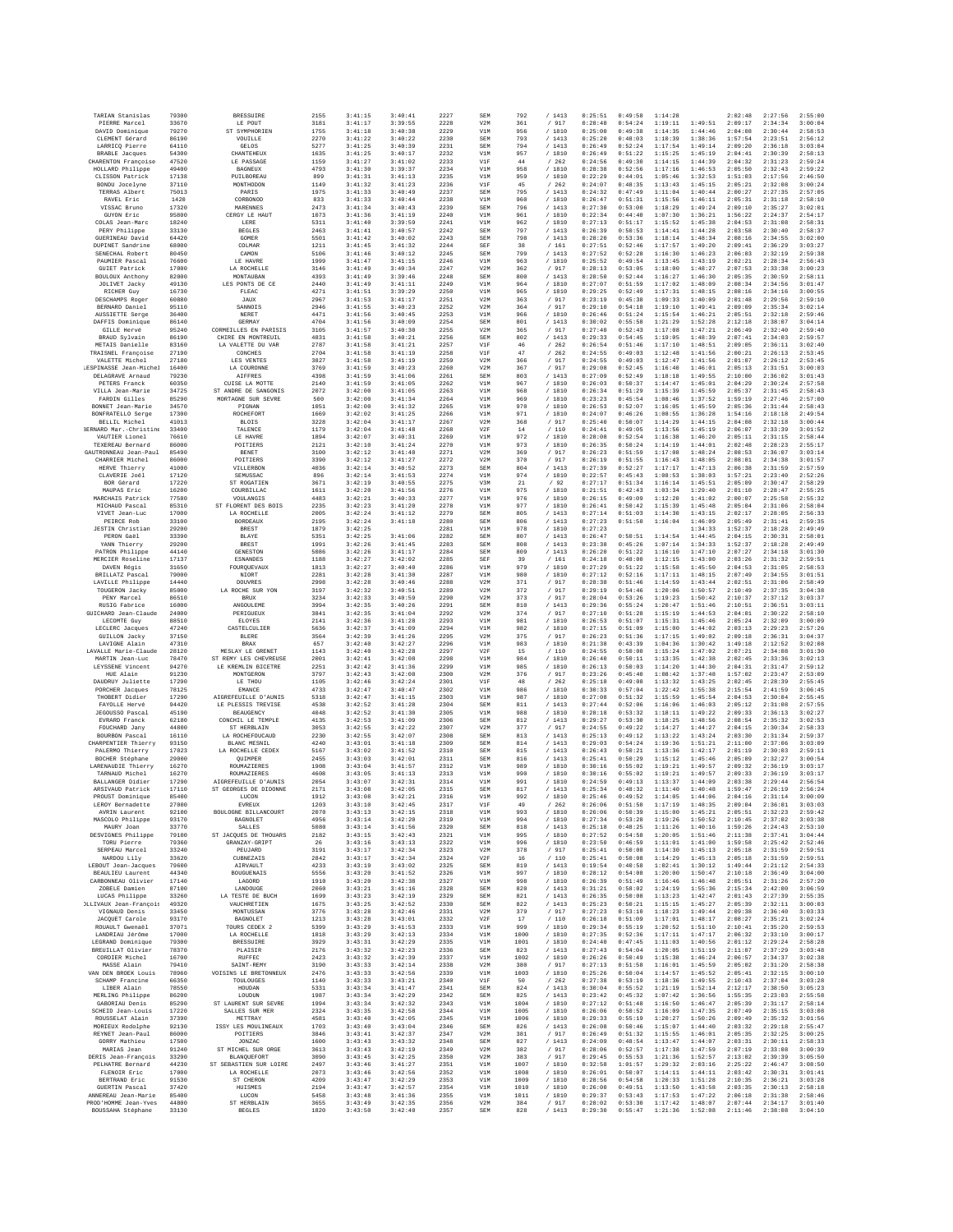| TARIAN Stanislas                             | 79300          | <b>BRESSUIRE</b>                       | 2155         | 3:41:15            | 3:40:41            | 2227         | SEM               | 792          | /1413                       | 0:25:51            | 0:49:58            | 1:14:28            |                    | 2:02:48            | 2:27:56            | 2:55:00            |
|----------------------------------------------|----------------|----------------------------------------|--------------|--------------------|--------------------|--------------|-------------------|--------------|-----------------------------|--------------------|--------------------|--------------------|--------------------|--------------------|--------------------|--------------------|
| PIERRE Marcel                                | 33670          | LE POUT                                | 3181         | 3:41:17            | 3:39:55            | 2228         | V2M               | 361          | / 917                       | 0:28:48            | 0:54:24            | 1:19:11            | 1:49:51            | 2:09:17            | 2:34:34            | 3:00:04            |
| DAVID Dominique<br>CLEMENT Gérard            | 79270<br>86190 | ST SYMPHORIEN<br>VOUILLE               | 1755<br>2270 | 3:41:18<br>3:41:22 | 3:40:38<br>3:40:22 | 2229<br>2230 | V1M<br>SEM        | 956<br>793   | / 1810<br>/1413             | 0:25:00<br>0:25:20 | 0:49:38<br>0:48:03 | 1:14:35<br>1:10:39 | 1:44:46<br>1:38:36 | 2:04:08<br>1:57:54 | 2:30:44<br>2:23:51 | 2:58:53<br>2:56:12 |
| LARRICQ Pierre                               | 64110          | GELOS                                  | 5277         | 3:41:25            | 3:40:39            | 2231         | SEM               | 794          | /1413                       | 0:26:49            | 0:52:24            | 1:17:54            | 1:49:14            | 2:09:20            | 2:36:18            | 3:03:04            |
| <b>BRABLE</b> Jacques                        | 54300          | CHANTEHEUX                             | 1635         | 3:41:25            | 3:40:17            | 2232         | V1M               | 957          | / 1810                      | 0:26:49            | 0:51:22            | 1:15:25            | 1:45:19            | 2:04:41            | 2:30:39            | 2:58:13            |
| CHARENTON Françoise                          | 47520          | LE PASSAGE                             | 1159         | 3:41:27            | 3:41:02            | 2233         | V1F               | 44           | /262                        | 0:24:56            | 0:49:30            | 1:14:15            | 1:44:39            | 2:04:32            | 2:31:23            | 2:59:24            |
| HOLLARD Philippe                             | 49400          | <b>BAGNEUX</b>                         | 4793         | 3:41:30            | 3:39:37            | 2234         | V1M               | 958          | / 1810                      | 0:28:38            | 0:52:56            | 1:17:16            | 1:46:53            | 2:05:50            | 2:32:43            | 2:59:22            |
| CLISSON Patrick                              | 17138<br>37110 | PUILBOREAU                             | 899          | 3:41:31            | 3:41:13            | 2235<br>2236 | V1M               | 959          | /1810                       | 0:22:29<br>0:24:07 | 0:44:01            | 1:05:46            | 1:32:53            | 1:51:03            | 2:17:56            | 2:46:50<br>3:00:24 |
| BONDU Jocelyne<br>TERRAS Albert              | 75013          | MONTHODON<br>PARIS                     | 1149<br>1975 | 3:41:32<br>3:41:33 | 3:41:23<br>3:40:49 | 2237         | V1F<br>SEM        | 45<br>795    | / 262<br>/1413              | 0:24:32            | 0:48:35<br>0:47:49 | 1:13:43<br>1:11:04 | 1:45:15<br>1:40:44 | 2:05:21<br>2:00:27 | 2:32:08<br>2:27:35 | 2:57:05            |
| RAVEL Eric                                   | 1420           | CORBONOD                               | 833          | 3:41:33            | 3:40:44            | 2238         | V1M               | 960          | / 1810                      | 0:26:47            | 0:51:31            | 1:15:56            | 1:46:11            | 2:05:31            | 2:31:18            | 2:58:10            |
| VISSAC Bruno                                 | 17320          | MARRNNRS                               | 2473         | 3:41:34            | 3:40:43            | 2239         | SEM               | 796          | /1413                       | 0:27:30            | 0:53:00            | 1:18:29            | 1:49:24            | 2:09:10            | 2:35:27            | 3:02:01            |
| GUYON Eric                                   | 95800          | CERGY LE HAUT                          | 1073         | 3:41:36            | 3:41:19            | 2240         | V1M               | 961          | / 1810                      | 0:22:34            | 0:44:40            | 1:07:30            | 1:36:21            | 1:56:22            | 2:24:37            | 2:54:17            |
| COLAS Jean-Marc                              | 18240          | LERE                                   | 5311         | 3:41:40            | 3:39:59            | 2241         | V1M               | 962          | / 1810                      | 0:27:13            | 0:51:17            | 1:15:52            | 1:45:38            | 2:04:53            | 2:31:08            | 2:58:31            |
| PERY Philippe<br>GUERINEAU David             | 33130<br>64420 | <b>BEGLES</b><br>GOMER                 | 2463<br>5501 | 3:41:41<br>3:41:42 | 3:40:57<br>3:40:02 | 2242         | SEM<br>SEM        | 797<br>798   | /1413<br>/1413              | 0:26:39<br>0:28:20 | 0:50:53<br>0:53:36 | 1:14:41<br>1:18:14 | 1:44:28<br>1:48:34 | 2:03:58<br>2:08:16 | 2:30:40<br>2:34:55 | 2:58:37<br>3:02:00 |
| DUPINET Sandrine                             | 68000          | COLMAR                                 | 1211         | 3:41:45            | 3:41:32            | 2243<br>2244 | SEF               | 38           | / 161                       | 0:27:51            | 0:52:46            | 1:17:57            | 1:49:20            | 2:09:41            | 2:36:29            | 3:03:27            |
| SENECHAL Robert                              | 80450          | CAMON                                  | 5106         | 3:41:46            | 3:40:12            | 2245         | SEM               | 799          | /1413                       | 0:27:52            | 0:52:28            | 1:16:30            | 1:46:23            | 2:06:03            | 2:32:19            | 2:59:38            |
| PAUMIER Pascal                               | 76600          | LE HAVRE                               | 1999         | 3:41:47            | 3:41:15            | 2246         | V1M               | 963          | / 1810                      | 0:25:52            | 0:49:54            | 1:13:45            | 1:43:19            | 2:02:21            | 2:28:34            | 2:56:43            |
| <b>GUIET Patrick</b>                         | 17000          | LA ROCHELLE                            | 3146         | 3:41:49            | 3:40:34            | 2247         | V2M               | 362          | / 917                       | 0:28:13            | 0:53:05            | 1:18:00            | 1:48:27            | 2:07:53            | 2:33:38            | 3:00:23            |
| BOULOUX Anthony<br><b>JOLIVET Jacky</b>      | 82000<br>49130 | MONTAUBAN<br>LES PONTS DE CE           | 4393<br>2440 | 3:41:49<br>3:41:49 | 3:39:46<br>3:41:11 | 2248<br>2249 | SEM<br>V1M        | 800<br>964   | /1413<br>/ 1810             | 0:28:50<br>0:27:07 | 0:52:44<br>0:51:59 | 1:16:27<br>1:17:02 | 1:46:30<br>1:48:09 | 2:05:35<br>2:08:34 | 2:30:59<br>2:34:56 | 2:58:11<br>3:01:47 |
| RICHER Guy                                   | 16730          | FLEAC                                  | 4271         | 3:41:51            | 3:39:29            | 2250         | V1M               | 965          | /1810                       | 0:29:25            | 0:52:49            | 1:17:31            | 1:48:15            | 2:08:16            | 2:34:16            | 3:00:55            |
| <b>DESCHAMPS Roger</b>                       | 60880          | JAUX                                   | 2967         | 3:41:53            | 3:41:17            | 2251         | V2M               | 363          | / 917                       | 0:23:19            | 0:45:38            | 1:09:33            | 1:40:09            | 2:01:48            | 2:29:56            | 2:59:10            |
| BERNARD Daniel                               | 95110          | SANNOIS                                | 2946         | 3:41:55            | 3:40:23            | 2252         | V2M               | 364          | / 917                       | 0:29:10            | 0:54:18            | 1:19:10            | 1:49:41            | 2:09:09            | 2:35:34            | 3:02:14            |
| <b>AUSSIETTE Serge</b>                       | 36400          | NERET                                  | 4471         | 3:41:56            | 3:40:45            | 2253         | V1M               | 966          | / 1810                      | 0:26:46            | 0:51:24            | 1:15:54            | 1:46:21            | 2:05:51            | 2:32:18            | 2:59:46            |
| DAFFIS Dominique<br>GILLE Hervé              | 86140<br>95240 | GERMAY<br>CORMEILLES EN PARISIS        | 4704<br>3105 | 3:41:56<br>3:41:57 | 3:40:09<br>3:40:30 | 2254<br>2255 | SEM<br>V2M        | 801<br>365   | / 1413<br>/ 917             | 0:30:02<br>0:27:40 | 0:55:58<br>0:52:43 | 1:21:29<br>1:17:08 | 1:52:28<br>1:47:21 | 2:12:18<br>2:06:49 | 2:38:07<br>2:32:40 | 3:04:14<br>2:59:40 |
| BRAUD Sylvain                                | 86190          | CHIRE EN MONTREUIL                     | 4831         | 3:41:58            | 3:40:21            | 2256         | SEM               | 802          | /1413                       | 0:29:33            | 0:54:45            | 1:19:05            | 1:48:39            | 2:07:41            | 2:34:03            | 2:59:57            |
| METAIS Danielle                              | 83160          | LA VALETTE DU VAR                      | 2787         | 3:41:58            | 3:41:21            | 2257         | V1F               | 46           | /262                        | 0:26:54            | 0:51:46            | 1:17:10            | 1:48:51            | 2:09:05            | 2:36:11            | 3:02:40            |
| TRAISNEL Françoise                           | 27190          | CONCHES                                | 2704         | 3:41:58            | 3:41:19            | 2258         | V1F               | 47           | /262                        | 0:24:55            | 0:49:03            | 1:12:48            | 1:41:56            | 2:00:21            | 2:26:13            | 2:53:45            |
| VALETTE Michel                               | 27180          | LES VENTES                             | 3827         | 3:41:58            | 3:41:19            | 2259         | V2M               | 366          | / 917                       | 0:24:55            | 0:49:03            | 1:12:47            | 1:41:56            | 2:01:07            | 2:26:12            | 2:53:45            |
| ESPINASSE Jean-Michel                        | 16400          | LA COURONNE                            | 3769         | 3:41:59            | 3:40:23            | 2260         | V2M               | 367          | / 917                       | 0:29:08            | 0:52:45            | 1:16:40            | 1:46:01            | 2:05:13            | 2:31:51            | 3:00:03            |
| DELAGRAVE Arnaud<br>PETERS Franck            | 79230<br>60350 | AIFFRES<br>CUISE LA MOTTE              | 4398<br>2140 | 3:41:59<br>3:41:59 | 3:41:06<br>3:41:05 | 2261<br>2262 | SEM<br>V1M        | 803<br>967   | / 1413<br>/ 1810            | 0:27:09<br>0:26:03 | 0:52:49<br>0:50:37 | 1:18:18<br>1:14:47 | 1:49:55<br>1:45:01 | 2:10:00<br>2:04:29 | 2:36:02<br>2:30:24 | 3:01:43<br>2:57:58 |
| VILLA Jean-Marie                             | 34725          | ST ANDRE DE SANGONIS                   | 2072         | 3:42:00            | 3:41:05            | 2263         | V1M               | 968          | / 1810                      | 0:26:34            | 0:51:29            | 1:15:39            | 1:45:59            | 2:05:37            | 2:31:45            | 2:58:43            |
| FARDIN Gilles                                | 85290          | MORTAGNE SUR SEVRE                     | 500          | 3:42:00            | 3:41:34            | 2264         | V1M               | 969          | /1810                       | 0:23:23            | 0:45:54            | 1:08:46            | 1:37:52            | 1:59:19            | 2:27:46            | 2:57:00            |
| BONNET Jean-Marie                            | 34570          | PIGNAN                                 | 1051         | 3:42:00            | 3:41:32            | 2265         | V1M               | 970          | / 1810                      | 0:26:53            | 0:52:07            | 1:16:05            | 1:45:59            | 2:05:36            | 2:31:44            | 2:58:43            |
| <b>BONFRATELLO</b> Serge                     | 17300          | ROCHEFORT                              | 1669         | 3:42:02            | 3:41:25            | 2266         | V1M               | 971          | / 1810                      | 0:24:07            | 0:46:26            | 1:08:55            | 1:36:28            | 1:54:16            | 2:18:18            | 2:49:54            |
| BELLIL Michel                                | 41013          | <b>BLOIS</b>                           | 3228         | 3:42:04            | 3:41:17            | 2267         | V2M               | 368          | / 917                       | 0:25:40            | 0:50:07            | 1:14:29            | 1:44:15            | 2:04:08            | 2:32:18            | 3:00:44            |
| BERNARD Mar.-Christine<br>VAUTIER Lionel     | 33400<br>76610 | TALENCE<br>LE HAVRE                    | 1179<br>1894 | 3:42:04<br>3:42:07 | 3:41:48<br>3:40:31 | 2268<br>2269 | V2F<br>V1M        | 14<br>972    | $/\phantom{0}110$<br>/ 1810 | 0:24:41<br>0:28:08 | 0:49:05<br>0:52:54 | 1:13:56<br>1:16:38 | 1:45:19<br>1:46:20 | 2:06:07<br>2:05:11 | 2:33:39<br>2:31:15 | 3:01:52<br>2:58:44 |
| TEXEREAU Bernard                             | 86000          | POITIERS                               | 2121         | 3:42:10            | 3:41:24            | 2270         | V1M               | 973          | / 1810                      | 0:26:35            | 0:50:24            | 1:14:19            | 1:44:01            | 2:02:48            | 2:28:23            | 2:55:17            |
| GAUTRONNEAU Jean-Paul                        | 85490          | BENET                                  | 3100         | 3:42:12            | 3:41:40            | 2271         | V2M               | 369          | /917                        | 0:26:23            | 0:51:59            | 1:17:08            | 1:48:24            | 2:08:53            | 2:36:07            | 3:03:14            |
| CHARRIER Michel                              | 86000          | POITIERS                               | 3390         | 3:42:12            | 3:41:27            | 2272         | V2M               | 370          | / 917                       | 0:26:19            | 0:51:55            | 1:16:43            | 1:48:05            | 2:08:01            | 2:34:38            | 3:01:57            |
| HERVE Thierry                                | 41000          | VILLERBON                              | 4036         | 3:42:14            | 3:40:52            | 2273         | SEM               | 804          | /1413                       | 0:27:39            | 0:52:27            | 1:17:17            | 1:47:13            | 2:06:38            | 2:31:59            | 2:57:59            |
| CLAVERIE Joël                                | 17120          | SEMUSSAC                               | 896          | 3:42:14            | 3:41:53            | 2274         | V1M               | 974          | /1810                       | 0:22:57            | 0:45:43            | 1:08:53            | 1:38:03            | 1:57:21            | 2:23:40            | 2:52:26            |
| BOR Gérard<br>MAUPAS Eric                    | 17220<br>16200 | ST ROGATIEN<br>COURBILLAC              | 3671<br>1611 | 3:42:19<br>3:42:20 | 3:40:55<br>3:41:56 | 2275<br>2276 | V3M<br>V1M        | 21<br>975    | $/$ 92<br>/ 1810            | 0:27:17<br>0:21:51 | 0:51:34<br>0:42:43 | 1:16:14<br>1:03:34 | 1:45:51<br>1:29:40 | 2:05:09<br>2:01:10 | 2:30:47<br>2:28:47 | 2:58:29<br>2:55:25 |
| MARCHAIS Patrick                             | 77580          | VOULANGIS                              | 4483         | 3:42:21            | 3:40:33            | 2277         | V1M               | 976          | / 1810                      | 0:26:15            | 0:49:09            | 1:12:20            | 1:41:02            | 2:00:07            | 2:25:58            | 2:55:32            |
| MICHAUD Pascal                               | 85310          | ST FLORENT DES BOIS                    | 2235         | 3:42:23            | 3:41:20            | 2278         | V1M               | 977          | /1810                       | 0:26:41            | 0:50:42            | 1:15:39            | 1:45:48            | 2:05:04            | 2:31:06            | 2:58:04            |
| VIVET Jean-Luc                               | 17000          | LA ROCHELLE                            | 2005         | 3:42:24            | 3:41:12            | 2279         | SEM               | 805          | /1413                       | 0:27:14            | 0:51:03            | 1:14:30            | 1:43:15            | 2:02:17            | 2:28:05            | 2:56:33            |
| PEIRCE Rob                                   | 33100          | <b>BORDEAUX</b>                        | 2195         | 3:42:24            | 3:41:18            | 2280         | SEM               | 806          | /1413                       | 0:27:23            | 0:51:50            | 1:16:04            | 1:46:09            | 2:05:49            | 2:31:41            | 2:59:35            |
| JESTIN Christian                             | 29200          | BREST                                  | 1879         | 3:42:25            |                    | 2281         | V1M               | 978          | / 1810                      | 0:27:23            |                    |                    | 1:34:33            | 1:52:37            | 2:18:28            | 2:49:49            |
| PERON Gaěl<br>YANN Thierry                   | 33390<br>29200 | BLAYE<br><b>BREST</b>                  | 5351<br>1991 | 3:42:25<br>3:42:26 | 3:41:06<br>3:41:45 | 2282<br>2283 | SEM<br>SEM        | 807<br>808   | /1413<br>/1413              | 0:26:47<br>0:23:38 | 0:50:51<br>0:45:26 | 1:14:54<br>1:07:14 | 1:44:45<br>1:34:33 | 2:04:15<br>1:52:37 | 2:30:31<br>2:18:28 | 2:58:01<br>2:49:49 |
| PATRON Philippe                              | 44140          | GENESTON                               | 5086         | 3:42:26            | 3:41:17            | 2284         | SEM               | 809          | /1413                       | 0:26:20            | 0:51:22            | 1:16:10            | 1:47:10            | 2:07:27            | 2:34:18            | 3:01:30            |
| MERCIER Roseline                             | 17137          | <b>ESNANDES</b>                        | 1188         | 3:42:27            | 3:42:02            | 2285         | SEF               | 39           | /161                        | 0:24:18            | 0:48:00            | 1:12:15            | 1:43:00            | 2:03:26            | 2:31:32            | 2:59:51            |
| DAVEN Régis                                  | 31650          | FOURQUEVAUX                            | 1813         | 3:42:27            | 3:40:40            | 2286         | V1M               | 979          | /1810                       | 0:27:29            | 0:51:22            | 1:15:58            | 1:45:50            | 2:04:53            | 2:31:05            | 2:58:53            |
| BRILLATZ Pascal                              | 79000          | NIOR7                                  | 2281         | 3:42:28            | 3:41:30            | 2287         | V1M               | 980          | / 1810                      | 0:27:12            | 0:52:16            | 1:17:11            | 1:48:15            | 2:07:49            | 2:34:55            | 3:01:51            |
| LAVILLE Philippe<br>TOUGERON Jacky           | 14440<br>85000 | <b>DOUVRES</b>                         | 2998<br>3197 | 3:42:28<br>3:42:32 | 3:40:46<br>3:40:51 | 2288<br>2289 | V2M<br>V2M        | 371          | / 917                       | 0:28:38<br>0:29:19 | 0:51:46<br>0:54:46 | 1:14:59<br>1:20:06 | 1:43:44<br>1:50:57 | 2:02:51<br>2:10:49 | 2:31:06<br>2:37:35 | 2:58:49<br>3:04:38 |
| PENY Marcel                                  | 86510          | LA ROCHE SUR YON<br>BRUX               | 3234         | 3:42:33            | 3:40:59            | 2290         | V2M               | 372<br>373   | / 917<br>/ 917              | 0:28:04            | 0:53:26            | 1:19:23            | 1:50:42            | 2:10:37            | 2:37:12            | 3:03:37            |
| RUSIG Fabrice                                | 16000          | ANGOULEME                              | 3994         | 3:42:35            | 3:40:26            | 2291         | SEM               | 810          | /1413                       | 0:29:36            | 0:55:24            | 1:20:47            | 1:51:46            | 2:10:51            | 2:36:51            | 3:03:11            |
| GUICHARD Jean-Claude                         | 24000          | PERIGUEUX                              | 3841         | 3:42:35            | 3:41:04            | 2292         | V2M               | 374          | / 917                       | 0:27:10            | 0:51:28            | 1:15:19            | 1:44:53            | 2:04:01            | 2:30:22            | 2:58:10            |
| LECOMTE Guy                                  | 88510          | ELOYES                                 | 2141         | 3:42:36            | 3:41:28            | 2293         | V1M               | 981          | / 1810                      | 0:26:53            | 0:51:07            | 1:15:31            | 1:45:46            | 2:05:24            | 2:32:09            | 3:00:09            |
| LECLERC Jacques                              | 47240          | CASTELCULIER                           | 5636         | 3:42:37            | 3:41:09            | 2294         | V1M               | 982          | / 1810                      | 0:27:15            | 0:51:09            | 1:15:00            | 1:44:02            | 2:03:13            | 2:29:23            | 2:57:26            |
| <b>GUILLON Jacky</b><br>LAVIGNE Alain        | 37150<br>47310 | <b>BLERE</b><br>BRAX                   | 3564<br>657  | 3:42:39<br>3:42:40 | 3:41:26<br>3:42:27 | 2295<br>2296 | V2M<br>V1M        | 375<br>983   | / 917                       | 0:26:23<br>0:21:38 | 0:51:36<br>0:43:39 | 1:17:15<br>1:04:36 | 1:49:02<br>1:30:42 | 2:09:18<br>1:49:18 | 2:36:31<br>2:12:52 | 3:04:37<br>3:02:08 |
| LAVALLE Marie-Claude                         | 28120          | MESLAY LE GRENET                       | 1143         | 3:42:40            | 3:42:28            | 2297         | V2F               | 15           | / 1810<br>/ 110             | 0:24:55            | 0:50:00            | 1:15:24            | 1:47:02            | 2:07:21            | 2:34:08            | 3:01:30            |
| MARTIN Jean-Luc                              | 78470          | ST REMY LES CHEVREUSE                  | 2001         | 3:42:41            | 3:42:08            | 2298         | V1M               | 984          | /1810                       | 0:26:40            | 0:50:11            | 1:13:35            | 1:42:38            | 2:02:45            | 2:33:36            | 3:02:13            |
| LEYSSENE Vincent                             | 94270          | LE KREMLIN BICETRE                     | 2251         | 3:42:42            | 3:41:36            | 2299         | V1M               | 985          | / 1810                      | 0:26:13            | 0:50:03            | 1:14:20            | 1:44:30            | 2:04:31            | 2:31:47            | 2:59:12            |
| HUE Alain                                    | 91230          | MONTGERON                              | 3797         | 3:42:43            | 3:42:08            | 2300         | V2M               | 376          | / 917                       | 0:23:26            | 0:45:40            | 1:08:42            | 1:37:48            | 1:57:02            | 2:23:47            | 2:53:09            |
| DAUDRUY Juliette                             | 17290          | LE THOU                                | 1105         | 3:42:46            | 3:42:24            | 2301         | V1F               | 48           | /262                        | 0:25:18            | 0:49:08            | 1:13:32            | 1:43:25            | 2:02:45            | 2:28:39            | 2:55:45            |
| PORCHER Jacques<br>THOBERT Didier            | 78125<br>17290 | EMANCE<br>AIGREFEUILLE D'AUNIS         | 4733<br>5318 | 3:42:47<br>3:42:47 | 3:40:47<br>3:41:15 | 2302<br>2303 | V1M<br>V1M        | 986<br>987   | / 1810<br>/ 1810            | 0:30:33<br>0:27:08 | 0:57:04<br>0:51:32 | 1:22:42<br>1:15:59 | 1:55:38<br>1:45:54 | 2:15:54<br>2:04:53 | 2:41:59<br>2:30:04 | 3:06:45<br>2:55:45 |
| FAYOLLE Hervé                                | 94420          | LE PLESSIS TREVISE                     | 4538         | 3:42:52            | 3:41:28            | 2304         | SEM               | 811          | /1413                       | 0:27:44            | 0:52:06            | 1:16:06            | 1:46:03            | 2:05:12            | 2:31:08            | 2:57:55            |
| JEGOUSSO Pascal                              | 45190          | <b>BEAUGENCY</b>                       | 4048         | 3:42:52            | 3:41:30            | 2305         | V1M               | 988          | / 1810                      | 0:28:18            | 0:53:32            | 1:18:11            | 1:49:22            | 2:09:33            | 2:36:13            | 3:02:27            |
| EVRARD Franck                                | 62180          | CONCHIL LE TEMPLE                      | 4135         | 3:42:53            | 3:41:09            | 2306         | SEM               | 812          | /1413                       | 0:29:27            | 0:53:30            | 1:18:25            | 1:48:56            | 2:08:54            | 2:35:32            | 3:02:53            |
| FOUCHARD Jany                                | 44800          | ST HERBLAIN                            | 3053         | 3:42:55            | 3:42:22            | 2307         | V2M               | 377          | / 917                       | 0:24:55            | 0:49:22            | 1:14:27            | 1:44:27            | 2:04:15            | 2:30:34            | 2:58:33            |
| BOURBON Pascal                               | 16110          | LA ROCHEFOUCAUD                        | 2230         | 3:42:55            | 3:42:07            | 2308         | SEM               | 813          | /1413                       | 0:25:13            | 0:49:12            | 1:13:22            | 1:43:24            | 2:03:30            | 2:31:34            | 2:59:37            |
| CHARPENTIER Thierry<br>PALERMO Thierry       | 93150<br>17023 | BLANC MESNIL<br>LA ROCHELLE CEDEX      | 4240<br>5167 | 3:43:01<br>3:43:02 | 3:41:18<br>3:41:52 | 2309<br>2310 | SEM<br>SEM        | 814<br>815   | /1413<br>/1413              | 0:29:03<br>0:26:43 | 0:54:24<br>0:50:21 | 1:19:36<br>1:13:36 | 1:51:21<br>1:42:17 | 2:11:00<br>2:01:19 | 2:37:06<br>2:30:03 | 3:03:09<br>2:59:11 |
| BOCHER Stéphane                              | 29000          | QUIMPER                                | 2455         | 3:43:03            | 3:42:01            | 2311         | SEM               | 816          | / 1413                      | 0:25:41            | 0:50:29            | 1:15:12            | 1:45:46            | 2:05:09            | 2:32:27            | 3:00:54            |
| LARENAUDIE Thierry                           | 16270          | ROUMAZIERES                            | 1908         | 3:43:04            | 3:41:57            | 2312         | V1M               | 989          | / 1810                      | 0:30:16            | 0:55:02            | 1:19:21            | 1:49:57            | 2:09:32            | 2:36:19            | 3:03:17            |
| TARNAUD Michel                               | 16270          | ROUMAZIERES                            | 4608         | 3:43:05            | 3:41:13            | 2313         | V1M               | 990          | / 1810                      | 0:30:16            | 0:55:02            | 1:19:21            | 1:49:57            | 2:09:33            | 2:36:19            | 3:03:17            |
| BALLANGER Didier                             | 17290          | ATGREERITLLE D'AINTS                   | 2054         | 3:43:07            | 3:42:31            | 2314         | V1M               | 991          | /1810                       | 0:24:59            | 0:49:13            | 1:13:37            | 1:44:09            | 2:03:38            | 2:29:44            | 2:56:54            |
| ARSIVAUD Patrick<br>PROUST Dominique         | 17110<br>85400 | ST GEORGES DE DIDONNE<br>LUCON         | 2171<br>1912 | 3:43:08<br>3:43:08 | 3:42:05<br>3:42:21 | 2315<br>2316 | SEM<br>V1M        | 817<br>992   | /1413<br>/ 1810             | 0:25:34<br>0:25:46 | 0:48:32<br>0:49:52 | 1:11:40<br>1:14:05 | 1:40:48<br>1:44:06 | 1:59:47<br>2:04:16 | 2:26:19<br>2:31:14 | 2:56:24<br>3:00:09 |
| LEROY Bernadette                             | 27000          | EVREUX                                 | 1203         | 3:43:10            | 3:42:45            | 2317         | V1F               | 49           | $\,$ / $\,$ 262             | 0:26:06            | 0:51:50            | 1:17:19            | 1:48:35            | 2:09:04            | 2:36:01            | 3:03:03            |
| AVRIN Laurent                                | 92100          | BOULOGNE BILLANCOURT                   | 2070         | 3:43:13            | 3:42:15            | 2318         | V1M               | 993          | / 1810                      | 0:26:06            | 0:50:39            | 1:15:00            | 1:45:21            | 2:05:51            | 2:32:23            | 2:59:42            |
| MASCOLO Philippe                             | 93170          | BAGNOLET                               | 4956         | 3:43:14            | 3:42:20            | 2319         | V1M               | 994          | /1810                       | 0:27:34            | 0:53:28            | 1:19:26            | 1:50:52            | 2:10:45            | 2:37:02            | 3:03:38            |
| MAURY Joan                                   | 33770          | <b>SALLES</b>                          | 5080         | 3:43:14            | 3:41:56            | 2320         | SEM               | 818          | /1413                       | 0:25:18            | 0:48:25            | 1:11:26            | 1:40:16            | 1:59:26            | 2:24:43            | 2:53:10            |
| DESVIGNES Philippe<br>TORU Pierre            | 79100<br>79360 | ST JACOURS DE THOUARS<br>GRANZAY-GRIPT | 2182<br>26   | 3:43:15<br>3:43:16 | 3:42:43<br>3:43:13 | 2321<br>2322 | V1M<br>V1M        | 995<br>996   | / 1810<br>/ 1810            | 0:27:52<br>0:23:50 | 0:54:58<br>0:46:59 | 1:20:05<br>1:11:01 | 1:51:46<br>1:41:00 | 2:11:38<br>1:59:58 | 2:37:41<br>2:25:42 | 3:04:44<br>2:52:46 |
| SERPEAU Marcel                               | 33240          | PEUJARD                                | 3191         | 3:43:17            | 3:42:34            | 2323         | V2M               | 378          | / 917                       | 0:25:41            | 0:50:08            | 1:14:30            | 1:45:13            | 2:05:18            | 2:31:59            | 2:59:51            |
| NARDOIL Lily                                 | 33620          | <b>CURNEZATS</b>                       | 2842         | 3:43:17            | 3:42:34            | 2324         | V2F               | 16           | /110                        | 0:25:41            | 0:50:08            | 1:14:29            | 1:45:13            | 2:05:18            | 2:31:59            | 2:59:51            |
| LEBOUT Jean-Jacques                          | 79600          | <b>AIRVAULT</b>                        | 4233         | 3:43:19            | 3:43:02            | 2325         | SEM               | 819          | /1413                       | 0:19:54            | 0:40:58            | 1:02:41            | 1:30:12            | 1:49:44            | 2:21:12            | 2:54:33            |
| <b>BEAULIEU</b> Laurent                      | 44340          | <b>BOUGUENAIS</b>                      | 5556         | 3:43:20            | 3:41:52            | 2326         | V1M               | 997          | / 1810                      | 0:28:12            | 0:54:08            | 1:20:00            | 1:50:47            | 2:10:18            | 2:36:49            | 3:04:00            |
| CARBONNEAU Olivier<br>ZOBELE Damien          | 17140          | LAGORD                                 | 1910         | 3:43:20            | 3:42:38            | 2327         | V1M               | 998          | / 1810                      | 0:26:39            | 0:51:49            | 1:16:46            | 1:46:48            | 2:05:51            | 2:31:26            | 2:57:20            |
| LUCAS Philippe                               | 87100<br>33260 | LANDOUGE<br>LA TESTE DE BUCH           | 2060<br>1699 | 3:43:21<br>3:43:23 | 3:41:16<br>3:42:19 | 2328<br>2329 | <b>SEM</b><br>SEM | 820<br>821   | /1413<br>/1413              | 0:31:21<br>0:26:35 | 0:58:02<br>0:50:08 | 1:24:19<br>1:13:23 | 1:55:36<br>1:42:47 | 2:15:34<br>2:01:43 | 2:42:00<br>2:27:39 | 3:06:59<br>2:55:35 |
| OLLIVAUX Jean-François                       | 49320          | VAUCHRETIEN                            | 1675         | 3:43:25            | 3:42:52            | 2330         | SEM               | 822          | /1413                       | 0:25:23            | 0:50:21            | 1:15:15            | 1:45:27            | 2:05:39            | 2:32:11            | 3:00:03            |
| VIGNAUD Denis                                | 33450          | MONTUSSAN                              | 3776         | 3:43:28            | 3:42:46            | 2331         | V2M               | 379          | / 917                       | 0:27:23            | 0:53:10            | 1:18:23            | 1:49:44            | 2:09:38            | 2:36:40            | 3:03:33            |
| JACQUET Carole                               | 93170          | BAGNOLET                               | 1213         | 3:43:28            | 3:43:01            | 2332         | V2F               | 17           | /110                        | 0:26:18            | 0:51:09            | 1:17:01            | 1:48:17            | 2:08:27            | 2:35:21            | 3:02:24            |
| ROUAULT Gwenaël                              | 37071          | TOURS CEDEX 2                          | 5399         | 3:43:29            | 3:41:53            | 2333         | V1M               | 999          | / 1810                      | 0:29:34            | 0:55:19            | 1:20:52            | 1:51:10            | 2:10:41            | 2:35:20            | 2:59:53            |
| LANDRIAU Jérôme<br>LEGRAND Dominique         | 17000<br>79300 | LA ROCHELLE<br><b>BRESSITER</b>        | 1818<br>3929 | 3:43:29<br>3:43:31 | 3:42:13<br>3:42:29 | 2334<br>2335 | V1M<br>V1M        | 1000<br>1001 | / 1810<br>/ 1810            | 0:27:35<br>0:24:40 | 0:52:36<br>0:47:45 | 1:17:11<br>1:11:03 | 1:47:17<br>1:40:56 | 2:06:32<br>2:01:12 | 2:33:10<br>2:29:24 | 3:00:17<br>2:58:28 |
| BREUILLAT Olivier                            | 78370          | PLAISIR                                | 2176         | 3:43:32            | 3:42:23            | 2336         | SEM               | 823          | /1413                       | 0:27:43            | 0:54:04            | 1:20:05            | 1:51:19            | 2:11:07            | 2:37:29            | 3:03:48            |
| CORDIER Michel                               | 16700          | RUFFEC                                 | 2423         | 3:43:32            | 3:42:39            | 2337         | V1M               | 1002         | / 1810                      | 0:26:26            | 0:50:49            | 1:15:38            | 1:46:24            | 2:06:57            | 2:34:37            | 3:02:38            |
| MASSE Alain                                  | 79410          | SAINT-REMY                             | 3190         | 3:43:33            | 3:42:14            | 2338         | V2M               | 380          | / 917                       | 0:27:13            | 0:51:58            | 1:16:01            | 1:45:59            | 2:05:02            | 2:31:20            | 2:58:38            |
| VAN DEN BROEK Louis                          | 78960          | VOISINS LE BRETONNEUX                  | 2476         | 3:43:33            | 3:42:56            | 2339         | V1M               | 1003         | /1810                       | 0:25:26            | 0:50:04            | 1:14:57            | 1:45:52            | 2:05:41            | 2:32:15            | 3:00:10            |
| SCHAMP Francine                              | 66350          | TOULOUGES                              | 1140         | 3:43:33            | 3:43:21            | 2340         | V1F               | 50           | /262                        | 0:27:38            | 0:53:19            | 1:18:36            | 1:49:55            | 2:10:43            | 2:37:04            | 3:03:28            |
| LIBER Alain<br>MERLING Philippe              | 78550<br>86200 | HOUDAN<br>LOUDUN                       | 5331<br>1987 | 3:43:34<br>3:43:34 | 3:41:47<br>3:42:29 | 2341<br>2342 | SEM<br>SEM        | 824<br>825   | /1413<br>/1413              | 0:30:04<br>0:23:42 | 0:55:52<br>0:45:32 | 1:21:19<br>1:07:42 | 1:52:14<br>1:36:56 | 2:12:17<br>1:55:35 | 2:38:50<br>2:23:03 | 3:05:23<br>2:55:58 |
| GABORIAU Denis                               | 85290          | ST LAURENT SUR SEVRE                   | 1994         | 3:43:34            | 3:42:32            | 2343         | V1M               | 1004         | / 1810                      | 0:27:12            | 0:51:48            | 1:16:50            | 1:46:47            | 2:05:39            | 2:31:17            | 2:58:14            |
| SCHEID Jean-Louis                            | 17220          | SALLES SUR MER                         | 2324         | 3:43:35            | 3:42:58            | 2344         | V1M               | 1005         | / 1810                      | 0:26:06            | 0:50:52            | 1:16:09            | 1:47:35            | 2:07:49            | 2:35:15            | 3:03:08            |
| ROUSSELAT Alain                              | 37390          | METTRAY                                | 4581         | 3:43:40            | 3:42:05            | 2345         | V1M               | 1006         | / 1810                      | 0:29:33            | 0:55:19            | 1:20:27            | 1:50:26            | 2:09:49            | 2:35:32            | 3:01:56            |
| MORIEUX Rodolphe                             | 92130          | ISSY LES MOULINEAUX                    | 1703         | 3:43:40            | 3:43:04            | 2346         | SEM               | 826          | /1413                       | 0:26:08            | 0:50:46            | 1:15:07            | 1:44:40            | 2:03:32            | 2:29:18            | 2:55:47            |
| REYNET Jean-Paul<br>GORRY Mathieu            | 86000<br>17500 | POITIERS<br>JONZAC                     | 3846<br>1600 | 3:43:41<br>3:43:43 | 3:42:37<br>3:43:32 | 2347<br>2348 | V2M<br>SEM        | 381<br>827   | / 917<br>/1413              | 0:26:49<br>0:24:09 | 0:51:32<br>0:48:54 | 1:15:55<br>1:13:47 | 1:46:01<br>1:44:07 | 2:05:35<br>2:03:31 | 2:32:25<br>2:30:11 | 3:00:25<br>2:58:33 |
| MARIAS Jean                                  | 91240          | ST MICHEL SUR ORGE                     | 3613         | 3:43:43            | 3:42:19            | 2349         | V2M               | 382          | / 917                       | 0:28:06            | 0:52:57            | 1:17:38            | 1:47:59            | 2:07:19            | 2:33:08            | 3:00:39            |
| DERIS Jean-François                          | 33290          | BLANQUEFORT                            | 3090         | 3:43:45            | 3:42:25            | 2350         | V2M               | 383          | / 917                       | 0:29:45            | 0:55:53            | 1:21:36            | 1:52:57            | 2:13:02            | 2:39:39            | 3:05:50            |
| PELHATRE Bernard                             | 44230          | ST SEBASTIEN SUR LOIRE                 | 2497         | 3:43:46            | 3:41:27            | 2351         | V1M               | 1007         | / 1810                      | 0:32:58            | 1:01:57            | 1:29:32            | 2:03:16            | 2:25:22            | 2:46:47            | 3:08:50            |
| FLENOIR Eric                                 | 17000          | LA ROCHELLE                            | 2073         | 3:43:46            | 3:42:56            | 2352         | V1M               | 1008         | / 1810                      | 0:26:01            | 0:50:07            | 1:14:11            | 1:44:11            | 2:03:42            | 2:30:31            | 3:01:41            |
| BERTRAND Eric                                | 91530<br>37420 | ST CHERON<br>HUISMES                   | 4209<br>2194 | 3:43:47<br>3:43:47 | 3:42:29<br>3:42:57 | 2353<br>2354 | V1M<br>V1M        | 1009<br>1010 | / 1810                      | 0:28:56<br>0:26:00 | 0:54:58<br>0:49:51 | 1:20:33<br>1:13:50 | 1:51:28<br>1:43:58 | 2:10:35<br>2:03:35 | 2:36:21<br>2:30:13 | 3:03:28<br>2:58:18 |
| <b>GUERTIN Pascal</b><br>ANNEREAU Jean-Marie | 85400          | LUCON                                  | 5458         | 3:43:48            | 3:41:36            | 2355         | V1M               | 1011         | / 1810<br>/ 1810            | 0:29:37            | 0:53:43            | 1:17:53            | 1:47:22            | 2:06:18            | 2:31:38            | 2:58:46            |
| PROD'HOMME Jean-Yves                         | 44800          | ST HERBLAIN                            | 3655         | 3:43:49            | 3:42:35            | 2356         | V2M               | 384          | / 917                       | 0:28:02            | 0:53:30            | 1:17:42            | 1:48:07            | 2:07:44            | 2:34:17            | 3:01:40            |
| BOUSSAHA Stéphane                            | 33130          | <b>BEGLES</b>                          | 1820         | 3:43:50            | 3:42:40            | 2357         | SEM               | 828          | / 1413                      | 0:29:30            | 0:55:47            | 1:21:36            | 1:52:08            | 2:11:46            | 2:38:08            | 3:04:10            |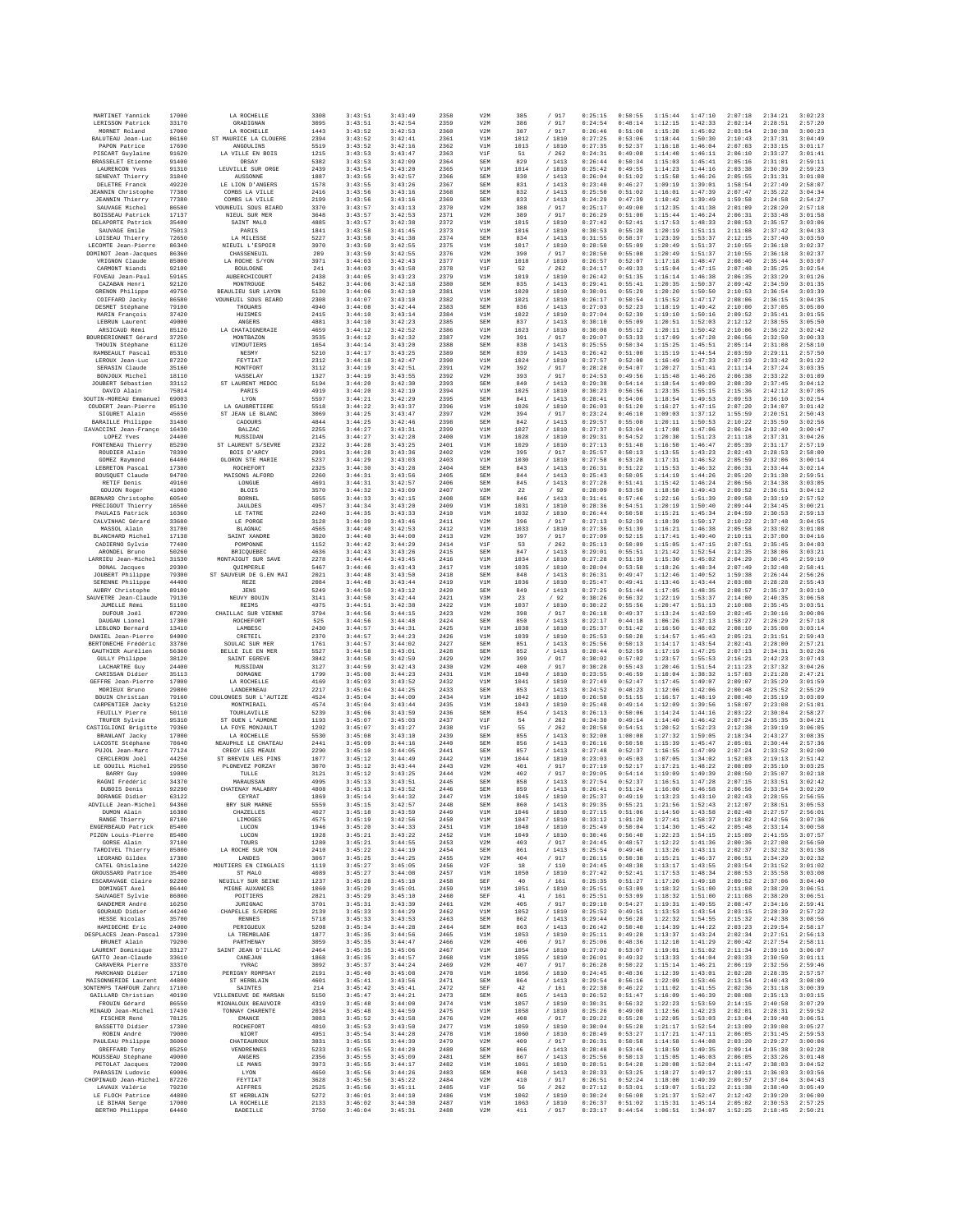| MARTINET Yannick                                    | 17000          | LA ROCHELLE                                | 3308         | 3:43:51            | 3:43:49            | 2358         | V2M               | 385          | / 917            | 0:25:15            | 0:50:55            | 1:15:44            | 1:47:10            | 2:07:18            | 2:34:21            | 3:02:23            |
|-----------------------------------------------------|----------------|--------------------------------------------|--------------|--------------------|--------------------|--------------|-------------------|--------------|------------------|--------------------|--------------------|--------------------|--------------------|--------------------|--------------------|--------------------|
| LERISSON Patrick<br>MORNET Roland                   | 33170<br>17000 | GRADIGNAN<br>LA ROCHELLE                   | 3095<br>1443 | 3:43:51<br>3:43:52 | 3:42:54<br>3:42:53 | 2359<br>2360 | V2M<br>V2M        | 386<br>387   | / 917<br>/ 917   | 0:24:54<br>0:26:46 | 0:48:14<br>0:51:00 | 1:12:15<br>1:15:20 | 1:42:33<br>1:45:02 | 2:02:14<br>2:03:54 | 2:28:51<br>2:30:38 | 2:57:20<br>3:00:23 |
| BALUTEAU Jean-Luc                                   | 86160          | ST MAURICE LA CLOUERE                      | 2394         | 3:43:52            | 3:42:41            | 2361         | V1M               | 1012         | /1810            | 0:27:25            | 0:53:06            | 1:18:44            | 1:50:30            | 2:10:43            | 2:37:31            | 3:04:49            |
| PAPON Patrice<br>PISCART Guylaine                   | 17690<br>91620 | <b>ANGOULINS</b><br>LA VILLE EN BOIS       | 5519<br>1215 | 3:43:52<br>3:43:53 | 3:42:16<br>3:43:47 | 2362<br>2363 | V1M<br>V1F        | 1013<br>51   | / 1810<br>/262   | 0:27:35<br>0:24:31 | 0:52:37<br>0:49:08 | 1:16:18<br>1:14:40 | 1:46:04<br>1:46:11 | 2:07:03<br>2:06:10 | 2:33:15<br>2:33:27 | 3:01:17<br>3:01:41 |
| <b>BRASSELET Etienne</b><br>LAURENCON Yves          | 91400<br>91310 | ORSAY<br>LEUVILLE SUR ORGE                 | 5382<br>2439 | 3:43:53<br>3:43:54 | 3:42:09<br>3:43:20 | 2364<br>2365 | SEM<br>V1M        | 829<br>1014  | /1413<br>/ 1810  | 0:26:44<br>0:25:42 | 0:50:34<br>0:49:55 | 1:15:03<br>1:14:23 | 1:45:41<br>1:44:16 | 2:05:16<br>2:03:38 | 2:31:01<br>2:30:39 | 2:59:11<br>2:59:23 |
| SENEVAT Thierry                                     | 31840          | AUSSONNE                                   | 1887         | 3:43:55            | 3:42:57            | 2366         | SEM               | 830          | /1413            | 0:26:04            | 0:51:02            | 1:15:58            | 1:46:26            | 2:05:55            | 2:31:31            | 3:01:08            |
| DELETRE Franck<br><b>JEANNIN</b> Christophe         | 49220<br>77380 | LE LION D'ANGERS<br>COMBS LA VILLE         | 1578<br>2416 | 3:43:55<br>3:43:56 | 3:43:26<br>3:43:16 | 2367<br>2368 | SEM<br>SEM        | 831<br>832   | /1413<br>/ 1413  | 0:23:40<br>0:25:50 | 0:46:27<br>0:51:02 | 1:09:19<br>1:16:01 | 1:39:01<br>1:47:39 | 1:58:54<br>2:07:47 | 2:27:49<br>2:35:22 | 2:58:07<br>3:04:34 |
| <b>JEANNIN</b> Thierry                              | 77380          | COMBS LA VILLE                             | 2199         | 3:43:56            | 3:43:16            | 2369         | SEM               | 833          | /1413            | 0:24:29            | 0:47:39            | 1:10:42            | 1:39:49            | 1:59:58            | 2:24:58            | 2:54:27            |
| SAUVAGE Michel<br>BOISSEAU Patrick                  | 86580<br>17137 | VOUNEUIL SOUS BIARD<br>NIEUL SUR MER       | 3370<br>3648 | 3:43:57<br>3:43:57 | 3:43:13<br>3:42:53 | 2370<br>2371 | V2M<br>V2M        | 388<br>389   | / 917<br>/ 917   | 0:25:17<br>0:26:29 | 0:49:00<br>0:51:00 | 1:12:35<br>1:15:44 | 1:41:38<br>1:46:24 | 2:01:09<br>2:06:31 | 2:28:20<br>2:33:48 | 2:57:18<br>3:01:58 |
| DELAPORTE Patrick                                   | 35400          | SAINT MALO                                 | 4885         | 3:43:57            | 3:42:38            | 2372         | V1M               | 1015         | / 1810           | 0:27:42            | 0:52:41            | 1:17:53            | 1:48:33            | 2:08:53            | 2:35:57            | 3:03:06            |
| SAUVAGE Emile<br>LOISEAU Thierry                    | 75013<br>72650 | PARIS<br>LA MILESSE                        | 1841<br>5227 | 3:43:58<br>3:43:58 | 3:41:45<br>3:41:38 | 2373<br>2374 | V1M<br>SEM        | 1016<br>834  | /1810<br>/1413   | 0:30:53<br>0:31:55 | 0:55:28<br>0:58:37 | 1:20:19<br>1:23:39 | 1:51:11<br>1:53:37 | 2:11:08<br>2:12:15 | 2:37:42<br>2:37:40 | 3:04:33<br>3:03:50 |
| LECOMTE Jean-Pierre                                 | 86340          | NIEUIL L'ESPOIR                            | 3970         | 3:43:59            | 3:42:55            | 2375         | V1M               | 1017         | /1810            | 0:28:50            | 0:55:09            | 1:20:49            | 1:51:37            | 2:10:55            | 2:36:18            | 3:02:37            |
| DOMINOT Jean-Jacques<br>VRIGNON Claude              | 86360<br>85000 | CHASSENEUIL<br>LA ROCHE S/YON              | 289<br>3971  | 3:43:55<br>3:44:03 | 3:42:55<br>3:42:43 | 2376<br>2377 | V2M<br>V1M        | 390<br>1018  | / 917<br>/ 1810  | 0:28:50<br>0:26:57 | 0:55:08<br>0:52:07 | 1:20:49<br>1:17:18 | 1:51:37<br>1:48:47 | 2:10:55<br>2:08:40 | 2:36:18<br>2:35:44 | 3:02:37<br>3:03:07 |
| CARMONT Niandi                                      | 92100          | BOULOGNE                                   | 241<br>2438  | 3:44:03<br>3:44:05 | 3:43:58<br>3:43:23 | 2378<br>2379 | VIF<br>V1M        | 52<br>1019   | /262<br>/ 1810   | 0:24:17<br>0:26:42 | 0:49:33<br>0:51:35 | 1:15:04<br>1:16:14 | 1:47:15            | 2:07:48            | 2:35:25<br>2:33:29 | 3:02:54<br>3:01:26 |
| FOVEAU Jean-Paul<br>CAZABAN Henri                   | 59165<br>92120 | <b>AUBERCHICOURT</b><br>MONTROUGE          | 5482         | 3:44:06            | 3:42:18            | 2380         | SEM               | 835          | /1413            | 0:29:41            | 0:55:41            | 1:20:35            | 1:46:38<br>1:50:37 | 2:06:35<br>2:09:42 | 2:34:59            | 3:01:35            |
| GRENON Philippe<br>COIFFARD Jacky                   | 49750<br>86580 | BEAULIEU SUR LAYON<br>VOUNEUIL SOUS BIARD  | 5130<br>2308 | 3:44:06<br>3:44:07 | 3:42:10<br>3:43:10 | 2381<br>2382 | V1M<br>V1M        | 1020<br>1021 | /1810<br>/ 1810  | 0:30:01<br>0:26:17 | 0:55:29<br>0:50:54 | 1:20:20<br>1:15:52 | 1:50:50<br>1:47:17 | 2:10:53<br>2:08:06 | 2:36:54<br>2:36:15 | 3:03:39<br>3:04:35 |
| DESMET Stéphane                                     | 79100          | THOUARS                                    | 4940         | 3:44:08            | 3:42:44            | 2383         | SEM               | 836          | /1413            | 0:27:03            | 0:52:23            | 1:18:19            | 1:49:42            | 2:10:00            | 2:37:05            | 3:05:00            |
| MARIN François<br>LEBRUN Laurent                    | 37420<br>49000 | HUISMES<br>ANGERS                          | 2415<br>4881 | 3:44:10<br>3:44:10 | 3:43:14<br>3:42:23 | 2384<br>2385 | V1M<br>SEM        | 1022<br>837  | / 1810<br>/1413  | 0:27:04<br>0:30:10 | 0:52:39<br>0:55:09 | 1:19:10<br>1:20:51 | 1:50:16<br>1:52:03 | 2:09:52<br>2:12:12 | 2:35:41<br>2:38:55 | 3:01:55<br>3:05:50 |
| ARSICAUD Rémi                                       | 85120          | LA CHATAIGNERAIE                           | 4659         | 3:44:12            | 3:42:52            | 2386         | V1M               | 1023         | /1810            | 0:30:08            | 0:55:12            | 1:20:11            | 1:50:42            | 2:10:06            | 2:36:22            | 3:02:42            |
| BOURDERIONNET Gérard<br>THOUIN Stéphane             | 37250<br>61120 | MONTBAZON<br>VIMOUTIERS                    | 3535<br>1654 | 3:44:12<br>3:44:14 | 3:42:32<br>3:43:20 | 2387<br>2388 | V2M<br>SEM        | 391<br>838   | / 917<br>/1413   | 0:29:07<br>0:25:55 | 0:53:33<br>0:50:34 | 1:17:09<br>1:15:25 | 1:47:28<br>1:45:51 | 2:06:56<br>2:05:14 | 2:32:50<br>2:31:08 | 3:00:33<br>2:58:10 |
| RAMBEAULT Pascal                                    | 85310          | <b>NESMY</b>                               | 5210         | 3:44:17            | 3:43:25            | 2389         | SEM               | 839          | /1413            | 0:26:42            | 0:51:00            | 1:15:19            | 1:44:54            | 2:03:59            | 2:29:11            | 2:57:50            |
| LEROUX Jean-Luc<br>SERASIN Claude                   | 87220<br>35160 | FEYTIAT<br>MONTFORT                        | 2312<br>3112 | 3:44:18<br>3:44:19 | 3:42:47<br>3:42:51 | 2390<br>2391 | V1M<br>V2M        | 1024<br>392  | / 1810<br>/ 917  | 0:27:57<br>0:28:28 | 0:52:00<br>0:54:07 | 1:16:49<br>1:20:27 | 1:47:33<br>1:51:41 | 2:07:19<br>2:11:14 | 2:33:42<br>2:37:24 | 3:01:22<br>3:03:35 |
| BONJOUX Michel                                      | 18110          | VASSELAY                                   | 1327         | 3:44:19            | 3:43:55            | 2392         | V2M               | 393          | /917             | 0:24:53            | 0:49:56            | 1:15:48            | 1:46:26            | 2:06:38            | 2:33:22            | 3:01:09            |
| JOUBERT Sébastier<br>DAVID Alain                    | 33112<br>75014 | ST LAURENT MEDOC<br>PARIS                  | 5194<br>4919 | 3:44:20<br>3:44:20 | 3:42:30<br>3:42:19 | 2393<br>2394 | SEM<br>V1M        | 840<br>1025  | /1413<br>/ 1810  | 0:29:38<br>0:30:23 | 0:54:14<br>0:56:56 | 1:18:54<br>1:23:35 | 1:49:09<br>1:55:15 | 2:08:39<br>2:15:36 | 2:37:45<br>2:42:12 | 3:04:12<br>3:07:05 |
| BOUTIN-MOREAU Emmanuel                              | 69003          | LYON                                       | 5597         | 3:44:21            | 3:42:29            | 2395         | SEM               | 841          | /1413            | 0:28:41            | 0:54:06            | 1:18:54            | 1:49:53            | 2:09:53            | 2:36:10            | 3:02:54            |
| COUDERT Jean-Pierre<br>SIGURET Alain                | 85130<br>45650 | LA GAUBRETIERE<br>ST JEAN LE BLANC         | 5518<br>3069 | 3:44:22<br>3:44:25 | 3:43:37<br>3:43:47 | 2396<br>2397 | V1M<br>V2M        | 1026<br>394  | /1810<br>/ 917   | 0:26:03<br>0:23:24 | 0:51:20<br>0:46:10 | 1:16:27<br>1:09:03 | 1:47:15<br>1:37:12 | 2:07:20<br>1:55:59 | 2:34:07<br>2:20:51 | 3:01:42<br>2:50:43 |
| BARAILLE Philippe<br>HAVACCINI Jean-Franco          | 31480<br>16430 | CADOURS<br><b>BALZAC</b>                   | 4844<br>2255 | 3:44:25<br>3:44:27 | 3:42:46<br>3:43:31 | 2398<br>2399 | SEM<br>V1M        | 842<br>1027  | /1413<br>/1810   | 0:29:57<br>0:27:37 | 0:55:08<br>0:53:04 | 1:20:11<br>1:17:08 | 1:50:53<br>1:47:06 | 2:10:22<br>2:06:24 | 2:35:59<br>2:32:40 | 3:02:56<br>3:00:47 |
| LOPEZ Yves                                          | 24400          | MUSSIDAN                                   | 2145         | 3:44:27            | 3:42:28            | 2400         | V1M               | 1028         | / 1810           | 0:29:31            | 0:54:52            | 1:20:30            | 1:51:23            | 2:11:18            | 2:37:31            | 3:04:26            |
| FONTENEAU Thierry<br>ROUDIER Alain                  | 85290<br>78390 | ST LAURENT S/SEVRE<br>BOIS D'ARCY          | 2322<br>2991 | 3:44:28<br>3:44:28 | 3:43:25<br>3:43:36 | 2401<br>2402 | V1M<br>V2M        | 1029<br>395  | / 1810<br>/ 917  | 0:27:13<br>0:25:57 | 0:51:48<br>0:50:13 | 1:16:50<br>1:13:55 | 1:46:47<br>1:43:23 | 2:05:39<br>2:02:43 | 2:31:17<br>2:28:53 | 2:57:19<br>2:58:00 |
| GOMEZ Raymond                                       | 64400          | OLORON STE MARIE                           | 5237         | 3:44:29            | 3:43:03            | 2403         | V1M               | 1030         | /1810            | 0:27:58            | 0:53:28            | 1:17:31            | 1:46:52            | 2:05:59            | 2:32:06            | 3:00:14            |
| LEBRETON Pascal<br>BOUSQUET Claude                  | 17300<br>94700 | <b>ROCHEFORT</b><br>MAISONS ALFORD         | 2325<br>2260 | 3:44:30<br>3:44:31 | 3:43:28<br>3:43:56 | 2404<br>2405 | SEM<br>SEM        | 843<br>844   | /1413<br>/1413   | 0:26:31<br>0:25:43 | 0:51:22<br>0:50:05 | 1:15:53<br>1:14:19 | 1:46:32<br>1:44:26 | 2:06:31<br>2:05:20 | 2:33:44<br>2:31:38 | 3:02:14<br>2:59:51 |
| RETIF Denis                                         | 49160          | LONGUE                                     | 4691         | 3:44:31            | 3:42:57            | 2406         | SEM               | 845          | /1413            | 0:27:28            | 0:51:41            | 1:15:42            | 1:46:24            | 2:06:56            | 2:34:38            | 3:03:05            |
| GOUJON Roger<br>BERNARD Christophe                  | 41000<br>60540 | <b>BLOIS</b><br>BORNEL                     | 3570<br>5055 | 3:44:32<br>3:44:33 | 3:43:09<br>3:42:15 | 2407<br>2408 | V3M<br>SEM        | 22<br>846    | /92<br>/1413     | 0:28:09<br>0:31:41 | 0:53:50<br>0:57:46 | 1:18:50<br>1:22:16 | 1:49:43<br>1:51:39 | 2:09:52<br>2:09:58 | 2:36:51<br>2:33:19 | 3:04:12<br>2:57:52 |
| PRECIGOUT Thierry                                   | 16560          | <b>JAULDES</b>                             | 4957         | 3:44:34            | 3:43:20            | 2409         | V1M               | 1031         | / 1810           | 0:28:36            | 0:54:51            | 1:20:19            | 1:50:40            | 2:09:44            | 2:34:45            | 3:00:21            |
| PAULAIS Patrick<br>CALVINHAC Gérard                 | 16360<br>33680 | LE TATRE<br>LE PORGE                       | 2240<br>3128 | 3:44:35<br>3:44:39 | 3:43:33<br>3:43:46 | 2410<br>2411 | V1M<br>V2M        | 1032<br>396  | /1810<br>/ 917   | 0:26:44<br>0:27:13 | 0:50:58<br>0:52:39 | 1:15:21<br>1:18:39 | 1:45:34<br>1:50:17 | 2:04:59<br>2:10:22 | 2:30:53<br>2:37:48 | 2:59:13<br>3:04:55 |
| MASSOL Alain                                        | 31700          | <b>BLAGNAC</b>                             | 4565         | 3:44:40            | 3:42:53            | 2412         | V1M               | 1033         | / 1810           | 0:27:36            | 0:51:39            | 1:16:21            | 1:46:38            | 2:05:58            | 2:33:02            | 3:01:08            |
| BLANCHARD Michel<br>CADIERNO Sylvie                 | 17138<br>77400 | SAINT XANDRE<br>POMPONNE                   | 3020<br>1152 | 3:44:40<br>3:44:42 | 3:44:00<br>3:44:29 | 2413<br>2414 | V2M<br>V1F        | 397<br>53    | /917<br>/262     | 0:27:09<br>0:25:13 | 0:52:15<br>0:50:09 | 1:17:41<br>1:15:05 | 1:49:40<br>1:47:15 | 2:10:11<br>2:07:51 | 2:37:00<br>2:35:45 | 3:04:16<br>3:04:03 |
| ARONDEL Brunc<br>LARRIEU Jean-Michel                | 50260<br>31530 | <b>BRICQUEBEC</b><br>MONTAIGUT SUR SAVE    | 4636<br>2278 | 3:44:43<br>3:44:44 | 3:43:26<br>3:43:45 | 2415<br>2416 | SEM<br>V1M        | 847<br>1034  | /1413<br>/ 1810  | 0:29:01<br>0:27:28 | 0:55:51<br>0:51:39 | 1:21:42<br>1:15:30 | 1:52:54<br>1:45:02 | 2:12:35<br>2:04:29 | 2:38:06<br>2:30:45 | 3:03:21<br>2:59:10 |
| DONAL Jacques                                       | 29300          | OUIMPERLE                                  | 5467         | 3:44:46            | 3:43:43            | 2417         | V1M               | 1035         | /1810            | 0:28:04            | 0:53:58            | 1:18:26            | 1:48:34            | 2:07:49            | 2:32:48            | 2:58:41            |
| JOUBERT Philippe<br>SERENNE Philippe                | 79300<br>44400 | ST SAUVEUR DE G.EN MAI<br>REZE             | 2021<br>2084 | 3:44:48<br>3:44:48 | 3:43:50<br>3:43:44 | 2418<br>2419 | SEM<br>V1M        | 848<br>1036  | /1413<br>/ 1810  | 0:26:31<br>0:25:47 | 0:49:47<br>0:49:41 | 1:12:46<br>1:13:46 | 1:40:52<br>1:43:44 | 1:59:38<br>2:03:08 | 2:26:44<br>2:28:28 | 2:56:26<br>2:55:43 |
| AUBRY Christophe                                    | 89100          | JENS                                       | 5249         | 3:44:50            | 3:43:12            | 2420         | SEM               | 849          | /1413            | 0:27:25            | 0:51:44            | 1:17:05            | 1:48:35            | 2:08:57            | 2:35:37            | 3:03:10            |
| SAUVETRE Jean-Claude<br>JUMELLE Rémi                | 79130<br>51100 | NEUVY BOUIN<br>REIMS                       | 3141<br>4975 | 3:44:50<br>3:44:51 | 3:42:44<br>3:42:38 | 2421<br>2422 | V3M<br>V1M        | 23<br>1037   | /92<br>/ 1810    | 0:30:26<br>0:30:22 | 0:56:32<br>0:55:56 | 1:22:19<br>1:20:47 | 1:53:37<br>1:51:13 | 2:14:00<br>2:10:08 | 2:40:35<br>2:35:45 | 3:06:58<br>3:03:51 |
| DUFOUR Joël                                         | 87200          | CHAILLAC SUR VIENNE                        | 3794         | 3:44:56            | 3:44:15            | 2423         | V2M               | 398          | / 917            | 0:26:18            | 0:49:37            | 1:13:24            | 1:42:59            | 2:02:45            | 2:30:16            | 3:00:06            |
| DAUGAN Lionel<br>LEBLOND Bernard                    | 17300<br>13410 | ROCHEFORT<br>LAMBESC                       | 525<br>2430  | 3:44:56<br>3:44:57 | 3:44:48<br>3:44:31 | 2424<br>2425 | SEM<br>V1M        | 850<br>1038  | /1413<br>/ 1810  | 0:22:17<br>0:25:37 | 0:44:18<br>0:51:42 | 1:06:26<br>1:16:50 | 1:37:13<br>1:48:02 | 1:58:27<br>2:08:10 | 2:26:29<br>2:35:08 | 2:57:18<br>3:03:14 |
| DANIEL Jean-Pierre                                  | 94000          | CRETEIL                                    | 2370         | 3:44:57            | 3:44:23            | 2426         | V1M               | 1039         | / 1810           | 0:25:53            | 0:50:28            | 1:14:57            | 1:45:43            | 2:05:21            | 2:31:51            | 2:59:43            |
| BERTONECHE Frédéric<br>GAUTHIER Aurélien            | 33780<br>56360 | SOULAC SUR MER<br>BELLE ILE EN MER         | 1761<br>5527 | 3:44:57<br>3:44:58 | 3:44:02<br>3:43:01 | 2427<br>2428 | SEM<br>SEM        | 851<br>852   | /1413<br>/1413   | 0:25:56<br>0:28:44 | 0:50:13<br>0:52:59 | 1:14:17<br>1:17:19 | 1:43:54<br>1:47:25 | 2:02:41<br>2:07:13 | 2:28:00<br>2:34:31 | 2:57:21<br>3:02:26 |
| <b>GULLY Philippe</b>                               | 38120          | SAINT EGREVE                               | 3842         | 3:44:58            | 3:42:59            | 2429         | V2M               | 399          | / 917            | 0:30:02            | 0:57:02            | 1:23:57            | 1:55:53            | 2:16:21            | 2:42:23            | 3:07:43            |
| LACHARTRE Guy<br>CARISSAN Didier                    | 24400<br>35113 | MUSSIDAN<br><b>DOMAGNE</b>                 | 3127<br>1799 | 3:44:59<br>3:45:00 | 3:42:43<br>3:44:23 | 2430<br>2431 | V2M<br>V1M        | 400<br>1040  | / 917<br>/1810   | 0:30:28<br>0:23:55 | 0:55:43<br>0:46:59 | 1:20:46<br>1:10:04 | 1:51:54<br>1:38:32 | 2:11:23<br>1:57:03 | 2:37:32<br>2:21:28 | 3:04:26<br>2:47:21 |
| GEFFRE Jean-Pierre<br>MORIEUX Bruno                 | 17000<br>29800 | LA ROCHELLE<br>LANDERNEAU                  | 4169<br>2217 | 3:45:03<br>3:45:04 | 3:43:52<br>3:44:25 | 2432<br>2433 | V1M<br>SEM        | 1041<br>853  | / 1810<br>/1413  | 0:27:49<br>0:24:52 | 0:52:47<br>0:48:23 | 1:17:45<br>1:12:06 | 1:49:07<br>1:42:06 | 2:09:07<br>2:00:48 | 2:35:29<br>2:25:52 | 3:01:59<br>2:55:29 |
| BOUIN Christian                                     | 79160          | COULONGES SUR L'AUTIZE                     | 4524         | 3:45:04            | 3:44:09            | 2434         | V1M               | 1042         | / 1810           | 0:26:58            | 0:51:55            | 1:16:57            | 1:48:19            | 2:08:40            | 2:35:19            | 3:03:09            |
| CARPENTIER Jacky<br><b>FEUILLY Pierre</b>           | 51210<br>50110 | MONTMIRAIL<br>TOURLAVILLE                  | 4574<br>5239 | 3:45:04<br>3:45:06 | 3:43:44<br>3:43:59 | 2435<br>2436 | V1M<br>SEM        | 1043<br>854  | /1810<br>/ 1413  | 0:25:48<br>0:26:13 | 0:49:14<br>0:50:06 | 1:12:09<br>1:14:24 | 1:39:56<br>1:44:16 | 1:58:07<br>2:03:22 | 2:23:08<br>2:30:04 | 2:51:01<br>2:58:27 |
| TRUFER Sylvie                                       | 95310          | ST OUEN L'AUMONE                           | 1193         | 3:45:07            | 3:45:03            | 2437         | V1F               | 54           | /262             | 0:24:30            | 0:49:14            | 1:14:40            | 1:46:42            | 2:07:24            | 2:35:35            | 3:04:21            |
| CASTIGLIONI Brigitte<br>BRANLANT Jacky              | 79360<br>17000 | LA FOYE MONJAULT<br>LA ROCHELLE            | 1202<br>5530 | 3:45:07<br>3:45:08 | 3:43:27<br>3:43:10 | 2438<br>2439 | V1F<br>SEM        | 55<br>855    | /262<br>/ 1413   | 0:28:58<br>0:32:08 | 0:54:51<br>1:00:08 | 1:20:52<br>1:27:32 | 1:52:23<br>1:59:05 | 2:12:38<br>2:18:34 | 2:39:19<br>2:43:27 | 3:06:05<br>3:08:35 |
| LACOSTE Stéphane                                    | 78640          | NEAUPHLE LE CHATEAU                        | 2441         | 3:45:05            | 3:44:16            | 2440         | SEM               | 856          | /1413            | 0:26:16            | 0:50:50            | 1:15:39            | 1:45:47            | 2:05:01            | 2:30:44            | 2:57:36            |
| PUJOL Jean-Marc<br>CERCLERON Joël                   | 77124<br>44250 | CREGY LES MEAUX<br>ST BREVIN LES PINS      | 2290<br>1077 | 3:45:10<br>3:45:12 | 3:44:05<br>3:44:49 | 2441<br>2442 | SEM<br>V1M        | 857<br>1044  | /1413<br>/1810   | 0:27:48<br>0:23:03 | 0:52:37<br>0:45:03 | 1:16:55<br>1:07:05 | 1:47:09<br>1:34:02 | 2:07:24<br>1:52:03 | 2:33:52<br>2:19:13 | 3:02:00<br>2:51:42 |
| LE GOUILL Michel                                    | 29550          | PLONEVEZ PORZAY                            | 3070         | 3:45:12            | 3:43:44            | 2443         | V2M               | 401          | / 917            | 0:27:19            | 0:52:17            | 1:17:21            | 1:48:22            | 2:08:09            | 2:35:10            | 3:03:25            |
| <b>BARRY Guv</b><br>RAGNI Frédéric                  | 19000<br>34370 | TULLE<br>MARAUSSAN                         | 3121<br>4995 | 3:45:12<br>3:45:13 | 3:43:25<br>3:43:51 | 2444<br>2445 | V2M<br>SEM        | 402<br>858   | / 917<br>/1413   | 0:29:05<br>0:27:54 | 0:54:14<br>0:52:37 | 1:19:09<br>1:16:51 | 1:49:39<br>1:47:28 | 2:08:50<br>2:07:15 | 2:35:07<br>2:33:51 | 3:02:18<br>3:02:42 |
| DUROIS Denis                                        | 92290          | CHATENAY MALABRY                           | 4808         | 3:45:13            | 3:43:52            | 2446         | SEM               | 859          | /1413            | 0:26:41            | 0:51:24            | 1:16:00            | 1:46:58            | 2:06:56            | 2:33:54            | 3:02:20            |
| DORANGE Didier<br>ADVILLE Jean-Michel               | 63122<br>94360 | CEYRAT<br>BRY SUR MARNE                    | 1869<br>5559 | 3:45:14<br>3:45:15 | 3:44:32<br>3:42:57 | 2447<br>2448 | V1M<br><b>SEM</b> | 1045<br>860  | / 1810<br>/1413  | 0:25:37<br>0:29:35 | 0:49:19<br>0:55:21 | 1:13:23<br>1:21:56 | 1:43:10<br>1:52:43 | 2:02:43<br>2:12:07 | 2:28:55<br>2:38:51 | 2:56:55<br>3:05:53 |
| DUMON Alain                                         | 16380<br>87100 | CHAZELLES<br>LIMOGES                       | 4027<br>4575 | 3:45:18            | 3:43:59            | 2449         | V1M               | 1046         | /1810<br>/ 1810  | 0:27:15<br>0:33:12 | 0:51:06<br>1:01:20 | 1:14:50<br>1:27:41 | 1:43:58<br>1:58:37 | 2:02:48            | 2:27:57            | 2:56:01            |
| RANGE Thierry<br>ENGERBEAUD Patrick                 | 85400          | LUCON                                      | 1946         | 3:45:19<br>3:45:20 | 3:42:56<br>3:44:33 | 2450<br>2451 | V1M<br>V1M        | 1047<br>1048 | / 1810           | 0:25:49            | 0:50:04            | 1:14:30            | 1:45:42            | 2:18:02<br>2:05:48 | 2:42:56<br>2:33:14 | 3:07:36<br>3:00:58 |
| PIZON Louis-Pierre<br>GORSE Alain                   | 85400<br>37100 | LUCON<br>TOURS                             | 1928<br>1280 | 3:45:21<br>3:45:21 | 3:43:22<br>3:44:55 | 2452<br>2453 | V1M<br>V2M        | 1049<br>403  | / 1810<br>/ 917  | 0:30:46<br>0:24:45 | 0:56:40<br>0:48:57 | 1:22:23<br>1:12:22 | 1:54:15<br>1:41:36 | 2:15:09<br>2:00:36 | 2:41:55<br>2:27:08 | 3:07:57<br>2:56:50 |
| TARDIVEL Thierry                                    | 85000          | LA ROCHE SUR YON                           | 2410         | 3:45:22            | 3:44:19            | 2454         | SEM               | 861          | / 1413           | 0:25:54            | 0:49:46            | 1:13:26            | 1:43:11            | 2:02:37            | 2:32:32            | 3:01:38            |
| LEGRAND Gildex<br>CATEL Ghislaine                   | 17380<br>14220 | LANDES<br>MOUTTERS EN CINGLAIS             | 3067<br>1119 | 3:45:25<br>3:45:27 | 3:44:25<br>3:45:05 | 2455<br>2456 | V2M<br>V2F        | 404<br>18    | / 917<br>/110    | 0:26:15<br>0:24:45 | 0:50:38<br>0:48:38 | 1:15:21<br>1:13:17 | 1:46:37<br>1:43:55 | 2:06:51<br>2:03:54 | 2:34:29<br>2:31:52 | 3:02:32<br>3:01:02 |
| GROUSSARD Patrice                                   | 35400          | ST MALO                                    | 4089         | 3:45:27            | 3:44:08            | 2457         | V1M               | 1050         | / 1810           | 0:27:42            | 0:52:41            | 1:17:53            | 1:48:34            | 2:08:53            | 2:35:58            | 3:03:08            |
| ESCARAVAGE Claire<br>DOMINGET Axel                  | 92200<br>86440 | NEUILLY SUR SEINE<br>MIGNE AUXANCES        | 1237<br>1060 | 3:45:28<br>3:45:29 | 3:45:10<br>3:45:01 | 2458<br>2459 | SEF<br>V1M        | 40<br>1051   | /161<br>/ 1810   | 0:25:35<br>0:25:51 | 0:51:27<br>0:53:09 | 1:17:20<br>1:18:32 | 1:49:18<br>1:51:00 | 2:09:52<br>2:11:08 | 2:37:06<br>2:38:20 | 3:04:40<br>3:06:51 |
| SAUVAGET Sylvie                                     | 86000          | POITIERS                                   | 2821         | 3:45:29            | 3:45:10            | 2460         | SEF               | 41           | /161             | 0:25:51            | 0:53:09            | 1:18:32            | 1:51:00            | 2:11:08            | 2:38:20            | 3:06:51            |
| GANDEMER André<br>GOURAUD Didier                    | 16250<br>44240 | JURIGNAC<br>CHAPELLE S/ERDRE               | 3701<br>2139 | 3:45:31<br>3:45:33 | 3:43:39<br>3:44:29 | 2461<br>2462 | V2M<br>V1M        | 405<br>1052  | / 917<br>/ 1810  | 0:29:10<br>0:25:52 | 0:54:27<br>0:49:51 | 1:19:31<br>1:13:53 | 1:49:55<br>1:43:54 | 2:08:47<br>2:03:15 | 2:34:16<br>2:28:39 | 2:59:41<br>2:57:22 |
| HESSE Nicolas                                       | 35700          | <b>RENNES</b>                              | 5718         | 3:45:33            | 3:43:53            | 2463         | SEM               | 862          | /1413            | 0:29:44            | 0:56:28            | 1:22:32            | 1:54:55            | 2:15:32            | 2:42:38            | 3:08:56            |
| HAMIDECHE Eric<br>DESPLACES Jean-Pascal             | 24000<br>17390 | PERIGUEUX<br>LA TREMBLADE                  | 5208<br>1877 | 3:45:34<br>3:45:35 | 3:44:28<br>3:44:56 | 2464<br>2465 | SEM<br>V1M        | 863<br>1053  | / 1413<br>/ 1810 | 0:26:42<br>0:25:11 | 0:50:40<br>0:49:28 | 1:14:39<br>1:13:37 | 1:44:22<br>1:43:24 | 2:03:23<br>2:02:34 | 2:29:54<br>2:27:51 | 2:58:17<br>2:56:13 |
| BRUNET Alain                                        | 79200          | PARTHENAY                                  | 3059         | 3:45:35            | 3:44:47            | 2466         | V2M               | 406          | / 917            | 0:25:06            | 0:48:36            | 1:12:10            | 1:41:29            | 2:00:42            | 2:27:54            | 2:58:11            |
| LAURENT Dominique<br>GATTO Jean-Claude              | 33127<br>33610 | SAINT JEAN D'ILLAC<br>CANEJAN              | 2464<br>1868 | 3:45:35<br>3:45:35 | 3:45:06<br>3:44:57 | 2467<br>2468 | V1M<br>V1M        | 1054<br>1055 | /1810<br>/ 1810  | 0:27:02<br>0:26:01 | 0:53:07<br>0:49:32 | 1:19:01<br>1:13:33 | 1:51:02<br>1:44:04 | 2:11:34<br>2:03:33 | 2:39:16<br>2:30:50 | 3:06:07<br>3:01:11 |
| CARAVERA Pierre                                     | 33370<br>17180 | YVRAC                                      | 3092         | 3:45:37            | 3:44:24            | 2469         | V2M               | 407          | / 917            | 0:26:28            | 0:50:22            | 1:15:14            | 1:46:21            | 2:06:19            | 2:32:56            | 2:59:46<br>2:57:57 |
| MARCHAND Didier<br>MATSONNERTDE Laurent             | 44800          | PERIGNY ROMPSAY<br>ST HERBLAIN             | 2191<br>4601 | 3:45:40<br>3:45:41 | 3:45:08<br>3:43:56 | 2470<br>2471 | V1M<br>SEM        | 1056<br>864  | / 1810<br>/1413  | 0:24:45<br>0:29:54 | 0:48:36<br>0:56:16 | 1:12:39<br>1:22:09 | 1:43:01<br>1:53:46 | 2:02:28<br>2:13:54 | 2:28:35<br>2:40:43 | 3:08:09            |
| <b>SONTEMPS TAHFOUR Zahrs</b><br>GAILLARD Christian | 17100<br>40190 | SAINTES                                    | 214          | 3:45:42            | 3:45:41            | 2472         | SEF<br><b>SEM</b> | 42           | /161             | 0:22:38            | 0:46:22            | 1:11:02            | 1:41:55            | 2:02:36            | 2:31:18            | 3:00:39            |
| FROUIN Gérard                                       | 86550          | VILLENEUVE DE MARSAN<br>MIGNALOUX BRAUVOIR | 5150<br>4319 | 3:45:47<br>3:45:48 | 3:44:21<br>3:44:00 | 2473<br>2474 | V1M               | 865<br>1057  | / 1413<br>/1810  | 0:26:52<br>0:30:31 | 0:51:47<br>0:56:32 | 1:16:09<br>1:22:23 | 1:46:39<br>1:53:59 | 2:08:08<br>2:14:15 | 2:35:13<br>2:40:58 | 3:03:15<br>3:07:29 |
| MINAUD Jean-Michel<br>FISCHER René                  | 17430<br>78125 | TONNAY CHARENTE<br>EMANCE                  | 2034<br>3083 | 3:45:48<br>3:45:52 | 3:44:59<br>3:43:58 | 2475<br>2476 | V1M<br>V2M        | 1058<br>408  | / 1810<br>/ 917  | 0:25:26<br>0:29:22 | 0:49:08<br>0:55:20 | 1:12:56<br>1:22:05 | 1:42:23<br>1:53:03 | 2:02:01<br>2:13:04 | 2:28:31<br>2:39:48 | 2:59:52<br>3:06:51 |
| BASSETTO Didier                                     | 17300          | ROCHEFORT                                  | 4010         | 3:45:53            | 3:43:50            | 2477         | V1M               | 1059         | / 1810           | 0:30:04            | 0:55:28            | 1:21:17            | 1:52:54            | 2:13:09            | 2:39:08            | 3:05:27            |
| ROBIN André<br>PAULEAU Philippe                     | 79000<br>36000 | NIORT<br>CHATEAUROUX                       | 4951<br>3831 | 3:45:54<br>3:45:55 | 3:44:28<br>3:44:39 | 2478<br>2479 | V1M<br>V2M        | 1060<br>409  | / 1810<br>/ 917  | 0:28:49<br>0:26:31 | 0:53:27<br>0:50:58 | 1:17:21<br>1:14:58 | 1:47:11<br>1:44:08 | 2:06:05<br>2:03:20 | 2:31:45<br>2:29:27 | 2:59:53<br>3:00:06 |
| GREFFARD Tony                                       | 85250          | VENDRENNES                                 | 5233         | 3:45:55            | 3:44:20            | 2480         | SEM               | 866          | /1413            | 0:28:48            | 0:53:46            | 1:18:59            | 1:49:35            | 2:09:14            | 2:35:38            | 3:02:28            |
| MOUSSEAU Stéphane<br>PETOLAT Jacques                | 49000<br>72000 | ANGERS<br>LE MANS                          | 2356<br>3973 | 3:45:55<br>3:45:55 | 3:45:09<br>3:44:17 | 2481<br>2482 | SEM<br>V1M        | 867<br>1061  | /1413<br>/ 1810  | 0:25:56<br>0:28:51 | 0:50:13<br>0:54:28 | 1:15:05<br>1:20:08 | 1:46:03<br>1:52:04 | 2:06:05<br>2:11:47 | 2:33:26<br>2:38:03 | 3:01:48<br>3:04:52 |
| PARASSIN Ludovic                                    | 69006          | LYON                                       | 4650         | 3:45:56            | 3:44:26            | 2483         | SEM               | 868          | /1413            | 0:28:33            | 0:53:25            | 1:18:27            | 1:49:17            | 2:09:11            | 2:36:03            | 3:03:56            |
| CHOPINAUD Jean-Michel<br>LAVAUX Valérie             | 87220<br>79230 | FEYTIAT<br><b>AIFFRES</b>                  | 3628<br>2525 | 3:45:56<br>3:45:56 | 3:45:22<br>3:45:11 | 2484<br>2485 | V2M<br>V1F        | 410<br>56    | / 917<br>/262    | 0:26:51<br>0:27:12 | 0:52:24<br>0:53:01 | 1:18:00<br>1:19:07 | 1:49:39<br>1:51:22 | 2:09:57<br>2:11:38 | 2:37:04<br>2:38:40 | 3:04:43<br>3:05:49 |
| LE FLOCH Patrice<br>LE BIHAN Serge                  | 44800<br>17000 | ST HERBLAIN<br>LA ROCHELLE                 | 5272<br>2133 | 3:46:01<br>3:46:02 | 3:44:10<br>3:44:30 | 2486<br>2487 | V1M<br>V1M        | 1062<br>1063 | /1810<br>/ 1810  | 0:30:24<br>0:26:37 | 0:56:08<br>0:51:02 | 1:21:37<br>1:15:31 | 1:52:47<br>1:45:14 | 2:12:42<br>2:05:02 | 2:39:20<br>2:30:53 | 3:06:00<br>2:57:25 |
| BERTHO Philippe                                     | 64460          | <b>BADEILLE</b>                            | 3750         | 3:46:04            | 3:45:31            | 2488         | V2M               | 411          | / 917            | 0:23:17            | 0:44:54            | 1:06:51            | 1:34:07            | 1:52:25            | 2:18:45            | 2:50:21            |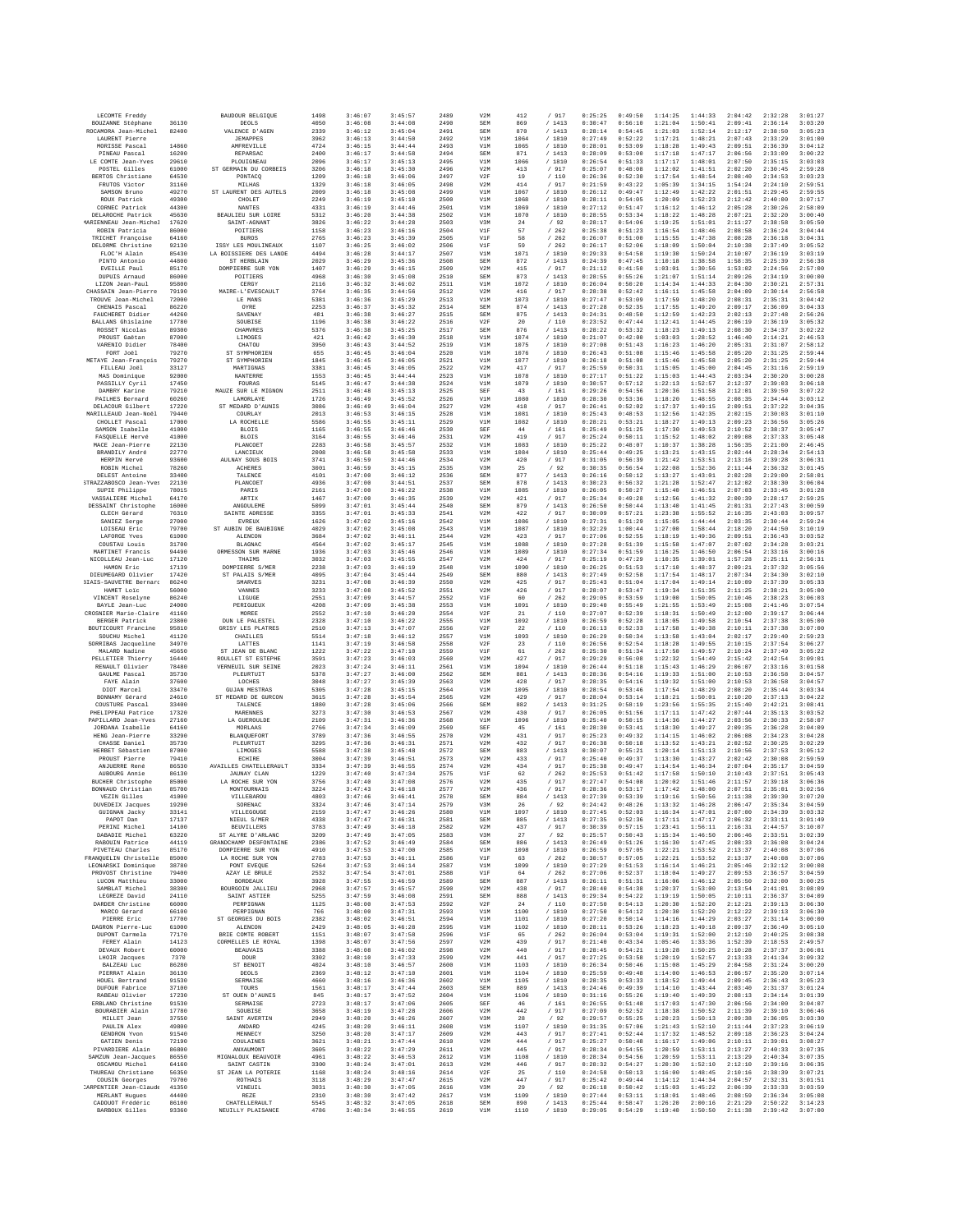| LECOMTE Freddy                                      |                | BAUDOUR BELGIOUE                        | 1498         | 3:46:07            | 3:45:57            | 2489         | V2M                      | 412          | / 917                      | 0:25:25            | 0:49:50            | 1:14:25            | 1:44:33            | 2:04:42            | 2:32:28            | 3:01:27            |
|-----------------------------------------------------|----------------|-----------------------------------------|--------------|--------------------|--------------------|--------------|--------------------------|--------------|----------------------------|--------------------|--------------------|--------------------|--------------------|--------------------|--------------------|--------------------|
| BOUZANNE Stéphane<br>ROCAMORA Jean-Michel           | 36130<br>82400 | DEOLS<br>VALENCE D'AGEN                 | 4050<br>2339 | 3:46:08<br>3:46:12 | 3:44:08<br>3:45:04 | 2490<br>2491 | SEM<br>SEM               | 869<br>870   | /1413<br>/1413             | 0:30:47<br>0:28:14 | 0:56:10<br>0:54:45 | 1:21:04<br>1:21:03 | 1:50:41<br>1:52:14 | 2:09:41<br>2:12:17 | 2:36:14<br>2:38:50 | 3:03:20<br>3:05:23 |
| LAURENT Pierre                                      |                | <b>JEMAPPES</b>                         | 3962         | 3:46:13            | 3:44:50            | 2492         | V1M                      | 1064         | / 1810                     | 0:27:49            | 0:52:22            | 1:17:21            | 1:48:21            | 2:07:43            | 2:33:29            | 3:01:00            |
| MORISSE Pascal                                      | 14860          | AMFREVILLE                              | 4724         | 3:46:15            | 3:44:44            | 2493         | V1M                      | 1065         | / 1810                     | 0:28:01            | 0:53:09            | 1:18:28            | 1:49:43            | 2:09:51            | 2:36:39            | 3:04:12            |
| PINEAU Pascal<br>LE COMTE Jean-Yves                 | 16200<br>29610 | REPARSAC<br>PLOUIGNEAU                  | 2400<br>2096 | 3:46:17<br>3:46:17 | 3:44:58<br>3:45:13 | 2494<br>2495 | SEM<br>V1M               | 871<br>1066  | /1413<br>/ 1810            | 0:28:09<br>0:26:54 | 0:53:00<br>0:51:33 | 1:17:18<br>1:17:17 | 1:47:17<br>1:48:01 | 2:06:56<br>2:07:50 | 2:33:09<br>2:35:15 | 3:00:22<br>3:03:03 |
| POSTEL Gilles                                       | 61000          | ST GERMAIN DU CORBEIS                   | 3206         | 3:46:18            | 3:45:30            | 2496         | V2M                      | 413          | / 917                      | 0:25:07            | 0:48:08            | 1:12:02            | 1:41:51            | 2:02:20            | 2:30:45            | 2:59:28            |
| BERTOS Christiane<br>FRUTOS Victor                  | 64530<br>31160 | PONTACO<br>MILHAS                       | 1209<br>1329 | 3:46:18<br>3:46:18 | 3:46:06<br>3:46:05 | 2497<br>2498 | V2F<br>V2M               | 19<br>414    | /110<br>/ 917              | 0:26:36<br>0:21:59 | 0:52:30<br>0:43:22 | 1:17:54<br>1:05:39 | 1:48:54<br>1:34:15 | 2:08:40<br>1:54:24 | 2:34:53<br>2:24:10 | 3:03:23<br>2:59:51 |
| SAMSON Bruno                                        | 49270          | ST LAURENT DES AUTELS                   | 2009         | 3:46:18            | 3:45:08            | 2499         | V1M                      | 1067         | / 1810                     | 0:26:12            | 0:49:47            | 1:12:49            | 1:42:22            | 2:01:51            | 2:29:45            | 2:59:55            |
| ROUX Patrick<br>CORNEC Patrick                      | 49300<br>44300 | CHOLET<br><b>NANTES</b>                 | 2249<br>4331 | 3:46:19<br>3:46:19 | 3:45:10<br>3:44:46 | 2500<br>2501 | V1M<br>V1M               | 1068<br>1069 | /1810<br>/ 1810            | 0:28:11<br>0:27:12 | 0:54:05<br>0:51:47 | 1:20:09<br>1:16:12 | 1:52:23<br>1:46:12 | 2:12:42<br>2:05:28 | 2:40:00<br>2:30:26 | 3:07:17<br>2:58:09 |
| DELAROCHE Patrick                                   | 45630          | BEAULIEU SUR LOIRE                      | 5312         | 3:46:20            | 3:44:38            | 2502         | V1M                      | 1070         | / 1810                     | 0:28:55            | 0:53:34            | 1:18:22            | 1:48:28            | 2:07:21            | 2:32:20            | 3:00:40            |
| (ARIENNEAU Jean-Miche)                              | 17620          | SAINT-AGNANT                            | 3826         | 3:46:22            | 3:44:28            | 2503         | V3M                      | 24           | /92                        | 0:28:17            | 0:54:06            | 1:19:25            | 1:51:01            | 2:11:27            | 2:38:58            | 3:05:50            |
| ROBIN Patricia<br>TRICHET Françoise                 | 86000<br>64160 | POITIERS<br><b>BUROS</b>                | 1158<br>2765 | 3:46:23<br>3:46:23 | 3:46:16<br>3:45:39 | 2504<br>2505 | V1F<br>V1F               | 57<br>58     | /262<br>262<br>7           | 0:25:38<br>0:26:07 | 0:51:23<br>0:51:00 | 1:16:54<br>1:15:55 | 1:48:46<br>1:47:38 | 2:08:58<br>2:08:28 | 2:36:24<br>2:36:18 | 3:04:44<br>3:04:31 |
| DELORME Christine                                   | 92130          | ISSY LES MOULINEAUX                     | 1107         | 3:46:25            | 3:46:02            | 2506         | V1F                      | 59           | /262                       | 0:26:17            | 0:52:06            | 1:18:09            | 1:50:04            | 2:10:38            | 2:37:49            | 3:05:52            |
| FLOC'H Alain<br>PINTO Antonio                       | 85430<br>44800 | LA BOISSIERE DES LANDE<br>ST HERBLAIN   | 4494<br>2029 | 3:46:28<br>3:46:29 | 3:44:17<br>3:45:36 | 2507<br>2508 | V1M<br><b>SEM</b>        | 1071<br>872  | / 1810<br>/1413            | 0:29:33<br>0:24:39 | 0:54:58<br>0:47:45 | 1:19:30<br>1:10:18 | 1:50:24<br>1:38:58 | 2:10:07<br>1:58:35 | 2:36:19<br>2:25:39 | 3:03:19<br>2:56:38 |
| EVEILLE Paul                                        | 85170          | DOMPIERRE SUR YOF                       | 1407         | 3:46:29            | 3:46:15            | 2509         | V2M                      | 415          | / 917                      | 0:21:12            | 0:41:50            | 1:03:01            | 1:30:56            | 1:53:02            | 2:24:56            | 2:57:00            |
| DUPUIS Arnaud                                       | 86000          | POITIERS                                | 4968         | 3:46:30            | 3:45:08            | 2510         | SEM                      | 873          | /1413                      | 0:28:55            | 0:55:26            | 1:21:07            | 1:51:14            | 2:09:26            | 2:34:19            | 3:00:00            |
| LIZON Jean-Paul<br>CHASSAIN Jean-Pierre             | 95800<br>79190 | CERGY<br>MAIRE-L'EVESCAULT              | 2116<br>3764 | 3:46:32<br>3:46:35 | 3:46:02<br>3:44:56 | 2511<br>2512 | V1M<br>V2M               | 1072<br>416  | / 1810<br>/ 917            | 0:26:04<br>0:28:38 | 0:50:20<br>0:52:42 | 1:14:34<br>1:16:11 | 1:44:33<br>1:45:58 | 2:04:30<br>2:04:09 | 2:30:21<br>2:30:14 | 2:57:31<br>2:56:58 |
| TROUVE Jean-Michel                                  | 72000          | LE MANS                                 | 5381         | 3:46:36            | 3:45:29            | 2513         | V1M                      | 1073         | / 1810                     | 0:27:47            | 0:53:09            | 1:17:59            | 1:48:20            | 2:08:31            | 2:35:31            | 3:04:42            |
| CHENAIS Pascal<br>FAUCHERET Didier                  | 86220<br>44260 | OYRE<br>SAVENAY                         | 2253<br>481  | 3:46:37<br>3:46:38 | 3:45:32<br>3:46:27 | 2514<br>2515 | <b>SEM</b><br><b>SEM</b> | 874<br>875   | /1413<br>/ 1413            | 0:27:28<br>0:24:31 | 0:52:35<br>0:48:50 | 1:17:55<br>1:12:59 | 1:49:20<br>1:42:23 | 2:09:17<br>2:02:13 | 2:36:09<br>2:27:48 | 3:04:33<br>2:56:26 |
| <b>BALLANS</b> Ghislaine                            | 17780          | SOUBISE                                 | 1196         | 3:46:38            | 3:46:22            | 2516         | V2F                      | 20           | /110                       | 0:23:52            | 0:47:44            | 1:12:41            | 1:44:45            | 2:06:19            | 2:36:19            | 3:05:32            |
| ROSSET Nicolas<br>PROUST Gaêtan                     | 89300<br>87000 | CHAMVRES<br>LIMOGES                     | 5376<br>421  | 3:46:38<br>3:46:42 | 3:45:25<br>3:46:30 | 2517<br>2518 | <b>SEM</b><br>V1M        | 876<br>1074  | /1413                      | 0:28:22<br>0:21:07 | 0:53:32<br>0:42:00 | 1:18:23<br>1:03:03 | 1:49:13<br>1:28:52 | 2:08:30<br>1:46:40 | 2:34:37<br>2:14:21 | 3:02:22<br>2:46:53 |
| VARENIO Didier                                      | 78400          | CHATOU                                  | 3950         | 3:46:43            | 3:44:52            | 2519         | V1M                      | 1075         | / 1810<br>/ 1810           | 0:27:08            | 0:51:43            | 1:16:23            | 1:46:20            | 2:05:31            | 2:31:07            | 2:58:12            |
| FORT Joël                                           | 79270          | ST SYMPHORIEN                           | 655          | 3:46:45            | 3:46:04            | 2520         | V1M                      | 1076         | / 1810                     | 0:26:43            | 0:51:08            | 1:15:46            | 1:45:58            | 2:05:20            | 2:31:25            | 2:59:44            |
| METAYE Jean-François<br>FILLEAU Joël                | 79270<br>33127 | ST SYMPHORIEN<br>MARTIGNAS              | 1845<br>3381 | 3:46:45<br>3:46:45 | 3:46:05<br>3:46:05 | 2521<br>2522 | V1M<br>V2M               | 1077<br>417  | / 1810<br>/ 917            | 0:26:18<br>0:25:59 | 0:51:08<br>0:50:31 | 1:15:46<br>1:15:05 | 1:45:58<br>1:45:00 | 2:05:20<br>2:04:45 | 2:31:25<br>2:31:16 | 2:59:44<br>2:59:19 |
| MAS Dominique                                       | 92000          | NANTERRE                                | 1553         | 3:46:45            | 3:44:44            | 2523         | V1M                      | 1078         | / 1810                     | 0:27:17            | 0:51:22            | 1:15:03            | 1:44:43            | 2:03:34            | 2:30:20            | 3:00:28            |
| PASSILLY Cyril<br>DAMBRY Karine                     | 17450<br>79210 | FOURAS<br>MAUZE SUR LE MIGNON           | 5145<br>2511 | 3:46:47<br>3:46:48 | 3:44:38<br>3:45:13 | 2524<br>2525 | V1M<br>SEF               | 1079<br>43   | / 1810<br>/161             | 0:30:57<br>0:29:26 | 0:57:12<br>0:54:56 | 1:22:13<br>1:20:36 | 1:52:57<br>1:51:58 | 2:12:37<br>2:12:01 | 2:39:03<br>2:39:50 | 3:06:18<br>3:07:22 |
| <b>PAILHES Bernard</b>                              | 60260          | LAMORLAYE                               | 1726         | 3:46:49            | 3:45:52            | 2526         | V1M                      | 1080         | / 1810                     | 0:28:30            | 0:53:36            | 1:18:20            | 1:48:55            | 2:08:35            | 2:34:44            | 3:03:12            |
| DELACOUR Gilbert                                    | 17220          | ST MEDARD D'AUNIS                       | 3086         | 3:46:49            | 3:46:04            | 2527         | V2M                      | 418          | / 917                      | 0:26:41            | 0:52:02            | 1:17:37            | 1:49:15            | 2:09:51            | 2:37:22            | 3:04:35            |
| MARILLEAUD Jean-Noël<br>CHOLLET Pascal              | 79440<br>17000 | COURLAY<br>LA ROCHELLE                  | 2013<br>5586 | 3:46:53<br>3:46:55 | 3:46:15<br>3:45:11 | 2528<br>2529 | V1M<br>V1M               | 1081<br>1082 | /1810<br>/ 1810            | 0:25:43<br>0:28:21 | 0:48:53<br>0:53:21 | 1:12:56<br>1:18:27 | 1:42:35<br>1:49:13 | 2:02:15<br>2:09:23 | 2:30:03<br>2:36:56 | 3:01:10<br>3:05:26 |
| SAMSON Isabelle                                     | 41000          | <b>BLOIS</b>                            | 1165         | 3:46:55            | 3:46:46            | 2530         | SEF                      | 44           | 161<br>7                   | 0:25:49            | 0:51:25            | 1:17:30            | 1:49:53            | 2:10:52            | 2:38:37            | 3:05:47            |
| FASQUELLE Hervé<br>MACE Jean-Pierre                 | 41000<br>22130 | <b>BLOIS</b><br>PLANCOET                | 3164<br>2283 | 3:46:55<br>3:46:58 | 3:46:46<br>3:45:57 | 2531<br>2532 | V2M<br>V1M               | 419<br>1083  | / 917<br>/1810             | 0:25:24<br>0:25:22 | 0:50:11<br>0:48:07 | 1:15:52<br>1:10:37 | 1:48:02<br>1:38:28 | 2:09:08<br>1:56:35 | 2:37:33<br>2:21:00 | 3:05:48<br>2:46:45 |
| BRANDILY André                                      | 22770          | LANCIEUX                                | 2008         | 3:46:58            | 3:45:58            | 2533         | V1M                      | 1084         | / 1810                     | 0:25:44            | 0:49:25            | 1:13:21            | 1:43:15            | 2:02:44            | 2:28:34            | 2:54:13            |
| HERPIN Hervé                                        | 93600          | AULNAY SOUS BOIS                        | 3741         | 3:46:59            | 3:44:46            | 2534         | V2M                      | 420<br>25    | / 917                      | 0:31:05            | 0:56:39            | 1:21:42            | 1:53:51            | 2:13:16            | 2:39:28            | 3:06:31            |
| ROBIN Michel<br>DELEST Antoine                      | 78260<br>33400 | ACHERES<br>TALENCE                      | 3001<br>4101 | 3:46:59<br>3:47:00 | 3:45:15<br>3:46:12 | 2535<br>2536 | V3M<br><b>SEM</b>        | 877          | /92<br>/1413               | 0:30:35<br>0:26:16 | 0:56:54<br>0:50:12 | 1:22:08<br>1:13:27 | 1:52:36<br>1:43:01 | 2:11:44<br>2:02:28 | 2:36:32<br>2:29:00 | 3:01:45<br>2:58:01 |
| STRAZZABOSCO Jean-Yves                              | 22130          | PLANCOET                                | 4936         | 3:47:00            | 3:44:51            | 2537         | SEM                      | 878          | /1413                      | 0:30:23            | 0:56:32            | 1:21:28            | 1:52:47            | 2:12:02            | 2:38:30            | 3:06:04            |
| SUPIE Philippe<br>VASSALIERE Michel                 | 78015<br>64170 | PARIS<br>ARTIX                          | 2161<br>1467 | 3:47:00<br>3:47:00 | 3:46:22<br>3:46:35 | 2538<br>2539 | V1M<br>V2M               | 1085<br>421  | / 1810<br>/917             | 0:26:05<br>0:25:34 | 0:50:27<br>0:49:28 | 1:15:40<br>1:12:56 | 1:46:51<br>1:41:32 | 2:07:03<br>2:00:39 | 2:33:45<br>2:28:17 | 3:01:28<br>2:59:25 |
| DESSAINT Christophe                                 | 16000          | <b>ANGOULEME</b>                        | 5099         | 3:47:01            | 3:45:44            | 2540         | SEM                      | 879          | /1413                      | 0:26:50            | 0:50:44            | 1:13:40            | 1:41:45            | 2:01:31            | 2:27:43            | 3:00:59            |
| CLECH Gérard<br>SANIEZ Serge                        | 76310<br>27000 | SAINTE ADRESSE                          | 3355         | 3:47:01<br>3:47:02 | 3:45:33            | 2541<br>2542 | V2M<br>V1M               | 422          | 917<br>7                   | 0:30:05<br>0:27:31 | 0:57:21<br>0:51:29 | 1:23:38            | 1:55:52            | 2:16:35            | 2:43:03            | 3:09:57<br>2:59:24 |
| LOISEAU Eric                                        | 79700          | EVREUX<br>ST AURIN DE BAURIGNE          | 1626<br>4029 | 3:47:02            | 3:45:16<br>3:45:08 | 2543         | V1M                      | 1086<br>1087 | / 1810<br>/ 1810           | 0:32:29            | 1:00:44            | 1:15:05<br>1:27:00 | 1:44:44<br>1:58:44 | 2:03:35<br>2:18:20 | 2:30:44<br>2:44:50 | 3:10:19            |
| LAFORGE Yves                                        | 61000          | ALENCON                                 | 3684         | 3:47:02            | 3:46:11            | 2544         | V2M                      | 423          | / 917                      | 0:27:06            | 0:52:55            | 1:18:19            | 1:49:36            | 2:09:51            | 2:36:43            | 3:03:52            |
| COUSTAU Louis<br>MARTINET Francis                   | 31700<br>94490 | <b>BLAGNAC</b><br>ORMESSON SUR MARNE    | 4564<br>1936 | 3:47:02<br>3:47:03 | 3:45:17<br>3:45:46 | 2545<br>2546 | V1M<br>V1M               | 1088<br>1089 | / 1810<br>/ 1810           | 0:27:28<br>0:27:34 | 0:51:39<br>0:51:59 | 1:15:58<br>1:16:25 | 1:47:07<br>1:46:50 | 2:07:02<br>2:06:54 | 2:34:28<br>2:33:16 | 3:03:21<br>3:00:16 |
| NICOLLEAU Jean-Luc                                  | 17120          | THAIMS                                  | 3032         | 3:47:03            | 3:45:55            | 2547         | V2M                      | 424          | / 917                      | 0:25:19            | 0:47:29            | 1:10:35            | 1:39:01            | 1:57:28            | 2:25:11            | 2:56:31            |
| HAMON Eric                                          | 17139          | DOMPIERRE S/MER                         | 2238         | 3:47:03<br>3:47:04 | 3:46:19            | 2548         | V1M                      | 1090<br>880  | / 1810<br>/1413            | 0:26:25<br>0:27:49 | 0:51:53            | 1:17:10            | 1:48:37            | 2:09:21            | 2:37:32            | 3:05:56<br>3:02:10 |
| DIEUMEGARD Olivier<br><b>BIAIS-SAUVETRE Bernard</b> | 17420<br>86240 | ST PALAIS S/MER<br>SMARVES              | 4095<br>3231 | 3:47:08            | 3:45:44<br>3:46:39 | 2549<br>2550 | SEM<br>V2M               | 425          | / 917                      | 0:25:43            | 0:52:58<br>0:51:04 | 1:17:54<br>1:17:04 | 1:48:17<br>1:49:14 | 2:07:34<br>2:10:09 | 2:34:30<br>2:37:39 | 3:05:33            |
| HAMET Loic                                          | 56000          | VANNES                                  | 3233         | 3:47:08            | 3:45:52            | 2551         | V2M                      | 426          | / 917                      | 0:28:07            | 0:53:47            | 1:19:34            | 1:51:35            | 2:11:25            | 2:38:21            | 3:05:00            |
| VINCENT Roselyne<br>BAYLE Jean-Luc                  | 86240<br>24000 | LIGUGE<br>PERIGUEUX                     | 2551<br>4208 | 3:47:09<br>3:47:09 | 3:44:57<br>3:45:38 | 2552<br>2553 | V1F<br>V1M               | 60<br>1091   | /262<br>/1810              | 0:29:05<br>0:29:40 | 0:53:59<br>0:55:49 | 1:19:00<br>1:21:55 | 1:50:05<br>1:53:49 | 2:10:46<br>2:15:08 | 2:38:23<br>2:41:46 | 3:06:03<br>3:07:54 |
| CROSNIER Marie-Claire                               | 41160          | MOREE                                   | 2552         | 3:47:10            | 3:46:20            | 2554         | V2F                      | 21           | $/$ 110                    | 0:27:07            | 0:52:39            | 1:18:31            | 1:50:49            | 2:12:00            | 2:39:17            | 3:06:44            |
| BERGER Patrick<br>BOUTICOURT Francine               | 23800<br>95810 | DUN LE PALESTEL<br>GRISY LES PLATRES    | 2328<br>2510 | 3:47:10<br>3:47:13 | 3:46:22<br>3:47:07 | 2555<br>2556 | V1M<br>V2F               | 1092<br>22   | / 1810<br>/ 110            | 0:26:59<br>0:26:13 | 0:52:28<br>0:52:33 | 1:18:05<br>1:17:58 | 1:49:58<br>1:49:38 | 2:10:54<br>2:10:11 | 2:37:38<br>2:37:38 | 3:05:00<br>3:07:00 |
| SOUCHU Michel                                       | 41120          | CHAILLES                                | 5514         | 3:47:18            | 3:46:12            | 2557         | V1M                      | 1093         | /1810                      | 0:26:29            | 0:50:34            | 1:13:58            | 1:43:04            | 2:02:17            | 2:29:40            | 2:59:23            |
| SORRIBAS Jacqueline                                 | 34970          | LATTES                                  | 1141         | 3:47:19            | 3:46:58            | 2558         | V2F                      | 23           | /110                       | 0:26:56            | 0:52:54            | 1:18:28            | 1:49:55            | 2:10:15            | 2:37:54            | 3:06:27            |
| MALARD Nadine<br>PELLETIER Thierry                  | 45650<br>16440 | ST JEAN DE BLANC<br>ROULLET ST ESTEPHE  | 1222<br>3591 | 3:47:22<br>3:47:23 | 3:47:10<br>3:46:03 | 2559<br>2560 | V1F<br>V2M               | 61<br>427    | /262<br>/ 917              | 0:25:30<br>0:29:29 | 0:51:34<br>0:56:08 | 1:17:50<br>1:22:32 | 1:49:57<br>1:54:49 | 2:10:24<br>2:15:42 | 2:37:49<br>2:42:54 | 3:05:22<br>3:09:01 |
| RENAULT Olivier                                     | 78480          | VERNEUIL SUR SEINE                      | 2023         | 3:47:24            | 3:46:11            | 2561         | V1M                      | 1094         | / 1810                     | 0:26:44            | 0:51:18            | 1:15:43            | 1:46:29            | 2:06:07            | 2:33:16            | 3:01:58            |
| GAULME Pascal<br>FAYE Alain                         | 35730<br>37600 | PLEURTUIT<br>LOCHES                     | 5378<br>3048 | 3:47:27<br>3:47:27 | 3:46:00<br>3:45:39 | 2562<br>2563 | SEM<br>V2M               | 881<br>428   | /1413<br>/ 917             | 0:28:36<br>0:28:35 | 0:54:16<br>0:54:16 | 1:19:33<br>1:19:32 | 1:51:00<br>1:51:00 | 2:10:53<br>2:10:53 | 2:36:58<br>2:36:58 | 3:04:57<br>3:04:57 |
| DIOT Marcel                                         | 33470          | <b>GUJAN MESTRAS</b>                    | 5305         | 3:47:28            | 3:45:15            | 2564         | V1M                      | 1095         | /1810                      | 0:28:54            | 0:53:46            | 1:17:54            | 1:48:29            | 2:08:20            | 2:35:44            | 3:03:34            |
| BONNAMY Gérard<br>COUSTURE Pascal                   | 24610<br>33400 | ST MEDARD DE GURCON<br>TALENCE          | 3615<br>1880 | 3:47:28<br>3:47:28 | 3:45:54<br>3:45:06 | 2565<br>2566 | V2M<br>SEM               | 429<br>882   | / 917<br>/1413             | 0:28:04<br>0:31:25 | 0:53:14<br>0:58:19 | 1:18:21<br>1:23:56 | 1:50:01<br>1:55:35 | 2:10:20<br>2:15:40 | 2:37:13<br>2:42:21 | 3:04:22<br>3:08:41 |
| PHELIPPEAU Patrice                                  | 17320          | MARENNES                                | 3273         | 3:47:30            | 3:46:53            | 2567         | V2M                      | 430          | / 917                      | 0:26:05            | 0:51:56            | 1:17:11            | 1:47:42            | 2:07:44            | 2:35:13            | 3:03:52            |
| PAPILLARD Jean-Yves                                 | 27160          | LA GUEROULDE                            | 2109         | 3:47:31            | 3:46:36            | 2568         | V1M                      | 1096         | /1810                      | 0:25:40            | 0:50:15            | 1:14:36            | 1:44:27            | 2:03:56            | 2:30:33            | 2:58:07            |
| JORDANA Isabelle<br>HENG Jean-Pierre                | 64160<br>33290 | MORLAAS<br>BLANOUEFORT                  | 2766<br>3789 | 3:47:34<br>3:47:36 | 3:46:09<br>3:46:55 | 2569<br>2570 | SEF<br>V2M               | 45<br>431    | /161<br>/ 917              | 0:28:30<br>0:25:23 | 0:53:41<br>0:49:32 | 1:18:30<br>1:14:15 | 1:49:27<br>1:46:02 | 2:09:35<br>2:06:08 | 2:36:28<br>2:34:23 | 3:04:09<br>3:04:28 |
| CHASSE Daniel                                       | 35730          | PLEURTUIT                               | 3295         | 3:47:36            | 3:46:31            | 2571         | V2M                      | 432          | / 917                      | 0:26:38            | 0:50:18            | 1:13:52            | 1:43:21            | 2:02:52            | 2:30:25            | 3:02:29            |
| HERBET Sébastien<br>PROUST Pierre                   | 87000<br>79410 | LIMOGES<br>ECHIRE                       | 5588<br>3004 | 3:47:38<br>3:47:39 | 3:45:48<br>3:46:51 | 2572<br>2573 | SEM<br>V2M               | 883<br>433   | /1413<br>/ 917             | 0:30:07<br>0:25:40 | 0:55:21<br>0:49:37 | 1:20:14<br>1:13:30 | 1:51:13<br>1:43:27 | 2:10:56<br>2:02:42 | 2:37:53<br>2:30:08 | 3:05:12<br>2:59:59 |
| ANJUERRE René                                       | 86530          | <b>AVAILLES CHATELLERAULT</b>           | 3334         | 3:47:39            | 3:46:55            | 2574         | V2M                      | 434          | / 917                      | 0:25:38            | 0:49:47            | 1:14:54            | 1:46:34            | 2:07:04            | 2:35:17            | 3:04:59            |
| AUBOURG Annie                                       | 86130          | <b>JAUNAY CLAN</b>                      | 1229<br>3756 | 3:47:40            | 3:47:34            | 2575         | VIF                      | 62<br>435    | /262<br>917                | 0:25:53<br>0:27:47 | 0:51:42<br>0:54:08 | 1:17:58<br>1:20:02 | 1:50:10<br>1:51:46 | 2:10:43<br>2:11:57 | 2:37:51<br>2:39:18 | 3:05:43<br>3:06:36 |
| <b>BUCHER</b> Christophe<br>BONNAUD Christian       | 85000<br>85700 | LA ROCHE SUR YON<br><b>MONTOURNAIS</b>  | 3224         | 3:47:40<br>3:47:43 | 3:47:08<br>3:46:18 | 2576<br>2577 | V2M<br>V2M               | 436          | 7<br>$\overline{1}$<br>917 | 0:28:36            | 0:53:17            | 1:17:42            | 1:48:00            | 2:07:51            | 2:35:01            | 3:02:56            |
| VEZIN Gilles                                        | 41000          | VILLEBAROU                              | 4803         | 3:47:46            | 3:46:41            | 2578         | SEM                      | 884          | /1413                      | 0:27:39            | 0:53:39            | 1:19:16            | 1:50:56            | 2:11:38            | 2:39:30            | 3:07:20            |
| DUVEDEIX Jacques<br>GUIGNAN Jacky                   | 19290<br>33141 | SORENAC<br>VILLEGOUGE                   | 3324<br>2159 | 3:47:46<br>3:47:47 | 3:47:14<br>3:46:26 | 2579<br>2580 | V3M<br>V1M               | 26<br>1097   | 92<br>/ 1810               | 0:24:42<br>0:27:45 | 0:48:26<br>0:52:03 | 1:13:32<br>1:16:34 | 1:46:28<br>1:47:01 | 2:06:47<br>2:07:00 | 2:35:34<br>2:34:39 | 3:04:59<br>3:03:32 |
| PAPOT Dan                                           | 17137          | NIEUL S/MER                             | 4338         | 3:47:47            | 3:46:31            | 2581         | SEM                      | 885          | /1413                      | 0:27:35            | 0:52:36            | 1:17:11            | 1:47:17            | 2:06:32            | 2:33:11            | 3:01:49            |
| PERINI Michel<br>DABADIE Michel                     | 14100<br>63220 | <b>BRINTLLRRS</b><br>ST ALYRE D'ARLANC  | 3783<br>3209 | 3:47:49<br>3:47:49 | 3:46:18<br>3:47:05 | 2582<br>2583 | V2M<br>V3M               | 437<br>27    | / 917<br>/92               | 0:30:39<br>0:25:57 | 0:57:15<br>0:50:43 | 1:23:41<br>1:15:34 | 1:56:11<br>1:46:50 | 2:16:31<br>2:06:46 | 2:44:57<br>2:33:51 | 3:10:07<br>3:02:39 |
| RABOUIN Patrice                                     | 44119          | GRANDCHAMP DESFONTAINE                  | 2386         | 3:47:52            | 3:46:49            | 2584         | SEM                      | 886          | /1413                      | 0:26:49            | 0:51:26            | 1:16:30            | 1:47:45            | 2:08:33            | 2:36:08            | 3:04:24            |
| PIVETEAU Charles                                    | 85170          | DOMPIERRE SUR YON                       | 4910         | 3:47:53            | 3:47:00            | 2585         | V1M                      | 1098         | / 1810                     | 0:26:59            | 0:57:05            | 1:22:21            | 1:53:52            | 2:13:37            | 2:40:08            | 3:07:06            |
| FRANQUELIN Christelle<br>LEONARSKI Dominique        | 85000<br>38780 | LA ROCHE SUR YON<br>PONT EVEQUE         | 2783<br>5264 | 3:47:53<br>3:47:53 | 3:46:11<br>3:46:14 | 2586<br>2587 | V1F<br>V1M               | 63<br>1099   | /262<br>/ 1810             | 0:30:57<br>0:27:29 | 0:57:05<br>0:51:53 | 1:22:21<br>1:16:14 | 1:53:52<br>1:46:21 | 2:13:37<br>2:05:46 | 2:40:08<br>2:32:12 | 3:07:06<br>3:00:08 |
| PROVOST Christine                                   | 79400          | AZAY LE BRULE                           | 2532         | 3:47:54            | 3:47:01            | 2588         | V1F                      | 64           | /262                       | 0:27:06            | 0:52:37            | 1:18:04            | 1:49:27            | 2:09:53            | 2:36:57            | 3:04:59            |
| LUCON Matthieu<br>SAMBLAT Michel                    | 33000<br>38300 | <b>BORDEAUX</b><br>BOURGOIN JALLIEU     | 3928<br>2968 | 3:47:55<br>3:47:57 | 3:46:59<br>3:45:57 | 2589<br>2590 | SEM<br>V2M               | 887<br>438   | /1413<br>/ 917             | 0:26:11<br>0:28:40 | 0:51:31<br>0:54:38 | 1:16:06<br>1:20:37 | 1:46:12<br>1:53:00 | 2:05:50<br>2:13:54 | 2:32:00<br>2:41:01 | 3:00:25<br>3:08:09 |
| LEGREZE David                                       | 24110          | SAINT ASTIER                            | 5255         | 3:47:59            | 3:46:08            | 2591         | SEM                      | 888          | /1413                      | 0:29:34            | 0:54:22            | 1:19:19            | 1:50:05            | 2:10:11            | 2:36:37            | 3:04:09            |
| DARDER Christine<br>MARCO Gérard                    | 66000<br>66100 | PERPIGNAN<br>PERPIGNAN                  | 1125<br>766  | 3:48:00<br>3:48:00 | 3:47:53<br>3:47:31 | 2592<br>2593 | V2F<br>V1M               | 24<br>1100   | / 110                      | 0:27:50<br>0:27:50 | 0:54:13<br>0:54:12 | 1:20:30<br>1:20:30 | 1:52:20<br>1:52:20 | 2:12:21<br>2:12:22 | 2:39:13<br>2:39:13 | 3:06:30<br>3:06:30 |
| PIERRE Eric                                         | 17700          | ST GEORGES DU BOIS                      | 2382         | 3:48:02            | 3:46:51            | 2594         | V1M                      | 1101         | / 1810<br>/ 1810           | 0:27:20            | 0:50:14            | 1:14:16            | 1:44:29            | 2:03:27            | 2:31:14            | 3:00:00            |
| DAGRON Pierre-Luc                                   | 61000          | ALENCON                                 | 2429         | 3:48:05            | 3:46:28            | 2595         | V1M                      | 1102         | / 1810                     | 0:28:11            | 0:53:26            | 1:18:23            | 1:49:18            | 2:09:37            | 2:36:49            | 3:05:10            |
| DUPONT Carmela<br>FEREY Alain                       | 77170<br>14123 | BRIE COMTE ROBERT<br>CORMELLES LE ROYAL | 1151<br>1398 | 3:48:07<br>3:48:07 | 3:47:58<br>3:47:56 | 2596<br>2597 | V1F<br>V2M               | 65<br>439    | /262<br>/ 917              | 0:26:04<br>0:21:40 | 0:53:04<br>0:43:34 | 1:19:31<br>1:05:46 | 1:52:00<br>1:33:36 | 2:12:10<br>1:52:39 | 2:40:25<br>2:18:53 | 3:08:38<br>2:49:57 |
| DEVAUX Robert                                       | 60000          | <b>BEAUVAIS</b>                         | 3388         | 3:48:08            | 3:46:02            | 2598         | V2M                      | 440          | / 917                      | 0:28:45            | 0:54:21            | 1:19:28            | 1:50:25            | 2:10:28            | 2:37:37            | 3:06:01            |
| LHOIR Jacques<br>BALZEAH Luc                        | 7370<br>86280  | <b>DOUR</b><br>ST BENOIT                | 3302<br>4024 | 3:48:10<br>3:48:10 | 3:47:33<br>3:46:57 | 2599<br>2600 | V2M<br>V1M               | 441<br>1103  | / 917<br>/ 1810            | 0:27:25<br>0:26:34 | 0:53:58<br>0:50:46 | 1:20:19<br>1:15:08 | 1:52:57<br>1:45:29 | 2:13:33<br>2:04:58 | 2:41:34<br>2:31:24 | 3:09:32<br>3:00:20 |
| PIERRAT Alain                                       |                | DEOLS                                   | 2369         | 3:48:12            | 3:47:10            | 2601         | V1M                      | 1104         | / 1810                     | 0:25:59            | 0:49:48            | 1:14:00            | 1:46:53            | 2:06:57            | 2:35:20            | 3:07:14            |
| HOUEL Bertrand                                      | 36130          |                                         | 4660         | 3:48:16            | 3:46:36            | 2602         | V1M                      | 1105         | / 1810                     | 0:28:35            | 0:53:33            | 1:18:52            | 1:49:44            | 2:09:45            | 2:36:43            | 3:05:23            |
|                                                     | 91530          | SERMAISE                                |              |                    |                    |              |                          | 889          | /1413                      | 0:24:46            | 0:49:39            | 1:14:10            | 1:43:44            |                    |                    |                    |
| DUFOUR Fabrice<br>RABEAU Olivier                    | 37100<br>17230 | TOURS<br>ST OUEN D'AUNIS                | 1561         | 3:48:17            | 3:47:44            | 2603         | SEM                      |              |                            | 0:31:16            |                    | 1:19:40            |                    | 2:03:40<br>2:08:13 | 2:31:37<br>2:34:14 | 3:01:24<br>3:01:39 |
| ERBLAND Christine                                   | 91530          | SERMAISE                                | 845<br>2723  | 3:48:17<br>3:48:17 | 3:47:52<br>3:47:06 | 2604<br>2605 | V1M<br>SEF               | 1106<br>46   | / 1810<br>/161             | 0:26:55            | 0:55:26<br>0:51:48 | 1:17:03            | 1:49:39<br>1:47:30 | 2:06:56            | 2:34:00            | 3:04:07            |
| BOURABIER Alain                                     | 17780          | SOUBISE                                 | 3658         | 3:48:19            | 3:47:28            | 2606         | V2M                      | 442          | / 917                      | 0:27:09            | 0:52:52            | 1:18:38            | 1:50:52            | 2:11:39            | 2:39:10            | 3:06:46            |
| MILLET Jean<br>PAULIN Alex                          | 37550<br>49800 | SAINT AVERTIN<br>ANDARD                 | 2949<br>4245 | 3:48:20<br>3:48:20 | 3:46:26<br>3:46:11 | 2607<br>2608 | V3M<br>V1M               | 28<br>1107   | /92<br>/ 1810              | 0:29:57<br>0:31:35 | 0:55:25<br>0:57:06 | 1:20:23<br>1:21:43 | 1:50:13<br>1:52:10 | 2:09:38<br>2:11:44 | 2:36:05<br>2:37:23 | 3:03:30<br>3:06:19 |
| GENDRON Yvon                                        | 91540          | MENNECY                                 | 3250         | 3:48:20            | 3:47:17            | 2609         | V2M                      | 443          | / 917                      | 0:27:41            | 0:52:44            | 1:17:32            | 1:48:52            | 2:09:18            | 2:36:23            | 3:04:24            |
| GATIEN Denis<br>PIVARDIERE Alain                    | 72190<br>86800 | COULAINES<br>ANXAUMONT                  | 3621<br>3605 | 3:48:21<br>3:48:22 | 3:47:44<br>3:47:29 | 2610<br>2611 | V2M<br>V2M               | 444<br>445   | / 917<br>/ 917             | 0:25:27<br>0:28:34 | 0:50:48<br>0:54:55 | 1:16:17<br>1:20:59 | 1:49:06<br>1:53:11 | 2:10:11<br>2:13:27 | 2:39:01<br>2:40:33 | 3:08:27<br>3:07:35 |
| SAMZUN Jean-Jacques                                 | 86550          | MIGNALOUX BEAUVOIR                      | 4961         | 3:48:22            | 3:46:53            | 2612         | V1M                      | 1108         | / 1810                     | 0:28:34            | 0:54:56            | 1:20:59            | 1:53:11            | 2:13:29            | 2:40:34            | 3:07:35            |
| OSCAMOU Michel                                      | 64160          | SAINT CASTIN                            | 3300         | 3:48:24            | 3:47:01            | 2613         | V2M                      | 446          | / 917                      | 0:28:32            | 0:54:27            | 1:20:30            | 1:52:10            | 2:12:10            | 2:39:16            | 3:06:35            |
| THUREAU Christiane<br>COUSIN Georges                | 56350<br>79700 | ST JEAN LA POTERIE<br>ROTHAIS           | 1168<br>3118 | 3:48:24<br>3:48:29 | 3:48:16<br>3:47:47 | 2614<br>2615 | V2F<br>V2M               | 25<br>447    | /110<br>/ 917              | 0:24:58<br>0:25:42 | 0:50:13<br>0:49:44 | 1:16:00<br>1:14:12 | 1:48:45<br>1:44:34 | 2:10:16<br>2:04:57 | 2:38:39<br>2:32:31 | 3:07:21<br>3:01:51 |
| CARPENTIER Jean-Claude                              | 41350          | VINEUIL                                 | 3031         | 3:48:30            | 3:47:05            | 2616         | V3M                      | 29           | /92                        | 0:26:18            | 0:50:42            | 1:15:03            | 1:45:22            | 2:06:39            | 2:33:33            | 3:03:59            |
| MERLANT Hugues<br>CADOUOT Frédéric                  | 44400<br>86100 | REZE<br>CHATELLERAULT                   | 2310<br>5545 | 3:48:30<br>3:48:32 | 3:47:42<br>3:47:05 | 2617<br>2618 | V1M<br>SEM               | 1109<br>890  | / 1810<br>/1413            | 0:27:44<br>0:25:44 | 0:53:11<br>0:58:47 | 1:18:01<br>1:26:20 | 1:48:46<br>2:00:16 | 2:08:59<br>2:21:29 | 2:36:34<br>2:50:22 | 3:05:08<br>3:14:23 |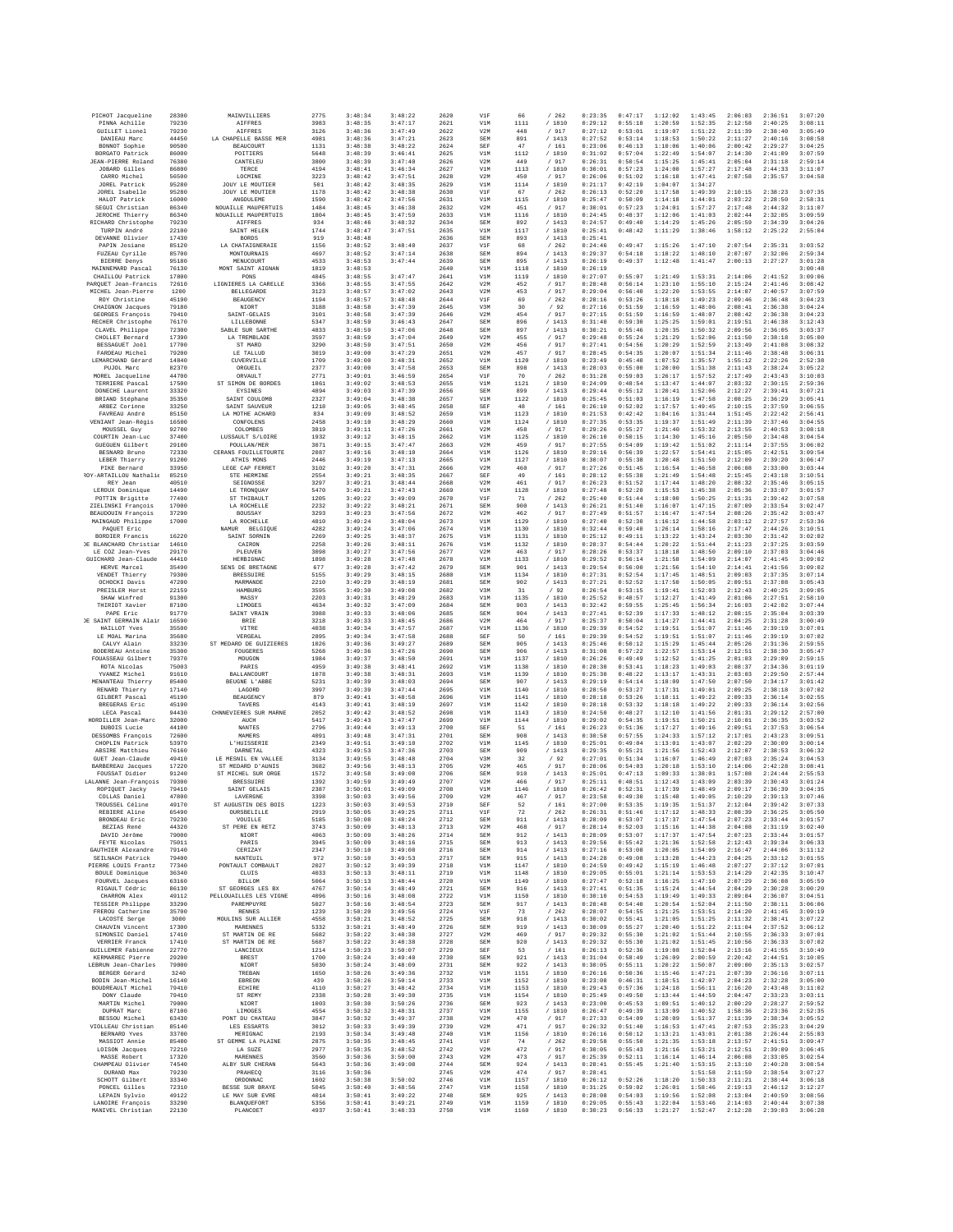| PICHOT Jacqueline                       | 28300          | MAINVILLIERS                      | 2775         | 3:48:34            | 3:48:22            | 2620         | V1F        | 66           | /262                                                   | 0:23:35            | 0:47:17            | 1:12:02            | 1:43:45            | 2:06:03            | 2:36:51            | 3:07:20            |
|-----------------------------------------|----------------|-----------------------------------|--------------|--------------------|--------------------|--------------|------------|--------------|--------------------------------------------------------|--------------------|--------------------|--------------------|--------------------|--------------------|--------------------|--------------------|
|                                         | 79230          | <b>AIFFRES</b>                    | 3983         | 3:48:35            | 3:47:17            | 2621         | V1M        | 1111         | / 1810                                                 | 0:29:12            | 0:55:18            | 1:20:59            | 1:52:35            | 2:12:58            | 2:40:25            | 3:08:11            |
| PINNA Achille<br>GUILLET Lionel         | 79230          | <b>AIFFRES</b>                    | 3126         | 3:48:36            | 3:47:49            | 2622         | V2M        | 448          | /917                                                   | 0:27:12            | 0:53:01            | 1:19:07            | 1:51:22            | 2:11:39            | 2:38:40            | 3:05:49            |
| DANIEAU Marc                            | 44450          | LA CHAPELLE BASSE MER             | 4981         | 3:48:36            | 3:47:21            | 2623         | SEM        | 891          | /1413                                                  | 0:27:52            | 0:53:14            | 1:18:53            | 1:50:22            | 2:11:27            | 2:40:16            | 3:08:58            |
| BONNOT Sophie                           | 90500          | BEAUCOURT                         | 1131         | 3:48:38            | 3:48:22            | 2624         | SEF        | 47           | /161                                                   | 0:23:06            | 0:46:13            | 1:10:06            | 1:40:06            | 2:00:42            | 2:29:27            | 3:04:25            |
| BORGATO Patrick                         | 86000          | POITIERS                          | 5648         | 3:48:39            | 3:46:41            | 2625         | V1M        | 1112         | /1810                                                  | 0:31:02            | 0:57:04            | 1:22:49            | 1:54:07            | 2:14:30            | 2:41:09            | 3:07:59            |
| <b>JEAN-PIERRE Roland</b>               | 76380          | CANTELEU                          | 3800         | 3:48:39            | 3:47:40            | 2626         | V2M        | 449          | / 917                                                  | 0:26:31            | 0:50:54            | 1:15:25            | 1:45:41            | 2:05:04            | 2:31:18            | 2:59:14            |
| JOBARD Gilles                           | 86800          | TERCE                             | 4194         | 3:48:41            | 3:46:34            | 2627         | V1M        | 1113         | / 1810                                                 | 0:30:01            | 0:57:23            | 1:24:00            | 1:57:27            | 2:17:48            | 2:44:33            | 3:11:07            |
| CARRO Michel<br>JOREL Patrick           | 56500<br>95280 | LOCMINE<br><b>JOUY LE MOUTIER</b> | 3223<br>501  | 3:48:42<br>3:48:42 | 3:47:51<br>3:48:35 | 2628<br>2629 | V2M<br>V1M | 450<br>1114  | / 917<br>/1810                                         | 0:26:06<br>0:21:17 | 0:51:02<br>0:42:19 | 1:16:18<br>1:04:07 | 1:47:41<br>1:34:27 | 2:07:58            | 2:35:57            | 3:04:58            |
| JOREL Isabelle                          | 95280          | <b>JOUY LE MOUTIER</b>            | 1178         | 3:48:42            | 3:48:38            | 2630         | V1F        | 67           | /262                                                   | 0:26:13            | 0:52:20            | 1:17:58            | 1:49:39            | 2:10:15            | 2:38:23            | 3:07:35            |
| HALOT Patrick                           | 16000          | ANGOULEME                         | 1590         | 3:48:42            | 3:47:56            | 2631         | V1M        | 1115         | / 1810                                                 | 0:25:47            | 0:50:09            | 1:14:18            | 1:44:01            | 2:03:22            | 2:28:50            | 2:58:31            |
| SEGUI Christian                         | 86340          | NOUAILLE MAUPERTUIS               | 1484         | 3:48:45            | 3:46:38            | 2632         | V2M        | 451          | / 917                                                  | 0:30:01            | 0:57:23            | 1:24:01            | 1:57:27            | 2:17:48            | 2:44:32            | 3:11:07            |
| <b>JEROCHE Thierry</b>                  | 86340          | NOUAILLE MAUPERTUIS               | 1804         | 3:48:45            | 3:47:59            | 2633         | V1M        | 1116         | /1810                                                  | 0:24:45            | 0:48:37            | 1:12:06            | 1:41:03            | 2:02:44            | 2:32:05            | 3:09:59            |
| RICHARD Christophe                      | 79230          | <b>AIFFRES</b>                    | 934          | 3:48:46            | 3:48:32            | 2634         | SEM        | 892          | /1413                                                  | 0:24:57            | 0:49:40            | 1:14:29            | 1:45:26            | 2:05:59            | 2:34:39            | 3:04:26            |
| TURPIN André<br>DEVANNE Olivier         | 22100<br>17430 | SAINT HELEN<br><b>BORDS</b>       | 1744<br>919  | 3:48:47<br>3:48:48 | 3:47:51            | 2635<br>2636 | V1M<br>SEM | 1117<br>893  | / 1810<br>/1413                                        | 0:25:41<br>0:25:41 | 0:48:42            | 1:11:29            | 1:38:46            | 1:58:12            | 2:25:22            | 2:55:04            |
| PAPIN Josiane                           | 85120          | LA CHATAIGNERAIE                  | 1156         | 3:48:52            | 3:48:40            | 2637         | V1F        | 68           | / 262                                                  | 0:24:46            | 0:49:47            | 1:15:26            | 1:47:10            | 2:07:54            | 2:35:31            | 3:03:52            |
| FUZEAU Cyrille                          | 85700          | <b>MONTOURNAIS</b>                | 4697         | 3:48:52            | 3:47:14            | 2638         | SEM        | 894          | /1413                                                  | 0:29:37            | 0:54:18            | 1:18:22            | 1:48:10            | 2:07:07            | 2:32:06            | 2:59:34            |
| BIERRE Denys                            | 95180          | MENUCOURT                         | 4533         | 3:48:53            | 3:47:44            | 2639         | SEM        | 895          | /1413                                                  | 0:26:19            | 0:49:37            | 1:12:48            | 1:41:47            | 2:00:13            | 2:27:27            | 3:01:28            |
| MAINNEMARD Pascal<br>CHAILLOU Patrick   | 76130<br>17800 | MONT SAINT AIGNAN<br>PONS         | 1819<br>4045 | 3:48:53<br>3:48:55 | 3:47:47            | 2640<br>2641 | V1M<br>V1M | 1118<br>1119 | /1810<br>/ 1810                                        | 0:26:19<br>0:27:07 | 0:55:07            | 1:21:49            | 1:53:31            | 2:14:06            | 2:41:52            | 3:00:48<br>3:09:06 |
| PARQUET Jean-Francis                    | 72610          | LIGNIERES LA CARELLE              | 3366         | 3:48:55            | 3:47:55            | 2642         | V2M        | 452          | / 917                                                  | 0:28:48            | 0:56:14            | 1:23:10            | 1:55:10            | 2:15:24            | 2:41:46            | 3:08:42            |
| MICHEL Jean-Pierre                      | 1200           | <b>BELLEGARDE</b>                 | 3123         | 3:48:57            | 3:47:02            | 2643         | V2M        | 453          | / 917                                                  | 0:29:04            | 0:56:40            | 1:22:20            | 1:53:55            | 2:14:07            | 2:40:57            | 3:07:59            |
| ROY Christine                           | 45190          | <b>BEAUGENCY</b>                  | 1194         | 3:48:57            | 3:48:48            | 2644         | V1F        | 69           | /262                                                   | 0:28:16            | 0:53:26            | 1:18:18            | 1:49:23            | 2:09:46            | 2:36:48            | 3:04:23            |
| CHAIGNON Jacques                        | 79180          | NIORT                             | 3188         | 3:48:58            | 3:47:39            | 2645         | V3M        | 30           | /92                                                    | 0:27:16            | 0:51:59            | 1:16:59            | 1:48:06            | 2:08:41            | 2:36:38            | 3:04:24            |
| GEORGES François                        | 79410          | SAINT-GELAIS                      | 3101         | 3:48:58            | 3:47:39            | 2646         | V2M        | 454          | / 917                                                  | 0:27:15            | 0:51:59            | 1:16:59            | 1:48:07            | 2:08:42            | 2:36:38            | 3:04:23            |
| RECHER Christophe                       | 76170          | LILLEBONNE                        | 5347         | 3:48:59            | 3:46:43            | 2647         | SEM        | 896          | /1413                                                  | 0:31:40            | 0:59:30            | 1:25:25            | 1:59:01            | 2:19:51            | 2:46:38            | 3:12:43            |
| CLAVEL Philippe                         | 72300          | SABLE SUR SARTHE                  | 4833         | 3:48:59            | 3:47:06            | 2648         | SEM        | 897          | /1413                                                  | 0:30:21            | 0:55:46            | 1:20:35            | 1:50:32            | 2:09:56            | 2:36:05            | 3:03:37            |
| CHOLLET Bernard                         | 17390          | LA TREMBLADE                      | 3597         | 3:48:59            | 3:47:04            | 2649         | V2M        | 455          | / 917                                                  | 0:29:48            | 0:55:24            | 1:21:29            | 1:52:06            | 2:11:50            | 2:38:18            | 3:05:00            |
| BESSAGUET Joël                          | 17700          | ST MARD                           | 3290         | 3:48:59            | 3:47:51            | 2650         | V2M        | 456          | / 917                                                  | 0:27:41            | 0:54:56            | 1:20:29            | 1:52:59            | 2:13:49            | 2:41:08            | 3:08:32            |
| FARDEAU Michel                          | 79200          | LE TALLUD                         | 3019         | 3:49:00            | 3:47:29            | 2651         | V2M        | 457          | / 917                                                  | 0:28:45            | 0:54:35            | 1:20:07            | 1:51:34            | 2:11:46            | 2:38:48            | 3:06:31            |
| LEMARCHAND Gérard                       | 14840          | CUVERVILLE                        | 1709         | 3:49:00            | 3:48:31            | 2652         | V1M        | 1120         | / 1810                                                 | 0:23:49            | 0:45:40            | 1:07:52            | 1:35:57            | 1:55:12            | 2:22:26            | 2:52:38            |
| PUJOL Marc                              | 82370          | ORGUEIL                           | 2377         | 3:49:00            | 3:47:58            | 2653         | SEM        | 898          | /1413                                                  | 0:28:03            | 0:55:00            | 1:20:00            | 1:51:38            | 2:11:43            | 2:38:24            | 3:05:22            |
| MOREL Jacqueline                        | 44700          | ORVAULT                           | 2771         | 3:49:01            | 3:46:59            | 2654         | V1F        | 70           | /262                                                   | 0:31:28            | 0:59:03            | 1:26:17            | 1:57:52            | 2:17:49            | 2:43:43            | 3:10:03            |
| TERRIERE Pascal                         | 17500          | ST SIMON DE BORDES                | 1861         | 3:49:02            | 3:48:53            | 2655         | V1M        | 1121         | / 1810                                                 | 0:24:09            | 0:48:54            | 1:13:47            | 1:44:07            | 2:03:32            | 2:30:15            | 2:59:36            |
| DONECHE Laurent                         | 33320          | EYSINES                           | 4894         | 3:49:03            | 3:47:39            | 2656         | SEM        | 899          | /1413                                                  | 0:29:44            | 0:55:12            | 1:20:41            | 1:52:06            | 2:12:27            | 2:39:41            | 3:07:21            |
| BRIAND Stéphane                         | 35350          | SAINT COULOMB                     | 2327         | 3:49:04            | 3:48:38            | 2657         | V1M        | 1122         | / 1810                                                 | 0:25:45            | 0:51:03            | 1:16:19            | 1:47:58            | 2:08:25            | 2:36:29            | 3:05:41            |
| ARBEZ Corinne                           | 33250          | SAINT SAUVEUR                     | 1218         | 3:49:05            | 3:48:45            | 2658         | SEF        | 48           | /161                                                   | 0:26:10            | 0:52:02            | 1:17:57            | 1:49:45            | 2:10:15            | 2:37:59            | 3:06:55            |
| FAVREAU André                           | 85150          | LA MOTHE ACHARD                   | 834          | 3:49:09            | 3:48:52            | 2659         | V1M        | 1123         | / 1810                                                 | 0:21:53            | 0:42:42            | 1:04:16            | 1:31:44            | 1:51:45            | 2:22:42            | 2:56:41            |
| VENIANT Jean-Régis                      | 16500          | CONFOLENS                         | 2458         | 3:49:10            | 3:48:29            | 2660         | V1M        | 1124         | / 1810                                                 | 0:27:35            | 0:53:35            | 1:19:37            | 1:51:49            | 2:11:39            | 2:37:46            | 3:04:55            |
| MOUSSEL Guy                             | 92700          | COLOMBES                          | 3819         | 3:49:11            | 3:47:26            | 2661         | V2M        | 458          | /917                                                   | 0:29:26            | 0:55:27            | 1:21:40            | 1:53:32            | 2:13:55            | 2:40:53            | 3:08:18            |
| COURTIN Jean-Luc                        | 37400          | LUSSAULT S/LOIRE                  | 1932         | 3:49:12            | 3:48:15            | 2662         | V1M        | 1125         | / 1810                                                 | 0:26:10            | 0:50:15            | 1:14:30            | 1:45:16            | 2:05:50            | 2:34:48            | 3:04:54            |
| <b>GUEGUEN Gilbert</b>                  | 29100          | POULLAN/MER                       | 3071         | 3:49:15            | 3:47:47            | 2663         | V2M        | 459          | / 917                                                  | 0:27:55            | 0:54:09            | 1:19:42            | 1:51:02            | 2:11:14            | 2:37:55            | 3:06:02            |
| BESNARD Bruno                           | 72330          | CERANS FOUILLETOURTE              | 2087         | 3:49:16            | 3:48:10            | 2664         | V1M        | 1126         | / 1810                                                 | 0:29:16            | 0:56:39            | 1:22:57            | 1:54:41            | 2:15:05            | 2:42:51            | 3:09:54            |
| LEBER Thierry                           | 91200          | ATHIS MONS                        | 2446         | 3:49:19            | 3:47:13            | 2665         | V1M        | 1127         | / 1810                                                 | 0:30:07            | 0:55:38            | 1:20:48            | 1:51:50            | 2:12:09            | 2:39:20            | 3:06:47            |
| PIKE Bernard                            | 33950          | LEGE CAP FERRET                   | 3102         | 3:49:20            | 3:47:31            | 2666         | V2M        | 460          | / 917                                                  | 0:27:26            | 0:51:45            | 1:16:54            | 1:46:58            | 2:06:08            | 2:33:00            | 3:03:44            |
| ROY-ARTAILLOU Nathalie                  | 85210          | STE HERMINE                       | 2554         | 3:49:21            | 3:48:35            | 2667         | SEF        | 49           | /161                                                   | 0:28:12            | 0:55:38            | 1:21:49            | 1:54:48            | 2:15:45            | 2:43:18            | 3:10:51            |
| REY Jean                                | 40510          | SEIGNOSSE                         | 3297         | 3:49:21            | 3:48:44            | 2668         | V2M        | 461          | / 917                                                  | 0:26:23            | 0:51:52            | 1:17:44            | 1:48:20            | 2:08:32            | 2:35:46            | 3:05:15            |
| LEROUX Dominique                        | 14490          | LE TRONQUAY                       | 5470         | 3:49:21            | 3:47:43            | 2669         | V1M        | 1128         | / 1810                                                 | 0:27:48            | 0:52:20            | 1:15:53            | 1:45:38            | 2:05:36            | 2:33:07            | 3:01:57            |
| POTTIN Brigitte                         | 77400          | ST THIBAULT                       | 1205         | 3:49:22            | 3:49:09            | 2670         | V1F        | 71           | /262                                                   | 0:25:40            | 0:51:44            | 1:18:00            | 1:50:25<br>1:47:15 | 2:11:31            | 2:39:42            | 3:07:58            |
| ZIELINSKI François                      | 17000          | LA ROCHELLE                       | 2232         | 3:49:22            | 3:48:21            | 2671         | SEM        | 900          | /1413                                                  | 0:26:21            | 0:51:40            | 1:16:07            | 1:47:54            | 2:07:09            | 2:33:54            | 3:02:47            |
| <b>BEAUDOUIN Francois</b>               | 37290          | BOUSSAY                           | 3293         | 3:49:23            | 3:47:56            | 2672         | V2M        | 462          | /917                                                   | 0:27:49            | 0:51:57            | 1:16:47            |                    | 2:08:26            | 2:35:42            | 3:03:47            |
| MAINGAUD Philippe<br>PAQUET Eric        | 17000          | LA ROCHELLE<br>NAMUR<br>BELGIQUE  | 4810<br>4282 | 3:49:24<br>3:49:24 | 3:48:04<br>3:47:06 | 2673<br>2674 | V1M<br>V1M | 1129<br>1130 | / 1810<br>/ 1810                                       | 0:27:40<br>0:32:44 | 0:52:30<br>0:59:40 | 1:16:12<br>1:26:14 | 1:44:58<br>1:58:16 | 2:03:12<br>2:17:47 | 2:27:57<br>2:44:26 | 2:53:36<br>3:10:51 |
| <b>BORDIER Francis</b>                  | 16220          | SAINT SORNIN                      | 2269         | 3:49:25            | 3:48:37            | 2675         | V1M        | 1131         | /1810                                                  | 0:25:12            | 0:49:11            | 1:13:22            | 1:43:24            | 2:03:30            | 2:31:42            | 3:02:02            |
| DE BLANCHARD Christian                  | 14610          | CAIRON                            | 2258         | 3:49:26            | 3:48:11            | 2676         | V1M        | 1132         | /1810                                                  | 0:28:37            | 0:54:44            | 1:20:22            | 1:51:44            | 2:11:23            | 2:37:25            | 3:03:59            |
| LE COZ Jean-Yves                        | 29170          | PLEUVEN                           | 3098         | 3:49:27            | 3:47:56            | 2677         | V2M        | 463          | / 917                                                  | 0:28:26            | 0:53:37            | 1:18:18            | 1:48:50            | 2:09:10            | 2:37:03            | 3:04:46            |
| GUICHARD Jean-Claude                    | 44410          | HERBIGNAC                         | 1898         | 3:49:28            | 3:47:48            | 2678         | V1M        | 1133         | / 1810                                                 | 0:29:52            | 0:56:14            | 1:21:58            | 1:54:09            | 2:14:07            | 2:41:45            | 3:09:02            |
| HERVE Marcel                            | 35490          | SENS DE BRETAGNE                  | 677          | 3:49:28            | 3:47:42            | 2679         | SEM        | 901          | /1413                                                  | 0:29:54            | 0:56:00            | 1:21:56            | 1:54:10            | 2:14:41            | 2:41:56            | 3:09:02            |
| VENDET Thierry                          | 79300          | <b>BRESSUIRE</b>                  | 5155         | 3:49:29            | 3:48:15            | 2680         | V1M        | 1134         | / 1810                                                 | 0:27:31            | 0:52:54            | 1:17:45            | 1:48:51            | 2:09:03            | 2:37:35            | 3:07:14            |
| OCHOCKI Davis                           | 47200          | MARMANDE                          | 2210         | 3:49:29            | 3:48:19            | 2681         | SEM        | 902          | /1413                                                  | 0:27:21            | 0:52:52            | 1:17:50            | 1:50:05            | 2:09:51            | 2:37:08            | 3:05:43            |
| PREISLER Horst                          | 22159          | HAMBURG                           | 3595         | 3:49:30            | 3:49:08            | 2682         | V3M        | 31           | /92                                                    | 0:26:54            | 0:53:15            | 1:19:41            | 1:52:03            | 2:12:43            | 2:40:25            | 3:09:05            |
| SHAW Winfred                            | 91300          | MASSY                             | 2203         | 3:49:31            | 3:48:29            | 2683         | V1M        | 1135         | / 1810                                                 | 0:25:52            | 0:48:57            | 1:12:27            | 1:41:49            | 2:01:06            | 2:27:51            | 2:58:10            |
| THIRIOT Xavier                          | 87100          | LIMOGES                           | 4634         | 3:49:32            | 3:47:09            | 2684         | SEM        | 903          | /1413                                                  | 0:32:42            | 0:59:55            | 1:25:45            | 1:56:34            | 2:16:03            | 2:42:02            | 3:07:44            |
| PAPE Eric                               | 91770          | SAINT VRAIN                       | 3988         | 3:49:33            | 3:48:06            | 2685         | SEM        | 904          | /1413                                                  | 0:27:41            | 0:52:39            | 1:17:33            | 1:48:12            | 2:08:15            | 2:35:04            | 3:03:39            |
| OE SAINT GERMAIN Alair                  | 16590          | BRIE                              | 3218         | 3:49:33            | 3:48:45            | 2686         | V2M        | 464          | /917                                                   | 0:25:37            | 0:50:04            | 1:14:27            | 1:44:41            | 2:04:25            | 2:31:28            | 3:00:49            |
| HAILLOT Yves                            | 35500          | VITRE                             | 4038         | 3:49:34            | 3:47:57            | 2687         | V1M        | 1136         | / 1810                                                 | 0:29:39            | 0:54:52            | 1:19:51            | 1:51:07            | 2:11:46            | 2:39:19            | 3:07:01            |
| LE MOAL Marins                          | 35680          | VERGEAI                           | 2895         | 3:49:34            | 3:47:58            | 2688         | SEF        | 50           | /161                                                   | 0:29:39            | 0:54:52            | 1:19:51            | 1:51:07            | 2:11:46            | 2:39:19            | 3:07:02            |
| CALVY Alain                             | 33230          | ST MEDARD DE GUIZIERES            | 1026         | 3:49:36            | 3:49:27            | 2689         | SEM        | 905          | /1413                                                  | 0:25:46            | 0:50:12            | 1:15:29            | 1:45:44            | 2:05:26            | 2:31:36            | 2:59:55            |
| BODEREAU Antoine                        | 35300          | FOUGERES                          | 5268         | 3:49:36            | 3:47:26            | 2690         | SEM        | 906          | /1413                                                  | 0:31:08            | 0:57:22            | 1:22:57            | 1:53:14            | 2:12:51            | 2:38:30            | 3:05:47            |
| FOUASSEAU Gilbert                       | 79370          | MOUGON                            | 1984         | 3:49:37            | 3:48:50            | 2691         | V1M        | 1137         | / 1810                                                 | 0:26:26            | 0:49:49            | 1:12:52            | 1:41:25            | 2:01:03            | 2:29:09            | 2:59:15            |
| ROTA Nicolas                            | 75003          | PARIS                             | 4959         | 3:49:38            | 3:48:41            | 2692         | V1M        | 1138         | / 1810                                                 | 0:28:30            | 0:53:41            | 1:18:23            | 1:49:03            | 2:08:37            | 2:34:36            | 3:01:19            |
| YVANEZ Michel                           | 91610          | <b>BALLANCOURT</b>                | 1078         | 3:49:38            | 3:48:31            | 2693         | V1M        | 1139         | /1810                                                  | 0:25:30            | 0:48:22            | 1:13:17            | 1:43:31            | 2:03:03            | 2:29:50            | 2:57:44            |
| MENANTEAU Thierry                       | 85400          | BEUGNE L'ABBE                     | 5231         | 3:49:39            | 3:48:03            | 2694         | SEM        | 907          | /1413                                                  | 0:29:19            | 0:54:14            | 1:18:09            | 1:47:50            | 2:07:50            | 2:34:17            | 3:01:42            |
| RENARD Thierry                          | 17140          | LAGORD                            | 3997         | 3:49:39            | 3:47:44            | 2695         | V1M        | 1140         | / 1810                                                 | 0:28:50            | 0:53:27            | 1:17:31            | 1:49:01            | 2:09:25            | 2:38:18            | 3:07:02            |
| GILBERT Pascal                          | 45190          | BEAUGENCY                         | 879          | 3:49:41            | 3:48:58            | 2696         | V1M        | 1141         | / 1810                                                 | 0:28:18            | 0:53:26            | 1:18:11            | 1:49:22            | 2:09:33            | 2:36:14            | 3:02:55            |
| <b>BREGERAS Eric</b>                    | 45190          | TAVERS                            | 4143         | 3:49:41            | 3:48:19            | 2697         | V1M        | 1142         | /1810                                                  | 0:28:18            | 0:53:32            | 1:18:18            | 1:49:22            | 2:09:33            | 2:36:14            | 3:02:56            |
| LECA Pascal                             | 94430          | CHNNEVIERES SUR MARNE             | 2052         | 3:49:42            | 3:48:52            | 2698         | V1M        | 1143         | /1810                                                  | 0:24:50            | 0:48:27            | 1:12:10            | 1:41:56            | 2:01:31            | 2:29:12            | 2:57:00            |
| HORDILLER Jean-Marc                     | 32000          | AUCH                              | 5417         | 3:49:43            | 3:47:47            | 2699         | V1M        | 1144         | / 1810                                                 | 0:29:02            | 0:54:35            | 1:19:51            | 1:50:21            | 2:10:01            | 2:36:35            | 3:03:52            |
| DUBOIS Lucie                            | 44100          | NANTES                            | 2796         | 3:49:44            | 3:49:13            | 2700         | SEF        | 51           | /161                                                   | 0:26:23            | 0:51:36            | 1:17:27            | 1:49:16            | 2:09:51            | 2:37:53            | 3:06:54            |
| DESSOMBS François                       | 72600          | MAMERS                            | 4091         | 3:49:48            | 3:47:31            | 2701         | SEM        | 908          | /1413                                                  | 0:30:58            | 0:57:55            | 1:24:33            | 1:57:12            | 2:17:01            | 2:43:23            | 3:09:51            |
| CHOPLIN Patrick                         | 53970          | L'HUISSERIE                       | 2349         | 3:49:51            | 3:49:10            | 2702         | V1M        | 1145         | / 1810                                                 | 0:25:01            | 0:49:04            | 1:13:01            | 1:43:07            | 2:02:29            | 2:30:09            | 3:00:14            |
| ABSIRE Matthieu                         | 76160          | DARNETAL                          | 4323         | 3:49:53            | 3:47:36            | 2703         | SEM        | 909          | /1413                                                  | 0:29:35            | 0:55:21            | 1:21:56            | 1:52:43            | 2:12:07            | 2:38:53            | 3:06:32            |
| GUET Jean-Claude                        | 49410          | LE MESNIL EN VALLEE               | 3134         | 3:49:55            | 3:48:48            | 2704         | V3M        | 32           | /92                                                    | 0:27:01            | 0:51:34            | 1:16:07            | 1:46:49            | 2:07:03            | 2:35:24            | 3:04:53            |
| BARBEREAU Jacques                       | 17220          | ST MEDARD D'AUNIS                 | 3682         | 3:49:56            | 3:48:13            | 2705         | V2M        | 465          | / 917                                                  | 0:28:06            | 0:54:03            | 1:20:18            | 1:53:10            | 2:14:06            | 2:42:28            | 3:08:41            |
| FOUSSAT Didier                          | 91240          | ST MICHEL SUR ORGE                | 1572         | 3:49:58            | 3:49:08            | 2706         | SEM        | 910          | /1413                                                  | 0:25:01            | 0:47:13            | 1:09:33            | 1:38:01            | 1:57:08            | 2:24:44            | 2:55:53            |
| LALANNE Jean-François                   | 79300          | <b>BRESSUIRE</b>                  | 1392         | 3:49:59            | 3:49:49            | 2707         | V2M        | 466          | / 917                                                  | 0:25:11            | 0:48:51            | 1:12:43            | 1:43:09            | 2:03:39            | 2:30:43            | 3:01:24            |
| ROPIOUET Jacky                          | 79410          | SAINT GRIAIS                      | 2387         | 3:50:01            | 3:49:09            | 2708         | V1M        | 1146         | /1810                                                  | 0:26:42            | 0:52:31            | 1:17:39            | 1:48:49            | 2:09:17            | 2:36:39            | 3:04:35            |
| COLLAS Daniel                           | 47800          | LAVERGNE                          | 3398         | 3:50:03            | 3:49:56            | 2709         | V2M        | 467          | / 917                                                  | 0:23:58            | 0:49:30            | 1:15:48            | 1:49:05            | 2:10:29            | 2:39:13            | 3:07:46            |
| TROUSSEL Céline                         | 49170          | ST AUGUSTIN DES BOIS              | 1223         | 3:50:03            | 3:49:53            | 2710         | SEF        | 52           | /161                                                   | 0:27:00            | 0:53:35            | 1:19:35            | 1:51:37            | 2:12:04            | 2:39:42            | 3:07:33            |
| REBIERE Aline                           | 65490          | OURSBELILLE                       | 2919         | 3:50:05            | 3:49:25            | 2711         | V1F        | 72           | /262                                                   | 0:26:31            | 0:51:46            | 1:17:12            | 1:48:33            | 2:08:39            | 2:36:25            | 3:05:50            |
| BRONDEAU Eric                           | 79230          | <b>VOUILLE</b>                    | 5185         | 3:50:08            | 3:48:24            | 2712         | SEM        | 911          | / 1413                                                 | 0:28:09            | 0:53:07            | 1:17:37            | 1:47:54            | 2:07:23            | 2:33:44            | 3:01:57            |
| BEZIAS René                             | 44320          | ST PERE EN RETZ                   | 3743         | 3:50:09            | 3:48:13            | 2713         | V2M        | 468          | / 917                                                  | 0:28:14            | 0:52:03            | 1:15:16            | 1:44:38            | 2:04:08            | 2:31:19            | 3:02:40            |
| DAVID Jérôme                            | 79000          | NIORT                             | 4063         | 3:50:09            | 3:48:26            | 2714         | SEM        | 912          | /1413                                                  | 0:28:09            | 0:53:07            | 1:17:37            | 1:47:54            | 2:07:23            | 2:33:44            | 3:01:57            |
| FEYTE Nicolas                           | 75011          | PARIS                             | 3945         | 3:50:09            | 3:48:16            | 2715         | SEM        | 913          | /1413                                                  | 0:29:56            | 0:55:42            | 1:21:36            | 1:52:58            | 2:12:43            | 2:39:34            | 3:06:33            |
| GAUTHIER Alexandre                      | 79140          | CERIZAY<br>NANTEUIL               | 2347         | 3:50:10            | 3:49:08            | 2716         | SEM        | 914          | /1413                                                  | 0:27:16            | 0:53:08            | 1:20:05            | 1:54:09            | 2:16:47            | 2:44:06            | 3:11:12            |
| SEILNACH Patrick<br>PTERRE LOUIS Frants | 79400          |                                   |              |                    |                    |              |            |              |                                                        | 0:24:28            | 0:49:08            | 1:13:28            | 1:44:23            | 2:04:25            | 2:33:12            | 3:01:55<br>3:07:01 |
| BOULE Dominique<br>FOURVEL Jacques      | 77340          | PONTAULT COMBAULT                 | 972<br>2027  | 3:50:10<br>3:50:12 | 3:49:53<br>3:49:39 | 2717<br>2718 | SEM<br>V1M | 915<br>1147  | /1413<br>/1810                                         | 0:24:59            | 0:49:42            | 1:15:19            | 1:46:48            | 2:07:27            | 2:37:12            |                    |
|                                         | 36340          | CLUIS                             | 4033         | 3:50:13            | 3:48:11            | 2719         | V1M        | 1148         | / 1810                                                 | 0:29:05            | 0:55:01            | 1:21:14            | 1:53:53            | 2:14:29            | 2:42:35            | 3:10:47            |
| RIGAULT Cédric                          | 63160          | BILLOM                            | 5064         | 3:50:13            | 3:48:44            | 2720         | V1M        | 1149         | / 1810                                                 | 0:27:47            | 0:52:18            | 1:16:25            | 1:47:10            | 2:07:29            | 2:36:08            | 3:05:59            |
|                                         | 86130          | ST GEORGES LES BX                 | 4767         | 3:50:14            | 3:48:49            | 2721         | SEM        | 916          | /1413                                                  | 0:27:41            | 0:51:35            | 1:15:24            | 1:44:54            | 2:04:29            | 2:30:28            | 3:00:20            |
| CHARRON Alex                            | 49112          | PRLLOUATLLES LES VIGNE            | 4096         | 3:50:16            | 3:48:08            | 2722         | V1M        | 1150         | /1810                                                  | 0:30:10            | 0:54:53            | 1:19:49            | 1:49:33            | 2:09:04            | 2:36:07            | 3:04:51            |
|                                         | 33290          | <b>PAREMPHYRE</b>                 | 5027         | 3:50:16            | 3:48:54            | 2723         | SEM        | 917          | /1413                                                  | 0:28:48            | 0:54:40            | 1:20:54            | 1:52:04            | 2:11:50            | 2:38:11            | 3:06:06            |
| TESSIER Philippe<br>FREROU Catherine    | 35700          | <b>RENNES</b>                     | 1239         | 3:50:20            | 3:49:56            | 2724         | V1F        | 73           | /262                                                   | 0:28:07            | 0:54:55            | 1:21:25            | 1:53:51            | 2:14:20            | 2:41:45            | 3:09:19            |
| LACOSTE Serge                           | 3000           | MOULINS SUR ALLIER                | 4558         | 3:50:21            | 3:48:52            | 2725         | SEM        | 918          | /1413                                                  | 0:30:02            | 0:55:41            | 1:21:05            | 1:51:25            | 2:11:32            | 2:38:41            | 3:07:22            |
| CHAUVIN Vincent                         | 17300          | MARENNES                          | 5332         | 3:50:21            | 3:48:49            | 2726         | SEM        | 919          | / 1413                                                 | 0:30:09            | 0:55:27            | 1:20:40            | 1:51:22            | 2:11:04            | 2:37:52            | 3:06:12            |
| SIMONSIC Daniel                         | 17410          | ST MARTIN DE RE                   | 5682         | 3:50:22            | 3:48:38            | 2727         | V2M        | 469          | / 917                                                  | 0:29:32            | 0:55:30            | 1:21:02            | 1:51:44            | 2:10:55            | 2:36:33            | 3:07:01            |
| VERRIER Franck                          | 17410          | ST MARTIN DE RE                   | 5687         | 3:50:22            | 3:48:38            | 2728         | SEM        | 920          | /1413                                                  | 0:29:32            | 0:55:30            | 1:21:02            | 1:51:45            | 2:10:56            | 2:36:33            | 3:07:02            |
| <b>GUILLEMER Fabienne</b>               | 22770          | LANCIEUX                          | 1214         | 3:50:23            | 3:50:07            | 2729         | SEF        | 53           | /161                                                   | 0:26:13            | 0:52:36            | 1:19:08            | 1:52:04            | 2:13:16            | 2:41:55            | 3:10:49            |
| KERMARREC Pierre                        | 29200          | BREST                             | 1700         | 3:50:24            | 3:49:40            | 2730         | SEM        | 921          | /1413                                                  | 0:31:04            | 0:58:49            | 1:26:09            | 2:00:59            | 2:20:42            | 2:44:51            | 3:10:05            |
| LEBRUN Jean-Charles                     | 79000          | NIORT                             | 5030         | 3:50:24            | 3:48:09            | 2731         | SEM        | 922          | /1413                                                  | 0:30:05            | 0:55:11            | 1:20:22            | 1:50:07            | 2:09:00            | 2:35:13            | 3:02:57            |
| BERGER Gérard<br>BODIN Jean-Michel      | 3240<br>16140  | TREBAN<br>EBREON                  | 1650<br>439  | 3:50:26<br>3:50:26 | 3:49:36            | 2732<br>2733 | V1M<br>V1M | 1151<br>1152 | / 1810                                                 | 0:26:16<br>0:23:08 | 0:50:36            | 1:15:46<br>1:10:51 | 1:47:21<br>1:42:07 | 2:07:39<br>2:04:23 | 2:36:16            | 3:07:11            |
| BOUDREAULT Michel                       | 79410          | ECHIRE                            | 4110         | 3:50:27            | 3:50:14<br>3:48:42 | 2734         | V1M        | 1153         | / 1810<br>/ 1810                                       | 0:29:43            | 0:46:31<br>0:57:36 | 1:24:18            | 1:56:11            | 2:16:20            | 2:32:28<br>2:43:48 | 3:05:00<br>3:11:02 |
| DONY Claude                             | 79410          | ST REMY                           | 2338         | 3:50:28            | 3:49:30            | 2735         | V1M        | 1154         | / 1810                                                 | 0:25:49            | 0:49:50            | 1:13:44            | 1:44:59            | 2:04:47            | 2:33:23            | 3:03:11            |
| MARTIN Michel                           | 79000          | NIORT                             | 1003         | 3:50:30            | 3:50:26            | 2736         | SEM        | 923          | /1413                                                  | 0:23:00            | 0:45:53            | 1:09:51            | 1:40:12            | 2:00:29            | 2:28:27            | 2:59:52            |
| DUPRAT Marc                             | 87100          | LIMOGES                           | 4554         | 3:50:32            | 3:48:31            | 2737         | V1M        | 1155         | / 1810                                                 | 0:26:47            | 0:49:39            | 1:13:09            | 1:40:52            | 1:58:36            | 2:23:36            | 2:52:35            |
| BESSOU Michel                           | 63430          | PONT DU CHATEAU                   | 3847         | 3:50:32            | 3:49:37            | 2738         | V2M        | 470          | / 917                                                  | 0:27:33            | 0:54:09            | 1:20:09            | 1:51:37            | 2:11:39            | 2:38:34            | 3:05:52            |
| VIOLLEAU Christian                      | 85140          | LES ESSARTS                       | 3012         | 3:50:33            | 3:49:39            | 2739         | V2M        | 471          | / 917                                                  | 0:26:32            | 0:51:40            | 1:16:53            | 1:47:41            | 2:07:53            | 2:35:23            | 3:04:29            |
| <b>BERNARD Yves</b><br>MASSIOT Annie    | 33700<br>85400 | MERIGNAC                          | 2193<br>2875 | 3:50:34<br>3:50:35 | 3:49:48<br>3:48:45 | 2740<br>2741 | V1M<br>V1F | 1156<br>74   | / 1810                                                 | 0:26:16<br>0:29:58 | 0:50:12<br>0:55:50 | 1:13:21<br>1:21:35 | 1:43:01<br>1:53:18 | 2:01:38<br>2:13:57 | 2:26:44            | 2:55:03<br>3:09:47 |
| LOISON Jacques                          | 72210          | ST GEMME LA PLAINE<br>LA SUZE     | 2977         | 3:50:35            | 3:48:52            | 2742         | V2M        | 472          | $\hspace{0.1cm}\mathbf{/} \hspace{0.1cm} 262$<br>/ 917 | 0:30:05            | 0:55:43            | 1:21:16            | 1:53:21            | 2:12:51            | 2:41:51<br>2:39:09 | 3:06:45            |
| MASSE Robert                            | 17320          | MARENNES                          | 3560         | 3:50:36            | 3:50:00            | 2743         | V2M        | 473          | / 917                                                  | 0:25:39            | 0:52:11            | 1:16:14            | 1:46:14            | 2:06:08            | 2:33:05            | 3:02:54            |
| CHAMPEAU Olivier                        | 74540          | ALBY SUR CHERAN                   | 5643         | 3:50:36            | 3:49:08            | 2744         | SEM        | 924          | /1413                                                  | 0:28:41            | 0:55:45            | 1:21:40            | 1:53:15            | 2:13:10            | 2:40:28            | 3:08:54            |
| DURAND Max<br>SCHOTT Gilbert            | 79230<br>33340 | PRAHECO<br>ORDONNAC               | 3116<br>1602 | 3:50:36<br>3:50:38 | 3:50:02            | 2745<br>2746 | V2M<br>V1M | 474          | / 917<br>/ 1810                                        | 0:28:41<br>0:26:12 | 0:52:26            | 1:18:20            | 1:51:58<br>1:50:33 | 2:11:59<br>2:11:21 | 2:38:54<br>2:38:44 | 3:07:27<br>3:06:18 |
| PONCEL Gilles                           | 72310          | <b>BESSE SUR BRAYE</b>            | 5045         | 3:50:40            | 3:48:56            | 2747         | V1M        | 1157<br>1158 | / 1810                                                 | 0:31:25            | 0:59:02            | 1:26:01            | 1:58:46            | 2:19:13            | 2:46:12            | 3:12:27            |
| LEPAIN Sylvio                           | 49122          | LE MAY SUR EVRE                   | 4014         | 3:50:41            | 3:49:22            | 2748         | SEM        | 925          | / 1413                                                 | 0:28:08            | 0:54:03            | 1:19:56            | 1:52:08            | 2:13:04            | 2:40:59            | 3:08:56            |
| LANOIRE François                        | 33290          | BLANQUEFORT                       | 5356         | 3:50:41            | 3:49:21            | 2749         | V1M        | 1159         | / 1810                                                 | 0:29:05            | 0:55:43            | 1:22:04            | 1:53:46            | 2:14:03            | 2:40:44            | 3:07:38            |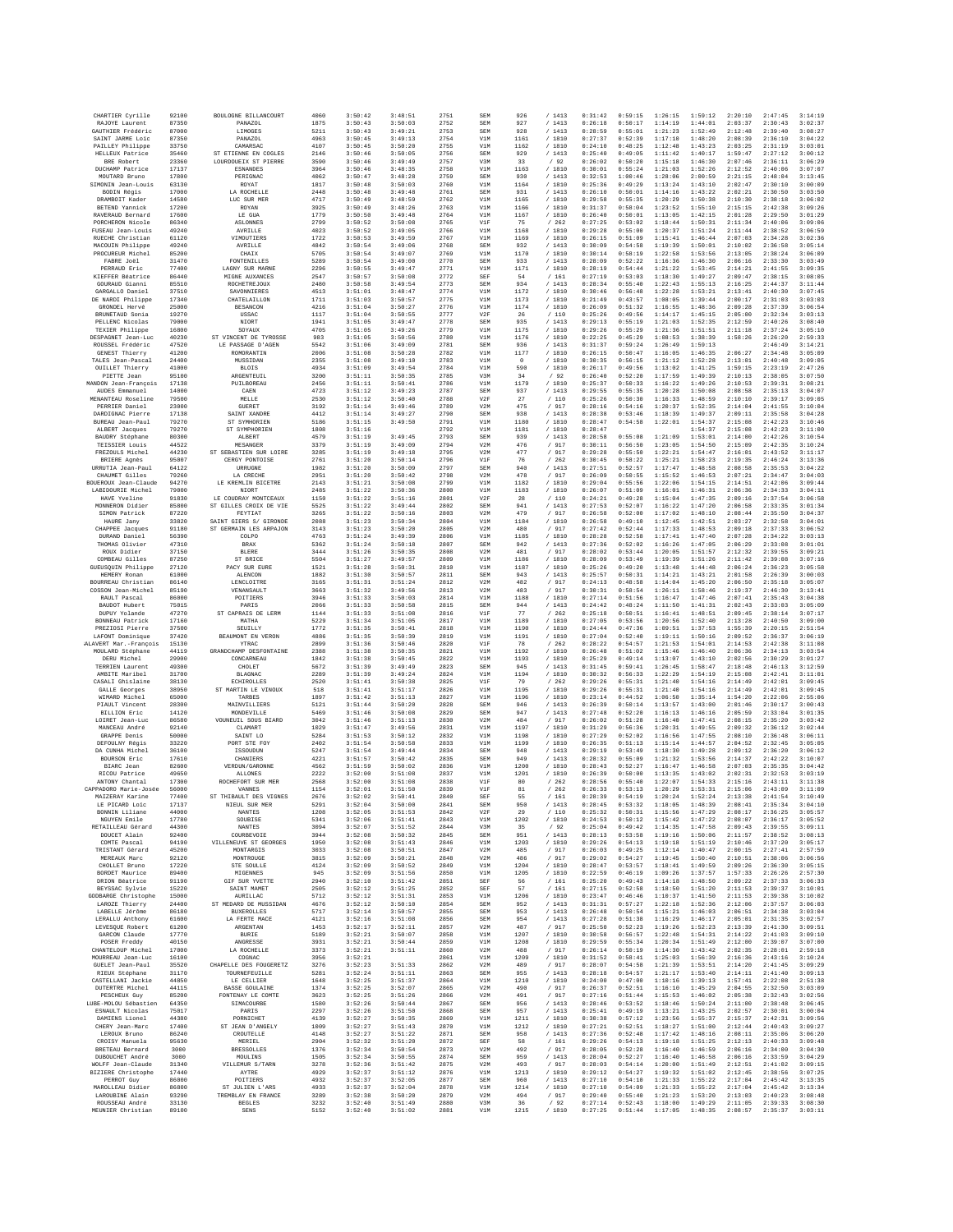| CHARTIER Cyrille                         | 92100          | BOULOGNE BILLANCOURT                       | 4060         | 3:50:42            | 3:48:51            | 2751         | SEM        | 926                    | /1413            | 0:31:42            | 0:59:15            | 1:26:15            | 1:59:12            | 2:20:10            | 2:47:45            | 3:14:19            |
|------------------------------------------|----------------|--------------------------------------------|--------------|--------------------|--------------------|--------------|------------|------------------------|------------------|--------------------|--------------------|--------------------|--------------------|--------------------|--------------------|--------------------|
| RAJOYE Laurent<br>GAUTHIER Frédéric      | 87350          | PANAZOL                                    | 1875         | 3:50:43            | 3:50:03            | 2752         | SEM        | 927                    | /1413            | 0:26:18            | 0:50:17            | 1:14:19            | 1:44:01            | 2:03:37            | 2:30:43            | 3:02:37            |
| SAINT JARME Loic                         | 87000<br>87350 | LIMOGES<br><b>PANAZOL</b>                  | 5211<br>4963 | 3:50:43<br>3:50:45 | 3:49:21<br>3:49:13 | 2753<br>2754 | SEM<br>V1M | 928<br>1161            | /1413<br>/ 1810  | 0:28:59<br>0:27:37 | 0:55:01<br>0:52:39 | 1:21:23<br>1:17:10 | 1:52:49<br>1:48:20 | 2:12:48<br>2:08:39 | 2:39:40<br>2:36:10 | 3:08:27<br>3:04:22 |
| PAILLEY Philippe                         | 33750          | CAMARSAC                                   | 4107         | 3:50:45            | 3:50:20            | 2755         | V1M        | 1162                   | / 1810           | 0:24:10            | 0:48:25            | 1:12:48            | 1:43:23            | 2:03:25            | 2:31:19            | 3:03:01            |
| HELLEUX Patrice                          | 35460          | ST ETIENNE EN COGLES                       | 2146         | 3:50:46            | 3:50:05            | 2756         | SEM        | 929                    | /1413            | 0:25:40            | 0:49:05            | 1:11:42            | 1:40:17            | 1:59:47            | 2:27:12            | 3:00:12            |
| BRE Robert<br>DUCHAMP Patrice            | 23360<br>17137 | LOURDOUEIX ST PIERRE<br><b>ESNANDES</b>    | 3590<br>3964 | 3:50:46<br>3:50:46 | 3:49:49<br>3:48:35 | 2757<br>2758 | V3M<br>V1M | 33<br>1163             | /92<br>/ 1810    | 0:26:02<br>0:30:01 | 0:50:20<br>0:55:24 | 1:15:18<br>1:21:03 | 1:46:30<br>1:52:26 | 2:07:46<br>2:12:52 | 2:36:11<br>2:40:06 | 3:06:29<br>3:07:07 |
| MOUTARD Bruno                            | 17800          | PERIGNAC                                   | 4062         | 3:50:47            | 3:48:28            | 2759         | SEM        | 930                    | /1413            | 0:32:53            | 1:00:46            | 1:28:06            | 2:00:59            | 2:21:15            | 2:48:04            | 3:13:45            |
| SIMONIN Jean-Louis                       | 63130          | ROYAT                                      | 1817         | 3:50:48            | 3:50:03            | 2760         | V1M        | 1164                   | / 1810           | 0:25:36            | 0:49:29            | 1:13:24            | 1:43:10            | 2:02:47            | 2:30:10            | 3:00:09            |
| BODIN Régis<br>DRAMBOIT Kader            | 17000<br>14580 | LA ROCHELLE<br>LUC SUR MER                 | 2448<br>4717 | 3:50:48<br>3:50:49 | 3:49:48<br>3:48:59 | 2761<br>2762 | SEM<br>V1M | 931<br>1165            | /1413<br>/1810   | 0:26:10<br>0:29:58 | 0:50:01<br>0:55:35 | 1:14:16<br>1:20:29 | 1:43:22<br>1:50:38 | 2:02:21<br>2:10:30 | 2:30:50<br>2:38:18 | 3:03:50<br>3:06:02 |
| BETEND Yannick                           | 17200          | ROYAN                                      | 3925         | 3:50:49            | 3:48:26            | 2763         | V1M        | 1166                   | /1810            | 0:31:37            | 0:58:04            | 1:23:52            | 1:55:10            | 2:15:15            | 2:42:38            | 3:09:26            |
| RAVERAUD Bernard                         | 17600          | LE GUA                                     | 1779         | 3:50:50            | 3:49:48            | 2764         | V1M        | 1167                   | / 1810           | 0:26:40            | 0:50:01            | 1:13:05            | 1:42:15            | 2:01:28            | 2:29:50            | 3:01:29            |
| PORCHERON Nicole                         | 86340          | ASLONNES                                   | 2799         | 3:50:52            | 3:50:08            | 2765         | V1F        | 75                     | /262             | 0:27:25            | 0:53:02            | 1:18:44            | 1:50:31            | 2:11:34            | 2:40:06            | 3:09:06            |
| FUSEAU Jean-Louis<br>RUECHE Christian    | 49240<br>61120 | AVRILLE<br>VIMOUTIERS                      | 4023<br>1722 | 3:50:52<br>3:50:53 | 3:49:05<br>3:49:59 | 2766<br>2767 | V1M<br>V1M | 1168<br>1169           | / 1810<br>/ 1810 | 0:29:28<br>0:26:15 | 0:55:00<br>0:51:09 | 1:20:37<br>1:15:41 | 1:51:24<br>1:46:44 | 2:11:44<br>2:07:03 | 2:38:52<br>2:34:28 | 3:06:59<br>3:02:36 |
| MACOUIN Philippe                         | 49240          | AVRILLE                                    | 4842         | 3:50:54            | 3:49:06            | 2768         | SEM        | 932                    | /1413            | 0:30:09            | 0:54:58            | 1:19:39            | 1:50:01            | 2:10:02            | 2:36:58            | 3:05:14            |
| PROCUREUR Michel<br>FABRE Joël           | 85200<br>31470 | CHAIX<br>FONTENILLES                       | 5705<br>5289 | 3:50:54<br>3:50:54 | 3:49:07<br>3:49:00 | 2769<br>2770 | V1M<br>SEM | 1170                   | / 1810           | 0:30:14<br>0:28:09 | 0:58:19<br>0:52:22 | 1:22:58<br>1:16:36 | 1:53:56<br>1:46:30 | 2:13:05<br>2:06:16 | 2:38:24<br>2:33:30 | 3:06:09<br>3:03:49 |
| PERRAUD Eric                             | 77400          | LAGNY SUR MARNE                            | 2296         | 3:50:55            | 3:49:47            | 2771         | V1M        | 933<br>1171            | /1413<br>/ 1810  | 0:28:19            | 0:54:44            | 1:21:22            | 1:53:45            | 2:14:21            | 2:41:55            | 3:09:35            |
| KIEFFER Béatrice                         | 86440          | MIGNE AUXANCES                             | 2547         | 3:50:57            | 3:50:08            | 2772         | SEF        | 54                     | /161             | 0:27:19            | 0:53:03            | 1:18:30            | 1:49:27            | 2:09:47            | 2:38:15            | 3:08:05            |
| GOURAUD Gianni                           | 85510          | ROCHETREJOUX                               | 2480         | 3:50:58            | 3:49:54            | 2773         | SEM        | 934                    | /1413            | 0:28:34            | 0:55:40            | 1:22:43            | 1:55:13            | 2:16:25            | 2:44:37            | 3:11:44            |
| GARGALLO Daniel<br>DE NARDI Philippe     | 37510<br>17340 | SAVONNIERES<br>CHATELAILLON                | 4513<br>1711 | 3:51:01<br>3:51:03 | 3:48:47<br>3:50:57 | 2774<br>2775 | V1M<br>V1M | 1172<br>1173           | / 1810<br>/ 1810 | 0:30:46<br>0:21:49 | 0:56:48<br>0:43:57 | 1:22:28<br>1:08:05 | 1:53:21<br>1:39:44 | 2:13:41<br>2:00:17 | 2:40:30<br>2:31:03 | 3:07:45<br>3:03:03 |
| GRONDEL Hervé                            | 25000          | <b>BESANCON</b>                            | 4216         | 3:51:04            | 3:50:27            | 2776         | V1M        | 1174                   | /1810            | 0:26:09            | 0:51:32            | 1:16:55            | 1:48:36            | 2:09:28            | 2:37:39            | 3:06:54            |
| BRUNETAUD Sonia                          | 19270          | USSAC                                      | 1117         | 3:51:04            | 3:50:55            | 2777         | V2F        | 26                     | $/$ 110          | 0:25:26            | 0:49:56            | 1:14:17            | 1:45:15            | 2:05:00            | 2:32:34            | 3:03:13            |
| PELLENC Nicolas<br>TEXIER Philippe       | 79000<br>16800 | NIORT<br>SOYAUX                            | 1941<br>4705 | 3:51:05<br>3:51:05 | 3:49:47<br>3:49:26 | 2778<br>2779 | SEM<br>V1M | 935<br>1175            | /1413<br>/ 1810  | 0:29:13<br>0:29:26 | 0:55:19<br>0:55:29 | 1:21:03<br>1:21:36 | 1:52:35<br>1:51:51 | 2:12:59<br>2:11:18 | 2:40:26<br>2:37:24 | 3:08:40<br>3:05:10 |
| DESPAGNET Jean-Luc                       | 40230          | ST VINCENT DE TYROSSE                      | 983          | 3:51:05            | 3:50:56            | 2780         | V1M        | 1176                   | / 1810           | 0:22:25            | 0:45:29            | 1:08:53            | 1:38:39            | 1:58:26            | 2:26:20            | 2:59:33            |
| ROUSSEL Frédéric                         | 47520          | LE PASSAGE D'AGEN                          | 5542         | 3:51:06            | 3:49:09            | 2781         | SEM        | 936                    | /1413            | 0:31:37            | 0:59:24            | 1:26:49            | 1:59:13            |                    | 2:46:49            | 3:14:21            |
| GENEST Thierry<br>TALES Jean-Pascal      | 41200<br>24400 | ROMORANTIN<br>MUSSIDAN                     | 2006<br>2355 | 3:51:08<br>3:51:08 | 3:50:28<br>3:49:10 | 2782<br>2783 | V1M<br>V1M | 1177<br>$\overline{0}$ | / 1810<br>/1810  | 0:26:15<br>0:30:35 | 0:50:47<br>0:56:15 | 1:16:05<br>1:21:12 | 1:46:35<br>1:52:28 | 2:06:27<br>2:13:01 | 2:34:48<br>2:40:48 | 3:05:09<br>3:09:05 |
| <b>OUILLET Thierry</b>                   | 41000          | <b>BLOIS</b>                               | 4934         | 3:51:09            | 3:49:54            | 2784         | V1M        | 590                    | / 1810           | 0:26:17            | 0:49:56            | 1:13:02            | 1:41:25            | 1:59:15            | 2:23:19            | 2:47:26            |
| PIETTE Jean                              | 95100          | ARGENTEUIL                                 | 3200         | 3:51:11            | 3:50:35            | 2785         | V3M        | 34                     | /92              | 0:26:40            | 0:52:20            | 1:17:59            | 1:49:39            | 2:10:13            | 2:38:05            | 3:07:50            |
| MANDON Jean-François<br>AUDES Emmanuel   | 17138<br>14000 | PUILBOREAU<br>CAEN                         | 2456<br>4723 | 3:51:11<br>3:51:12 | 3:50:41<br>3:49:23 | 2786<br>2787 | V1M<br>SEM | 1179<br>937            | / 1810<br>/1413  | 0:25:37<br>0:29:55 | 0:50:33<br>0:55:35 | 1:16:22<br>1:20:28 | 1:49:26<br>1:50:08 | 2:10:53<br>2:08:58 | 2:39:31<br>2:35:13 | 3:08:21<br>3:04:07 |
| MENANTEAU Roseline                       | 79500          | MELLE                                      | 2530         | 3:51:12            | 3:50:40            | 2788         | V2F        | 27                     | $/$ 110 $\,$     | 0:25:26            | 0:50:30            | 1:16:33            | 1:48:59            | 2:10:10            | 2:39:17            | 3:09:05            |
| PERRIER Daniel                           | 23000          | GUERET<br>SAINT XANDRE                     | 3192         | 3:51:14            | 3:49:46            | 2789         | V2M        | 475                    | / 917            | 0:28:16            | 0:54:16            | 1:20:37            | 1:52:35            | 2:14:04            | 2:41:55            | 3:10:04            |
| DARDIGNAC Pierre<br>BUREAU Jean-Paul     | 17138<br>79270 | ST SYMHORIEN                               | 4412<br>5186 | 3:51:14<br>3:51:15 | 3:49:27<br>3:49:50 | 2790<br>2791 | SEM<br>V1M | 938<br>1180            | /1413<br>/1810   | 0:28:38<br>0:28:47 | 0:53:46<br>0:54:58 | 1:18:39<br>1:22:01 | 1:49:37<br>1:54:37 | 2:09:11<br>2:15:08 | 2:35:58<br>2:42:23 | 3:04:28<br>3:10:46 |
| ALBERT Jacques                           | 79270          | ST SYMPHORIEN                              | 1808         | 3:51:16            |                    | 2792         | V1M        | 1181                   | / 1810           | 0:28:47            |                    |                    | 1:54:37            | 2:15:08            | 2:42:23            | 3:11:00            |
| BAUDRY Stéphane                          | 80300          | ALBERT<br>MESANGER                         | 4579         | 3:51:19            | 3:49:45<br>3:49:09 | 2793         | SEM        | 939                    | /1413            | 0:28:58            | 0:55:08<br>0:56:50 | 1:21:09<br>1:23:05 | 1:53:01            | 2:14:00            | 2:42:26            | 3:10:54            |
| TEISSIER Louis<br>FREZOULS Michel        | 44522<br>44230 | ST SEBASTIEN SUR LOIRE                     | 3379<br>3285 | 3:51:19<br>3:51:19 | 3:49:18            | 2794<br>2795 | V2M<br>V2M | 476<br>477             | / 917<br>/ 917   | 0:30:11<br>0:29:28 | 0:55:50            | 1:22:21            | 1:54:50<br>1:54:47 | 2:15:09<br>2:16:01 | 2:42:35<br>2:43:52 | 3:10:24<br>3:11:17 |
| BRIERE Agnès                             | 95007          | CERGY PONTOISE                             | 2761         | 3:51:20            | 3:50:14            | 2796         | V1F        | 76                     | /262             | 0:30:45            | 0:58:22            | 1:25:21            | 1:58:23            | 2:19:35            | 2:46:24            | 3:13:36            |
| URRUTIA Jean-Paul                        | 64122          | URRUGNE                                    | 1982         | 3:51:20            | 3:50:09            | 2797         | SEM        | 940                    | /1413            | 0:27:51            | 0:52:57            | 1:17:47            | 1:48:58            | 2:08:58            | 2:35:53            | 3:04:22            |
| CHAUMET Gilles<br>BOUEROUX Jean-Claude   | 79260<br>94270 | LA CRECHE<br>LE KREMLIN BICETRE            | 2951<br>2143 | 3:51:20<br>3:51:21 | 3:50:42<br>3:50:08 | 2798<br>2799 | V2M<br>V1M | 478<br>1182            | / 917<br>/ 1810  | 0:26:09<br>0:29:04 | 0:50:55<br>0:55:56 | 1:15:52<br>1:22:06 | 1:46:53<br>1:54:15 | 2:07:21<br>2:14:51 | 2:34:47<br>2:42:06 | 3:04:03<br>3:09:44 |
| LABIDOURIE Michel                        | 79000          | NIORT                                      | 2485         | 3:51:22            | 3:50:36            | 2800         | V1M        | 1183                   | / 1810           | 0:26:07            | 0:51:09            | 1:16:01            | 1:46:31            | 2:06:36            | 2:34:33            | 3:04:11            |
| HAVE Yveline                             | 91830          | LE COUDRAY MONTCEAUX                       | 1150         | 3:51:22            | 3:51:16            | 2801         | V2F        | 28                     | /110             | 0:24:21            | 0:49:28            | 1:15:04            | 1:47:35            | 2:09:16            | 2:37:54            | 3:06:58            |
| MONNERON Didier<br>SIMON Patrick         | 85800<br>87220 | ST GILLES CROIX DE VIE<br>FEYTIAT          | 5525<br>3265 | 3:51:22<br>3:51:22 | 3:49:44<br>3:50:16 | 2802<br>2803 | SEM<br>V2M | 941<br>479             | /1413<br>/ 917   | 0:27:53<br>0:26:58 | 0:52:07<br>0:52:00 | 1:16:22<br>1:17:02 | 1:47:20<br>1:48:10 | 2:06:58<br>2:08:44 | 2:33:35<br>2:35:50 | 3:01:34<br>3:04:37 |
| HAURE Jany                               | 33820          | SAINT GIERS S/ GIRONDE                     | 2088         | 3:51:23            | 3:50:34            | 2804         | V1M        | 1184                   | / 1810           | 0:26:58            | 0:49:10            | 1:12:45            | 1:42:51            | 2:03:27            | 2:32:58            | 3:04:01            |
| CHAPPEE Jacques                          | 91180          | ST GERMAIN LES ARPAION                     | 3143         | 3:51:23            | 3:50:20            | 2805         | V2M        | 480                    | / 917            | 0:27:42            | 0:52:44            | 1:17:33            | 1:48:53            | 2:09:18            | 2:37:33            | 3:06:52            |
| DURAND Daniel<br>THOMAS Olivier          | 56390<br>47310 | COLPO<br>BRAX                              | 4763<br>5362 | 3:51:24<br>3:51:24 | 3:49:39<br>3:50:18 | 2806<br>2807 | V1M<br>SEM | 1185<br>942            | / 1810<br>/1413  | 0:28:28<br>0:27:36 | 0:52:58<br>0:52:02 | 1:17:41<br>1:16:26 | 1:47:40<br>1:47:05 | 2:07:28<br>2:06:29 | 2:34:22<br>2:33:08 | 3:03:13<br>3:01:01 |
| ROUX Didier                              | 37150          | <b>BLERE</b>                               | 3444         | 3:51:26            | 3:50:35            | 2808         | V2M        | 481                    | /917             | 0:28:02            | 0:53:44            | 1:20:05            | 1:51:57            | 2:12:32            | 2:39:55            | 3:09:21            |
| COMBEAU Gilles                           | 87250          | ST BRICE                                   | 5504         | 3:51:27            | 3:49:57            | 2809         | V1M        | 1186                   | / 1810           | 0:28:09            | 0:53:49            | 1:19:39            | 1:51:26            | 2:11:42            | 2:39:08            | 3:07:16            |
| GUEUSQUIN Philippe<br>HEMERY Ronan       | 27120<br>61000 | PACY SUR EURE<br>ALENCON                   | 1521<br>1882 | 3:51:28<br>3:51:30 | 3:50:31<br>3:50:57 | 2810<br>2811 | V1M<br>SEM | 1187<br>943            | / 1810<br>/ 1413 | 0:25:26<br>0:25:57 | 0:49:20<br>0:50:31 | 1:13:48<br>1:14:21 | 1:44:48<br>1:43:21 | 2:06:24<br>2:01:58 | 2:36:23<br>2:26:39 | 3:05:58<br>3:00:03 |
| BOURREAU Christian                       | 86140          | LENCLOITRE                                 | 3165         | 3:51:31            | 3:51:24            | 2812         | V2M        | 482                    | /917             | 0:24:13            | 0:48:58            | 1:14:04            | 1:45:20            | 2:06:50            | 2:35:18            | 3:05:07            |
| COSSON Jean-Michel                       | 85190          | VENANSAULT                                 | 3663         | 3:51:32            | 3:49:56            | 2813         | V2M        | 483                    | / 917            | 0:30:31            | 0:58:54            | 1:26:11            | 1:58:46            | 2:19:37            | 2:46:30            | 3:13:41            |
| RAULT Pascal<br>BAUDOT Hubert            | 86000<br>75015 | POITIERS<br>PARIS                          | 3946<br>2066 | 3:51:33<br>3:51:33 | 3:50:03<br>3:50:58 | 2814<br>2815 | V1M<br>SEM | 1188<br>944            | / 1810<br>/1413  | 0:27:14<br>0:24:42 | 0:51:56<br>0:48:24 | 1:16:47<br>1:11:50 | 1:47:46<br>1:41:31 | 2:07:41<br>2:02:43 | 2:35:43<br>2:33:03 | 3:04:38<br>3:05:09 |
| DUPUY Yolande                            | 47270          | ST CAPRAIS DE LERM                         | 1144         | 3:51:33            | 3:51:08            | 2816         | V1F        | 77                     | $\,$ / $\,$ 262  | 0:25:18            | 0:50:51            | 1:16:41            | 1:48:51            | 2:09:45            | 2:38:14            | 3:07:17            |
| BONNEAU Patrick                          | 17160          | MATHA                                      | 5229         | 3:51:34            | 3:51:05            | 2817         | V1M        | 1189                   | / 1810           | 0:27:05            | 0:53:56            | 1:20:56            | 1:52:40            | 2:13:28            | 2:40:50            | 3:09:00            |
| PREZIOSI Pierre<br>LAFONT Dominique      | 37500<br>37420 | SEUILLY<br>BEAUMONT EN VERON               | 1772<br>4886 | 3:51:35<br>3:51:35 | 3:50:41<br>3:50:39 | 2818<br>2819 | V1M<br>V1M | 1190<br>1191           | / 1810<br>/1810  | 0:24:44<br>0:27:04 | 0:47:36<br>0:52:40 | 1:09:51<br>1:19:11 | 1:37:53<br>1:50:16 | 1:55:39<br>2:09:52 | 2:20:15<br>2:36:37 | 2:51:54<br>3:06:19 |
| ALAVERT Mar.-François                    | 15130          | YTRAC                                      | 2899         | 3:51:36            | 3:50:46            | 2820         | V1F        | 78                     | /262             | 0:28:22            | 0:54:57            | 1:21:53            | 1:54:01            | 2:14:53            | 2:42:38            | 3:11:08            |
| MOULARD Stéphane                         | 44119          | GRANDCHAMP DESFONTAINE                     | 2388         | 3:51:38            | 3:50:35            | 2821         | V1M        | 1192                   | / 1810           | 0:26:48            | 0:51:02            | 1:15:46            | 1:46:40            | 2:06:36            | 2:34:13            | 3:03:54            |
| DERU Michel                              | 29900          | CONCARNEAU                                 | 1842         | 3:51:38            | 3:50:45            | 2822         | V1M        | 1193                   | / 1810           | 0:25:29            | 0:49:14            | 1:13:07            | 1:43:10            | 2:02:56            | 2:30:29            | 3:01:27            |
| TERRIEN Laurent<br>AMBITE Maribel        | 49300<br>31700 | CHOLET<br><b>BLAGNAC</b>                   | 5672<br>2289 | 3:51:39<br>3:51:39 | 3:49:49<br>3:49:24 | 2823<br>2824 | SEM<br>V1M | 945<br>1194            | /1413<br>/ 1810  | 0:31:45<br>0:30:32 | 0:59:41<br>0:56:33 | 1:26:45<br>1:22:29 | 1:58:47<br>1:54:19 | 2:18:48<br>2:15:08 | 2:46:13<br>2:42:41 | 3:12:59<br>3:11:01 |
| CASALI Ghislaine                         | 38130          | ECHIROLLES                                 | 2520         | 3:51:41            | 3:50:38            | 2825         | V1F        | 79                     | /262             | 0:29:26            | 0:55:31            | 1:21:40            | 1:54:16            | 2:14:49            | 2:42:01            | 3:09:45            |
| GALLE Georges                            | 38950          | ST MARTIN LE VINOUX                        | 518          | 3:51:41            | 3:51:17            | 2826         | V1M        | 1195                   | /1810            | 0:29:26            | 0:55:31            | 1:21:40            | 1:54:16            | 2:14:49            | 2:42:01            | 3:09:45            |
| WIMARD Michel<br>PIAULT Vincent          | 65000<br>28300 | TARBES<br>MAINVILLIERS                     | 1897<br>5121 | 3:51:42<br>3:51:44 | 3:51:13<br>3:50:20 | 2827<br>2828 | V1M<br>SEM | 1196<br>946            | / 1810<br>/1413  | 0:23:14<br>0:26:39 | 0:44:52<br>0:50:14 | 1:06:50<br>1:13:57 | 1:35:14<br>1:43:00 | 1:54:20<br>2:01:46 | 2:22:06<br>2:30:17 | 2:55:06<br>3:00:43 |
| BILLION Eric                             | 14120          | MONDEVILLE                                 | 5469         | 3:51:46            | 3:50:08            | 2829         | SEM        | 947                    | /1413            | 0:27:48            | 0:52:20            | 1:16:13            | 1:46:16            | 2:05:59            | 2:33:04            | 3:01:35            |
| LOIRET Jean-Luc                          | 86580          | VOIDENTIT, SOUS BIARD                      | 3042         | 3:51:46            | 3:51:13            | 2830         | V2M        | 484                    | / 917            | 0:26:02            | 0:51:28            | 1:16:40            | 1:47:41            | 2:08:15            | 2:35:20            | 3:03:42            |
| MANCEAU André<br>GRAPPE Denis            | 92140<br>50000 | CLAMART<br>SAINT LO                        | 1029<br>5284 | 3:51:47<br>3:51:53 | 3:49:56<br>3:50:12 | 2831<br>2832 | V1M<br>V1M | 1197<br>1198           | / 1810<br>/ 1810 | 0:31:29<br>0:27:29 | 0:56:36<br>0:52:02 | 1:20:31<br>1:16:56 | 1:49:55<br>1:47:55 | 2:09:32<br>2:08:10 | 2:36:12<br>2:36:48 | 3:02:44<br>3:06:11 |
| DEFOULNY Régis                           | 33220          | PORT STR FOY                               | 2402         | 3:51:54            | 3:50:58            | 2833         | V1M        | 1199                   | / 1810           | 0:26:35            | 0:51:13            | 1:15:14            | 1:44:57            | 2:04:52            | 2:32:45            | 3:05:05            |
| DA CUNHA Michel                          | 36100          | ISSOUDUN                                   | 5247         | 3:51:54            | 3:49:44            | 2834         | SEM        | 948                    | /1413            | 0:29:19            | 0:53:49            | 1:18:30            | 1:49:28            | 2:09:12            | 2:36:20            | 3:06:12            |
| BOURSON Eric<br>BIARC Jean               | 17610<br>82600 | CHANIERS<br>VERDUN/GARONNE                 | 4221<br>4562 | 3:51:57<br>3:51:59 | 3:50:42<br>3:50:02 | 2835<br>2836 | SEM<br>V1M | 949<br>1200            | /1413<br>/ 1810  | 0:28:32<br>0:28:43 | 0:55:09<br>0:52:27 | 1:21:32<br>1:16:47 | 1:53:56<br>1:46:58 | 2:14:37<br>2:07:03 | 2:42:22<br>2:35:35 | 3:10:07<br>3:04:42 |
| RICOU Patrice                            | 49650          | <b>ALLONES</b>                             | 2222         | 3:52:00            | 3:51:08            | 2837         | V1M        | 1201                   | /1810            | 0:26:39            | 0:50:00            | 1:13:35            | 1:43:02            | 2:02:31            | 2:32:53            | 3:03:19            |
| ANTONY Chantal                           | 17300          | ROCHEFORT SUR MER                          | 2568         | 3:52:00            | 3:51:08            | 2838         | V1F        | 80                     | /262             | 0:28:56            | 0:55:40            | 1:22:07            | 1:54:33            | 2:15:16            | 2:43:11            | 3:11:38            |
| CAPPADORO Marie-Josée<br>MAIZERAY Karine | 56000<br>77400 | VANNES<br>ST THIBAULT DES VIGNES           | 1154<br>2676 | 3:52:01<br>3:52:02 | 3:51:50<br>3:50:41 | 2839<br>2840 | V1F<br>SEF | 81<br>55               | /262<br>/161     | 0:26:33<br>0:28:39 | 0:53:13<br>0:54:19 | 1:20:29<br>1:20:24 | 1:53:31<br>1:52:24 | 2:15:06<br>2:13:38 | 2:43:09<br>2:41:54 | 3:11:09<br>3:10:49 |
| LE PICARD Loic                           | 17137          | NIEUL SUR MER                              | 5291         | 3:52:04            | 3:50:00            | 2841         | SEM        | 950                    | /1413            | 0:28:45            | 0:53:32            | 1:18:05            | 1:48:39            | 2:08:41            | 2:35:34            | 3:04:10            |
| BONNIN Liliane                           | 44000          | <b>NANTES</b>                              | 1208         | 3:52:05            | 3:51:53            | 2842         | V2F        | 29                     | /110             | 0:25:32            | 0:50:31            | 1:15:56            | 1:47:29            | 2:08:17            | 2:36:25            | 3:05:57            |
| NGUYEN Emile<br>RETAILLEAU Gérard        | 17780<br>44300 | SOUBISE<br><b>NANTES</b>                   | 5341<br>3094 | 3:52:06<br>3:52:07 | 3:51:41<br>3:51:52 | 2843<br>2844 | V1M<br>V3M | 1202<br>35             | / 1810<br>/92    | 0:24:53<br>0:25:04 | 0:50:12<br>0:49:42 | 1:15:42<br>1:14:35 | 1:47:22<br>1:47:58 | 2:08:07<br>2:09:43 | 2:36:17<br>2:39:55 | 3:05:52<br>3:09:11 |
| DOUCET Alain                             | 92400          | COURBEVOIE                                 | 3944         | 3:52:08            | 3:50:32            | 2845         | SEM        | 951                    | /1413            | 0:28:13            | 0:53:58            | 1:19:16            | 1:50:06            | 2:11:57            | 2:38:52            | 3:08:13            |
| COMTE Pascal<br>TRISTANT Gérard          | 94190<br>45200 | VILLENEUVE ST GEORGES<br>MONTARGIS         | 1950<br>3033 | 3:52:08<br>3:52:08 | 3:51:43<br>3:50:51 | 2846<br>2847 | V1M<br>V2M | 1203<br>485            | / 1810<br>/ 917  | 0:29:26<br>0:26:03 | 0:54:13<br>0:49:25 | 1:19:18<br>1:12:14 | 1:51:19<br>1:40:47 | 2:10:46<br>2:00:15 | 2:37:20<br>2:27:41 | 3:05:17<br>2:57:59 |
| MEREAUX Marc                             | 92120          | MONTROUGE                                  | 3815         | 3:52:09            | 3:50:21            | 2848         | V2M        | 486                    | / 917            | 0:29:02            | 0:54:27            | 1:19:45            | 1:50:40            | 2:10:51            | 2:38:06            | 3:06:56            |
| CHOLLET Bruno                            | 17220          | STE SOULLE                                 | 4124         | 3:52:09            | 3:50:52            | 2849         | V1M        | 1204                   | / 1810           | 0:28:47            | 0:53:57            | 1:18:41            | 1:49:59            | 2:09:26            | 2:36:30            | 3:05:15            |
| BORDET Maurice<br>DRION Béatrice         | 89400<br>91190 | MIGENNES<br>GIF SUR YVETTE                 | 945<br>2940  | 3:52:09<br>3:52:10 | 3:51:56<br>3:51:42 | 2850<br>2851 | V1M<br>SEF | 1205<br>56             | / 1810<br>/161   | 0:22:59<br>0:25:20 | 0:46:19<br>0:49:43 | 1:09:26<br>1:14:18 | 1:37:57<br>1:48:50 | 1:57:33<br>2:09:22 | 2:26:26<br>2:37:33 | 2:57:30<br>3:06:33 |
| BEYSSAC Sylvie                           | 15220          | SAINT MAMET                                | 2505         | 3:52:12            | 3:51:25            | 2852         | SEF        | 57                     | /161             | 0:27:15            | 0:52:58            | 1:18:50            | 1:51:20            | 2:11:53            | 2:39:37            | 3:10:01            |
| GODBARGE Christophe                      | 15000          | AURILLAC                                   | 5712         | 3:52:12            | 3:51:31            | 2853         | V1M        | 1206                   | / 1810           | 0:23:47            | 0:46:46            | 1:10:37            | 1:41:50            | 2:11:53            | 2:39:38            | 3:10:02            |
| LAROZE Thierry<br>LABELLE Jérôme         | 24400<br>86180 | ST MEDARD DE MUSSIDAN<br><b>BUXEROLLES</b> | 4676<br>5717 | 3:52:12<br>3:52:14 | 3:50:10<br>3:50:57 | 2854<br>2855 | SEM<br>SEM | 952<br>953             | /1413<br>/1413   | 0:31:31<br>0:26:48 | 0:57:27<br>0:50:54 | 1:22:18<br>1:15:21 | 1:52:36<br>1:46:03 | 2:12:06<br>2:06:51 | 2:37:57<br>2:34:38 | 3:06:03<br>3:03:04 |
| LERALLU Anthony                          | 61600          | LA FERTE MACE                              | 4121         | 3:52:16            | 3:51:08            | 2856         | SEM        | 954                    | /1413            | 0:27:28            | 0:51:38            | 1:16:29            | 1:46:17            | 2:05:01            | 2:31:35            | 3:02:57            |
| LEVESQUE Robert                          | 61200          | ARGENTAN                                   | 1453         | 3:52:17            | 3:52:11            | 2857         | V2M        | 487                    | / 917            | 0:25:50            | 0:52:23            | 1:19:26            | 1:52:23            | 2:13:39            | 2:41:30            | 3:09:51            |
| GARCON Claude                            | 17770          | BURIE<br>ANGRESSE                          | 5189         | 3:52:21            | 3:50:07            | 2858         | V1M<br>V1M | 1207                   | /1810            | 0:30:58            | 0:56:57            | 1:22:48<br>1:20:34 | 1:54:31            | 2:14:22            | 2:41:03            | 3:09:10            |
| POSER Freddy<br>CHANTELOUP Michel        | 40150<br>17000 | LA ROCHELLE                                | 3931<br>3373 | 3:52:21<br>3:52:21 | 3:50:44<br>3:51:11 | 2859<br>2860 | V2M        | 1208<br>488            | / 1810<br>/ 917  | 0:29:59<br>0:26:14 | 0:55:34<br>0:50:19 | 1:14:30            | 1:51:49<br>1:43:42 | 2:12:00<br>2:02:35 | 2:39:07<br>2:28:01 | 3:07:00<br>2:59:18 |
| MOURREAU Jean-Luc                        | 16100          | $_{\tt COGNAC}$                            | 3956         | 3:52:21            |                    | 2861         | V1M        | 1209                   | / 1810           | 0:31:52            | 0:58:41            | 1:25:03            | 1:56:39            | 2:16:36            | 2:43:16            | 3:10:24            |
| GUELET Jean-Paul                         | 35520<br>31170 | CHAPELLE DES FOUGERETZ                     | 3276         | 3:52:23            | 3:51:33            | 2862         | V2M        | 489<br>955             | /917             | 0:28:07<br>0:28:18 | 0:54:58            | 1:21:39<br>1:21:17 | 1:53:51            | 2:14:20<br>2:14:11 | 2:41:45            | 3:09:29            |
| RIEUX Stéphane<br>CASTELLANI Jackie      | 44850          | TOURNEFEUILLE<br>LE CELLIER                | 5281<br>1648 | 3:52:24<br>3:52:25 | 3:51:11<br>3:51:37 | 2863<br>2864 | SEM<br>V1M | 1210                   | /1413<br>/ 1810  | 0:24:00            | 0:54:57<br>0:47:00 | 1:10:16            | 1:53:40<br>1:39:13 | 1:57:41            | 2:41:40<br>2:22:08 | 3:09:13<br>2:51:38 |
| DUTERTER Michel                          | 44115          | <b>BASSE GOULAINE</b>                      | 1374         | 3:52:25            | 3:52:07            | 2865         | V2M        | 490                    | /917             | 0:26:37            | 0:52:51            | 1:16:10            | 1:45:29            | 2:04:55            | 2:32:50            | 3:03:09            |
| PESCHEUX Guy                             | 85200          | FONTENAY LE COMTE                          | 3623         | 3:52:25            | 3:51:26            | 2866         | V2M        | 491                    | / 917            | 0:27:16            | 0:51:44            | 1:15:53            | 1:46:02            | 2:05:38            | 2:32:43            | 3:02:56            |
| LUBE-MOLOU Sébastien<br>ESNAULT Nicolas  | 64350<br>75017 | SIMACOURBE<br>PARIS                        | 1580<br>2297 | 3:52:26<br>3:52:26 | 3:50:44<br>3:51:50 | 2867<br>2868 | SEM<br>SEM | 956<br>957             | /1413<br>/1413   | 0:28:46<br>0:25:41 | 0:53:52<br>0:49:19 | 1:18:46<br>1:13:21 | 1:50:24<br>1:43:25 | 2:11:00<br>2:02:57 | 2:38:48<br>2:30:01 | 3:06:45<br>3:00:04 |
| DAMIENS Lionel                           | 44380          | PORNICHET                                  | 4139         | 3:52:27            | 3:50:35            | 2869         | V1M        | 1211                   | /1810            | 0:30:38            | 0:57:12            | 1:23:56            | 1:55:37            | 2:15:37            | 2:42:31            | 3:09:56            |
| CHERY Jean-Marc                          | 17400          | ST JEAN D'ANGELY                           | 1009         | 3:52:27            | 3:51:43            | 2870         | V1M        | 1212                   | / 1810           | 0:27:21            | 0:52:51            | 1:18:27            | 1:51:00            | 2:12:44            | 2:40:43            | 3:09:27            |
| LEROUX Bruno<br>CROISY Manuela           | 86240<br>95630 | CROUTELLE<br>MERIEL                        | 4148<br>2904 | 3:52:27<br>3:52:32 | 3:51:22<br>3:51:20 | 2871<br>2872 | SEM<br>SEF | 958<br>58              | /1413<br>/161    | 0:27:36<br>0:29:26 | 0:52:48<br>0:54:13 | 1:17:42<br>1:19:18 | 1:48:16<br>1:51:25 | 2:08:11<br>2:12:13 | 2:35:06<br>2:40:33 | 3:06:20<br>3:09:48 |
| BRETEAU Bernard                          | 3000           | <b>BRESSOLLES</b>                          | 1376         | 3:52:34            | 3:50:54            | 2873         | V2M        | 492                    | / 917            | 0:28:05            | 0:52:28            | 1:16:40            | 1:46:59            | 2:06:16            | 2:34:00            | 3:04:30            |
| DUBOUCHET André                          | 3000           | MOULINS                                    | 1505         | 3:52:34            | 3:50:55            | 2874         | SEM        | 959                    | /1413            | 0:28:04            | 0:52:27            | 1:16:40            | 1:46:58            | 2:06:16            | 2:33:59            | 3:04:29            |
| WOLFF Jean-Claude                        | 31340<br>17440 | VILLEMUR S/TARN<br>AYTRE                   | 3278<br>4929 | 3:52:36<br>3:52:37 | 3:51:42<br>3:51:12 | 2875<br>2876 | V2M<br>V1M | 493<br>1213            | / 917            | 0:28:03<br>0:29:12 | 0:54:14<br>0:54:27 | 1:20:00<br>1:19:32 | 1:51:49<br>1:51:02 | 2:12:51<br>2:12:45 | 2:41:02<br>2:38:56 | 3:09:15<br>3:07:25 |
| BIZIERE Christophe<br>PERROT Guy         | 86000          | POITIERS                                   | 4932         | 3:52:37            | 3:52:05            | 2877         | SEM        | 960                    | / 1810<br>/1413  | 0:27:10            | 0:54:10            | 1:21:33            | 1:55:22            | 2:17:04            | 2:45:42            | 3:13:35            |
| MAROLLEAU Didier                         | 86800          | ST JULIEN L'ARS                            | 4933         | 3:52:37            | 3:52:04            | 2878         | V1M        | 1214                   | / 1810           | 0:27:10            | 0:54:09            | 1:21:33            | 1:55:22            | 2:17:04            | 2:45:42            | 3:13:34            |
| LAROUBINE Alain<br>ROUSSEAU André        | 93290<br>33130 | TREMBLAY EN FRANCE<br><b>BEGLES</b>        | 3289<br>3232 | 3:52:38<br>3:52:40 | 3:50:20<br>3:51:49 | 2879<br>2880 | V2M<br>V3M | 494<br>36              | / 917<br>/92     | 0:29:40<br>0:27:14 | 0:55:40<br>0:52:43 | 1:21:23<br>1:18:00 | 1:53:20<br>1:49:29 | 2:13:03<br>2:11:05 | 2:40:23<br>2:39:33 | 3:08:48<br>3:08:30 |
| MEUNIER Christian                        | 89100          | SENS                                       | 5152         | 3:52:40            | 3:51:02            | 2881         | V1M        | 1215                   | / 1810           | 0:27:25            | 0:51:44            | 1:17:05            | 1:48:35            | 2:08:57            | 2:35:37            | 3:03:11            |
|                                          |                |                                            |              |                    |                    |              |            |                        |                  |                    |                    |                    |                    |                    |                    |                    |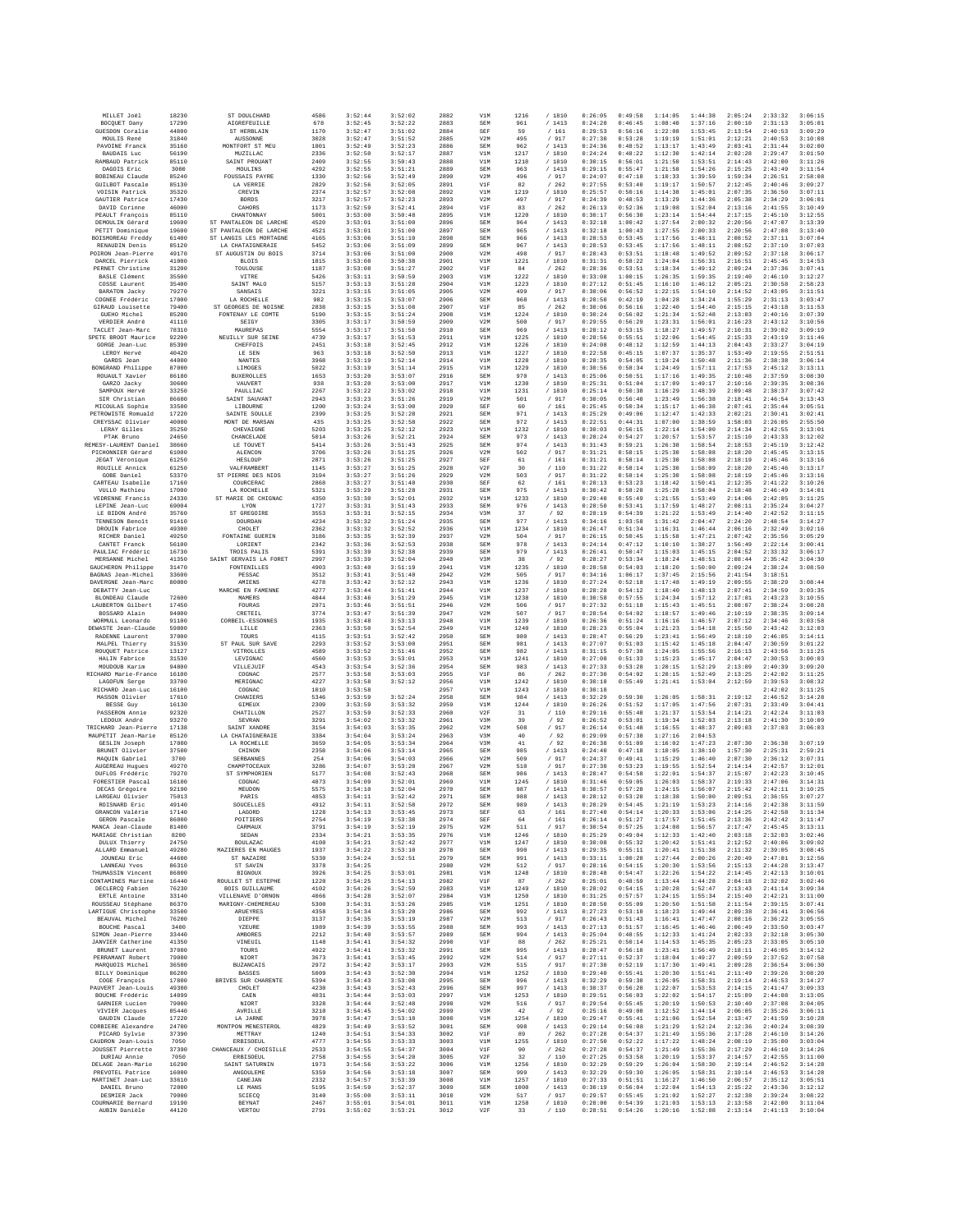| MILLET Joël<br>BOCQUET Dany                   | 18230          | ST DOULCHARD                                | 4586         | 3:52:44            | 3:52:02            | 2882         | V1M               | 1216        | / 1810                    | 0:26:05            | 0:49:58            | 1:14:05            | 1:44:38            | 2:05:24            | 2:33:32            | 3:06:15            |
|-----------------------------------------------|----------------|---------------------------------------------|--------------|--------------------|--------------------|--------------|-------------------|-------------|---------------------------|--------------------|--------------------|--------------------|--------------------|--------------------|--------------------|--------------------|
|                                               | 17290          | AIGREFEUILLE                                | 678          | 3:52:45            | 3:52:22            | 2883         | SEM               | 961         | /1413                     | 0:24:20            | 0:46:45            | 1:08:40            | 1:37:16            | 2:00:10            | 2:31:13            | 3:05:01            |
| GUESDON Coralie                               | 44800          | ST HERBLAIN                                 | 1170         | 3:52:47            | 3:51:02            | 2884         | SEF               | 59          | /161                      | 0:29:53            | 0:56:16            | 1:22:08            | 1:53:45            | 2:13:54            | 2:40:53            | 3:09:29            |
| MOIILTS René                                  | 31840          | <b>AUSSONNE</b>                             | 3028         | 3:52:47            | 3:51:52            | 2885         | V2M               | 495         | /917                      | 0:27:30            | 0:53:28            | 1:19:19            | 1:51:01            | 2:12:21            | 2:40:53            | 3:10:08            |
| PAVOINE Franck                                | 35160          | MONTFORT ST MEU                             | 1801         | 3:52:49            | 3:52:23            | 2886         | SEM               | 962         | /1413                     | 0:24:36            | 0:48:52            | 1:13:17            | 1:43:49            | 2:03:41            | 2:31:44            | 3:02:00            |
| <b>BAUDAIS Luc</b>                            | 56190          | MUZILLAC                                    | 2336         | 3:52:50            | 3:52:17            | 2887         | V1M               | 1217        | / 1810                    | 0:24:24            | 0:48:22            | 1:12:30            | 1:42:14            | 2:02:28            | 2:29:47            | 3:01:50            |
| RAMBAUD Patrick                               | 85110          | SAINT PROUANT                               | 2409         | 3:52:55            | 3:50:43            | 2888         | V1M               | 1218        | /1810                     | 0:30:15            | 0:56:01            | 1:21:50            | 1:53:51            | 2:14:43            | 2:42:00            | 3:11:26            |
| DAGOIS Eric                                   | 3000           | MOULINS                                     | 4292         | 3:52:55            | 3:51:21            | 2889         | SEM               | 963         | / 1413                    | 0:29:15            | 0:55:47            | 1:21:58            | 1:54:26            | 2:15:25            | 2:43:49            | 3:11:54            |
| BOBINEAU Claude                               | 85240          | <b>FOUSSAIS PAYRE</b>                       | 1330         | 3:52:56            | 3:52:49            | 2890         | V2M               | 496         | / 917                     | 0:24:07            | 0:47:10            | 1:10:33            | 1:39:59            | 1:59:34            | 2:26:51            | 2:58:08            |
| <b>GUILBOT Pascale</b>                        | 85130          | LA VERRIE                                   | 2829         | 3:52:56            | 3:52:05            | 2891         | V1F               | 82          | /262                      | 0:27:55            | 0:53:40            | 1:19:17            | 1:50:57            | 2:12:45            | 2:40:46            | 3:09:27            |
| VOISIN Patrick                                | 35320          | CREVIN                                      | 2374         | 3:52:57            | 3:52:08            | 2892         | V1M               | 1219        | /1810                     | 0:25:57            | 0:50:16            | 1:14:38            | 1:45:01            | 2:07:35            | 2:36:50            | 3:07:11            |
| GAUTIER Patrice                               | 17430          | <b>BORDS</b>                                | 3217         | 3:52:57            | 3:52:23            | 2893         | V2M               | 497         | / 917                     | 0:24:39            | 0:48:53            | 1:13:29            | 1:44:36            | 2:05:38            | 2:34:29            | 3:06:01            |
| DAVID Corinne                                 | 46000          | CAHORS                                      | 1173         | 3:52:59            | 3:52:41            | 2894         | V1F               | 83          | /262                      | 0:26:13            | 0:52:36            | 1:19:08            | 1:52:04            | 2:13:16            | 2:41:55            | 3:10:49            |
| PEAULT François                               | 85110          | CHANTONNAY                                  | 5001         | 3:53:00            | 3:50:48            | 2895         | V1M               | 1220        | / 1810                    | 0:30:17            | 0:56:30            | 1:23:14            | 1:54:44            | 2:17:15            | 2:45:10            | 3:12:55            |
| DEMOULIN Gérard                               | 19600          | ST PANTALEON DE LARCHE                      | 4520         | 3:53:01            | 3:51:00            | 2896         | SEM               | 964         | /1413                     | 0:32:18            | 1:00:42            | 1:27:54            | 2:00:32            | 2:20:56            | 2:47:07            | 3:13:39            |
| PETIT Dominique                               | 19600          | ST PANTALEON DE LARCHE                      | 4521         | 3:53:01            | 3:51:00            | 2897         | SEM               | 965         | /1413                     | 0:32:18            | 1:00:43            | 1:27:55            | 2:00:33            | 2:20:56            | 2:47:08            | 3:13:40            |
| BOISMOREAU Freddy                             | 61400          | ST LANGIS LES MORTAGNE                      | 4165         | 3:53:06            | 3:51:10            | 2898         | SEM               | 966         | /1413                     | 0:28:53            | 0:53:45            | 1:17:56            | 1:48:11            | 2:08:52            | 2:37:11            | 3:07:04            |
| RENAUDIN Denis                                | 85120          | LA CHATAIGNERAIE                            | 5452         | 3:53:06            | 3:51:09            | 2899         | SEM               | 967         | /1413                     | 0:28:53            | 0:53:45            | 1:17:56            | 1:48:11            | 2:08:52            | 2:37:10            | 3:07:03            |
| POIRON Jean-Pierre                            | 49170          | ST AUGUSTIN DU BOIS                         | 3714         | 3:53:06            | 3:51:00            | 2900         | V2M               | 498         | / 917                     | 0:28:43            | 0:53:51            | 1:18:48            | 1:49:52            | 2:09:52            | 2:37:18            | 3:06:17            |
| DARCEL Pierrick                               | 41000          | <b>BLOIS</b>                                | 1815         | 3:53:08            | 3:50:38            | 2901         | V1M               | 1221        | / 1810                    | 0:31:31            | 0:58:22            | 1:24:04            | 1:56:31            | 2:16:51            | 2:45:45            | 3:14:53            |
| PERNET Christine<br>BASLE Clément             | 31200          | TOULOUSE                                    | 1187         | 3:53:08            | 3:51:27            | 2902         | V1F               | 84          | /262                      | 0:28:36            | 0:53:51            | 1:18:34            | 1:49:12            | 2:09:24            | 2:37:36            | 3:07:41            |
|                                               | 35500          | VITRE                                       | 5426         | 3:53:11            | 3:50:59            | 2903         | V1M               | 1222        | /1810                     | 0:33:08            | 1:00:15            | 1:26:35            | 1:59:35            | 2:19:40            | 2:46:10            | 3:12:27            |
| COSSE Laurent                                 | 35400          | SAINT MALO                                  | 5157         | 3:53:13            | 3:51:28            | 2904         | V1M               | 1223        | / 1810                    | 0:27:12            | 0:51:45            | 1:16:10            | 1:46:12            | 2:05:21            | 2:30:58            | 2:58:23            |
| BARATON Jacky                                 | 79270          | SANSAIS                                     | 3221         | 3:53:15            | 3:51:05            | 2905         | V2M               | 499         | / 917                     | 0:30:06            | 0:56:52            | 1:22:15            | 1:54:10            | 2:14:52            | 2:43:05            | 3:11:51            |
| COGNEE Frédéric                               | 17000          | LA ROCHELLE                                 | 982          | 3:53:15            | 3:53:07            | 2906         | SEM               | 968         | /1413                     | 0:20:50            | 0:42:19            | 1:04:28            | 1:34:24            | 1:55:29            | 2:31:13            | 3:03:47            |
| GIRAUD Louisette<br>GUEHO Michel              | 79400<br>85200 | ST GEORGES DE NOISNE<br>FONTENAY LE COMTE   | 2838<br>5190 | 3:53:15<br>3:53:15 | 3:51:08<br>3:51:24 | 2907<br>2908 | V1F<br>V1M        | 85<br>1224  | /262<br>/ 1810            | 0:30:06<br>0:30:24 | 0:56:16<br>0:56:02 | 1:22:40<br>1:21:34 | 1:54:40<br>1:52:48 | 2:15:15<br>2:13:03 | 2:43:18<br>2:40:16 | 3:11:53<br>3:07:39 |
| VERDIER André                                 | 41110          | SEIGY                                       | 3305         | 3:53:17            | 3:50:59            | 2909         | V2M               | 500         | / 917                     | 0:29:55            | 0:56:29            | 1:23:31            | 1:56:01            | 2:16:23            | 2:43:12            | 3:10:56            |
| TACLET Jean-Marc                              | 78310          | MAUREPAS                                    | 5554         | 3:53:17            | 3:51:50            | 2910         | SEM               | 969         | /1413                     | 0:28:12            | 0:53:15            | 1:18:27            | 1:49:57            | 2:10:31            | 2:39:02            | 3:09:19            |
| SPETE BROOT Maurice                           | 92200          | NEUILLY SUR SEINE                           | 4739         | 3:53:17            | 3:51:53            | 2911         | V1M               | 1225        | / 1810                    | 0:28:56            | 0:55:51            | 1:22:06            | 1:54:45            | 2:15:33            | 2:43:19            | 3:11:46            |
| GORGE Jean-Luc                                | 85390          | CHEFFOIS                                    | 2451         | 3:53:18            | 3:52:45            | 2912         | V1M               | 1226        | / 1810                    | 0:24:08            | 0:48:12            | 1:12:59            | 1:44:13            | 2:04:43            | 2:33:27            | 3:04:19            |
| LEROY Hervé                                   | 40420          | LE SEN                                      | 963          | 3:53:18            | 3:52:50            | 2913         | V1M               | 1227        | /1810                     | 0:22:58            | 0:45:15            | 1:07:37            | 1:35:37            | 1:53:49            | 2:19:55            | 2:51:51            |
| GAROS Jean                                    | 44000          | <b>NANTES</b>                               | 3968         | 3:53:19            | 3:52:14            | 2914         | V1M               | 1228        | / 1810                    | 0:28:35            | 0:54:05            | 1:19:24            | 1:50:48            | 2:11:36            | 2:38:38            | 3:06:14            |
| BONGRAND Philippe                             | 87000          | LIMOGES                                     | 5022         | 3:53:19            | 3:51:14            | 2915         | V1M               | 1229        | / 1810                    | 0:30:56            | 0:58:34            | 1:24:49            | 1:57:11            | 2:17:53            | 2:45:12            | 3:13:11            |
| ROUAULT Xavier                                | 86180          | <b>BUXEROLLES</b>                           | 1653         | 3:53:20            | 3:53:07            | 2916         | SEM               | 970         | / 1413                    | 0:25:06            | 0:50:51            | 1:17:16            | 1:49:35            | 2:10:48            | 2:37:59            | 3:08:30            |
| GARZO Jacky                                   | 30600          | VAUVERT                                     | 938          | 3:53:20            | 3:53:00            | 2917         | V1M               | 1230        | /1810                     | 0:25:31            | 0:51:04            | 1:17:09            | 1:49:17            | 2:10:16            | 2:39:35            | 3:08:36            |
| SAMPOUX Hervé                                 | 33250          | PAULLIAC                                    | 2267         | 3:53:22            | 3:53:02            | 2918         | V1M               | 1231        | /1810                     | 0:25:14            | 0:50:38            | 1:16:29            | 1:48:39            | 2:09:48            | 2:38:37            | 3:07:42            |
| SIR Christian                                 | 86600          | SAINT SAUVANT                               | 2943         | 3:53:23            | 3:51:26            | 2919         | V2M               | 501         | / 917                     | 0:30:05            | 0:56:40            | 1:23:49            | 1:56:38            | 2:18:41            | 2:46:54            | 3:13:43            |
| MICOULAS Sophie                               | 33500          | LIBOURNE                                    | 1200         | 3:53:24            | 3:53:00            | 2920         | SEF               | 60          | / 161                     | 0:25:45            | 0:50:34            | 1:15:17            | 1:46:38            | 2:07:41            | 2:35:44            | 3:05:51            |
| PETROWISTE Romuald                            | 17220          | SAINTE SOULLE                               | 2399         | 3:53:25            | 3:52:28            | 2921         | SEM               | 971         | /1413                     | 0:25:29            | 0:49:06            | 1:12:47            | 1:42:33            | 2:02:21            | 2:30:41            | 3:02:41            |
| CREYSSAC Olivier                              | 40000          | MONT DE MARSAN                              | 435          | 3:53:25            | 3:52:58            | 2922         | SEM               | 972         | /1413                     | 0:22:51            | 0:44:31            | 1:07:00            | 1:38:59            | 1:58:03            | 2:26:05            | 2:55:50            |
| LERAY Gilles                                  | 35250          | CHEVAIGNE                                   | 5203         | 3:53:25            | 3:52:12            | 2923         | V1M               | 1232        | / 1810                    | 0:30:03            | 0:56:15            | 1:22:14            | 1:54:00            | 2:14:34            | 2:42:55            | 3:13:01            |
| PTAK Bruno                                    | 24650          | CHANCELADE                                  | 5014         | 3:53:26            | 3:52:21            | 2924         | <b>SEM</b>        | 973         | /1413                     | 0:28:24            | 0:54:27            | 1:20:57            | 1:53:57            | 2:15:10            | 2:43:33            | 3:12:02            |
| REMESY-LAURENT Daniel                         | 38660          | LE TOUVET                                   | 5414         | 3:53:26            | 3:51:43            | 2925         | SEM               | 974         | /1413                     | 0:31:43            | 0:59:21            | 1:26:38            | 1:58:54            | 2:18:53            | 2:45:19            | 3:12:42            |
| PICHONNIER Gérard                             | 61000          | ALENCON                                     | 3706         | 3:53:26            | 3:51:25            | 2926         | V2M               | 502         | / 917                     | 0:31:21            | 0:58:15            | 1:25:30            | 1:58:08            | 2:18:20            | 2:45:45            | 3:13:15            |
| <b>JEGAT Véronique</b>                        | 61250          | HESLOUP                                     | 2871         | 3:53:26            | 3:51:25            | 2927         | SEF               | $61\,$      | / 161                     | 0:31:21            | 0:58:14            | 1:25:30            | 1:58:08            | 2:18:19            | 2:45:46            | 3:13:16            |
| ROUILLE Annick                                | 61250          | VALFRAMBERT                                 | 1145         | 3:53:27            | 3:51:25            | 2928         | V2F               | 30          | /110                      | 0:31:22            | 0:58:14            | 1:25:30            | 1:58:09            | 2:18:20            | 2:45:46            | 3:13:17            |
| GOBE Daniel                                   | 53370          | ST PIERRE DES NIDS                          | 3194         | 3:53:27            | 3:51:26            | 2929         | V2M               | 503         | / 917                     | 0:31:22            | 0:58:14            | 1:25:30            | 1:58:08            | 2:18:19            | 2:45:46            | 3:13:16            |
| CARTEAU Isabelle                              | 17160          | COURCERAC                                   | 2868         | 3:53:27            | 3:51:40            | 2930         | SEF               | 62          | / 161                     | 0:28:13            | 0:53:23            | 1:18:42            | 1:50:41            | 2:12:35            | 2:41:22            | 3:10:26            |
| VULLO Mathieu                                 | 17000          | LA ROCHELLE                                 | 5321         | 3:53:29            | 3:51:28            | 2931         | SEM               | 975         | /1413                     | 0:30:42            | 0:58:28            | 1:25:28            | 1:58:04            | 2:18:48            | 2:46:49            | 3:14:01            |
| VEDRENNE Francis                              | 24330          | ST MARIE DE CHIGNAC                         | 4350         | 3:53:30            | 3:52:01            | 2932         | V1M               | 1233        | / 1810                    | 0:29:40            | 0:55:49            | 1:21:55            | 1:53:49            | 2:14:06            | 2:42:05            | 3:11:25            |
| LEPINE Jean-Luc                               | 69004          | LYON                                        | 1727         | 3:53:31            | 3:51:43            | 2933         | SEM               | 976         | /1413                     | 0:28:50            | 0:53:41            | 1:17:59            | 1:48:27            | 2:08:11            | 2:35:24            | 3:04:27            |
| LE BIDON André                                | 35760          | ST GREGOIRE                                 | 3553         | 3:53:31            | 3:52:15            | 2934         | V3M               | 37          | /92                       | 0:28:19            | 0:54:39            | 1:21:22            | 1:53:49            | 2:14:40            | 2:42:52            | 3:11:15            |
| TENNESON Benoît                               | 91410          | DOURDAN                                     | 4234         | 3:53:32            | 3:51:24            | 2935         | <b>SEM</b>        | 977         | /1413                     | 0:34:16            | 1:03:58            | 1:31:42            | 2:04:47            | 2:24:20            | 2:48:54            | 3:14:27            |
| DROUIN Fabrice                                | 49300          | CHOLET                                      | 2362         | 3:53:32            | 3:52:52            | 2936         | V1M               | 1234        | / 1810                    | 0:26:47            | 0:51:34            | 1:16:31            | 1:46:44            | 2:06:16            | 2:32:49            | 3:02:16            |
| RICHER Daniel                                 | 49250          | FONTAINE GUERIN                             | 3186         | 3:53:35            | 3:52:39            | 2937         | V2M               | 504         | / 917                     | 0:26:15            | 0:50:45            | 1:15:58            | 1:47:21            | 2:07:42            | 2:35:56            | 3:05:29            |
| CANTET Franck                                 | 56100          | LORIENT                                     | 2342         | 3:53:36            | 3:52:53            | 2938         | <b>SEM</b><br>SEM | 978         | /1413                     | 0:24:14            | 0:47:12            | 1:10:10            | 1:38:27            | 1:56:49            | 2:22:14            | 3:00:41            |
| PAULIAC Frédéric                              | 16730          | TROIS PALIS                                 | 5391         | 3:53:39            | 3:52:38            | 2939         |                   | 979         | / 1413                    | 0:26:41            | 0:50:47            | 1:15:03            | 1:45:15            | 2:04:52            | 2:33:32            | 3:06:17            |
| MERSANNE Michel<br>GAUCHERON Philippe         | 41350<br>31470 | SAINT GERVAIS LA FORET<br>FONTENILLES       | 2997<br>4903 | 3:53:39<br>3:53:40 | 3:52:04<br>3:51:19 | 2940<br>2941 | V3M<br>V1M        | 38<br>1235  | /92<br>/ 1810             | 0:28:27<br>0:28:58 | 0:53:34<br>0:54:03 | 1:18:24<br>1:18:20 | 1:48:51<br>1:50:00 | 2:08:44<br>2:09:24 | 2:35:42<br>2:38:24 | 3:04:30<br>3:08:50 |
| BAGNAS Jean-Michel                            | 33600          | PESSAC                                      | 3512         | 3:53:41            | 3:51:40            | 2942         | V2M               | 505         | /917                      | 0:34:16            | 1:06:17            | 1:37:45            | 2:15:56            | 2:41:54            | 3:18:51            |                    |
| DAVERGNE Jean-Marc                            | 80000          | AMIENS                                      | 4278         | 3:53:42            | 3:52:12            | 2943         | V1M               | 1236        | /1810                     | 0:27:24            | 0:52:18            | 1:17:48            | 1:49:19            | 2:09:55            | 2:38:29            | 3:08:44            |
| DEBATTY Jean-Luc                              |                | MARCHE EN FAMENNE                           | 4277         | 3:53:44            | 3:51:41            | 2944         | V1M               | 1237        | / 1810                    | 0:28:28            | 0:54:12            | 1:18:40            | 1:48:13            | 2:07:41            | 2:34:59            | 3:03:35            |
| BLONDEAU Claude                               | 72600          | MAMERS                                      | 4044         | 3:53:46            | 3:51:29            | 2945         | V1M               | 1238        | /1810                     | 0:30:58            | 0:57:55            | 1:24:34            | 1:57:12            | 2:17:01            | 2:43:23            | 3:10:55            |
| LAUBERTON Gilbert                             | 17450          | FOURAS                                      | 2971         | 3:53:46            | 3:51:51            | 2946         | V2M               | 506         | $\,$ / $\,$ 917           | 0:27:32            | 0:51:18            | 1:15:43            | 1:45:51            | 2:08:07            | 2:38:24            | 3:08:28            |
| BOSSARD Alain                                 | 94000          | CRETEIL                                     | 3774         | 3:53:47            | 3:51:39            | 2947         | V2M               | 507         | / 917                     | 0:28:54            | 0:54:02            | 1:18:57            | 1:49:46            | 2:10:19            | 2:38:35            | 3:09:14            |
| WORMULL Leonardo                              | 91100          | CORBEIL-ESSONNES                            | 1935         | 3:53:48            | 3:53:13            | 2948         | V1M               | 1239        | / 1810                    | 0:26:36            | 0:51:24            | 1:16:16            | 1:46:57            | 2:07:12            | 2:34:46            | 3:03:58            |
| DEWASTE Jean-Claude                           | 59800          | LILLE                                       | 2363         | 3:53:50            | 3:52:54            | 2949         | V1M               | 1240        | /1810                     | 0:28:23            | 0:55:04            | 1:21:23            | 1:54:18            | 2:15:50            | 2:43:42            | 3:12:03            |
| RADENNE Laurent                               | 37000          | TOURS                                       | 4115         | 3:53:51            | 3:52:42            | 2950         | SEM               | 980         | /1413                     | 0:28:47            | 0:56:29            | 1:23:41            | 1:56:49            | 2:18:10            | 2:46:05            | 3:14:11            |
| MALPEL Thierry                                | 31530          | ST PAUL SUR SAVE                            | 2293         | 3:53:52            | 3:53:00            | 2951         | SEM               | 981         | /1413                     | 0:27:07            | 0:51:03            | 1:15:42            | 1:45:18            | 2:04:47            | 2:30:59            | 3:01:22            |
| ROUQUET Patrice                               | 13127          | VITROLLES                                   | 4589         | 3:53:52            | 3:51:46            | 2952         | SEM               | 982         | /1413                     | 0:31:15            | 0:57:30            | 1:24:05            | 1:55:56            | 2:16:13            | 2:43:56            | 3:11:25            |
| HALIN Fabrice                                 | 31530          | LEVIGNAC                                    | 4560         | 3:53:53            | 3:53:01            | 2953         | V1M               | 1241        | /1810                     | 0:27:08            | 0:51:33            | 1:15:23            | 1:45:17            | 2:04:47            | 2:30:53            | 3:00:03            |
| MOUDOUB Karim                                 | 94800          | VILLEJUIF                                   | 4543         | 3:53:54            | 3:52:36            | 2954         | SEM               | 983         | /1413                     | 0:27:33            | 0:53:28            | 1:20:15            | 1:52:29            | 2:13:09            | 2:40:39            | 3:09:20            |
| RICHARD Marie-France                          | 16100          | COGNAC                                      | 2577         | 3:53:58            | 3:53:03            | 2955         | V1F               | 86          | /262                      | 0:27:30            | 0:54:02            | 1:20:15            | 1:52:49            | 2:13:25            | 2:42:02            | 3:11:25            |
| LAGOFUN Serge                                 | 33700          | MERIGNAC                                    | 4227         | 3:53:58            | 3:52:12            | 2956         | V1M               | 1242        | /1810                     | 0:30:18            | 0:55:49            | 1:21:41            | 1:53:04            | 2:12:59            | 2:39:53            | 3:08:32            |
| RICHARD Jean-Luc                              | 16100          | COGNAC                                      | 1010         | 3:53:58            |                    | 2957         | V1M               | 1243        | /1810                     | 0:30:18            |                    |                    |                    |                    | 2:42:02            | 3:11:25            |
| MASSON Olivier                                | 17610          | CHANIERS                                    | 5346         | 3:53:59            | 3:52:24            | 2958         | SEM               | 984         | /1413                     | 0:32:29            | 0:59:30            | 1:26:05            | 1:58:31            | 2:19:12            | 2:46:52            | 3:14:28            |
| BESSE Guy                                     | 16130          | GIMEUX                                      | 2309         | 3:53:59            | 3:53:32            | 2959         | V1M               | 1244        | / 1810                    | 0:26:26            | 0:51:52            | 1:17:05            | 1:47:56            | 2:07:31            | 2:33:49            | 3:04:41            |
| PASSERON Annie                                | 92320          | CHATILLON                                   | 2527         | 3:53:59            | 3:52:33            | 2960         | V2F               | 31          | / 110                     | 0:29:16            | 0:55:48            | 1:21:37            | 1:53:54            | 2:14:21            | 2:42:24            | 3:11:03            |
| LEDOUX André                                  | 93270          | SEVRAN                                      | 3291         | 3:54:02            | 3:53:32            |              |                   |             |                           |                    | 0:53:01            | 1:19:34            |                    |                    | 2:41:30            | 3:10:09            |
| TRICHARD Jean-Pierre                          |                |                                             |              |                    |                    | 2961         | V3M               | 39          | /92                       | 0:26:52            |                    |                    | 1:52:03            | 2:13:18            |                    |                    |
|                                               | 17138          | SAINT XANDRE                                | 3154         | 3:54:03            | 3:53:35            | 2962         | V2M               | 508         | / 917                     | 0:26:14            | 0:51:48            | 1:16:55            | 1:48:37            | 2:09:03            | 2:37:03            | 3:06:03            |
| MAUPETIT Jean-Marie                           | 85120          | LA CHATAIGNERAIE                            | 3384         | 3:54:04            | 3:53:24            | 2963         | V3M               | 40          | /92                       | 0:29:09            | 0:57:38            | 1:27:16            | 2:04:53            |                    |                    |                    |
| GESLIN Joseph                                 | 17000          | LA ROCHELLE                                 | 3659         | 3:54:05            | 3:53:34            | 2964         | V3M               | 41          | /92                       | 0:26:38            | 0:51:09            | 1:16:02            | 1:47:23            | 2:07:30            | 2:36:38            | 3:07:19            |
| BRUNET Olivier                                | 37500          | CHINON                                      | 2358         | 3:54:06            | 3:53:14            | 2965         | SEM               | 985         | /1413                     | 0:24:40            | 0:47:18            | 1:10:05            | 1:38:10            | 1:57:30            | 2:25:31            | 2:59:21            |
| MAQUIN Gabriel                                | 3700           | <b>SERBANNES</b>                            | 254          | 3:54:06            | 3:54:03            | 2966         | V2M               | 509         | / 917                     | 0:24:37            | 0:49:41            | 1:15:29            | 1:46:40            | 2:07:30            | 2:36:12            | 3:07:31            |
| AUGEREAU Hugues                               | 49270          | CHAMPTOCRAITY                               | 3286         | 3:54:07            | 3:53:20            | 2967         | V2M               | 510         | / 917                     | 0:27:30            | 0:53:23            | 1:19:55            | 1:52:54            | 2:14:14            | 2:42:57            | 3:12:01            |
| DUFLOS Frédéric                               | 79270          | ST SYMPHORIEN                               | 5177         | 3:54:08            | 3:52:43            | 2968         | SEM               | 986         | /1413                     | 0:28:47            | 0:54:58            | 1:22:01            | 1:54:37            | 2:15:07            | 2:42:23            | 3:10:45            |
| FORESTIER Pascal                              | 16100          | COGNAC                                      | 4873         | 3:54:09            | 3:52:01            | 2969         | V1M               | 1245        | / 1810                    | 0:31:46            | 0:59:05            | 1:26:03            | 1:58:37            | 2:19:33            | 2:47:06            | 3:14:31            |
| DECAS Grégoire                                | 92190          | MEUDON                                      | 5575         | 3:54:10            | 3:52:04            | 2970         | SEM               | 987         | /1413                     | 0:30:57            | 0:57:28            | 1:24:15            | 1:56:07            | 2:15:42            | 2:42:11            | 3:10:25            |
| LARGEAU Olivier                               | 75013          | PARIS                                       | 4853         | 3:54:11            | 3:52:42            | 2971         | SEM               | 988         | /1413                     | 0:28:12            | 0:53:20            | 1:18:38            | 1:50:00            | 2:09:51            | 2:36:55            | 3:07:27            |
| ROISNARD Eric                                 | 49140          | SOUCELLES                                   | 4912         | 3:54:11            | 3:52:58            | 2972         | SEM               | 989         | 1413                      | 0:28:29            | 0:54:45            | 1:21:19            | 1:53:23            | 2:14:16            | 2:42:38            | 3:11:59            |
| GRANCON Valérie                               | 17140          | LAGORD                                      | 1228         | 3:54:13            | 3:53:45            | 2973         | SEF               | 63          | /161                      | 0:27:40            | 0:54:14            | 1:20:33            | 1:53:06            | 2:14:25            | 2:42:58            | 3:11:34            |
| GERON Pascale                                 | 86000          | POTTTERS                                    | 2754         | 3:54:19            | 3:53:38            | 2974         | SEF               | 64          | /161                      | 0:26:14            | 0:51:27            | 1:17:57            | 1:51:45            | 2:13:36            | 2:42:42            | 3:11:47            |
| MANCA Jean-Claude                             | 81400          | CARMAUX                                     | 3791         | 3:54:19            | 3:52:19            | 2975         | V2M               | 511         | / 917                     | 0:30:54            | 0:57:25            | 1:24:08            | 1:56:57            | 2:17:47            | 2:45:45            | 3:13:11            |
| MARIAGE Christian                             | 8200           | SEDAN                                       | 2334         | 3:54:21            | 3:53:35            | 2976         | V1M               | 1246        | / 1810                    | 0:25:25            | 0:49:04            | 1:12:33            | 1:42:40            | 2:03:18            | 2:32:03            | 3:02:46            |
| DULUX Thierry                                 | 24750          | BOULAZAC                                    | 4100         | 3:54:21            | 3:52:42            | 2977         | V1M               | 1247        | /1810                     | 0:30:08            | 0:55:32            | 1:20:42            | 1:51:41            | 2:12:52            | 2:40:06            | 3:09:02            |
| ALLARD Emmanuel                               | 49280          | MAZIERES EN MAUGES                          | 1937         | 3:54:22            | 3:53:10            | 2978         | SEM               | 990         | /1413                     | 0:29:35            | 0:55:11            | 1:20:41            | 1:51:38            | 2:11:32            | 2:39:05            | 3:08:45            |
| JOUNEAU Eric                                  | 44600          | ST NAZAIRE                                  | 5330         | 3:54:24            | 3:52:51            | 2979         | SEM               | 991         | /1413                     | 0:33:11            | 1:00:28            | 1:27:44            | 2:00:26            | 2:20:49            | 2:47:01            | 3:12:56            |
| LANNEAU Yves<br>THIMASSIN Vincent             | 86310<br>86800 | ST SAVIN<br><b>BIGNOUX</b>                  | 3378<br>3926 | 3:54:25<br>3:54:25 | 3:53:01            | 2980<br>2981 | V2M<br>V1M        | 512<br>1248 | / 917                     | 0:28:16<br>0:28:48 | 0:54:15<br>0:54:47 | 1:20:30<br>1:22:26 | 1:53:56<br>1:54:22 | 2:15:13<br>2:14:45 | 2:44:28<br>2:42:13 | 3:13:47<br>3:10:01 |
|                                               |                |                                             |              |                    |                    |              |                   |             | / 1810                    |                    |                    |                    |                    |                    |                    |                    |
| CONTAMINES Martine<br>DECLERCQ Fabien         | 16440<br>76230 | ROULLET ST ESTEPHE<br><b>BOIS GUILLAUME</b> | 1220<br>4102 | 3:54:25<br>3:54:26 | 3:54:13<br>3:52:59 | 2982<br>2983 | V1F<br>V1M        | 87<br>1249  | $\,$ / $\,$ 262<br>/ 1810 | 0:25:01<br>0:28:02 | 0:48:59<br>0:54:15 | 1:13:44<br>1:20:28 | 1:44:28<br>1:52:47 | 2:04:18<br>2:13:43 | 2:32:02<br>2:41:14 | 3:02:46<br>3:09:34 |
| ERTLE Antoine                                 | 33140          | VILLENAVE D'ORNON                           | 4066         | 3:54:28            | 3:52:07            | 2984         | V1M               | 1250        | /1810                     | 0:31:25            | 0:57:57            | 1:24:15            | 1:55:34            | 2:15:40            | 2:42:21            | 3:11:00            |
| ROUSSEAU Stéphane                             | 86370          | MARIGNY-CHEMEREAU                           | 5300         | 3:54:31            | 3:53:26            | 2985         | V1M               | 1251        | /1810                     | 0:28:50            | 0:55:09            | 1:20:50            | 1:51:58            | 2:11:54            | 2:39:15            | 3:07:41            |
|                                               |                | ARUEYRES                                    |              |                    |                    | 2986         | SEM               | 992         |                           | 0:27:23            |                    |                    |                    |                    |                    | 3:06:56            |
| LARTIGUE Christophe<br>BEAUVAL Michel         | 33500<br>76200 | DIEPPE                                      | 4358<br>3137 | 3:54:34<br>3:54:35 | 3:53:20<br>3:53:19 | 2987         | V2M               | 513         | / 1413<br>/ 917           | 0:26:43            | 0:53:10<br>0:51:43 | 1:18:23<br>1:16:41 | 1:49:44            | 2:09:38<br>2:08:16 | 2:36:41            | 3:05:55            |
| BOUCHE Pascal                                 | 3400           | YZEURE                                      | 1989         | 3:54:39            | 3:53:55            | 2988         | <b>SEM</b>        | 993         | /1413                     | 0:27:13            | 0:51:57            | 1:16:45            | 1:47:47<br>1:46:46 | 2:06:49            | 2:36:22<br>2:33:50 | 3:03:47            |
|                                               | 33440          | AMBORES                                     | 2212         | 3:54:40            | 3:53:57            | 2989         | SEM               | 994         |                           | 0:25:04            | 0:48:55            | 1:12:33            | 1:41:24            | 2:02:33            | 2:32:18            | 3:05:30            |
| SIMON Jean-Pierre<br><b>JANVIER</b> Catherine | 41350          | VINEUIL                                     | 1148         | 3:54:41            | 3:54:32            | 2990         | V1F               | 88          | / 1413<br>/262            | 0:25:21            | 0:50:14            | 1:14:53            | 1:45:35            | 2:05:23            | 2:33:05            | 3:05:10            |
| BRUNET Laurent                                | 37000          | TOURS                                       | 4922         | 3:54:41            | 3:53:32            | 2991         | SEM               | 995         | /1413                     | 0:28:47            | 0:56:10            | 1:23:41            | 1:56:49            | 2:18:11            | 2:46:05            | 3:14:12            |
| PERRAMANT Robert                              | 79000          | NIORT                                       | 3673         | 3:54:41            | 3:53:45            | 2992         | V2M               | 514         | /917                      | 0:27:11            | 0:52:37            | 1:18:04            | 1:49:27            | 2:09:59            | 2:37:52            | 3:07:58            |
| MARQUOIS Michel                               | 36500          | <b>BUZANCAIS</b>                            | 2972         | 3:54:42            | 3:53:17            | 2993         | V2M               | 515         | $/$ 917                   | 0:27:30            | 0:52:19            | 1:17:30            | 1:49:41            | 2:09:28            | 2:36:54            | 3:06:30            |
| <b>BILLY</b> Dominique                        | 86200          | <b>BASSES</b>                               | 5009         | 3:54:43            | 3:52:30            | 2994         | V1M               | 1252        | / 1810                    | 0:29:40            | 0:55:41            | 1:20:30            | 1:51:41            | 2:11:49            | 2:39:26            | 3:08:20            |
| COGE Francois                                 | 17800          | BRIVES SUR CHARENTE                         | 5394         | 3:54:43            | 3:53:08            | 2995         | SEM               | 996         | /1413                     | 0:32:29            | 0:59:30            | 1:26:05            | 1:58:31            | 2:19:14            | 2:46:53            | 3:14:27            |
| PAUVERT Jean-Louis                            | 49300          | CHOLET                                      | 4230         | 3:54:43            | 3:52:43            | 2996         | SEM               | 997         | /1413                     | 0:30:37            | 0:56:28            | 1:22:07            | 1:53:53            | 2:14:15            | 2:41:47            | 3:09:33            |
| BOUCHE Frédéric                               | 14099          | CAEN                                        | 4031         | 3:54:44            | 3:53:03            | 2997         | V1M               | 1253        | / 1810                    | 0:29:51            | 0:56:03            | 1:22:02            | 1:54:17            | 2:15:09            | 2:44:08            | 3:13:05            |
| GARNIER Lucien                                | 79000          | NIORT                                       | 3328         | 3:54:44            | 3:52:48            | 2998         | V2M               | 516         | / 917                     | 0:29:54            | 0:55:45            | 1:20:19            | 1:50:53            | 2:10:40            | 2:37:08            | 3:04:05            |
| VIVIER Jacques                                | 85440          | AVRILLE                                     | 3210         | 3:54:45            | 3:54:02            | 2999         | V3M               | 42          | /92                       | 0:25:16            | 0:49:00            | 1:12:52            | 1:44:14            | 2:06:05            | 2:35:26            | 3:06:11            |
| GAUDIN Claude                                 | 17220          | LA JARNE                                    | 3978         | 3:54:47            | 3:53:10            | 3000         | V1M               | 1254        | / 1810                    | 0:29:47            | 0:55:41            | 1:21:06            | 1:52:54            | 2:13:47            | 2:41:59            | 3:10:28            |
| CORBIERE Alexandre                            | 24700          | MONTPON MENESTEROL                          | 4829         | 3:54:49            | 3:53:52            | 3001         | SEM               | 998         | /1413                     | 0:29:14            | 0:56:08            | 1:21:29            | 1:52:24            | 2:12:36            | 2:40:24            | 3:08:39            |
| PICARD Sylvie                                 | 37390          | METTRAY                                     | 1240         | 3:54:51            | 3:54:33            | 3002         | V1F               | 89          | /262                      | 0:27:28            | 0:54:37            | 1:21:49            | 1:55:36            | 2:17:28            | 2:46:10            | 3:14:26            |
| CAUDRON Jean-Louis                            | 7050           | ERBISOEUL                                   | 4777         | 3:54:55            | 3:53:33            | 3003         | V1M               | 1255        | / 1810                    | 0:27:50            | 0:52:22            | 1:17:22            | 1:48:24            | 2:08:19            | 2:35:00            | 3:03:04            |
| JOUSSET Pierrette                             | 37390          | CHANCEAUX / CHOISILLE                       | 2533         | 3:54:55            | 3:54:37            | 3004         | V1F               | 90          | /262                      | 0:27:28            | 0:54:37            | 1:21:49            | 1:55:36            | 2:17:29            | 2:46:10            | 3:14:26            |
| DURIAU Annie                                  | 7050           | ERBISOEUL                                   | 2758         | 3:54:55            | 3:54:20            | 3005         | V2F               | 32          | /110                      | 0:27:25            | 0:53:58            | 1:20:19            | 1:53:37            | 2:14:57            | 2:42:55            | 3:11:00            |
| DELAGE Jean-Marie                             | 16290          | SAINT SATURNIN                              | 1973         | 3:54:56            | 3:53:22            | 3006         | V1M               | 1256        | /1810                     | 0:32:29            | 0:59:29            | 1:26:04            | 1:58:30            | 2:19:14            | 2:46:52            | 3:14:28            |
| PREVOTEL Patrice                              | 16000          | ANGOULEME                                   | 5359         | 3:54:56            | 3:53:18            | 3007         | SEM               | 999         | / 1413                    | 0:32:29            | 0:59:30            | 1:26:05            | 1:58:31            | 2:19:14            | 2:46:53            | 3:14:28            |
| MARTINET Jean-Luc                             | 33610          | CANEJAN                                     | 2332         | 3:54:57            | 3:53:39            | 3008         | V1M               | 1257        | 1810                      | 0:27:33            | 0:51:51            | 1:16:27            | 1:46:50            | 2:06:57            | 2:35:12            | 3:05:51            |
| DANIEL Bruno                                  | 72000          | LE MANS                                     | 5195         | 3:54:59            | 3:52:37            | 3009         | SEM               | 1000        | /1413                     | 0:30:19            | 0:56:04            | 1:22:04            | 1:54:13            | 2:15:22            | 2:43:36            | 3:12:12            |
| DESMIER Jack                                  | 79000          | SCIECO                                      | 3140         | 3:55:00            | 3:53:11            | 3010         | V2M               | 517         | / 917                     | 0:29:57            | 0:55:45            | 1:21:02            | 1:52:27            | 2:12:38            | 2:39:24            | 3:08:22            |
| COURNARIE Bernard<br>AUBIN Danièle            | 19190<br>44120 | <b>BEYNAT</b><br>VERTOU                     | 2467<br>2791 | 3:55:01<br>3:55:02 | 3:54:01<br>3:53:21 | 3011<br>3012 | V1M<br>V2F        | 1258<br>33  | / 1810<br>/110            | 0:28:00<br>0:28:51 | 0:54:39<br>0:54:26 | 1:21:03<br>1:20:16 | 1:53:13<br>1:52:08 | 2:13:58<br>2:13:14 | 2:42:00<br>2:41:13 | 3:11:04<br>3:10:04 |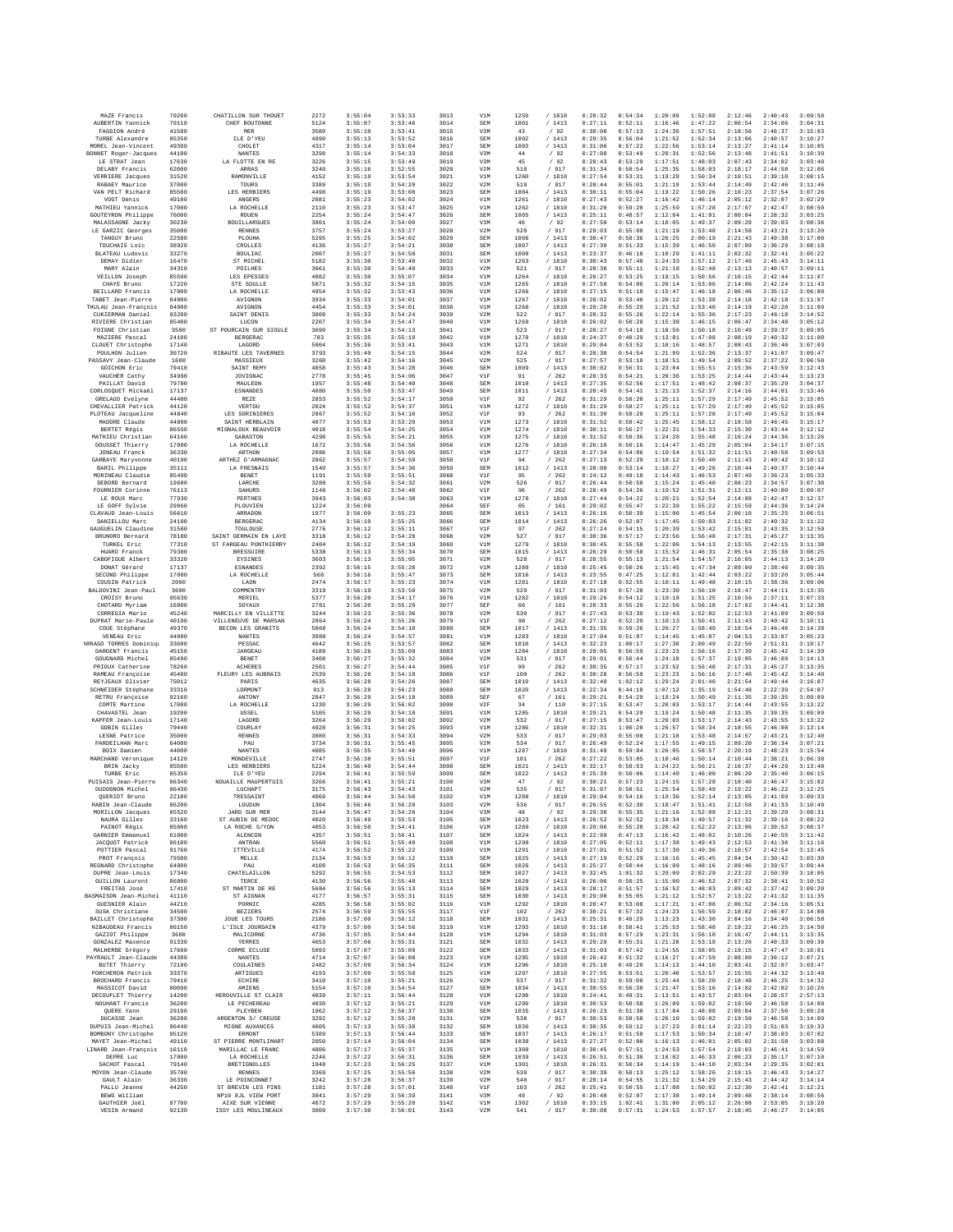|                                                | 79200          | CHATILLON SUR THOUET                      | 2272         | 3:55:04            | 3:53:33            | 3013         | V1M               | 1259         | /1810           | 0:28:32            | 0:54:34            | 1:20:09            | 1:52:08            | 2:12:46            | 2:40:43            | 3:09:50            |
|------------------------------------------------|----------------|-------------------------------------------|--------------|--------------------|--------------------|--------------|-------------------|--------------|-----------------|--------------------|--------------------|--------------------|--------------------|--------------------|--------------------|--------------------|
| AUBERTIN Yannick<br>FAGGION André              | 79110<br>41500 | CHEF BOUTONNE<br>MER                      | 5124<br>3580 | 3:55:07<br>3:55:10 | 3:53:46<br>3:53:41 | 3014<br>3015 | <b>SEM</b><br>V3M | 1001<br>43   | /1413<br>/92    | 0:27:11<br>0:30:00 | 0:52:11<br>0:57:13 | 1:16:46<br>1:24:39 | 1:47:22<br>1:57:51 | 2:06:54<br>2:18:56 | 2:34:06<br>2:46:37 | 3:04:31<br>3:15:03 |
| TURBE Alexandre                                | 85350          | ILE D'YEU                                 | 4990         | 3:55:13            | 3:53:52            | 3016         | SEM               | 1002         | /1413           | 0:29:35            | 0:56:04            | 1:21:52            | 1:52:34            | 2:13:06            | 2:40:57            | 3:10:27            |
| MOREL Jean-Vincent                             | 49300          | CHOLET                                    | 4317         | 3:55:14            | 3:53:04            | 3017         | <b>SEM</b>        | 1003         | /1413           | 0:31:06            | 0:57:22            | 1:22:56            | 1:53:14            | 2:13:27            | 2:41:14            | 3:10:05            |
| BONNET Roger-Jacques                           | 44100          | <b>NANTES</b>                             | 3298         | 3:55:14            | 3:54:33            | 3018         | V3M               | 44           | /92             | 0:27:08            | 0:53:49            | 1:20:31            | 1:52:56            | 2:13:48            | 2:41:51            | 3:10:39            |
| LE STRAT Jean<br>DELABY Francis                | 17630<br>62000 | LA FLOTTE EN RE<br>ARRAS                  | 3226<br>3240 | 3:55:15<br>3:55:16 | 3:53:49<br>3:52:55 | 3019<br>3020 | V3M<br>V2M        | 45<br>518    | /92<br>/ 917    | 0:28:43<br>0:31:34 | 0:53:29<br>0:58:54 | 1:17:51<br>1:25:35 | 1:48:03<br>1:58:03 | 2:07:43<br>2:18:17 | 2:34:02<br>2:44:58 | 3:03:40<br>3:12:06 |
| VERRIERE Jacques                               | 31520          | RAMONVILLE                                | 4152         | 3:55:19            | 3:53:54            | 3021         | V1M               | 1260         | /1810           | 0:27:54            | 0:53:31            | 1:19:29            | 1:50:34            | 2:10:51            | 2:39:10            | 3:08:15            |
| RABAEY Maurice                                 | 37000          | TOURS                                     | 3389         | 3:55:19            | 3:54:20            | 3022         | V2M               | 519          | / 917           | 0:28:44            | 0:55:01            | 1:21:19            | 1:53:44            | 2:14:49            | 2:42:46            | 3:11:46            |
| VAN PELT Richard<br>VOGT Denis                 | 85500          | LES HERBIERS                              | 4498<br>2081 | 3:55:19<br>3:55:23 | 3:53:08<br>3:54:02 | 3023         | SEM               | 1004<br>1261 | /1413<br>/ 1810 | 0:30:11<br>0:27:43 | 0:55:04<br>0:52:27 | 1:19:22<br>1:16:42 | 1:50:26<br>1:46:14 | 2:10:23<br>2:05:12 | 2:37:54<br>2:32:07 | 3:07:26            |
| MATHIEU Yannick                                | 49100<br>17000 | ANGERS<br>LA ROCHELLE                     | 2110         | 3:55:23            | 3:53:47            | 3024<br>3025 | V1M<br>V1M        | 1262         | /1810           | 0:31:20            | 0:59:28            | 1:25:59            | 1:57:28            | 2:17:07            | 2:42:47            | 3:02:29<br>3:08:50 |
| GOUTEYRON Philippe                             | 76000          | ROUEN                                     | 2254         | 3:55:24            | 3:54:47            | 3026         | SEM               | 1005         | / 1413          | 0:25:11            | 0:48:57            | 1:12:04            | 1:41:01            | 2:00:04            | 2:28:32            | 3:03:25            |
| MALASSAGNE Jacky                               | 30230          | <b>BOUILLARGUES</b>                       | 3801         | 3:55:24            | 3:54:00            | 3027         | V3M               | 46           | /92             | 0:27:58            | 0:53:14            | 1:18:05            | 1:49:37            | 2:09:28            | 2:39:03            | 3:08:36            |
| LE GARZIC Georges<br>TANGUY Brunc              | 35000<br>22580 | <b>RENNES</b><br>PLOUHA                   | 3757<br>5295 | 3:55:24<br>3:55:25 | 3:53:27<br>3:54:02 | 3028<br>3029 | V2M<br>SEM        | 520<br>1006  | / 917<br>/1413  | 0:29:03<br>0:30:47 | 0:55:08<br>0:58:36 | 1:21:19<br>1:26:25 | 1:53:48<br>2:00:19 | 2:14:58<br>2:21:43 | 2:43:21<br>2:49:38 | 3:13:20<br>3:17:00 |
| TOUCHAIS Loic                                  | 38920          | CROLLES                                   | 4136         | 3:55:27            | 3:54:21            | 3030         | SEM               | 1007         | /1413           | 0:27:30            | 0:51:33            | 1:15:39            | 1:46:50            | 2:07:09            | 2:36:29            | 3:08:18            |
| <b>BLATEAU</b> Ludovic                         | 33270          | <b>BOULIAC</b>                            | 2007         | 3:55:27            | 3:54:50            | 3031         | SEM               | 1008         | /1413           | 0:23:37            | 0:46:18            | 1:10:29            | 1:41:11            | 2:02:32            | 2:32:41            | 3:05:22            |
| DEMAY Didier                                   | 16470          | ST MICHEL                                 | 5182         | 3:55:30            | 3:53:40            | 3032         | V1M               | 1263         | /1810           | 0:30:43            | 0:57:48            | 1:24:33            | 1:57:12            | 2:17:49            | 2:45:43            | 3:14:11            |
| MARY Alain<br>VEILLON Joseph                   | 34310<br>85590 | POILHES<br>LES EPESSES                    | 3661<br>4082 | 3:55:30<br>3:55:30 | 3:54:40<br>3:55:07 | 3033<br>3034 | V2M<br>V1M        | 521<br>1264  | / 917<br>/ 1810 | 0:28:38<br>0:26:27 | 0:55:11<br>0:53:25 | 1:21:18<br>1:19:15 | 1:52:48<br>1:50:56 | 2:13:13<br>2:16:15 | 2:40:57<br>2:42:44 | 3:09:11<br>3:11:07 |
| CHAVE Bruno                                    | 17220          | STR SOULLE                                | 5071         | 3:55:32            | 3:54:15            | 3035         | V1M               | 1265         | /1810           | 0:27:50            | 0:54:06            | 1:20:14            | 1:53:06            | 2:14:06            | 2:42:24            | 3:11:43            |
| BEILLARD Francis                               | 17000          | LA ROCHELLE                               | 4954         | 3:55:32            | 3:53:43            | 3036         | V1M               | 1266         | /1810           | 0:27:15            | 0:51:18            | 1:15:47            | 1:46:18            | 2:06:46            | 2:35:12            | 3:06:00            |
| TABET Jean-Pierre                              | 84000          | AVIGNON                                   | 3934         | 3:55:33            | 3:54:01            | 3037         | V1M               | 1267         | /1810           | 0:28:02            | 0:53:40            | 1:20:12            | 1:53:38            | 2:14:18            | 2:42:18            | 3:11:07            |
| THULAU Jean-François<br>CUKIERMAN Daniel       | 84000<br>93200 | AVIGNON<br>SAINT DENIS                    | 4454<br>3808 | 3:55:33<br>3:55:33 | 3:54:01<br>3:54:24 | 3038<br>3039 | V1M<br>V2M        | 1268<br>522  | / 1810<br>/917  | 0:29:20<br>0:28:32 | 0:55:29<br>0:55:26 | 1:21:52<br>1:22:14 | 1:53:40<br>1:55:36 | 2:14:19<br>2:17:23 | 2:42:20<br>2:46:18 | 3:11:09<br>3:14:52 |
| RIVIERE Christian                              | 85400          | LUCON                                     | 2207         | 3:55:34            | 3:54:47            | 3040         | V1M               | 1269         | /1810           | 0:26:02            | 0:50:28            | 1:15:38            | 1:46:15            | 2:06:47            | 2:34:48            | 3:05:12            |
| FOIGNE Christian                               | 3500           | ST POURCAIN SUR SIQULE                    | 3690         | 3:55:34            | 3:54:13            | 3041         | V2M               | 523          | / 917           | 0:28:27            | 0:54:10            | 1:18:56            | 1:50:18            | 2:10:49            | 2:39:37            | 3:09:05            |
| MAZIERE Pascal                                 | 24100          | BERGERAC                                  | 783          | 3:55:35            | 3:55:10            | 3042         | V1M               | 1270         | / 1810          | 0:24:37            | 0:48:29            | 1:13:01            | 1:47:08            | 2:08:19            | 2:40:32<br>2:36:40 | 3:11:00            |
| CLOUET Christophe<br>POULHON Julien            | 17140<br>30720 | LAGORD<br>RIBAUTE LES TAVERNES            | 5004<br>3793 | 3:55:36<br>3:55:40 | 3:53:41<br>3:54:15 | 3043<br>3044 | V1M<br>V2M        | 1271<br>524  | / 1810<br>/ 917 | 0:29:04<br>0:28:38 | 0:53:52<br>0:54:54 | 1:18:16<br>1:21:09 | 1:48:57<br>1:52:36 | 2:08:43<br>2:13:37 | 2:41:07            | 3:07:03<br>3:09:47 |
| PASSAVY Jean-Claude                            | 1600           | MASSIEUX                                  | 3260         | 3:55:42            | 3:54:16            | 3045         | V2M               | 525          | / 917           | 0:27:57            | 0:53:10            | 1:18:51            | 1:49:54            | 2:09:52            | 2:37:22            | 3:06:50            |
| GOICHON Eric                                   | 79410          | SAINT REMY                                | 4058         | 3:55:43            | 3:54:28            | 3046         | SEM               | 1009         | /1413           | 0:30:02            | 0:56:31            | 1:23:04            | 1:55:51            | 2:15:36            | 2:43:59            | 3:12:43            |
| VAUCHER Cathy<br>PAILLAT David                 | 34990<br>79700 | JOVIGNAC<br>MAULEON                       | 2778<br>1957 | 3:55:45<br>3:55:48 | 3:54:06<br>3:54:40 | 3047<br>3048 | V1F<br>SEM        | 91<br>1010   | / 262<br>/1413  | 0:28:33<br>0:27:35 | 0:54:21<br>0:52:56 | 1:20:36<br>1:17:51 | 1:53:25<br>1:48:42 | 2:14:44<br>2:08:37 | 2:43:44<br>2:35:29 | 3:13:23<br>3:04:37 |
| CORLOSQUET Mickaël                             | 17137          | <b>ESNANDES</b>                           | 4080         | 3:55:50            | 3:53:47            | 3049         | SEM               | 1011         | /1413           | 0:28:45            | 0:54:41            | 1:21:13            | 1:52:37            | 2:14:16            | 2:44:01            | 3:13:46            |
| GRELAUD Evelyne                                | 44400          | REZE                                      | 2853         | 3:55:52            | 3:54:17            | 3050         | VIF               | 92           | /262            | 0:31:29            | 0:58:28            | 1:25:11            | 1:57:29            | 2:17:49            | 2:45:52            | 3:15:05            |
| CHEVALLIER Patrick                             | 44120          | VERTOU                                    | 2024         | 3:55:52            | 3:54:37            | 3051         | V1M               | 1272         | / 1810          | 0:31:29            | 0:58:27            | 1:25:11            | 1:57:29            | 2:17:49            | 2:45:52            | 3:15:05            |
| PLOTEAU Jacqueline<br>MADORE Claude            | 44840<br>44800 | LES SORINIERES<br>SAINT HERBLAIN          | 2867<br>4077 | 3:55:52<br>3:55:53 | 3:54:16<br>3:53:29 | 3052<br>3053 | V1F<br>V1M        | 93<br>1273   | /262<br>/ 1810  | 0:31:30<br>0:31:52 | 0:58:28<br>0:58:42 | 1:25:11<br>1:25:45 | 1:57:28<br>1:58:12 | 2:17:49<br>2:18:58 | 2:45:52<br>2:46:45 | 3:15:04<br>3:15:17 |
| BERTET Régis                                   | 86550          | MIGNALOUX BEAUVOIF                        | 4018         | 3:55:54            | 3:54:25            | 3054         | V1M               | 1274         | / 1810          | 0:30:11            | 0:56:27            | 1:22:31            | 1:54:33            | 2:15:30            | 2:43:44            | 3:12:12            |
| MATHIEU Christian                              | 64160          | GABASTON                                  | 4298         | 3:55:55            | 3:54:21            | 3055         | V1M               | 1275         | / 1810          | 0:31:52            | 0:58:36            | 1:24:28            | 1:55:48            | 2:16:24            | 2:44:36            | 3:13:26            |
| DOUSSET Thierry                                | 17000          | LA ROCHELLE                               | 1672         | 3:55:56            | 3:54:56            | 3056         | V1M               | 1276         | /1810           | 0:26:10            | 0:50:16            | 1:14:47            | 1:45:29            | 2:05:04            | 2:34:17            | 3:07:15            |
| <b>JONEAU</b> Franck<br>GARBAYE Maryvonne      | 36330<br>40190 | ARTHON<br>ARTHEZ D'ARMAGNAC               | 2086<br>2862 | 3:55:56<br>3:55:57 | 3:55:05<br>3:54:59 | 3057<br>3058 | V1M<br>V1F        | 1277<br>94   | / 1810<br>/262  | 0:27:34<br>0:27:13 | 0:54:06<br>0:52:29 | 1:19:54<br>1:18:12 | 1:51:32<br>1:50:40 | 2:11:51<br>2:11:43 | 2:40:58<br>2:40:42 | 3:09:53<br>3:10:12 |
| BARIL Philippe                                 | 35111          | LA FRESNAIS                               | 1549         | 3:55:57            | 3:54:36            | 3059         | SEM               | 1012         | /1413           | 0:28:00            | 0:53:14            | 1:18:27            | 1:49:26            | 2:10:44            | 2:40:37            | 3:10:44            |
| MORINEAU Claudie                               | 85490          | BENET                                     | 1191         | 3:55:59            | 3:55:51            | 3060         | V1F               | 95           | /262            | 0:24:12            | 0:49:18            | 1:14:43            | 1:46:53            | 2:07:49            | 2:36:23            | 3:05:33            |
| DEBORD Bernard                                 | 19600          | LARCHE                                    | 3280         | 3:55:59            | 3:54:32            | 3061         | V2M               | 526          | / 917           | 0:26:44            | 0:50:58            | 1:15:24            | 1:45:40            | 2:06:23            | 2:34:57            | 3:07:30            |
| FOURNIER Corinne<br>LE ROUX Marc               | 76113<br>77930 | SAHURS<br>PERTHES                         | 1146<br>3943 | 3:56:02<br>3:56:03 | 3:54:40<br>3:54:38 | 3062<br>3063 | V1F<br>V1M        | 96<br>1278   | /262<br>/ 1810  | 0:28:49<br>0:27:44 | 0:54:26<br>0:54:22 | 1:19:52<br>1:20:21 | 1:51:31<br>1:52:54 | 2:12:11<br>2:14:08 | 2:40:00<br>2:42:47 | 3:09:07<br>3:12:37 |
| LE GOFF Sylvie                                 | 29860          | PLOUVIEN                                  | 1224         | 3:56:09            |                    | 3064         | SEF               | 65           | /161            | 0:29:02            | 0:55:47            | 1:22:39            | 1:55:22            | 2:15:59            | 2:44:36            | 3:14:24            |
| CLAVAUD Jean-Louis                             | 56610          | ARRADON                                   | 1977         | 3:56:09            | 3:55:23            | 3065         | SEM               | 1013         | /1413           | 0:26:16            | 0:50:39            | 1:15:06            | 1:45:54            | 2:06:10            | 2:35:25            | 3:06:51            |
| DANIELLOU Marc                                 | 24100          | BERGERAC                                  | 4134         | 3:56:10            | 3:55:25            | 3066         | SEM               | 1014         | /1413           | 0:26:26            | 0:52:07            | 1:17:45            | 1:50:03            | 2:11:02            | 2:40:32            | 3:11:22            |
| GAUGUELIN Claudine<br>BRUNORO Bernard          | 31500<br>78100 | TOULOUSE<br>SAINT GERMAIN EN LAYE         | 2776<br>3318 | 3:56:12<br>3:56:12 | 3:55:11<br>3:54:28 | 3067<br>3068 | V1F<br>V2M        | 97<br>527    | /262<br>/ 917   | 0:27:24<br>0:30:36 | 0:54:15<br>0:57:17 | 1:20:39<br>1:23:56 | 1:53:42<br>1:56:48 | 2:15:01<br>2:17:31 | 2:43:35<br>2:45:27 | 3:12:59<br>3:13:35 |
| TURKEL Eric                                    | 77310          | ST FARGEAU PONTHIERRY                     | 2404         | 3:56:12            | 3:54:19            | 3069         | V1M               | 1279         | / 1810          | 0:30:45            | 0:55:58            | 1:22:06            | 1:54:13            | 2:13:55            | 2:42:15            | 3:11:38            |
| HUARD Franck                                   | 79300          | <b>BRESSUIRE</b>                          | 5338         | 3:56:13            | 3:55:34            | 3070         | SEM               | 1015         | /1413           | 0:26:29            | 0:50:58            | 1:15:52            | 1:46:31            | 2:05:54            | 2:35:38            | 3:08:25            |
| CABOFIGUE Albert                               | 33320          | EYSINES                                   | 3603         | 3:56:13            | 3:55:05            | 3071         | V2M               | 528          | / 917           | 0:28:55            | 0:55:13            | 1:21:54            | 1:54:57            | 2:16:05            | 2:44:13            | 3:14:20            |
| DONAT Gérard<br>SECOND Philippe                | 17137<br>17000 | <b>ESNANDES</b><br>LA ROCHELLE            | 2392<br>568  | 3:56:15<br>3:56:16 | 3:55:28<br>3:55:47 | 3072<br>3073 | V1M<br>SEM        | 1280<br>1016 | / 1810<br>/1413 | 0:25:45<br>0:23:55 | 0:50:26<br>0:47:25 | 1:15:45<br>1:12:01 | 1:47:34<br>1:42:44 | 2:09:00<br>2:03:22 | 2:38:46<br>2:33:20 | 3:09:35<br>3:05:44 |
| COUSIN Patrick                                 | 2000           | LAON                                      | 2474         | 3:56:17            | 3:55:23            | 3074         | V1M               | 1281         | / 1810          | 0:27:18            | 0:52:55            | 1:18:11            | 1:49:48            | 2:10:15            | 2:38:36            | 3:09:06            |
| BALDOVINI Jean-Paul                            | 3600           | <b>COMMENTRY</b>                          | 3319         | 3:56:19            | 3:53:59            | 3075         | V2M               | 529          | /917            | 0:31:03            | 0:57:28            | 1:23:30            | 1:56:10            | 2:16:47            | 2:44:11            | 3:13:35            |
| CROISY Brunc                                   | 95630          | MERIEL                                    | 5377         | 3:56:20            | 3:54:17            | 3076         | V1M               | 1282         | / 1810          | 0:29:26            | 0:54:12            | 1:19:18            | 1:51:25            | 2:10:56            | 2:37:11            | 3:07:33            |
| CHOTARD Myriam<br>CORREGIA Mario               | 16800<br>45240 | SOYAUX<br>MARCILLY EN VILLETTE            | 2781<br>3244 | 3:56:20<br>3:56:23 | 3:55:29<br>3:55:36 | 3077<br>3078 | SEF<br>V2M        | 66<br>530    | /161<br>/ 917   | 0:28:33<br>0:27:43 | 0:55:29<br>0:53:39 | 1:22:56<br>1:19:43 | 1:56:18<br>1:52:02 | 2:17:02<br>2:12:53 | 2:44:41<br>2:41:09 | 3:12:38<br>3:09:59 |
| DUPRAT Marie-Paule                             | 40190          | VILLENEUVE DE MARSAN                      | 2864         | 3:56:24            | 3:55:26            | 3079         | V1F               | 98           | /262            | 0:27:12            | 0:52:29            | 1:18:13            | 1:50:41            | 2:11:43            | 2:40:42            | 3:10:11            |
| COUE Stéphane                                  | 49370          | BECON LES GRANITS                         | 5068         | 3:56:24            | 3:54:10            | 3080         | SEM               | 1017         | /1413           | 0:31:35            | 0:59:26            | 1:26:27            | 1:58:49            | 2:18:54            | 2:46:46            | 3:14:28            |
| VENEAU Eric                                    | 44000          | NANTES                                    | 3980         | 3:56:24            | 3:54:57            | 3081         | V1M               | 1283         | /1810           | 0:27:04            | 0:51:07            | 1:14:45            | 1:45:07            | 2:04:53            | 2:33:07            | 3:05:23            |
| ARRAGO TORRES Dominiqu<br>DARGENT Francis      | 33600<br>45150 | PESSAC<br><b>JARGEAU</b>                  | 4642<br>4189 | 3:56:25<br>3:56:26 | 3:53:57<br>3:55:09 | 3082<br>3083 | SEM<br>V1M        | 1018<br>1284 | /1413<br>/ 1810 | 0:32:23<br>0:29:05 | 1:00:17<br>0:56:59 | 1:27:38<br>1:23:23 | 2:00:49<br>1:56:16 | 2:22:50<br>2:17:39 | 2:51:31<br>2:45:42 | 3:19:17<br>3:14:39 |
| GOUGNARD Michel                                | 85490          | <b>BENET</b>                              | 3408         | 3:56:27            | 3:55:32            | 3084         | V2M               | 531          | / 917           | 0:29:01            | 0:56:44            | 1:24:10            | 1:57:37            | 2:19:05            | 2:46:09            | 3:14:13            |
| PRIOUX Catherine                               | 78260          | <b>ACHERES</b>                            | 2501         | 3:56:27            | 3:54:44            | 3085         | V1F               | 99           | /262            | 0:30:35            | 0:57:17            | 1:23:52            | 1:56:48            | 2:17:31            | 2:45:27            | 3:13:35            |
| RAMEAU Françoise                               | 45400          | FLEURY LES AUBRAIS                        | 2539         | 3:56:28            | 3:54:18            | 3086         | V1F               | 100          | / 262           | 0:30:28            | 0:56:59            | 1:23:23            | 1:56:16            | 2:17:40            | 2:45:42            | 3:14:40            |
| REYJEAUX Olivier<br>SCHNEIDER Stéphane         | 75012<br>33310 | PARIS                                     | 4635<br>913  | 3:56:28<br>3:56:28 | 3:54:26<br>3:56:23 | 3087<br>3088 | SEM<br>SEM        | 1019<br>1020 | /1413<br>/1413  | 0:32:40<br>0:22:34 | 1:02:12<br>0:44:18 | 1:29:24<br>1:07:12 | 2:01:40<br>1:35:19 | 2:21:54            | 2:49:44<br>2:22:39 | 3:16:07<br>2:54:07 |
|                                                |                |                                           |              |                    |                    | 3089         |                   |              |                 |                    |                    |                    |                    |                    |                    |                    |
| RETRU Françoise                                | 92160          | LORMON'I<br>ANTONY                        | 2847         | 3:56:29            | 3:54:18            |              | SEF               | 67           | /161            | 0:29:21            | 0:54:29            | 1:19:24            | 1:50:49            | 1:54:48<br>2:11:35 | 2:39:35            | 3:09:09            |
| COMTE Martine                                  | 17000          | LA ROCHELLE                               | 1230         | 3:56:29            | 3:56:02            | 3090         | V2F               | 34           | /110            | 0:27:15            | 0:53:47            | 1:20:03            | 1:53:17            | 2:14:44            | 2:43:55            | 3:13:22            |
| CHAVASTEL Jean                                 | 19200          | USSEL                                     | 5105         | 3:56:29            | 3:54:18            | 3091         | V1M               | 1285         | / 1810          | 0:29:21            | 0:54:29            | 1:19:24            | 1:50:48            | 2:11:35            | 2:39:35            | 3:09:09            |
| KAPFER Jean-Louis                              | 17140          | LAGORD                                    | 3264         | 3:56:29            | 3:56:02            | 3092         | V2M               | 532          | / 917           | 0:27:15            | 0:53:47            | 1:20:03            | 1:53:17            | 2:14:43            | 2:43:55            | 3:13:22            |
| GOBIN Gilles<br>LESNE Patrice                  | 79440<br>35000 | COURLAY<br><b>RENNES</b>                  | 4928<br>3080 | 3:56:31<br>3:56:31 | 3:54:25<br>3:54:33 | 3093<br>3094 | V1M<br>V2M        | 1286<br>533  | / 1810<br>/ 917 | 0:32:31<br>0:29:03 | 1:00:28<br>0:55:08 | 1:26:57<br>1:21:18 | 1:58:34<br>1:53:48 | 2:18:55<br>2:14:57 | 2:46:08<br>2:43:21 | 3:13:14<br>3:12:40 |
| PARDEILHAN Marc                                | 64000          | PAU                                       | 3734         | 3:56:31            | 3:55:45            | 3095         | V2M               | 534          | / 917           | 0:26:49            | 0:52:24            | 1:17:55            | 1:49:15            | 2:09:20            | 2:36:34            | 3:07:21            |
| BOIX Damien                                    | 44000          | <b>NANTES</b>                             | 4085         | 3:56:35            | 3:54:40            | 3096         | V1M               | 1287         | /1810           | 0:31:49            | 0:59:04            | 1:26:05            | 1:58:57            | 2:20:19            | 2:48:23            | 3:15:54            |
| MARCHAND Véronique<br><b>BRIN</b> Jacky        | 14120<br>85500 | MONDEVILLE<br>LES HERBIERS                | 2747<br>5224 | 3:56:38<br>3:56:40 | 3:55:51<br>3:54:44 | 3097<br>3098 | V1F<br>SEM        | 101<br>1021  | /262<br>/1413   | 0:27:22<br>0:32:17 | 0:53:05<br>0:58:53 | 1:18:46<br>1:24:22 | 1:50:14<br>1:56:21 | 2:10:44<br>2:16:37 | 2:38:21<br>2:44:29 | 3:06:38<br>3:13:48 |
| TURBE Eric                                     | 85350          | ILE D'YEU                                 | 2294         | 3:56:41            | 3:55:59            | 3099         | <b>SEM</b>        | 1022         | /1413           | 0:25:39            | 0:50:06            | 1:14:40            | 1:46:00            | 2:06:20            | 2:35:40            | 3:06:15            |
| PUISAIS Jean-Pierre                            | 86340          | NOUAILLE MAUPERTUIS                       | 3266         | 3:56:41            | 3:55:21            | 3100         | V3M               | 47           | /92             | 0:30:21            | 0:57:23            | 1:24:15            | 1:57:28            | 2:18:40            | 2:46:47            | 3:15:02            |
| DUDOGNON Michel                                | 86430          | LUCHAPT                                   | 3175         | 3:56:43            | 3:54:43            | 3101         | V2M               | 535          | / 917           | 0:31:07            | 0:58:51<br>0:54:16 | 1:25:54            | 1:58:49<br>1:52:14 | 2:19:22            | 2:46:22<br>2:41:09 | 3:12:25            |
| QUERIOT Bruno<br>RABIN Jean-Claude             | 22100<br>86200 | TRESSAINT<br>LOUDUN                       | 4069<br>1304 | 3:56:44<br>3:56:46 | 3:54:50<br>3:56:20 | 3102<br>3103 | V1M<br>V2M        | 1288<br>536  | / 1810          | 0:29:04<br>0:26:55 | 0:52:38            | 1:19:36<br>1:18:47 | 1:51:41            | 2:13:05<br>2:12:58 | 2:41:33            | 3:09:33<br>3:10:49 |
| MORILLON Jacques                               | 85520          | JARD SUR MER                              | 3144         | 3:56:47            | 3:54:26            | 3104         | V3M               | 48           | $/$ 917<br>/92  | 0:29:38            | 0:55:35            | 1:21:16            | 1:52:08            | 2:12:21            | 2:39:20            | 3:08:31            |
| NAURA Gilles                                   | 33160          | ST AUBIN DE MEDOC                         | 4020         | 3:56:49            | 3:55:53            | 3105         | SEM               | 1023         | /1413           | 0:26:52            | 0:52:52            | 1:18:34            | 1:49:57            | 2:11:32            | 2:39:16            | 3:08:22            |
| PAINOT Régis<br>GARNIER Emmanuel               | 85000<br>61000 | LA ROCHE S/YON<br>ALENCON                 | 4053<br>4357 | 3:56:50<br>3:56:51 | 3:54:41<br>3:56:41 | 3106<br>3107 | V1M<br><b>SEM</b> | 1289<br>1024 | / 1810<br>/1413 | 0:29:06<br>0:22:09 | 0:55:28<br>0:47:13 | 1:20:42<br>1:16:42 | 1:52:22<br>1:48:02 | 2:13:06<br>2:10:26 | 2:39:52<br>2:40:55 | 3:08:37<br>3:11:42 |
| JACQUOT Patrick                                | 86100          | ANTRAN                                    | 5560         | 3:56:51            | 3:55:40            | 3108         | V1M               | 1290         | / 1810          | 0:27:05            | 0:52:11            | 1:17:38            | 1:49:43            | 2:12:53            | 2:41:36            | 3:11:16            |
| POTTIER Pascal                                 | 91760          | ITTEVILLE                                 | 4174         | 3:56:52            | 3:55:22            | 3109         | V1M               | 1291         | / 1810          | 0:27:01            | 0:51:52            | 1:17:30            | 1:49:36            | 2:10:57            | 2:42:54            | 3:13:45            |
| PROT Francois                                  | 79500          | MELLE                                     | 2134         | 3:56:53            | 3:56:12            | 3110         | <b>SEM</b>        | 1025         | /1413           | 0:27:19            | 0:52:29            | 1:16:16            | 1:45:45            | 2:04:34            | 2:30:42            | 3:03:30            |
| REGNARD Christophe<br>DUPRE Jean-Louis         | 64000<br>17340 | PAU<br>CHATELAILLON                       | 4108<br>5292 | 3:56:53<br>3:56:55 | 3:56:35<br>3:54:53 | 3111<br>3112 | SEM<br>SEM        | 1026<br>1027 | / 1413<br>/1413 | 0:25:27<br>0:32:45 | 0:50:44<br>1:01:32 | 1:16:09<br>1:29:09 | 1:48:16<br>2:02:29 | 2:09:46<br>2:23:22 | 2:39:57<br>2:50:39 | 3:09:44<br>3:18:05 |
| <b>GUILLON</b> Laurent                         | 86800          | TERCE                                     | 4130         | 3:56:56            | 3:55:48            | 3113         | SEM               | 1028         | /1413           | 0:26:06            | 0:50:25            | 1:15:00            | 1:46:52            | 2:07:32            | 2:38:41            | 3:10:52            |
| FREITAS José                                   | 17410          | ST MARTIN DE RE                           | 5684         | 3:56:56            | 3:55:13            | 3114         | <b>SEM</b>        | 1029         | /1413           | 0:28:17            | 0:51:57            | 1:16:52            | 1:48:03            | 2:09:42            | 2:37:42            | 3:09:20            |
| BASMAISON Jean-Michel<br><b>GUESNIER Alain</b> | 41110<br>44210 | ST AIGNAN<br>PORNIC                       | 4177<br>4285 | 3:56:57<br>3:56:58 | 3:55:31<br>3:55:02 | 3115<br>3116 | SEM<br>V1M        | 1030<br>1292 | /1413<br>/ 1810 | 0:29:08<br>0:28:47 | 0:55:05<br>0:53:08 | 1:21:12<br>1:17:21 | 1:52:57<br>1:47:08 | 2:13:22<br>2:06:52 | 2:41:32<br>2:34:16 | 3:11:35<br>3:05:51 |
| SUSA Christiane                                | 34500          | <b>BEZIERS</b>                            | 2574         | 3:56:59            | 3:55:55            | 3117         | V1F               | 102          | /262            | 0:30:21            | 0:57:32            | 1:24:23            | 1:56:59            | 2:18:02            | 2:46:07            | 3:14:08            |
| <b>BAILLET</b> Christophe                      | 37300          | JOUE LES TOURS                            | 2186         | 3:57:00            | 3:56:12            | 3118         | SEM               | 1031         | /1413           | 0:25:31            | 0:49:29            | 1:13:23            | 1:43:30            | 2:04:16            | 2:34:40            | 3:06:58            |
| NIBAUDEAU Francis<br>GAZIOT Philippe           | 86150<br>3600  | L'ISLE JOURDAIN<br>MALICORNE              | 4379         | 3:57:00<br>3:57:05 | 3:54:56<br>3:54:44 | 3119<br>3120 | V1M<br>V1M        | 1293         | / 1810          | 0:31:10<br>0:31:03 | 0:58:41<br>0:57:29 | 1:25:53            | 1:58:48            | 2:19:22            | 2:46:25<br>2:44:11 | 3:14:50            |
| GONZALEZ Maxence                               | 91330          | YERRES                                    | 4736<br>4653 | 3:57:06            | 3:55:31            | 3121         | <b>SEM</b>        | 1294<br>1032 | / 1810<br>/1413 | 0:29:29            | 0:55:31            | 1:23:31<br>1:21:28 | 1:56:10<br>1:53:18 | 2:16:47<br>2:13:26 | 2:40:33            | 3:13:35<br>3:09:36 |
| MALHERBE Grégory                               | 17600          | CORME ECLUSE                              | 5093         | 3:57:07            | 3:55:09            | 3122         | SEM               | 1033         | /1413           | 0:31:03            | 0:57:42            | 1:24:55            | 1:58:05            | 2:19:15            | 2:47:47            | 3:16:01            |
| PAYRAULT Jean-Claude                           | 44300          | <b>NANTES</b>                             | 4714         | 3:57:07            | 3:56:08            | 3123         | V1M               | 1295         | / 1810          | 0:26:42            | 0:51:32            | 1:16:27            | 1:47:59            | 2:08:00            | 2:36:12            | 3:07:21            |
| BUTET Thierry<br>PORCHERON Patrick             | 72190<br>33370 | COULAINES<br>ARTIGUES                     | 2482<br>4193 | 3:57:09<br>3:57:09 | 3:56:34<br>3:55:50 | 3124<br>3125 | V1M<br>V1M        | 1296<br>1297 | / 1810<br>/1810 | 0:25:10<br>0:27:55 | 0:49:28<br>0:53:51 | 1:14:13<br>1:20:40 | 1:44:10<br>1:53:57 | 2:03:41<br>2:15:55 | 2:32:07<br>2:44:32 | 3:03:47<br>3:13:49 |
| BROCHARD Francis                               | 79410          | ECHIRE                                    | 3410         | 3:57:10            | 3:55:21            | 3126         | V2M               | 537          | / 917           | 0:31:32            | 0:59:00            | 1:25:44            | 1:58:20            | 2:18:48            | 2:46:25            | 3:14:32            |
| MASSICOT David                                 | 80090          | AMIENS                                    | 5154         | 3:57:10            | 3:54:54            | 3127         | SEM               | 1034         | /1413           | 0:30:55            | 0:56:38            | 1:21:47            | 1:53:16            | 2:14:02            | 2:42:02            | 3:10:26            |
| DECOUFLET Thierry                              | 14200          | HEROUVILLE ST CLAIR                       | 4839         | 3:57:11            | 3:56:44            | 3128         | V1M               | 1298         | /1810           | 0:24:41            | 0:49:31            | 1:13:51            | 1:43:57            | 2:03:04            | 2:28:57            | 2:57:13            |
| NOUHANT Francis<br>QUERE Yann                  | 36200<br>29190 | LE PECHEREAU<br>PLEYBEN                   | 4030<br>1962 | 3:57:12<br>3:57:12 | 3:55:21<br>3:56:37 | 3129<br>3130 | V1M<br>SEM        | 1299<br>1035 | / 1810<br>/1413 | 0:30:53<br>0:26:23 | 0:58:58<br>0:51:30 | 1:26:09<br>1:17:04 | 1:59:02<br>1:48:08 | 2:19:50<br>2:09:04 | 2:46:58<br>2:37:50 | 3:14:09<br>3:09:28 |
| DUCASSE Jean                                   | 36200          | ARGENTON S/ CREUSE                        | 3292         | 3:57:12            | 3:55:20            | 3131         | V2M               | 538          | / 917           | 0:30:53            | 0:58:58            | 1:26:10            | 1:59:02            | 2:19:50            | 2:46:58            | 3:14:09            |
| DUPUIS Jean-Michel                             | 86440          | MIGNE AUXANCES                            | 4605         | 3:57:13            | 3:55:30            | 3132         | <b>SEM</b>        | 1036         | /1413           | 0:30:35            | 0:59:12            | 1:27:23            | 2:01:14            | 2:22:23            | 2:51:03            | 3:19:33            |
| BOMBONY Christophe                             | 95120          | ERMONT                                    | 5389         | 3:57:13            | 3:56:44            | 3133         | SEM               | 1037         | / 1413          | 0:26:17            | 0:51:58            | 1:17:53            | 1:50:34            | 2:10:47            | 2:38:03            | 3:07:02            |
| MAYET Jean-Michel<br>LINARD Jean-Francois      | 49110<br>16110 | ST PIERRE MONTLIMART<br>MARILLAC LE FRANC | 2050<br>4806 | 3:57:14<br>3:57:17 | 3:56:04<br>3:55:37 | 3134<br>3135 | SEM<br>V1M        | 1038<br>1300 | /1413<br>/1810  | 0:27:27<br>0:30:45 | 0:52:00<br>0:57:51 | 1:16:13<br>1:24:53 | 1:46:01<br>1:57:54 | 2:05:02<br>2:19:03 | 2:31:58<br>2:46:41 | 3:03:08<br>3:14:59 |
| DEPRE Luc                                      | 17000          | LA ROCHELLE                               | 2246         | 3:57:22            | 3:56:31            | 3136         | SEM               | 1039         | /1413           | 0:26:51            | 0:51:30            | 1:16:02            | 1:46:33            | 2:06:23            | 2:35:17            | 3:07:10            |
| SACHOT Pascal                                  | 79140          | <b>BRETIGNOLLES</b>                       | 1948         | 3:57:23            | 3:56:25            | 3137         | V1M               | 1301         | / 1810          | 0:26:31            | 0:50:34            | 1:14:19            | 1:44:10            | 2:03:34            | 2:29:35            | 3:02:01            |
| MOYON Jean-Claude<br>GAULT Alain               | 35700<br>36330 | <b>RENNES</b><br>LE POINCONNET            | 3369<br>3242 | 3:57:25<br>3:57:28 | 3:55:56<br>3:56:37 | 3138<br>3139 | V2M<br>V2M        | 539<br>540   | / 917<br>/ 917  | 0:30:39<br>0:28:14 | 0:58:13<br>0:54:55 | 1:25:12<br>1:21:32 | 1:58:26<br>1:54:29 | 2:19:15<br>2:15:43 | 2:46:43<br>2:44:42 | 3:14:27<br>3:14:14 |
| PALLU Jeanne                                   | 44250          | ST BREVIN LES PINS                        | 1181         | 3:57:28            | 3:57:01            | 3140         | V1F               | 103          | /262            | 0:25:41            | 0:50:55            | 1:17:08            | 1:50:02            | 2:12:30            | 2:42:41            | 3:12:21            |
| BEWG William                                   |                | NP10 8JL VIEW PORT                        | 3041         | 3:57:29            | 3:56:39            | 3141         | V3M               | 49           | /92             | 0:26:48            | 0:52:07            | 1:17:38            | 1:49:14            | 2:09:48            | 2:38:14            | 3:08:56            |
| GAUTHIER Joël<br>VESIN Armand                  | 87700<br>92130 | AIXE SUR VIENNE<br>ISSY LES MOULINEAUX    | 4072<br>3809 | 3:57:29<br>3:57:30 | 3:55:20<br>3:56:01 | 3142<br>3143 | V1M<br>V2M        | 1302<br>541  | / 1810<br>/ 917 | 0:33:15<br>0:30:08 | 1:02:41<br>0:57:31 | 1:31:00<br>1:24:53 | 2:05:12<br>1:57:57 | 2:26:08<br>2:18:45 | 2:53:05<br>2:46:27 | 3:19:28<br>3:14:05 |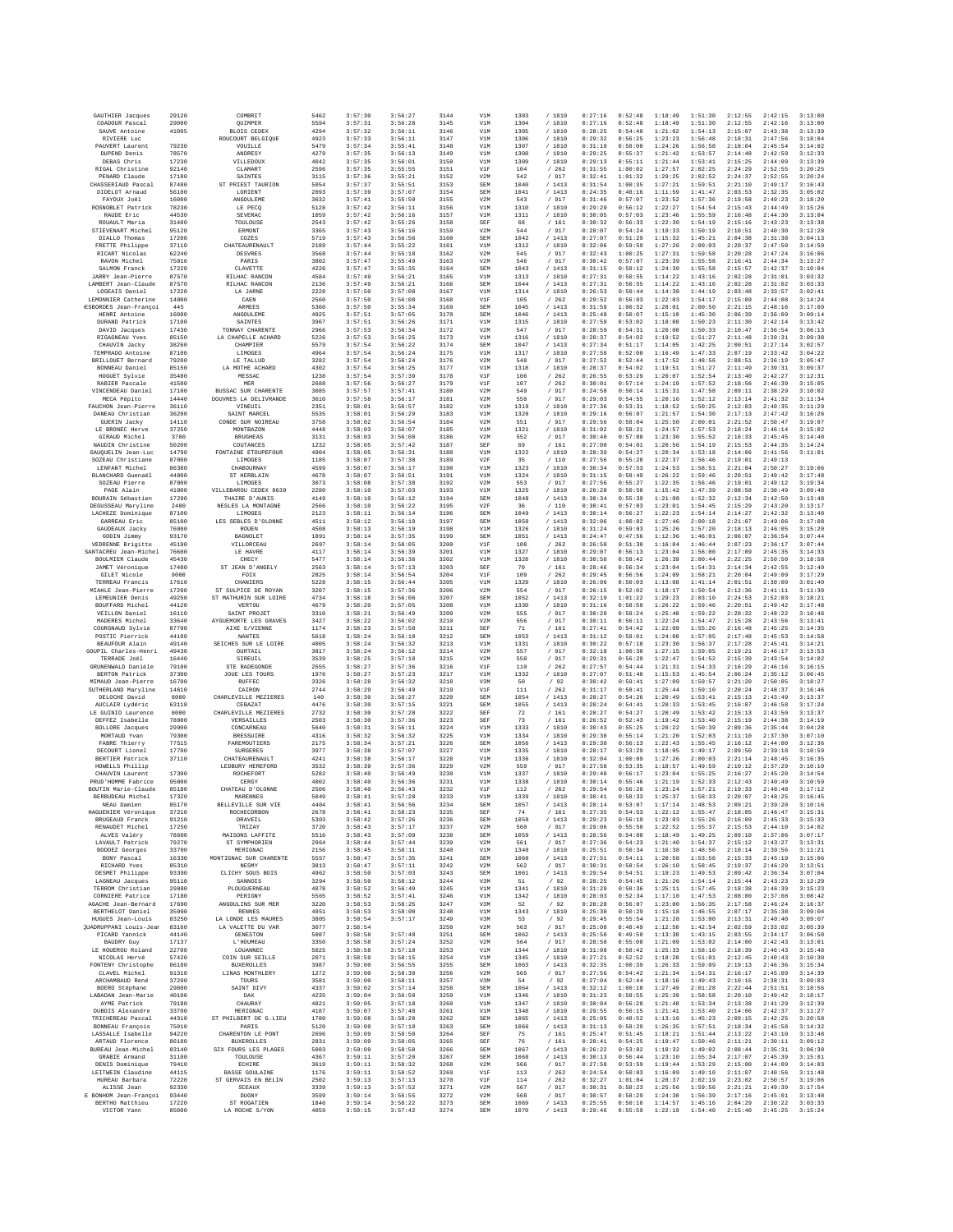| GAUTHIER Jacques                            | 29120          | COMBRIT                                             | 5462         | 3:57:30            | 3:56:27            | 3144         | V1M                      | 1303         | /1810            | 0:27:16            | 0:52:48            | 1:18:49            | 1:51:30            | 2:12:55            | 2:42:15            | 3:13:00            |
|---------------------------------------------|----------------|-----------------------------------------------------|--------------|--------------------|--------------------|--------------|--------------------------|--------------|------------------|--------------------|--------------------|--------------------|--------------------|--------------------|--------------------|--------------------|
| COADOUR Pascal<br>SAUVE Antoine             | 29000<br>41005 | OUIMPER<br><b>BLOIS CEDEX</b>                       | 5594<br>4294 | 3:57:31<br>3:57:32 | 3:56:28<br>3:56:11 | 3145<br>3146 | V1M<br>V1M               | 1304<br>1305 | /1810<br>/1810   | 0:27:16<br>0:28:25 | 0:52:48<br>0:54:40 | 1:18:49<br>1:21:02 | 1:51:30<br>1:54:13 | 2:12:55<br>2:15:07 | 2:42:16<br>2:43:38 | 3:13:00<br>3:13:39 |
| RIVIERE Luc                                 |                | ROUCOURT BELGIQUE                                   | 4923         | 3:57:33            | 3:56:11            | 3147         | V1M                      | 1306         | / 1810           | 0:29:32            | 0:56:25            | 1:23:23            | 1:56:48            | 2:18:31            | 2:47:56            | 3:18:04            |
| PAUVERT Laurent                             | 79230          | VOUILLE                                             | 5479         | 3:57:34            | 3:55:41            | 3148         | V1M                      | 1307         | / 1810           | 0:31:10            | 0:58:00            | 1:24:26            | 1:56:58            | 2:18:04            | 2:45:54            | 3:14:02            |
| DUPEND Denis<br>DEBAS Chris                 | 78570<br>17230 | ANDRESY<br>VILLEDOUX                                | 4279<br>4042 | 3:57:35<br>3:57:35 | 3:56:13<br>3:56:01 | 3149<br>3150 | V1M<br>V1M               | 1308<br>1309 | / 1810<br>/ 1810 | 0:29:25<br>0:29:13 | 0:55:37<br>0:55:11 | 1:21:42<br>1:21:44 | 1:53:57<br>1:53:41 | 2:14:48<br>2:15:25 | 2:42:59<br>2:44:05 | 3:12:33<br>3:13:39 |
| RIGAL Christine                             | 92140          | CLAMART                                             | 2596         | 3:57:35            | 3:55:55            | 3151         | V1F                      | 104          | /262             | 0:31:55            | 1:00:02            | 1:27:57            | 2:02:25            | 2:24:29            | 2:52:55            | 3:20:25            |
| PENARD Claude                               | 17100          | <b>SAINTES</b>                                      | 3115         | 3:57:36            | 3:55:21            | 3152         | V2M                      | 542          | /917             | 0:32:41            | 1:01:32            | 1:29:25            | 2:02:52            | 2:24:37            | 2:52:55            | 3:20:24            |
| CHASSERIAUD Pascal<br>DIDELOT Arnaud        | 87480<br>56100 | ST PRIEST TAURION<br>LORIENT                        | 5054<br>2093 | 3:57:37<br>3:57:39 | 3:55:51<br>3:57:07 | 3153<br>3154 | SEM<br>SEM               | 1040<br>1041 | / 1413<br>/1413  | 0:31:54<br>0:24:35 | 1:00:35<br>0:48:16 | 1:27:21<br>1:11:59 | 1:59:51<br>1:41:47 | 2:21:10<br>2:03:53 | 2:49:17<br>2:32:35 | 3:16:43<br>3:05:02 |
| FAYOUX Joël                                 | 16000          | ANGOULEME                                           | 3632         | 3:57:41            | 3:55:50            | 3155         | V2M                      | 543          | / 917            | 0:31:46            | 0:57:07            | 1:23:52            | 1:57:36            | 2:19:58            | 2:49:23            | 3:18:20            |
| ROSNOBLET Patrick                           | 78230          | LE PECO                                             | 5128         | 3:57:42            | 3:56:11            | 3156         | V1M                      | 1310         | /1810            | 0:29:29            | 0:56:12            | 1:22:27            | 1:54:54            | 2:15:43            | 2:44:49            | 3:15:26            |
| RAUDE Eric<br>ROUAULT Maria                 | 44530<br>31400 | SEVERAC<br>TOULOUSE                                 | 1059<br>2543 | 3:57:42<br>3:57:42 | 3:56:16<br>3:55:26 | 3157<br>3158 | V1M<br>SEF               | 1311<br>68   | / 1810<br>/161   | 0:30:05<br>0:30:32 | 0:57:03<br>0:56:33 | 1:23:46<br>1:22:30 | 1:55:59<br>1:54:19 | 2:16:48<br>2:15:16 | 2:44:30<br>2:43:23 | 3:13:04<br>3:13:38 |
| STIEVENART Michel                           | 95120          | ERMONT                                              | 3365         | 3:57:43            | 3:56:16            | 3159         | V2M                      | 544          | / 917            | 0:28:07            | 0:54:24            | 1:19:33            | 1:50:19            | 2:10:51            | 2:40:30            | 3:12:28            |
| DIALLO Thomas                               | 17200          | COZES                                               | 5719         | 3:57:43            | 3:56:56            | 3160         | SEM                      | 1042         | /1413            | 0:27:07            | 0:51:29            | 1:15:32            | 1:45:21            | 2:04:38            | 2:31:38            | 3:04:13            |
| FRETTE Philippe<br>RICART Nicolas           | 37110<br>62240 | CHATEAURENAULT<br><b>DESVRES</b>                    | 2189<br>3568 | 3:57:44<br>3:57:44 | 3:55:22<br>3:55:18 | 316<br>3162  | V1M<br>V <sub>2</sub> M  | 1312<br>545  | / 1810<br>/ 917  | 0:32:06<br>0:32:43 | 0:59:59<br>1:00:25 | 1:27:26<br>1:27:31 | 2:00:03<br>1:59:58 | 2:20:37<br>2:20:28 | 2:47:50<br>2:47:24 | 3:14:59<br>3:16:06 |
| RAVON Michel                                | 75016          | PARIS                                               | 3802         | 3:57:47            | 3:55:49            | 3163         | V2M                      | 546          | /917             | 0:30:42            | 0:57:07            | 1:23:39            | 1:55:58            | 2:16:41            | 2:44:34            | 3:13:27            |
| SALMON Franck                               | 17220          | CLAVETTE                                            | 4226         | 3:57:47            | 3:55:35            | 3164         | <b>SEM</b>               | 1043         | / 1413           | 0:31:15            | 0:58:12            | 1:24:30            | 1:55:58            | 2:15:57            | 2:42:37            | 3:10:04            |
| JARRY Jean-Pierre<br>LAMBERT Jean-Claude    | 87570<br>87570 | RILHAC RANCON<br>RILHAC RANCON                      | 4584<br>2136 | 3:57:49<br>3:57:49 | 3:56:21<br>3:56:21 | 3165<br>3166 | V1M<br><b>SEM</b>        | 1313<br>1044 | / 1810<br>/1413  | 0:27:31<br>0:27:31 | 0:50:55<br>0:50:55 | 1:14:22<br>1:14:22 | 1:43:16<br>1:43:16 | 2:02:28<br>2:02:28 | 2:31:01<br>2:31:02 | 3:03:32<br>3:03:33 |
| LOGEAIS Daniel                              | 17220          | LA JARNE                                            | 2228         | 3:57:50            | 3:57:08            | 3167         | V1M                      | 1314         | / 1810           | 0:26:53            | 0:50:44            | 1:14:38            | 1:44:19            | 2:03:48            | 2:33:57            | 3:02:41            |
| LEMONNIER Catherine                         | 14000          | CAEN                                                | 2560         | 3:57:50            | 3:56:08            | 3168         | V1F                      | 105          | /262             | 0:29:52            | 0:56:03            | 1:22:03            | 1:54:17            | 2:15:09            | 2:44:08            | 3:14:24            |
| ESBORDES Jean-Françoi<br>HENRI Antoine      | 445<br>16000   | ARMEES<br>ANGOULEME                                 | 5360<br>4925 | 3:57:50<br>3:57:51 | 3:55:34<br>3:57:05 | 3169<br>3170 | <b>SEM</b><br><b>SEM</b> | 1045<br>1046 | /1413<br>/1413   | 0:31:59<br>0:25:48 | 1:00:32<br>0:50:07 | 1:28:01<br>1:15:10 | 2:00:50<br>1:45:30 | 2:21:15<br>2:06:39 | 2:48:16<br>2:36:09 | 3:17:09<br>3:09:14 |
| DURAND Patrick                              | 17100          | SAINTES                                             | 3967         | 3:57:51            | 3:56:26            | 3171         | V1M                      | 1315         | / 1810           | 0:27:59            | 0:53:02            | 1:18:08            | 1:50:23            | 2:11:30            | 2:42:14            | 3:13:42            |
| DAVID Jacques                               | 17430<br>85150 | TONNAY CHARENTE<br>LA CHAPELLE ACHARD               | 2966<br>5226 | 3:57:53<br>3:57:53 | 3:56:34            | 3172<br>3173 | V2M<br>V1M               | 547<br>1316  | / 917<br>/ 1810  | 0:28:59<br>0:28:37 | 0:54:31<br>0:54:02 | 1:20:00<br>1:19:52 | 1:50:33<br>1:51:27 | 2:10:47<br>2:11:48 | 2:36:54<br>2:39:31 | 3:06:13<br>3:09:38 |
| RIGAGNEAU Yves<br>CHAUVIN Jacky             | 38260          | CHAMPIER                                            | 5579         | 3:57:54            | 3:56:25<br>3:56:22 | 3174         | SEM                      | 1047         | /1413            | 0:27:34            | 0:51:17            | 1:14:05            | 1:42:25            | 2:00:51            | 2:27:14            | 3:02:57            |
| TEMPRADO Antoine                            | 87100          | LIMOGES                                             | 4964         | 3:57:54            | 3:56:24            | 3175         | V1M                      | 1317         | / 1810           | 0:27:58            | 0:52:00            | 1:16:49            | 1:47:33            | 2:07:19            | 2:33:42            | 3:04:22            |
| BRILLOUET Bernard                           | 79200          | LE TALLUD                                           | 3282         | 3:57:54            | 3:56:24            | 3176         | V2M                      | 548          | / 917            | 0:27:52            | 0:52:44            | 1:17:52            | 1:48:56            | 2:08:51            | 2:36:19            | 3:05:47            |
| BONNEAU Daniel<br>HOGUET Sylvie             | 85150<br>35480 | LA MOTHE ACHARD<br>MESSAC                           | 4302<br>1238 | 3:57:54<br>3:57:54 | 3:56:25<br>3:57:39 | 3177<br>3178 | V1M<br>V1F               | 1318<br>106  | /1810<br>/262    | 0:28:37<br>0:26:55 | 0:54:02<br>0:53:29 | 1:19:51<br>1:20:07 | 1:51:27<br>1:52:54 | 2:11:49<br>2:13:40 | 2:39:31<br>2:42:27 | 3:09:37<br>3:12:31 |
| RABIER Pascale                              | 41500          | MER                                                 | 2688         | 3:57:56            | 3:56:27            | 3179         | V1F                      | 107          | /262             | 0:30:01            | 0:57:14            | 1:24:19            | 1:57:52            | 2:18:56            | 2:46:39            | 3:15:05            |
| VINCENDEAU Daniel<br>MECA Pépito            | 17100<br>14440 | <b>BUSSAC SUR CHARENTE</b><br>DOUVRES LA DELIVRANDE | 3085<br>3610 | 3:57:57<br>3:57:58 | 3:57:41<br>3:56:17 | 3180<br>3181 | V2M<br>V2M               | 549<br>550   | / 917<br>/ 917   | 0:24:58<br>0:29:03 | 0:50:14<br>0:54:55 | 1:15:31<br>1:20:16 | 1:47:58<br>1:52:12 | 2:09:11<br>2:13:14 | 2:38:29<br>2:41:32 | 3:10:02<br>3:11:34 |
| FAUCHON Jean-Pierr                          | 36110          | VINEUIL                                             | 2351         | 3:58:01            | 3:56:57            | 3182         | V1M                      | 1319         | / 1810           | 0:27:36            | 0:53:31            | 1:18:52            | 1:50:25            | 2:12:03            | 2:40:35            | 3:11:29            |
| DANEAU Christian                            | 36200          | SAINT MARCEL                                        | 5535         | 3:58:01            | 3:56:29            | 3183         | V1M                      | 1320         | / 1810           | 0:29:16            | 0:56:07            | 1:21:57            | 1:54:30            | 2:17:13            | 2:47:42            | 3:16:26            |
| <b>GUERIN</b> Jacky<br>LE BRONEC Herve      | 14110<br>37250 | CONDE SUR NOIREAU<br>MONTBAZON                      | 3758<br>4448 | 3:58:02<br>3:58:03 | 3:56:54<br>3:56:07 | 3184<br>3185 | V2M<br>V1M               | 551<br>1321  | / 917<br>/ 1810  | 0:29:56<br>0:31:02 | 0:58:04<br>0:58:21 | 1:25:50<br>1:24:57 | 2:00:01<br>1:57:53 | 2:21:52<br>2:18:24 | 2:50:47<br>2:46:14 | 3:19:07<br>3:15:02 |
| GIRAUD Michel                               | 3700           | <b>BRUGHEAS</b>                                     | 3131         | 3:58:03            | 3:56:08            | 3186         | V2M                      | 552          | / 917            | 0:30:40            | 0:57:08            | 1:23:30            | 1:55:52            | 2:16:33            | 2:45:45            | 3:14:40            |
| NAUDIN Christine                            | 50200          | COUTANCES                                           | 1232         | 3:58:05            | 3:57:42            | 3187         | SEF                      | 69           | / 161            | 0:27:00            | 0:54:01            | 1:20:56            | 1:54:19            | 2:15:53            | 2:44:35            | 3:14:24            |
| GAUOUELIN Jean-Luc<br>SOZEAU Christiane     | 14790<br>87000 | FONTAINE ETOUPEFOUR<br>LIMOGES                      | 4904<br>1185 | 3:58:05<br>3:58:07 | 3:56:31<br>3:57:38 | 3188<br>3189 | V1M<br>V2F               | 1322<br>35   | /1810<br>/ 110   | 0:28:39<br>0:27:56 | 0:54:27<br>0:55:28 | 1:20:34<br>1:22:37 | 1:53:18<br>1:56:46 | 2:14:06<br>2:19:01 | 2:41:56<br>2:49:13 | 3:11:01            |
| LENFANT Michel                              | 86380          | CHABOURNAY                                          | 4599         | 3:58:07            | 3:56:17            | 3190         | V1M                      | 1323         | / 1810           | 0:30:34            | 0:57:53            | 1:24:53            | 1:58:51            | 2:21:04            | 2:50:27            | 3:19:06            |
| BLANCHARD Guenaël                           | 44800          | ST HERRLAIN                                         | 4678         | 3:58:07            | 3:56:51            | 3191         | V1M                      | 1324         | /1810            | 0:31:15            | 0:58:49            | 1:26:22            | 1:59:46            | 2:20:51            | 2:49:42            | 3:17:48            |
| SOZEAU Pierre<br>PAGE Alain                 | 87000<br>41000 | LIMOGES<br>VILLEBAROU CEDEX 8639                    | 3073<br>2280 | 3:58:08<br>3:58:10 | 3:57:38<br>3:57:03 | 3192<br>3193 | V2M<br>V1M               | 553<br>1325  | / 917<br>/ 1810  | 0:27:56<br>0:26:28 | 0:55:27<br>0:50:50 | 1:22:35<br>1:15:42 | 1:56:46<br>1:47:39 | 2:19:01<br>2:08:58 | 2:49:12<br>2:38:49 | 3:19:34<br>3:09:48 |
| BOURAIN Sébastien                           | 17290          | THAIRE D'AUNIS                                      | 4149         | 3:58:10            | 3:56:12            | 3194         | SEM                      | 1048         | /1413            | 0:30:34            | 0:55:39            | 1:21:08            | 1:52:32            | 2:12:34            | 2:42:50            | 3:13:48            |
| DEGUSSEAU Maryline                          | 2400           | NESLES LA MONTAGNE                                  | 2566         | 3:58:10            | 3:56:22            | 3195         | V2F                      | 36           | /110             | 0:30:41            | 0:57:03            | 1:23:01            | 1:54:45            | 2:15:29            | 2:43:20            | 3:13:17            |
| LACHEZE Dominique<br>GARREAU Eric           | 87100<br>85100 | LIMOGES<br>LES SEBLES D'OLONNE                      | 2123<br>4511 | 3:58:11<br>3:58:12 | 3:56:14<br>3:56:10 | 3196<br>3197 | <b>SEM</b><br>SEM        | 1049<br>1050 | /1413<br>/1413   | 0:30:14<br>0:32:06 | 0:56:27<br>1:00:02 | 1:22:23<br>1:27:46 | 1:54:14<br>2:00:18 | 2:14:27<br>2:21:07 | 2:42:32<br>2:49:06 | 3:13:48<br>3:17:08 |
| GAUDEAUX Jacky                              | 76000          | ROUEN                                               | 4508         | 3:58:13            | 3:56:19            | 3198         | V1M                      | 1326         | /1810            | 0:31:24            | 0:59:03            | 1:25:26            | 1:57:20            | 2:18:13            | 2:46:05            | 3:15:20            |
| GODIN Jimmy                                 | 93170          | BAGNOLET                                            | 1891         | 3:58:14            | 3:57:35            | 3199         | SEM                      | 1051         | /1413            | 0:24:47            | 0:47:56            | 1:12:36            | 1:46:01            | 2:06:07            | 2:36:54            | 3:07:44            |
| VEDRENNE Brigitte                           | 45190          | VILLORCEAU                                          | 2697         | 3:58:14            | 3:58:05            | 3200         | V1F                      | 108          | /262             | 0:26:50            | 0:51:30            | 1:16:04            | 1:46:44            | 2:07:23            | 2:36:17            | 3:07:44            |
| SANTACREU Jean-Michel<br>BOULMIER Claude    | 76600<br>45430 | LE HAVRE<br>CHECY                                   | 4117<br>5477 | 3:58:14<br>3:58:14 | 3:56:39<br>3:56:36 | 3201<br>3202 | V1M<br>V1M               | 1327<br>1328 | / 1810<br>/1810  | 0:29:07<br>0:30:50 | 0:56:13<br>0:58:42 | 1:23:04<br>1:26:39 | 1:56:00<br>2:00:44 | 2:17:09<br>2:22:25 | 2:45:35<br>2:50:50 | 3:14:33<br>3:18:58 |
| JAMET Véronique                             | 17400          | ST JEAN D'ANGELY                                    | 2563         | 3:58:14            | 3:57:13            | 3203         | SEF                      | 70           | / 161            | 0:28:46            | 0:56:34            | 1:23:04            | 1:54:31            | 2:14:34            | 2:42:55            | 3:12:49            |
| GILET Nicole                                | 9000           | FOIX<br>CHANIERS                                    | 2825         | 3:58:14            | 3:56:54            | 3204<br>3205 | V1F                      | 109          | /262             | 0:29:45            | 0:56:56<br>0:50:03 | 1:24:09            | 1:58:21<br>1:41:14 | 2:20:04            | 2:49:09            | 3:17:29<br>3:01:40 |
| TERREAU Francis<br>MIAHLE Jean-Pierre       | 17610<br>17200 | ST SULPICE DE ROYAN                                 | 5228<br>3207 | 3:58:15<br>3:58:15 | 3:56:44<br>3:57:36 | 3206         | V1M<br>V2M               | 1329<br>554  | / 1810<br>/917   | 0:26:06<br>0:26:15 | 0:52:02            | 1:13:08<br>1:18:17 | 1:50:54            | 2:01:51<br>2:12:36 | 2:30:00<br>2:41:11 | 3:11:30            |
| LEMEUNIER Denis                             | 49250          | ST MATHURIN SUR LOIRE                               | 4734         | 3:58:18            | 3:56:06            | 3207         | <b>SEM</b>               | 1052         | /1413            | 0:32:19            | 1:01:22            | 1:29:23            | 2:03:10            | 2:24:53            | 2:52:03            | 3:18:21            |
| BOUFFARD Michel                             | 44120          | VERTOU                                              | 4679         | 3:58:20            | 3:57:05            | 3208         | V1M                      | 1330         | / 1810           | 0:31:16            | 0:58:50            | 1:26:22            | 1:59:46            | 2:20:51            | 2:49:42            | 3:17:48            |
| VEILLON Daniel<br>MADERES Michel            | 16110<br>33640 | SAINT PROJET<br>AYGUEMORTE LES GRAVES               | 3310<br>3427 | 3:58:21<br>3:58:22 | 3:56:49<br>3:56:02 | 3209<br>3210 | V2M<br>V2M               | 555<br>556   | / 917<br>/ 917   | 0:30:20<br>0:30:11 | 0:58:24<br>0:56:11 | 1:25:40<br>1:22:24 | 1:59:22<br>1:54:47 | 2:20:32<br>2:15:28 | 2:48:22<br>2:43:56 | 3:16:46<br>3:13:41 |
| COURGNAUD Sylvie                            | 87700          | AIXE S/VIENNE                                       | 1174         | 3:58:23            | 3:57:58            | 3211         | SEF                      | 71           | / 161            | 0:27:41            | 0:54:42            | 1:22:09            | 1:55:26            | 2:16:48            | 2:45:25            | 3:14:35            |
| POSTIC Pierrick<br>BEAUFOUR Alain           | 44100<br>49140 | <b>NANTES</b><br>SEICHES SUR LE LOIRE               | 5618<br>4005 | 3:58:24<br>3:58:24 | 3:56:10<br>3:56:32 | 3212<br>3213 | SEM<br>V1M               | 1053<br>1331 | /1413<br>/1810   | 0:31:12<br>0:30:22 | 0:58:01<br>0:57:10 | 1:24:08<br>1:23:30 | 1:57:05<br>1:56:37 | 2:17:48<br>2:17:28 | 2:45:53<br>2:45:41 | 3:14:58<br>3:14:21 |
| GOUPIL Charles-Henri                        | 49430          | <b>DURTAIL</b>                                      | 3817         | 3:58:24            | 3:56:12            | 3214         | V2M                      | 557          | / 917            | 0:32:18            | 1:00:30            | 1:27:15            | 1:59:05            | 2:19:21            | 2:46:17            | 3:13:53            |
| TERRADE Joël                                | 16440          | SIREUIL                                             | 3539         | 3:58:25            | 3:57:18            | 3215         | V2M                      | 558          | / 917            | 0:29:31            | 0:56:29            | 1:22:47            | 1:54:52            | 2:15:39            | 2:43:54            | 3:14:02            |
| GRUNENWALD Danièle                          | 79100          | STE RADEGONDE                                       | 2555         | 3:58:27            | 3:57:36            | 3216         | VIF                      | 110          | /262             | 0:27:57            | 0:54:44            | 1:21:31            | 1:54:33            | 2:16:29            | 2:46:16            | 3:16:15            |
| <b>BERTON Patrick</b><br>MIMAUD Jean-Pierre | 37300<br>16700 | JOUE LES TOURS<br>RUFFEO                            | 1976<br>3326 | 3:58:27<br>3:58:28 | 3:57:23<br>3:56:32 | 3217<br>3218 | V1M<br>V3M               | 1332<br>50   | / 1810<br>/92    | 0:27:07<br>0:30:42 | 0:51:40<br>0:59:41 | 1:15:53<br>1:27:09 | 1:45:54<br>1:59:57 | 2:06:24<br>2:21:20 | 2:35:12<br>2:50:05 | 3:06:45<br>3:18:27 |
| SUTHERLAND Maryline                         | 14610          | CAIRON                                              | 2744         | 3:58:29            | 3:56:49            | 3219         | V1F                      | 111          | /262             | 0:31:17            | 0:58:41            | 1:25:44            | 1:59:10            | 2:20:24            | 2:48:37            | 3:16:46            |
| DELOCHE David                               | 8000           | CHARLEVILLE MEZIERES                                | 140          | 3:58:30<br>3:58:30 | 3:58:27<br>3:57:15 | 3220         | <b>SEM</b>               | 1054         | /1413            | 0:28:27<br>0:28:24 | 0:54:26<br>0:54:41 | 1:20:49<br>1:20:33 | 1:53:41<br>1:53:45 | 2:15:13            | 2:43:49            | 3:13:37<br>3:17:24 |
| AUCLAIR Lydéric<br>LE GUINIO Laurence       | 63118<br>8000  | CEBAZAT<br>CHARLEVILLE MEZIERES                     | 4476<br>2732 | 3:58:30            | 3:57:20            | 3221<br>3222 | SEM<br>SEF               | 1055<br>72   | /1413<br>/ 161   | 0:28:27            | 0:54:27            | 1:20:49            | 1:53:42            | 2:16:07<br>2:15:13 | 2:46:58<br>2:43:50 | 3:13:37            |
| DEFFEZ Isabelle                             | 78000          | VERSAILLES                                          | 2503         | 3:58:30            | 3:57:36            | 3223         | SEF                      | 73           | / 161            | 0:26:52            | 0:52:43            | 1:19:42            | 1:53:40            | 2:15:19            | 2:44:38            | 3:14:19            |
| <b>BOLLORE</b> Jacques<br>MORTAUD Yvan      | 29900<br>79300 | CONCARNEAU<br><b>BRESSUIRE</b>                      | 5640<br>4316 | 3:58:31<br>3:58:32 | 3:56:11<br>3:56:32 | 3224<br>3225 | V1M<br>V1M               | 1333<br>1334 | /1810<br>/ 1810  | 0:30:43<br>0:29:30 | 0:55:25<br>0:55:14 | 1:20:22<br>1:21:20 | 1:50:39<br>1:52:03 | 2:09:36<br>2:11:10 | 2:35:44<br>2:37:30 | 3:04:28<br>3:07:10 |
| FABRE Thierry                               | 77515          | FAREMOUTIERS                                        | 2175         | 3:58:34            | 3:57:21            | 3226         | SEM                      | 1056         | /1413            | 0:29:30            | 0:56:13            | 1:22:43            | 1:55:45            | 2:16:12            | 2:44:00            | 3:12:36            |
| DECOURT Lionel                              | 17700          | <b>SURGERES</b>                                     | 3977         | 3:58:38            | 3:57:07            | 3227         | V1M                      | 1335         | /1810            | 0:28:17            | 0:53:29            | 1:18:05            | 1:49:17            | 2:09:50            | 2:39:18            | 3:10:59            |
| <b>BERTIER Patrick</b><br>HOWELLS Phillip   | 37110          | CHATEAURENAULT<br>LEDBURY HEREFORD                  | 4241<br>3532 | 3:58:38<br>3:58:39 | 3:56:17<br>3:57:36 | 3228<br>3229 | V1M<br>V2M               | 1336<br>559  | / 1810<br>/ 917  | 0:32:04<br>0:27:58 | 1:00:09<br>0:53:35 | 1:27:26<br>1:18:57 | 2:00:03<br>1:49:59 | 2:21:14<br>2:10:12 | 2:48:45<br>2:37:29 | 3:16:35<br>3:10:10 |
| CHAUVIN Laurent                             | 17300          | ROCHEFORT                                           | 5282         | 3:58:40            | 3:56:49            | 3230         | V1M                      | 1337         | / 1810           | 0:29:40            | 0:56:17            | 1:23:04            | 1:55:25            | 2:16:27            | 2:45:20            | 3:14:54            |
| PRUD'HOMME Fabrice                          | 95000          | CERGY                                               | 4002         | 3:58:40            | 3:56:36            | 3231         | V1M                      | 1338         | /1810            | 0:30:14            | 0:55:46            | 1:21:19            | 1:52:33            | 2:12:43            | 2:40:49            | 3:10:59            |
| BOUTIN Marie-Claude<br>BERBUDEAU Michel     | 85180<br>17320 | CHATEAU D'OLONNE<br>MARENNES                        | 2506<br>5049 | 3:58:40<br>3:58:41 | 3:56:43<br>3:57:28 | 3232<br>3233 | V1F<br>V1M               | 112<br>1339  | /262<br>/ 1810   | 0:29:54<br>0:30:41 | 0:56:28<br>0:58:33 | 1:23:24<br>1:25:37 | 1:57:21<br>1:58:33 | 2:19:33<br>2:20:07 | 2:48:48<br>2:48:25 | 3:17:12<br>3:16:45 |
| NEAU Damien                                 | 85170          | BELLEVILLE SUR VIE                                  | 4404         | 3:58:41            | 3:56:56            | 3234         | <b>SEM</b>               | 1057         | / 1413           | 0:28:14            | 0:53:07            | 1:17:14            | 1:48:53            | 2:09:21            | 2:39:20            | 3:10:16            |
| HAGUENIER Véronique                         | 37210          | ROCHECORBON                                         | 2678         | 3:58:41            | 3:58:23            | 3235         | SEF                      | 74           | /161             | 0:27:35            | 0:54:53            | 1:22:12            | 1:55:47            | 2:18:05            | 2:46:47            | 3:15:31            |
| BRUGEAUD Franck<br>RENAUDET Michel          | 91210<br>17250 | DRAVEIL<br>TRIZAY                                   | 5303<br>3720 | 3:58:42<br>3:58:43 | 3:57:26<br>3:57:17 | 3236<br>3237 | SEM<br>V2M               | 1058<br>560  | /1413<br>/ 917   | 0:29:23<br>0:29:06 | 0:56:19<br>0:55:50 | 1:23:03<br>1:22:52 | 1:55:26<br>1:55:37 | 2:16:09<br>2:15:53 | 2:45:33<br>2:44:10 | 3:15:33<br>3:14:02 |
| ALVES Valéry                                | 78600          | MAISONS LAFFITE                                     | 5516         | 3:58:43            | 3:57:09            | 3238         | SEM                      | 1059         | /1413            | 0:28:56            | 0:54:00            | 1:18:49            | 1:49:25            | 2:09:10            | 2:37:06            | 3:07:17            |
| LAVAULT Patrick<br>BODDEZ Georges           | 79270<br>33700 | ST SYMPHORIEN<br>MERIGNAC                           | 2964<br>2156 | 3:58:44<br>3:58:45 | 3:57:44<br>3:58:11 | 3239<br>3240 | V2M<br>V1M               | 561<br>1340  | / 917<br>/ 1810  | 0:27:36<br>0:25:51 | 0:54:23<br>0:50:34 | 1:21:40<br>1:16:38 | 1:54:37<br>1:48:56 | 2:15:12<br>2:10:14 | 2:43:27<br>2:39:56 | 3:13:31<br>3:11:21 |
| BONY Pascal                                 | 16330          | MONTIGNAC SUR CHARENTE                              | 5557         | 3:58:47            | 3:57:35            | 3241         | SEM                      | 1060         | /1413            | 0:27:51            | 0:54:11            | 1:20:58            | 1:53:56            | 2:15:33            | 2:45:19            | 3:15:06            |
| RICHARD Yves                                | 85310          | <b>NESMY</b>                                        | 3813         | 3:58:47            | 3:57:11            | 3242         | V2M                      | 562          | / 917            | 0:30:31            | 0:58:54            | 1:26:10            | 1:58:45            | 2:19:37            | 2:46:29            | 3:13:51            |
| DESMET Philippe                             | 93390          | CLICHY SOUS BOIS                                    | 4962<br>3294 | 3:58:50            | 3:57:03<br>3:58:12 | 3243         | SEM                      | 1061         | /1413            | 0:29:54<br>0:28:25 | 0:54:51<br>0:54:45 | 1:19:23<br>1:21:26 | 1:49:53<br>1:54:14 | 2:09:42<br>2:15:44 | 2:36:34<br>2:43:23 | 3:07:04<br>3:12:29 |
| LAGNEAU Jacques<br>TERROM Christian         | 95110<br>29880 | SANNOIS<br>PLOUGUERNEAU                             | 4078         | 3:58:50<br>3:58:52 | 3:56:49            | 3244<br>3245 | V3M<br>V1M               | 51<br>1341   | /92<br>/ 1810    | 0:31:29            | 0:58:36            | 1:25:11            | 1:57:45            | 2:18:38            | 2:46:39            | 3:15:23            |
| CORNIERE Patrice                            | 17180          | PERIGNY                                             | 5565         | 3:58:52            | 3:57:41            | 3246         | V1M                      | 1342         | / 1810           | 0:28:03            | 0:52:34            | 1:17:10            | 1:47:53            | 2:08:00            | 2:37:08            | 3:08:42            |
| AGACHE Jean-Bernard<br>BERTHELOT Daniel     | 17690<br>35000 | ANGOULINS SUR MER<br><b>RENNES</b>                  | 3220<br>4851 | 3:58:53<br>3:58:53 | 3:58:25<br>3:58:00 | 3247<br>3248 | V3M<br>V1M               | 52<br>1343   | /92<br>/1810     | 0:28:28<br>0:25:30 | 0:56:07<br>0:50:29 | 1:23:00<br>1:15:18 | 1:56:35<br>1:46:55 | 2:17:58<br>2:07:17 | 2:46:24<br>2:35:38 | 3:16:37<br>3:09:04 |
| HUGUES Jean-Louis                           | 83250          | LA LONDE LES MAURES                                 | 3805         | 3:58:54            | 3:57:17            | 3249         | V3M                      | 53           | /92              | 0:29:45            | 0:55:54            | 1:21:28            | 1:53:00            | 2:13:31            | 2:40:40            | 3:09:07            |
| <b>NUADRUPPANI</b> Louis-Jean               | 83160          | LA VALETTE DU VAR                                   | 3077         | 3:58:54            |                    | 3250         | V2M                      | 563          | / 917            | 0:25:00            | 0:48:49            | 1:12:50            | 1:42:54            | 2:02:59            | 2:33:02            | 3:05:39            |
| PICARD Yannick<br><b>BATIDRY Guy</b>        | 44140<br>17137 | GENESTON<br>L'HOUMEAU                               | 5087<br>3350 | 3:58:58<br>3:58:58 | 3:57:48<br>3:57:24 | 3251<br>3252 | SEM<br>V2M               | 1062<br>564  | /1413<br>/917    | 0:25:50<br>0:28:58 | 0:49:50<br>0:55:08 | 1:13:38<br>1:21:09 | 1:43:15<br>1:53:02 | 2:03:55<br>2:14:00 | 2:34:17<br>2:42:43 | 3:06:58<br>3:13:01 |
| LE HOUEROU Roland                           | 22700          | LOUANNEC                                            | 5025         | 3:58:58            | 3:57:10            | 3253         | V1M                      | 1344         | / 1810           | 0:31:08            | 0:58:42            | 1:25:33            | 1:58:10            | 2:18:39            | 2:46:43            | 3:15:48            |
| NICOLAS Hervé                               | 57420          | COIN SUR SEILLE                                     | 2071         | 3:58:59            | 3:58:15            | 3254         | V1M                      | 1345         | / 1810           | 0:27:21            | 0:52:52            | 1:18:28            | 1:51:01            | 2:12:45            | 2:40:43            | 3:10:30            |
| FONTENY Christophe<br>CLAVEL Michel         | 86180<br>91310 | <b>BUXEROLLES</b><br>LINAS MONTHLERY                | 3987<br>1272 | 3:59:00<br>3:59:00 | 3:56:55<br>3:58:30 | 3255<br>3256 | SEM<br>V2M               | 1063<br>565  | /1413<br>/ 917   | 0:32:35<br>0:27:56 | 1:00:39<br>0:54:42 | 1:26:33<br>1:21:34 | 1:59:09<br>1:54:31 | 2:19:13<br>2:16:17 | 2:46:36<br>2:45:09 | 3:15:34<br>3:14:39 |
| ARCHAMBAUD René                             | 37200          | TOURS                                               | 3581         | 3:59:00            | 3:58:11            | 3257         | V3M                      | 54           | $/$ 92           | 0:27:04            | 0:52:44            | 1:18:16            | 1:49:43            | 2:10:16            | 2:38:31            | 3:09:03            |
| BOERO Stéphane                              | 29800          | SAINT DIVY                                          | 4337         | 3:59:02            | 3:57:14            | 3258         | SEM                      | 1064         | /1413            | 0:32:12            | 1:00:18            | 1:27:49            | 2:01:28            | 2:22:44            | 2:51:51            | 3:18:56            |
| LABADAN Jean-Marie<br>AYME Patrick          | 40100<br>79180 | DAX<br>CHAURAY                                      | 4235<br>4821 | 3:59:04<br>3:59:05 | 3:56:50<br>3:57:18 | 3259<br>3260 | V1M<br>V1M               | 1346<br>1347 | /1810<br>/ 1810  | 0:31:23<br>0:30:04 | 0:58:55<br>0:56:28 | 1:25:39<br>1:21:48 | 1:58:58<br>1:53:34 | 2:20:10<br>2:13:38 | 2:49:42<br>2:41:29 | 3:18:17<br>3:12:39 |
| DUBOIS Alexandre                            | 33700          | MERIGNAC                                            | 4187         | 3:59:07            | 3:57:48            | 3261         | V1M                      | 1348         | / 1810           | 0:29:55            | 0:56:15            | 1:21:41            | 1:53:40            | 2:14:06            | 2:42:37            | 3:11:27            |
| TRICHEREAU Pascal                           | 44310          | ST PHILBERT DE G.LIEU                               | 1780         | 3:59:08            | 3:58:20            | 3262         | SEM                      | 1065         | /1413            | 0:25:05            | 0:48:52            | 1:13:16            | 1:45:23            | 2:09:15            | 2:42:25            | 3:20:58            |
| BONNEAU Francois<br>LASSALLE Isabelle       | 75010<br>94220 | PARIS<br>CHARENTON LE PONT                          | 5120<br>2696 | 3:59:09<br>3:59:09 | 3:57:10<br>3:58:50 | 3263<br>3264 | SEM<br>SEF               | 1066<br>75   | /1413<br>/ 161   | 0:31:13<br>0:25:47 | 0:58:29<br>0:51:45 | 1:26:35<br>1:18:21 | 1:57:51<br>1:51:44 | 2:18:34<br>2:13:22 | 2:45:58<br>2:43:10 | 3:14:32<br>3:13:48 |
| ARTAUD Florence                             | 86180          | <b>BUXEROLLES</b>                                   | 2831         | 3:59:09            | 3:58:05            | 3265         | SEF                      | 76           | /161             | 0:28:41            | 0:54:25            | 1:19:47            | 1:50:46            | 2:11:21            | 2:39:11            | 3:09:12            |
| BUREAU Jean-Michel                          | 83140          | SIX FOURS LES PLAGES                                | 5083         | 3:59:09            | 3:58:58            | 3266         | SEM                      | 1067         | /1413            | 0:26:22            | 0:53:02            | 1:18:32            | 1:49:02            | 2:08:44            | 2:35:31            | 3:06:38            |
| GRABIE Armand<br>DENIS Dominique            | 31100<br>79410 | TOULOUSE<br>ECHIRE                                  | 4367<br>3619 | 3:59:11<br>3:59:11 | 3:57:20<br>3:58:32 | 3267<br>3268 | SEM<br>V2M               | 1068<br>566  | / 1413<br>/ 917  | 0:30:13<br>0:27:58 | 0:56:44<br>0:53:59 | 1:23:10<br>1:19:44 | 1:55:34<br>1:53:29 | 2:17:07<br>2:15:00 | 2:45:39<br>2:44:09 | 3:15:01<br>3:14:03 |
| LEITWEIN Claudine                           | 44115          | <b>BASSE GOULAINE</b>                               | 1176         | 3:59:11            | 3:58:52            | 3269         | V1F                      | 113          | /262             | 0:24:54            | 0:50:03            | 1:16:09            | 1:49:10            | 2:11:07            | 2:40:56            | 3:11:48            |
| HUREAU Barbara                              | 72220          | ST GERVAIS EN BELIN                                 | 2502         | 3:59:13            | 3:57:13            | 3270         | V1F                      | 114          | /262             | 0:32:27            | 1:01:04            | 1:28:37            | 2:02:19            | 2:23:02            | 2:50:57            | 3:19:06            |
| ALISSE Jean                                 | 92330<br>93440 | <b>SCEAUX</b><br>DUGNY                              | 3339<br>3599 | 3:59:13<br>3:59:14 | 3:57:52<br>3:56:55 | 3271<br>3272 | V2M<br>V2M               | 567<br>568   | / 917<br>/ 917   | 0:30:31<br>0:30:57 | 0:58:23<br>0:58:29 | 1:25:56<br>1:24:30 | 1:59:56<br>1:56:39 | 2:21:21<br>2:17:16 | 2:49:39<br>2:45:01 | 3:17:54<br>3:13:48 |
| E BONHOM Jean-Françoi<br>BERTHO Matthieu    | 17220          | ST ROGATIEN                                         | 1846         | 3:59:14            | 3:58:22            | 3273         | SEM                      | 1069         | /1413            | 0:25:55            | 0:50:10            | 1:14:57            | 1:45:16            | 2:04:29            | 2:30:22            | 3:03:33            |
| VICTOR Yann                                 | 85000          | LA ROCHE S/YON                                      | 4059         | 3:59:15            | 3:57:42            | 3274         | SEM                      | 1070         | / 1413           | 0:29:46            | 0:55:59            | 1:22:19            | 1:54:40            | 2:15:40            | 2:45:25            | 3:15:24            |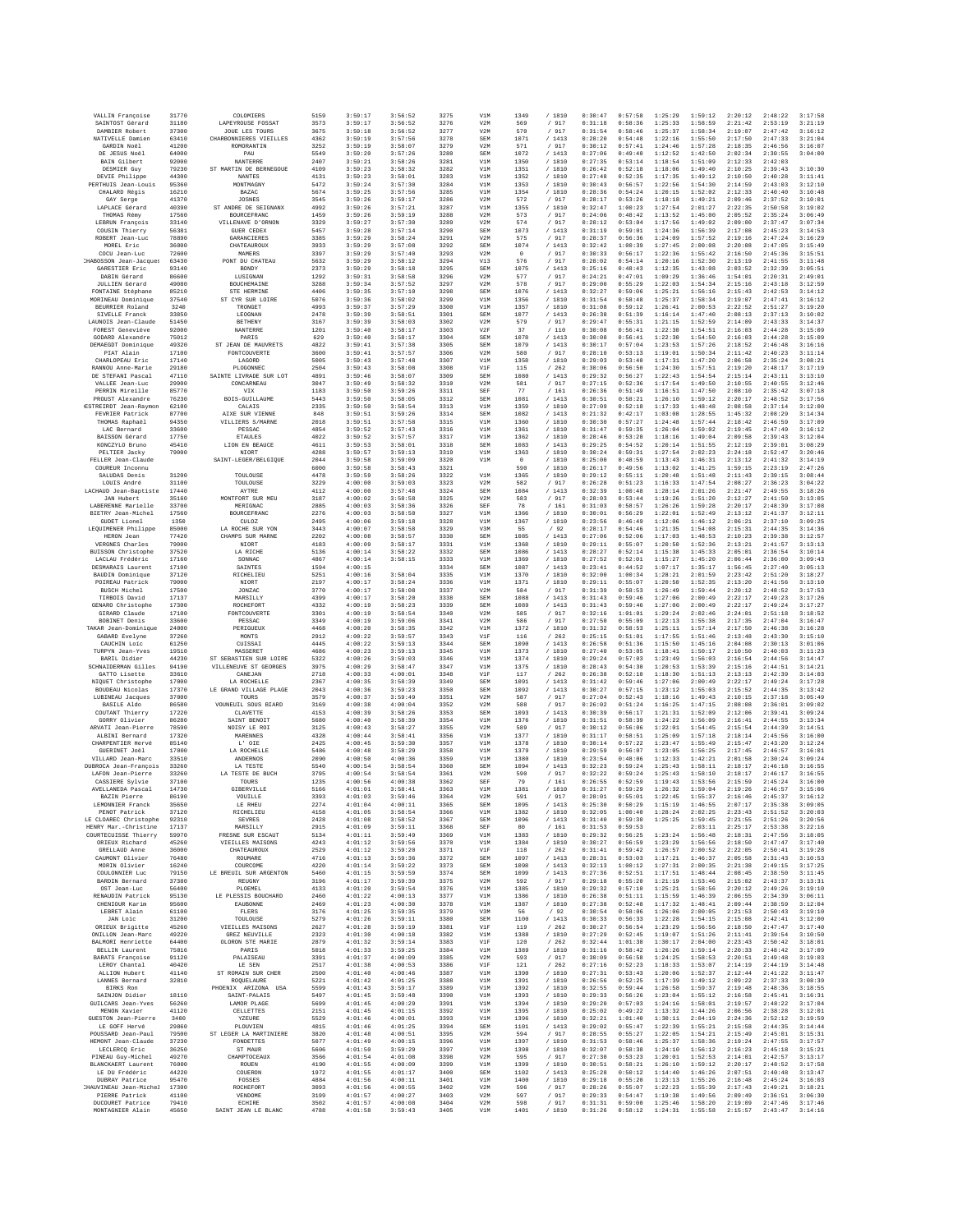| VALLIN Francoise                                  | 31770          | COLOMIERS                              | 5159         | 3:59:17            | 3:56:52            | 3275         | V1M               | 1349            | /1810            | 0:30:47            | 0:57:58            | 1:25:29            | 1:59:12            | 2:20:12            | 2:48:22            | 3:17:58            |
|---------------------------------------------------|----------------|----------------------------------------|--------------|--------------------|--------------------|--------------|-------------------|-----------------|------------------|--------------------|--------------------|--------------------|--------------------|--------------------|--------------------|--------------------|
| SAINTOST Gérard<br>DAMBIER Robert                 | 31180<br>37300 | LAPEYROUSE FOSSAT<br>JOUE LES TOURS    | 3573<br>3675 | 3:59:17<br>3:59:18 | 3:56:52<br>3:56:52 | 3276<br>3277 | V2M<br>V2M        | 569<br>570      | / 917<br>/ 917   | 0:31:18<br>0:31:54 | 0:58:36<br>0:58:46 | 1:25:33<br>1:25:37 | 1:58:59<br>1:58:34 | 2:21:42<br>2:19:07 | 2:53:19<br>2:47:42 | 3:21:19<br>3:16:12 |
| NATIVELLE Damien                                  | 63410          | CHARBONNIERES VIEILLES                 | 4362         | 3:59:19            | 3:57:56            | 3278         | <b>SEM</b>        | 1071            | /1413            | 0:28:20            | 0:54:48            | 1:22:16            | 1:55:50            | 2:17:50            | 2:47:33            | 3:21:04            |
| GARDIN Noël<br>DE JESUS Noël                      | 41200<br>64000 | ROMORANTIN<br>PAU                      | 3252<br>5549 | 3:59:19<br>3:59:20 | 3:58:07<br>3:57:26 | 3279<br>3280 | V2M<br>SEM        | 571<br>1072     | /917<br>/1413    | 0:30:12<br>0:27:06 | 0:57:41<br>0:49:40 | 1:24:46<br>1:12:52 | 1:57:28<br>1:42:50 | 2:18:35<br>2:02:34 | 2:46:56<br>2:30:55 | 3:16:07<br>3:04:00 |
| BAIN Gilbert                                      | 92000          | NANTERRE                               | 2407         | 3:59:21            | 3:58:26            | 3281         | V1M               | 1350            | / 1810           | 0:27:35            | 0:53:14            | 1:18:54            | 1:51:09            | 2:12:33            | 2:42:03            |                    |
| DESMIER Guy<br>DEVIE Philippe                     | 79230<br>44300 | ST MARTIN DE BERNEGOUE<br>NANTES       | 4109<br>4131 | 3:59:23<br>3:59:23 | 3:58:32<br>3:58:01 | 3282<br>3283 | V1M<br>V1M        | 1351<br>1352    | / 1810<br>/ 1810 | 0:26:42<br>0:27:48 | 0:52:18<br>0:52:35 | 1:18:06<br>1:17:35 | 1:49:40<br>1:49:12 | 2:10:25<br>2:10:50 | 2:39:43<br>2:40:28 | 3:10:30<br>3:11:41 |
| PERTHUIS Jean-Louis                               | 95360          | MONTMAGNY                              | 5472         | 3:59:24            | 3:57:30            | 3284         | V1M               | 1353            | / 1810           | 0:30:43            | 0:56:57            | 1:22:56            | 1:54:30            | 2:14:59            | 2:43:03            | 3:12:10            |
| CHALARD Régis<br>GAY Serge                        | 16210<br>41370 | <b>BAZAC</b><br>JOSNES                 | 5674<br>3545 | 3:59:25<br>3:59:26 | 3:57:56<br>3:59:17 | 3285<br>3286 | V1M<br>V2M        | 1354<br>572     | / 1810<br>/ 917  | 0:28:36<br>0:28:17 | 0:54:24<br>0:53:26 | 1:20:15<br>1:18:18 | 1:52:02<br>1:49:21 | 2:12:33<br>2:09:46 | 2:40:40<br>2:37:52 | 3:10:48<br>3:10:01 |
| LAPLACE Gérard                                    | 40390          | ST ANDRE DE SEIGNANX                   | 4992         | 3:59:26            | 3:57:21            | 3287         | V1M               | 1355            | / 1810           | 0:32:47            | 1:00:23            | 1:27:54            | 2:01:27            | 2:22:35            | 2:50:58            | 3:19:02            |
| THOMAS Rémy                                       | 17560          | BOURCEFRANC                            | 1459         | 3:59:26            | 3:59:19            | 3288         | V2M               | 573             | / 917            | 0:24:06            | 0:48:42            | 1:13:52            | 1:45:00            | 2:05:52            | 2:35:24            | 3:06:49            |
| LEBRUN Francois<br>COUSIN Thierry                 | 33140<br>56381 | VILLENAVE D'ORNON<br><b>GUER CEDEX</b> | 3329<br>5457 | 3:59:27<br>3:59:28 | 3:57:30<br>3:57:14 | 3289<br>3290 | V2M<br>SEM        | 574<br>1073     | /917<br>/ 1413   | 0:28:12<br>0:31:19 | 0:53:04<br>0:59:01 | 1:17:56<br>1:24:36 | 1:49:02<br>1:56:39 | 2:09:00<br>2:17:08 | 2:37:47<br>2:45:23 | 3:07:34<br>3:14:53 |
| ROBERT Jean-Luc                                   | 78890          | GARANCIERES                            | 3385         | 3:59:29            | 3:58:24            | 3291         | V2M               | 575             | / 917            | 0:28:37            | 0:56:36            | 1:24:09            | 1:57:52            | 2:19:16            | 2:47:24            | 3:16:29            |
| MOREL Eric<br>COCU Jean-Luc                       | 36000<br>72600 | CHATEAUROUX<br>MAMERS                  | 3933<br>3397 | 3:59:29<br>3:59:29 | 3:57:08<br>3:57:40 | 3292<br>3293 | SEM<br>V2M        | 1074<br>$\circ$ | /1413<br>/917    | 0:32:42<br>0:30:33 | 1:00:39<br>0:56:17 | 1:27:45<br>1:22:36 | 2:00:08<br>1:55:42 | 2:20:08<br>2:16:50 | 2:47:05<br>2:45:36 | 3:15:49<br>3:15:51 |
| CHABOSSON Jean-Jacques                            | 63430          | PONT DU CHATEAU                        | 5632         | 3:59:29            | 3:58:12            | 3294         | V13               | 576             | / 917            | 0:28:02            | 0:54:14            | 1:20:16            | 1:52:30            | 2:13:19            | 2:41:55            | 3:11:48            |
| GARESTIER Eric<br>DABIN Gérard                    | 93140<br>86600 | BONDY<br>LUSIGNAN                      | 2373<br>1292 | 3:59:29<br>3:59:31 | 3:58:18<br>3:58:58 | 3295<br>3296 | SEM<br>V2M        | 1075<br>577     | /1413<br>/ 917   | 0:25:16<br>0:24:21 | 0:48:43<br>0:47:01 | 1:12:35<br>1:09:29 | 1:43:08<br>1:36:46 | 2:03:52<br>1:54:01 | 2:32:39<br>2:20:31 | 3:05:51<br>2:49:01 |
| <b>JULLIEN</b> Gérard                             | 49080          | BOUCHEMAINE                            | 3288         | 3:59:34            | 3:57:52            | 3297         | V2M               | 578             | / 917            | 0:29:00            | 0:55:29            | 1:22:03            | 1:54:34            | 2:15:16            | 2:43:18            | 3:12:59            |
| FONTAINE Stéphane<br>MORINEAU Dominique           | 85210<br>37540 | STE HERMINE<br>ST CYR SUR LOIRE        | 4406<br>5076 | 3:59:35<br>3:59:36 | 3:57:10<br>3:58:02 | 3298<br>3299 | SEM<br>V1M        | 1076<br>1356    | /1413<br>/ 1810  | 0:32:27<br>0:31:54 | 0:59:06<br>0:58:48 | 1:25:21<br>1:25:37 | 1:56:16<br>1:58:34 | 2:15:43<br>2:19:07 | 2:42:53<br>2:47:41 | 3:14:12<br>3:16:12 |
| BEIRRIER Roland                                   | 3240           | TRONGET                                | 4993         | 3:59:37            | 3:57:29            | 3300         | V1M               | 1357            | /1810            | 0:31:08            | 0:59:12            | 1:26:41            | 2:00:53            | 2:22:52            | 2:51:27            | 3:19:20            |
| SIVELLE Franck<br>LAUNOIS Jean-Claude             | 33850<br>51450 | LEOGNAN<br><b>BETHENY</b>              | 2478<br>3167 | 3:59:39<br>3:59:39 | 3:58:51<br>3:58:03 | 3301<br>3302 | <b>SEM</b><br>V2M | 1077<br>579     | / 1413<br>/ 917  | 0:26:38<br>0:29:47 | 0:51:39<br>0:55:31 | 1:16:14<br>1:21:15 | 1:47:40<br>1:52:59 | 2:08:13<br>2:14:09 | 2:37:13<br>2:43:33 | 3:10:02<br>3:14:37 |
| FOREST Geneviève                                  | 92000          | NANTERRE                               | 1201         | 3:59:40            | 3:58:17            | 3303         | V2F               | 37              | / 110            | 0:30:08            | 0:56:41            | 1:22:30            | 1:54:51            | 2:16:03            | 2:44:28            | 3:15:09            |
| GODARD Alexandre<br>DEMAEGDT Dominique            | 75012<br>49320 | PARIS<br>ST JEAN DE MAUVRETS           | 629<br>4822  | 3:59:40<br>3:59:41 | 3:58:17<br>3:57:38 | 3304<br>3305 | <b>SEM</b><br>SEM | 1078<br>1079    | /1413<br>/1413   | 0:30:08<br>0:30:17 | 0:56:41<br>0:57:04 | 1:22:30<br>1:23:53 | 1:54:50<br>1:57:26 | 2:16:03<br>2:18:52 | 2:44:28<br>2:46:48 | 3:15:09<br>3:16:16 |
| PIAT Alain                                        | 17100          | FONTCOUVERTE                           | 3600         | 3:59:41            | 3:57:57            | 3306         | V2M               | 580             | / 917            | 0:28:10            | 0:53:13            | 1:19:01            | 1:50:34            | 2:11:42            | 2:40:23            | 3:11:14            |
| CHARLOPEAU Eric<br>RANNOU Anne-Marie              | 17140<br>29180 | LAGORD<br>PLOGONNEC                    | 5005<br>2504 | 3:59:43<br>3:59:43 | 3:57:48<br>3:58:08 | 3307<br>3308 | V1M<br>V1F        | 1358<br>115     | / 1810<br>/262   | 0:29:03<br>0:30:06 | 0:53:40<br>0:56:50 | 1:17:31<br>1:24:30 | 1:47:20<br>1:57:51 | 2:06:58<br>2:19:20 | 2:35:24<br>2:48:17 | 3:08:21<br>3:17:19 |
| DE STEFANI Pascal                                 | 47110          | SAINTE LIVRADE SUR LOT                 | 4891         | 3:59:46            | 3:58:07            | 3309         | SEM               | 1080            | /1413            | 0:29:32            | 0:56:27            | 1:22:43            | 1:54:54            | 2:15:14            | 2:43:11            | 3:13:10            |
| VALLEE Jean-Luc<br>PERRIN Mireille                | 29900<br>85770 | CONCARNEAU<br>VIX                      | 3047<br>1183 | 3:59:49<br>3:59:50 | 3:58:32<br>3:59:26 | 3310<br>3311 | V2M<br>SEF        | 581<br>77       | / 917<br>/161    | 0:27:15<br>0:26:36 | 0:52:36<br>0:51:49 | 1:17:54<br>1:16:51 | 1:49:50<br>1:47:50 | 2:10:55<br>2:08:10 | 2:40:55<br>2:35:42 | 3:12:46<br>3:07:18 |
| PROUST Alexandre                                  | 76230          | BOIS-GUILLAUME                         | 5443         | 3:59:50            | 3:58:05            | 3312         | <b>SEM</b>        | 1081            | / 1413           | 0:30:51            | 0:58:21            | 1:26:10            | 1:59:12            | 2:20:17            | 2:48:52            | 3:17:56            |
| <b>ESTREIRDT</b> Jean-Raymon<br>FEVRIER Patrick   | 62100<br>87700 | CALAIS<br>AIXE SUR VIENNE              | 2335<br>848  | 3:59:50<br>3:59:51 | 3:58:54<br>3:59:26 | 3313<br>3314 | V1M<br><b>SEM</b> | 1359<br>1082    | / 1810<br>/1413  | 0:27:09<br>0:21:32 | 0:52:18<br>0:42:17 | 1:17:33<br>1:03:08 | 1:48:48<br>1:28:55 | 2:08:58<br>1:45:32 | 2:37:14<br>2:08:29 | 3:12:00<br>3:14:34 |
| THOMAS Raphaël                                    | 94350          | VILLIERS S/MARNE                       | 2018         | 3:59:51            | 3:57:58            | 3315         | V1M               | 1360            | / 1810           | 0:30:30            | 0:57:27            | 1:24:48            | 1:57:44            | 2:18:42            | 2:46:59            | 3:17:09            |
| LAC Bernard<br>BAISSON Gérard                     | 33600<br>17750 | PESSAO<br><b>ETAULES</b>               | 4854<br>4022 | 3:59:52<br>3:59:52 | 3:57:43<br>3:57:57 | 3316<br>3317 | V1M<br>V1M        | 1361<br>1362    | / 1810<br>/ 1810 | 0:31:47<br>0:28:46 | 0:59:35<br>0:53:28 | 1:26:04<br>1:18:16 | 1:59:02<br>1:49:04 | 2:19:45<br>2:09:58 | 2:47:49<br>2:39:43 | 3:16:12<br>3:12:04 |
| KONCZYLO Bruno                                    | 45410          | LION EN BEAUCE                         | 4611         | 3:59:53            | 3:58:01            | 3318         | <b>SEM</b>        | 1083            | /1413            | 0:29:25            | 0:54:52            | 1:20:14            | 1:51:55            | 2:12:19            | 2:39:01            | 3:08:29            |
| PELTIER Jacky<br>FELLER Jean-Claude               | 79000          | NIORT<br>SAINT-LEGER/BELGIQUE          | 4288<br>2044 | 3:59:57<br>3:59:58 | 3:59:13<br>3:59:09 | 3319<br>3320 | V1M<br>V1M        | 1363<br>$\,$ 0  | / 1810<br>/ 1810 | 0:30:24<br>0:25:00 | 0:59:31<br>0:48:59 | 1:27:54<br>1:13:43 | 2:02:23<br>1:46:31 | 2:24:18<br>2:13:12 | 2:52:47<br>2:41:32 | 3:20:46<br>3:14:19 |
| COUREUR Inconnu                                   |                |                                        | 6000         | 3:59:58            | 3:58:43            | 3321         |                   | 590             | / 1810           | 0:26:17            | 0:49:56            | 1:13:02            | 1:41:25            | 1:59:15            | 2:23:19            | 2:47:26            |
| SALUDAS Denis<br>LOUIS André                      | 31200<br>31100 | TOULOUSE<br>TOULOUSE                   | 4478<br>3229 | 3:59:59<br>4:00:00 | 3:58:26<br>3:59:03 | 3322<br>3323 | V1M<br>V2M        | 1365<br>582     | / 1810<br>/ 917  | 0:29:12<br>0:26:28 | 0:55:11<br>0:51:23 | 1:20:48<br>1:16:33 | 1:51:48<br>1:47:54 | 2:11:43<br>2:08:27 | 2:39:15<br>2:36:23 | 3:08:44<br>3:04:22 |
| LACHAUD Jean-Baptiste                             | 17440          | AYTRE                                  | 4112         | 4:00:00            | 3:57:48            | 3324         | SEM               | 1084            | /1413            | 0:32:39            | 1:00:48            | 1:28:14            | 2:01:26            | 2:21:47            | 2:49:55            | 3:18:26            |
| <b>JAN Hubert</b><br>LABERENNE Marielle           | 35160<br>33700 | MONTFORT SUR MEU<br>MERIGNAC           | 3187<br>2885 | 4:00:02<br>4:00:03 | 3:58:58<br>3:58:36 | 3325<br>3326 | V2M<br>SEF        | 583<br>78       | / 917<br>/161    | 0:28:03<br>0:31:03 | 0:53:44<br>0:58:57 | 1:19:26<br>1:26:26 | 1:51:20<br>1:59:28 | 2:12:27<br>2:20:17 | 2:41:50<br>2:48:39 | 3:13:05<br>3:17:08 |
| BIETRY Jean-Michel                                | 17560          | BOURCEFRANC                            | 2276         | 4:00:03            | 3:58:50            | 3327         | V1M               | 1366            | / 1810           | 0:30:01            | 0:56:29            | 1:22:01            | 1:52:49            | 2:13:12            | 2:41:37            | 3:12:11            |
| GUDET Lionel<br>LEQUIMENER Philippe               | 1350<br>85000  | CULOZ<br>LA ROCHE SUR YON              | 2495<br>3443 | 4:00:06<br>4:00:07 | 3:59:18<br>3:58:58 | 3328<br>3329 | V1M<br>V3M        | 1367<br>55      | / 1810<br>/92    | 0:23:56<br>0:28:17 | 0:46:49<br>0:54:46 | 1:12:06<br>1:21:35 | 1:46:12<br>1:54:08 | 2:06:21<br>2:15:31 | 2:37:10<br>2:44:35 | 3:09:25<br>3:14:36 |
| HERON Jean                                        | 77420          | CHAMPS SUR MARNE                       | 2202         | 4:00:08            | 3:58:57            | 3330         | SEM               | 1085            | /1413            | 0:27:06            | 0:52:06            | 1:17:03            | 1:48:53            | 2:10:23            | 2:39:38            | 3:12:57            |
| VERGNES Charles                                   | 79000          | NIORT<br>LA RICHE                      | 4183         | 4:00:09            | 3:58:17            | 3331         | V1M               | 1368            | / 1810           | 0:29:11            | 0:55:07            | 1:20:50            | 1:52:36            | 2:13:21            | 2:41:57            | 3:13:13            |
| BUISSON Christophe<br>LACLAU Frédéric             | 37520<br>17160 | SONNAC                                 | 5136<br>4867 | 4:00:14<br>4:00:14 | 3:58:22<br>3:58:15 | 3332<br>3333 | <b>SEM</b><br>V1M | 1086<br>1369    | /1413<br>/ 1810  | 0:28:27<br>0:27:52 | 0:52:14<br>0:52:01 | 1:15:38<br>1:15:27 | 1:45:33<br>1:45:20 | 2:05:01<br>2:06:44 | 2:36:54<br>2:36:00 | 3:10:14<br>3:09:43 |
| DESMARAIS Laurent                                 | 17100          | SAINTES                                | 1594         | 4:00:15            |                    | 3334         | SEM               | 1087            | /1413            | 0:23:41            | 0:44:52            | 1:07:17            | 1:35:17            | 1:56:45            | 2:27:40            | 3:05:13            |
| BAUDIN Dominique<br>POIREAU Patrick               | 37120<br>79000 | RICHELIEU<br>NIORT                     | 5251<br>2197 | 4:00:16<br>4:00:17 | 3:58:04<br>3:58:24 | 3335<br>3336 | V1M<br>V1M        | 1370<br>1371    | / 1810<br>/1810  | 0:32:00<br>0:29:11 | 1:00:34<br>0:55:07 | 1:28:21<br>1:20:50 | 2:01:59<br>1:52:35 | 2:23:42<br>2:13:20 | 2:51:20<br>2:41:56 | 3:18:27<br>3:13:10 |
| <b>BUSCH Michel</b>                               | 17500          | JONZAC                                 | 3770         | 4:00:17            | 3:58:08            | 3337         | V2M               | 584             | / 917            | 0:31:39            | 0:58:53            | 1:26:49            | 1:59:44            | 2:20:12            | 2:48:52            | 3:17:53            |
| TIRBOIS David<br>GENARO Christophe                | 17137<br>17300 | MARSILLY<br>ROCHEFORT                  | 4399<br>4332 | 4:00:17<br>4:00:19 | 3:58:20<br>3:58:23 | 3338<br>3339 | SEM<br><b>SEM</b> | 1088<br>1089    | /1413<br>/1413   | 0:31:43<br>0:31:43 | 0:59:46<br>0:59:46 | 1:27:06<br>1:27:06 | 2:00:49<br>2:00:49 | 2:22:17<br>2:22:17 | 2:49:23<br>2:49:24 | 3:17:26<br>3:17:27 |
| GIRARD Claude                                     | 17100          | FONTCOUVERTE                           | 3301         | 4:00:19            | 3:58:54            | 3340         | V2M               | 585             | / 917            | 0:32:16            | 1:01:01            | 1:29:24            | 2:02:46            | 2:24:01            | 2:51:18            | 3:18:52            |
| BOBINET Denis<br>TAKAR Jean-Dominique             | 33600<br>24000 | PESSAC<br>PERIGUEUX                    | 3349<br>4468 | 4:00:19<br>4:00:20 | 3:59:06<br>3:58:35 | 3341<br>3342 | V2M<br>V1M        | 586<br>1372     | / 917<br>/ 1810  | 0:27:50<br>0:31:32 | 0:55:09<br>0:58:53 | 1:22:13<br>1:25:11 | 1:55:38<br>1:57:14 | 2:17:35<br>2:17:50 | 2:47:04<br>2:46:38 | 3:16:47<br>3:16:28 |
| GABARD Evelyne                                    | 37260          | MONTS                                  | 2912         | 4:00:22            | 3:59:57            | 3343         | VIF               | 116             | /262             | 0:25:15            | 0:51:01            | 1:17:55            | 1:51:46            | 2:13:48            | 2:43:30            | 3:15:10            |
| CAUCHIN Loic<br>TURPYN Jean-Yves                  | 61250<br>19510 | CUISSAI<br>MASSERET                    | 4445<br>4686 | 4:00:22<br>4:00:23 | 3:59:13<br>3:59:13 | 3344<br>3345 | SEM<br>V1M        | 1090<br>1373    | /1413<br>/ 1810  | 0:26:58<br>0:27:40 | 0:51:36<br>0:53:05 | 1:15:50<br>1:18:41 | 1:45:16<br>1:50:17 | 2:04:08<br>2:10:50 | 2:30:13<br>2:40:03 | 3:01:06<br>3:11:23 |
| BARIL Didier                                      | 44230          | ST SEBASTIEN SUR LOIRE                 | 5322         | 4:00:26            | 3:59:03            | 3346         | V1M               | 1374            | /1810            | 0:29:24            | 0:57:03            | 1:23:49            | 1:56:03            | 2:16:54            | 2:44:56            | 3:14:47            |
| SCHNAIDERMAN Gilles<br>GATTO Lisette              | 94190<br>33610 | VILLENEUVE ST GEORGES<br>CANEJAN       | 3975<br>2718 | 4:00:29<br>4:00:33 | 3:58:47<br>4:00:01 | 3347<br>3348 | V1M<br>V1F        | 1375<br>117     | / 1810<br>/262   | 0:28:43<br>0:26:38 | 0:54:30<br>0:52:10 | 1:20:53<br>1:18:30 | 1:53:39<br>1:51:13 | 2:15:16<br>2:13:13 | 2:44:51<br>2:42:39 | 3:14:21<br>3:14:03 |
| NIQUET Christophe                                 | 17000          | LA ROCHELLE                            | 2367         | 4:00:35            | 3:58:39            | 3349         | SEM               | 1091            | /1413            | 0:31:42            | 0:59:46            | 1:27:06            | 2:00:49            | 2:22:17            | 2:49:24            | 3:17:28            |
| BOUDEAU Nicolas<br>LUBINEAU Jacques               | 17370<br>37000 | LE GRAND VILLAGE PLAGE<br>TOURS        | 2043<br>3579 | 4:00:36<br>4:00:37 | 3:59:23<br>3:59:49 | 3350<br>3351 | <b>SEM</b><br>V2M | 1092<br>587     | /1413<br>/ 917   | 0:30:27<br>0:27:04 | 0:57:15<br>0:52:43 | 1:23:12<br>1:18:16 | 1:55:03<br>1:49:43 | 2:15:52<br>2:10:15 | 2:44:35<br>2:37:18 | 3:13:42<br>3:05:49 |
| <b>BASILE Aldo</b>                                | 86580          | VOUNEUIL SOUS BIARD                    | 3169         | 4:00:38            | 4:00:04            | 3352         | V2M               | 588             | / 917            | 0:26:02            | 0:51:24            | 1:16:25            | 1:47:15            | 2:08:08            | 2:36:01            | 3:09:02            |
| COUTANT Thierry<br>GORRY Olivier                  | 17220<br>86280 | CLAVETTE<br>SAINT BENOIT               | 4153<br>5680 | 4:00:39<br>4:00:40 | 3:58:26<br>3:58:39 | 3353<br>3354 | SEM<br>V1M        | 1093<br>1376    | /1413<br>/ 1810  | 0:30:39<br>0:31:51 | 0:56:17<br>0:58:39 | 1:21:31<br>1:24:22 | 1:52:09<br>1:56:09 | 2:12:06<br>2:16:41 | 2:39:41<br>2:44:55 | 3:09:24<br>3:13:34 |
| ARVATI Jean-Pierre                                | 78590          | NOISY LE ROI                           | 3125         | 4:00:43            | 3:58:27            | 3355         | V2M               | 589             | / 917            | 0:30:12            | 0:56:06            | 1:22:01            | 1:54:45            | 2:15:54            | 2:44:39            | 3:14:51            |
| ALBINI Bernard<br>CHARPENTIER Hervé               | 17320<br>85140 | MARENNES<br>L' OIE                     | 4328<br>2425 | 4:00:44<br>4:00:45 | 3:58:41<br>3:59:30 | 3356<br>3357 | V1M<br>V1M        | 1377<br>1378    | / 1810<br>/1810  | 0:31:17<br>0:30:14 | 0:58:51<br>0:57:22 | 1:25:09<br>1:23:47 | 1:57:18<br>1:55:49 | 2:18:14<br>2:15:47 | 2:45:56<br>2:43:20 | 3:16:00<br>3:12:24 |
| GUERINET Joël                                     | 17000          | LA ROCHELLE                            | 5486         | 4:00:48            | 3:58:29            | 3358         | V1M               | 1379            | / 1810           | 0:29:59            | 0:56:07            | 1:23:05            | 1:56:25            | 2:17:45            | 2:46:57            | 3:16:01            |
| VILLARD Jean-Marc<br>DUBROCA Jean-François        | 33510<br>33260 | ANDERNOS<br>LA TESTE                   | 2090<br>5540 | 4:00:50<br>4:00:54 | 4:00:36<br>3:58:54 | 3359<br>3360 | V1M<br>SEM        | 1380<br>1094    | / 1810<br>/1413  | 0:23:54<br>0:32:23 | 0:48:06<br>0:59:24 | 1:12:33<br>1:25:43 | 1:42:21<br>1:58:11 | 2:01:58<br>2:18:17 | 2:30:24<br>2:46:18 | 3:09:24<br>3:16:55 |
| LAFON Jean-Pierre                                 | 33260          | LA TESTE DE BUCH                       | 3795         | 4:00:54            | 3:58:54            | 3361         | V2M               | 590             | /917             | 0:32:22            | 0:59:24            | 1:25:43            | 1:58:10            | 2:18:17            | 2:46:17            | 3:16:55            |
| CASSIERE Sylvie<br>AVELLANEDA Pascal              | 37100<br>14730 | TOURS<br>GIBERVILLE                    | 1235<br>5166 | 4:00:56<br>4:01:01 | 4:00:38<br>3:58:41 | 3362<br>3363 | SEF<br>V1M        | 79<br>1381      | /161<br>/ 1810   | 0:26:55<br>0:31:27 | 0:52:59<br>0:59:29 | 1:19:43<br>1:26:32 | 1:53:56<br>1:59:04 | 2:15:59<br>2:19:26 | 2:45:24<br>2:46:57 | 3:16:00<br>3:15:06 |
| BAZIN Pierre                                      | 86190          | VOUILLE                                | 3393         | 4:01:03            | 3:59:46            | 3364         | V2M               | 591             | /917             | 0:28:01            | 0:55:01            | 1:22:45            | 1:55:37            | 2:16:46            | 2:45:37            | 3:16:12            |
| LEMONNIER Franck<br>PENOT Patrick                 | 35650<br>37120 | LE RHEU<br>RICHELIEU                   | 2274<br>4158 | 4:01:04<br>4:01:05 | 4:00:11<br>3:58:54 | 3365<br>3366 | SEM<br>V1M        | 1095<br>1382    | 1413<br>/ 1810   | 0:25:30<br>0:32:05 | 0:50:29<br>1:00:40 | 1:15:19<br>1:28:24 | 1:46:55<br>2:02:25 | 2:07:17<br>2:23:43 | 2:35:38<br>2:51:52 | 3:09:05<br>3:20:03 |
| LE CLOAREC Christophe                             | 92310          | <b>SEVRES</b>                          | 2428         | 4:01:08            | 3:58:52            | 3367         | SEM               | 1096            | /1413            | 0:31:40            | 0:59:30            | 1:25:25            | 1:59:45            | 2:21:55            | 2:51:26            | 3:20:56            |
| HENRY Mar.-Christine<br>COURTECUISSE Thierry      | 17137<br>59970 | MARSILLY<br>FRESNE SUR ESCAUT          | 2915<br>5134 | 4:01:09<br>4:01:11 | 3:59:11<br>3:59:49 | 3368<br>3369 | SEF<br>V1M        | 80<br>1383      | /161<br>/ 1810   | 0:31:53<br>0:29:32 | 0:59:53<br>0:56:25 | 1:23:24            | 2:03:11<br>1:56:48 | 2:25:17<br>2:18:31 | 2:53:38<br>2:47:56 | 3:22:16<br>3:18:05 |
| ORIEUX Richard                                    | 45260          | VIEILLES MAISONS                       | 4243         | 4:01:12            | 3:59:56            | 3370         | V1M               | 1384            | / 1810           | 0:30:27            | 0:56:59            | 1:23:29            | 1:56:56            | 2:18:50            | 2:47:47            | 3:17:40            |
| <b>GRELLAUD Anne</b><br>CAUMONT Olivier           | 36000<br>76480 | CHATEAUROUX<br>ROUMARE                 | 2529<br>4716 | 4:01:12<br>4:01:13 | 3:59:20<br>3:59:36 | 3371<br>3372 | V1F<br><b>SEM</b> | 118<br>1097     | /262<br>/1413    | 0:31:41<br>0:28:31 | 0:59:42<br>0:53:03 | 1:26:57<br>1:17:21 | 2:00:52<br>1:46:37 | 2:22:05<br>2:05:58 | 2:50:41<br>2:31:43 | 3:19:28<br>3:10:53 |
| MORIN Olivier                                     | 16240          | COURCOME                               | 4220         | 4:01:14            | 3:59:22            | 3373         | SEM               | 1098            | /1413            | 0:32:13            | 1:00:12            | 1:27:31            | 2:00:35            | 2:21:38            | 2:49:15            | 3:17:25            |
| COULONNIER Luc<br>BARDIN Bernard                  | 79150<br>37380 | LE BREUIL SUR ARGENTON<br>REUGNY       | 5460<br>3196 | 4:01:15<br>4:01:17 | 3:59:59<br>3:59:39 | 3374<br>3375 | SEM<br>V2M        | 1099<br>592     | /1413<br>/917    | 0:27:36<br>0:29:18 | 0:52:51<br>0:55:20 | 1:17:51<br>1:21:19 | 1:48:44<br>1:53:46 | 2:08:45<br>2:15:02 | 2:38:50<br>2:43:37 | 3:11:45<br>3:13:31 |
| OST Jean-Luc                                      | 56400          | PLOEMEL                                | 4133         | 4:01:20            | 3:59:54            | 3376         | V1M               | 1385            | / 1810           | 0:29:32            | 0:57:10            | 1:25:21            | 1:58:56            | 2:20:12            | 2:49:26            | 3:19:10            |
| RENAUDIN Patrick<br>CHENIOUR Karim                | 95130<br>95600 | LE PLESSIS BOUCHARD<br>EAUBONNE        | 2460<br>2469 | 4:01:22<br>4:01:23 | 4:00:13<br>4:00:30 | 3377<br>3378 | V1M<br>V1M        | 1386<br>1387    | / 1810<br>/ 1810 | 0:26:38<br>0:27:38 | 0:51:11<br>0:52:48 | 1:15:59<br>1:17:32 | 1:46:39<br>1:48:41 | 2:06:55<br>2:09:44 | 2:34:39<br>2:38:59 | 3:06:11<br>3:12:04 |
| LEBRET Alain                                      | 61100          | FLERS                                  | 3176         | 4:01:25            | 3:59:35            | 3379         | V3M               | 56              | /92              | 0:30:54            | 0:58:06            | 1:26:06            | 2:00:05            | 2:21:53            | 2:50:43            | 3:19:10            |
| JAN Loic<br>ORIEUX Brigitte                       | 31200<br>45260 | TOULOUSE<br>VIEILLES MAISONS           | 5279<br>2627 | 4:01:26<br>4:01:28 | 3:59:11<br>3:59:19 | 3380<br>3381 | SEM<br>V1F        | 1100            | /1413<br>/262    | 0:30:33<br>0:30:27 | 0:56:33<br>0:56:54 | 1:22:28<br>1:23:29 | 1:54:15<br>1:56:56 | 2:15:08<br>2:18:50 | 2:42:41<br>2:47:47 | 3:12:00<br>3:17:40 |
| ONTLLON Jean-Marc                                 | 49220          | <b>GREZ NEUVILLE</b>                   | 2323         | 4:01:30            | 4:00:18            | 3382         | V1M               | 119<br>1388     | / 1810           | 0:27:29            | 0:52:45            | 1:19:07            | 1:51:26            | 2:11:41            | 2:39:54            | 3:10:50            |
| <b>BALMORI Henriette</b><br><b>BELLIN</b> Laurent | 64400<br>75016 | OLORON STE MARIE<br>PARIS              | 2879<br>5018 | 4:01:32<br>4:01:33 | 3:59:14<br>3:59:25 | 3383<br>3384 | V1F<br>V1M        | 120<br>1389     | /262<br>/ 1810   | 0:32:44<br>0:31:16 | 1:01:38<br>0:58:42 | 1:30:17<br>1:26:26 | 2:04:00<br>1:59:14 | 2:23:43<br>2:20:33 | 2:50:42<br>2:48:42 | 3:18:01<br>3:17:09 |
| BARATS Françoise                                  | 91120          | PALAISEAU                              | 3391         | 4:01:37            | 4:00:09            | 3385         | V2M               | 593             | / 917            | 0:30:09            | 0:56:58            | 1:24:25            | 1:58:53            | 2:20:51            | 2:49:48            | 3:19:03            |
| LEROY Chantal                                     | 40420<br>41140 | LE SEN                                 | 2517         | 4:01:38<br>4:01:40 | 4:00:53<br>4:00:46 | 3386<br>3387 | V1F<br>V1M        | 121<br>1390     | /262<br>/ 1810   | 0:27:16<br>0:27:31 | 0:52:23<br>0:53:43 | 1:18:33<br>1:20:06 | 1:53:07<br>1:52:37 | 2:14:19<br>2:12:44 | 2:44:19            | 3:14:48<br>3:11:47 |
| ALLION Hubert<br>LANNES Bernard                   | 32810          | ST ROMAIN SUR CHER<br>ROOUELAURE       | 2500<br>5221 | 4:01:42            | 4:01:25            | 3388         | V1M               | 1391            | / 1810           | 0:26:56            | 0:52:25            | 1:17:39            | 1:49:12            | 2:09:22            | 2:41:22<br>2:37:33 | 3:08:39            |
| BIRKS Ron                                         |                | PHOENTX ARTZONA USA                    | 5599         | 4:01:43            | 3:59:17            | 3389         | V1M               | 1392            | /1810            | 0:32:55            | 0:59:44            | 1:26:58            | 1:59:37            | 2:19:48            | 2:48:36            | 3:18:55            |
| SAINJON Didier<br><b>GUILCARS</b> Jean-Yves       | 18110<br>56260 | SAINT-PALAIS<br>LAMOR PLAGE            | 5497<br>5699 | 4:01:45<br>4:01:45 | 3:59:48<br>4:00:29 | 3390<br>3391 | V1M<br>V1M        | 1393<br>1394    | / 1810<br>/ 1810 | 0:29:33<br>0:29:20 | 0:56:26<br>0:57:03 | 1:23:04<br>1:24:16 | 1:55:12<br>1:58:01 | 2:16:58<br>2:19:57 | 2:45:41<br>2:48:22 | 3:16:31<br>3:17:04 |
| MENON Xavier                                      | 41120          | CELLETTES                              | 2151         | 4:01:45            | 4:01:15            | 3392         | V1M               | 1395            | / 1810           | 0:25:02            | 0:49:22            | 1:13:32            | 1:44:26            | 2:06:56            | 2:38:28            | 3:12:01            |
| GUESTON Jean-Pierre<br>LE GOFF Hervé              | 3400<br>29860  | YZEURE<br>PLOUVIEN                     | 5529<br>4015 | 4:01:46<br>4:01:46 | 4:00:01<br>4:01:25 | 3393<br>3394 | V1M<br>SEM        | 1396<br>1101    | / 1810<br>/ 1413 | 0:32:21<br>0:29:02 | 1:01:40<br>0:55:47 | 1:30:11<br>1:22:39 | 2:04:19<br>1:55:21 | 2:24:36<br>2:15:58 | 2:52:12<br>2:44:35 | 3:19:59<br>3:14:44 |
| POUSSARD Jean-Paul                                | 79500          | ST LEGER LA MARTINIERE                 | 3820         | 4:01:48            | 4:00:51            | 3395         | V2M               | 594             | / 917            | 0:28:55            | 0:55:27            | 1:22:05            | 1:54:21            | 2:15:49            | 2:45:01            | 3:15:31            |
| HEMONT Jean-Claude<br>LECLERCQ Eric               | 37230<br>36250 | FONDETTES<br>ST MAUR                   | 5077<br>5606 | 4:01:49<br>4:01:50 | 4:00:15<br>3:59:29 | 3396<br>3397 | V1M<br>V1M        | 1397<br>1398    | / 1810<br>/ 1810 | 0:31:53<br>0:32:07 | 0:58:46<br>0:58:38 | 1:25:37<br>1:24:10 | 1:58:36<br>1:56:12 | 2:19:24<br>2:16:23 | 2:47:55<br>2:45:18 | 3:17:57<br>3:15:21 |
| PINEAU Guy-Michel                                 | 49270          | CHAMPTOCEAUX                           | 3566         | 4:01:54            | 4:01:08            | 3398         | V2M               | 595             | / 917            | 0:27:30            | 0:53:23            | 1:20:01            | 1:52:53            | 2:14:01            | 2:42:57            | 3:13:17            |
| <b>BLANCKAERT</b> Laurent<br>LE DU Frédéric       | 76000<br>44220 | ROUEN<br>COUERON                       | 4190<br>1972 | 4:01:55<br>4:01:55 | 4:00:09<br>4:01:17 | 3399<br>3400 | V1M<br>SEM        | 1399<br>1102    | / 1810<br>/1413  | 0:30:51<br>0:25:28 | 0:58:21<br>0:50:12 | 1:26:10<br>1:14:40 | 1:59:12<br>1:46:26 | 2:20:17<br>2:07:51 | 2:48:52<br>2:40:48 | 3:17:58<br>3:13:47 |
| DUBRAY Patrice                                    | 95470          | FOSSES                                 | 4884         | 4:01:56            | 4:00:11            | 3401         | V1M               | 1400            | / 1810           | 0:29:18            | 0:55:20            | 1:23:13            | 1:55:26            | 2:16:48            | 2:45:24            | 3:16:03            |
| CHAUVINEAU Jean-Michel<br>PIERRE Patrick          | 17300<br>41100 | ROCHEFORT<br>VENDOME                   | 3093<br>3199 | 4:01:56<br>4:01:57 | 4:00:55<br>4:00:27 | 3402<br>3403 | V2M<br>V2M        | 596<br>597      | / 917<br>/ 917   | 0:28:26<br>0:29:33 | 0:55:07<br>0:54:47 | 1:22:23<br>1:19:38 | 1:55:39<br>1:49:56 | 2:17:43<br>2:09:49 | 2:49:21<br>2:36:51 | 3:18:21<br>3:06:30 |
|                                                   | 79410          | <b>ECHIRE</b>                          | 3502         | 4:01:57            | 4:00:08            | 3404         | V2M               | 598             | / 917<br>/ 1810  | 0:31:31<br>0:31:26 | 0:59:00            | 1:25:46            | 1:58:20            | 2:19:09            | 2:47:46            | 3:17:46            |
| DUCOURET Patrice<br>MONTAGNIER Alain              | 45650          | SAINT JEAN LE BLANC                    | 4788         | 4:01:58            | 3:59:43            | 3405         | V1M               | 1401            |                  |                    | 0:58:12            | 1:24:31            | 1:55:58            | 2:15:57            | 2:43:47            | 3:14:16            |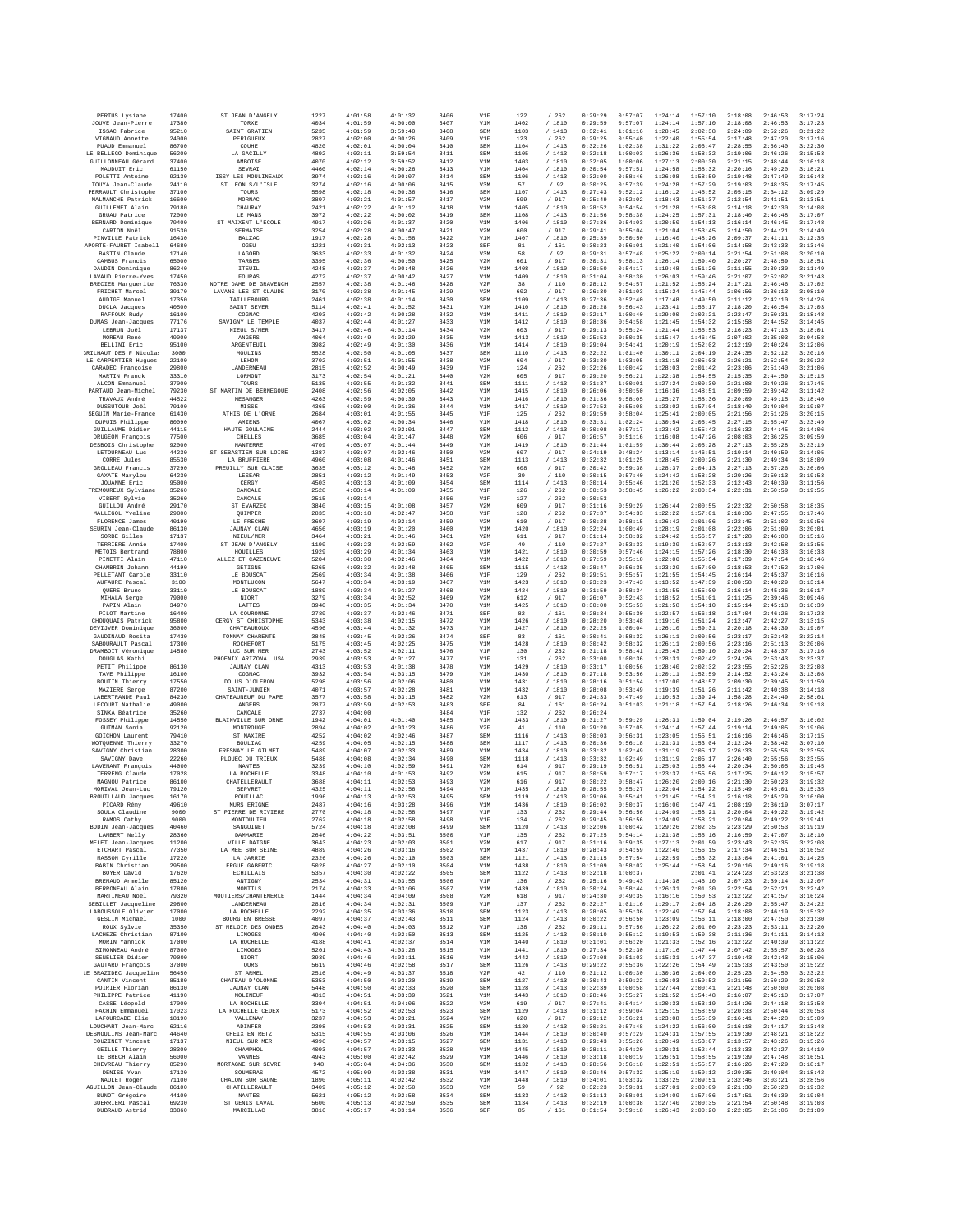| PERTUS Lysiane                                       | 17400          | ST JEAN D'ANGELY                          | 1227         | 4:01:58            | 4:01:32            | 3406         | V1F               | 122          | /262             | 0:29:29            | 0:57:07            | 1:24:14            | 1:57:10            | 2:18:08            | 2:46:53            | 3:17:24            |
|------------------------------------------------------|----------------|-------------------------------------------|--------------|--------------------|--------------------|--------------|-------------------|--------------|------------------|--------------------|--------------------|--------------------|--------------------|--------------------|--------------------|--------------------|
| JOUVE Jean-Pierre<br>ISSAC Fabrice                   | 17380<br>95210 | TORXE<br>SAINT GRATIEN                    | 4034<br>5235 | 4:01:59<br>4:01:59 | 4:00:00<br>3:59:40 | 3407<br>3408 | V1M<br><b>SEM</b> | 1402<br>1103 | /1810<br>/1413   | 0:29:59<br>0:32:41 | 0:57:07<br>1:01:16 | 1:24:14<br>1:28:45 | 1:57:10<br>2:02:38 | 2:18:08<br>2:24:09 | 2:46:53<br>2:52:26 | 3:17:23<br>3:21:22 |
| VIGNAUD Annette                                      | 24000          | PERIGUEUX                                 | 2827         | 4:02:00            | 4:00:26            | 3409         | VIF               | 123          | /262             | 0:29:25            | 0:55:40            | 1:22:40            | 1:55:54            | 2:17:48            | 2:47:20            | 3:17:16            |
| PUAUD Emmanuel                                       | 86700          | COUHE                                     | 4820         | 4:02:01            | 4:00:04            | 3410         | SEM               | 1104         | /1413            | 0:32:26            | 1:02:38            | 1:31:22            | 2:06:47            | 2:28:55            | 2:56:40            | 3:22:30            |
| LE BELLEGO Dominique<br>GUILLONNEAU Gérard           | 56200<br>37400 | LA GACILLY<br>AMBOISE                     | 4892<br>4070 | 4:02:11<br>4:02:12 | 3:59:54<br>3:59:52 | 3411<br>3412 | <b>SEM</b><br>V1M | 1105<br>1403 | /1413<br>/ 1810  | 0:32:18<br>0:32:05 | 1:00:03<br>1:00:06 | 1:26:36<br>1:27:13 | 1:58:32<br>2:00:30 | 2:19:06<br>2:21:15 | 2:46:26<br>2:48:44 | 3:15:53<br>3:16:18 |
| MAUDUIT Eric                                         | 61150          | SEVRAI                                    | 4460         | 4:02:14            | 4:00:26            | 3413         | V1M               | 1404         | / 1810           | 0:30:54            | 0:57:51            | 1:24:58            | 1:58:32            | 2:20:16            | 2:49:20            | 3:18:21            |
| POLETTI Antoine<br>TOUYA Jean-Claude                 | 92130<br>24110 | ISSY LES MOULINEAUX<br>ST LEON S/L'ISLE   | 3974<br>3274 | 4:02:16<br>4:02:16 | 4:00:07<br>4:00:06 | 3414<br>3415 | <b>SEM</b><br>V3M | 1106<br>57   | /1413<br>/92     | 0:32:00<br>0:30:25 | 0:58:46<br>0:57:39 | 1:26:08<br>1:24:28 | 1:58:59<br>1:57:29 | 2:19:48<br>2:19:03 | 2:47:49<br>2:48:35 | 3:16:43<br>3:17:45 |
| PERRAULT Christophe                                  | 37100          | TOURS                                     | 5598         | 4:02:18            | 4:00:36            | 3416         | <b>SEM</b>        | 1107         | /1413            | 0:27:43            | 0:52:12            | 1:16:12            | 1:45:52            | 2:05:15            | 2:34:12            | 3:09:29            |
| MALMANCHE Patrick<br><b>GUILLEMET Alain</b>          | 16600<br>79180 | MORNAC<br>CHAURAY                         | 3807<br>2421 | 4:02:21<br>4:02:22 | 4:01:57<br>4:01:12 | 3417<br>3418 | V2M<br>V1M        | 599<br>1405  | / 917<br>/ 1810  | 0:25:49<br>0:28:52 | 0:52:02<br>0:54:54 | 1:18:43<br>1:21:28 | 1:51:37<br>1:53:08 | 2:12:54<br>2:14:18 | 2:41:51<br>2:42:30 | 3:13:51<br>3:14:08 |
| GRUAU Patrice                                        | 72000          | LE MANS                                   | 3972         | 4:02:22            | 4:00:02            | 3419         | <b>SEM</b>        | 1108         | /1413            | 0:31:56            | 0:58:38            | 1:24:25            | 1:57:31            | 2:18:40            | 2:46:48            | 3:17:07            |
| BERNARD Dominique                                    | 79400          | ST MAIXENT L'ECOLE                        | 4917         | 4:02:26            | 4:01:37            | 3420         | V1M               | 1406         | / 1810           | 0:27:36            | 0:54:03            | 1:20:50            | 1:54:13            | 2:16:14            | 2:46:45            | 3:17:48            |
| CARION Noël<br>PINVILLE Patrick                      | 91530<br>16430 | SERMAISE<br><b>BALZAC</b>                 | 3254<br>1917 | 4:02:28<br>4:02:28 | 4:00:47<br>4:01:58 | 3421<br>3422 | V2M<br>V1M        | 600<br>1407  | / 917<br>/1810   | 0:29:41<br>0:25:39 | 0:55:04<br>0:50:50 | 1:21:04<br>1:16:40 | 1:53:45<br>1:48:26 | 2:14:50<br>2:09:37 | 2:44:21<br>2:41:11 | 3:14:49<br>3:12:35 |
| APORTE-FAURET Isabell                                | 64680          | OGEU                                      | 1221         | 4:02:31            | 4:02:13            | 3423         | SEF               | 81           | /161             | 0:30:23            | 0:56:01            | 1:21:40            | 1:54:06            | 2:14:58            | 2:43:33            | 3:13:46            |
| BASTIN Claude                                        | 17140          | LAGORE                                    | 3633         | 4:02:33            | 4:01:32            | 3424         | V3M               | 58           | /92              | 0:29:31            | 0:57:48            | 1:25:22            | 2:00:14            | 2:21:54            | 2:51:08            | 3:20:10            |
| CAMBUS Francis<br>DAUDIN Dominique                   | 65000<br>86240 | TARBES<br>ITEUIL                          | 3395<br>4248 | 4:02:36<br>4:02:37 | 4:00:50<br>4:00:48 | 3425<br>3426 | V2M<br>V1M        | 601<br>1408  | / 917<br>/1810   | 0:30:31<br>0:28:50 | 0:58:13<br>0:54:17 | 1:26:14<br>1:19:48 | 1:59:40<br>1:51:26 | 2:20:27<br>2:11:55 | 2:48:59<br>2:39:30 | 3:18:51<br>3:11:49 |
| LAVAUD Pierre-Yves                                   | 17450          | FOURAS                                    | 4272         | 4:02:37            | 4:00:42            | 3427         | V1M               | 1409         | / 1810           | 0:31:04            | 0:58:30            | 1:26:03            | 1:59:46            | 2:21:07            | 2:52:02            | 3:21:43            |
| BRECIER Marquerite<br><b>FRICHET Marcel</b>          | 76330          | NOTRE DAME DE GRAVENCH                    | 2557         | 4:02:38            | 4:01:46            | 3428         | V2F               | 38           | / 110            | 0:28:12            | 0:54:57            | 1:21:52            | 1:55:24            | 2:17:21            | 2:46:46            | 3:17:02            |
| AUDIGE Manuel                                        | 39170<br>17350 | LAVANS LES ST CLAUDE<br>TAILLEBOURG       | 3170<br>2461 | 4:02:38<br>4:02:38 | 4:01:45<br>4:01:14 | 3429<br>3430 | V2M<br><b>SEM</b> | 602<br>1109  | /917<br>/1413    | 0:26:30<br>0:27:36 | 0:51:03<br>0:52:40 | 1:15:24<br>1:17:48 | 1:45:44<br>1:49:50 | 2:06:56<br>2:11:12 | 2:36:13<br>2:42:10 | 3:08:10<br>3:14:26 |
| DUCLA Jacques                                        | 40500          | SAINT SEVER                               | 5114         | 4:02:41            | 4:01:52            | 3431         | V1M               | 1410         | / 1810           | 0:28:28            | 0:56:43            | 1:23:41            | 1:56:17            | 2:18:20            | 2:46:54            | 3:17:03            |
| RAFFOUX Rudy<br>DUMAS Jean-Jacques                   | 16100<br>77176 | COGNAC<br>SAVIGNY LE TEMPLE               | 4203<br>4037 | 4:02:42<br>4:02:44 | 4:00:28<br>4:01:27 | 3432<br>3433 | V1M<br>V1M        | 1411<br>1412 | / 1810<br>/1810  | 0:32:17<br>0:28:36 | 1:00:40<br>0:54:58 | 1:29:00<br>1:21:45 | 2:02:21<br>1:54:32 | 2:22:47<br>2:15:58 | 2:50:31<br>2:44:52 | 3:18:48<br>3:14:45 |
| LEBRUN Joël                                          | 17137          | NIEUL S/MER                               | 3417         | 4:02:46            | 4:01:14            | 3434         | V2M               | 603          | / 917            | 0:29:13            | 0:55:24            | 1:21:44            | 1:55:53            | 2:16:23            | 2:47:13            | 3:18:01            |
| MOREAU René                                          | 49000          | <b>ANGERS</b>                             | 4064         | 4:02:49            | 4:02:29            | 3435         | V1M               | 1413         | / 1810           | 0:25:52            | 0:50:35            | 1:15:47            | 1:46:45            | 2:07:02            | 2:35:03            | 3:04:58            |
| <b>BELLINI Eric</b><br><b>JRILHAUT DES F Nicolas</b> | 95100<br>3000  | ARGENTEUIL<br>MOULINS                     | 3982<br>5528 | 4:02:49<br>4:02:50 | 4:01:30<br>4:01:05 | 3436<br>3437 | V1M<br>SEM        | 1414<br>1110 | /1810<br>/ 1413  | 0:29:04<br>0:32:22 | 0:54:41<br>1:01:40 | 1:20:19<br>1:30:11 | 1:52:02<br>2:04:19 | 2:12:19<br>2:24:35 | 2:40:24<br>2:52:12 | 3:12:06<br>3:20:16 |
| LE CARPENTIER Hugues                                 | 22100          | LEHOM                                     | 3702         | 4:02:51            | 4:01:55            | 3438         | V2M               | 604          | / 917            | 0:33:30            | 1:03:05            | 1:31:18            | 2:05:03            | 2:26:21            | 2:52:54            | 3:20:22            |
| CARADEC Françoise<br>MARTIN Franck                   | 29800<br>33310 | LANDERNEAU<br>LORMONT                     | 2815<br>3173 | 4:02:52<br>4:02:54 | 4:00:49<br>4:01:21 | 3439<br>3440 | VIF<br>V2M        | 124<br>605   | /262<br>/917     | 0:32:26<br>0:29:20 | 1:00:42<br>0:56:21 | 1:28:03<br>1:22:38 | 2:01:42<br>1:54:55 | 2:23:06<br>2:15:35 | 2:51:40<br>2:44:59 | 3:21:06<br>3:15:15 |
| ALCON Emmanuel                                       | 37000          | TOURS                                     | 5135         | 4:02:55            | 4:01:32            | 3441         | <b>SEM</b>        | 1111         | /1413            | 0:31:37            | 1:00:01            | 1:27:24            | 2:00:30            | 2:21:08            | 2:49:26            | 3:17:45            |
| PARTAUD Jean-Michel                                  | 79230          | ST MARTIN DE BERNEGOUE                    | 2408         | 4:02:56            | 4:02:05            | 3442         | V1M               | 1415         | / 1810           | 0:26:06            | 0:50:50            | 1:16:36            | 1:48:51            | 2:09:59            | 2:39:42            | 3:11:42            |
| TRAVAUX André<br>DUSSUTOUR Joël                      | 44522<br>79100 | MESANGER<br>MISSE                         | 4263<br>4365 | 4:02:59<br>4:03:00 | 4:00:39<br>4:01:36 | 3443<br>3444 | V1M<br>V1M        | 1416<br>1417 | / 1810<br>/ 1810 | 0:31:36<br>0:27:52 | 0:58:05<br>0:55:08 | 1:25:27<br>1:23:02 | 1:58:36<br>1:57:04 | 2:20:09<br>2:18:40 | 2:49:15<br>2:49:04 | 3:18:40<br>3:19:07 |
| SEGUIN Marie-France                                  | 61430          | ATHIS DE L'ORNE                           | 2684         | 4:03:01            | 4:01:55            | 3445         | V1F               | 125          | /262             | 0:29:59            | 0:58:04            | 1:25:41            | 2:00:05            | 2:21:56            | 2:51:26            | 3:20:15            |
| DUPUIS Philippe                                      | 80090          | AMIENS                                    | 4067         | 4:03:02            | 4:00:34            | 3446         | V1M               | 1418         | / 1810           | 0:33:31            | 1:02:24            | 1:30:54            | 2:05:45            | 2:27:15            | 2:55:47            | 3:23:49            |
| GUILLAUME Didier<br>DRUGEON François                 | 44115<br>77500 | HAUTE GOULAINE<br>CHELLES                 | 2444<br>3685 | 4:03:02<br>4:03:04 | 4:02:01<br>4:01:47 | 3447<br>3448 | <b>SEM</b><br>V2M | 1112<br>606  | /1413<br>/ 917   | 0:30:08<br>0:26:57 | 0:57:17<br>0:51:16 | 1:23:42<br>1:16:08 | 1:55:42<br>1:47:26 | 2:16:32<br>2:08:03 | 2:44:45<br>2:36:25 | 3:14:06<br>3:09:59 |
| DESBOIS Christophe                                   | 92000          | NANTERRE                                  | 4709         | 4:03:07            | 4:01:44            | 3449         | V1M               | 1419         | / 1810           | 0:31:44            | 1:01:59            | 1:30:44            | 2:05:28            | 2:27:13            | 2:55:28            | 3:23:19            |
| LETOURNEAU Luc                                       | 44230          | ST SEBASTIEN SUR LOIRE<br>LA BRUFFIERE    | 1387         | 4:03:07            | 4:02:46            | 3450         | V2M               | 607<br>1113  | / 917            | 0:24:19            | 0:48:24            | 1:13:14            | 1:46:51            | 2:10:14            | 2:40:59            | 3:14:05            |
| CORRE Jules<br><b>GROLLEAU Francis</b>               | 85530<br>37290 | PREUILLY SUR CLAISE                       | 4960<br>3635 | 4:03:08<br>4:03:12 | 4:01:46<br>4:01:48 | 3451<br>3452 | <b>SEM</b><br>V2M | 608          | /1413<br>/ 917   | 0:32:32<br>0:30:42 | 1:01:25<br>0:59:38 | 1:28:45<br>1:28:37 | 2:00:26<br>2:04:13 | 2:21:30<br>2:27:13 | 2:49:34<br>2:57:26 | 3:18:09<br>3:26:06 |
| GAXATE Marylou                                       | 64230          | LESEAR                                    | 2851         | 4:03:12            | 4:01:49            | 3453         | V2F               | 39           | /110             | 0:30:15            | 0:57:40            | 1:24:42            | 1:58:28            | 2:20:26            | 2:50:13            | 3:19:53            |
| JOUANNE Eric                                         | 95000<br>35260 | CERGY<br>CANCALE                          | 4503<br>2528 | 4:03:13<br>4:03:14 | 4:01:09            | 3454<br>3455 | <b>SEM</b><br>V1F | 1114         | /1413<br>/262    | 0:30:14<br>0:30:53 | 0:55:46<br>0:58:45 | 1:21:20<br>1:26:22 | 1:52:33<br>2:00:34 | 2:12:43<br>2:22:31 | 2:40:39<br>2:50:59 | 3:11:56<br>3:19:55 |
| TREMOUREUX Sylviane<br>VIBERT Sylvie                 | 35260          | CANCALE                                   | 2515         | 4:03:14            | 4:01:09            | 3456         | V1F               | 126<br>127   | /262             | 0:30:53            |                    |                    |                    |                    |                    |                    |
| GUILLOU André                                        | 29170          | ST EVARZEC                                | 3840         | 4:03:15            | 4:01:08            | 3457         | V2M               | 609          | / 917            | 0:31:16            | 0:59:29            | 1:26:44            | 2:00:55            | 2:22:32            | 2:50:58            | 3:18:35            |
| MALLEGOL Yveline<br>FLORENCE James                   | 29000<br>40190 | OUIMPER<br>LE FRECHE                      | 2835<br>3697 | 4:03:18<br>4:03:19 | 4:02:47<br>4:02:14 | 3458<br>3459 | VIF<br>V2M        | 128<br>610   | /262<br>/ 917    | 0:27:37<br>0:30:28 | 0:54:33<br>0:58:15 | 1:22:22<br>1:26:42 | 1:57:01<br>2:01:06 | 2:18:36<br>2:22:45 | 2:47:55<br>2:51:02 | 3:17:46<br>3:19:56 |
| SEURIN Jean-Claude                                   | 86130          | <b>JAUNAY CLAN</b>                        | 4656         | 4:03:19            | 4:01:20            | 3460         | V1M               | 1420         | / 1810           | 0:32:24            | 1:00:49            | 1:28:19            | 2:01:08            | 2:22:06            | 2:51:09            | 3:20:01            |
| SORBE Gilles                                         | 17137          | NTRITL/MRR                                | 3464         | 4:03:21            | 4:01:46            | 3461         | V2M               | 611          | /917             | 0:31:14            | 0:58:32            | 1:24:42            | 1:56:57            | 2:17:28            | 2:46:08            | 3:15:16            |
| TERRIERE Annie<br>METOIS Bertrand                    | 17400<br>78800 | ST JEAN D'ANGELY<br>HOUILLES              | 1199<br>1929 | 4:03:23<br>4:03:29 | 4:02:59<br>4:01:34 | 3462<br>3463 | V2F<br>V1M        | 40<br>1421   | / 110<br>/ 1810  | 0:27:27<br>0:30:59 | 0:53:33<br>0:57:46 | 1:19:39<br>1:24:15 | 1:52:07<br>1:57:26 | 2:13:13<br>2:18:30 | 2:42:58<br>2:46:33 | 3:13:55<br>3:16:33 |
| PINETTI Alain                                        | 47110          | ALLEZ ET CAZENEUVE                        | 5204         | 4:03:30            | 4:02:46            | 3464         | V1M               | 1422         | / 1810           | 0:27:59            | 0:55:10            | 1:22:00            | 1:55:34            | 2:17:39            | 2:47:54            | 3:18:46            |
| CHAMBRIN Johann                                      | 44190          | GETIGNE                                   | 5265         | 4:03:32            | 4:02:48            | 3465         | <b>SEM</b>        | 1115         | /1413            | 0:28:47            | 0:56:35            | 1:23:29            | 1:57:00            | 2:18:53            | 2:47:52            | 3:17:06            |
| PELLETANT Carole<br>AUFAURE Pascal                   | 33110<br>3100  | LE BOUSCAT<br>MONTLUCON                   | 2569<br>5647 | 4:03:34<br>4:03:34 | 4:01:38<br>4:03:19 | 3466<br>3467 | V1F<br>V1M        | 129<br>1423  | /262<br>/ 1810   | 0:29:51<br>0:23:23 | 0:55:57<br>0:47:43 | 1:21:55<br>1:13:52 | 1:54:45<br>1:47:39 | 2:16:14<br>2:08:58 | 2:45:37<br>2:40:29 | 3:16:16<br>3:13:14 |
| QUERE Bruno                                          | 33110          | LE BOUSCAT                                | 1889         | 4:03:34            | 4:01:27            | 3468         | V1M               | 1424         | / 1810           | 0:31:59            | 0:58:34            | 1:21:55            | 1:55:00            | 2:16:14            | 2:45:36            | 3:16:17            |
| MIHALA Serge<br>PAPIN Alain                          | 79000<br>34970 | NIORT<br>LATTES                           | 3279<br>3940 | 4:03:34<br>4:03:35 | 4:02:52<br>4:01:34 | 3469<br>3470 | V2M<br>V1M        | 612<br>1425  | /917<br>/ 1810   | 0:26:07<br>0:30:00 | 0:52:43<br>0:55:53 | 1:18:52<br>1:21:58 | 1:51:01<br>1:54:10 | 2:11:25<br>2:15:14 | 2:39:46<br>2:45:18 | 3:09:46<br>3:16:39 |
| PILOT Martine                                        | 16400          | LA COURONNE                               | 2789         | 4:03:37            | 4:02:46            | 3471         | SEF               | 82           | /161             | 0:28:34            | 0:55:30            | 1:22:57            | 1:56:18            | 2:17:04            | 2:46:26            | 3:17:23            |
| CHOUQUAIS Patrick                                    | 95800          | CERGY ST CHRISTOPHE                       | 5343         | 4:03:38            | 4:02:15            | 3472         | V1M               | 1426         | /1810            | 0:28:20            | 0:53:48            | 1:19:16            | 1:51:24            | 2:12:47            | 2:42:27            | 3:13:15            |
| DEVIJVER Dominique<br>GAUDINAUD Rosita               | 36000<br>17430 | CHATEAUROUX<br>TONNAY CHARENTE            | 4596<br>3848 | 4:03:44<br>4:03:45 | 4:01:32<br>4:02:26 | 3473<br>3474 | V1M<br>SEF        | 1427<br>83   | / 1810<br>/161   | 0:32:25<br>0:30:41 | 1:00:04<br>0:58:32 | 1:26:10<br>1:26:11 | 1:59:31<br>2:00:56 | 2:20:18<br>2:23:17 | 2:48:39<br>2:52:43 | 3:19:07<br>3:22:14 |
| SABOURAULT Pascal                                    | 17300          | ROCHEFORT                                 | 5175         | 4:03:45            | 4:02:25            | 3475         | V1M               | 1428         | / 1810           | 0:30:42            | 0:58:32            | 1:26:11            | 2:00:56            | 2:23:16            | 2:51:13            | 3:20:06            |
| DRAMBOIT Véronique                                   | 14580          | LUC SUR MER                               | 2743         | 4:03:52            | 4:02:11            | 3476         | VIF               | 130          | /262             | 0:31:18            | 0:58:41            | 1:25:43            | 1:59:10            | 2:20:24            | 2:48:37            | 3:17:16            |
| DOUGLAS Kathi<br>PETIT Philippe                      | 86130          | PHOENIX ARIZONA USA<br><b>JAUNAY CLAN</b> | 2939<br>4313 | 4:03:53<br>4:03:53 | 4:01:27<br>4:01:38 | 3477<br>3478 | V1F<br>V1M        | 131<br>1429  | /262<br>/ 1810   | 0:33:00<br>0:33:17 | 1:00:36<br>1:00:56 | 1:28:31<br>1:28:40 | 2:02:42<br>2:02:32 | 2:24:26<br>2:23:55 | 2:53:43<br>2:52:26 | 3:23:37<br>3:22:03 |
| TAVE Philippe                                        | 16100          | COGNAC                                    | 3932         | 4:03:54            | 4:03:15            | 3479         | V1M               | 1430         | / 1810           | 0:27:18            | 0:53:56            | 1:20:11            | 1:52:59            | 2:14:52            | 2:43:24            | 3:13:08            |
| BOUTIN Thierry<br>MAZIERE Serge                      | 17550<br>87200 | DOLUS D'OLERON<br>SAINT-JUNIEN            | 5298<br>4071 | 4:03:56<br>4:03:57 | 4:02:06<br>4:02:28 | 3480<br>3481 | V1M<br>V1M        | 1431<br>1432 | / 1810<br>/ 1810 | 0:28:16<br>0:28:08 | 0:51:54<br>0:53:49 | 1:17:00<br>1:19:39 | 1:48:57<br>1:51:26 | 2:09:30<br>2:11:42 | 2:39:45<br>2:40:38 | 3:11:59<br>3:14:18 |
| LABERTRANDE Paul                                     | 84230          | CHATEAUNEUF DU PAPE                       | 3577         | 4:03:58            | 4:03:15            | 3482         | V2M               | 613          | / 917            | 0:24:33            | 0:47:49            | 1:10:53            | 1:39:24            | 1:58:28            | 2:24:49            | 2:58:01            |
| LECOURT Nathalie                                     | 49000          | ANGERS                                    | 2877         | 4:03:59            | 4:02:53            | 3483         | SEF               | 84           | /161             | 0:26:24            | 0:51:03            | 1:21:18            | 1:57:54            | 2:18:26            | 2:46:34            | 3:19:18            |
| SINKA Béatrice<br>FOSSEY Philippe                    | 35260<br>14550 | CANCALE<br>BLAINVILLE SUR ORNE            | 2737<br>1942 | 4:04:00<br>4:04:01 | 4:01:40            | 3484<br>3485 | V1F<br>V1M        | 132<br>1433  | /262<br>/ 1810   | 0:26:24<br>0:31:27 | 0:59:29            | 1:26:31            | 1:59:04            | 2:19:26            | 2:46:57            | 3:16:02            |
| GUTMAN Sonia                                         | 92120          | MONTROUGE                                 | 2894         | 4:04:02            | 4:03:23            | 3486         | V2F               | 41           | /110             | 0:29:20            | 0:57:05            | 1:24:14            | 1:57:44            | 2:19:14            | 2:49:05            | 3:19:06            |
| GOICHON Laurent                                      | 79410          | ST MAXIRE                                 | 4252         | 4:04:02            | 4:02:46            | 3487         | <b>SEM</b>        | 1116         | / 1413           | 0:30:03            | 0:56:31            | 1:23:05            | 1:55:51            | 2:16:16            | 2:46:46            | 3:17:15            |
| WOTOUENNE Thierry<br>SAVIGNY Christian               | 33270<br>28300 | <b>BOULIAC</b><br>FRESNAY LE GILMET       | 4259<br>5489 | 4:04:05<br>4:04:07 | 4:02:15<br>4:02:33 | 3488<br>3489 | SEM<br>V1M        | 1117<br>1434 | /1413<br>/ 1810  | 0:30:36<br>0:33:32 | 0:56:18<br>1:02:49 | 1:21:31<br>1:31:19 | 1:53:04<br>2:05:17 | 2:12:24<br>2:26:33 | 2:38:42<br>2:55:56 | 3:07:10<br>3:23:55 |
| SAVIGNY Dave                                         | 22260          | PLOUEC DU TRIEUX                          | 5488         | 4:04:08            | 4:02:34            | 3490         | <b>SEM</b>        | 1118         | /1413            | 0:33:32            | 1:02:49            | 1:31:19            | 2:05:17            | 2:26:40            | 2:55:56            | 3:23:55            |
| LAVENANT François<br>TERRENG Claude                  | 44000<br>17028 | <b>NANTES</b><br>LA ROCHELLE              | 3239<br>3348 | 4:04:10<br>4:04:10 | 4:02:59<br>4:01:53 | 3491<br>3492 | V2M<br>V2M        | 614<br>615   | / 917<br>/ 917   | 0:29:19<br>0:30:59 | 0:56:51<br>0:57:17 | 1:25:03<br>1:23:37 | 1:58:44<br>1:55:56 | 2:20:34<br>2:17:25 | 2:50:05<br>2:46:12 | 3:19:45<br>3:15:57 |
| MAGNOU Patrice                                       | 86100          | CHATELLERAULT                             | 3688         | 4:04:11            | 4:02:53            | 3493         | V2M               | 616          | / 917            | 0:30:22            | 0:58:47            | 1:26:20            | 2:00:16            | 2:21:30            | 2:50:23            | 3:19:32            |
| MORIVAL Jean-Luc                                     | 79120          | SEPVRET                                   | 4325         | 4:04:11            | 4:02:56            | 3494         | V1M               | 1435         | /1810            | 0:28:55            | 0:55:27            | 1:22:04            | 1:54:22            | 2:15:49            | 2:45:01            | 3:15:35            |
| <b>BROUILLAUD</b> Jacques<br>PICARD Rémy             | 16170<br>49610 | ROUILLAC<br>MURS ERIGNE                   | 1996<br>2487 | 4:04:13<br>4:04:16 | 4:02:53<br>4:03:28 | 3495<br>3496 | SEM<br>V1M        | 1119<br>1436 | /1413<br>/ 1810  | 0:29:06<br>0:26:02 | 0:55:41<br>0:50:37 | 1:21:45<br>1:16:00 | 1:54:31<br>1:47:41 | 2:16:18<br>2:08:19 | 2:45:29<br>2:36:19 | 3:16:00<br>3:07:17 |
| SOULA Claudine                                       | 9000           | ST PIERRE DE RIVIERE                      | 2770         | 4:04:18            | 4:02:58            | 3497         | VIF               | 133          | /262             | 0:29:44            | 0:56:56            | 1:24:09            | 1:58:21            | 2:20:04            | 2:49:22            | 3:19:42            |
| RAMOS Cathy<br>BODIN Jean-Jacques                    | 9000<br>40460  | MONTOULIEU<br>SANGUINET                   | 2762<br>5724 | 4:04:18<br>4:04:18 | 4:02:58<br>4:02:08 | 3498<br>3499 | V1F<br>SEM        | 134<br>1120  | /262<br>/1413    | 0:29:45<br>0:32:06 | 0:56:56<br>1:00:42 | 1:24:09<br>1:29:26 | 1:58:21<br>2:02:35 | 2:20:04<br>2:23:29 | 2:49:22<br>2:50:53 | 3:19:41<br>3:19:19 |
| LAMBERT Nelly                                        | 28360          | DAMMARIE                                  | 2646         | 4:04:22            | 4:03:51            | 3500         | V1F               | 135          | /262             | 0:27:25            | 0:54:14            | 1:21:38            | 1:55:16            | 2:16:59            | 2:47:07            | 3:18:10            |
| MELET Jean-Jacques                                   | 11200          | VILLE DAIGNE                              | 3643         | 4:04:23            | 4:02:03            | 3501         | V2M               | 617          | / 917            | 0:31:16            | 0:59:35            | 1:27:13            | 2:01:59            | 2:23:43            | 2:52:35            | 3:22:03            |
| ETCHART Pascal<br>MASSON Cyrille                     | 77350<br>17220 | LA MEE SUR SEINE<br>LA JARRIE             | 4889<br>2326 | 4:04:26<br>4:04:26 | 4:03:16<br>4:02:10 | 3502<br>3503 | V1M<br>SEM        | 1437<br>1121 | / 1810<br>/1413  | 0:28:43<br>0:31:15 | 0:54:59<br>0:57:54 | 1:22:40<br>1:22:59 | 1:56:15<br>1:53:32 | 2:17:34<br>2:13:04 | 2:46:51<br>2:41:01 | 3:16:52<br>3:14:25 |
| <b>BARIN</b> Christian                               | 29500          | ERGUE GABERIC                             | 5028         | 4:04:27            | 4:02:10            | 3504         | V1M               | 1438         | /1810            | 0:31:09            | 0:58:02            | 1:25:44            | 1:58:54            | 2:20:16            | 2:49:16            | 3:19:18            |
| BOYER David                                          | 17620          | <b>ECHILLAIS</b>                          | 5357         | 4:04:30            | 4:02:22            | 3505         | SEM               | 1122         | /1413            | 0:32:18            | 1:00:37            |                    | 2:01:41            | 2:24:23            | 2:53:23            | 3:21:38            |
| BREMAUD Armelle<br>BERRONEAU Alain                   | 85120<br>17800 | ANTIGNY<br>MONTILS                        | 2534<br>2174 | 4:04:31<br>4:04:33 | 4:03:55<br>4:03:06 | 3506<br>3507 | V1F<br>V1M        | 136<br>1439  | /262<br>/ 1810   | 0:25:16<br>0:30:24 | 0:49:43<br>0:58:44 | 1:14:38<br>1:26:31 | 1:46:10<br>2:01:30 | 2:07:23<br>2:22:54 | 2:39:14<br>2:52:21 | 3:12:07<br>3:22:42 |
| MARTINEAU Noël                                       | 79320          | MOUTIERS / CHANTEMERLE                    | 1444         | 4:04:34            | 4:04:09            | 3508         | V2M               | 618          | / 917            | 0:24:30            | 0:49:35            | 1:16:16            | 1:50:53            | 2:12:22            | 2:41:57            | 3:16:24            |
| SEBILLET Jacqueline<br>LABOUSSOLE Olivier            | 29800<br>17000 | <b>LANDERNEAU</b><br>LA ROCHELLE          | 2816<br>2292 | 4:04:34<br>4:04:35 | 4:02:31<br>4:03:36 | 3509<br>3510 | V1F<br>SEM        | 137<br>1123  | /262<br>/1413    | 0:32:27<br>0:28:05 | 1:01:16<br>0:55:36 | 1:29:17<br>1:22:49 | 2:04:18<br>1:57:04 | 2:26:29<br>2:18:08 | 2:55:47<br>2:46:19 | 3:24:22<br>3:15:32 |
| GESLIN Michaël                                       | 1000           | BOURG EN BRESSE                           | 4097         | 4:04:37            | 4:02:43            | 3511         | <b>SEM</b>        | 1124         | /1413            | 0:30:22            | 0:56:50            | 1:23:09            | 1:56:11            | 2:18:00            | 2:47:50            | 3:21:30            |
| ROUX Sylvie                                          | 35350          | ST MELOIR DES ONDES                       | 2643         | 4:04:40            | 4:04:03            | 3512         | V1F               | 138          | /262             | 0:29:11            | 0:57:56            | 1:26:22            | 2:01:00            | 2:23:23            | 2:53:11            | 3:22:20            |
| LACHEZE Christian<br>MORIN Yannick                   | 87100<br>17000 | LIMOGES<br>LA ROCHELLE                    | 4906<br>4188 | 4:04:40<br>4:04:41 | 4:02:50<br>4:02:37 | 3513<br>3514 | SEM<br>V1M        | 1125<br>1440 | /1413<br>/ 1810  | 0:30:10<br>0:31:01 | 0:55:12<br>0:56:20 | 1:19:53<br>1:21:33 | 1:50:38<br>1:52:16 | 2:11:36<br>2:12:22 | 2:41:11<br>2:40:39 | 3:14:13<br>3:11:22 |
| SIMONNEAU André                                      | 87000          | LIMOGES                                   | 5201         | 4:04:43            | 4:03:26            | 3515         | V1M               | 1441         | / 1810           | 0:27:34            | 0:52:30            | 1:17:16            | 1:47:44            | 2:07:42            | 2:35:57            | 3:08:28            |
| SENELIER Didier                                      | 79000          | NIORT                                     | 3939         | 4:04:46            | 4:03:11            | 3516         | V1M               | 1442         | / 1810           | 0:27:08            | 0:51:03            | 1:15:31            | 1:47:37            | 2:10:43            | 2:42:43            | 3:15:06            |
| GAUTARD François<br>LE BRAZIDEC Jacqueline           | 37000<br>56450 | TOURS<br>ST ARMEL                         | 5619<br>2516 | 4:04:46<br>4:04:49 | 4:02:58<br>4:03:37 | 3517<br>3518 | SEM<br>V2F        | 1126<br>42   | /1413<br>/ 110   | 0:29:22<br>0:31:12 | 0:55:36<br>1:00:30 | 1:22:26<br>1:30:36 | 1:54:49<br>2:04:00 | 2:15:33<br>2:25:23 | 2:43:50<br>2:54:50 | 3:15:22<br>3:23:22 |
| CANTIN Vincent                                       | 85180          | CHATEAU D'OLONNE                          | 5353         | 4:04:50            | 4:03:20            | 3519         | SEM               | 1127         | /1413            | 0:30:43            | 0:59:22            | 1:26:03            | 1:59:52            | 2:21:56            | 2:50:29            | 3:20:58            |
| POIRIER Florian<br>PHILIPPE Patrice                  | 86130<br>41190 | <b>JAUNAY CLAN</b><br>MOLINEUF            | 5448<br>4813 | 4:04:50<br>4:04:51 | 4:02:33<br>4:03:39 | 3520<br>3521 | SEM<br>V1M        | 1128<br>1443 | /1413<br>/ 1810  | 0:32:39<br>0:28:46 | 1:00:58<br>0:55:27 | 1:27:44<br>1:21:52 | 2:00:41<br>1:54:48 | 2:21:48<br>2:16:07 | 2:50:00<br>2:45:10 | 3:20:08<br>3:17:07 |
| CASSE Léopold                                        | 17000          | LA ROCHELLE                               | 3304         | 4:04:51            | 4:04:06            | 3522         | V2M               | 619          | / 917            | 0:27:41            | 0:54:14            | 1:20:33            | 1:53:19            | 2:14:26            | 2:44:18            | 3:13:58            |
| FACHIN Emmanuel                                      | 17023          | LA ROCHELLE CEDEX                         | 5173         | 4:04:52            | 4:02:53            | 3523         | SEM               | 1129         | / 1413           | 0:31:12            | 0:59:04            | 1:25:15            | 1:58:59            | 2:20:33            | 2:50:44            | 3:20:53            |
| LAFOURCADE Elie<br>LOUCHART Jean-Marc                | 18190<br>62116 | VALLENAY<br>ADINFER                       | 3237<br>2398 | 4:04:53<br>4:04:53 | 4:03:21<br>4:03:31 | 3524<br>3525 | V2M<br>SEM        | 620<br>1130  | / 917<br>/1413   | 0:29:12<br>0:30:21 | 0:56:21<br>0:57:48 | 1:23:08<br>1:24:22 | 1:55:39<br>1:56:00 | 2:16:41<br>2:16:18 | 2:44:20<br>2:44:17 | 3:15:09<br>3:13:48 |
| DESMOULINS Jean-Marc                                 | 44640          | CHEIX EN RETZ                             | 5315         | 4:04:55            | 4:03:06            | 3526         | V1M               | 1444         | /1810            | 0:30:40            | 0:57:29            | 1:24:31            | 1:57:55            | 2:19:30            | 2:48:21            | 3:18:22            |
| COUZINET Vincent                                     | 17137          | NIEUL SUR MER                             | 4996         | 4:04:57            | 4:03:15            | 3527         | SEM               | 1131         | /1413            | 0:29:43            | 0:55:26            | 1:20:49            | 1:53:07            | 2:13:57            | 2:43:26            | 3:15:26            |
| GEILLE Thierry<br>LE BRECH Alain                     | 28300<br>56000 | CHAMPHOL<br>VANNES                        | 4093<br>4943 | 4:04:57<br>4:05:00 | 4:03:33<br>4:02:42 | 3528<br>3529 | V1M<br>V1M        | 1445<br>1446 | / 1810<br>/ 1810 | 0:28:11<br>0:33:18 | 0:54:20<br>1:00:19 | 1:20:31<br>1:26:51 | 1:52:44<br>1:58:55 | 2:13:33<br>2:19:39 | 2:42:27<br>2:47:48 | 3:14:19<br>3:16:51 |
| CHEVREAU Thierry                                     | 85290          | MORTAGNE SUR SEVRE                        | 948          | 4:05:04            | 4:04:36            | 3530         | SEM               | 1132         | /1413            | 0:28:56            | 0:56:18            | 1:22:51            | 1:55:57            | 2:16:26            | 2:47:29            | 3:18:17            |
| DENISE Yvan<br>NAULET Roger                          | 17130<br>71100 | SOUMERAS<br>CHALON SUR SAONE              | 4572<br>1890 | 4:05:09<br>4:05:11 | 4:03:38<br>4:02:42 | 3531<br>3532 | V1M<br>V1M        | 1447<br>1448 | / 1810<br>/ 1810 | 0:29:46<br>0:34:01 | 0:57:32<br>1:03:32 | 1:25:19<br>1:33:25 | 1:59:12<br>2:09:51 | 2:20:35<br>2:32:46 | 2:49:04<br>3:03:21 | 3:18:42<br>3:28:56 |
| AGUILLON Jean-Claude                                 | 86100          | CHATELLERAULT                             | 3409         | 4:05:12            | 4:02:50            | 3533         | V3M               | 59           | /92              | 0:32:23            | 0:59:31            | 1:27:01            | 2:00:09            | 2:21:30            | 2:50:23            | 3:19:32            |
| BUNOT Grégoire                                       | 44100          | <b>NANTES</b>                             | 5621         | 4:05:12            | 4:02:58            | 3534         | SEM               | 1133         | / 1413           | 0:31:13            | 0:58:01            | 1:24:09            | 1:57:06            | 2:17:51            | 2:46:30            | 3:19:04            |
| <b>GUERRIERI Pascal</b><br>DUBRAUD Astrid            | 69230<br>33860 | ST GENIS LAVAL<br>MARCILLAC               | 5600<br>3816 | 4:05:13<br>4:05:17 | 4:02:59<br>4:03:14 | 3535<br>3536 | SEM<br>SEF        | 1134<br>85   | /1413<br>/ 161   | 0:32:19<br>0:31:54 | 1:00:38<br>0:59:18 | 1:27:40<br>1:26:43 | 2:00:35<br>2:00:20 | 2:21:54<br>2:22:05 | 2:50:48<br>2:51:06 | 3:19:03<br>3:21:09 |
|                                                      |                |                                           |              |                    |                    |              |                   |              |                  |                    |                    |                    |                    |                    |                    |                    |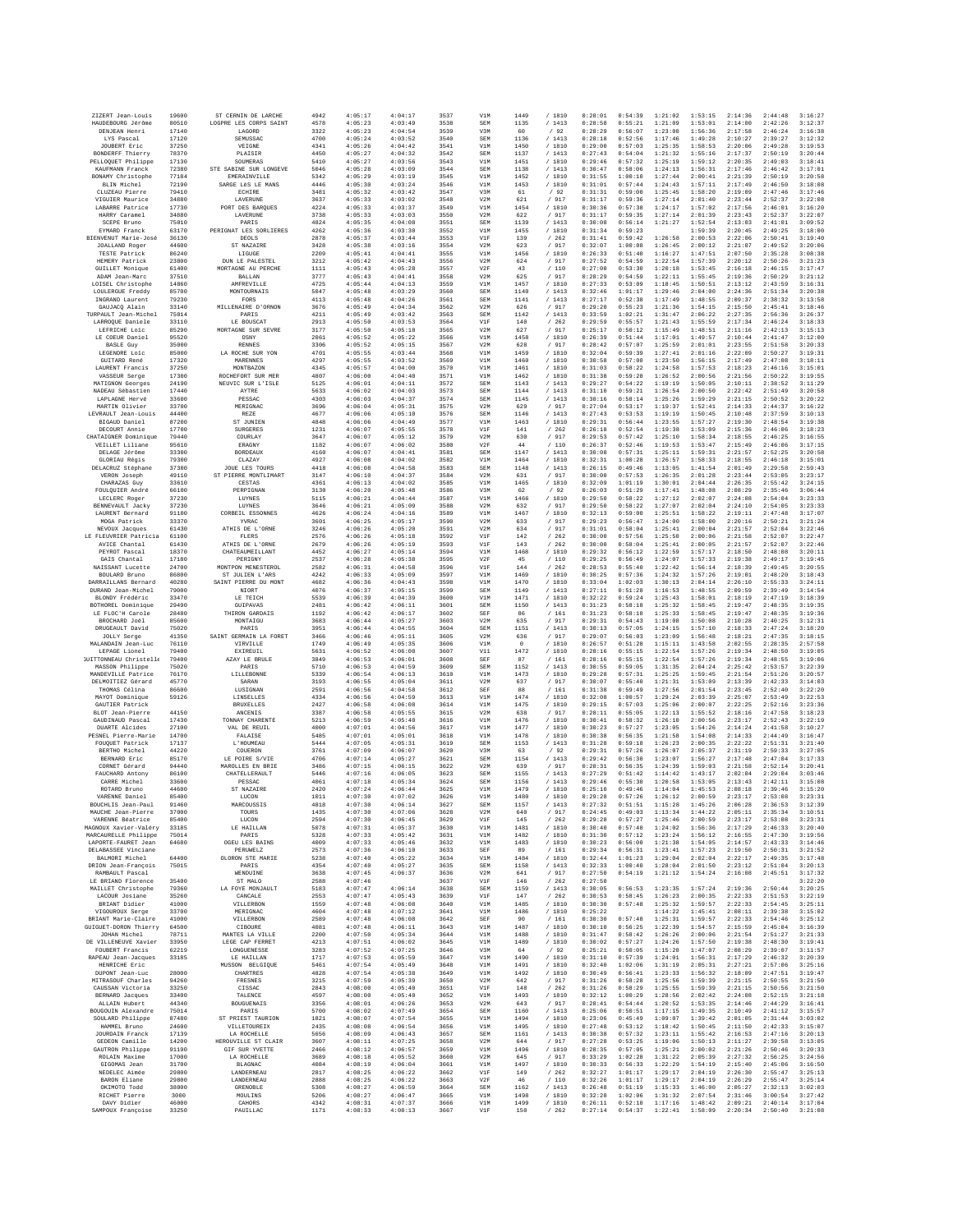| ZIZERT Jean-Louis                             | 19600          | ST CERNIN DE LARCHE                    | 4942         | 4:05:17            | 4:04:17            | 3537         | V1M               | 1449         | / 1810           | 0:28:01            | 0:54:39            | 1:21:02            | 1:53:15            | 2:14:36            | 2:44:48            | 3:16:27            |
|-----------------------------------------------|----------------|----------------------------------------|--------------|--------------------|--------------------|--------------|-------------------|--------------|------------------|--------------------|--------------------|--------------------|--------------------|--------------------|--------------------|--------------------|
| HAUDEBOURG Jérôme                             | 80510          | LOGPRE LES CORPS SAINT                 | 4578         | 4:05:23            | 4:03:49            | 3538         | SEM               | 1135         | /1413            | 0:28:58            | 0:55:21            | 1:21:09            | 1:53:01            | 2:14:00            | 2:42:26            | 3:12:37            |
| DENJEAN Henri<br>LYS Pascal                   | 17140<br>17120 | LAGORD<br>SEMUSSAC                     | 3322<br>4700 | 4:05:23<br>4:05:24 | 4:04:54<br>4:03:52 | 3539<br>3540 | V3M<br>SEM        | 60<br>1136   | /92<br>/ 1413    | 0:28:29<br>0:28:18 | 0:56:07<br>0:52:56 | 1:23:00<br>1:17:46 | 1:56:36<br>1:49:28 | 2:17:58<br>2:10:27 | 2:46:24<br>2:39:27 | 3:16:38<br>3:12:32 |
| JOUBERT Eric                                  | 37250          | VEIGNE                                 | 4341         | 4:05:26            | 4:04:42            | 3541         | V1M               | 1450         | / 1810           | 0:29:00            | 0:57:03            | 1:25:35            | 1:58:53            | 2:20:06            | 2:49:28            | 3:19:53            |
| BONDEREE Thierry                              | 78370          | PLAISIR                                | 4450         | 4:05:27            | 4:04:32            | 3542         | SEM               | 1137         | /1413            | 0:27:43            | 0:54:04            | 1:21:32            | 1:55:16            | 2:17:37            | 2:50:19            | 3:20:44            |
| PELLOQUET Philippe                            | 17130          | SOUMERAS                               | 5410         | 4:05:27            | 4:03:56            | 3543         | V1M               | 1451         | / 1810           | 0:29:46            | 0:57:32            | 1:25:19            | 1:59:12            | 2:20:35            | 2:49:03            | 3:18:41            |
| <b>KAUFMANN Franck</b><br>BONAMY Christophe   | 72380<br>77184 | STE SABINE SUR LONGEVE<br>EMERAINVILLE | 5046<br>5342 | 4:05:28<br>4:05:29 | 4:03:09<br>4:03:19 | 3544<br>3545 | SEM<br>V1M        | 1138<br>1452 | /1413<br>/ 1810  | 0:30:47<br>0:31:55 | 0:58:06<br>1:00:10 | 1:24:13<br>1:27:44 | 1:56:31<br>2:00:41 | 2:17:46<br>2:21:39 | 2:46:42<br>2:50:19 | 3:17:01<br>3:20:58 |
| BLIN Michel                                   | 72190          | SARGE LèS LE MANS                      | 4446         | 4:05:30            | 4:03:24            | 3546         | V1M               | 1453         | / 1810           | 0:31:01            | 0:57:44            | 1:24:43            | 1:57:11            | 2:17:49            | 2:46:50            | 3:18:08            |
| CLUZEAU Pierre                                | 79410          | ECHIRE                                 | 3481         | 4:05:32            | 4:03:42            | 3547         | V3M               | 61           | /92              | 0:31:31            | 0:59:00            | 1:25:45            | 1:58:20            | 2:19:09            | 2:47:46            | 3:17:46            |
| VIGUIER Maurice<br>LABARRE Patrice            | 34880<br>17730 | LAVERUNE<br>PORT DES BARQUES           | 3637<br>4224 | 4:05:33<br>4:05:33 | 4:03:02<br>4:03:37 | 3548<br>3549 | V2M<br>V1M        | 621<br>1454  | / 917<br>/ 1810  | 0:31:17<br>0:30:36 | 0:59:36<br>0:57:38 | 1:27:14<br>1:24:17 | 2:01:40<br>1:57:02 | 2:23:44<br>2:17:56 | 2:52:37<br>2:46:01 | 3:22:08<br>3:16:20 |
| HARRY Caramel                                 | 34880          | LAVERUNE                               | 3738         | 4:05:33            | 4:03:03            | 3550         | V2M               | 622          | /917             | 0:31:17            | 0:59:35            | 1:27:14            | 2:01:39            | 2:23:43            | 2:52:37            | 3:22:07            |
| SCEPE Bruno                                   | 75010          | PARIS                                  | 4824         | 4:05:35            | 4:04:08            | 3551         | SEM               | 1139         | /1413            | 0:30:08            | 0:56:14            | 1:21:27            | 1:52:54            | 2:13:03            | 2:41:01            | 3:09:52            |
| EYMARD Franck                                 | 63170          | PERIGNAT LES SORLIERES                 | 4262         | 4:05:36            | 4:03:30            | 3552         | V1M               | 1455         | / 1810           | 0:31:34            | 0:59:23            |                    | 1:59:39            | 2:20:45            | 2:49:25            | 3:18:00            |
| BIENVENUT Marie-José<br><b>JOALLAND Roger</b> | 36130<br>44600 | DEOLS<br>ST NAZAIRE                    | 2878<br>3428 | 4:05:37<br>4:05:38 | 4:03:44<br>4:03:16 | 3553<br>3554 | VIF<br>V2M        | 139<br>623   | /262<br>/ 917    | 0:31:41<br>0:32:07 | 0:59:42<br>1:00:08 | 1:26:58<br>1:26:45 | 2:00:53<br>2:00:12 | 2:22:06<br>2:21:07 | 2:50:41<br>2:49:52 | 3:19:40<br>3:20:06 |
| TESTE Patrick                                 | 86240          | LIGUGE                                 | 2209         | 4:05:41            | 4:04:41            | 3555         | V1M               | 1456         | / 1810           | 0:26:33            | 0:51:40            | 1:16:27            | 1:47:51            | 2:07:50            | 2:35:28            | 3:08:38            |
| HEMERY Patrick                                | 23800          | DUN LE PALESTEL                        | 3212         | 4:05:42            | 4:04:43            | 3556         | V2M               | 624          | / 917            | 0:27:52            | 0:54:59            | 1:22:54            | 1:57:39            | 2:20:12            | 2:50:26            | 3:21:23            |
| <b>GUILLET Monique</b><br>ADAM Jean-Marc      | 61400<br>37510 | MORTAGNE AU PERCHE<br>BALLAN           | 1111<br>3777 | 4:05:43<br>4:05:43 | 4:05:28<br>4:04:41 | 3557<br>3558 | V2F<br>V2M        | 43<br>625    | /110<br>/ 917    | 0:27:00<br>0:28:29 | 0:53:30<br>0:54:59 | 1:20:18<br>1:22:11 | 1:53:45<br>1:55:45 | 2:16:18<br>2:19:36 | 2:46:15<br>2:50:29 | 3:17:47<br>3:21:12 |
| LOISEL Christophe                             | 14860          | <b>AMFREVILLE</b>                      | 4725         | 4:05:44            | 4:04:13            | 3559         | V1M               | 1457         | / 1810           | 0:27:33            | 0:53:09            | 1:18:45            | 1:50:51            | 2:13:12            | 2:43:59            | 3:16:31            |
| LOULERGUE Freddy                              | 85700          | MONTOURNATS                            | 5047         | 4:05:48            | 4:03:29            | 3560         | SEM               | 1140         | /1413            | 0:32:46            | 1:01:17            | 1:29:46            | 2:04:00            | 2:24:36            | 2:51:34            | 3:20:38            |
| INGRAND Laurent<br>GAUJACO Alain              | 79230          | FORS                                   | 4113         | 4:05:48            | 4:04:26            | 3561         | SEM               | 1141         | /1413            | 0:27:17            | 0:52:38            | 1:17:49            | 1:48:55            | 2:09:37            | 2:38:32            | 3:13:58            |
| TURPAULT Jean-Michel                          | 33140<br>75014 | MILLENAIRE D'ORNON<br>PARIS            | 3676<br>4211 | 4:05:49<br>4:05:49 | 4:04:34<br>4:03:42 | 3562<br>3563 | V2M<br>SEM        | 626<br>1142  | / 917<br>/1413   | 0:29:20<br>0:33:59 | 0:55:23<br>1:02:21 | 1:21:36<br>1:31:47 | 1:54:15<br>2:06:22 | 2:15:50<br>2:27:35 | 2:45:41<br>2:56:36 | 3:18:46<br>3:26:37 |
| LARROOUE Daniele                              | 33110          | LE BOUSCAT                             | 2913         | 4:05:50            | 4:03:53            | 3564         | VIF               | 140          | /262             | 0:29:59            | 0:55:57            | 1:21:43            | 1:55:59            | 2:17:34            | 2:46:24            | 3:18:33            |
| LEFRICHE Loic                                 | 85290          | MORTAGNE SUR SEVRE                     | 3177         | 4:05:50            | 4:05:18            | 3565         | V2M               | 627          | / 917            | 0:25:17            | 0:50:12            | 1:15:49            | 1:48:51            | 2:11:16            | 2:42:13            | 3:15:13            |
| LE COEUR Daniel<br><b>BASLE Guy</b>           | 95520<br>35000 | OSNY<br><b>RENNES</b>                  | 2061<br>3306 | 4:05:52<br>4:05:52 | 4:05:22<br>4:05:15 | 3566<br>3567 | V1M<br>V2M        | 1458<br>628  | / 1810<br>/ 917  | 0:26:39<br>0:28:42 | 0:51:44<br>0:57:07 | 1:17:01<br>1:25:59 | 1:49:57<br>2:01:01 | 2:10:44<br>2:23:55 | 2:41:47<br>2:51:58 | 3:12:00<br>3:20:33 |
| LEGENDRE Loic                                 | 85000          | LA ROCHE SUR YON                       | 4701         | 4:05:55            | 4:03:44            | 3568         | V1M               | 1459         | / 1810           | 0:32:04            | 0:59:39            | 1:27:41            | 2:01:16            | 2:22:09            | 2:50:27            | 3:19:31            |
| <b>GUITARD René</b>                           | 17320          | MARENNES                               | 4297         | 4:05:55            | 4:03:52            | 3569         | V1M               | 1460         | / 1810           | 0:30:58            | 0:57:00            | 1:23:50            | 1:56:15            | 2:17:49            | 2:47:08            | 3:18:11            |
| LAURENT Francis                               | 37250          | MONTBAZON                              | 4345         | 4:05:57            | 4:04:00            | 3570         | V1M               | 1461         | / 1810           | 0:31:03            | 0:58:22            | 1:24:58            | 1:57:53            | 2:18:23            | 2:46:16            | 3:15:01            |
| VASSEUR Serge<br>MATIGNON Georges             | 17300<br>24190 | ROCHEFORT SUR MER<br>NEUVIC SUR L'ISLE | 4807<br>5125 | 4:06:00<br>4:06:01 | 4:04:40<br>4:04:11 | 3571<br>3572 | V1M<br>SEM        | 1462<br>1143 | /1810<br>/1413   | 0:31:38<br>0:29:27 | 0:59:28<br>0:54:22 | 1:26:52<br>1:19:19 | 2:00:56<br>1:50:05 | 2:21:56<br>2:10:11 | 2:50:22<br>2:38:52 | 3:19:55<br>3:11:29 |
| NADEAU Sébastien                              | 17440          | AYTRE                                  | 5633         | 4:06:02            | 4:04:03            | 3573         | SEM               | 1144         | /1413            | 0:31:10            | 0:59:21            | 1:26:54            | 2:00:50            | 2:22:42            | 2:51:49            | 3:20:58            |
| LAPLAGNE Hervé                                | 33600          | PESSAC                                 | 4303         | 4:06:03            | 4:04:37            | 3574         | <b>SEM</b>        | 1145         | /1413            | 0:30:16            | 0:58:14            | 1:25:26            | 1:59:29            | 2:21:15            | 2:50:52            | 3:20:22            |
| MARTIN Olivier<br>LEVRAULT Jean-Louis         | 33700<br>44400 | MERIGNAC<br>REZE                       | 3696<br>4677 | 4:06:04<br>4:06:06 | 4:05:31<br>4:05:10 | 3575<br>3576 | V2M<br>SEM        | 629<br>1146  | /917<br>/1413    | 0:27:04<br>0:27:43 | 0:53:17<br>0:53:53 | 1:19:37<br>1:19:19 | 1:52:41<br>1:50:45 | 2:14:33<br>2:10:48 | 2:44:37<br>2:37:59 | 3:16:22<br>3:10:13 |
| BIGAUD Daniel                                 | 87200          | ST JUNIEN                              | 4848         | 4:06:06            | 4:04:49            | 3577         | V1M               | 1463         | / 1810           | 0:29:31            | 0:56:44            | 1:23:55            | 1:57:27            | 2:19:30            | 2:48:54            | 3:19:38            |
| DECOURT Annie                                 | 17700          | <b>SURGERES</b>                        | 1231         | 4:06:07            | 4:05:55            | 3578         | VIF               | 141          | /262             | 0:26:18            | 0:52:54            | 1:19:38            | 1:53:09            | 2:15:36            | 2:46:06            | 3:18:23            |
| CHATAIGNER Dominique                          | 79440          | COURLAY                                | 3647         | 4:06:07            | 4:05:12            | 3579         | V2M               | 630          | / 917            | 0:29:53            | 0:57:42            | 1:25:10            | 1:58:34            | 2:18:55            | 2:46:25            | 3:16:55            |
| VEILLET Liliane<br>DELAGE Jérôme              | 95610<br>33300 | ERAGNY<br><b>BORDEAUX</b>              | 1182<br>4160 | 4:06:07<br>4:06:07 | 4:06:02<br>4:04:41 | 3580<br>3581 | V2F<br><b>SEM</b> | 44<br>1147   | /110<br>/1413    | 0:26:37<br>0:30:08 | 0:52:46<br>0:57:31 | 1:19:53<br>1:25:11 | 1:53:47<br>1:59:31 | 2:15:49<br>2:21:57 | 2:46:06<br>2:52:25 | 3:17:15<br>3:20:58 |
| GLORIAU Régis                                 | 79300          | CLAZAY                                 | 4927         | 4:06:08            | 4:04:02            | 3582         | V1M               | 1464         | /1810            | 0:32:31            | 1:00:28            | 1:26:57            | 1:58:33            | 2:18:55            | 2:46:18            | 3:15:01            |
| DELACRUZ Stéphane                             | 37300          | <b>JOUE LES TOURS</b>                  | 4418         | 4:06:08            | 4:04:58            | 3583         | SEM               | 1148         | /1413            | 0:26:15            | 0:49:46            | 1:13:05            | 1:41:54            | 2:01:49            | 2:29:58            | 2:59:43            |
| VERON Joseph                                  | 49110<br>33610 | ST PIERRE MONTLIMART<br>CESTAS         | 3147<br>4361 | 4:06:10<br>4:06:13 | 4:04:37<br>4:04:02 | 3584<br>3585 | V2M<br>V1M        | 631          | / 917            | 0:30:00<br>0:32:09 | 0:57:53<br>1:01:19 | 1:26:35<br>1:30:01 | 2:01:28<br>2:04:44 | 2:23:44<br>2:26:35 | 2:53:05<br>2:55:42 | 3:23:17<br>3:24:15 |
| CHARAZAS Guy<br>FOULQUIER André               | 66100          | PERPIGNAN                              | 3130         | 4:06:20            | 4:05:48            | 3586         | V3M               | 1465<br>62   | / 1810<br>/92    | 0:26:03            | 0:51:29            | 1:17:41            | 1:48:08            | 2:08:29            | 2:35:46            | 3:06:44            |
| LECLERC Roger                                 | 37230          | LUYNES                                 | 5115         | 4:06:21            | 4:04:44            | 3587         | V1M               | 1466         | / 1810           | 0:29:50            | 0:58:22            | 1:27:12            | 2:02:07            | 2:24:08            | 2:54:04            | 3:23:33            |
| <b>BENNEVAULT Jacky</b>                       | 37230          | LUYNES<br>CORRETT, ESSONNES            | 3646         | 4:06:21            | 4:05:09            | 3588         | V2M               | 632          | / 917            | 0:29:50            | 0:58:22            | 1:27:07            | 2:02:04            | 2:24:10            | 2:54:05            | 3:23:33            |
| LAURENT Bernard<br>MOGA Patrick               | 91100<br>33370 | YVRAC                                  | 4626<br>3601 | 4:06:24<br>4:06:25 | 4:04:16<br>4:05:17 | 3589<br>3590 | V1M<br>V2M        | 1467<br>633  | /1810<br>/ 917   | 0:32:13<br>0:29:23 | 0:59:00<br>0:56:47 | 1:25:51<br>1:24:00 | 1:58:22<br>1:58:00 | 2:19:11<br>2:20:16 | 2:47:48<br>2:50:21 | 3:17:07<br>3:21:24 |
| NEVOUX Jacques                                | 61430          | ATHIS DE L'ORNE                        | 3246         | 4:06:26            | 4:05:20            | 3591         | V2M               | 634          | / 917            | 0:31:01            | 0:58:04            | 1:25:41            | 2:00:04            | 2:21:57            | 2:52:04            | 3:22:46            |
| LE FLEUVRIER Patricia                         | 61100          | FLERS                                  | 2576         | 4:06:26            | 4:05:18            | 3592         | V1F               | 142          | /262             | 0:30:00            | 0:57:56            | 1:25:50            | 2:00:06            | 2:21:58            | 2:52:07            | 3:22:47            |
| AVICE Chantal<br>PEYROT Pascal                | 61430<br>18370 | ATHIS DE L'ORNE<br>CHATEAUMEILLANT     | 2679<br>4452 | 4:06:26<br>4:06:27 | 4:05:19<br>4:05:14 | 3593<br>3594 | V1F<br>V1M        | 143<br>1468  | /262<br>/ 1810   | 0:30:00<br>0:29:32 | 0:58:04<br>0:56:12 | 1:25:41<br>1:22:59 | 2:00:05<br>1:57:17 | 2:21:57<br>2:18:50 | 2:52:07<br>2:48:08 | 3:22:46<br>3:20:11 |
| GAIS Chantal                                  | 17180          | PERIGNY                                | 2537         | 4:06:28            | 4:05:38            | 3595         | V2F               | 45           | / 110            | 0:29:25            | 0:56:49            | 1:24:07            | 1:57:33            | 2:19:38            | 2:49:17            | 3:19:45            |
| NAISSANT Lucette                              | 24700          | MONTPON MENESTEROL                     | 2582         | 4:06:31            | 4:04:58            | 3596         | VIF               | 144          | /262             | 0:28:53            | 0:55:40            | 1:22:42            | 1:56:14            | 2:18:39            | 2:49:45            | 3:20:55            |
| BOULARD Bruno                                 | 86800          | ST JULIEN L'ARS                        | 4242         | 4:06:33            | 4:05:09            | 3597         | V1M               | 1469         | / 1810           | 0:30:25            | 0:57:36            | 1:24:32            | 1:57:26            | 2:19:01            | 2:48:20            | 3:18:43            |
| DARRAILLANS Bernard<br>DURAND Jean-Michel     | 40280<br>79000 | SAINT PIERRE DU MONT<br>NIORT          | 4682<br>4076 | 4:06:36<br>4:06:37 | 4:04:43<br>4:05:15 | 3598<br>3599 | V1M<br>SEM        | 1470<br>1149 | / 1810<br>/1413  | 0:33:04<br>0:27:11 | 1:02:03<br>0:51:28 | 1:30:13<br>1:16:53 | 2:04:14<br>1:48:55 | 2:26:10<br>2:09:59 | 2:55:33<br>2:39:49 | 3:24:11<br>3:14:54 |
| BLONDY Frédéric                               | 33470          | LE TEICH                               | 5539         | 4:06:39            | 4:04:39            | 3600         | V1M               | 1471         | /1810            | 0:32:22            | 0:59:24            | 1:25:43            | 1:58:01            | 2:18:19            | 2:47:19            | 3:18:39            |
| BOTHOREL Dominique                            | 29490          | GUIPAVAS                               | 2481         | 4:06:42            | 4:06:11            | 3601         | SEM               | 1150         | /1413            | 0:31:23            | 0:58:18            | 1:25:32            | 1:58:45            | 2:19:47            | 2:48:35            | 3:19:35            |
| LE FLOC'H Carole<br>BROCHARD Joël             | 28480<br>85600 | THIRON GARDAIS<br>MONTAIGU             | 1192<br>3683 | 4:06:42<br>4:06:44 | 4:06:17<br>4:05:27 | 3602<br>3603 | SEF<br>V2M        | 86<br>635    | /161<br>/917     | 0:31:23<br>0:29:31 | 0:58:18<br>0:54:43 | 1:25:33<br>1:19:08 | 1:58:45<br>1:50:08 | 2:19:47<br>2:10:28 | 2:48:35<br>2:40:25 | 3:19:36<br>3:12:31 |
| DRUGEAULT David                               | 75020          | PARIS                                  | 3951         | 4:06:44            | 4:04:55            | 3604         | SEM               | 1151         | / 1413           | 0:30:13            | 0:57:05            | 1:24:15            | 1:57:10            | 2:18:33            | 2:47:24            | 3:18:20            |
| <b>JOLLY</b> Serge                            | 41350          | SAINT GERMAIN LA FORET                 | 3466         | 4:06:46            | 4:05:11            | 3605         | V2M               | 636          | / 917            | 0:29:07            | 0:56:03            | 1:23:09            | 1:56:48            | 2:18:21            | 2:47:35            | 3:18:15            |
| MALANDAIN Jean-Luc<br>LEPAGE Lionel           | 76110<br>79400 | VIRVILLE<br>EXIREUIL                   | 1749<br>5631 | 4:06:49<br>4:06:52 | 4:05:35<br>4:06:00 | 3606<br>3607 | V1M<br>V11        | $^{\circ}$   | / 1810<br>/ 1810 | 0:26:57<br>0:28:16 | 0:51:28<br>0:55:15 | 1:15:11<br>1:22:54 | 1:43:58<br>1:57:26 | 2:02:55<br>2:19:34 | 2:28:35<br>2:48:50 | 2:57:58<br>3:19:05 |
| <b>SUITTONNEAU</b> Christelle                 | 79400          | AZAY LE BRULE                          | 3849         | 4:06:53            | 4:06:01            | 3608         | SEF               | 1472<br>87   | / 161            | 0:28:16            | 0:55:15            | 1:22:54            | 1:57:26            | 2:19:34            | 2:48:55            | 3:19:06            |
| MASSON Philippe                               | 75020          | PARIS                                  | 5710         | 4:06:53            | 4:04:59            | 3609         | SEM               | 1152         | /1413            | 0:30:55            | 0:59:05            | 1:31:35            | 2:04:24            | 2:25:42            | 2:53:57            | 3:22:39            |
| MANDEVILLE Patrice                            | 76170          | LILLEBONNE                             | 5339         | 4:06:54            | 4:06:13            | 3610         | V1M               | 1473         | /1810            | 0:29:28            | 0:57:31            | 1:25:25            | 1:59:45            | 2:21:54            | 2:51:26            | 3:20:57            |
| DELMOITIEZ Gérard<br>THOMAS Célina            | 45770<br>86600 | SARAN<br>LUSIGNAN                      | 3193<br>2591 | 4:06:55<br>4:06:56 | 4:05:04<br>4:04:58 | 3611<br>3612 | V2M<br>SEF        | 637<br>88    | / 917<br>/161    | 0:30:07<br>0:31:38 | 0:55:40<br>0:59:49 | 1:21:31<br>1:27:56 | 1:53:09<br>2:01:54 | 2:13:39<br>2:23:45 | 2:42:33<br>2:52:40 | 3:14:03<br>3:22:20 |
| MAYOT Dominique                               | 59126          | LINSELLES                              | 4334         | 4:06:56            | 4:04:59            | 3613         | V1M               | 1474         | / 1810           | 0:32:08            | 1:00:57            | 1:29:24            | 2:03:39            | 2:25:07            | 2:53:49            | 3:22:53            |
| GAUTIER Patrick                               |                |                                        | 2427         | 4:06:58            | 4:06:08            | 3614         | V1M               | 1475         | / 1810           | 0:29:15            | 0:57:03            | 1:25:06            | 2:00:07            | 2:22:25            | 2:52:16            | 3:23:36            |
|                                               |                | <b>BRUXELLES</b>                       |              |                    | 4:05:55            | 3615         |                   |              | / 917            | 0:28:11            | 0:55:05            | 1:22:13            | 1:55:52            |                    |                    | 3:18:23            |
| BLOT Jean-Pierre                              | 44150          | ANCENIS                                | 3387         | 4:06:58            |                    |              | V2M               | 638          |                  |                    |                    |                    |                    | 2:18:16            | 2:47:58            |                    |
| GAUDINAUD Pascal<br>DUARTE Alcides            | 17430<br>27100 | TONNAY CHARENTE<br>VAL DE REUIL        | 5213<br>4000 | 4:06:59<br>4:07:01 | 4:05:40<br>4:04:56 | 3616<br>3617 | V1M<br>V1M        | 1476<br>1477 | / 1810<br>/1810  | 0:30:41<br>0:30:23 | 0:58:32<br>0:57:27 | 1:26:10<br>1:23:05 | 2:00:56<br>1:54:26 | 2:23:17<br>2:14:24 | 2:52:43<br>2:41:58 | 3:22:19<br>3:10:27 |
| PESNEL Pierre-Marie                           | 14700          | FALAISE                                | 5485         | 4:07:01            | 4:05:01            | 3618         | V1M               | 1478         | / 1810           | 0:30:38            | 0:56:35            | 1:21:58            | 1:54:08            | 2:14:33            | 2:44:49            | 3:16:47            |
| FOUQUET Patrick                               | 17137          | L'HOUMEAU                              | 5444         | 4:07:05            | 4:05:31            | 3619         | SEM               | 1153         | /1413            | 0:31:28            | 0:59:18            | 1:26:23            | 2:00:35            | 2:22:22            | 2:51:31            | 3:21:40            |
| BERTHO Michel                                 | 44220          | COUERON                                | 3761         | 4:07:09            | 4:06:07            | 3620         | V3M               | 63           | /92              | 0:29:31            | 0:57:26            | 1:26:07            | 2:05:37            | 2:31:19            | 2:59:33            | 3:27:05            |
| BERNARD Eric<br>CORNET Gérard                 | 85170<br>94440 | LE POIRE S/VIE<br>MAROLLES EN BRIE     | 4706<br>3486 | 4:07:14<br>4:07:15 | 4:05:27<br>4:06:15 | 3621<br>3622 | SEM<br>V2M        | 1154<br>639  | /1413<br>/ 917   | 0:29:42<br>0:28:31 | 0:56:30<br>0:56:35 | 1:23:07<br>1:24:39 | 1:56:27<br>1:59:03 | 2:17:48<br>2:21:58 | 2:47:04<br>2:52:14 | 3:17:33<br>3:20:41 |
| FAUCHARD Antony                               | 86100          | CHATELLERAULT                          | 5446         | 4:07:16            | 4:06:05            | 3623         | SEM               | 1155         | /1413            | 0:27:29            | 0:51:42            | 1:14:42            | 1:43:17            | 2:02:04            | 2:29:04            | 3:03:46            |
| CARRE Michel                                  | 33600          | PESSAC                                 | 4061         | 4:07:18            | 4:05:34            | 3624         | SEM               | 1156         | /1413            | 0:29:46            | 0:55:30            | 1:20:58            | 1:53:05            | 2:13:43            | 2:42:11            | 3:15:08            |
| ROTARD Bruno                                  | 44600          | ST NAZAIRE                             | 2420         | 4:07:24            | 4:06:44            | 3625         | V1M               | 1479         | /1810            | 0:25:10            | 0:49:46            | 1:14:04            | 1:45:53            | 2:08:18            | 2:39:46            | 3:15:20            |
| VARENNE Daniel<br>BOUCHLIS Jean-Paul          | 85400<br>91460 | LUCON<br>MARCOUSSIS                    | 1011<br>4818 | 4:07:30<br>4:07:30 | 4:07:02<br>4:06:14 | 3626<br>3627 | V1M<br><b>SEM</b> | 1480<br>1157 | / 1810<br>/1413  | 0:29:28<br>0:27:32 | 0:57:26<br>0:51:51 | 1:26:12<br>1:15:28 | 2:00:59<br>1:45:26 | 2:23:17<br>2:06:28 | 2:53:08<br>2:36:53 | 3:23:31<br>3:12:39 |
| MAUCHE Jean-Pierre                            | 37000          | TOURS                                  | 1435         | 4:07:30            | 4:07:06            | 3628         | V2M               | 640          | / 917            | 0:24:45            | 0:49:03            | 1:13:34            | 1:44:22            | 2:05:11            | 2:35:34            | 3:10:51            |
| VARENNE Béatrice                              | 85400          | LUCON                                  | 2594         | 4:07:30            | 4:06:45            | 3629         | V1F               | 145          | /262             | 0:29:28            | 0:57:27            | 1:25:46            | 2:00:59            | 2:23:17            | 2:53:08            | 3:23:31            |
| MAGNOUX Xavier-Valéry<br>MARCAURELLE Philippe | 33185<br>75014 | LE HAILLAN<br>PARIS                    | 5078<br>5328 | 4:07:31<br>4:07:33 | 4:05:37<br>4:05:42 | 3630<br>3631 | V1M<br>V1M        | 1481<br>1482 | / 1810<br>/ 1810 | 0:30:40<br>0:31:30 | 0:57:40<br>0:57:12 | 1:24:02<br>1:23:24 | 1:56:36<br>1:56:12 | 2:17:29<br>2:16:55 | 2:46:33            | 3:20:40<br>3:19:56 |
| LAPORTE-FAURET Jean                           | 64680          | OGEU LES BAINS                         | 4009         | 4:07:33            | 4:05:46            | 3632         | V1M               | 1483         | / 1810           | 0:30:23            | 0:56:00            | 1:21:38            | 1:54:05            | 2:14:57            | 2:47:30<br>2:43:33 | 3:14:46            |
| DELABASSEE Vinciane                           |                | <b>PERUWELZ</b>                        | 2573         | 4:07:36            | 4:06:10            | 3633         | SEF               | 89           | / 161            | 0:29:34            | 0:56:31            | 1:23:41            | 1:57:23            | 2:19:50            | 2:50:31            | 3:21:52            |
| BALMORI Michel<br>DRION Jean-Francois         | 64400          | OLORON STE MARIE                       | 5238         | 4:07:40            | 4:05:22            | 3634         | V1M               | 1484         | / 1810           | 0:32:44            | 1:01:23            | 1:29:04            | 2:02:04            | 2:22:17            | 2:49:35            | 3:17:48            |
| RAMBAULT Pascal                               | 75015          | PARIS<br>WENDUINE                      | 4354<br>3638 | 4:07:40<br>4:07:45 | 4:05:27<br>4:06:37 | 3635<br>3636 | <b>SEM</b><br>V2M | 1158<br>641  | /1413<br>/ 917   | 0:32:33<br>0:27:50 | 1:00:40<br>0:54:19 | 1:28:04<br>1:21:12 | 2:01:50<br>1:54:24 | 2:23:12<br>2:16:08 | 2:51:04<br>2:45:51 | 3:20:13<br>3:17:32 |
| LE BRIAND Florence                            | 35400          | ST MALO                                | 2588         | 4:07:46            |                    | 3637         | V1F               | 146          | /262             | 0:27:50            |                    |                    |                    |                    |                    | 3:22:20            |
| MAILLET Christophe                            | 79360          | LA FOYE MONJAULT                       | 5183         | 4:07:47            | 4:06:14            | 3638         | SEM               | 1159         | /1413            | 0:30:05            | 0:56:53            | 1:23:35            | 1:57:24            | 2:19:36            | 2:50:44            | 3:20:25            |
| LACOUR Josiane<br>BRIANT Didier               | 35260<br>41000 | CANCALE<br>VILLERBON                   | 2553<br>1559 | 4:07:47<br>4:07:48 | 4:05:43<br>4:06:08 | 3639<br>3640 | VIF<br>V1M        | 147<br>1485  | /262             | 0:30:53<br>0:30:30 | 0:58:45<br>0:57:48 | 1:26:23<br>1:25:32 | 2:00:35<br>1:59:57 | 2:22:33<br>2:22:33 | 2:51:53<br>2:54:45 | 3:22:19<br>3:25:11 |
| VIGOUROUX Serge                               | 33700          | MERIGNAC                               | 4604         | 4:07:48            | 4:07:12            | 3641         | V1M               | 1486         | / 1810<br>/ 1810 | 0:25:22            |                    | 1:14:22            | 1:45:41            | 2:08:11            | 2:39:38            | 3:15:02            |
| BRIANT Marie-Claire                           | 41000          | VTTJ.RRRON                             | 2589         | 4:07:48            | 4:06:08            | 3642         | SEF               | 90           | /161             | 0:30:30            | 0:57:48            | 1:25:31            | 1:59:57            | 2:22:33            | 2:54:46            | 3:25:12            |
| GUIGUET-DORON Thierry<br>JOHAN Michel         | 64500<br>78711 | CIBOURE<br>MANTES LA VILLE             | 4081<br>2200 | 4:07:48<br>4:07:50 | 4:06:11<br>4:05:34 | 3643<br>3644 | V1M<br>V1M        | 1487<br>1488 | / 1810<br>/ 1810 | 0:30:10<br>0:31:47 | 0:56:25<br>0:58:42 | 1:22:39<br>1:26:26 | 1:54:57<br>2:00:06 | 2:15:59<br>2:21:54 | 2:45:04<br>2:51:27 | 3:16:39<br>3:21:33 |
| DE VILLENEUVE Xavier                          | 33950          | LEGE CAP FERRET                        | 4213         | 4:07:51            | 4:06:02            | 3645         | V1M               | 1489         | / 1810           | 0:30:02            | 0:57:27            | 1:24:26            | 1:57:50            | 2:19:38            | 2:48:30            | 3:19:41            |
| FOUBERT Francis                               | 62219          | LONGUENESSE                            | 3283         | 4:07:52            | 4:07:25            | 3646         | V3M               | 64           | /92              | 0:25:21            | 0:50:05            | 1:15:20            | 1:47:07            | 2:08:29            | 2:39:07            | 3:11:57            |
| RAPEAU Jean-Jacques                           | 33185          | LE HAILLAN                             | 1717         | 4:07:53            | 4:05:59            | 3647         | V1M               | 1490         | / 1810           | 0:31:10            | 0:57:39            | 1:24:01            | 1:56:31            | 2:17:29            | 2:46:32            | 3:20:39            |
| HENRICHE Eric<br>DUPONT Jean-Luc              | 28000          | MUSSON BELGIQUE<br>CHARTRES            | 5461<br>4828 | 4:07:54<br>4:07:54 | 4:05:49<br>4:05:38 | 3648<br>3649 | V1M<br>V1M        | 1491<br>1492 | / 1810<br>/ 1810 | 0:32:40<br>0:30:49 | 1:02:06<br>0:56:41 | 1:31:19<br>1:23:33 | 2:05:31<br>1:56:32 | 2:27:21<br>2:18:09 | 2:57:06<br>2:47:51 | 3:25:16<br>3:19:47 |
| MITRASOUF Charles                             | 94260          | FRESNES                                | 3215         | 4:07:59            | 4:05:39            | 3650         | V2M               | 642          | / 917            | 0:31:26            | 0:58:28            | 1:25:56            | 1:59:39            | 2:21:15            | 2:50:55            | 3:21:50            |
| CAUSSAN Victoria                              | 33250          | CISSAC                                 | 2843         | 4:08:00            | 4:05:40            | 3651         | V1F               | 148          | /262             | 0:31:26            | 0:58:29            | 1:25:55            | 1:59:39            | 2:21:15            | 2:50:56            | 3:21:50            |
| BERNARD Jacques<br>ALLAIN Hubert              | 33400<br>44340 | TALENCE<br><b>BOUGUENAIS</b>           | 4597<br>3356 | 4:08:00<br>4:08:01 | 4:05:40<br>4:06:26 | 3652<br>3653 | V1M<br>V2M        | 1493<br>643  | / 1810<br>/917   | 0:32:12<br>0:28:41 | 1:00:29<br>0:54:44 | 1:28:56<br>1:20:52 | 2:02:42<br>1:53:35 | 2:24:08<br>2:14:46 | 2:52:15<br>2:44:29 | 3:21:18<br>3:16:41 |
| BOUGOUIN Alexandre                            | 75014          | PARIS                                  | 5700         | 4:08:02            | 4:07:49            | 3654         | <b>SEM</b>        | 1160         | / 1413           | 0:25:06            | 0:50:51            | 1:17:15            | 1:49:35            | 2:10:49            | 2:41:12            | 3:15:57            |
| SOULARD Philippe                              | 87480          | ST PRIEST TAURION                      | 1821         | 4:08:07            | 4:07:54            | 3655         | V1M               | 1494         | / 1810           | 0:23:06            | 0:45:49            | 1:09:07            | 1:39:42            | 2:01:05            | 2:31:44            | 3:03:02            |
| HAMMEL Bruno                                  | 24600          | VILLETOUREIX                           | 2435         | 4:08:08            | 4:06:54            | 3656         | V1M               | 1495         | / 1810           | 0:27:48            | 0:53:12            | 1:18:42            | 1:50:45            | 2:11:50            | 2:42:33            | 3:15:07            |
| <b>JOURDAIN Franck</b>                        | 17139<br>14200 | LA ROCHELLE                            | 5656<br>3607 | 4:08:09            | 4:06:43<br>4:07:25 | 3657<br>3658 | <b>SEM</b><br>V2M | 1161<br>644  | /1413            | 0:30:38<br>0:27:28 | 0:57:32<br>0:53:25 | 1:23:11<br>1:19:06 | 1:55:42            | 2:16:53<br>2:11:27 | 2:47:16<br>2:39:58 | 3:20:13<br>3:13:05 |
| GEDEON Camille<br>GAUTRON Philippe            | 91190          | HEROUVILLE ST CLAIR<br>GIF SUR YVETTE  | 2466         | 4:08:11<br>4:08:12 | 4:06:57            | 3659         | V1M               | 1496         | / 917<br>/ 1810  | 0:28:35            | 0:57:05            | 1:25:21            | 1:50:13<br>2:00:02 | 2:21:26            | 2:50:46            | 3:20:33            |
| ROLAIN Maxime                                 | 17000          | LA ROCHELLE                            | 3689         | 4:08:18            | 4:05:52            | 3660         | V2M               | 645          | /917             | 0:33:29            | 1:02:28            | 1:31:22            | 2:05:39            | 2:27:32            | 2:56:25            | 3:24:56            |
| GIGOMAS Jean                                  | 31700          | <b>BLAGNAC</b>                         | 4084         | 4:08:19            | 4:06:04            | 3661         | V1M               | 1497         | / 1810           | 0:30:33            | 0:56:33            | 1:22:29            | 1:54:19            | 2:15:40            | 2:45:06            | 3:16:50            |
| NEDELEC Aimée<br>BARON Eliane                 | 29800<br>29800 | LANDERNEAU<br>LANDERNEAU               | 2817<br>2888 | 4:08:25<br>4:08:25 | 4:06:22<br>4:06:22 | 3662<br>3663 | V1F<br>V2F        | 149<br>46    | /262<br>/ 110    | 0:32:27<br>0:32:26 | 1:01:17<br>1:01:17 | 1:29:17<br>1:29:17 | 2:04:19<br>2:04:19 | 2:26:30<br>2:26:29 | 2:55:47<br>2:55:47 | 3:25:13<br>3:25:14 |
| OKIMOTO Todd                                  | 38000          | GRENOBLE                               | 5308         | 4:08:27            | 4:06:59            | 3664         | <b>SEM</b>        | 1162         | /1413            | 0:26:48            | 0:51:19            | 1:15:33            | 1:46:00            | 2:05:27            | 2:32:13            | 3:02:03            |
| RICHET Pierre<br>DAVY Didier                  | 3000<br>46000  | <b>MOULINS</b><br>CAHORS               | 5206<br>4342 | 4:08:27<br>4:08:31 | 4:06:47<br>4:07:37 | 3665<br>3666 | V1M<br>V1M        | 1498<br>1499 | / 1810<br>/ 1810 | 0:32:28<br>0:26:11 | 1:02:06<br>0:52:10 | 1:31:32<br>1:17:16 | 2:07:54<br>1:48:42 | 2:31:46<br>2:09:21 | 3:00:54<br>2:40:14 | 3:27:42<br>3:17:04 |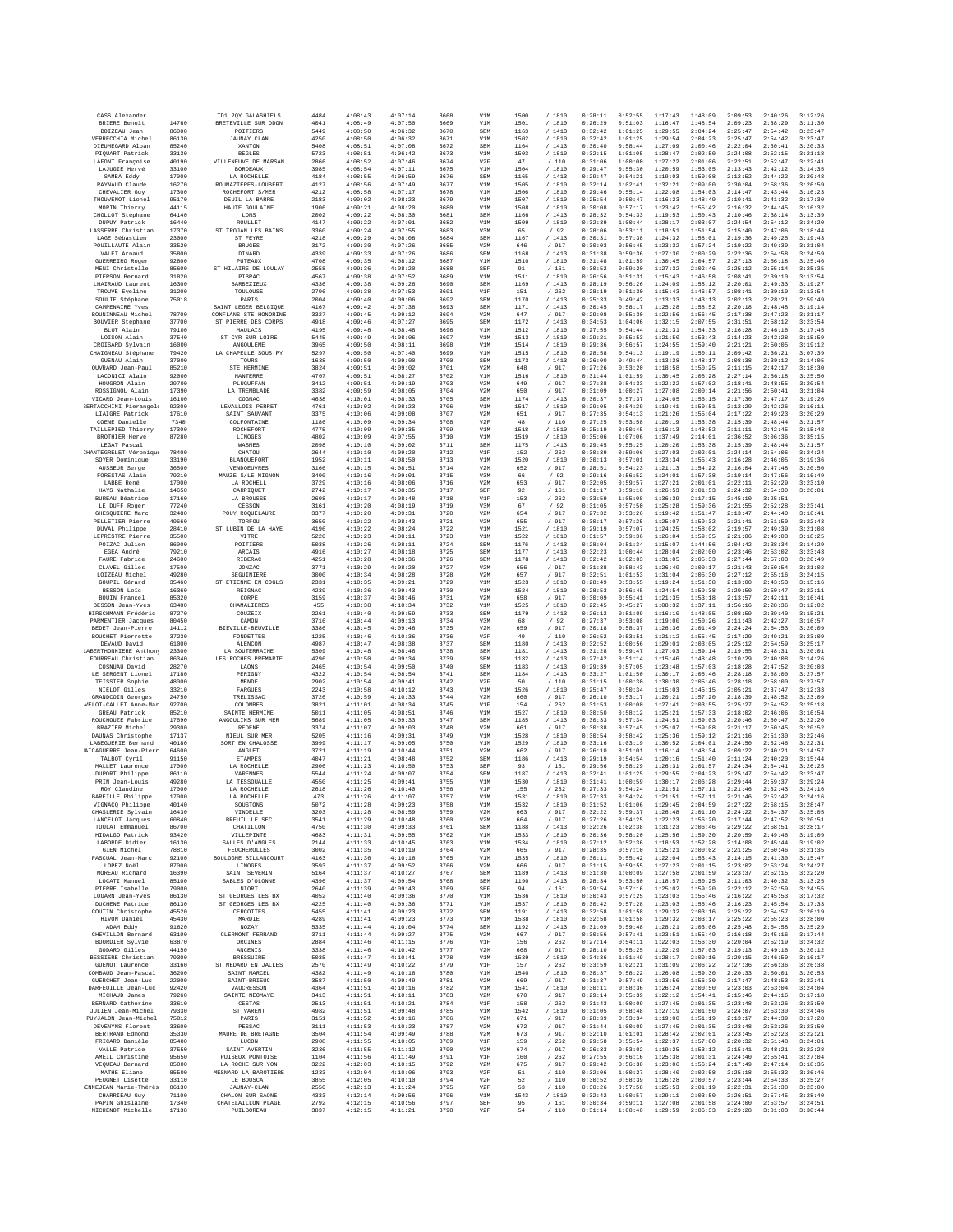| CASS Alexander                               |                | TD1 2QY GALASHIELS                            | 4484         | 4:08:43            | 4:07:14            | 3668         | V1M                    | 1500         | /1810             | 0:28:11            | 0:52:55            | 1:17:43            | 1:48:09            | 2:09:53            | 2:40:26              | 3:12:26            |
|----------------------------------------------|----------------|-----------------------------------------------|--------------|--------------------|--------------------|--------------|------------------------|--------------|-------------------|--------------------|--------------------|--------------------|--------------------|--------------------|----------------------|--------------------|
| BRIERE Benoît<br>BOIZEAU Jean                | 14760<br>86000 | BRETEVILLE SUR ODON<br>POITIERS               | 4041<br>5449 | 4:08:49<br>4:08:50 | 4:07:50<br>4:06:32 | 3669<br>3670 | V1M<br>SEM             | 1501<br>1163 | /1810<br>/1413    | 0:26:29<br>0:32:42 | 0:51:03<br>1:01:25 | 1:16:47<br>1:29:55 | 1:48:54<br>2:04:24 | 2:09:23<br>2:25:47 | 2:38:29<br>2:54:42   | 3:11:30<br>3:23:47 |
| VERRECCHIA Michel                            | 86130          | <b>JAUNAY CLAN</b>                            | 4250         | 4:08:50            | 4:06:32            | 3671         | V1M                    | 1502         | / 1810            | 0:32:42            | 1:01:25            | 1:29:54            | 2:04:23            | 2:25:47            | 2:54:42              | 3:23:47            |
| DIEUMEGARD Alban                             | 85240          | XANTON                                        | 5408         | 4:08:51            | 4:07:08            | 3672         | SEM                    | 1164         | /1413             | 0:30:40            | 0:58:44            | 1:27:09            | 2:00:46            | 2:22:04            | 2:50:41              | 3:20:33            |
| PIOUART Patrick<br>LAFONT Francoise          | 33130<br>40190 | <b>BEGLES</b><br>VILLENEUVE DE MARSAN         | 5723<br>2866 | 4:08:51<br>4:08:52 | 4:06:42<br>4:07:46 | 3673<br>3674 | V1M<br>V2F             | 1503<br>47   | / 1810<br>/110    | 0:32:15<br>0:31:06 | 1:01:05<br>1:00:00 | 1:28:47<br>1:27:22 | 2:02:50<br>2:01:06 | 2:24:08<br>2:22:51 | 2:52:15<br>2:52:47   | 3:21:18<br>3:22:41 |
| LAJUGIE Hervé                                | 33100          | <b>BORDEAUX</b>                               | 3985         | 4:08:54            | 4:07:11            | 3675         | V1M                    | 1504         | / 1810            | 0:29:47            | 0:55:30            | 1:20:59            | 1:53:05            | 2:13:43            | 2:42:12              | 3:14:35            |
| SAMBA Eddy<br>RAYNAUD Claude                 | 17000<br>16270 | LA ROCHELLE<br>ROUMAZIERES-LOUBERT            | 4184<br>4127 | 4:08:55<br>4:08:56 | 4:06:59<br>4:07:49 | 3676<br>3677 | SEM<br>V1M             | 1165<br>1505 | /1413<br>/ 1810   | 0:29:47<br>0:32:14 | 0:54:21<br>1:02:41 | 1:19:03<br>1:32:21 | 1:50:08<br>2:09:00 | 2:12:52<br>2:30:04 | 2:44:22<br>2:58:36   | 3:20:48<br>3:26:59 |
| CHEVALIER Guy                                | 17300          | ROCHEFORT S/MER                               | 4212         | 4:08:58            | 4:07:17            | 3678         | V1M                    | 1506         | / 1810            | 0:29:46            | 0:55:14            | 1:22:08            | 1:54:03            | 2:14:47            | 2:43:44              | 3:16:23            |
| THOUVENOT Lionel                             | 95170          | DEUIL LA BARRE                                | 2183         | 4:09:02            | 4:08:23            | 3679         | V1M                    | 1507         | / 1810            | 0:25:54            | 0:50:47            | 1:16:23            | 1:48:49            | 2:10:41            | 2:41:32              | 3:17:30            |
| MORIN Thierry<br>CHOLLOT Stéphane            | 44115<br>64140 | HAUTE GOULAINE<br>LONS                        | 1906<br>2002 | 4:09:21<br>4:09:22 | 4:08:20<br>4:08:30 | 3680<br>3681 | V1M<br>SEM             | 1508<br>1166 | /1810<br>/1413    | 0:30:08<br>0:28:32 | 0:57:17<br>0:54:33 | 1:23:42<br>1:19:53 | 1:55:42<br>1:50:43 | 2:16:32<br>2:10:46 | 2:44:45<br>2:38:14   | 3:16:32<br>3:13:39 |
| DUPUY Patrick                                | 16440          | <b>ROULLET</b>                                | 4147         | 4:09:22            | 4:07:01            | 3682         | V1M                    | 1509         | / 1810            | 0:32:39            | 1:00:44            | 1:28:17            | 2:03:07            | 2:24:54            | 2:54:12              | 3:24:20            |
| LASSERRE Christian<br>LAGE Sébastien         | 17370<br>23000 | ST TROJAN LES BAINS<br>ST FEYRE               | 3360<br>4218 | 4:09:24<br>4:09:29 | 4:07:55<br>4:08:08 | 3683<br>3684 | V3M<br>SEM             | 65<br>1167   | /92<br>/1413      | 0:28:06<br>0:30:31 | 0:53:11<br>0:57:38 | 1:18:51<br>1:24:32 | 1:51:54<br>1:58:01 | 2:15:40<br>2:19:36 | 2:47:06<br>2:49:25   | 3:18:44<br>3:19:43 |
| POUILLAUTE Alain                             | 33520          | <b>BRUGES</b>                                 | 3172         | 4:09:30            | 4:07:26            | 3685         | V2M                    | 646          | / 917             | 0:30:03            | 0:56:45            | 1:23:32            | 1:57:24            | 2:19:22            | 2:49:39              | 3:21:04            |
| VALET Arnaud<br>GUERREIRO Roger              | 35800<br>92800 | DINARD<br>PUTEAUX                             | 4339<br>4708 | 4:09:33<br>4:09:35 | 4:07:26<br>4:08:12 | 3686<br>3687 | SEM<br>V1M             | 1168<br>1510 | / 1413<br>/ 1810  | 0:31:38<br>0:31:48 | 0:59:36<br>1:01:59 | 1:27:30<br>1:30:45 | 2:00:29<br>2:04:57 | 2:22:36<br>2:27:13 | 2:54:58<br>2:56:18   | 3:24:59<br>3:25:46 |
| MENI Christelle                              | 85600          | ST HILAIRE DE LOULAY                          | 2558         | 4:09:36            | 4:08:20            | 3688         | SEF                    | 91           | /161              | 0:30:52            | 0:59:20            | 1:27:32            | 2:02:46            | 2:25:12            | 2:55:14              | 3:25:35            |
| PIERSON Bernard                              | 31820          | PIBRAC                                        | 4567         | 4:09:38            | 4:07:52            | 3689         | V1M                    | 1511         | /1810             | 0:26:56            | 0:51:31            | 1:15:43            | 1:46:58            | 2:08:41            | 2:39:10              | 3:13:54            |
| LHAIRAUD Laurent<br>TROUVE Eveline           | 16300<br>31200 | <b>BARBEZIEUX</b><br>TOULOUSE                 | 4336<br>2706 | 4:09:38<br>4:09:38 | 4:09:26<br>4:07:53 | 3690<br>3691 | SEM<br>V1F             | 1169<br>151  | /1413<br>/262     | 0:28:19<br>0:28:19 | 0:56:26<br>0:51:30 | 1:24:09<br>1:15:43 | 1:58:12<br>1:46:57 | 2:20:01<br>2:08:41 | 2:49:33<br>2:39:10   | 3:19:27<br>3:13:54 |
| SOULIE Stéphane                              | 75018          | PARIS                                         | 2004         | 4:09:40            | 4:09:06            | 3692         | SEM                    | 1170         | /1413             | 0:25:33            | 0:49:42            | 1:13:33            | 1:43:13            | 2:02:13            | 2:28:21              | 2:59:49            |
| CAMPENAIRE Yves<br>BOUNINNEAU Michel         | 78700          | SAINT LEGER BELGIQUE<br>CONFLANS STE HONORINE | 4167<br>3327 | 4:09:42<br>4:09:45 | 4:07:38<br>4:09:12 | 3693<br>3694 | SEM<br>V2M             | 1171<br>647  | /1413<br>/917     | 0:30:45<br>0:29:08 | 0:58:17<br>0:55:30 | 1:25:28<br>1:22:56 | 1:58:52<br>1:56:45 | 2:20:18<br>2:17:38 | 2:48:48<br>2:47:23   | 3:19:14<br>3:21:17 |
| BOUVIER Stéphan                              | 37700          | ST PIERRE DES CORPS                           | 4918         | 4:09:46            | 4:07:27            | 3695         | SEM                    | 1172         | / 1413            | 0:34:53            | 1:04:06            | 1:32:15            | 2:07:55            | 2:31:51            | 2:58:12              | 3:23:54            |
| BLOT Alain                                   | 79100          | MAULAIS                                       | 4195         | 4:09:48            | 4:08:48            | 3696         | V1M                    | 1512         | / 1810            | 0:27:55            | 0:54:44            | 1:21:31            | 1:54:33            | 2:16:28            | 2:46:16              | 3:17:45            |
| LOISON Alain<br>CROISARD Sylvain             | 37540<br>16000 | CYR SUR LOIRE<br>ST<br>ANGOULEME              | 5445<br>3965 | 4:09:49<br>4:09:50 | 4:08:06<br>4:08:11 | 3697<br>3698 | V1M<br>V1M             | 1513<br>1514 | / 1810<br>/ 1810  | 0:29:21<br>0:29:36 | 0:55:53<br>0:56:57 | 1:21:50<br>1:24:55 | 1:53:43<br>1:59:40 | 2:14:23<br>2:21:21 | 2:42:28<br>2:50:05   | 3:15:59<br>3:19:12 |
| CHAIGNEAU Stéphane                           | 79420          | LA CHAPELLE SOUS PY                           | 5297         | 4:09:50            | 4:07:40            | 3699         | V1M                    | 1515         | / 1810            | 0:28:58            | 0:54:13            | 1:19:19            | 1:50:11            | 2:09:42            | 2:36:21              | 3:07:39            |
| GUENAU Alain<br>OUVRARD Jean-Paul            | 37000<br>85210 | TOURS<br>STE HERMINE                          | 1638<br>3824 | 4:09:50<br>4:09:51 | 4:09:00<br>4:09:02 | 3700<br>3701 | SEM<br>V2M             | 1173<br>648  | /1413<br>/917     | 0:26:00<br>0:27:26 | 0:49:44<br>0:53:20 | 1:13:28<br>1:18:58 | 1:48:17<br>1:50:25 | 2:08:38<br>2:11:15 | 2:39:12<br>2:42:17   | 3:14:05<br>3:18:30 |
| LACONICI Alain                               | 92000          | NANTERRE                                      | 4707         | 4:09:51            | 4:08:27            | 3702         | V1M                    | 1516         | /1810             | 0:31:44            | 1:01:59            | 1:30:45            | 2:05:28            | 2:27:14            | 2:56:18              | 3:25:50            |
| HOUGRON Alain                                | 29700          | PLUGUFFAN<br>LA TREMBLADE                     | 3412<br>3382 | 4:09:51            | 4:09:19            | 3703         | V2M<br>V <sub>2M</sub> | 649<br>650   | 917               | 0:27:38            | 0:54:33<br>1:00:27 | 1:22:22<br>1:27:08 | 1:57:02<br>2:00:14 | 2:18:41            | 2:48:55              | 3:20:54<br>3:21:04 |
| ROSSIGNOL Alain<br>VICARD Jean-Louis         | 17390<br>16100 | COGNAC                                        | 4638         | 4:09:59<br>4:10:01 | 4:08:05<br>4:08:33 | 3704<br>3705 | SEM                    | 1174         | / 917<br>/1413    | 0:31:09<br>0:30:37 | 0:57:37            | 1:24:05            | 1:56:15            | 2:21:56<br>2:17:30 | 2:50:41<br>2:47:17   | 3:19:26            |
| <b>BERTACCHINI</b> Pierangele                | 92300          | LEVALLOIS PERRET                              | 4761         | 4:10:02            | 4:08:23            | 3706         | V1M                    | 1517         | / 1810            | 0:29:05            | 0:54:29            | 1:19:41            | 1:50:51            | 2:12:29            | 2:42:26              | 3:16:11            |
| LIAIGRE Patrick<br>COENE Danielle            | 17610<br>7340  | SAINT SAUVANT<br>COLFONTAINE                  | 3375<br>1186 | 4:10:06<br>4:10:09 | 4:09:08<br>4:09:34 | 3707<br>3708 | V <sub>2M</sub><br>V2F | 651<br>48    | / 917<br>/110     | 0:27:35<br>0:27:25 | 0:54:13<br>0:53:58 | 1:21:26<br>1:20:19 | 1:55:04<br>1:53:38 | 2:17:22<br>2:15:39 | 2:49:23<br>2:48:44   | 3:20:29<br>3:21:57 |
| TAILLEPIED Thierry                           | 17300          | ROCHEFORT                                     | 4775         | 4:10:09            | 4:09:35            | 3709         | V1M                    | 1518         | / 1810            | 0:25:19            | 0:50:45            | 1:16:13            | 1:48:52            | 2:11:11            | 2:42:45              | 3:15:48            |
| <b>BROTHIER Hervé</b>                        | 87280          | LIMOGES                                       | 4802         | 4:10:09            | 4:07:55            | 3710         | V1M                    | 1519         | / 1810            | 0:35:06            | 1:07:06            | 1:37:49            | 2:14:01            | 2:36:52            | 3:06:36              | 3:35:15            |
| LEGAT Pascal<br>CHANTEGRELET Véronique       | 78400          | WASMES<br>CHATOU                              | 2098<br>2644 | 4:10:10<br>4:10:10 | 4:09:02<br>4:09:20 | 3711<br>3712 | SEM<br>VIF             | 1175<br>152  | /1413<br>/262     | 0:29:45<br>0:30:39 | 0:55:25<br>0:59:06 | 1:20:20<br>1:27:03 | 1:53:38<br>2:02:01 | 2:15:39<br>2:24:14 | 2:48:44<br>2:54:06   | 3:21:57<br>3:24:24 |
| SOYER Dominique                              | 33190          | BLANQUEFORT                                   | 1952         | 4:10:11            | 4:08:50            | 3713         | V1M                    | 1520         | / 1810            | 0:30:13            | 0:57:01            | 1:23:34            | 1:55:43            | 2:16:28            | 2:46:05              | 3:19:36            |
| AUSSEUR Serge                                | 36500          | VENDOEUVRES                                   | 3166         | 4:10:15            | 4:08:51            | 3714         | V2M                    | 652          | / 917             | 0:28:51<br>0:29:16 | 0:54:23            | 1:21:13            | 1:54:22            | 2:16:04            | 2:47:48              | 3:20:50            |
| FORESTAS Alain<br>LABBE René                 | 79210<br>17000 | MAUZE S/LE MIGNON<br>LA ROCHELL               | 3400<br>3729 | 4:10:16<br>4:10:16 | 4:09:01<br>4:08:06 | 3715<br>3716 | V3M<br>V2M             | 66<br>653    | /92<br>/ 917      | 0:32:05            | 0:56:52<br>0:59:57 | 1:24:01<br>1:27:21 | 1:57:38<br>2:01:01 | 2:19:14<br>2:22:11 | 2:47:56<br>2:52:29   | 3:16:49<br>3:23:10 |
| HAYS Nathalie                                | 14650          | CARPIQUET                                     | 2742         | 4:10:17            | 4:08:35            | 3717         | SEF                    | 92           | 161               | 0:31:17            | 0:59:16            | 1:26:53            | 2:01:53            | 2:24:32            | 2:54:30              | 3:26:01            |
| <b>BUREAU Béatrice</b><br>LE DUEE Roger      | 17160<br>77240 | LA BROUSSE<br>CESSON                          | 2608<br>3161 | 4:10:17<br>4:10:20 | 4:08:48<br>4:08:19 | 3718<br>3719 | VIF<br>V3M             | 153<br>67    | /262<br>/92       | 0:33:59<br>0:31:05 | 1:05:08<br>0:57:50 | 1:36:39<br>1:25:28 | 2:17:15<br>1:59:36 | 2:45:10<br>2:21:55 | 3:25:51<br>2:52:28   | 3:23:41            |
| GHESQUIERE Marc                              | 32480          | POUY ROQUELAURE                               | 3377         | 4:10:20            | 4:09:31            | 3720         | V2M                    | 654          | / 917             | 0:27:32            | 0:53:26            | 1:19:42            | 1:51:47            | 2:13:47            | 2:44:40              | 3:16:41            |
| PELLETIER Pierre                             | 49660          | TORFOU                                        | 3650         | 4:10:22            | 4:08:43            | 3721         | V2M                    | 655          | 917               | 0:30:17            | 0:57:25            | 1:25:07            | 1:59:32            | 2:21:41            | 2:51:50              | 3:22:43            |
| DUVAL Philippe<br>LEPRESTRE Pierre           | 28410<br>35500 | ST LUBIN DE LA HAYE<br>VITRE                  | 4196<br>5220 | 4:10:22<br>4:10:23 | 4:08:24<br>4:08:11 | 3722<br>3723 | V1M<br>V1M             | 1521<br>1522 | / 1810<br>/1810   | 0:29:19<br>0:31:57 | 0:57:07<br>0:59:36 | 1:24:25<br>1:26:04 | 1:58:02<br>1:59:35 | 2:19:57<br>2:21:06 | 2:49:39<br>2:49:03   | 3:21:08<br>3:18:25 |
| POIZAC Julien                                | 86000          | POITIERS                                      | 5038         | 4:10:26            | 4:08:11            | 3724         | SEM                    | 1176         | /1413             | 0:28:04            | 0:51:34            | 1:15:07            | 1:44:56            | 2:04:42            | 2:38:34              | 3:14:29            |
| EGEA André                                   | 79210          | ARCAIS                                        | 4916         | 4:10:27            | 4:08:18            | 3725         | SEM                    | 1177         | /1413             | 0:32:23            | 1:00:44            | 1:28:04            | 2:02:00            | 2:23:46            | 2:53:02              | 3:23:43            |
| FAURE Fabrice<br>CLAVEL Gilles               | 24600<br>17500 | RIBERAC<br>JONZAC                             | 4251<br>3771 | 4:10:28<br>4:10:29 | 4:08:36<br>4:08:20 | 3726<br>3727 | SEM<br>V2M             | 1178<br>656  | /1413<br>/ 917    | 0:32:42<br>0:31:38 | 1:02:03<br>0:58:43 | 1:31:05<br>1:26:49 | 2:05:33<br>2:00:17 | 2:27:44<br>2:21:43 | 2:57:03<br>2:50:54   | 3:26:49<br>3:21:02 |
| LOIZEAU Michel                               | 49280          | SEGUINIERE                                    | 3000         | 4:10:34            | 4:08:28            | 3728         | V2M                    | 657          | 917               | 0:32:51            | 1:01:53            | 1:31:04            | 2:05:30            | 2:27:12            | 2:55:16              | 3:24:15            |
| GOUPIL Gérard                                | 35460          | ST ETIENNE EN COGLS                           | 2331         | 4:10:35            | 4:09:21            | 3729         | V1M                    | 1523         | / 1810            | 0:28:49            | 0:53:55            | 1:19:24            | 1:51:38            | 2:13:00            | 2:43:53              | 3:15:16            |
| BESSON Loic<br>BOUIN Francel                 | 16360<br>85320 | REIGNAC<br>CORPE                              | 4239<br>3159 | 4:10:36<br>4:10:37 | 4:09:43<br>4:08:46 | 3730<br>3731 | V1M<br>V2M             | 1524<br>658  | /1810<br>/ 917    | 0:28:53<br>0:30:09 | 0:56:45<br>0:55:41 | 1:24:54<br>1:21:35 | 1:59:38<br>1:53:18 | 2:20:50<br>2:13:57 | 2:50:47<br>2:42:11   | 3:22:11<br>3:16:41 |
| BESSON Jean-Yves                             | 63400          | CHAMALIERES                                   | 455          | 4:10:38            | 4:10:34            | 3732         | V1M                    | 1525         | / 1810            | 0:22:45            | 0:45:27            | 1:08:32            | 1:37:11            | 1:56:16            | 2:28:36              | 3:12:02            |
| HIRSCHMANN Frédéric                          | 87270          | COUZEIX                                       | 2261         | 4:10:40            | 4:09:59            | 3733         | SEM                    | 1179         | /1413             | 0:26:12            | 0:51:09            | 1:16:10            | 1:48:05            | 2:08:59            | 2:39:40              | 3:15:21            |
| PARMENTIER Jacques<br>BEDET Jean-Pierre      | 80450<br>14112 | CAMON<br>BIEVILLE-BEUVILLE                    | 3716<br>3386 | 4:10:44<br>4:10:45 | 4:09:13<br>4:09:46 | 3734<br>3735 | V3M<br>V2M             | 68<br>659    | /92<br>/ 917      | 0:27:37<br>0:30:18 | 0:53:08<br>0:58:37 | 1:19:00<br>1:26:36 | 1:50:26<br>2:01:49 | 2:11:43<br>2:24:24 | 2:42:27<br>2:54:53   | 3:16:57<br>3:26:09 |
| BOUCHET Pierrette                            | 37230          | FONDETTES                                     | 1225         | 4:10:46            | 4:10:36            | 3736         | V2F                    | 49           | /110              | 0:26:52            | 0:53:51            | 1:21:12            | 1:55:45            | 2:17:29            | 2:49:21              | 3:23:09            |
| DEVAUD David                                 | 61000          | ALENCON                                       | 4987         | 4:10:47            | 4:08:38            | 3737         | SEM<br>SEM             | 1180         | /1413<br>/1413    | 0:32:52            | 1:00:56            | 1:29:01            | 2:03:05            | 2:25:12            | 2:54:59              | 3:25:17            |
| LABERTHONNIERE Anthony<br>FOURREAU Christian | 23300<br>86340 | LA SOUTERRAINE<br>LES ROCHES PREMARIE         | 5309<br>4296 | 4:10:48<br>4:10:50 | 4:08:46<br>4:09:34 | 3738<br>3739 | SEM                    | 1181<br>1182 | /1413             | 0:31:28<br>0:27:42 | 0:59:47<br>0:51:14 | 1:27:03<br>1:15:46 | 1:59:14<br>1:48:48 | 2:19:55<br>2:10:29 | 2:48:31<br>2:40:08   | 3:20:01<br>3:14:26 |
| COSNUAU David                                | 28270          | LAONS                                         | 2465         | 4:10:54            | 4:09:50            | 3740         | SEM                    | 1183         | /1413             | 0:29:39            | 0:57:05            | 1:23:48            | 1:57:03            | 2:18:28            | 2:47:52              | 3:20:03            |
| LE SERGENT Lionel                            | 17180          | PERIGNY                                       | 4322         | 4:10:54            | 4:08:54            | 3741         | SEM                    | 1184         | /1413             | 0:33:27            | 1:01:50            | 1:30:17            | 2:05:46            | 2:28:18            | 2:58:00              | 3:27:57            |
| TEISSIER Sophie<br>NIELOT Gilles             | 48000<br>33210 | MENDE<br>FARGUES                              | 2902<br>2243 | 4:10:54<br>4:10:58 | 4:09:41<br>4:10:12 | 3742<br>3743 | V2F<br>V1M             | 50<br>1526   | 110<br>/ 1810     | 0:31:15<br>0:25:47 | 1:00:30<br>0:50:34 | 1:30:30<br>1:15:03 | 2:05:46<br>1:45:15 | 2:28:18<br>2:05:21 | 2:58:00<br>2:37:47   | 3:27:57<br>3:12:33 |
| <b>GRANDCOIN Georges</b>                     | 24750          | TRELISSAC                                     | 3726         | 4:10:59            | 4:10:33            | 3744         | V2M                    | 660          | /917              | 0:26:10            | 0:53:17            | 1:20:21            | 1:57:20            | 2:18:39            | 2:48:52              | 3:23:09            |
| VELOT-CALLET Anne-Mar<br>GREAU Patrick       | 92700<br>85210 | COLOMBES<br>SAINTE HERMINE                    | 3821<br>5011 | 4:11:01<br>4:11:05 | 4:08:34<br>4:08:51 | 3745<br>3746 | V1F<br>V1M             | 154<br>1527  | /262<br>/ 1810    | 0:31:53<br>0:30:50 | 1:00:00<br>0:58:12 | 1:27:41<br>1:25:21 | 2:03:55<br>1:57:33 | 2:25:27<br>2:18:02 | 2:54:52<br>2:46:06   | 3:25:18<br>3:16:54 |
| ROUCHOUZE Fabrice                            | 17690          | ANGOULINS SUR MER                             | 5689         | 4:11:05            | 4:09:33            | 3747         | SEM                    | 1185         | /1413             | 0:30:33            | 0:57:34            | 1:24:51            | 1:59:03            | 2:20:46            | 2:50:47              | 3:22:20            |
| BRAZIER Michel                               | 29300          | <b>REDENE</b>                                 | 3374         | 4:11:07            | 4:09:03            | 3748         | V2M                    | 661          | / 917             | 0:30:38            | 0:57:45            | 1:25:07            | 1:59:08            | 2:21:17            | 2:50:45              | 3:20:52            |
| DAUNAS Christophe<br>LABEGUERIE Bernard      | 17137<br>40180 | NIEUL SUR MER<br>SORT EN CHALOSSE             | 5205<br>3999 | 4:11:16<br>4:11:17 | 4:09:31<br>4:09:05 | 3749<br>3750 | V1M<br>V1M             | 1528<br>1529 | / 1810<br>/ 1810  | 0:30:54<br>0:33:16 | 0:58:42<br>1:03:19 | 1:25:36<br>1:30:52 | 1:59:12<br>2:04:01 | 2:21:16<br>2:24:50 | 2:51:30<br>2:52:46   | 3:22:46<br>3:22:31 |
| AICAGUERRE Jean-Pierr                        | 64600          | ANGLET                                        | 3721         | 4:11:19            | 4:10:44            | 3751         | V2M                    | 662          | /917              | 0:26:10            | 0:51:01            | 1:16:14            | 1:48:34            | 2:09:22            | 2:40:21              | 3:14:57            |
| TALBOT Cyril<br>MALLET Laurence              | 91150<br>17000 | <b>ETAMPES</b><br>LA ROCHELLE                 | 4047<br>2906 | 4:11:21<br>4:11:23 | 4:08:48<br>4:10:50 | 3752<br>3753 | SEM<br>SEF             | 1186<br>93   | /1413<br>161      | 0:29:19<br>0:29:56 | 0:54:54<br>0:58:29 | 1:20:16<br>1:26:31 | 1:51:40<br>2:01:57 | 2:11:24<br>2:24:34 | 2:40:20<br>2:54:41   | 3:15:44<br>3:26:25 |
| DUPORT Philippe                              | 86110          | VARENNES                                      | 5544         | 4:11:24            | 4:09:07            | 3754         | SEM                    | 1187         | /1413             | 0:32:41            | 1:01:25            | 1:29:55            | 2:04:23            | 2:25:47            | 2:54:42              | 3:23:47            |
| PRIN Jean-Louis                              | 49280          | LA TESSOUALLE                                 | 4550         | 4:11:25            | 4:09:41            | 3755         | V1M                    | 1530         | /1810             | 0:31:41            | 1:00:59            | 1:30:17            | 2:06:28            | 2:29:44            | 2:59:37              | 3:29:24            |
| ROY Claudine<br>BAREILLE Philippe            | 17000<br>17000 | LA ROCHELLE<br>LA ROCHELLE                    | 2618<br>473  | 4:11:26<br>4:11:26 | 4:10:40<br>4:11:07 | 3756<br>3757 | V1F<br>V1M             | 155<br>1531  | /262<br>/1810     | 0:27:33<br>0:27:33 | 0:54:24<br>0:54:24 | 1:21:51<br>1:21:51 | 1:57:11<br>1:57:11 | 2:21:46<br>2:21:46 | 2:52:43<br>2:52:42   | 3:24:16<br>3:24:16 |
| VIGNACQ Philippe                             | 40140          | SOUSTONS                                      | 5072         | 4:11:28            | 4:09:23            | 3758         | V1M                    | 1532         | /1810             | 0:31:52            | 1:01:06            | 1:29:45            | 2:04:59            | 2:27:22            | 2:58:15              | 3:28:47            |
| CHASLERIE Sylvain<br>LANCELOT Jacques        | 16430<br>60840 | VINDELLE<br>BREUIL LE SEC                     | 3203<br>3541 | 4:11:28<br>4:11:29 | 4:08:59<br>4:10:48 | 3759<br>3760 | V2M<br>V2M             | 663<br>664   | / 917<br>/ 917    | 0:32:22<br>0:27:26 | 0:59:37<br>0:54:25 | 1:26:48<br>1:22:23 | 2:01:10<br>1:56:20 | 2:24:22<br>2:17:44 | 2:54:37<br>2:47:52   | 3:25:05<br>3:20:51 |
| TOULAT Emmanuel                              | 86700          | CHATILLON                                     | 4750         | 4:11:30            | 4:09:33            | 3761         | SEM                    | 1188         | /1413             | 0:32:26            | 1:02:38            | 1:31:23            | 2:06:46            | 2:29:22            | 2:58:51              | 3:28:17            |
| HIDALGO Patrick                              | 93420          | VILLEPINTE                                    | 4683         | 4:11:31            | 4:09:55            | 3762         | V1M                    | 1533         | /1810             | 0:30:36            | 0:58:20            | 1:25:56            | 1:59:30            | 2:20:59            | 2:49:46              | 3:19:09            |
| LABORDE Didier<br>GIEN Michel                | 16130<br>78810 | SALLES D'ANGLES<br>FEUCHEROLLES               | 2144<br>3002 | 4:11:33<br>4:11:35 | 4:10:45<br>4:10:19 | 3763<br>3764 | V1M<br>V2M             | 1534<br>665  | / 1810<br>/ 917   | 0:27:12<br>0:28:35 | 0:52:36<br>0:57:10 | 1:18:53<br>1:25:21 | 1:52:28<br>2:00:02 | 2:14:08<br>2:21:25 | 2:45:44<br>2:50:46   | 3:19:02<br>3:21:35 |
| PASCUAL Jean-Marc                            | 92100          | BOITLOGNE BILLANCOURT                         | 4163         | 4:11:36            | 4:10:16            | 3765         | V1M                    | 1535         | /1810             | 0:30:11            | 0:55:42            | 1:22:04            | 1:53:43            | 2:14:15            | 2:41:30              | 3:15:47            |
| LOPEZ Noël<br>MOREAU Richard                 | 87000<br>16390 | LIMOGES<br>SAINT SEVERIN                      | 3593<br>5164 | 4:11:37<br>4:11:37 | 4:09:52<br>4:10:27 | 3766<br>3767 | V2M<br>SEM             | 666<br>1189  | / 917<br>/1413    | 0:31:15<br>0:31:30 | 0:59:55<br>1:00:09 | 1:27:23<br>1:27:58 | 2:01:15<br>2:01:59 | 2:23:02<br>2:23:37 | 2:53:24<br>2:52:15   | 3:24:27<br>3:22:20 |
| LOCATI Manuel                                | 85100          | SABLES D'OLONNE                               | 4396         | 4:11:37            | 4:09:54            | 3768         | SEM                    | 1190         | /1413             | 0:28:34            | 0:53:50            | 1:18:57            | 1:50:25            | 2:11:03            | 2:40:32              | 3:13:25            |
| PIERRE Isabelle                              | 79000          | NIORT                                         | 2640         | 4:11:39            | 4:09:43            | 3769         | SEF                    | 94           | /161              | 0:29:54            | 0:57:16            | 1:25:02            | 1:59:20            | 2:22:12            | 2:52:59              | 3:24:55            |
| LOUARN Jean-Yves<br>DUCHENE Patrice          | 86130<br>86130 | ST GEORGES LES BX<br>ST GEORGES LES BX        | 4052<br>4225 | 4:11:40<br>4:11:40 | 4:09:36<br>4:09:36 | 3770<br>3771 | V1M<br>V1M             | 1536<br>1537 | /1810<br>/ 1810   | 0:30:43<br>0:30:42 | 0:57:25<br>0:57:28 | 1:23:03<br>1:23:03 | 1:55:46<br>1:55:46 | 2:16:22<br>2:16:23 | 2:45:53<br>2:45:54   | 3:17:32<br>3:17:33 |
| COUTIN Christophe                            | 45520          | CERCOTTES                                     | 5455         | 4:11:41            | 4:09:23            | 3772         | SEM                    | 1191         | /1413             | 0:32:58            | 1:01:58            | 1:29:32            | 2:03:16            | 2:25:22            | 2:54:57              | 3:26:19            |
| HIVON Daniel                                 | 45430          | MARDIE                                        | 4289         | 4:11:41            | 4:09:23            | 3773         | V1M                    | 1538         | / 1810            | 0:32:58            | 1:01:58            | 1:29:32            | 2:03:17            | 2:25:22            | 2:55:23              | 3:28:00            |
| ADAM Eddy<br>CHEVILLON Bernard               | 91620<br>63100 | NOZAY<br>CLERMONT FERRAND                     | 5335<br>3711 | 4:11:44<br>4:11:44 | 4:10:04<br>4:09:27 | 3774<br>3775 | SEM<br>V2M             | 1192<br>667  | /1413<br>/ 917    | 0:31:09<br>0:30:56 | 0:59:48<br>0:57:41 | 1:28:21<br>1:23:51 | 2:03:06<br>1:55:49 | 2:25:48<br>2:16:18 | 2:54:58<br>$2:45:16$ | 3:25:29<br>3:17:44 |
| BOURDIER Sylvie                              | 63870          | ORCINES                                       | 2884         | 4:11:46            | 4:11:15            | 3776         | VIF                    | 156          | /262              | 0:27:14            | 0:54:11            | 1:22:03            | 1:56:30            | 2:20:04            | 2:52:19              | 3:24:32            |
| GODARD Gilles                                | 44150          | ANCENIS                                       | 3338         | 4:11:46            | 4:10:42            | 3777         | V2M                    | 668          | / 917             | 0:28:10            | 0:55:25            | 1:22:29            | 1:57:03            | 2:19:13            | 2:49:16              | 3:20:12            |
| BESSIERE Christian<br><b>GUENOT</b> Laurence | 79300<br>33160 | <b>BRESSUIRE</b><br>ST MEDARD EN JALLES       | 5035<br>2570 | 4:11:47<br>4:11:49 | 4:10:41<br>4:10:22 | 3778<br>3779 | V1M<br>V1F             | 1539<br>157  | / 1810<br>/262    | 0:34:36<br>0:33:59 | 1:01:49<br>1:02:21 | 1:28:17<br>1:31:09 | 2:00:16<br>2:06:22 | 2:20:15<br>2:27:36 | 2:46:50<br>2:56:36   | 3:16:17<br>3:26:38 |
| COMBAUD Jean-Pascal                          | 36200          | SAINT MARCEL                                  | 4382         | 4:11:49            | 4:10:16            | 3780         | V1M                    | 1540         | / 1810            | 0:30:37            | 0:58:22            | 1:26:08            | 1:59:30            | 2:20:33            | 2:50:01              | 3:20:53            |
| GUERCHET Jean-Luc                            | 22000          | SAINT-BRIEUC                                  | 3587         | 4:11:50            | 4:09:49            | 3781         | V2M                    | 669          | / 917             | 0:31:37            | 0:57:49            | 1:23:56            | 1:56:30            | 2:17:47            | 2:48:53              | 3:22:41            |
| DARFEUILLE Jean-Luc<br>MICHAIID James        | 92420<br>79260 | VAUCRESSON<br>SAINTE NEOMAYE                  | 4364<br>3413 | 4:11:51<br>4:11:51 | 4:10:16<br>4:10:11 | 3782<br>3783 | V1M<br>V2M             | 1541<br>670  | / 1810<br>/ 917   | 0:30:11<br>0:29:14 | 0:58:36<br>0:55:39 | 1:26:24<br>1:22:12 | 2:00:50<br>1:54:41 | 2:23:03<br>2:15:46 | 2:53:04<br>2:44:16   | 3:24:04<br>3:17:18 |
| BERNARD Catherine                            | 33610          | CESTAS                                        | 2513         | 4:11:51            | 4:10:21            | 3784         | V1F                    | 158          | /262              | 0:31:43            | 1:00:09            | 1:27:45            | 2:01:35            | 2:23:48            | 2:53:26              | 3:23:50            |
| JULIEN Jean-Michel                           | 79330          | ST VARENT                                     | 4982         | 4:11:51            | 4:09:48            | 3785<br>3786 | V1M<br>V2M             | 1542<br>671  | / 1810            | 0:31:05            | 0:58:48            | 1:27:19            | 2:01:50            | 2:24:07            | 2:53:30              | 3:24:46            |
| PUYJALON Jean-Michel<br>DEVENYNS Florent     | 75012<br>33600 | PARIS<br>PESSAC                               | 3151<br>3111 | 4:11:52<br>4:11:53 | 4:10:16<br>4:10:23 | 3787         | V2M                    | 672          | / 917<br>/917     | 0:28:39<br>0:31:44 | 0:53:34<br>1:00:09 | 1:19:00<br>1:27:45 | 1:51:19<br>2:01:35 | 2:13:17<br>2:23:48 | 2:44:39<br>2:53:26   | 3:17:28<br>3:23:50 |
| BERTRAND Edmond                              | 35330          | MAURE DE BRETAGNE                             | 3504         | 4:11:54            | 4:09:49            | 3788         | V2M                    | 673          | / 917             | 0:32:10            | 1:01:01            | 1:28:42            | 2:02:01            | 2:23:45            | 2:52:23              | 3:22:21            |
| FRICARD Danièle<br>VALLE Patrice             | 85400<br>37550 | LUCON<br>SAINT AVERTIN                        | 2908<br>3236 | 4:11:55<br>4:11:55 | 4:10:05<br>4:11:12 | 3789<br>3790 | V1F<br>V2M             | 159<br>674   | 262<br>/917       | 0:29:58<br>0:26:33 | 0:55:54<br>0:53:02 | 1:22:37<br>1:19:25 | 1:57:00<br>1:53:12 | 2:20:32<br>2:15:41 | 2:51:48<br>2:48:21   | 3:24:01<br>3:22:28 |
| AMEIL Christine                              | 95650          | PUISEUX PONTOISE                              | 1104         | 4:11:56            | 4:11:49            | 3791         | V1F                    | 160          | /262              | 0:27:55            | 0:56:16            | 1:25:38            | 2:01:31            | 2:24:40            | 2:55:41              | 3:27:04            |
| VEQUEAU Bernard                              | 85000          | LA ROCHE SUR YON                              | 3222         | 4:12:03            | 4:10:15            | 3792         | V2M                    | 675          | 917               | 0:29:42            | 0:56:30            | 1:23:06            | 1:56:24            | 2:17:49            | 2:47:14              | 3:18:35            |
| MATHE Eliane<br>PEUGNET Lisette              | 85500<br>33110 | MESNARD LA BAROTIERE<br>LE BOUSCAT            | 1233<br>3855 | 4:12:04<br>4:12:05 | 4:10:06<br>4:10:10 | 3793<br>3794 | V2F<br>V2F             | 51<br>52     | /110<br>/110      | 0:32:06<br>0:30:52 | 1:00:27<br>0:58:39 | 1:28:40<br>1:26:28 | 2:02:58<br>2:00:57 | 2:25:18<br>2:23:44 | 2:55:32<br>2:54:33   | 3:26:46<br>3:25:27 |
| ENNEJEAN Marie-Thérès                        | 86130          | JAUNAY-CLAN                                   | 2550         | 4:12:13            | 4:11:24            | 3795         | V2F                    | 53           | $/\phantom{0}110$ | 0:30:26            | 0:57:58            | 1:25:53            | 2:01:19            | 2:22:31            | 2:51:38              | 3:23:00            |
| CHARRIEAU Guy<br>PAPIN Ghislaine             | 71100          | CHALON SUR SAONE                              | 4333         | 4:12:14            | 4:09:56            | 3796         | V1M                    | 1543         | /1810             | 0:32:42            | 1:00:57            | 1:29:11            | 2:03:50            | 2:26:51            | 2:57:45              | 3:28:40            |
|                                              | 17340          | CHATELAILLON PLAGE                            | 2792         | 4:12:15            | 4:10:56            | 3797         | SEF                    | 95           | /161              | 0:30:34            | 0:59:11            | 1:27:08            | 2:01:58            | 2:24:00            | 2:53:57              | 3:24:51            |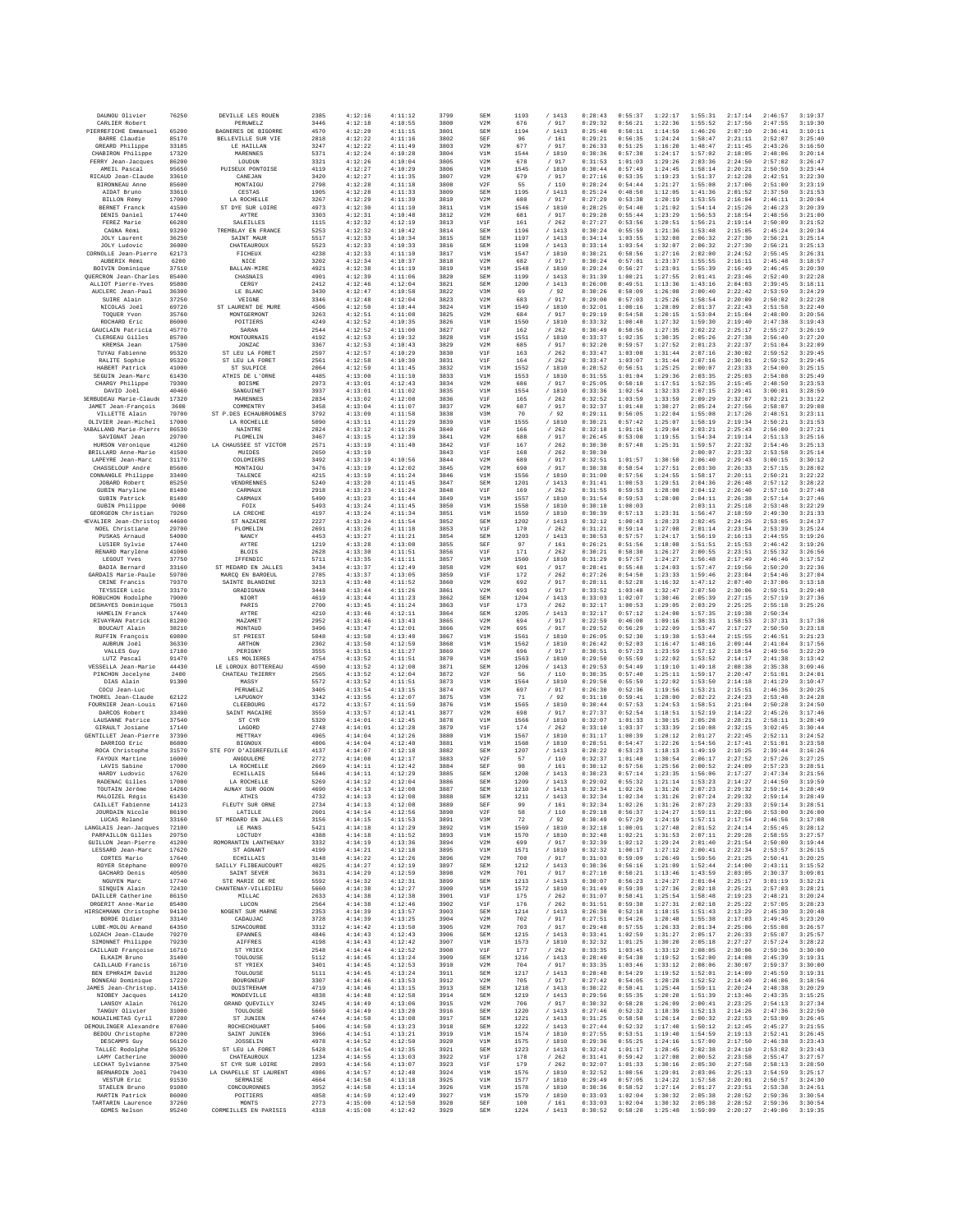| DAUNOU Olivier                               | 76250          | DEVILLE LES ROUEN                          | 2385         | 4:12:16            | 4:11:12            | 3799         | <b>SEM</b>        | 1193         | /1413                                         | 0:28:43            | 0:55:37            | 1:22:17            | 1:55:31            | 2:17:14            | 2:46:57            | 3:19:37            |
|----------------------------------------------|----------------|--------------------------------------------|--------------|--------------------|--------------------|--------------|-------------------|--------------|-----------------------------------------------|--------------------|--------------------|--------------------|--------------------|--------------------|--------------------|--------------------|
| CARLIER Robert<br>PIERREFICHE Emmanuel       | 65200          | <b>PERUWELZ</b><br>BAGNERES DE BIGORRE     | 3446<br>4570 | 4:12:18<br>4:12:20 | 4:10:55<br>4:11:15 | 3800<br>3801 | V2M<br>SEM        | 676<br>1194  | / 917<br>/1413                                | 0:29:32<br>0:25:40 | 0:56:21<br>0:50:11 | 1:22:36<br>1:14:59 | 1:55:52<br>1:46:26 | 2:17:56<br>2:07:10 | 2:47:55<br>2:36:41 | 3:19:30<br>3:10:11 |
| BARRE Claudie                                | 85170          | BELLEVILLE SUR VIE                         | 2818         | 4:12:22            | 4:11:16            | 3802         | SEF               | 96           | / 161                                         | 0:29:21            | 0:56:35            | 1:24:24            | 1:58:47            | 2:21:11            | 2:52:07            | 3:25:40            |
| GREARD Philippe<br>CHABIRON Philippe         | 33185<br>17320 | LE HAILLAN<br>MARENNES                     | 3247<br>5371 | 4:12:22<br>4:12:24 | 4:11:49<br>4:10:28 | 3803<br>3804 | V2M<br>V1M        | 677<br>1544  | / 917<br>/ 1810                               | 0:26:33<br>0:30:36 | 0:51:25<br>0:57:38 | 1:16:20<br>1:24:17 | 1:48:47<br>1:57:02 | 2:11:45<br>2:18:05 | 2:43:26<br>2:48:06 | 3:16:50<br>3:20:14 |
| FERRY Jean-Jacques                           | 86200          | LOUDUN                                     | 3321         | 4:12:26            | 4:10:04            | 3805         | V2M               | 678          | / 917                                         | 0:31:53            | 1:01:03            | 1:29:26            | 2:03:36            | 2:24:50            | 2:57:02            | 3:26:47            |
| AMEIL Pascal<br>RICAUD Jean-Claude           | 95650<br>33610 | PUISEUX PONTOISE<br>CANEJAN                | 4119<br>3420 | 4:12:27<br>4:12:27 | 4:10:29<br>4:11:35 | 3806<br>3807 | V1M<br>V2M        | 1545<br>679  | / 1810<br>/ 917                               | 0:30:44<br>0:27:16 | 0:57:49<br>0:53:35 | 1:24:45<br>1:19:23 | 1:58:14<br>1:51:37 | 2:20:21<br>2:12:28 | 2:50:59<br>2:42:51 | 3:23:44<br>3:22:30 |
| BIRONNEAU Anne                               | 85600          | MONTAIGU                                   | 2798         | 4:12:28            | 4:11:18            | 3808         | V2F               | 55           | /110                                          | 0:28:24            | 0:54:44            | 1:21:27            | 1:55:08            | 2:17:06            | 2:51:00            | 3:23:19            |
| AIDAT Bruno<br>BILLON Rémy                   | 33610<br>17000 | CESTAS<br>LA ROCHELLE                      | 1905<br>3267 | 4:12:28<br>4:12:29 | 4:11:33<br>4:11:39 | 3809<br>3810 | SEM<br>V2M        | 1195<br>680  | /1413<br>/ 917                                | 0:25:24<br>0:27:29 | 0:48:50<br>0:53:38 | 1:12:05<br>1:20:19 | 1:41:36<br>1:53:55 | 2:01:52<br>2:16:04 | 2:37:50<br>2:46:11 | 3:21:53<br>3:20:04 |
| <b>BERNET Franck</b>                         | 41500          | ST DYE SUR LOIRE                           | 4973         | 4:12:30            | 4:11:10            | 3811         | V1M               | 1546         | /1810                                         | 0:28:25            | 0:54:40            | 1:21:02            | 1:54:14            | 2:15:26            | 2:46:23            | 3:20:39            |
| DENIS Daniel<br>FEREZ Marie                  | 17440          | AYTRE<br><b>SALEILLES</b>                  | 3303         | 4:12:31<br>4:12:32 | 4:10:48<br>4:12:19 | 3812         | V2M               | 681          | / 917                                         | 0:29:28<br>0:27:27 | 0:55:44            | 1:23:29            | 1:56:53<br>1:56:21 | 2:18:54            | 2:48:56            | 3:21:00<br>3:21:52 |
| CAGNA Rémi                                   | 66280<br>93290 | TREMBLAY EN FRANCE                         | 1115<br>5253 | 4:12:32            | 4:10:42            | 3813<br>3814 | V1F<br><b>SEM</b> | 161<br>1196  | /262<br>/1413                                 | 0:30:24            | 0:53:56<br>0:55:59 | 1:20:51<br>1:21:36 | 1:53:48            | 2:19:14<br>2:15:05 | 2:50:09<br>2:45:24 | 3:20:34            |
| <b>JOLY</b> Laurent                          | 36250          | SAINT MAUR                                 | 5517         | 4:12:33            | 4:10:34            | 3815         | <b>SEM</b>        | 1197         | /1413                                         | 0:34:14            | 1:03:55            | 1:32:08            | 2:06:32            | 2:27:30            | 2:56:21            | 3:25:14            |
| JOLY Ludovic<br>CORNOLLE Jean-Pierre         | 36000<br>62173 | CHATEAUROU)<br>FICHEUX                     | 5523<br>4238 | 4:12:33<br>4:12:33 | 4:10:33<br>4:11:10 | 3816<br>3817 | SEM<br>V1M        | 1198<br>1547 | /1413<br>/ 1810                               | 0:33:14<br>0:30:21 | 1:03:54<br>0:58:56 | 1:32:07<br>1:27:16 | 2:06:32<br>2:02:00 | 2:27:30<br>2:24:52 | 2:56:21<br>2:55:45 | 3:25:13<br>3:26:31 |
| AUBERIX Rémi                                 | 6200           | NICE                                       | 3202         | 4:12:34            | 4:10:37            | 3818         | V2M               | 682          | / 917                                         | 0:30:24            | 0:57:01            | 1:23:37            | 1:55:55            | 2:16:11            | 2:45:48            | 3:18:57            |
| BOIVIN Dominique<br>QUERCRON Jean-Charles    | 37510<br>85400 | BALLAN-MIRE<br>CHASNAIS                    | 4921<br>4901 | 4:12:38<br>4:12:39 | 4:11:19<br>4:11:06 | 3819<br>3820 | V1M<br>SEM        | 1548<br>1199 | / 1810<br>/1413                               | 0:29:24<br>0:31:39 | 0:56:27<br>1:00:21 | 1:23:01<br>1:27:55 | 1:55:39<br>2:01:41 | 2:16:49<br>2:23:46 | 2:46:45<br>2:52:40 | 3:20:30<br>3:22:28 |
| ALLIOT Pierre-Yves                           | 95800          | CERGY                                      | 2412         | 4:12:46            | 4:12:04            | 3821         | SEM               | 1200         | /1413                                         | 0:26:00            | 0:49:51            | 1:13:36            | 1:43:16            | 2:04:03            | 2:39:45            | 3:18:11            |
| AUCLERC Jean-Paul<br>SUIRE Alain             | 36300<br>37250 | LE BLANC<br>VEIGNE                         | 3430<br>3346 | 4:12:47<br>4:12:48 | 4:10:58<br>4:12:04 | 3822<br>3823 | V3M<br>V2M        | 69<br>683    | /92<br>/ 917                                  | 0:30:26<br>0:29:00 | 0:58:09<br>0:57:03 | 1:26:08<br>1:25:26 | 2:00:40<br>1:58:54 | 2:22:42<br>2:20:09 | 2:53:59<br>2:50:02 | 3:24:29<br>3:22:28 |
| NICOLAS Joël                                 | 69720          | ST LAURENT DE MURE                         | 4506         | 4:12:50            | 4:10:44            | 3824         | V1M               | 1549         | / 1810                                        | 0:32:01            | 1:00:16            | 1:28:09            | 2:01:37            | 2:22:43            | 2:51:58            | 3:22:40            |
| TOOURR Yvon<br>ROCHARD Eric                  | 35760<br>86000 | MONTGERMONT<br>POITIERS                    | 3263<br>4249 | 4:12:51<br>4:12:52 | 4:11:08<br>4:10:35 | 3825<br>3826 | V2M<br>V1M        | 684<br>1550  | /917<br>/ 1810                                | 0:29:19<br>0:33:32 | 0:54:58<br>1:00:48 | 1:20:15<br>1:27:32 | 1:53:04<br>1:59:30 | 2:15:04<br>2:19:40 | 2:48:00<br>2:47:38 | 3:20:56<br>3:19:43 |
| GAUCLAIN Patricia                            | 45770          | SARAN                                      | 2544         | 4:12:52            | 4:11:00            | 3827         | V1F               | 162          | /262                                          | 0:30:49            | 0:58:56            | 1:27:35            | 2:02:22            | 2:25:17            | 2:55:27            | 3:26:19            |
| CLERGEAU Gilles<br>KREMSA Jean               | 85700<br>17500 | <b>MONTOURNAIS</b><br>JONZAC               | 4192<br>3367 | 4:12:53<br>4:12:53 | 4:10:32<br>4:10:43 | 3828<br>3829 | V1M<br>V2M        | 1551<br>685  | / 1810<br>/ 917                               | 0:33:37<br>0:32:20 | 1:02:35<br>0:59:57 | 1:30:35<br>1:27:52 | 2:05:26<br>2:01:23 | 2:27:38<br>2:22:37 | 2:56:40<br>2:51:04 | 3:27:20<br>3:22:09 |
| TUYAU Fabienne                               | 95320          | ST LEU LA FORET                            | 2597         | 4:12:57            | 4:10:29            | 3830         | V1F               | 163          | /262                                          | 0:33:47            | 1:03:08            | 1:31:44            | 2:07:16            | 2:30:02            | 2:59:52            | 3:29:45            |
| RALITE Sophie<br>HABERT Patrick              | 95320<br>41000 | ST LEU LA FORET<br>ST SULPICE              | 2561<br>2064 | 4:12:58<br>4:12:59 | 4:10:30<br>4:11:45 | 3831<br>3832 | V1F<br>V1M        | 164<br>1552  | /262<br>/1810                                 | 0:33:47<br>0:28:52 | 1:03:07<br>0:56:51 | 1:31:44<br>1:25:25 | 2:07:16<br>2:00:07 | 2:30:01<br>2:23:33 | 2:59:52<br>2:54:00 | 3:29:45<br>3:25:15 |
| SEGUIN Jean-Marc                             | 61430          | ATHIS DE L'ORNE                            | 4485         | 4:13:00            | 4:11:10            | 3833         | V1M               | 1553         | / 1810                                        | 0:31:55            | 1:01:04            | 1:29:36            | 2:03:35            | 2:25:03            | 2:54:08            | 3:25:49            |
| CHARGY Philippe<br>DAVID Joël                | 79300<br>40460 | BOISME<br>SANGUINET                        | 2973<br>3937 | 4:13:01<br>4:13:01 | 4:12:43<br>4:11:02 | 3834<br>3835 | V2M<br>V1M        | 686<br>1554  | 917<br>$\sqrt{2}$<br>/ 1810                   | 0:25:05<br>0:33:36 | 0:50:10<br>1:02:54 | 1:17:51<br>1:32:33 | 1:52:35<br>2:07:15 | 2:15:45<br>2:29:41 | 2:48:50<br>3:00:01 | 3:23:53<br>3:28:59 |
| <b>BERBUDEAU Marie-Claude</b>                | 17320          | MARENNES                                   | 2834         | 4:13:02            | 4:12:08            | 3836         | V1F               | 165          | /262                                          | 0:32:52            | 1:03:59            | 1:33:59            | 2:09:29            | 2:32:07            | 3:02:21            | 3:31:22            |
| JAMET Jean-François<br>VILLETTE Alain        | 3600<br>79700  | COMMENTRY<br>ST P.DES ECHAUBROGNES         | 3458<br>3792 | 4:13:04<br>4:13:09 | 4:11:07<br>4:11:58 | 3837<br>3838 | V2M<br>V3M        | 687<br>70    | / 917<br>/92                                  | 0:32:37<br>0:29:11 | 1:01:48<br>0:56:05 | 1:30:27<br>1:22:04 | 2:05:24<br>1:55:08 | 2:27:56<br>2:17:26 | 2:58:07<br>2:48:51 | 3:29:08<br>3:23:11 |
| OLIVIER Jean-Michel                          | 17000          | LA ROCHELLE                                | 5090         | 4:13:11            | 4:11:29            | 3839         | V1M               | 1555         | /1810                                         | 0:30:21            | 0:57:42            | 1:25:07            | 1:58:19            | 2:19:34            | 2:50:21            | 3:21:53            |
| RABALLAND Marie-Pierre                       | 86530          | NAINTRE                                    | 2824         | 4:13:12            | 4:11:26            | 3840         | V1F               | 166          | /262                                          | 0:32:18            | 1:01:16            | 1:29:04            | 2:03:21            | 2:25:43            | 2:56:00            | 3:27:21            |
| SAVIGNAT Jean<br>HURSON Véronique            | 29700<br>41260 | PLOMELIN<br>LA CHAUSSEE ST VICTOR          | 3467<br>2571 | 4:13:15<br>4:13:19 | 4:12:39<br>4:11:40 | 3841<br>3842 | V2M<br>V1F        | 688<br>167   | 917<br>$\sqrt{2}$<br>262<br>$\prime$          | 0:26:45<br>0:30:30 | 0:53:08<br>0:57:48 | 1:19:55<br>1:25:31 | 1:54:34<br>1:59:57 | 2:19:14<br>2:22:32 | 2:51:13<br>2:54:46 | 3:25:16<br>3:25:13 |
| BRILLARD Anne-Marie                          | 41500          | MUIDES                                     | 2650         | 4:13:19            |                    | 3843         | V1F               | 168          | /262                                          | 0:30:30            |                    |                    | 2:00:07            | 2:23:32            | 2:53:58            | 3:25:14            |
| LAPEYRE Jean-Marc<br>CHASSELOUP André        | 31170<br>85600 | COLOMIERS<br>MONTAIGU                      | 3492<br>3476 | 4:13:19<br>4:13:19 | 4:10:56<br>4:12:02 | 3844<br>3845 | V2M<br>V2M        | 689<br>690   | / 917<br>$\sqrt{2}$<br>917                    | 0:32:51<br>0:30:38 | 1:01:57<br>0:58:54 | 1:30:50<br>1:27:51 | 2:06:40<br>2:03:30 | 2:29:43<br>2:26:33 | 3:00:15<br>2:57:15 | 3:30:12<br>3:28:02 |
| CONNANGLE Philippe                           | 33400          | TALENCE                                    | 4215         | 4:13:19            | 4:11:24            | 3846         | V1M               | 1556         | /1810                                         | 0:31:00            | 0:57:56            | 1:24:55            | 1:58:17            | 2:20:11            | 2:50:21            | 3:22:22            |
| JOBARD Robert<br><b>GUBIN Maryline</b>       | 85250<br>81400 | VENDRENNES<br>CARMAUX                      | 5240<br>2918 | 4:13:20<br>4:13:23 | 4:11:45<br>4:11:24 | 3847<br>3848 | <b>SEM</b><br>V1F | 1201<br>169  | / 1413<br>262<br>$\sqrt{2}$                   | 0:31:41<br>0:31:55 | 1:00:53<br>0:59:53 | 1:29:51<br>1:28:00 | 2:04:36<br>2:04:12 | 2:26:48<br>2:26:40 | 2:57:12<br>2:57:16 | 3:28:22<br>3:27:48 |
| <b>GUBIN Patrick</b>                         | 81400          | CARMAUX                                    | 5490         | 4:13:23            | 4:11:44            | 3849         | V1M               | 1557         | / 1810                                        | 0:31:54            | 0:59:53            | 1:28:00            | 2:04:11            | 2:26:38            | 2:57:14            | 3:27:46            |
| <b>GUBIN Philippe</b><br>GEORGEON Christian  | 9000<br>79260  | FOIX<br>LA CRECHE                          | 5493<br>4197 | 4:13:24<br>4:13:24 | 4:11:45<br>4:11:34 | 3850<br>3851 | V1M<br>V1M        | 1558<br>1559 | /1810<br>/ 1810                               | 0:30:18<br>0:30:39 | 1:00:03<br>0:57:13 | 1:23:31            | 2:03:11<br>1:56:47 | 2:25:18<br>2:18:59 | 2:53:48<br>2:49:30 | 3:22:29<br>3:21:33 |
| <b>IEVALIER</b> Jean-Christop                | 44600          | ST NAZAIRE                                 | 2227         | 4:13:24            | 4:11:54            | 3852         | SEM               | 1202         | /1413                                         | 0:32:12            | 1:00:43            | 1:28:23            | 2:02:45            | 2:24:26            | 2:53:05            | 3:24:37            |
| NOEL Christiane                              | 29700<br>54000 | PLOMELIN<br>NANCY                          | 2691<br>4453 | 4:13:26<br>4:13:27 | 4:11:18<br>4:11:21 | 3853<br>3854 | V1F<br>SEM        | 170<br>1203  | /262<br>/1413                                 | 0:31:21<br>0:30:53 | 0:59:14<br>0:57:57 | 1:27:08<br>1:24:17 | 2:01:14<br>1:56:19 | 2:23:54<br>2:16:13 | 2:53:39<br>2:44:55 | 3:25:24<br>3:19:26 |
| PUSKAS Arnaud<br>LUSIER Sylvie               | 17440          | AYTRE                                      | 1219         | 4:13:28            | 4:13:08            | 3855         | SEF               | 97           | / 161                                         | 0:26:21            | 0:51:56            | 1:18:08            | 1:51:51            | 2:15:53            | 2:46:42            | 3:19:26            |
| RENARD Marylène<br>LEGOUT Yves               | 41000<br>37750 | <b>BLOIS</b><br>IFFENDIC                   | 2628<br>5711 | 4:13:30<br>4:13:35 | 4:11:51<br>4:11:11 | 3856<br>3857 | V1F<br>V1M        | 171<br>1560  | /262<br>/1810                                 | 0:30:21<br>0:31:29 | 0:58:30<br>0:57:57 | 1:26:27<br>1:24:27 | 2:00:55<br>1:56:48 | 2:23:51<br>2:17:49 | 2:55:32<br>2:46:46 | 3:26:56<br>3:17:52 |
| BADIA Bernard                                | 33160          | ST MEDARD EN JALLES                        | 3434         | 4:13:37            | 4:12:49            | 3858         | V2M               | 691          | / 917                                         | 0:28:41            | 0:55:48            | 1:24:03            | 1:57:47            | 2:19:56            | 2:50:20            | 3:22:36            |
| GARDAIS Marie-Paule                          | 59700          | MARCQ EN BAROEUL                           | 2785         | 4:13:37            | 4:13:05            | 3859         | V1F               | 172          | $\sqrt{2}$<br>262                             | 0:27:26            | 0:54:50            | 1:23:33            | 1:59:46            | 2:23:04            | 2:54:46            | 3:27:04            |
| CRINE Francis<br>TEYSSIER Loic               | 79370<br>33170 | SAINTE BLANDINE<br>GRADIGNAN               | 3213<br>3448 | 4:13:40<br>4:13:44 | 4:11:52<br>4:11:26 | 3860<br>3861 | V2M<br>V2M        | 692<br>693   | / 917<br>/ 917                                | 0:28:11<br>0:33:52 | 0:52:28<br>1:03:48 | 1:16:32<br>1:32:47 | 1:47:12<br>2:07:50 | 2:07:40<br>2:30:06 | 2:37:06<br>2:59:51 | 3:13:18<br>3:29:48 |
| ROBUCHON Rodolphe                            | 79000          | NIORT                                      | 4619         | 4:13:44            | 4:11:23            | 3862         | SEM               | 1204         | /1413                                         | 0:33:03            | 1:02:07            | 1:30:46            | 2:05:39            | 2:27:15            | 2:57:19            | 3:27:36            |
| DESHAYES Dominique<br>HAMELIN Franck         | 75013<br>17440 | PARIS<br><b>AYTRE</b>                      | 2700<br>4210 | 4:13:45<br>4:13:46 | 4:11:24<br>4:12:11 | 3863<br>3864 | V1F<br><b>SEM</b> | 173<br>1205  | /262<br>/1413                                 | 0:32:17<br>0:32:17 | 1:00:53<br>0:57:12 | 1:29:05<br>1:24:00 | 2:03:29<br>1:57:35 | 2:25:25<br>2:19:38 | 2:55:18<br>2:50:34 | 3:25:26            |
| RIVAYRAN Patrick                             | 81200          | <b>MAZAMET</b>                             | 2952         | 4:13:46            | 4:13:43            | 3865         | V2M               | 694          | / 917                                         | 0:22:59            | 0:46:00            | 1:09:16            | 1:38:31            | 1:58:53            | 2:37:31            | 3:17:38            |
| BOUCAUT Alain<br><b>RUFFIN François</b>      | 38210<br>69800 | MONTAUL<br>ST PRIEST                       | 3496<br>5048 | 4:13:47<br>4:13:50 | 4:12:01<br>4:13:40 | 3866<br>3867 | V2M<br>V1M        | 695<br>1561  | / 917<br>/ 1810                               | 0:29:52<br>0:26:05 | 0:56:29<br>0:52:30 | 1:22:09<br>1:19:38 | 1:53:47<br>1:53:44 | 2:17:27<br>2:15:55 | 2:50:50<br>2:46:51 | 3:23:18<br>3:21:23 |
| AUBRUN Joël                                  | 36330          | ARTHON                                     | 2302         | 4:13:50            | 4:12:59            | 3868         | V1M               | 1562         | /1810                                         | 0:26:42            | 0:52:03            | 1:16:47            | 1:48:16            | 2:09:44            | 2:41:04            | 3:17:56            |
| VALLES Guy<br>LUTZ Pascal                    | 17180<br>91470 | PERIGNY<br>LES MOLIERES                    | 3555<br>4754 | 4:13:51<br>4:13:52 | 4:11:27<br>4:11:51 | 3869<br>3870 | V2M<br>V1M        | 696<br>1563  | $/$ 917<br>/ 1810                             | 0:30:51<br>0:29:50 | 0:57:23<br>0:55:59 | 1:23:59<br>1:22:02 | 1:57:12<br>1:53:52 | 2:18:54<br>2:14:17 | 2:49:56<br>2:41:38 | 3:22:29<br>3:13:42 |
| VESSELLA Jean-Marie                          | 44430          | LE LOROUX BOTTEREAU                        | 4590         | 4:13:52            | 4:12:08            | 3871         | SEM               | 1206         | /1413                                         | 0:29:53            | 0:54:49            | 1:19:10            | 1:49:18            | 2:08:38            | 2:35:38            | 3:09:46            |
| PINCHON Jocelyne<br>DIAS Alain               | 2400<br>91300  | CHATEAU THIERRY<br>MASSY                   | 2565<br>5572 | 4:13:52<br>4:13:52 | 4:12:04<br>4:11:51 | 3872<br>3873 | V2F<br>V1M        | 56<br>1564   | $/\phantom{0}110$<br>/ 1810                   | 0:30:35<br>0:29:50 | 0:57:40<br>0:55:59 | 1:25:11<br>1:22:02 | 1:59:17<br>1:53:50 | 2:20:47<br>2:14:18 | 2:51:01<br>2:41:29 | 3:24:01<br>3:10:47 |
| COCU Jean-Luc                                |                | PERUWEL2                                   | 3405         | 4:13:54            | 4:13:15            | 3874         | V2M               | 697          | / 917                                         | 0:26:30            | 0:52:36            | 1:19:56            | 1:53:21            | 2:15:51            | 2:46:36            | 3:20:25            |
| THOREL Jean-Claude<br>FOURNIER Jean-Louis    | 62122<br>67160 | LAPUGNOY<br>CLEEBOURG                      | 3342<br>4172 | 4:13:55<br>4:13:57 | 4:12:07<br>4:11:59 | 3875<br>3876 | V3M<br>V1M        | 71<br>1565   | /92<br>/ 1810                                 | 0:31:10<br>0:30:44 | 0:59:41<br>0:57:53 | 1:28:00<br>1:24:53 | 2:02:22<br>1:58:51 | 2:24:23<br>2:21:04 | 2:53:48<br>2:50:28 | 3:24:28<br>3:24:50 |
| DARCOS Robert                                | 33490          | SAINT MACAIRE                              | 3559         | 4:13:57            | 4:12:41            | 3877         | V2M               | 698          | / 917                                         | 0:27:37            | 0:52:54            | 1:18:51            | 1:52:19            | 2:14:22            | 2:45:26            | 3:17:46            |
| LAUSANNE Patrice                             | 37540          | ST CYR                                     | 5320         | 4:14:01            | 4:12:45            | 3878         | V1M               | 1566         | / 1810                                        | 0:32:07            | 1:01:33            | 1:30:15            | 2:05:28            | 2:28:21            | 2:58:11            | 3:28:49            |
| GIRAULT Josiane<br>GENTILLET Jean-Pierre     | 17140<br>37390 | LAGORD<br>METTRAY                          | 2748<br>4965 | 4:14:01<br>4:14:04 | 4:12:28<br>4:12:26 | 3879<br>3880 | V1F<br>V1M        | 174<br>1567  | /262<br>/ 1810                                | 0:33:10<br>0:31:17 | 1:03:37<br>1:00:39 | 1:33:39<br>1:28:12 | 2:10:08<br>2:01:27 | 2:32:15<br>2:22:45 | 3:02:45<br>2:52:11 | 3:30:44<br>3:24:52 |
| DARRIGO Eric                                 | 86800          | BIGNOUX                                    | 4006         | 4:14:04            | 4:12:40            | 3881         | V1M               | 1568         | / 1810                                        | 0:28:51            | 0:54:47            | 1:22:26            | 1:54:56            | 2:17:41            | 2:51:01            | 3:23:58<br>3:16:26 |
| ROCA Christophe<br>FAYOUX Martine            | 31570<br>16000 | STE FOY D'AIGREFEUILLE<br>ANGOULEME        | 4137<br>2772 | 4:14:07            | 4:12:18            | 3882         |                   |              |                                               |                    |                    |                    |                    |                    |                    |                    |
| LAVIS Sabine                                 | 17000          | LA ROCHELLE                                |              | 4:14:08            | 4:12:17            | 3883         | SEM<br>V2F        | 1207<br>57   | /1413                                         | 0:28:22<br>0:32:37 | 0:53:23<br>1:01:48 | 1:18:13<br>1:30:54 | 1:49:19<br>2:06:17 | 2:10:25<br>2:27:52 | 2:39:44<br>2:57:26 | 3:27:25            |
| HARDY Ludovic<br>RADENAC Gilles              | 17620<br>17000 |                                            | 2669         | 4:14:11            | 4:12:42            | 3884         | SEF               | 98           | $/\phantom{0}110$<br>/161                     | 0:30:12            | 0:57:56            | 1:25:56            | 2:00:52            | 2:24:09            | 2:57:23            | 3:28:51            |
| TOUTAIN Jérôme                               |                | <b>ECHILLAIS</b><br>LA ROCHELLE            | 5646<br>5269 | 4:14:11<br>4:14:12 | 4:12:29<br>4:12:04 | 3885<br>3886 | SEM<br><b>SEM</b> | 1208<br>1209 | /1413<br>/1413                                | 0:30:23<br>0:29:02 | 0:57:14<br>0:55:32 | 1:23:35<br>1:21:14 | 1:56:06<br>1:53:23 | 2:17:27<br>2:14:27 | 2:47:34<br>2:44:50 | 3:21:56<br>3:19:59 |
|                                              | 14260          | AUNAY SUR OGON                             | 4690         | 4:14:13            | 4:12:08            | 3887         | <b>SEM</b>        | 1210         | /1413                                         | 0:32:34            | 1:02:26            | 1:31:26            | 2:07:23            | 2:29:32            | 2:59:14            | 3:28:49            |
| MALOIZEL Régis<br>CAILLET Fabienne           | 61430<br>14123 | <b>ATHIS</b>                               | 4732<br>2734 | 4:14:13<br>4:14:13 | 4:12:08<br>4:12:08 | 3888<br>3889 | SEM<br>SEF        | 1211<br>99   | /1413                                         | 0:32:34<br>0:32:34 | 1:02:34<br>1:02:26 | 1:31:26<br>1:31:26 | 2:07:24<br>2:07:23 | 2:29:32<br>2:29:33 | 2:59:14<br>2:59:14 | 3:28:49<br>3:28:51 |
| JOURDAIN Nicole                              | 86190          | FLEUTY SUR ORNE<br>LATILLE                 | 2601         | 4:14:14            | 4:12:56            | 3890         | V2F               | 58           | $/\phantom{0}161$<br>/110                     | 0:29:18            | 0:56:37            | 1:24:27            | 1:59:11            | 2:22:06            | 2:53:00            | 3:26:00            |
| LUCAS Roland                                 | 33160          | ST MEDARD EN JALLES                        | 3156         | 4:14:15            | 4:11:53            | 3891         | V3M               | 72           | /92                                           | 0:30:49            | 0:57:29            | 1:24:19            | 1:57:11            | 2:17:54            | 2:46:56            | 3:17:08            |
| LANGLAIS Jean-Jacques<br>PARPATLLON Gilles   | 72100<br>29750 | LE MANS<br>LOCTUDY                         | 5421<br>4388 | 4:14:18<br>4:14:18 | 4:12:29<br>4:11:52 | 3892<br>3893 | V1M<br>V1M        | 1569<br>1570 | / 1810<br>/ 1810                              | 0:32:18<br>0:32:48 | 1:00:01<br>1:02:21 | 1:27:48<br>1:31:53 | 2:01:52<br>2:07:11 | 2:24:14<br>2:29:28 | 2:55:45<br>2:58:55 | 3:28:12<br>3:27:57 |
| GUILLON Jean-Pierre                          | 41200          | ROMORANTIN LANTHENAY                       | 3332         | 4:14:19            | 4:13:36            | 3894         | V2M               | 699          | /917                                          | 0:32:39            | 1:02:12            | 1:29:24            | 2:01:40            | 2:21:54            | 2:50:00            | 3:19:44            |
| LESSARD Jean-Marc<br>CORTES Mario            | 17620<br>17640 | ST AGNANT<br><b>ECHILLAIS</b>              | 4199<br>3148 | 4:14:21<br>4:14:22 | 4:12:18<br>4:12:26 | 3895<br>3896 | V1M<br>V2M        | 1571<br>700  | / 1810<br>/ 917                               | 0:32:32<br>0:31:03 | 1:00:17<br>0:59:09 | 1:27:12<br>1:26:49 | 2:00:41<br>1:59:56 | 2:22:34<br>2:21:25 | 2:53:57<br>2:50:41 | 3:26:15<br>3:20:25 |
| ROYER Stéphane                               | 80970          | SAILLY FLIBEAUCOURT                        | 4025         | 4:14:27            | 4:12:19            | 3897         | SEM               | 1212         | / 1413                                        | 0:30:36            | 0:56:16            | 1:21:09            | 1:52:44            | 2:14:00            | 2:43:11            | 3:15:52            |
| GACHARD Denis<br>NGUYEN Marc                 | 40500<br>17740 | SAINT SEVER<br>STE MARIE DE RE             | 3631<br>5592 | 4:14:29<br>4:14:32 | 4:12:59<br>4:12:31 | 3898<br>3899 | V2M<br>SEM        | 701<br>1213  | / 917<br>/1413                                | 0:27:10<br>0:30:07 | 0:50:21<br>0:56:23 | 1:13:46<br>1:24:27 | 1:43:59<br>2:01:04 | 2:03:05<br>2:25:17 | 2:30:37<br>3:01:19 | 3:09:01<br>3:32:21 |
| SINOUIN Alain                                | 72430          | CHANTENAY-VILLEDIEU                        | 5660         | 4:14:38            | 4:12:27            | 3900         | V1M               | 1572         | / 1810                                        | 0:31:49            | 0:59:39            | 1:27:36            | 2:02:18            | 2:25:21            | 2:57:03            | 3:28:21            |
| DAILLER Catherine<br>ORGERIT Anne-Marie      | 86150<br>85400 | MILLAC<br>LUCON                            | 2633<br>2564 | 4:14:38<br>4:14:38 | 4:12:38<br>4:12:46 | 3901<br>3902 | V1F<br>V1F        | 175<br>176   | /262<br>/262                                  | 0:31:07<br>0:31:51 | 0:58:41<br>0:59:38 | 1:25:54<br>1:27:31 | 1:58:48<br>2:02:18 | 2:19:23<br>2:25:22 | 2:48:21<br>2:57:05 | 3:20:24<br>3:28:23 |
| HIRSCHMANN Christophe                        | 94130          | NOGENT SUR MARNE                           | 2353         | 4:14:39            | 4:13:57            | 3903         | SEM               | 1214         | /1413                                         | 0:26:30            | 0:52:18            | 1:18:15            | 1:51:43            | 2:13:29            | 2:45:30            | 3:20:48            |
| BORDE Didier<br>LUBE-MOLOU Armand            | 33140<br>64350 | CADAUJAC<br>SIMACOURBE                     | 3728<br>3312 | 4:14:39<br>4:14:42 | 4:13:25<br>4:13:50 | 3904<br>3905 | V2M<br>V2M        | 702<br>703   | / 917<br>/ 917                                | 0:27:51<br>0:29:48 | 0:54:26<br>0:57:55 | 1:20:48<br>1:26:33 | 1:55:38<br>2:01:34 | 2:17:03<br>2:25:06 | 2:49:45<br>2:55:08 | 3:23:20<br>3:26:57 |
| LOZACH Jean-Claude                           | 79270          | <b>EPANNES</b>                             | 4846         | 4:14:43            | 4:12:43            | 3906         | SEM               | 1215         | /1413                                         | 0:33:41            | 1:02:59            | 1:31:27            | 2:05:17            | 2:26:33            | 2:55:07            | 3:25:57            |
| SIMONNET Philippe<br>CAILLAUD Françoise      | 79230<br>16710 | <b>AIFFRES</b><br>ST YRIEX                 | 4198<br>2548 | 4:14:43<br>4:14:44 | 4:12:42<br>4:12:52 | 3907<br>3908 | V1M<br>V1F        | 1573<br>177  | / 1810<br>/262                                | 0:32:32<br>0:33:35 | 1:01:25<br>1:03:45 | 1:30:20<br>1:33:12 | 2:05:18<br>2:08:05 | 2:27:27<br>2:30:06 | 2:57:24<br>2:59:36 | 3:28:22<br>3:30:00 |
| ELKAIM Bruno                                 | 31400          | TOULOUSE                                   | 5112         | 4:14:45            | 4:13:24            | 3909         | SEM               | 1216         | /1413                                         | 0:28:40            | 0:54:30            | 1:19:52            | 1:52:00            | 2:14:08            | 2:45:39            | 3:19:31            |
| CAILLAUD Francis<br><b>BEN EPHRAIM David</b> | 16710<br>31200 | ST YRIEX<br>TOULOUSE                       | 3401<br>5111 | 4:14:45<br>4:14:45 | 4:12:53<br>4:13:24 | 3910<br>3911 | V2M<br>SEM        | 704<br>1217  | / 917<br>/1413                                | 0:33:35<br>0:28:40 | 1:03:46<br>0:54:29 | 1:33:12<br>1:19:52 | 2:08:06<br>1:52:01 | 2:30:07<br>2:14:09 | 2:59:37<br>2:45:59 | 3:30:00<br>3:19:31 |
| BONNEAU Dominique                            | 17220          | BOURGNEUF                                  | 3307         | 4:14:46            | 4:13:53            | 3912         | V2M               | 705          | / 917                                         | 0:27:42            | 0:54:05            | 1:20:28            | 1:52:52            | 2:14:49            | 2:46:06            | 3:18:56            |
| JAMES Jean-Christop.<br>NIOBEY Jacques       | 14150<br>14120 | OUISTREHAM<br>MONDEVILLE                   | 4719<br>4838 | 4:14:46<br>4:14:48 | 4:13:15<br>4:12:58 | 3913<br>3914 | SEM<br>SEM        | 1218<br>1219 | /1413<br>/ 1413                               | 0:30:22<br>0:29:56 | 0:58:41<br>0:55:35 | 1:25:44<br>1:20:28 | 1:59:11<br>1:51:39 | 2:20:24<br>2:13:46 | 2:48:38<br>2:43:35 | 3:20:29<br>3:15:25 |
| LANSOY Alain                                 | 76120          | GRAND OUEVILLY                             | 3245         | 4:14:49            | 4:13:06            | 3915         | V2M               | 706          | / 917                                         | 0:30:32            | 0:58:28            | 1:26:09            | 2:00:41            | 2:23:25            | 2:54:13            | 3:27:34            |
| TANGUY Olivier<br>NOUAILHETAS Cyril          | 31000<br>87200 | TOULOUSE<br>ST JUNIEN                      | 5669<br>4744 | 4:14:49<br>4:14:50 | 4:13:20<br>4:13:08 | 3916<br>3917 | SEM<br>SEM        | 1220<br>1221 | /1413<br>/1413                                | 0:27:46<br>0:31:25 | 0:52:32<br>0:58:58 | 1:18:39<br>1:26:14 | 1:52:13<br>2:00:32 | 2:14:26<br>2:22:53 | 2:47:36<br>2:53:09 | 3:22:50<br>3:26:45 |
| DEMOULINGER Alexandre                        | 87600          | ROCHECHOUART                               | 5406         | 4:14:50            | 4:13:23            | 3918         | SEM               | 1222         | /1413                                         | 0:27:44            | 0:52:32            | 1:17:40            | 1:50:12            | 2:12:45            | 2:45:27            | 3:21:55            |
| BEDOU Christophe<br>DESCAMPS Guy             | 87200<br>56120 | SAINT JUNIEN<br><b>JOSSELIN</b>            | 3966<br>4978 | 4:14:51<br>4:14:52 | 4:13:21<br>4:12:50 | 3919<br>3920 | V1M<br>V1M        | 1574<br>1575 | / 1810<br>/ 1810                              | 0:27:55<br>0:29:36 | 0:53:51<br>0:55:25 | 1:19:40<br>1:24:16 | 1:54:59<br>1:57:00 | 2:19:13<br>2:17:50 | 2:52:41<br>2:46:38 | 3:26:45<br>3:23:43 |
| TALLEC Rodolphe                              | 95320          | ST LEU LA FORET                            | 5428         | 4:14:54            | 4:12:35            | 3921         | SEM               | 1223         | /1413                                         | 0:32:42            | 1:01:17            | 1:28:45            | 2:02:38            | 2:24:10            | 2:53:02            | 3:23:43            |
| LAMY Catherine                               | 36000          | CHATEAUROUX                                | 1234         | 4:14:55            | 4:13:03            | 3922         | V1F               | 178          | $\hspace{0.1cm}\mathbf{/} \hspace{0.2cm} 262$ | 0:31:41            | 0:59:42            | 1:27:08            | 2:00:52            | 2:23:58            | 2:55:47            | 3:27:57            |
| LECHAT Sylvianne<br>BERNARDIN Joël           | 37540<br>79430 | ST CYR SUR LOIRE<br>LA CHAPELLE ST LAURENT | 2893<br>4986 | 4:14:56<br>4:14:57 | 4:13:07<br>4:12:48 | 3923<br>3924 | V1F<br>V1M        | 179<br>1576  | 262<br>$\sqrt{2}$<br>/ 1810                   | 0:32:07<br>0:32:52 | 1:01:33<br>1:00:56 | 1:30:16<br>1:29:01 | 2:05:30<br>2:03:06 | 2:27:58<br>2:25:13 | 2:58:13<br>2:54:59 | 3:28:50<br>3:25:17 |
| VESTUR Eric                                  | 91530          | SERMAISE                                   | 4664         | 4:14:58            | 4:13:18            | 3925         | V1M               | 1577         | /1810                                         | 0:29:49            | 0:57:05            | 1:24:22            | 1:57:58            | 2:20:01            | 2:50:57            | 3:24:30            |
| STAELEN Brunc<br>MARTIN Patrick              | 91080<br>86000 | CONCOURONNES<br>POITIERS                   | 3952<br>4858 | 4:14:58<br>4:14:59 | 4:13:14<br>4:12:49 | 3926<br>3927 | V1M<br>V1M        | 1578<br>1579 | / 1810<br>/ 1810                              | 0:30:36<br>0:33:03 | 0:58:52<br>1:02:04 | 1:27:14<br>1:30:32 | 2:01:27<br>2:05:38 | 2:23:51<br>2:28:52 | 2:53:38<br>2:59:36 | 3:24:51<br>3:30:54 |
| TARTARIN Laurence<br>GOMES Nelson            | 37260<br>95240 | MONTS<br>CORMEILLES EN PARISIS             | 2773<br>4318 | 4:15:00<br>4:15:00 | 4:12:50<br>4:12:42 | 3928<br>3929 | SEF<br>SEM        | 100<br>1224  | /161<br>/ 1413                                | 0:33:03<br>0:30:52 | 1:02:04<br>0:58:20 | 1:30:32<br>1:25:48 | 2:05:38<br>1:59:09 | 2:28:52<br>2:20:27 | 2:59:36<br>2:49:06 | 3:30:54<br>3:19:35 |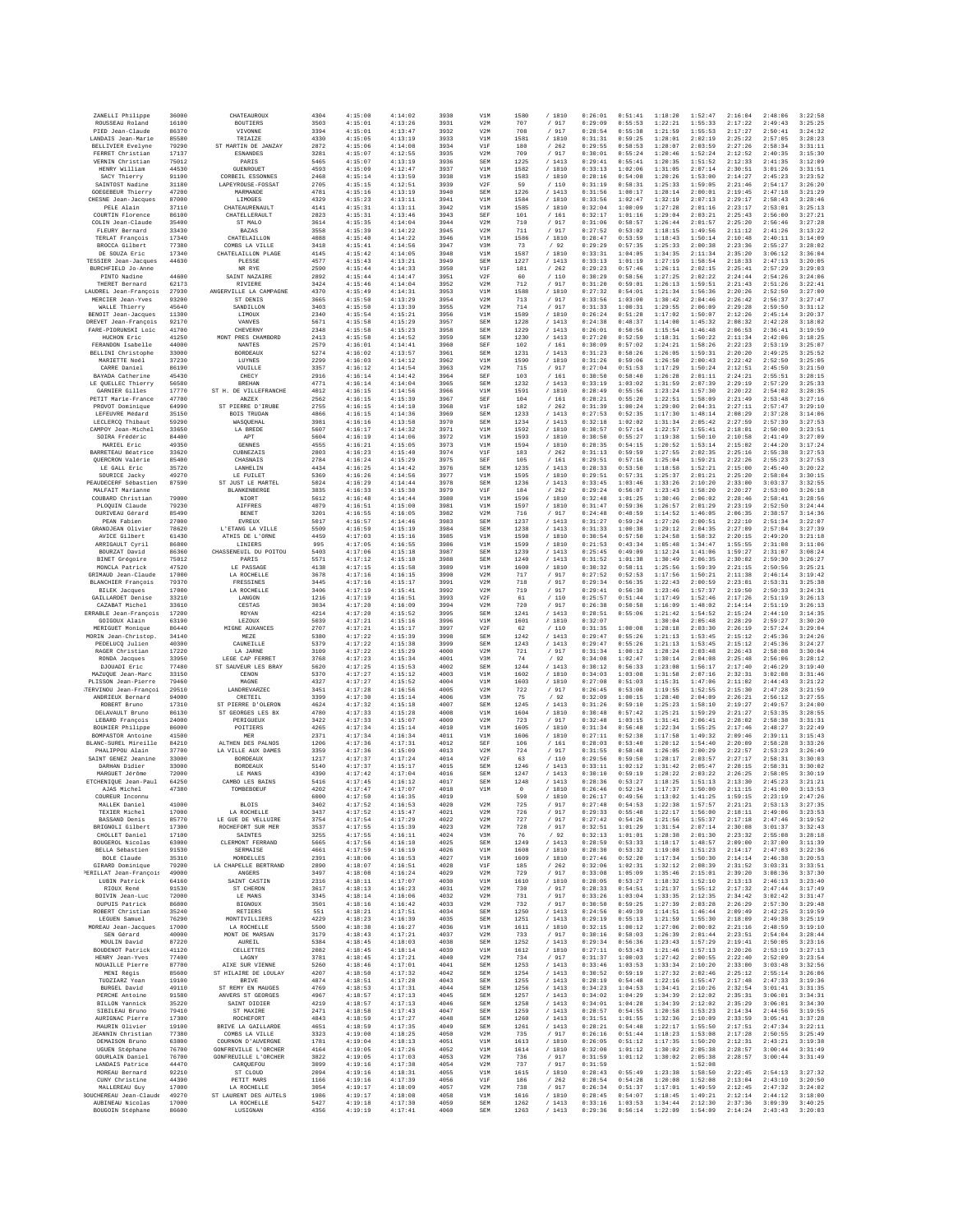| ZANELLI Philippe                                  | 36000          | CHATEAUROUX                                       | 4304         | 4:15:00            | 4:14:02            | 3930         | V1M               | 1580            | /1810            | 0:26:01            | 0:51:41            | 1:18:20            | 1:52:47            | 2:16:04            | 2:48:06            | 3:22:58            |
|---------------------------------------------------|----------------|---------------------------------------------------|--------------|--------------------|--------------------|--------------|-------------------|-----------------|------------------|--------------------|--------------------|--------------------|--------------------|--------------------|--------------------|--------------------|
| ROUSSEAU Roland<br>PIED Jean-Claude               | 16100<br>86370 | <b>BOUTIERS</b><br>VIVONNE                        | 3503<br>3394 | 4:15:01<br>4:15:01 | 4:13:26<br>4:13:47 | 3931<br>3932 | V2M<br>V2M        | 707<br>708      | / 917<br>/ 917   | 0:29:09<br>0:28:54 | 0:55:53<br>0:55:38 | 1:22:21<br>1:21:59 | 1:55:33<br>1:55:53 | 2:17:22<br>2:17:27 | 2:49:43<br>2:50:41 | 3:25:25<br>3:24:32 |
| LANDAIS Jean-Marie                                | 85580          | <b>TRIAIZE</b>                                    | 4330         | 4:15:05            | 4:13:19            | 3933         | V1M               | 1581            | / 1810           | 0:31:31            | 0:59:25            | 1:28:01            | 2:02:19            | 2:25:22            | 2:57:05            | 3:28:23            |
| <b>BELLIVIER Evelyne</b>                          | 79290          | ST MARTIN DE JANZAY                               | 2872         | 4:15:06            | 4:14:08            | 3934         | V1F               | 180             | /262             | 0:29:55            | 0:58:53            | 1:28:07            | 2:03:59            | 2:27:26            | 2:58:34            | 3:31:11            |
| FERRET Christian<br>VERNIN Christian              | 17137<br>75012 | <b>ESNANDES</b><br>PARIS                          | 3281<br>5465 | 4:15:07<br>4:15:07 | 4:12:55<br>4:13:19 | 3935<br>3936 | V2M<br>SEM        | 709<br>1225     | / 917<br>/1413   | 0:30:01<br>0:29:41 | 0:55:24<br>0:55:41 | 1:20:46<br>1:20:35 | 1:52:24<br>1:51:52 | 2:12:52<br>2:12:33 | 2:40:35<br>2:41:35 | 3:15:30<br>3:12:05 |
| HENRY William                                     | 44530          | <b>GUENROUET</b>                                  | 4593         | 4:15:09            | 4:12:47            | 3937         | V1M               | 1582            | / 1810           | 0:33:13            | 1:02:06            | 1:31:05            | 2:07:14            | 2:30:51            | 3:01:26            | 3:31:51            |
| SACY Thierry<br>SAINTOST Nadine                   | 91100<br>31180 | CORBEIL ESSONNES<br>LAPEYROUSE-FOSSAT             | 2468<br>2705 | 4:15:14<br>4:15:15 | 4:13:59<br>4:12:51 | 3938<br>3939 | V1M<br>V2F        | 1583<br>59      | /1810<br>/ 110   | 0:28:16<br>0:31:19 | 0:54:08<br>0:58:31 | 1:20:26<br>1:25:33 | 1:53:00<br>1:59:05 | 2:14:27<br>2:21:46 | 2:45:23<br>2:54:17 | 3:23:52<br>3:26:20 |
| GOEGEBEUR Thierry                                 | 47200          | MARMANDE                                          | 4781         | 4:15:16            | 4:13:19            | 3940         | SEM               | 1226            | /1413            | 0:31:56            | 1:00:17            | 1:28:14            | 2:00:01            | 2:19:45            | 2:47:18            | 3:21:29            |
| CHESNE Jean-Jacques<br>PELE Alain                 | 87000<br>37110 | LIMOGES<br>CHATEAURENAULT                         | 4329<br>4141 | 4:15:23<br>4:15:31 | 4:13:11<br>4:13:11 | 3941<br>3942 | V1M<br>V1M        | 1584<br>1585    | / 1810           | 0:33:56<br>0:32:04 | 1:02:47<br>1:00:09 | 1:32:19<br>1:27:28 | 2:07:13<br>2:01:16 | 2:29:17<br>2:23:17 | 2:58:43<br>2:53:01 | 3:28:46<br>3:25:13 |
| COURTIN Florence                                  | 86100          | CHATELLERAULT                                     | 2823         | 4:15:31            | 4:13:46            | 3943         | SEF               | 101             | / 1810<br>/ 161  | 0:32:17            | 1:01:16            | 1:29:04            | 2:03:21            | 2:25:43            | 2:56:00            | 3:27:21            |
| COLIN Jean-Claude                                 | 35400          | ST MALO                                           | 3614         | 4:15:35            | 4:14:04            | 3944         | V2M               | 710             | / 917            | 0:31:06            | 0:58:57            | 1:26:44            | 2:01:57            | 2:25:20            | 2:56:46            | 3:27:28            |
| FLEURY Bernard                                    | 33430<br>17340 | <b>BAZAS</b><br>CHATELAILLON                      | 3558<br>4088 | 4:15:39<br>4:15:40 | 4:14:22<br>4:14:22 | 3945<br>3946 | V2M<br>V1M        | 711<br>1586     | / 917<br>/ 1810  | 0:27:52<br>0:28:47 | 0:53:02<br>0:53:59 | 1:18:15<br>1:18:43 | 1:49:56<br>1:50:14 | 2:11:12<br>2:10:48 | 2:41:26<br>2:40:11 | 3:13:22<br>3:14:09 |
| TERLAT François<br>BROCCA Gilbert                 | 77380          | COMBS LA VILLE                                    | 3418         | 4:15:41            | 4:14:56            | 3947         | V3M               | 73              | /92              | 0:29:29            | 0:57:35            | 1:25:33            | 2:00:38            | 2:23:36            | 2:55:27            | 3:28:02            |
| DE SOUZA Eric                                     | 17340          | CHATELAILLON PLAGE                                | 4145         | 4:15:42            | 4:14:05            | 3948         | V1M               | 1587            | / 1810           | 0:33:31            | 1:04:05            | 1:34:35            | 2:11:34            | 2:35:20            | 3:06:12            | 3:36:04            |
| TESSIER Jean-Jacques<br>BURCHFIELD Jo-Anne        | 44630          | PLESSE<br>NR RYE                                  | 4577<br>2590 | 4:15:43<br>4:15:44 | 4:13:21<br>4:14:33 | 3949<br>3950 | <b>SEM</b><br>V1F | 1227<br>181     | /1413<br>/262    | 0:33:13<br>0:29:23 | 1:01:19<br>0:57:46 | 1:27:19<br>1:26:11 | 1:58:54<br>2:02:15 | 2:18:33<br>2:25:41 | 2:47:13<br>2:57:29 | 3:20:05<br>3:29:03 |
| PINTO Nadine                                      | 44600          | SAINT NAZAIRE                                     | 2892         | 4:15:44            | 4:14:47            | 3951         | V2F               | 60              | /110             | 0:30:29            | 0:58:56            | 1:27:25            | 2:02:22            | 2:24:44            | 2:54:26            | 3:24:06            |
| THERET Bernard                                    | 62173          | RIVIERE                                           | 3424         | 4:15:46            | 4:14:04            | 3952         | V2M               | 712             | /917             | 0:31:20            | 0:59:01            | 1:26:13            | 1:59:51            | 2:21:43            | 2:51:26            | 3:22:41            |
| LAUDREL Jean-François<br>MERCIER Jean-Yves        | 27930<br>93200 | ANGERVILLE LA CAMPAGNE<br>ST DENIS                | 4370<br>3665 | 4:15:49<br>4:15:50 | 4:14:31<br>4:13:29 | 3953<br>3954 | V1M<br>V2M        | 1588<br>713     | / 1810<br>/ 917  | 0:27:32<br>0:33:56 | 0:54:01<br>1:03:00 | 1:21:34<br>1:30:42 | 1:56:36<br>2:04:46 | 2:20:26<br>2:26:42 | 2:52:50<br>2:56:37 | 3:27:00<br>3:27:47 |
| WALLE Thierry                                     | 45640          | SANDILLON                                         | 3403         | 4:15:50            | 4:13:39            | 3955         | V2M               | 714             | / 917            | 0:31:33            | 1:00:31            | 1:29:55            | 2:06:09            | 2:29:28            | 2:59:50            | 3:31:12            |
| BENOIT Jean-Jacques                               | 11300          | LIMOUX                                            | 2340         | 4:15:54            | 4:15:21            | 3956         | V1M               | 1589            | /1810            | 0:26:24            | 0:51:28            | 1:17:02            | 1:50:07            | 2:12:26            | 2:45:14            | 3:20:37            |
| DREVET Jean-François<br>FARE-PIORUNSKI Loic       | 92170<br>41700 | VANVES<br>CHEVERNY                                | 5671<br>2348 | 4:15:58<br>4:15:58 | 4:15:29<br>4:15:23 | 3957<br>3958 | <b>SEM</b><br>SEM | 1228<br>1229    | /1413<br>/1413   | 0:24:38<br>0:26:01 | 0:48:37<br>0:50:56 | 1:14:00<br>1:15:54 | 1:45:32<br>1:46:48 | 2:08:32<br>2:06:53 | 2:42:28<br>2:36:41 | 3:18:02<br>3:19:59 |
| HUCHON Eric                                       | 41250          | MONT PRES CHAMBORD                                | 2413         | 4:15:58            | 4:14:52            | 3959         | SEM               | 1230            | /1413            | 0:27:20            | 0:52:59            | 1:18:31            | 1:50:22            | 2:11:34            | 2:42:06            | 3:18:25            |
| FERANDON Isabelle<br>BELLINI Christophe           | 44000<br>33000 | <b>NANTES</b><br><b>BORDEAUX</b>                  | 2579<br>5274 | 4:16:01<br>4:16:02 | 4:14:41<br>4:13:57 | 3960<br>3961 | SEF<br>SEM        | 102<br>1231     | / 161<br>/1413   | 0:30:09<br>0:31:23 | 0:57:02<br>0:58:26 | 1:24:21<br>1:26:05 | 1:58:26<br>1:59:31 | 2:22:23<br>2:20:20 | 2:53:19<br>2:49:25 | 3:25:07<br>3:25:52 |
| MARIETTE Noël                                     | 37230          | LUYNES                                            | 2299         | 4:16:03            | 4:14:12            | 3962         | V1M               | 1590            | / 1810           | 0:31:26            | 0:59:06            | 1:26:50            | 2:00:43            | 2:22:42            | 2:52:50            | 3:25:05            |
| CARRE Daniel                                      | 86190          | VOUILLE                                           | 3357         | 4:16:12            | 4:14:54            | 3963         | V2M               | 715             | /917             | 0:27:04            | 0:51:53            | 1:17:29            | 1:50:24            | 2:12:51            | 2:45:50            | 3:21:50            |
| BAYADA Catherine<br>LE QUELLEC Thierry            | 45430<br>56580 | CHECY<br><b>BREHAN</b>                            | 2916<br>4771 | 4:16:14<br>4:16:14 | 4:14:42<br>4:14:04 | 3964<br>3965 | SEF<br>SEM        | 103<br>1232     | / 161<br>/1413   | 0:30:50<br>0:33:19 | 0:58:40<br>1:03:02 | 1:26:28<br>1:31:59 | 2:01:11<br>2:07:39 | 2:24:21<br>2:29:19 | 2:55:51<br>2:57:29 | 3:28:15<br>3:25:33 |
| GARNIER Gilles                                    | 17770          | ST H. DE VILLEFRANCHE                             | 4012         | 4:16:15            | 4:14:56            | 3966         | V1M               | 1591            | / 1810           | 0:28:49            | 0:55:56            | 1:23:24            | 1:57:30            | 2:20:22            | 2:54:02            | 3:28:35            |
| PETIT Marie-France                                | 47700          | <b>ANZEX</b>                                      | 2562         | 4:16:15            | 4:15:39            | 3967         | SEF               | 104             | /161             | 0:28:21            | 0:55:20            | 1:22:51            | 1:58:09            | 2:21:49            | 2:53:48            | 3:27:16            |
| PROVOT Dominique<br>LEFEUVRE Médard               | 64990<br>35150 | ST PIERRE D'IRUBE<br><b>BOIS TRUDAN</b>           | 2755<br>4866 | 4:16:15<br>4:16:15 | 4:14:10<br>4:14:36 | 3968<br>3969 | V1F<br>SEM        | 182<br>1233     | /262<br>/1413    | 0:31:39<br>0:27:53 | 1:00:24<br>0:52:35 | 1:29:00<br>1:17:30 | 2:04:31<br>1:48:14 | 2:27:11<br>2:08:29 | 2:57:47<br>2:37:28 | 3:29:10<br>3:14:06 |
| LECLERCQ Thibaut                                  | 59290          | WASOUEHAL                                         | 3981         | 4:16:16            | 4:13:58            | 3970         | <b>SEM</b>        | 1234            | /1413            | 0:32:18            | 1:02:02            | 1:31:34            | 2:05:42            | 2:27:59            | 2:57:39            | 3:27:53            |
| CAMPOY Jean-Michel                                | 33650          | LA BREDE                                          | 5607         | 4:16:17            | 4:14:32            | 3971         | V1M               | 1592            | / 1810           | 0:30:57            | 0:57:14            | 1:22:57            | 1:55:41            | 2:18:01            | 2:50:00            | 3:23:51            |
| SOIRA Frédéric<br>MARIEL Eric                     | 84400<br>49350 | APT<br>GENNES                                     | 5604<br>4555 | 4:16:19<br>4:16:21 | 4:14:06<br>4:15:05 | 3972<br>3973 | V1M<br>V1M        | 1593<br>1594    | / 1810<br>/ 1810 | 0:30:50<br>0:28:35 | 0:55:27<br>0:54:15 | 1:19:38<br>1:20:52 | 1:50:10<br>1:53:14 | 2:10:58<br>2:15:02 | 2:41:49<br>2:44:20 | 3:27:05<br>3:17:24 |
| BARRETEAU Béatrice                                | 33620          | CUBNEZAIS                                         | 2803         | 4:16:23            | 4:15:40            | 3974         | VIF               | 183             | /262             | 0:31:13            | 0:59:59            | 1:27:55            | 2:02:35            | 2:25:16            | 2:55:38            | 3:27:53            |
| OUERCRON Valérie<br>LE GALL Eric                  | 85400<br>35720 | CHASNAIS<br><b>LANHELIN</b>                       | 2784<br>4434 | 4:16:24<br>4:16:25 | 4:15:29<br>4:14:42 | 3975<br>3976 | SEF<br>SEM        | 105<br>1235     | /161<br>/1413    | 0:29:51<br>0:28:33 | 0:57:16<br>0:53:50 | 1:25:04<br>1:18:58 | 1:59:21<br>1:52:21 | 2:22:26<br>2:15:00 | 2:55:23<br>2:45:40 | 3:27:53<br>3:20:22 |
| SOURICE Jacky                                     | 49270          | LR RUILRT                                         | 5369         | 4:16:26            | 4:14:56            | 3977         | V1M               | 1595            | /1810            | 0:29:51            | 0:57:31            | 1:25:37            | 2:01:21            | 2:25:20            | 2:58:04            | 3:30:15            |
| PEAUDECERF Sébastien                              | 87590          | ST JUST LE MARTEL                                 | 5024         | 4:16:29            | 4:14:44            | 3978         | SEM               | 1236            | / 1413           | 0:33:45            | 1:03:46            | 1:33:26            | 2:10:20            | 2:33:00            | 3:03:37            | 3:32:55            |
| MALFAIT Marianne<br>COUBARD Christian             | 79000          | BLANKENBERGE                                      | 3835         | 4:16:33<br>4:16:48 | 4:15:30            | 3979         | V1F               | 184             | /262<br>/ 1810   | 0:29:24<br>0:32:48 | 0:56:07<br>1:01:25 | 1:23:43<br>1:30:46 | 1:58:20            | 2:20:27            | 2:53:00<br>2:58:41 | 3:26:18            |
| PLOOUIN Claude                                    | 79230          | NIORT<br><b>AIFFRES</b>                           | 5612<br>4079 | 4:16:51            | 4:14:44<br>4:15:00 | 3980<br>3981 | V1M<br>V1M        | 1596<br>1597    | / 1810           | 0:31:47            | 0:59:36            | 1:26:57            | 2:06:02<br>2:01:29 | 2:28:46<br>2:23:19 | 2:52:50            | 3:28:56<br>3:24:44 |
| DURIVEAU Gérard                                   | 85490          | BENET                                             | 3201         | 4:16:55            | 4:16:05            | 3982         | V2M               | 716             | / 917            | 0:24:48            | 0:48:59            | 1:14:52            | 1:46:05            | 2:06:35            | 2:38:57            | 3:14:36            |
| PEAN Fabien<br>GRANDJEAN Olivier                  | 27000<br>78620 | EVREUX<br>L'ETANG LA VILLE                        | 5017<br>5509 | 4:16:57<br>4:16:59 | 4:14:46<br>4:15:19 | 3983<br>3984 | SEM<br><b>SEM</b> | 1237<br>1238    | /1413<br>/1413   | 0:31:27<br>0:31:33 | 0:59:24<br>1:00:38 | 1:27:26<br>1:29:12 | 2:00:51<br>2:04:35 | 2:22:10<br>2:27:09 | 2:51:34<br>2:57:04 | 3:22:07<br>3:27:39 |
| AVICE Gilbert                                     | 61430          | ATHIS DE L'ORNE                                   | 4459         | 4:17:03            | 4:15:16            | 3985         | V1M               | 1598            | / 1810           | 0:30:54            | 0:57:50            | 1:24:58            | 1:58:32            | 2:20:15            | 2:49:20            | 3:21:18            |
| ARRIGAULT Cyril                                   | 86800          | LINIERS                                           | 995          | 4:17:05            | 4:16:55            | 3986         | V1M               | 1599            | / 1810           | 0:21:53            | 0:43:34            | 1:05:48            | 1:34:47            | 1:55:55            | 2:31:08            | 3:11:06            |
| BOURZAT David<br>BINET Grégoire                   | 86360<br>75012 | CHASSENEUIL DU POITOU<br>PARIS                    | 5403<br>5571 | 4:17:06<br>4:17:12 | 4:15:18<br>4:15:10 | 3987<br>3988 | SEM<br><b>SEM</b> | 1239<br>1240    | /1413<br>/1413   | 0:25:45<br>0:31:52 | 0:49:09<br>1:01:38 | 1:12:24<br>1:30:49 | 1:41:06<br>2:06:35 | 1:59:27<br>2:30:02 | 2:31:07<br>2:59:30 | 3:08:24<br>3:26:27 |
| MONCLA Patrick                                    | 47520          | LE PASSAGE                                        | 4138         | 4:17:15            | 4:15:58            | 3989         | V1M               | 1600            | / 1810           | 0:30:32            | 0:58:11            | 1:25:56            | 1:59:39            | 2:21:15            | 2:50:56            | 3:25:21            |
| GRIMAUD Jean-Claude                               | 17000          | LA ROCHELLE                                       | 3678         | 4:17:16            | 4:16:15            | 3990         | V2M               | 717             | / 917            | 0:27:52            | 0:52:53            | 1:17:56            | 1:50:21            | 2:11:38            | 2:46:14            | 3:19:42            |
| <b>BLANCHIER François</b><br><b>BILEK</b> Jacques | 79370<br>17000 | FRESSINES<br>LA ROCHELLE                          | 3445<br>3406 | 4:17:16<br>4:17:19 | 4:15:17<br>4:15:41 | 3991<br>3992 | V2M<br>V2M        | 718<br>719      | / 917<br>/917    | 0:29:34<br>0:29:41 | 0:56:35<br>0:56:30 | 1:22:43<br>1:23:46 | 2:00:59<br>1:57:37 | 2:23:01<br>2:19:50 | 2:53:31<br>2:50:33 | 3:25:38<br>3:24:31 |
| GAILLARDET Denise                                 | 33210          | LANGON                                            | 1216         | 4:17:19            | 4:16:51            | 3993         | V2F               | 61              | / 110            | 0:25:57            | 0:51:44            | 1:17:49            | 1:52:46            | 2:17:26            | 2:51:19            | 3:26:13            |
| CAZABAT Michel                                    | 33610          | CESTAS                                            | 3034         | 4:17:20            | 4:16:09            | 3994         | V2M               | 720             | / 917            | 0:26:38            | 0:50:58            | 1:16:09            | 1:48:02            | 2:14:14            | 2:51:19            | 3:26:13            |
| ERRABLE Jean-Francois<br>GOIGOUX Alain            | 17200<br>63190 | ROYAN<br>LEZOUX                                   | 4214<br>5039 | 4:17:20<br>4:17:21 | 4:15:52<br>4:15:16 | 3995<br>3996 | <b>SEM</b><br>V1M | 1241<br>1601    | /1413<br>/ 1810  | 0:28:51<br>0:32:07 | 0:55:06            | 1:21:42<br>1:30:04 | 1:54:52<br>2:05:48 | 2:15:24<br>2:28:29 | 2:44:10<br>2:59:27 | 3:14:35<br>3:30:20 |
| MERIGUET Monique                                  | 86440          | MIGNE AUXANCES                                    | 2707         | 4:17:21            | 4:15:17            | 3997         | V2F               | 62              | /110             | 0:31:35            | 1:00:08            | 1:28:18            | 2:03:30            | 2:26:19            | 2:57:24            | 3:29:04            |
| MORIN Jean-Christop.<br>PEDELUCO Julien           | 34140<br>40300 | MEZE<br>CAUNEILLE                                 | 5380<br>5379 | 4:17:22<br>4:17:22 | 4:15:39<br>4:15:38 | 3998<br>3999 | SEM<br><b>SEM</b> | 1242<br>1243    | /1413<br>/1413   | 0:29:47<br>0:29:47 | 0:55:26<br>0:55:26 | 1:21:13<br>1:21:13 | 1:53:45<br>1:53:45 | 2:15:12<br>2:15:12 | 2:45:36<br>2:45:36 | 3:24:26<br>3:24:27 |
| RAGER Christian                                   | 17220          | LA JARNE                                          | 3109         | 4:17:22            | 4:15:29            | 4000         | V2M               | 721             | / 917            | 0:31:34            | 1:00:12            | 1:28:24            | 2:03:48            | 2:26:43            | 2:58:08            | 3:30:04            |
| RONDA Jacques                                     | 33950          | LEGE CAP FERRET                                   | 3768         | 4:17:23            | 4:15:34            | 4001         | V3M               | 74              | /92              | 0:34:08            | 1:02:47            | 1:30:14            | 2:04:08            | 2:25:48            | 2:56:06            | 3:28:12            |
| DJOUADI Eric                                      | 77480          | ST SAUVEUR LES BRAY                               | 5620         | 4:17:25<br>4:17:27 | 4:15:53            | 4002<br>4003 | <b>SEM</b>        | 1244            | /1413            | 0:30:12<br>0:34:03 | 0:56:33<br>1:03:08 | 1:23:08            | 1:56:17<br>2:07:16 | 2:17:40            | 2:46:29            | 3:19:40<br>3:31:46 |
| MAZUQUE Jean-Marc<br>PLISSON Jean-Pierre          | 33150<br>79460 | CENON<br>MAGNE                                    | 5370<br>4327 | 4:17:27            | 4:15:12<br>4:15:52 | 4004         | V1M<br>V1M        | 1602<br>1603    | / 1810<br>/ 1810 | 0:27:08            | 0:51:03            | 1:31:58<br>1:15:31 | 1:47:06            | 2:32:31<br>2:11:02 | 3:02:08<br>2:44:43 | 3:21:22            |
| TERVINOU Jean-Françoi                             | 29510          | LANDREVARZEC                                      | 3451         | 4:17:28            | 4:16:56            | 4005         | V2M               | 722             | / 917            | 0:26:45            | 0:53:08            | 1:19:55            | 1:52:55            | 2:15:30            | 2:47:28            | 3:21:59            |
| ANDRIEUX Bernard<br>ROBERT Bruno                  | 94000<br>17310 | CRETEIL<br>ST PIERRE D'OLERON                     | 3399<br>4624 | 4:17:30<br>4:17:32 | 4:15:14<br>4:15:18 | 4006<br>4007 | V3M<br><b>SEM</b> | 75<br>1245      | /92<br>/1413     | 0:32:09<br>0:31:26 | 1:00:15<br>0:59:10 | 1:28:40<br>1:25:23 | 2:04:09<br>1:58:10 | 2:26:21<br>2:19:27 | 2:56:12<br>2:49:57 | 3:27:55<br>3:24:00 |
| DELAVAULT Bruno                                   | 86130          | ST GEORGES LES BX                                 | 4780         | 4:17:33            | 4:15:28            | 4008         | V1M               | 1604            | / 1810           | 0:30:48            | 0:57:42            | 1:25:21            | 1:59:29            | 2:21:27            | 2:53:35            | 3:28:55            |
| LEBARD François                                   | 24000          | PERIGUEUX                                         | 3422         | 4:17:33            | 4:15:07            | 4009         | V2M               | 723             | / 917            | 0:32:48            | 1:03:15            | 1:31:41            | 2:06:41            | 2:28:02            | 2:58:38            | 3:31:31            |
| BOUHIER Philippe<br>BOMPASTOR Antoine             | 86000<br>41500 | POITIERS<br>MER                                   | 4265<br>2371 | 4:17:34<br>4:17:34 | 4:15:14<br>4:16:34 | 4010<br>4011 | V1M<br>V1M        | 1605<br>1606    | / 1810<br>/ 1810 | 0:31:34<br>0:27:11 | 0:56:48<br>0:52:38 | 1:22:34<br>1:17:58 | 1:55:25<br>1:49:32 | 2:17:46<br>2:09:46 | 2:48:27<br>2:39:11 | 3:22:49<br>3:15:43 |
| BLANC-SUREL Mireille                              | 84210          | ALTHEN DES PALNOS                                 | 1206         | 4:17:36            | 4:17:31            | 4012         | SEF               | 106             | / 161            | 0:28:03            | 0:53:40            | 1:20:12            | 1:54:40            | 2:20:09            | 2:58:28            | 3:33:26            |
| PHALIPPOU Alain                                   | 37700          | LA VILLE AUX DAMES                                | 3359         | 4:17:36            | 4:15:09            | 4013         | V2M               | 724             | /917             | 0:31:55            | 0:58:48            | 1:26:05            | 2:00:29            | 2:22:57            | 2:53:23            | 3:26:49            |
| SAINT GENEZ Jeanine<br>DARHAN Didier              | 33000<br>33000 | <b>BORDEAUX</b><br><b>BORDEAUX</b>                | 1217<br>5140 | 4:17:37<br>4:17:37 | 4:17:24<br>4:15:17 | 4014<br>4015 | V2F<br>SEM        | 63<br>1246      | /110<br>/1413    | 0:29:56<br>0:33:11 | 0:59:50<br>1:02:12 | 1:28:17<br>1:31:42 | 2:03:57<br>2:05:47 | 2:27:17<br>2:28:15 | 2:58:31<br>2:58:31 | 3:30:03<br>3:30:02 |
| MARGUET Jérôme                                    | 72000          | LE MANS                                           | 4390         | 4:17:42            | 4:17:04            | 4016         | <b>SEM</b>        | 1247            | /1413            | 0:30:10            | 0:59:19            | 1:28:22            | 2:03:22            | 2:26:25            | 2:58:05            | 3:30:19            |
| <b>ETCHENIOUE Jean-Paul</b><br>AJAS Michel        | 64250<br>47380 | CAMBO LES BAINS<br>TOMBEBOEUF                     | 5416<br>4202 | 4:17:45<br>4:17:47 | 4:16:12<br>4:17:07 | 4017<br>4018 | <b>SEM</b><br>V1M | 1248<br>$\circ$ | /1413<br>/ 1810  | 0:28:36<br>0:26:46 | 0:53:27<br>0:52:34 | 1:18:25<br>1:17:37 | 1:51:13<br>1:50:00 | 2:13:30<br>2:11:15 | 2:45:23<br>2:41:00 | 3:21:21<br>3:13:53 |
| COUREUR Inconnu                                   |                |                                                   | 6000         | 4:17:50            | 4:16:35            | 4019         |                   | 590             | / 1810           | 0:26:17            | 0:49:56            | 1:13:02            | 1:41:25            | 1:59:15            | 2:23:19            | 2:47:26            |
| MALLEK Daniel                                     | 41000          | <b>BLOIS</b>                                      | 3402         | 4:17:52            | 4:16:53            | 4020         | V2M               | 725             | / 917            | 0:27:48            | 0:54:53            | 1:22:38            | 1:57:57            | 2:21:21            | 2:53:13            | 3:27:35            |
| TEXIER Michel<br>BASSAND Denis                    | 17000<br>85770 | LA ROCHELLE<br>LE GUE DE VELLUIRE                 | 3437<br>3754 | 4:17:52<br>4:17:54 | 4:15:47<br>4:17:29 | 4021<br>4022 | V2M<br>V2M        | 726<br>727      | / 917<br>/ 917   | 0:29:33<br>0:27:42 | 0:55:48<br>0:54:26 | 1:22:17<br>1:21:56 | 1:56:00<br>1:55:37 | 2:18:11<br>2:17:18 | 2:49:06<br>2:47:46 | 3:23:53<br>3:19:52 |
| BRIGNOLI Gilbert                                  | 17300          | ROCHEFORT SUR MER                                 | 3537         | 4:17:55            | 4:15:39            | 4023         | V2M               | 728             | / 917            | 0:32:51            | 1:01:29            | 1:31:54            | 2:07:14            | 2:30:08            | 3:01:37            | 3:32:43            |
| CHOLLET Daniel                                    | 17100<br>63000 | <b>SAINTES</b>                                    | 3255         | 4:17:55            | 4:16:11            | 4024         | V3M<br>SEM        | 76              | /92              | 0:32:13            | 1:01:01            | 1:28:38            | 2:01:30            | 2:23:32            | 2:55:08            | 3:28:18            |
| BOUGEROL Nicolas<br>BELLA Sébastien               | 91530          | CLERMONT FERRAND<br>SERMAISE                      | 5665<br>4661 | 4:17:56<br>4:17:59 | 4:16:10<br>4:16:19 | 4025<br>4026 | V1M               | 1249<br>1608    | / 1413<br>/ 1810 | 0:28:59<br>0:28:30 | 0:53:33<br>0:53:32 | 1:18:17<br>1:19:08 | 1:48:57<br>1:51:23 | 2:09:00<br>2:14:17 | 2:37:00<br>2:47:03 | 3:11:39<br>3:22:36 |
| BOLE Claude                                       | 35310          | MORDELLES                                         | 2391         | 4:18:06            | 4:16:53            | 4027         | V1M               | 1609            | /1810            | 0:27:46            | 0:52:20            | 1:17:34            | 1:50:30            | 2:14:14            | 2:46:38            | 3:20:53            |
| GIRARD Dominique<br>PERILLAT Jean-Francois        | 79200          | LA CHAPELLE BERTRAND                              | 2890         | 4:18:07            | 4:16:51            | 4028         | V1F               | 185             | $\,$ / $\,$ 262  | 0:32:06            | 1:02:31            | 1:32:12            | 2:08:39            | 2:31:52            | 3:03:31            | 3:33:51            |
| LUBIN Patrick                                     | 49000<br>64160 | ANGERS<br>SAINT CASTIN                            | 3497<br>2316 | 4:18:08<br>4:18:11 | 4:16:24<br>4:17:07 | 4029<br>4030 | V2M<br>V1M        | 729<br>1610     | / 917<br>/ 1810  | 0:33:08<br>0:28:05 | 1:05:09<br>0:53:27 | 1:35:46<br>1:18:32 | 2:15:01<br>1:52:10 | 2:39:20<br>2:13:13 | 3:08:36<br>2:46:13 | 3:37:30<br>3:23:40 |
| RTOUX René                                        | 91530          | ST CHERON                                         | 3617         | 4:18:13            | 4:16:23            | 4031         | V2M               | 730             | / 917            | 0:28:33            | 0:54:51            | 1:21:37            | 1:55:12            | 2:17:32            | 2:47:44            | 3:17:49            |
| BOIVIN Jean-Luc<br>DUPUIS Patrick                 | 72000<br>86800 | LE MANS<br><b>BIGNOUX</b>                         | 3345<br>3501 | 4:18:14<br>4:18:16 | 4:16:06<br>4:16:42 | 4032<br>4033 | V2M<br>V2M        | 731<br>732      | / 917<br>/ 917   | 0:33:26<br>0:30:50 | 1:03:04<br>0:59:25 | 1:33:35<br>1:27:39 | 2:12:35<br>2:03:28 | 2:34:42<br>2:26:29 | 3:02:42<br>2:57:30 | 3:31:47<br>3:29:48 |
| ROBERT Christian                                  | 35240          | <b>RETIERS</b>                                    | 551          | 4:18:21            | 4:17:51            | 4034         | SEM               | 1250            | /1413            | 0:24:56            | 0:49:39            | 1:14:51            | 1:46:44            | 2:09:49            | 2:42:25            | 3:19:59            |
| LEGUEN Samuel                                     | 76290          | MONTIVILLIERS                                     | 4229         | 4:18:23            | 4:16:39            | 4035         | SEM               | 1251            | /1413            | 0:29:19            | 0:55:13            | 1:21:59            | 1:55:30            | 2:18:09            | 2:49:38            | 3:25:19            |
| MOREAU Jean-Jacques<br>SEN Gérard                 | 17000<br>40000 | LA ROCHELLE<br>MONT DE MARSAN                     | 5500<br>3179 | 4:18:38<br>4:18:43 | 4:16:27<br>4:17:21 | 4036<br>4037 | V1M<br>V2M        | 1611<br>733     | / 1810<br>/ 917  | 0:32:15<br>0:30:16 | 1:00:12<br>0:58:03 | 1:27:06<br>1:26:39 | 2:00:02<br>2:01:44 | 2:21:16<br>2:23:51 | 2:48:59<br>2:54:04 | 3:19:10<br>3:28:44 |
| MOULIN David                                      | 87220          | AUREIL                                            | 5384         | 4:18:45            | 4:18:03            | 4038         | SEM               | 1252            | /1413            | 0:29:34            | 0:56:36            | 1:23:43            | 1:57:29            | 2:19:41            | 2:50:05            | 3:23:16            |
| BOUDENOT Patrick                                  | 41120          | CELLETTES                                         | 2082         | 4:18:45            | 4:18:14            | 4039         | V1M               | 1612            | / 1810           | 0:27:11            | 0:53:43            | 1:21:46            | 1:57:13            | 2:20:26            | 2:53:19            | 3:27:13            |
| HENRY Jean-Yves<br>NOUAILLE Pierre                | 77400<br>87700 | LAGNY<br>AIXE SUR VIENNE                          | 3781<br>5260 | 4:18:45<br>4:18:46 | 4:17:21<br>4:17:01 | 4040<br>4041 | V2M<br>SEM        | 734<br>1253     | / 917<br>/1413   | 0:31:37<br>0:33:46 | 1:00:03<br>1:03:53 | 1:27:42<br>1:33:34 | 2:00:55<br>2:10:20 | 2:22:40<br>2:33:00 | 2:52:09<br>3:03:48 | 3:23:54<br>3:32:56 |
| MENI Régis                                        | 85600          | ST HILAIRE DE LOILAV                              | 4207         | 4:18:50            | 4:17:32            | 4042         | SEM               | 1254            | /1413            | 0:30:52            | 0:59:19            | 1:27:32            | 2:02:46            | 2:25:12            | 2:55:14            | 3:26:06            |
| TUDZIARZ Yoan                                     | 19100          | <b>BRIVE</b>                                      | 4874         | 4:18:51            | 4:17:28            | 4043         | SEM               | 1255            | /1413            | 0:28:19            | 0:54:48            | 1:22:16            | 1:55:47            | 2:17:48            | 2:47:33            | 3:19:36            |
| BURGEL David<br>PERCHE Antoine                    | 49110<br>91580 | ST REMY EN MAUGES<br>ANVERS ST GEORGES            | 4769<br>4967 | 4:18:53<br>4:18:57 | 4:17:31<br>4:17:13 | 4044<br>4045 | SEM<br>SEM        | 1256<br>1257    | /1413<br>/1413   | 0:34:23<br>0:34:02 | 1:04:53<br>1:04:29 | 1:34:41<br>1:34:39 | 2:10:26<br>2:12:02 | 2:32:54<br>2:35:31 | 3:01:41<br>3:06:01 | 3:31:35<br>3:34:31 |
| <b>BILLON Yannick</b>                             | 35220          | SAINT DIDIER                                      | 4219         | 4:18:57            | 4:17:13            | 4046         | SEM               | 1258            | /1413            | 0:34:01            | 1:04:28            | 1:34:39            | 2:12:02            | 2:35:29            | 3:06:01            | 3:34:30            |
| SIBILEAU Bruno<br>AURIGNAC Pierre                 | 79410<br>17300 | ST MAXIRE<br>ROCHEFORT                            | 2471<br>4843 | 4:18:58<br>4:18:59 | 4:17:43<br>4:17:27 | 4047<br>4048 | SEM<br>SEM        | 1259<br>1260    | /1413<br>/1413   | 0:28:57<br>0:31:51 | 0:54:55<br>1:01:55 | 1:20:58<br>1:32:36 | 1:53:23<br>2:10:09 | 2:14:34<br>2:33:59 | 2:44:56<br>3:05:41 | 3:19:55<br>3:37:28 |
| MAURIN Olivier                                    | 19100          | BRIVE LA GAILLARDE                                | 4651         | 4:18:59            | 4:17:35            | 4049         | SEM               | 1261            | /1413            | 0:28:21            | 0:54:48            | 1:22:17            | 1:55:50            | 2:17:51            | 2:47:34            | 3:22:11            |
| <b>JEANNIN</b> Christian                          | 77380          | COMBS LA VILLE                                    | 3323         | 4:19:00            | 4:18:25            | 4050         | V2M               | 735             | / 917            | 0:26:16            | 0:51:44            | 1:18:23            | 1:53:08            | 2:17:28            | 2:50:55            | 3:25:49            |
| DEMAISON Bruno<br>UGUEN Stéphane                  | 63800<br>76700 | COURNON D'AUVERGNE<br><b>GONFREVILLE L'ORCHER</b> | 1781<br>4164 | 4:19:04<br>4:19:05 | 4:18:13<br>4:17:26 | 4051<br>4052 | V1M<br>V1M        | 1613<br>1614    | / 1810<br>/1810  | 0:26:05<br>0:32:00 | 0:51:12<br>1:01:12 | 1:17:35<br>1:30:02 | 1:50:20<br>2:05:38 | 2:12:31<br>2:28:57 | 2:43:21<br>3:00:44 | 3:19:38<br>3:31:49 |
| GOURLAIN Daniel                                   | 76700          | <b>GONFREUILLE L'ORCHER</b>                       | 3822         | 4:19:05            | 4:17:03            | 4053         | V2M               | 736             | $/$ 917          | 0:31:59            | 1:01:12            | 1:30:02            | 2:05:38            | 2:28:57            | 3:00:44            | 3:31:49            |
| LANDAIS Patrice                                   | 44470          | CARQUEFOU                                         | 3099         | 4:19:16            | 4:17:38            | 4054         | V2M               | 737             | / 917            | 0:31:59            |                    |                    | 1:52:08            |                    |                    |                    |
| MOREAU Bernard<br>CUNY Christine                  | 92210<br>44390 | ST CLOUD<br>PETIT MARS                            | 2094<br>1166 | 4:19:16<br>4:19:16 | 4:18:31<br>4:17:39 | 4055<br>4056 | V1M<br>V1F        | 1615<br>186     | / 1810<br>/262   | 0:28:43<br>0:28:54 | 0:55:49<br>0:54:28 | 1:23:38<br>1:20:08 | 1:58:50<br>1:52:08 | 2:22:45<br>2:13:04 | 2:54:13<br>2:43:10 | 3:27:32<br>3:20:50 |
| MALLEREAU Guy                                     | 17000          | LA ROCHELLE                                       | 3054         | 4:19:17            | 4:18:09            | 4057         | V2M               | 738             | / 917            | 0:26:34            | 0:51:37            | 1:17:01            | 1:49:59            | 2:12:45            | 2:47:32            | 3:24:02            |
| BOUCHEREAU Jean-Claude<br>AUBINEAU Nicolas        | 49270<br>17000 | ST LAURENT DES AUTELS<br>LA ROCHELLE              | 1986<br>5427 | 4:19:17<br>4:19:18 | 4:18:08<br>4:17:30 | 4058<br>4059 | V1M<br>SEM        | 1616<br>1262    | / 1810<br>/1413  | 0:28:45<br>0:33:16 | 0:54:07<br>1:03:53 | 1:18:45<br>1:34:44 | 1:49:21<br>2:12:30 | 2:12:14<br>2:37:36 | 2:44:12<br>3:09:39 | 3:18:00<br>3:40:25 |
| BOUGOIN Stéphane                                  | 86600          | LUSIGNAN                                          | 4356         | 4:19:19            | 4:17:41            | 4060         | SEM               | 1263            | / 1413           | 0:29:36            | 0:56:14            | 1:22:09            | 1:54:09            | 2:14:24            | 2:43:43            | 3:20:03            |
|                                                   |                |                                                   |              |                    |                    |              |                   |                 |                  |                    |                    |                    |                    |                    |                    |                    |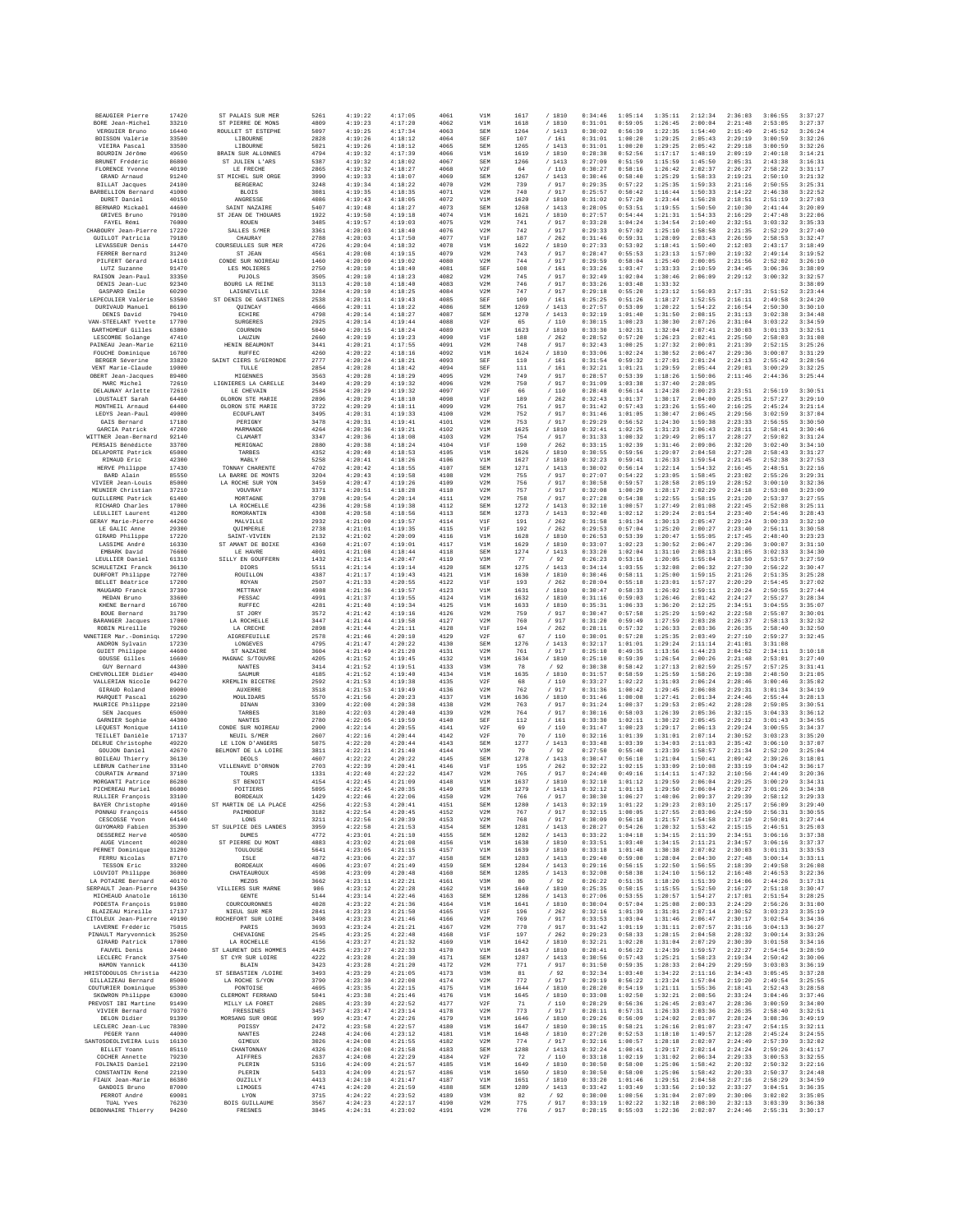| BEAUGIER Pierre                             | 17420          | ST PALAIS SUR MER                    | 5261         | 4:19:22            | 4:17:05            | 4061         | V1M        | 1617         | /1810                          | 0:34:46            | 1:05:14            | 1:35:11            | 2:12:34            | 2:36:03            | 3:06:55            | 3:37:27            |
|---------------------------------------------|----------------|--------------------------------------|--------------|--------------------|--------------------|--------------|------------|--------------|--------------------------------|--------------------|--------------------|--------------------|--------------------|--------------------|--------------------|--------------------|
| BORE Jean-Michel                            | 33210          | ST PIERRE DE MONS                    | 4809         | 4:19:23            | 4:17:20            | 4062         | V1M        | 1618         | /1810                          | 0:31:01            | 0:59:05            | 1:26:45            | 2:00:04            | 2:21:48            | 2:53:05            | 3:27:37            |
| VERGUIER Bruno                              | 16440          | ROULLET ST ESTEPHE                   | 5097         | 4:19:25            | 4:17:34            | 4063         | SEM        | 1264         | /1413                          | 0:30:02            | 0:56:39            | 1:22:35            | 1:54:40            | 2:15:49            | 2:45:52            | 3:26:24            |
| BOISSON Valérie<br>VIEIRA Pascal            | 33500<br>33500 | LIBOURNE<br>LIBOURNE                 | 2828<br>5021 | 4:19:26<br>4:19:26 | 4:18:12<br>4:18:12 | 4064<br>4065 | SEF<br>SEM | 107<br>1265  | /161<br>/1413                  | 0:31:01<br>0:31:01 | 1:00:20<br>1:00:20 | 1:29:25<br>1:29:25 | 2:05:43<br>2:05:42 | 2:29:19<br>2:29:18 | 3:00:59<br>3:00:59 | 3:32:26<br>3:32:26 |
| BOURDIN Jérôme                              | 49650          | BRAIN SUR ALLONNES                   | 4794         | 4:19:32            | 4:17:39            | 4066         | V1M        | 1619         | / 1810                         | 0:28:38            | 0:52:56            | 1:17:17            | 1:48:19            | 2:09:19            | 2:40:18            | 3:14:21            |
| BRUNET Frédéric                             | 86800          | ST JULIEN L'ARS                      | 5387         | 4:19:32            | 4:18:02            | 4067         | SEM        | 1266         | /1413                          | 0:27:09            | 0:51:59            | 1:15:59            | 1:45:50            | 2:05:31            | 2:43:38            | 3:16:31            |
| FLORENCE Yvonne                             | 40190          | LE FRECHE                            | 2865         | 4:19:32            | 4:18:27            | 4068         | V2F        | 64           | /110                           | 0:30:27            | 0:58:16            | 1:26:42            | 2:02:37            | 2:26:27            | 2:58:22            | 3:31:17            |
| GRAND Arnaud                                | 91240          | ST MICHEL SUR ORGE                   | 3990         | 4:19:33            | 4:18:07            | 4069         | SEM        | 1267         | /1413                          | 0:30:46            | 0:58:40            | 1:25:29            | 1:58:33            | 2:19:21            | 2:50:10            | 3:21:32            |
| <b>BILLAT</b> Jacques<br>BARBELLION Bernard | 24100<br>41000 | <b>BERGERAC</b><br><b>BLOIS</b>      | 3248<br>3081 | 4:19:34<br>4:19:35 | 4:18:22<br>4:18:35 | 4070<br>4071 | V2M<br>V2M | 739<br>740   | $/$ 917<br>917                 | 0:29:35<br>0:25:57 | 0:57:22<br>0:50:42 | 1:25:35<br>1:16:44 | 1:59:33<br>1:50:33 | 2:21:16<br>2:14:22 | 2:50:55<br>2:46:38 | 3:25:31<br>3:22:52 |
| DURET Daniel                                | 40150          | ANGRESSE                             | 4086         | 4:19:43            | 4:18:05            | 4072         | V1M        | 1620         | / 1810                         | 0:31:02            | 0:57:20            | 1:23:44            | 1:56:28            | 2:18:51            | 2:51:19            | 3:27:03            |
| BERNARD Mickael                             | 44600          | SAINT NAZAIRE                        | 5407         | 4:19:48            | 4:18:27            | 4073         | SEM        | 1268         | /1413                          | 0:28:05            | 0:53:51            | 1:19:55            | 1:50:50            | 2:10:30            | 2:41:44            | 3:20:09            |
| GRIVES Bruno                                | 79100          | ST JEAN DE THOUARS                   | 1922         | 4:19:50            | 4:19:18            | 4074         | V1M        | 1621         | / 1810                         | 0:27:57            | 0:54:44            | 1:21:31            | 1:54:33            | 2:16:29            | 2:47:48            | 3:22:06            |
| FAYEL Rémi                                  | 76000          | ROUEN                                | 3485         | 4:19:57            | 4:19:03            | 4075         | V2M        | 741          | / 917                          | 0:33:28            | 1:04:24            | 1:34:54            | 2:10:40            | 2:32:51            | 3:03:32            | 3:35:33            |
| CHABOURY Jean-Pierre                        | 17220          | SALLES S/MER                         | 3361         | 4:20:03            | 4:18:40            | 4076         | V2M        | 742          | /917                           | 0:29:33            | 0:57:02            | 1:25:10            | 1:58:58            | 2:21:35            | 2:52:29            | 3:27:40            |
| GUILLOT Patricia<br>LEVASSEUR Denis         | 79180<br>14470 | CHAURAY<br>COURSEULLES SUR MEF       | 2788<br>4726 | 4:20:03<br>4:20:04 | 4:17:50<br>4:18:32 | 4077<br>4078 | V1F<br>V1M | 187<br>1622  | /262<br>/ 1810                 | 0:31:46<br>0:27:33 | 0:59:31<br>0:53:02 | 1:28:09<br>1:18:41 | 2:03:43<br>1:50:40 | 2:26:59<br>2:12:03 | 2:58:53<br>2:43:17 | 3:32:47<br>3:18:49 |
| FERRER Bernard                              | 31240          | ST JEAN                              | 4561         | 4:20:08            | 4:19:15            | 4079         | V2M        | 743          | 917<br>$\prime$                | 0:28:47            | 0:55:53            | 1:23:13            | 1:57:00            | 2:19:32            | 2:49:14            | 3:19:52            |
| PILFERT Gérard                              | 14110          | CONDE SUR NOIREAU                    | 1460         | 4:20:09            | 4:19:02            | 4080         | V2M        | 744          | /917                           | 0:29:59            | 0:58:04            | 1:25:40            | 2:00:05            | 2:21:56            | 2:52:02            | 3:26:10            |
| LUTZ Suzanne                                | 91470          | LES MOLIERES                         | 2750         | 4:20:10            | 4:18:40            | 4081         | SEF        | 108          | /161                           | 0:33:26            | 1:03:47            | 1:33:33            | 2:10:59            | 2:34:45            | 3:06:36            | 3:38:09            |
| RAISON Jean-Paul                            | 33350          | PUJOLS                               | 3505         | 4:20:10            | 4:18:23            | 4082         | V2M        | 745          | 917                            | 0:32:49            | 1:02:04            | 1:30:46            | 2:06:09            | 2:29:12            | 3:00:32            | 3:32:57            |
| DENIS Jean-Luc                              | 92340          | <b>BOURG LA REINE</b><br>LAIGNEVILLE | 3113         | 4:20:10            | 4:18:40            | 4083         | V2M        | 746          | / 917                          | 0:33:26            | 1:03:48            | 1:33:32            |                    |                    |                    | 3:38:09            |
| GASPARD Emile<br>LEPECULIER Valérie         | 60290<br>53500 | ST DENIS DE GASTINES                 | 3284<br>2538 | 4:20:10<br>4:20:11 | 4:18:25<br>4:19:43 | 4084<br>4085 | V2M<br>SEF | 747<br>109   | / 917<br>/161                  | 0:29:18<br>0:25:25 | 0:55:20<br>0:51:26 | 1:23:12<br>1:18:27 | 1:56:03<br>1:52:55 | 2:17:31<br>2:16:11 | 2:51:52<br>2:49:58 | 3:23:44<br>3:24:20 |
| DURIVAUD Manuel                             | 86190          | QUINCAY                              | 4666         | 4:20:11            | 4:18:22            | 4086         | SEM        | 1269         | /1413                          | 0:27:57            | 0:53:09            | 1:20:22            | 1:54:22            | 2:16:54            | 2:50:30            | 3:30:10            |
| DENTS David                                 | 79410          | ECHIRE                               | 4798         | 4:20:14            | 4:18:27            | 4087         | SEM        | 1270         | /1413                          | 0:32:19            | 1:01:40            | 1:31:50            | 2:08:15            | 2:31:13            | 3:02:38            | 3:34:48            |
| VAN-STEELANT Yvette                         | 17700          | <b>SURGERES</b>                      | 2925         | 4:20:14            | 4:19:44            | 4088         | V2F        | 65           | /110                           | 0:30:15            | 1:00:23            | 1:30:30            | 2:07:26            | 2:31:04            | 3:03:22            | 3:34:59            |
| BARTHOMEUF Gilles                           | 63800          | COURNON                              | 5040         | 4:20:15            | 4:18:24            | 4089         | V1M        | 1623         | / 1810                         | 0:33:30            | 1:02:31            | 1:32:04            | 2:07:41            | 2:30:03            | 3:01:33            | 3:32:51            |
| LESCOMBE Solange<br>PAINEAU Jean-Marie      | 47410<br>62110 | LAUZUN<br>HENIN BEAUMONT             | 2660<br>3441 | 4:20:19<br>4:20:21 | 4:19:23<br>4:17:55 | 4090<br>4091 | V1F<br>V2M | 188<br>748   | /262<br>/ 917                  | 0:28:52<br>0:32:43 | 0:57:20<br>1:00:25 | 1:26:23<br>1:27:32 | 2:02:41<br>2:00:01 | 2:25:50<br>2:21:39 | 2:58:03<br>2:52:15 | 3:31:08<br>3:25:26 |
| FOUCHE Dominique                            | 16700          | RUFFEC                               | 4260         | 4:20:22            | 4:18:16            | 4092         | V1M        | 1624         | / 1810                         | 0:33:06            | 1:02:24            | 1:30:52            | 2:06:47            | 2:29:36            | 3:00:07            | 3:31:29            |
| BERGER Séverine                             | 33820          | SAINT CIERS S/GIRONDE                | 2777         | 4:20:24            | 4:18:21            | 4093         | SEF        | 110          | 161<br>$\prime$                | 0:31:54            | 0:59:32            | 1:27:01            | 2:01:24            | 2:24:13            | 2:55:42            | 3:28:56            |
| VENT Marie-Claude                           | 19000          | TULLE                                | 2854         | 4:20:28            | 4:18:42            | 4094         | SEF        | 111          | /161                           | 0:32:21            | 1:01:21            | 1:29:59            | 2:05:44            | 2:29:01            | 3:00:29            | 3:32:25            |
| OBERT Jean-Jacques                          | 89400          | MIGENNES                             | 3563         | 4:20:28            | 4:18:29            | 4095         | V2M        | 749          | / 917                          | 0:28:57            | 0:53:39            | 1:18:26            | 1:50:06            | 2:11:46            | 2:44:36            | 3:25:44            |
| MARC Michel<br>DELAUNAY Arlette             | 72610<br>72610 | LIGNIERES LA CARELLE<br>LE CHEVAIN   | 3449<br>2584 | 4:20:29<br>4:20:29 | 4:19:32<br>4:19:32 | 4096<br>4097 | V2M<br>V2F | 750<br>66    | 917<br>/110                    | 0:31:09<br>0:28:48 | 1:03:38<br>0:56:14 | 1:37:40<br>1:24:28 | 2:28:05<br>2:00:23 | 2:23:51            | 2:56:19            | 3:30:51            |
| LOUSTALET Sarah                             | 64400          | OLORON STE MARIE                     | 2896         | 4:20:29            | 4:18:10            | 4098         | V1F        | 189          | 262                            | 0:32:43            | 1:01:37            | 1:30:17            | 2:04:00            | 2:25:51            | 2:57:27            | 3:29:10            |
| MONTHEIL Arnaud                             | 64400          | OLORON STE MARIE                     | 3722         | 4:20:29            | 4:18:11            | 4099         | V2M        | 751          | / 917                          | 0:31:42            | 0:57:43            | 1:23:26            | 1:55:40            | 2:16:25            | 2:45:24            | 3:21:14            |
| LEDYS Jean-Paul                             | 49000          | ECOUFLANT                            | 3495         | 4:20:31            | 4:19:33            | 4100         | V2M        | 752          | / 917                          | 0:31:46            | 1:01:05            | 1:30:47            | 2:06:45            | 2:29:56            | 3:02:59            | 3:37:04            |
| GAIS Bernard                                | 17180          | PERIGNY                              | 3478         | 4:20:31            | 4:19:41            | 4101         | V2M        | 753          | /917                           | 0:29:29            | 0:56:52            | 1:24:30            | 1:59:38            | 2:23:33            | 2:56:55            | 3:30:50            |
| GARCIA Patrick                              | 47200          | MARMANDE                             | 4264         | 4:20:36            | 4:19:21            | 4102         | V1M        | 1625         | / 1810                         | 0:32:41            | 1:02:25            | 1:31:23            | 2:06:43            | 2:28:11            | 2:58:41            | 3:30:46            |
| WITTNER Jean-Bernard<br>PERSAIS Bénédicte   | 92140<br>33700 | CLAMART<br>MERIGNAC                  | 3347<br>2880 | 4:20:36<br>4:20:38 | 4:18:08<br>4:18:24 | 4103<br>4104 | V2M<br>V1F | 754<br>190   | / 917<br>262<br>1              | 0:31:33<br>0:33:15 | 1:00:32<br>1:02:39 | 1:29:49<br>1:31:46 | 2:05:17<br>2:09:06 | 2:28:27<br>2:32:20 | 2:59:02<br>3:02:40 | 3:31:24<br>3:34:10 |
| DELAPORTE Patrick                           | 65000          | TARBES                               | 4352         | 4:20:40            | 4:18:53            | 4105         | V1M        | 1626         | /1810                          | 0:30:55            | 0:59:56            | 1:29:07            | 2:04:58            | 2:27:28            | 2:58:43            | 3:31:27            |
| RIMAUD Eric                                 | 42300          | MABLY                                | 5258         | 4:20:41            | 4:18:26            | 4106         | V1M        | 1627         | /1810                          | 0:32:23            | 0:59:41            | 1:26:33            | 1:59:54            | 2:21:45            | 2:52:38            | 3:27:53            |
| HERVE Philippe                              | 17430          | TONNAY CHARENTE                      | 4702         | 4:20:42            | 4:18:55            | 4107         | SEM        | 1271         | /1413                          | 0:30:02            | 0:56:14            | 1:22:14            | 1:54:32            | 2:16:45            | 2:48:51            | 3:22:16            |
| RARD Alain                                  | 85550          | LA BARRE DE MONTS                    | 3204         | 4:20:43            | 4:19:58            | 4108         | V2M        | 755          | /917                           | 0:27:07            | 0:54:22            | 1:23:05            | 1:58:45            | 2:23:02            | 2:55:26            | 3:29:31            |
| VIVIER Jean-Louis                           | 85000          | LA ROCHE SUR YON                     | 3459         | 4:20:47            | 4:19:26            | 4109         | V2M        | 756          | / 917                          | 0:30:58            | 0:59:57            | 1:28:58            | 2:05:19            | 2:28:52            | 3:00:10            | 3:32:36            |
| MEUNIER Christian                           | 37210          | VOUVRAY                              | 3371<br>3798 | 4:20:51<br>4:20:54 | 4:18:28<br>4:20:14 | 4110         | V2M<br>V2M | 757<br>758   | 917<br>$\overline{1}$<br>/ 917 | 0:32:08<br>0:27:28 | 1:00:29<br>0:54:38 | 1:28:17<br>1:22:55 | 2:02:29<br>1:58:15 | 2:24:18<br>2:21:20 | 2:53:08<br>2:53:37 | 3:23:09<br>3:27:55 |
| <b>GUILLERME Patrick</b><br>RICHARD Charles | 61400<br>17000 | MORTAGNE<br>LA ROCHELLE              | 4236         | 4:20:58            | 4:19:38            | 4111<br>4112 | SEM        | 1272         | /1413                          | 0:32:10            | 1:00:57            | 1:27:49            | 2:01:08            | 2:22:45            | 2:52:08            | 3:25:11            |
| LEULLIET Laurent                            | 41200          | ROMORANTIN                           | 4308         | 4:20:58            | 4:18:56            | 4113         | SEM        | 1273         | /1413                          | 0:32:40            | 1:02:12            | 1:29:24            | 2:01:54            | 2:23:40            | 2:54:46            | 3:28:43            |
| GERAY Marie-Pierre                          | 44260          | MALVILLE                             | 2932         | 4:21:00            | 4:19:57            | 4114         | V1F        | 191          | /262                           | 0:31:58            | 1:01:34            | 1:30:13            | 2:05:47            | 2:29:24            | 3:00:33            | 3:32:10            |
| LE GALIC Anne                               | 29300          | QUIMPERLE                            | 2738         | 4:21:01            | 4:19:35            | 4115         | V1F        | 192          | /262                           | 0:29:53            | 0:57:04            | 1:25:20            | 2:00:27            | 2:23:40            | 2:56:11            | 3:30:58            |
| GIRARD Philippe                             | 17220          | SAINT-VIVIEN                         | 2132         | 4:21:02            | 4:20:09            | 4116         | V1M        | 1628         | /1810                          | 0:26:53            | 0:53:39            | 1:20:47            | 1:55:05            | 2:17:45            | 2:48:40            | 3:23:23            |
| LASSIME André<br>EMBARK David               | 16330<br>76600 | ST AMANT DE BOIXE<br>LE HAVRE        | 4360<br>4001 | 4:21:07<br>4:21:08 | 4:19:01<br>4:18:44 | 4117<br>4118 | V1M<br>SEM | 1629<br>1274 | /1810<br>/1413                 | 0:33:07<br>0:33:20 | 1:02:23<br>1:02:04 | 1:30:52<br>1:31:10 | 2:06:47<br>2:08:13 | 2:29:36<br>2:31:05 | 3:00:07<br>3:02:33 | 3:31:10<br>3:34:30 |
| LEULLIER Daniel                             | 61310          | SILLY EN GOUFFERN                    | 1432         | 4:21:14            | 4:20:47            | 4119         | V3M        | 77           | /92                            | 0:26:23            | 0:53:16            | 1:20:05            | 1:55:04            | 2:18:50            | 2:53:57            | 3:27:59            |
| SCHULETZKI Franck                           | 36130          | DIORS                                | 5511         | 4:21:14            | 4:19:14            | 4120         | SEM        | 1275         | / 1413                         | 0:34:14            | 1:03:55            | 1:32:08            | 2:06:32            | 2:27:30            | 2:56:22            | 3:30:47            |
| DURFORT Philippe                            | 72700          | <b>ROUILLON</b>                      | 4387         | 4:21:17            | 4:19:43            | 4121         | V1M        | 1630         | / 1810                         | 0:30:46            | 0:58:11            | 1:25:00            | 1:59:15            | 2:21:26            | 2:51:35            | 3:25:28            |
| BELLET Béatrice                             | 17200          | ROYAN                                | 2507         | 4:21:33            | 4:20:55            | 4122         | V1F        | 193          | /262                           | 0:28:04            | 0:55:18            | 1:23:01            | 1:57:27            | 2:20:29            | 2:54:45            | 3:27:02            |
| MAUGARD Franck                              | 37390          | METTRAY                              | 4988         | 4:21:36            | 4:19:57            | 4123         | V1M        | 1631         | /1810                          | 0:30:47            | 0:58:33            | 1:26:02            | 1:59:11            | 2:20:24            | 2:50:55            | 3:27:44            |
| MEDAN Brunc<br>KHENE Bernard                | 33600<br>16700 | PESSAC<br>RUFFEC                     | 4991<br>4281 | 4:21:37<br>4:21:40 | 4:19:55<br>4:19:34 | 4124<br>4125 | V1M<br>V1M | 1632<br>1633 | /1810<br>/ 1810                | 0:31:16<br>0:35:31 | 0:59:03<br>1:06:33 | 1:26:46<br>1:36:20 | 2:01:42<br>2:12:25 | 2:24:27<br>2:34:51 | 2:55:27<br>3:04:55 | 3:28:34<br>3:35:07 |
| BOUE Bernard                                | 31790          | ST JORY                              | 3572         | 4:21:42            | 4:19:16            | 4126         | V2M        | 759          | /917                           | 0:30:47            | 0:57:58            | 1:25:29            | 1:59:42            | 2:22:58            | 2:55:07            | 3:30:01            |
| <b>BARANGER</b> Jacques                     | 17000          | LA ROCHELLE                          | 3447         | 4:21:44            | 4:19:58            | 4127         | V2M        | 760          | / 917                          | 0:31:20            | 0:59:49            | 1:27:59            | 2:03:28            | 2:26:37            | 2:58:13            | 3:32:32            |
| ROBIN Mireille                              | 79260          | LA CRECHE                            | 2898         | 4:21:44            | 4:21:11            | 4128         | V1F        | 194          | /262                           | 0:28:11            | 0:57:32            | 1:26:33            | 2:03:36            | 2:26:35            | 2:58:40            | 3:32:50            |
| <b><i>ANNETIER Mar.-Dominiqu</i></b>        | 17290          | AIGREFEUILLE                         | 2578         | 4:21:46            | 4:20:10            | 4129         | V2F        | 67           | /110                           | 0:30:01            | 0:57:28            | 1:25:35            | 2:03:49            | 2:27:10            | 2:59:27            | 3:32:45            |
| ANDRON Sylvain                              | 17230          | LONGEVES                             | 4795         | 4:21:47            | 4:20:22            | 4130         | SEM        | 1276         | /1413                          | 0:32:17            | 1:01:01            | 1:29:24            | 2:11:14            | 2:41:01            | 3:31:08            |                    |
| <b>GUIET Philippe</b>                       | 44600          | ST NAZAIRE                           | 3604         | 4:21:49            | 4:21:20            | 4131         | V2M        | 761          | $/$ 917                        | 0:25:10            | 0:49:35            | 1:13:56            | 1:44:23            | 2:04:52            | 2:34:11            | 3:10:18            |
| GOUSSE Gilles<br>GUY Bernard                | 16600<br>44300 | MAGNAC S/TOUVRE<br><b>NANTES</b>     | 4205<br>3414 | 4:21:52<br>4:21:52 | 4:19:45<br>4:19:51 | 4132<br>4133 | V1M<br>V3M | 1634<br>78   | / 1810<br>/92                  | 0:25:10<br>0:30:38 | 0:59:39<br>0:58:42 | 1:26:54<br>1:27:13 | 2:00:26<br>2:02:59 | 2:21:48<br>2:25:57 | 2:53:01<br>2:57:25 | 3:27:40<br>3:31:41 |
| CHEVROLLIER Didier                          | 49400          | SAUMUR                               | 4185         | 4:21:52            | 4:19:40            | 4134         | V1M        | 1635         | / 1810                         | 0:31:57            | 0:58:59            | 1:25:59            | 1:58:26            | 2:19:38            | 2:48:50            | 3:21:05            |
| VALLERIAN Nicole                            | 94270          | KREMLIN BICETRE                      | 2592         | 4:21:53            | 4:19:38            | 4135         | V2F        | 68           | 110                            | 0:33:27            | 1:02:22            | 1:31:03            | 2:06:24            | 2:28:46            | 3:00:46            | 3:35:02            |
| GIRAUD Roland                               | 89000          | <b>AUXERRE</b>                       | 3518         | 4:21:53            | 4:19:49            | 4136         | V2M        | 762          | / 917                          | 0:31:36            | 1:00:42            | 1:29:45            | 2:06:08            | 2:29:31            | 3:01:34            | 3:34:19            |
| MAROUET Pascal                              | 16290          | MOULIDARS                            | 5570         | 4:21:56            | 4:20:23            | 4137         | V1M        | 1636         | /1810                          | 0:31:46            | 1:00:08            | 1:27:41            | 2:01:34            | 2:24:46            | 2:55:44            | 3:28:13            |
| MAURICE Philippe                            | 22100          | DINAN                                | 3309         | 4:22:00            | 4:20:38            | 4138         | V2M        | 763          | / 917                          | 0:31:24            | 1:00:37            | 1:29:53            | 2:05:42            | 2:28:28            | 2:59:05            | 3:30:51            |
| SEN Jacques<br>GARNIER Sophie               | 65000<br>44300 | TARBES                               | 3180         | 4:22:03            | 4:20:40<br>4:19:59 | 4139<br>4140 | V2M        | 764          | / 917                          | 0:30:16<br>0:33:30 | 0:58:03<br>1:02:11 | 1:26:39<br>1:30:22 | 2:05:36<br>2:05:45 | 2:32:15<br>2:29:12 | 3:04:33            | 3:36:12<br>3:34:55 |
| LEQUEST Monique                             | 14110          |                                      |              |                    |                    |              |            |              |                                |                    |                    |                    |                    |                    |                    |                    |
| TEILLET Danièle                             |                | <b>NANTES</b>                        | 2780         | 4:22:05            |                    |              | SEF        | 112          | /161                           |                    |                    |                    |                    |                    | 3:01:43            |                    |
| DELRUE Christophe                           | 17137          | CONDE SUR NOIREAU<br>NEUIL S/MER     | 2900<br>2607 | 4:22:14<br>4:22:16 | 4:20:55<br>4:20:44 | 4141<br>4142 | V2F<br>V2F | 69<br>70     | /110<br>/110                   | 0:31:47<br>0:32:16 | 1:00:23<br>1:01:39 | 1:29:17<br>1:31:01 | 2:06:13<br>2:07:14 | 2:29:24<br>2:30:52 | 3:00:55<br>3:03:23 | 3:34:37<br>3:35:20 |
|                                             | 49220          | LE LION D'ANGERS                     | 5075         | 4:22:20            | 4:20:44            | 4143         | SEM        | 1277         | /1413                          | 0:33:48            | 1:03:39            | 1:34:03            | 2:11:03            | 2:35:42            | 3:06:10            | 3:37:07            |
| GOUJON Daniel                               | 42670          | BELMONT DE LA LOIRE                  | 3811         | 4:22:21            | 4:21:40            | 4144         | V3M        | 79           | /92                            | 0:27:50            | 0:55:40            | 1:23:39            | 1:58:57            | 2:21:34            | 2:52:20            | 3:25:04            |
| BOILEAU Thierry                             | 36130          | DEOLS                                | 4607         | 4:22:22            | 4:20:22            | 4145         | SEM        | 1278         | / 1413                         | 0:30:47            | 0:56:10            | 1:21:04            | 1:50:41            | 2:09:42            | 2:39:26            | 3:18:01            |
| LEBRUN Catherine                            | 33140          | VILLENAVE D'ORNON                    | 2703         | 4:22:39            | 4:20:41            | 4146         | V1F        | 195          | 262                            | 0:32:22            | 1:02:15            | 1:33:09            | 2:10:08            | 2:33:19            | 3:04:42            | 3:36:17            |
| COURATIN Armand<br>MORGANTI Patrice         | 37100<br>86280 | TOURS<br>ST BENOIT                   | 1331<br>4154 | 4:22:40<br>4:22:45 | 4:22:22<br>4:21:09 | 4147<br>4148 | V2M<br>V1M | 765<br>1637  | / 917<br>/1810                 | 0:24:40<br>0:32:10 | 0:49:16<br>1:01:12 | 1:14:11<br>1:29:59 | 1:47:32<br>2:06:04 | 2:10:56<br>2:29:25 | 2:44:49<br>3:00:29 | 3:20:36<br>3:34:31 |
| PICHEREAU Muriel                            | 86000          | POITIERS                             | 5095         | 4:22:45            | 4:20:35            | 4149         | SEM        | 1279         | /1413                          | 0:32:12            | 1:01:13            | 1:29:50            | 2:06:04            | 2:29:27            | 3:01:26            | 3:34:38            |
| <b>RULLIER François</b>                     | 33100          | <b>BORDRAILY</b>                     | 1429         | 4:22:46            | 4:22:06            | 4150         | V2M        | 766          | / 917                          | 0:30:30            | 1:06:27            | 1:40:06            | 2:09:37            | 2:29:39            | 2:58:12            | 3:29:33            |
| BAYER Christophe                            | 49160          | ST MARTIN DE LA PLACE                | 4256         | 4:22:53            | 4:20:41            | 4151         | SEM        | 1280         | /1413                          | 0:32:19            | 1:01:22            | 1:29:23            | 2:03:10            | 2:25:17            | 2:56:09            | 3:29:40            |
| PONNAU François                             | 44560          | PAIMBOEUF                            | 3182         | 4:22:54            | 4:20:45            | 4152         | V2M        | 767          | / 917                          | 0:32:15            | 1:00:05            | 1:27:55            | 2:03:06            | 2:24:59            | 2:56:31            | 3:30:55            |
| CESCOSSE Yvon<br>GUYOMARD Fabien            | 64140<br>35390 | LONS<br>ST SULPICE DES LANDES        | 3211<br>3959 | 4:22:56<br>4:22:58 | 4:20:39<br>4:21:53 | 4153<br>4154 | V2M<br>SEM | 768<br>1281  | / 917<br>/1413                 | 0:30:09<br>0:28:27 | 0:56:18<br>0:54:26 | 1:21:57<br>1:20:32 | 1:54:58<br>1:53:42 | 2:17:10<br>2:15:15 | 2:50:01<br>2:46:51 | 3:27:44<br>3:25:03 |
| DESSEREZ Hervé                              | 40500          | <b>DUMES</b>                         | 4772         | 4:23:01            | 4:21:10            | 4155         | SEM        | 1282         | /1413                          | 0:33:22            | 1:04:18            | 1:34:15            | 2:11:39            | 2:34:51            | 3:06:16            | 3:37:38            |
| AUGE Vincent                                | 40280          | ST PIERRE DU MONT                    | 4883         | 4:23:02            | 4:21:08            | 4156         | V1M        | 1638         | / 1810                         | 0:33:51            | 1:03:40            | 1:34:15            | 2:11:21            | 2:34:57            | 3:06:16            | 3:37:37            |
| PERNET Dominique                            | 31200          | TOULOUSE                             | 5641         | 4:23:05            | 4:21:15            | 4157         | V1M        | 1639         | /1810                          | 0:33:18            | 1:01:48            | 1:30:38            | 2:07:02            | 2:30:03            | 3:01:31            | 3:33:53            |
| FERRU Nicolas                               | 87170          | ISLE                                 | 4872         | 4:23:06            | 4:22:37            | 4158         | SEM        | 1283         | /1413                          | 0:29:40            | 0:59:00            | 1:28:04            | 2:04:30            | 2:27:48            | 3:00:14            | 3:33:11            |
| TESSON Eric                                 | 33200          | <b>BORDEAUX</b>                      | 4606         | 4:23:07            | 4:21:49            | 4159         | SEM        | 1284         | $/\phantom{0}1413$             | 0:29:16            | 0:56:15            | 1:22:50            | 1:56:55            | 2:18:39            | 2:49:58            | 3:26:08            |
| LOUVIOT Philippe<br>LA POTAIRE Bernard      | 36000<br>40170 | CHATEAUROUX<br>MEZOS                 | 4598<br>3662 | 4:23:09<br>4:23:11 | 4:20:48<br>4:22:21 | 4160<br>4161 | SEM<br>V3M | 1285<br>80   | /1413<br>/92                   | 0:32:08<br>0:26:22 | 0:58:38<br>0:51:35 | 1:24:10<br>1:18:20 | 1:56:12<br>1:51:39 | 2:16:48            | 2:46:53<br>2:44:26 | 3:22:36<br>3:17:31 |
| SERPAILT Jean-Pierre                        | 94350          | VILLIERS SUR MARNE                   | 986          | 4:23:12            | 4:22:28            | 4162         | V1M        | 1640         | /1810                          | 0:25:35            | 0:50:15            | 1:15:55            | 1:52:50            | 2:14:06<br>2:16:27 | 2:51:18            | 3:30:47            |
| MICHEAUD Anatole                            | 16130          | <b>GENTE</b>                         | 5144         | 4:23:14            | 4:22:46            | 4163         | SEM        | 1286         | /1413                          | 0:27:06            | 0:53:55            | 1:20:57            | 1:54:27            | 2:17:01            | 2:51:54            | 3:28:25            |
| PODESTA François                            | 91080          | COURCOURONNES                        | 4028         | 4:23:22            | 4:21:36            | 4164         | V1M        | 1641         | /1810                          | 0:30:04            | 0:57:04            | 1:25:08            | 2:00:33            | 2:24:29            | 2:56:26            | 3:31:00            |
| BLAIZEAU Mireille                           | 17137          | NIEUL SUR MER                        | 2841         | 4:23:23            | 4:21:50            | 4165         | V1F        | 196          | /262                           | 0:32:16            | 1:01:39            | 1:31:01            | 2:07:14            | 2:30:52            | 3:03:23            | 3:35:19            |
| CITOLEUX Jean-Pierre<br>LAVERNE Frédéric    | 49190<br>75015 | ROCHEFORT SUR LOIRE<br>PARIS         | 3498<br>3693 | 4:23:23<br>4:23:24 | 4:21:46<br>4:21:21 | 4166<br>4167 | V2M<br>V2M | 769<br>770   | / 917<br>/ 917                 | 0:33:53<br>0:31:42 | 1:03:04<br>1:01:19 | 1:31:46<br>1:31:11 | 2:06:47<br>2:07:57 | 2:30:17<br>2:31:16 | 3:02:54<br>3:04:13 | 3:34:36<br>3:36:27 |
| PINAULT Maryvonnick                         | 35250          | CHEVAIGNE                            | 2545         | 4:23:25            | 4:22:48            | 4168         | V1F        | 197          | /262                           | 0:29:23            | 0:58:33            | 1:28:15            | 2:04:58            | 2:28:32            | 3:00:14            | 3:33:26            |
| GIRARD Patrick                              | 17000          | LA ROCHRLLE                          | 4156         | 4:23:27            | 4:21:32            | 4169         | V1M        | 1642         | /1810                          | 0:32:21            | 1:02:28            | 1:31:04            | 2:07:29            | 2:30:39            | 3:01:58            | 3:34:16            |
| FAUVEL Denis                                | 24400          | ST LAURENT DES HOMMES                | 4425         | 4:23:27            | 4:22:33            | 4170         | V1M        | 1643         | / 1810                         | 0:28:41            | 0:56:22            | 1:24:39            | 1:59:57            | 2:22:27            | 2:54:54            | 3:28:59            |
| LECLERC Franck                              | 37540          | ST CYR SUR LOIRE                     | 4222         | 4:23:28            | 4:21:30            | 4171         | SEM        | 1287         | /1413                          | 0:30:56            | 0:57:43            | 1:25:21            | 1:58:23            | 2:19:34            | 2:50:42            | 3:30:06            |
| HAMON Yannick<br>HRISTODOULOS Christia      | 44130<br>44230 | BLAIN<br>ST SEBASTIEN / LOIRE        | 3423<br>3493 | 4:23:28<br>4:23:29 | 4:21:20<br>4:21:05 | 4172<br>4173 | V2M<br>V3M | 771<br>81    | / 917<br>/92                   | 0:31:50<br>0:32:34 | 0:59:35<br>1:03:40 | 1:28:33<br>1:34:22 | 2:04:29<br>2:11:16 | 2:29:59<br>2:34:43 | 3:03:03<br>3:05:45 | 3:36:19<br>3:37:28 |
| GILLAIZEAU Bernard                          | 85000          | LA ROCHE S/YON                       | 3790         |                    | 4:22:08            | 4174         | V2M        | 772          |                                | 0:29:19            | 0:56:22            | 1:23:24            | 1:57:04            | 2:19:20            | 2:49:54            | 3:25:55            |
| COUTURIER Dominique                         | 95300          | PONTOISE                             | 4695         | 4:23:30<br>4:23:35 | 4:22:15            | 4175         | V1M        | 1644         | / 917<br>/1810                 | 0:28:20            | 0:54:19            | $1:21:11$          | 1:55:36            | 2:18:41            | 2:52:43            | 3:28:58            |
| SKOWRON Philippe                            | 63000          | CLERMONT FERRAND                     | 5041         | 4:23:38            | 4:21:46            | 4176         | V1M        | 1645         | / 1810                         | 0:33:08            | 1:02:50            | 1:32:21            | 2:08:56            | 2:33:24            | 3:04:46            | 3:37:46            |
| PREVOST IBI Martine                         | 91490          | MILLY LA FORET                       | 2685         | 4:23:39            | 4:22:52            | 4177         | V2F        | $71\,$       | /110                           | 0:28:29            | 0:56:36            | 1:26:45            | 2:03:47            | 2:28:36            | 3:00:59            | 3:34:00            |
| VIVIER Bernard                              | 79370          | FRESSINES                            | 3457         | 4:23:47            | 4:23:14            | 4178         | V2M        | 773          | / 917                          | 0:28:11            | 0:57:31            | 1:26:33            | 2:03:36            | 2:26:35            | 2:58:40            | 3:32:51            |
| DELON Didier<br>LECLERC Jean-Luc            | 91390<br>78300 | MORSANG SUR ORGE<br>POISSY           | 999<br>2472  | 4:23:47<br>4:23:58 | 4:22:26<br>4:22:57 | 4179<br>4180 | V1M<br>V1M | 1646<br>1647 | /1810<br>/1810                 | 0:29:26<br>0:30:15 | 0:56:09<br>0:58:21 | 1:24:02<br>1:26:16 | 2:01:07<br>2:01:07 | 2:28:24<br>2:23:47 | 3:08:36<br>2:54:15 | 3:49:19<br>3:32:11 |
| PEGER Yann                                  | 44000          | <b>NANTES</b>                        | 2248         | 4:24:06            | 4:23:12            | 4181         | V1M        | 1648         | / 1810                         | 0:27:20            | 0:52:53            | 1:18:10            | 1:49:57            | 2:12:28            | 2:45:24            | 3:24:55            |
| SANTOSDEOLIVEIRA Luis                       | 16130          | GIMEUX                               | 3026         | 4:24:08            | 4:21:55            | 4182         | V2M        | 774          | / 917                          | 0:32:16            | 1:00:57            | 1:28:18            | 2:02:07            | 2:24:49            | 2:57:39            | 3:32:02            |
| BILLET Yoann                                | 85110          | CHANTONNAY                           | 4326         | 4:24:08            | 4:21:58            | 4183         | SEM        | 1288         | /1413                          | 0:32:24            | 1:00:41            | 1:29:17            | 2:02:14            | 2:24:24            | 2:59:26            | 3:41:17            |
| COCHER Annette                              | 79230          | <b>AIFFRES</b>                       | 2637         | 4:24:08            | 4:22:29            | 4184         | V2F        | 72           | $/\phantom{0}110$              | 0:33:18            | 1:02:19            | 1:31:02            | 2:06:34            | 2:29:33            | 3:00:53            | 3:32:55            |
| FOLINAIS Daniel                             | 22190          | PLERIN                               | 5316         | 4:24:09            | 4:21:57            | 4185         | V1M        | 1649         | / 1810                         | 0:30:50            | 0:58:00            | 1:25:06            | 1:58:42            | 2:20:32            | 2:50:32            | 3:22:16            |
| CONSTANTIN René<br>FIAUX Jean-Marie         | 22190<br>86380 | PLERIN<br>OUZILLY                    | 5433<br>4413 | 4:24:09<br>4:24:10 | 4:21:57<br>4:21:47 | 4186<br>4187 | V1M<br>V1M | 1650<br>1651 | /1810<br>/ 1810                | 0:30:50<br>0:33:20 | 0:58:00<br>1:01:46 | 1:25:06<br>1:29:51 | 1:58:42<br>2:04:58 | 2:20:33<br>2:27:16 | 2:50:37<br>2:58:29 | 3:24:48<br>3:34:59 |
| GANDOIS Brunc                               | 87000          | LIMOGES                              | 4741         | 4:24:20            | 4:21:59            | 4188         | SEM        | 1289         | / 1413                         | 0:33:42            | 1:03:49            | 1:33:56            | 2:10:32            | 2:33:27            | 3:04:51            | 3:36:35            |
| PERROT André                                | 69001          | LYON                                 | 3715         | 4:24:22            | 4:23:52            | 4189         | V3M        | 82           | /92                            | 0:30:00            | 1:00:56            | 1:31:04            | 2:07:09            | 2:30:06            | 3:02:02            | 3:35:05            |
| TUAL Yves<br>DEBONNAIRE Thierry             | 76230<br>94260 | BOIS GUILLAUME<br>FRESNES            | 3567<br>3845 | 4:24:23<br>4:24:31 | 4:22:17<br>4:23:02 | 4190<br>4191 | V2M<br>V2M | 775<br>776   | / 917<br>/ 917                 | 0:33:19<br>0:28:15 | 1:02:22<br>0:55:03 | 1:32:18<br>1:22:36 | 2:08:30<br>2:02:07 | 2:32:13<br>2:24:46 | 3:03:39<br>2:55:31 | 3:36:38<br>3:30:17 |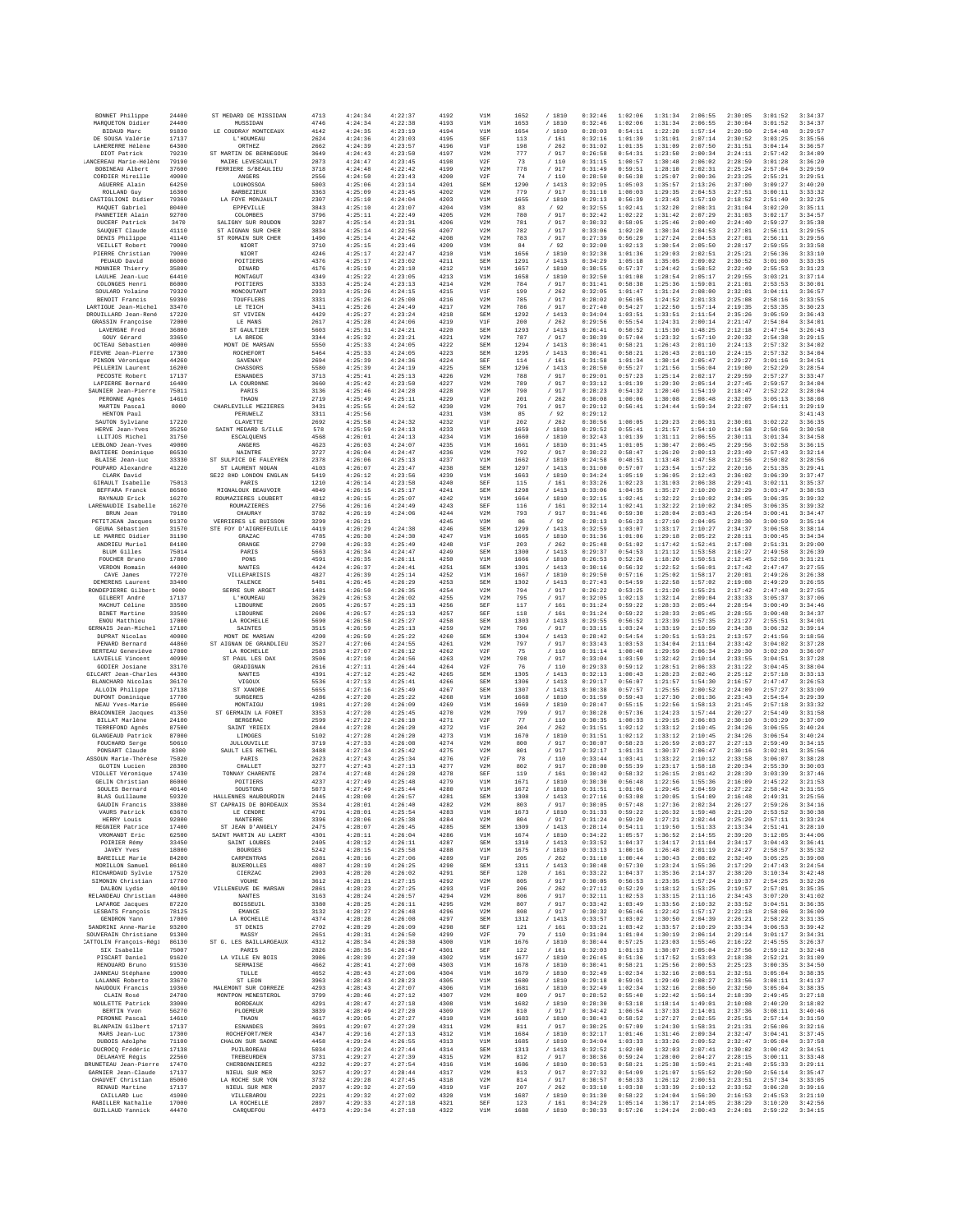| BONNET Philippe                              | 24400          | ST MEDARD DE MISSIDAN                          | 4713         | 4:24:34            | 4:22:37            | 4192         | V1M               | 1652         | / 1810           | 0:32:46            | 1:02:06            | 1:31:34            | 2:06:55            | 2:30:05            | 3:01:52            | 3:34:37            |
|----------------------------------------------|----------------|------------------------------------------------|--------------|--------------------|--------------------|--------------|-------------------|--------------|------------------|--------------------|--------------------|--------------------|--------------------|--------------------|--------------------|--------------------|
| MAROUETON Didier<br>BIDAUD Marc              | 24400<br>91830 | MUSSIDAN<br>LE COUDRAY MONTCEAUX               | 4746<br>4142 | 4:24:34<br>4:24:35 | 4:22:38<br>4:23:19 | 4193<br>4194 | V1M<br>V1M        | 1653<br>1654 | / 1810<br>/1810  | 0:32:46<br>0:28:03 | 1:02:06<br>0:54:11 | 1:31:34<br>1:22:20 | 2:06:55<br>1:57:14 | 2:30:04<br>2:20:50 | 3:01:52<br>2:54:48 | 3:34:37<br>3:29:57 |
| DE SOUSA Valérie                             | 17137          | L'HOUMEAU                                      | 2624         | 4:24:36            | 4:23:03            | 4195         | SEF               | 113          | /161             | 0:32:16            | 1:01:39            | 1:31:01            | 2:07:14            | 2:30:52            | 3:03:25            | 3:35:56            |
| LAHERERRE Hélène                             | 64300<br>79230 | <b>ORTHEZ</b><br>ST MARTIN DE BERNEGOUE        | 2662<br>3649 | 4:24:39<br>4:24:43 | 4:23:57<br>4:23:50 | 4196<br>4197 | V1F<br>V2M        | 198<br>777   | /262<br>/ 917    | 0:31:02<br>0:26:58 | 1:01:35<br>0:54:31 | 1:31:09<br>1:23:50 | 2:07:50<br>2:00:34 | 2:31:51<br>2:24:11 | 3:04:14<br>2:57:42 | 3:36:57<br>3:34:09 |
| DIOT Patrick<br>LANCEREAU Marie-Hélène       | 79190          | MAIRE LEVESCAULT                               | 2873         | 4:24:47            | 4:23:45            | 4198         | V2F               | 73           | /110             | 0:31:15            | 1:00:57            | 1:30:48            | 2:06:02            | 2:28:59            | 3:01:28            | 3:36:20            |
| BOBINEAU Albert<br>CORDIER Mireille          | 37600<br>49000 | FERRIERE S/BEAULIEU<br>ANGERS                  | 3718<br>2556 | 4:24:48<br>4:24:50 | 4:22:42<br>4:23:43 | 4199<br>4200 | V2M<br>V2F        | 778<br>74    | / 917<br>/110    | 0:31:49<br>0:28:50 | 0:59:51<br>0:56:38 | 1:28:10<br>1:25:07 | 2:02:31<br>2:00:36 | 2:25:24<br>2:23:25 | 2:57:04<br>2:55:21 | 3:29:59<br>3:29:51 |
| AGUERRE Alain                                | 64250          | LOUHOSSOA                                      | 5003         | 4:25:06            | 4:23:14            | 4201         | SEM               | 1290         | /1413            | 0:32:05            | 1:05:03            | 1:35:57            | 2:13:26            | 2:37:00            | 3:09:27            | 3:40:20            |
| ROLLAND, Guy<br>CASTIGLIONI Didier           | 16300<br>79360 | <b>BARBEZIEUX</b><br>LA FOYE MONJAULT          | 3363<br>2307 | 4:25:09<br>4:25:10 | 4:23:45<br>4:24:04 | 4202<br>4203 | V2M<br>V1M        | 779<br>1655  | /917<br>/ 1810   | 0:31:10<br>0:29:13 | 1:00:03<br>0:56:39 | 1:29:35<br>1:23:43 | 2:04:53<br>1:57:10 | 2:27:51<br>2:18:52 | 3:00:11<br>2:51:40 | 3:33:32<br>3:32:25 |
| MAQUET Gabriel                               | 80400          | EPPEVILLE                                      | 3843         | 4:25:10            | 4:23:07            | 4204         | V3M               | 83           | /92              | 0:32:55            | 1:02:41            | 1:32:20            | 2:08:31            | 2:31:04            | 3:02:20            | 3:35:11            |
| PANNETIER Alain                              | 92700          | COLOMBES                                       | 3796         | 4:25:11            | 4:22:49            | 4205         | V2M               | 780          | / 917            | 0:32:42            | 1:02:22            | 1:31:42            | 2:07:29            | 2:31:03            | 3:02:17            | 3:34:57            |
| DUCERF Patrick<br>SAUQUET Claude             | 3470<br>41110  | SALIGNY SUR ROUDON<br>ST AIGNAN SUR CHER       | 3287<br>3834 | 4:25:14<br>4:25:14 | 4:23:31<br>4:22:56 | 4206<br>4207 | V2M<br>V2M        | 781<br>782   | / 917<br>/ 917   | 0:30:32<br>0:33:06 | 0:58:05<br>1:02:20 | 1:25:46<br>1:30:34 | 2:00:40<br>2:04:53 | 2:24:40<br>2:27:01 | 2:59:27<br>2:56:11 | 3:35:38<br>3:29:55 |
| DENIS Philippe                               | 41140          | ST ROMAIN SUR CHER                             | 1490         | 4:25:14            | 4:24:42            | 4208         | V2M               | 783          | / 917            | 0:27:39            | 0:56:29            | 1:27:24            | 2:04:53            | 2:27:01            | 2:56:11            | 3:29:56            |
| VEILLET Robert<br>PIERRE Christian           | 79000<br>79000 | NIORT<br>NIORT                                 | 3710<br>4246 | 4:25:15<br>4:25:17 | 4:23:46<br>4:22:47 | 4209<br>4210 | V3M<br>V1M        | 84<br>1656   | 192<br>/1810     | 0:32:00<br>0:32:38 | 1:02:13<br>1:01:36 | 1:30:54<br>1:29:03 | 2:05:50<br>2:02:51 | 2:28:17<br>2:25:21 | 2:59:55<br>2:56:36 | 3:33:58<br>3:33:10 |
| PEUAUD David<br>MONNIER Thierry              | 86000<br>35800 | POITIERS<br>DINARD                             | 4376<br>4176 | 4:25:17<br>4:25:19 | 4:23:02<br>4:23:10 | 4211<br>4212 | SEM<br>V1M        | 1291<br>1657 | /1413<br>/ 1810  | 0:34:29<br>0:30:55 | 1:05:18<br>0:57:37 | 1:35:05<br>1:24:42 | 2:09:02<br>1:58:52 | 2:30:52<br>2:22:49 | 3:01:00<br>2:55:53 | 3:33:35<br>3:31:23 |
| LAULHE Jean-Luc                              | 64410          | MONTAGILT                                      | 4349         | 4:25:22            | 4:23:05            | 4213         | V1M               | 1658         | /1810            | 0:32:50            | 1:01:08            | 1:28:54            | 2:05:17            | 2:29:55            | 3:03:21            | 3:37:14            |
| COLONGES Henri                               | 86000          | POITIERS                                       | 3333         | 4:25:24            | 4:23:13            | 4214         | V2M               | 784          | / 917            | 0:31:41            | 0:58:38            | 1:25:36            | 1:59:01            | 2:21:01            | 2:53:53            | 3:30:01            |
| SOULARD Yolaine<br>BENOIT Francis            | 79320<br>59390 | MONCOUTANT<br>TOURELERS                        | 2933<br>3331 | 4:25:26<br>4:25:26 | 4:24:15<br>4:25:00 | 4215<br>4216 | V1F<br>V2M        | 199<br>785   | /262<br>/ 917    | 0:32:05<br>0:28:02 | 1:01:47<br>0:56:05 | 1:31:24<br>1:24:52 | 2:08:00<br>2:01:33 | 2:32:01<br>2:25:08 | 3:04:11<br>2:58:16 | 3:36:57<br>3:33:55 |
| LARTIGUE Jean-Michel<br>DROUILLARD Jean-René | 33470          | LE TEICH                                       | 3411         | 4:25:26            | 4:24:49            | 4217         | V2M               | 786          | / 917            | 0:27:40            | 0:54:27            | 1:22:50            | 1:57:14            | 2:19:35            | 2:53:35            | 3:30:23            |
| <b>GRASSIN Françoise</b>                     | 17220<br>72000 | ST VIVIEN<br>LE MANS                           | 4429<br>2617 | 4:25:27<br>4:25:28 | 4:23:24<br>4:24:06 | 4218<br>4219 | SEM<br>V1F        | 1292<br>200  | /1413<br>/262    | 0:34:04<br>0:29:56 | 1:03:51<br>0:55:54 | 1:33:51<br>1:24:31 | 2:11:54<br>2:00:14 | 2:35:26<br>2:21:47 | 3:05:59<br>2:54:04 | 3:36:43<br>3:34:01 |
| LAVERGNE Fred                                | 36800          | ST GAULTIER                                    | 5603         | 4:25:31            | 4:24:21            | 4220         | SEM<br>V2M        | 1293         | /1413            | 0:26:41            | 0:50:52<br>0:57:04 | 1:15:30            | 1:48:25<br>1:57:10 | 2:12:18<br>2:20:32 | 2:47:54            | 3:26:43<br>3:29:15 |
| GOUY Gérard<br>OCTEAU Sébastien              | 33650<br>40000 | LA BREDE<br>MONT DE MARSAN                     | 3344<br>5550 | 4:25:32<br>4:25:33 | 4:23:21<br>4:24:05 | 4221<br>4222 | SEM               | 787<br>1294  | / 917<br>/1413   | 0:30:39<br>0:30:41 | 0:58:21            | 1:23:32<br>1:26:43 | 2:01:10            | 2:24:13            | 2:54:38<br>2:57:32 | 3:34:02            |
| FIEVRE Jean-Pierre                           | 17300          | ROCHEFORT                                      | 5464         | 4:25:33            | 4:24:05            | 4223         | SEM               | 1295         | /1413            | 0:30:41            | 0:58:21            | 1:26:43            | 2:01:10            | 2:24:15            | 2:57:32            | 3:34:04            |
| PINSON Véronique<br>PELLERIN Laurent         | 44260<br>16200 | SAVENAY<br>CHASSORS                            | 2694<br>5580 | 4:25:39<br>4:25:39 | 4:24:36<br>4:24:19 | 4224<br>4225 | SEF<br>SEM        | 114<br>1296  | /161<br>/1413    | 0:31:58<br>0:28:50 | 1:01:34<br>0:55:27 | 1:30:14<br>1:21:56 | 2:05:47<br>1:56:04 | 2:29:27<br>2:19:00 | 3:01:16<br>2:52:29 | 3:34:51<br>3:28:54 |
| PECOSTE Robert                               | 17137          | <b>ESNANDES</b>                                | 3713         | 4:25:41            | 4:25:13            | 4226         | V2M               | 788          | / 917            | 0:29:01            | 0:57:23            | 1:25:14            | 2:02:17            | 2:29:59            | 2:57:27            | 3:33:47            |
| LAPIERRE Bernard<br>SAUNIER Jean-Pierre      | 16400<br>75011 | LA COURONNE<br>PARIS                           | 3660<br>3136 | 4:25:42<br>4:25:46 | 4:23:50<br>4:24:28 | 4227<br>4228 | V2M<br>V2M        | 789<br>790   | / 917<br>/ 917   | 0:33:12<br>0:28:23 | 1:01:39<br>0:54:32 | 1:29:30<br>1:20:40 | 2:05:14<br>1:54:19 | 2:27:45<br>2:18:47 | 2:59:57<br>2:52:22 | 3:34:04<br>3:28:04 |
| PERONNE Agnès                                | 14610          | THAON                                          | 2719         | 4:25:49            | 4:25:11            | 4229         | V1F               | 201          | /262             | 0:30:08            | 1:00:06            | 1:30:08            | 2:08:48            | 2:32:05            | 3:05:13            | 3:38:08            |
| MARTIN Pascal<br>HENTON Paul                 | 8000           | CHARLEVILLE MEZIERES<br><b>PERUWELZ</b>        | 3431<br>3311 | 4:25:55<br>4:25:56 | 4:24:52            | 4230<br>4231 | V2M<br>V3M        | 791<br>85    | / 917<br>/92     | 0:29:12<br>0:29:12 | 0:56:41            | 1:24:44            | 1:59:34            | 2:22:07            | 2:54:11            | 3:29:19<br>3:41:43 |
| SAUTON Sylviane                              | 17220          | CLAVETTE                                       | 2692         | 4:25:58            | 4:24:32            | 4232         | V1F               | 202          | /262             | 0:30:56            | 1:00:05            | 1:29:23            | 2:06:31            | 2:30:01            | 3:02:22            | 3:36:35            |
| HERVE Jean-Yves<br>LLITJOS Michel            | 35250<br>31750 | SAINT MEDARD S/ILLE<br>ESCALQUENS              | 578<br>4568  | 4:25:59<br>4:26:01 | 4:24:13<br>4:24:13 | 4233<br>4234 | V1M<br>V1M        | 1659<br>1660 | /1810<br>/ 1810  | 0:29:52<br>0:32:43 | 0:55:41<br>1:01:39 | 1:21:57<br>1:31:11 | 1:54:10<br>2:06:55 | 2:14:58<br>2:30:11 | 2:50:56<br>3:01:34 | 3:30:58<br>3:34:58 |
| LEBLOND Jean-Yves                            | 49000          | ANGERS                                         | 4623         | 4:26:03            | 4:24:07            | 4235         | V1M               | 1661         | / 1810           | 0:31:45            | 1:01:05            | 1:30:47            | 2:06:45            | 2:29:56            | 3:02:58            | 3:36:15            |
| <b>BASTIERE</b> Dominique<br>BLAISE Jean-Luc | 86530<br>33330 | NAINTRE<br>ST SULPICE DE FALEYREN              | 3727<br>2378 | 4:26:04<br>4:26:06 | 4:24:47<br>4:25:13 | 4236<br>4237 | V2M<br>V1M        | 792<br>1662  | / 917<br>/ 1810  | 0:30:22<br>0:24:58 | 0:58:47<br>0:48:51 | 1:26:20<br>1:13:48 | 2:00:13<br>1:47:58 | 2:23:49<br>2:12:56 | 2:57:43<br>2:50:02 | 3:32:14<br>3:28:56 |
| POUPARD Alexandre                            | 41220          | ST LAURENT NOUAN                               | 4103         | 4:26:07            | 4:23:47            | 4238         | SEM               | 1297         | /1413            | 0:31:00            | 0:57:07            | 1:23:54            | 1:57:22            | 2:20:16            | 2:51:35            | 3:29:41            |
| CLARK David<br>GIRAULT Isabelle              | 75013          | SE22 8HD LONDON ENGLAN<br>PARIS                | 5419<br>1210 | 4:26:12<br>4:26:14 | 4:23:56<br>4:23:58 | 4239<br>4240 | V1M<br>SEF        | 1663<br>115  | /1810<br>/ 161   | 0:34:24<br>0:33:26 | 1:05:19<br>1:02:23 | 1:36:05<br>1:31:03 | 2:12:43<br>2:06:38 | 2:36:02<br>2:29:41 | 3:06:39<br>3:02:11 | 3:37:47<br>3:35:37 |
| BEFFARA Franck                               | 86500          | MIGNALOUX BEAUVOIR                             | 4049         | 4:26:15            | 4:25:17            | 4241         | SEM               | 1298         | /1413            | 0:33:06            | 1:04:35            | 1:35:27            | 2:10:20            | 2:32:29            | 3:03:47            | 3:38:53            |
| RAYNAUD Erick<br>LARENAUDIE Isabelle         | 16270<br>16270 | ROUMAZIERES LOUBERT<br>ROUMAZIERES             | 4812<br>2756 | 4:26:15<br>4:26:16 | 4:25:07<br>4:24:49 | 4242<br>4243 | V1M<br>SEF        | 1664<br>116  | / 1810<br>/161   | 0:32:15<br>0:32:14 | 1:02:41<br>1:02:41 | 1:32:22<br>1:32:22 | 2:10:02<br>2:10:02 | 2:34:05<br>2:34:05 | 3:06:35<br>3:06:35 | 3:39:32<br>3:39:32 |
| BRUN Jean                                    | 79180          | CHAURAY                                        | 3782         | 4:26:19            | 4:24:06            | 4244         | V2M               | 793          | / 917            | 0:31:46            | 0:59:30            | 1:28:04            | 2:03:43            | 2:26:54            | 3:00:41            | 3:34:47            |
| PETITJEAN Jacques<br>GEUNA Sébastien         | 91370<br>31570 | VERRIERES LE BUISSON<br>STE FOY D'AIGREFEUILLE | 3299<br>4419 | 4:26:21<br>4:26:29 | 4:24:38            | 4245<br>4246 | V3M<br>SEM        | 86<br>1299   | /92<br>/1413     | 0:28:13<br>0:32:59 | 0:56:23<br>1:03:07 | 1:27:10<br>1:33:17 | 2:04:05<br>2:10:27 | 2:28:30<br>2:34:37 | 3:00:59<br>3:06:58 | 3:35:14<br>3:38:14 |
| LE MARREC Didier                             | 31190          | GRAZAC                                         | 4785         | 4:26:30            | 4:24:30            | 4247         | V1M               | 1665         | /1810            | 0:31:36            | 1:01:06            | 1:29:18            | 2:05:22            | 2:28:11            | 3:00:45            | 3:34:34            |
| ANDRIEU Muriel<br>BLUM Gilles                | 84100<br>75014 | ORANGE<br>PARIS                                | 2790<br>5663 | 4:26:33<br>4:26:34 | 4:25:49<br>4:24:47 | 4248<br>4249 | VIF<br>SEM        | 203<br>1300  | /262<br>/1413    | 0:25:48<br>0:29:37 | 0:51:02<br>0:54:53 | 1:17:42<br>1:21:12 | 1:52:41<br>1:53:58 | 2:17:08<br>2:16:27 | 2:51:31<br>2:49:58 | 3:29:00<br>3:26:39 |
| FOUCHER Brunc                                | 17800          | PONS                                           | 4591         | 4:26:35            | 4:26:11            | 4250         | V1M               | 1666         | / 1810           | 0:26:53            | 0:52:26            | 1:18:20            | 1:50:51            | 2:12:45            | 2:52:56            | 3:31:21            |
| VERDON Romain<br>CAVE James                  | 44000<br>77270 | NANTES<br>VILLEPARISIS                         | 4424<br>4827 | 4:26:37<br>4:26:39 | 4:24:41<br>4:25:14 | 4251<br>4252 | SEM<br>V1M        | 1301<br>1667 | /1413<br>/ 1810  | 0:30:16<br>0:29:50 | 0:56:32<br>0:57:16 | 1:22:52<br>1:25:02 | 1:56:01<br>1:58:17 | 2:17:42<br>2:20:01 | 2:47:47<br>2:49:26 | 3:27:55<br>3:26:38 |
| DEMERENS Laurent                             | 33400          | TALENCE                                        | 5481         | 4:26:45            | 4:26:29            | 4253         | SEM               | 1302         | /1413            | 0:27:43            | 0:54:59            | 1:22:58            | 1:57:02            | 2:19:08            | 2:49:29            | 3:26:55            |
| RONDEPIERRE Gilbert<br>GILBERT André         | 9000<br>17137  | SERRE SUR ARGET<br>L'HOUMEAU                   | 1481<br>3629 | 4:26:50<br>4:26:53 | 4:26:35<br>4:26:02 | 4254<br>4255 | V2N<br>V2M        | 794<br>795   | / 917<br>/ 917   | 0:26:22<br>0:32:05 | 0:53:25<br>1:02:13 | 1:21:20<br>1:32:14 | 1:55:21<br>2:09:04 | 2:17:42<br>2:33:33 | 2:47:48<br>3:05:37 | 3:27:55<br>3:37:06 |
| MACHUT Céline                                | 33500          | LIBOURNE                                       | 2605         | 4:26:57            | 4:25:13            | 4256         | SEF               | 117          | /161             | 0:31:24            | 0:59:22            | 1:28:33            | 2:05:44            | 2:28:54            | 3:00:49            | 3:34:46            |
| <b>BINET Martine</b><br>ENOU Matthieu        | 33500<br>17000 | LIBOURNE<br>LA ROCHELLE                        | 2606<br>5690 | 4:26:57<br>4:26:58 | 4:25:13<br>4:25:27 | 4257<br>4258 | SEF<br>SEM        | 118<br>1303  | /161<br>/1413    | 0:31:24<br>0:29:55 | 0:59:22<br>0:56:52 | 1:28:33<br>1:23:39 | 2:05:45<br>1:57:35 | 2:28:55<br>2:21:27 | 3:00:48<br>2:55:51 | 3:34:37<br>3:34:01 |
| GERNAIS Jean-Michel                          | 17100          | <b>SAINTES</b>                                 | 3515         | 4:26:59            | 4:25:13            | 4259         | V2M               | 796          | /917             | 0:33:15            | 1:03:24            | 1:33:19            | 2:10:59            | 2:34:38            | 3:06:32            | 3:39:14            |
| DUPRAT Nicolas<br>PENARD Bernard             | 40000<br>44860 | MONT DE MARSAN<br>ST AIGNAN DE GRANDLIEU       | 4200<br>3527 | 4:26:59<br>4:27:06 | 4:25:22<br>4:24:55 | 4260<br>4261 | SEM<br>V2N        | 1304<br>797  | / 1413<br>/ 917  | 0:28:42<br>0:33:43 | 0:54:54<br>1:03:53 | 1:20:51<br>1:34:04 | 1:53:21<br>2:11:04 | 2:13:57<br>2:33:42 | 2:41:56<br>3:04:02 | 3:18:56<br>3:37:28 |
| <b>BERTEAU</b> Geneviève                     | 17000          | LA ROCHELLE                                    | 2583         | 4:27:07            | 4:26:12            | 4262         | V2F               | 75           | /110             | 0:31:14            | 1:00:40            | 1:29:59            | 2:06:34            | 2:29:30            | 3:02:20            | 3:36:07            |
| LAVIELLE Vincent                             | 40990          | ST PAUL LES DAX                                | 3506         | 4:27:10            | 4:24:56            | 4263         | V2M               | 798          | /917             | 0:33:04            | 1:03:59            | 1:32:42            | 2:10:14            | 2:33:55            | 3:04:51            | 3:37:28            |
| GODIER Josiane<br>GILCART Jean-Charles       | 33170<br>44300 | GRADIGNAN<br>NANTES                            | 2616<br>4391 | 4:27:11<br>4:27:12 | 4:26:44<br>4:25:42 | 4264<br>4265 | V2F<br>SEM        | 76<br>1305   | /110<br>/1413    | 0:29:33<br>0:32:13 | 0:59:12<br>1:00:43 | 1:28:51<br>1:28:23 | 2:06:33<br>2:02:46 | 2:31:22<br>2:25:12 | 3:04:45<br>2:57:18 | 3:38:04<br>3:33:13 |
| BLANCHARD Nicolas                            | 36170          | VIGOUX                                         | 5536         | 4:27:13            | 4:25:41            | 4266         | SEM               | 1306         | /1413            | 0:29:17            | 0:56:07            | 1:21:57            | 1:54:30            | 2:16:57            | 2:47:47            | 3:26:53            |
| ALLOIN Philippe<br>DUPONT Dominique          | 17138<br>17700 | ST XANDRE<br>SURGERES                          | 5655<br>4286 | 4:27:16<br>4:27:20 | 4:25:49<br>4:25:22 | 4267<br>4268 | SEM<br>V1M        | 1307<br>1668 | /1413<br>/ 1810  | 0:30:38<br>0:31:59 | 0:57:57<br>0:59:43 | 1:25:55<br>1:27:30 | 2:00:52<br>2:01:36 | 2:24:09<br>2:23:43 | 2:57:27<br>2:54:54 | 3:33:09<br>3:29:39 |
| NEAU Yves-Marie                              | 85600          | MONTAIGU                                       | 1981         | 4:27:20            | 4:26:09            | 4269         | V1M               | 1669         | / 1810           | 0:28:47            | 0:55:15            | 1:22:56            | 1:58:13            | 2:21:45            | 2:57:18            | 3:33:32            |
| BRACONNIER Jacques<br>BILLAT Marlène         | 41350<br>24100 | ST GERMAIN LA FORET<br><b>BERGERAC</b>         | 3353<br>2599 | 4:27:20<br>4:27:22 | 4:25:45<br>4:26:10 | 4270<br>4271 | V2M<br>V2F        | 799<br>77    | / 917<br>/110    | 0:30:28<br>0:30:35 | 0:57:36<br>1:00:33 | 1:24:23<br>1:29:15 | 1:57:44<br>2:06:03 | 2:20:27<br>2:30:10 | 2:54:49<br>3:03:29 | 3:31:58<br>3:37:09 |
| TERREFOND Agnès                              | 87500          | SAINT YRIEIX                                   | 2844         | 4:27:28            | 4:26:20            | 4272         | VIF               | 204          | /262             | 0:31:51            | 1:02:12            | 1:33:12            | 2:10:45            | 2:34:26            | 3:06:55            | 3:40:24            |
| GLANGEAUD Patrick<br>FOUCHARD Serge          | 87000<br>50610 | LIMOGES<br>JULLOUVILLE                         | 5102<br>3719 | 4:27:28<br>4:27:33 | 4:26:20<br>4:26:08 | 4273<br>4274 | V1M<br>V2M        | 1670<br>800  | /1810<br>/ 917   | 0:31:51<br>0:30:07 | 1:02:12<br>0:58:23 | 1:33:12<br>1:26:59 | 2:10:45<br>2:03:27 | 2:34:26<br>2:27:13 | 3:06:54<br>2:59:49 | 3:40:24<br>3:34:15 |
| PONSART Claude                               | 8300           | SAULT LES RETHEL                               | 3488         | 4:27:34            | 4:25:42            | 4275         | V2M               | 801          | / 917            | 0:32:17            | 1:01:31            | 1:30:37            | 2:06:47            | 2:30:16            | 3:02:01            | 3:35:56            |
| ASSOUN Marie-Thérèse<br>GLOTIN Lucien        | 75020<br>28300 | PARIS<br>CHALLET                               | 2623<br>3277 | 4:27:43<br>4:27:43 | 4:25:34<br>4:27:13 | 4276<br>4277 | V2F<br>V2M        | 78<br>802    | /110<br>/ 917    | 0:33:44<br>0:28:00 | 1:03:41<br>0:55:39 | 1:33:22<br>1:23:17 | 2:10:12<br>1:58:18 | 2:33:58<br>2:20:34 | 3:06:07<br>2:55:39 | 3:38:28<br>3:30:03 |
| VIOLLET Véronique                            | 17430          | TONNAY CHARENTE<br>POITIERS                    | 2874         | 4:27:48            | 4:26:28            | 4278         | SEF               | 119          | /161             | 0:30:42            | 0:58:32            | 1:26:15            | 2:01:42            | 2:28:39            | 3:03:39            | 3:37:46            |
| GELIN Christian<br>SOULES Bernard            | 86000<br>40140 | SOUSTONS                                       | 4237<br>5073 | 4:27:49<br>4:27:49 | 4:25:48<br>4:25:44 | 4279<br>4280 | V1N<br>V1M        | 1671<br>1672 | / 1810<br>/1810  | 0:30:30<br>0:31:51 | 0:56:48<br>1:01:06 | 1:22:56<br>1:29:45 | 1:55:36<br>2:04:59 | 2:16:09<br>2:27:22 | 2:45:22<br>2:58:42 | 3:21:53<br>3:31:55 |
| BLAS Guillaume                               | 59320          | HALLENNES HAUBOURDIN                           | 2445         | 4:28:00            | 4:26:57            | 4281         | SEM               | 1308         | /1413            | 0:27:16            | 0:53:08            | 1:20:05            | 1:54:09            | 2:16:48            | 2:49:31            | 3:25:56            |
| GAUDIN Francis<br>VAURS Patrick              | 33880<br>63670 | ST CAPRAIS DE BORDEAUX<br>LE CENDRE            | 3534<br>4791 | 4:28:01<br>4:28:01 | 4:26:40<br>4:25:54 | 4282<br>4283 | V2M<br>V1M        | 803<br>1673  | / 917<br>/ 1810  | 0:30:05<br>0:31:33 | 0:57:48<br>0:59:22 | 1:27:36<br>1:26:32 | 2:02:34<br>1:59:48 | 2:26:27<br>2:21:20 | 2:59:26<br>2:53:52 | 3:34:16<br>3:30:38 |
| HERRY Louis                                  | 92000          | NANTERRE                                       | 3396         | 4:28:06<br>4:28:07 | 4:25:38            | 4284         | V2M               | 804<br>1309  | / 917            | 0:31:24<br>0:28:14 | 0:59:20<br>0:54:11 | 1:27:21<br>1:19:50 | 2:02:44<br>1:51:33 | 2:25:20<br>2:13:34 | 2:57:11<br>2:51:41 | 3:33:24            |
| REGNIER Patrice<br>VROMANDT Eric             | 17400<br>62500 | ST JEAN D'ANGELY<br>SAINT MARTIN AU LAERT      | 2475<br>4301 | 4:28:11            | 4:26:45<br>4:26:04 | 4285<br>4286 | SEM<br>V1M        | 1674         | / 1413<br>1810   | 0:34:22            | 1:05:57            | 1:36:52            | 2:14:55            | 2:39:20            | 3:12:05            | 3:28:10<br>3:44:06 |
| POIRIER Rémy<br><b>JAVEY Yves</b>            | 33450<br>18000 | SAINT LOUBES<br><b>BOURGES</b>                 | 2405<br>5242 | 4:28:12<br>4:28:15 | 4:26:11<br>4:25:58 | 4287<br>4288 | <b>SEM</b><br>V1M | 1310<br>1675 | /1413            | 0:33:52<br>0:33:13 | 1:04:37<br>1:00:16 | 1:34:17<br>1:26:48 | 2:11:04<br>2:01:19 | 2:34:17<br>2:24:27 | 3:04:43<br>2:58:57 | 3:36:41<br>3:35:32 |
| <b>BAREILLE Marie</b>                        | 84200          | CARPENTRAS                                     | 2681         | 4:28:16            | 4:27:06            | 4289         | V1F               | 205          | / 1810<br>/262   | 0:31:10            | 1:00:44            | 1:30:43            | 2:08:02            | 2:32:49            | 3:05:25            | 3:39:08            |
| MORILLON Samuel                              | 86180          | <b>BUXEROLLES</b>                              | 4087         | 4:28:19            | 4:26:25            | 4290         | SEM               | 1311         | /1413            | 0:30:48            | 0:57:30            | 1:23:24            | 1:55:36            | 2:17:29            | 2:47:43            | 3:24:54            |
| RICHARDAUD Svlvie<br>SIMONIN Christian       | 17520<br>17700 | CIERZAC<br>VOUHE                               | 2903<br>3612 | 4:28:20<br>4:28:21 | 4:26:02<br>4:27:15 | 4291<br>4292 | SEF<br>V2M        | 120<br>805   | /161<br>/ 917    | 0:33:22<br>0:30:05 | 1:04:37<br>0:56:53 | 1:35:36<br>1:23:35 | 2:14:37<br>1:57:24 | 2:38:20<br>2:19:37 | 3:10:34<br>2:54:25 | 3:42:48<br>3:32:26 |
| DALBON Lydie                                 | 40190          | VILLENEUVE DE MARSAN                           | 2861         | 4:28:23            | 4:27:25            | 4293         | V1F               | 206          | /262             | 0:27:12            | 0:52:29            | 1:18:12            | 1:53:25            | 2:19:57            | 2:57:01            | 3:35:35            |
| RELANDEAU Christian<br>LAFARGE Jacques       | 44000<br>87220 | <b>NANTES</b><br>BOISSEUIL                     | 3163<br>3380 | 4:28:24<br>4:28:25 | 4:26:57<br>4:26:11 | 4294<br>4295 | V2M<br>V2M        | 806<br>807   | / 917<br>/ 917   | 0:32:11<br>0:33:42 | 1:02:53<br>1:03:49 | 1:33:15<br>1:33:56 | 2:11:16<br>2:10:32 | 2:34:43<br>2:33:52 | 3:07:20<br>3:04:51 | 3:41:02<br>3:36:35 |
| LESBATS François                             | 78125          | EMANCE                                         | 3132         | 4:28:27            | 4:26:48            | 4296         | V2M               | 808          | / 917            | 0:30:32            | 0:56:46            | 1:22:42            | 1:57:17            | 2:22:18            | 2:58:06            | 3:36:09            |
| GENDRON Yann<br>SANDRINI Anne-Marie          | 17000<br>93200 | LA ROCHELLE<br>ST DENIS                        | 4374<br>2702 | 4:28:28<br>4:28:29 | 4:26:08<br>4:26:09 | 4297<br>4298 | SEM<br>SEF        | 1312<br>121  | /1413<br>/161    | 0:33:57<br>0:33:21 | 1:03:02<br>1:03:42 | 1:30:50<br>1:33:57 | 2:04:39<br>2:10:29 | 2:26:21<br>2:33:34 | 2:58:22<br>3:06:53 | 3:31:35<br>3:39:42 |
| SOUVERAIN Christiane                         | 91300          | MASSY                                          | 2651         | 4:28:31            | 4:26:50            | 4299         | V2F               | 79           | /110             | 0:31:04            | 1:01:04            | 1:30:19            | 2:06:14            | 2:29:14<br>2:16:22 | 3:01:17            | 3:34:31            |
| CATTOLIN François-Régi<br>SIX Isabelle       | 86130<br>75007 | ST G. LES BAILLARGEAUX<br>PARIS                | 4312<br>2826 | 4:28:34<br>4:28:35 | 4:26:30<br>4:26:47 | 4300<br>4301 | V1M<br>SEF        | 1676<br>122  | / 1810<br>/161   | 0:30:44<br>0:32:03 | 0:57:25<br>1:01:13 | 1:23:03<br>1:30:07 | 1:55:46<br>2:05:04 | 2:27:56            | 2:45:55<br>2:59:12 | 3:26:37<br>3:32:48 |
| PISCART Daniel                               | 91620          | LA VILLE EN BOIS                               | 3986         | 4:28:39            | 4:27:30            | 4302         | V1M               | 1677         | / 1810           | 0:26:45            | 0:51:36            | 1:17:52            | 1:53:03            | 2:18:38            | 2:52:21            | 3:31:09            |
| RENOUARD Bruno<br>JANNEAU Stéphane           | 91530<br>19000 | SERMAISE<br>TULLE                              | 4662<br>4652 | 4:28:41<br>4:28:43 | 4:27:00<br>4:27:06 | 4303<br>4304 | V1M<br>V1M        | 1678<br>1679 | / 1810<br>/ 1810 | 0:30:41<br>0:32:49 | 0:58:21<br>1:02:34 | 1:25:56<br>1:32:16 | 2:00:53<br>2:08:51 | 2:25:23<br>2:32:51 | 3:00:35<br>3:05:04 | 3:34:50<br>3:38:35 |
| LALANNE Roberto                              | 33670          | ST LEON                                        | 3963         | 4:28:43            | 4:28:23            | 4305         | V1M               | 1680         | / 1810           | 0:29:18            | 0:59:01            | 1:29:49            | 2:08:27            | 2:33:56            | 3:08:11            | 3:41:37            |
| NAUDOUX Francis<br>CLAIN Rosé                | 19360<br>24700 | MALEMONT SUR CORREZE<br>MONTPON MENESTEROL     | 4293<br>3799 | 4:28:43<br>4:28:46 | 4:27:07<br>4:27:12 | 4306<br>4307 | V1M<br>V2M        | 1681<br>809  | / 1810<br>/ 917  | 0:32:49<br>0:28:52 | 1:02:34<br>0:55:40 | 1:32:16<br>1:22:42 | 2:08:50<br>1:56:14 | 2:32:50<br>2:18:39 | 3:05:04<br>2:49:45 | 3:38:35<br>3:27:18 |
| NOULETTE Patrick                             | 33000          | <b>BORDEAUX</b>                                | 4291         | 4:28:47            | 4:27:18            | 4308         | V1M               | 1682         | / 1810           | 0:28:30            | 0:53:18            | 1:18:14            | 1:49:01            | 2:10:08            | 2:40:20            | 3:18:02            |
| BERTIN Yvon<br>PERONNE Pascal                | 56270<br>14610 | PLOEMEUR<br>THAON                              | 3839<br>4617 | 4:28:49<br>4:29:05 | 4:27:20<br>4:27:27 | 4309<br>4310 | V2M<br>V1M        | 810<br>1683  | /917<br>/ 1810   | 0:34:42<br>0:30:43 | 1:06:54<br>0:58:52 | 1:37:33<br>1:27:27 | 2:14:01<br>2:02:55 | 2:37:36<br>2:25:51 | 3:08:11<br>2:57:14 | 3:40:46<br>3:31:50 |
| <b>BLANPAIN Gilbert</b>                      | 17137          | <b>ESNANDES</b>                                | 3691         | 4:29:07            | 4:27:20            | 4311         | V2M               | 811          | / 917            | 0:30:25            | 0:57:09            | 1:24:30            | 1:58:31            | 2:21:31            | 2:56:06            | 3:32:16            |
| MARS Jean-Luc<br>DUBOIS Adolphe              | 17300<br>71100 | ROCHEFORT/MER<br>CHALON SUR SAONE              | 4347<br>4458 | 4:29:16<br>4:29:24 | 4:27:13<br>4:26:55 | 4312<br>4313 | V1M<br>V1M        | 1684<br>1685 | / 1810<br>/1810  | 0:32:17<br>0:34:04 | 1:01:46<br>1:03:33 | 1:31:46<br>1:33:26 | 2:09:34<br>2:09:52 | 2:32:47<br>2:32:47 | 3:04:41<br>3:05:04 | 3:37:45<br>3:37:58 |
| DUCROCQ Frédéric                             | 17138          | PUILBOREAU                                     | 5034         | 4:29:24            | 4:27:44            | 4314         | SEM               | 1313         | /1413            | 0:32:52            | 1:02:00            | 1:32:03            | 2:07:41            | 2:30:02            | 3:00:42            | 3:34:51            |
| DELAHAYE Régis<br>BRUNETEAU Jean-Pierre      | 22560<br>17470 | TREBEURDEN<br>CHERBONNIERES                    | 3731<br>4232 | 4:29:27<br>4:29:27 | 4:27:39<br>4:27:54 | 4315<br>4316 | V2M<br>V1M        | 812<br>1686  | / 917<br>/ 1810  | 0:30:36<br>0:30:53 | 0:59:24<br>0:58:21 | 1:28:00<br>1:25:38 | 2:04:27<br>1:59:41 | 2:28:15<br>2:21:48 | 3:00:11<br>2:55:33 | 3:33:48<br>3:29:11 |
| GARNIER Jean-Claude                          | 17137          | NIEUL SUR MER                                  | 3257         | 4:29:27            | 4:28:44            | 4317         | V2M               | 813          | / 917            | 0:27:32            | 0:54:09            | 1:21:07            | 1:55:52            | 2:20:50            | 2:56:14            | 3:35:47            |
| CHAUVET Christian<br>RENAUD Martine          | 85000<br>17137 | LA ROCHE SUR YON<br>NIEUL SUR MER              | 3732<br>2937 | 4:29:28<br>4:29:32 | 4:27:45<br>4:27:59 | 4318<br>4319 | V2M<br>V1F        | 814<br>207   | / 917<br>/262    | 0:30:57<br>0:33:10 | 0:58:33<br>1:03:38 | 1:26:12<br>1:33:39 | 2:00:51<br>2:10:12 | 2:23:51<br>2:33:52 | 2:57:34<br>3:06:28 | 3:33:05<br>3:39:16 |
| CAILLARD Luc                                 | 41000          | VILLEBAROU                                     | 2221         | 4:29:32            | 4:27:02            | 4320         | V1M               | 1687         | / 1810           | 0:31:30            | 0:58:22            | 1:24:04            | 1:56:30            | 2:16:53            | 2:45:53            | 3:21:10            |
| RABILLER Nathalie<br>GUILLAUD Yannick        | 17000<br>44470 | LA ROCHELLE<br>CARQUEFOU                       | 2897<br>4473 | 4:29:33<br>4:29:34 | 4:27:18<br>4:27:18 | 4321<br>4322 | SEF<br>V1M        | 123<br>1688  | / 161<br>/1810   | 0:34:29<br>0:30:33 | 1:05:14<br>0:57:26 | 1:36:17<br>1:24:24 | 2:14:05<br>2:00:43 | 2:38:29<br>2:24:01 | 3:10:20<br>2:59:22 | 3:42:56<br>3:34:15 |
|                                              |                |                                                |              |                    |                    |              |                   |              |                  |                    |                    |                    |                    |                    |                    |                    |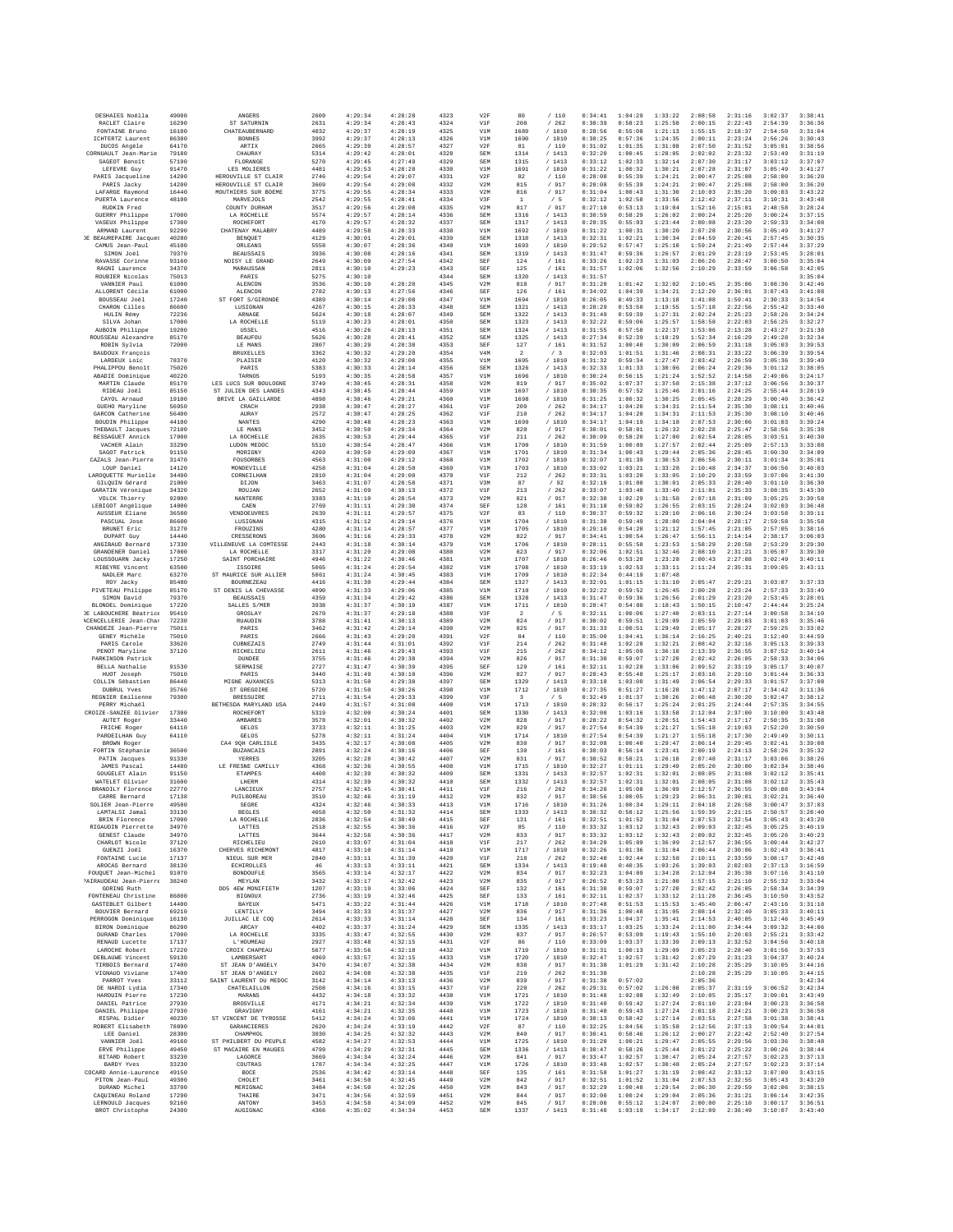| DESHAIES Noëlla                                         | 49000          | ANGERS                                     | 2609         | 4:29:34            | 4:28:28            | 4323         | V2F                     | 80                      | /110              | 0:34:41            | 1:04:29            | 1:33:22            | 2:08:58            | 2:31:16            | 3:02:37            | 3:38:41            |
|---------------------------------------------------------|----------------|--------------------------------------------|--------------|--------------------|--------------------|--------------|-------------------------|-------------------------|-------------------|--------------------|--------------------|--------------------|--------------------|--------------------|--------------------|--------------------|
| RACLET Claire<br>FONTAINE Bruno                         | 16290<br>16100 | ST SATURNIN<br>CHATEAUBERNARD              | 2631<br>4032 | 4:29:34<br>4:29:37 | 4:28:43<br>4:28:19 | 4324<br>4325 | V1F<br>V1M              | 208<br>1689             | /262<br>/ 1810    | 0:30:39<br>0:28:56 | 0:58:23<br>0:55:08 | 1:25:50<br>1:21:13 | 2:00:15<br>1:55:15 | 2:22:43<br>2:18:37 | 2:54:39<br>2:54:50 | 3:36:36<br>3:31:04 |
| ICHTERTZ Laurent                                        | 86300          | <b>BONNES</b>                              | 3992         | 4:29:37            | 4:28:13            | 4326         | V1M                     | 1690                    | /1810             | 0:30:25            | 0:57:36            | 1:24:35            | 2:00:11            | 2:23:24            | 2:56:26            | 3:30:43            |
| DUCOS Angèle                                            | 64170          | ARTIX                                      | 2665         | 4:29:39            | 4:28:57            | 4327         | V2F                     | 81                      | /110              | 0:31:02            | 1:01:35            | 1:31:08            | 2:07:50            | 2:31:52            | 3:05:01            | 3:38:56            |
| CORNUAULT Jean-Marie<br>SAGEOT Benoît                   | 79180<br>57190 | CHAURAY<br>FLORANGE                        | 5314<br>5270 | 4:29:42<br>4:29:45 | 4:28:01<br>4:27:49 | 4328<br>4329 | SEM<br>SEM              | 1314<br>1315            | /1413<br>/1413    | 0:32:20<br>0:33:12 | 1:00:45<br>1:02:33 | 1:28:05<br>1:32:14 | 2:02:02<br>2:07:30 | 2:23:32<br>2:31:17 | 2:53:49<br>3:03:12 | 3:31:19<br>3:37:07 |
| LEFEVRE Guy                                             | 91470          | LES MOLIERES                               | 4481         | 4:29:53            | 4:28:28            | 4330         | V1M                     | 1691                    | / 1810            | 0:31:22            | 1:00:32            | 1:30:21            | 2:07:28            | 2:31:07            | 3:05:49            | 3:41:27            |
| PARIS Jacqueline<br>PARIS Jacky                         | 14200<br>14200 | HEROUVILLE ST CLAIR<br>HEROUVILLE ST CLAIR | 2746<br>3609 | 4:29:54<br>4:29:54 | 4:29:07<br>4:29:08 | 4331<br>4332 | V2F<br>V2M              | 82<br>815               | /110<br>/ 917     | 0:28:08<br>0:28:08 | 0:55:39<br>0:55:39 | 1:24:21<br>1:24:21 | 2:00:47<br>2:00:47 | 2:25:08<br>2:25:08 | 2:58:00<br>2:58:00 | 3:36:20<br>3:36:20 |
| LAFARGE Raymond                                         | 16440          | MOUTHIERS SUR BOEME                        | 3775         | 4:29:55            | 4:28:34            | 4333         | V2M                     | 816                     | / 917             | 0:31:04            | 1:00:43            | 1:31:30            | 2:10:03            | 2:35:20            | 3:09:03            | 3:43:22            |
| PUERTA Laurence<br>RUDKIN Fred                          | 48100          | MARVEJOLS<br>COUNTY DURHAM                 | 2542<br>3517 | 4:29:55<br>4:29:56 | 4:28:41<br>4:29:08 | 4334<br>4335 | V3F<br>V2M              | $\,1\,$<br>817          | /5<br>/ 917       | 0:32:12<br>0:27:18 | 1:02:58<br>0:53:13 | 1:33:56<br>1:19:04 | 2:12:42<br>1:52:16 | 2:37:11<br>2:15:01 | 3:10:31<br>2:48:58 | 3:43:48<br>3:28:24 |
| GUERRY Philippe                                         | 17000          | LA ROCHRLLE                                | 5574         | 4:29:57            | 4:28:14            | 4336         | SEM                     | 1316                    | /1413             | 0:30:59            | 0:58:29            | 1:26:02            | 2:00:24            | 2:25:20            | 3:00:24            | 3:37:15            |
| VASEUX Philippe                                         | 17300          | ROCHEFORT                                  | 4170         | 4:29:57            | 4:28:32            | 4337         | SEM                     | 1317                    | /1413             | 0:28:35            | 0:55:03            | 1:23:44            | 2:00:08            | 2:23:20            | 2:59:33            | 3:34:08            |
| ARMAND Laurent<br><b>DE BEAUREPAIRE Jacques</b>         | 92290<br>40280 | CHATENAY MALABRY<br>BENQUET                | 4489<br>4129 | 4:29:58<br>4:30:01 | 4:28:33<br>4:29:01 | 4338<br>4339 | V1M<br>SEM              | 1692<br>1318            | / 1810<br>/1413   | 0:31:22<br>0:32:31 | 1:00:31<br>1:02:21 | 1:30:20<br>1:30:34 | 2:07:28<br>2:04:59 | 2:30:56<br>2:26:41 | 3:05:49<br>2:57:45 | 3:41:27<br>3:30:35 |
| CAMUS Jean-Paul                                         | 45100          | ORLEANS                                    | 5558         | 4:30:07            | 4:28:36            | 4340         | V1M                     | 1693                    | / 1810            | 0:29:52            | 0:57:47            | 1:25:10            | 1:59:24            | 2:21:49            | 2:57:44            | 3:37:29            |
| SIMON Joel                                              | 79370          | <b>BEAUSSAIS</b>                           | 3936         | 4:30:08            | 4:28:16            | 4341         | SEM                     | 1319                    | /1413             | 0:31:47            | 0:59:36            | 1:26:57            | 2:01:29            | 2:23:19            | 2:53:45            | 3:28:01            |
| RAVASSE Corinne<br>RAGNI Laurence                       | 93160<br>34370 | NOISY LE GRAND<br>MARAUSSAN                | 2649<br>2811 | 4:30:09<br>4:30:10 | 4:27:54<br>4:29:23 | 4342<br>4343 | SEF<br>SEF              | 124<br>125              | /161<br>/161      | 0:33:26<br>0:31:57 | 1:02:23<br>1:02:06 | 1:31:03<br>1:32:56 | 2:06:26<br>2:10:29 | 2:28:47<br>2:33:59 | 3:00:50<br>3:06:58 | 3:35:04<br>3:42:05 |
| ROUBIER Nicolas                                         | 75013          | PARIS                                      | 5275         | 4:30:10            |                    | 4344         | SEM                     | 1320                    | / 1413            | 0:31:57            |                    |                    |                    |                    |                    | 3:35:04            |
| VANNIER Paul                                            | 61000          | ALENCON                                    | 3536         | 4:30:10            | 4:28:20            | 4345         | V2M                     | 818                     | / 917             | 0:31:20            | 1:01:42            | 1:32:02            | 2:10:45            | 2:35:06            | 3:08:36            | 3:42:46            |
| ALLORENT Cécile<br>BOUSSEAU Joël                        | 61000<br>17240 | ALENCON<br>ST FORT S/GIRONDE               | 2782<br>4389 | 4:30:13<br>4:30:14 | 4:27:56<br>4:29:08 | 4346<br>4347 | SEF<br>V1M              | 126<br>1694             | /161<br>/ 1810    | 0:34:02<br>0:26:05 | 1:04:39<br>0:49:33 | 1:34:21<br>1:13:18 | 2:12:20<br>1:41:08 | 2:36:01<br>1:59:41 | 3:07:43<br>2:30:33 | 3:41:08<br>3:14:54 |
| CHARON Cilles                                           | 86600          | LUSIGNAN                                   | 4267         | 4:30:15            | 4:28:33            | 4348         | SEM                     | 1321                    | /1413             | 0:28:29            | 0:53:50            | 1:19:55            | 1:57:18            | 2:22:56            | 2:55:42            | 3:33:40            |
| HULIN Rémy                                              | 72236          | ARNAGE                                     | 5624         | 4:30:18            | 4:28:07            | 4349         | SEM                     | 1322                    | /1413             | 0:31:49            | 0:59:39            | 1:27:31            | 2:02:24            | 2:25:23            | 2:58:26            | 3:34:24            |
| SILVA Johan<br>AUBOIN Philippe                          | 17000<br>19200 | LA ROCHELLE<br>USSEL                       | 5119<br>4516 | 4:30:23<br>4:30:26 | 4:28:01<br>4:28:13 | 4350<br>4351 | SEM<br>SEM              | 1323<br>1324            | /1413<br>/1413    | 0:32:22<br>0:31:55 | 0:59:06<br>0:57:50 | 1:25:57<br>1:22:37 | 1:58:58<br>1:53:06 | 2:22:03<br>2:13:28 | 2:56:25<br>2:43:27 | 3:32:27<br>3:21:38 |
| ROUSSEAU Alexandre                                      | 85170          | <b>BEAUFOL</b>                             | 5626         | 4:30:28            | 4:28:41            | 4352         | SEM                     | 1325                    | /1413             | 0:27:34            | 0:52:39            | 1:18:29            | 1:52:34            | 2:16:29            | 2:49:28            | 3:32:34            |
| ROBIN Sylvia<br>BAUDOUX François                        | 72000          | LE MANS<br><b>BRUXELLES</b>                | 2807<br>3362 | 4:30:29<br>4:30:32 | 4:28:38<br>4:29:20 | 4353<br>4354 | SEF<br>V <sub>4</sub> M | 127<br>$\overline{2}$   | /161<br>$/ \ \ 3$ | 0:31:52<br>0:32:03 | 1:00:40<br>1:01:51 | 1:30:09<br>1:31:46 | 2:06:59<br>2:08:31 | 2:31:18<br>2:33:22 | 3:05:03<br>3:06:39 | 3:39:53<br>3:39:54 |
| LARDEUX Loic                                            | 78370          | PLAISIR                                    | 4120         | 4:30:32            | 4:29:00            | 4355         | V1M                     | 1695                    | / 1810            | 0:31:32            | 0:59:34            | 1:27:47            | 2:03:42            | 2:26:59            | 3:05:36            | 3:39:49            |
| PHALIPPOU Benoît                                        | 75020          | PARIS                                      | 5383         | 4:30:33            | 4:28:14            | 4356         | SEM                     | 1326                    | /1413             | 0:32:33            | 1:01:33            | 1:30:06            | 2:06:24            | 2:29:36            | 3:01:12            | 3:38:05            |
| ABADIE Dominique<br>MARTIN Claude                       | 40220<br>85170 | TARNOS<br>LES LUCS SUR BOULOGNE            | 5193<br>3749 | 4:30:35<br>4:30:45 | 4:28:58<br>4:28:31 | 4357<br>4358 | V1M<br>V2M              | 1696<br>819             | /1810<br>/ 917    | 0:30:24<br>0:35:02 | 0:56:15<br>1:07:37 | 1:21:24<br>1:37:58 | 1:52:52<br>2:15:38 | 2:14:58<br>2:37:12 | 2:49:06<br>3:06:56 | 3:24:17<br>3:39:37 |
| RIDEAU Joël                                             | 85150          | ST JULIEN DES LANDES                       | 4343         | 4:30:45            | 4:28:44            | 4359         | V1M                     | 1697                    | / 1810            | 0:30:35            | 0:57:52            | 1:25:46            | 2:01:16            | 2:24:25            | 2:55:44            | 3:28:19            |
| CAYOL Arnaud                                            | 19100          | BRIVE LA GAILLARDE                         | 4898         | 4:30:46            | 4:29:21            | 4360         | V1M                     | 1698                    | / 1810            | 0:31:25            | 1:00:32            | 1:30:25            | 2:05:45            | 2:28:29            | 3:00:40            | 3:36:42            |
| GUEHO Maryline<br>GARCON Catherine                      | 56950<br>56400 | CRACH<br>AURAY                             | 2938<br>2572 | 4:30:47<br>4:30:47 | 4:28:27<br>4:28:25 | 4361<br>4362 | VIF<br>V1F              | 209<br>210              | /262<br>/262      | 0:34:17<br>0:34:17 | 1:04:20<br>1:04:20 | 1:34:31<br>1:34:31 | 2:11:54<br>2:11:53 | 2:35:30<br>2:35:30 | 3:08:11<br>3:08:10 | 3:40:46<br>3:40:46 |
| BOUDIN Philippe                                         | 44100          | NANTES                                     | 4290         | 4:30:48            | 4:28:23            | 4363         | V1M                     | 1699                    | / 1810            | 0:34:17            | 1:04:19            | 1:34:18            | 2:07:53            | 2:30:06            | 3:01:03            | 3:39:24            |
| THEBAULT Jacques<br>BESSAGUET Annick                    | 72100<br>17000 | LE MANS<br>LA ROCHELLE                     | 3452<br>2635 | 4:30:50            | 4:29:34<br>4:29:44 | 4364<br>4365 | V2M<br>V1F              | 820<br>211              | /917<br>/262      | 0:30:01<br>0:30:09 | 0:58:01<br>0:58:20 | 1:26:32<br>1:27:00 | 2:02:28            | 2:25:47<br>2:28:05 | 2:58:56            | 3:35:38<br>3:40:30 |
| VACHER Alain                                            | 33290          | LUDON MEDOC                                | 5510         | 4:30:53<br>4:30:54 | 4:28:47            | 4366         | V1M                     | 1700                    | /1810             | 0:31:59            | 1:00:09            | 1:27:57            | 2:02:54<br>2:02:44 | 2:25:09            | 3:03:51<br>2:57:13 | 3:33:08            |
| SAGOT Patrick                                           | 91150          | MORIGNY                                    | 4269         | 4:30:59            | 4:29:09            | 4367         | V1M                     | 1701                    | / 1810            | 0:31:34            | 1:00:43            | 1:29:44            | 2:05:36            | 2:28:45            | 3:00:30            | 3:34:09            |
| CAZALS Jean-Pierre<br>LOUP Daniel                       | 31470<br>14120 | FOUSORBES<br>MONDRVTLLR                    | 4563<br>4258 | 4:31:00<br>4:31:04 | 4:29:12<br>4:28:50 | 4368<br>4369 | V1M<br>V1M              | 1702<br>1703            | /1810<br>/1810    | 0:32:07<br>0:33:02 | 1:01:39<br>1:03:21 | 1:30:53<br>1:33:28 | 2:06:56<br>2:10:48 | 2:30:11<br>2:34:37 | 3:01:34<br>3:06:56 | 3:35:01<br>3:40:03 |
| LAROQUETTE Murielle                                     | 34490          | CORNEILHAN                                 | 2810         | 4:31:04            | 4:29:00            | 4370         | V1F                     | 212                     | /262              | 0:33:31            | 1:03:20            | 1:33:05            | 2:10:29            | 2:33:59            | 3:07:06            | 3:41:30            |
| GILOUIN Gérard                                          | 21000          | DIJON                                      | 3463         | 4:31:07            | 4:28:58            | 4371         | V3M                     | 87                      | /92               | 0:32:10            | 1:01:00            | 1:30:01            | 2:05:33            | 2:28:40            | 3:01:10            | 3:36:30            |
| GARATIN Véronique                                       | 34320          | ROUJAN                                     | 2652         | 4:31:09            | 4:30:13            | 4372         | V1F                     | 213                     | /262              | 0:33:07            | 1:03:40            | 1:33:40            | 2:11:01            | 2:35:33            | 3:08:35            | 3:43:30            |
| VOLCK Thierry<br>LEBIGOT Angélique                      | 92000<br>14000 | NANTERRE<br>CAEN                           | 3383<br>2769 | 4:31:10<br>4:31:11 | 4:28:54<br>4:29:30 | 4373<br>4374 | V2M<br>SEF              | 821<br>128              | / 917<br>/ 161    | 0:32:30<br>0:31:18 | 1:02:29<br>0:59:02 | 1:31:58<br>1:26:55 | 2:07:18<br>2:03:15 | 2:31:09<br>2:28:24 | 3:05:25<br>3:02:03 | 3:39:58<br>3:36:48 |
| AUSSEUR Eliane                                          | 36500          | VENDOEUVRES                                | 2639         | 4:31:11            | 4:29:57            | 4375         | V2F                     | 83                      | /110              | 0:30:37            | 0:59:32            | 1:29:10            | 2:06:16            | 2:30:24            | 3:03:58            | 3:39:11            |
| PASCUAL Jose                                            | 86600          | LUSIGNAN                                   | 4315         | 4:31:12            | 4:29:14            | 4376         | V1M                     | 1704                    | /1810             | 0:31:38            | 0:59:49            | 1:28:00            | 2:04:04            | 2:28:17            | 2:59:58            | 3:35:58            |
| BRUNET Eric<br>DUPART Guy                               | 31270<br>14440 | FROUZINS<br>CRESSERONS                     | 4280<br>3606 | 4:31:14<br>4:31:16 | 4:28:57<br>4:29:33 | 4377<br>4378 | V1M<br>V2M              | 1705<br>822             | /1810<br>/ 917    | 0:29:10<br>0:34:41 | 0:54:28<br>1:00:54 | 1:21:12<br>1:26:47 | 1:57:45<br>1:56:11 | 2:21:05<br>2:14:14 | 2:57:05<br>2:38:17 | 3:38:16<br>3:06:03 |
| ANGIBAUD Bernard                                        | 17330          | VILLENEUVE LA COMTESSE                     | 2443         | 4:31:18            | 4:30:14            | 4379         | V1M                     | 1706                    | /1810             | 0:28:11            | 0:55:58            | 1:23:53            | 1:58:29            | 2:20:58            | 2:53:29            | 3:29:30            |
| GRANDENER Daniel                                        | 17000          | LA ROCHELLE                                | 3317         | 4:31:20            | 4:29:08            | 4380         | V2M                     | 823                     | / 917             | 0:32:06            | 1:02:51            | 1:32:46            | 2:08:10            | 2:31:21            | 3:05:07            | 3:39:30            |
| LOUSSOUARN Jacky<br>RIBEYRE Vincent                     | 17250<br>63500 | SAINT PORCHAIRE<br>ISSOIRE                 | 4946<br>5065 | 4:31:22<br>4:31:24 | 4:30:46<br>4:29:54 | 4381<br>4382 | V1M<br>V1M              | 1707<br>1708            | / 1810<br>/1810   | 0:26:46<br>0:33:19 | 0:53:28<br>1:02:53 | 1:23:28<br>1:33:11 | 2:00:43<br>2:11:24 | 2:27:08<br>2:35:31 | 3:02:49<br>3:09:05 | 3:40:11<br>3:43:11 |
| NADLER Marc                                             | 63270          | ST MAURICE SUR ALLIER                      | 5061         | 4:31:24            | 4:30:45            | 4383         | V1M                     | 1709                    | /1810             | 0:22:34            | 0:44:19            | 1:07:48            |                    |                    |                    |                    |
| ROY Jacky<br>PIVETEAU Philippe                          | 85480<br>85170 | <b>BOURNEZEAU</b><br>ST DENIS LA CHEVASSE  | 4416<br>4090 | 4:31:30<br>4:31:33 | 4:29:44<br>4:29:06 | 4384<br>4385 | SEM<br>V1M              | 1327<br>1710            | /1413<br>/ 1810   | 0:32:01<br>0:32:22 | 1:01:15<br>0:59:52 | 1:31:10<br>1:26:45 | 2:05:47<br>2:00:28 | 2:29:21<br>2:23:24 | 3:03:07<br>2:57:33 | 3:37:33<br>3:33:49 |
| SIMON David                                             | 79370          | <b>BEAUSSAIS</b>                           | 4359         | 4:31:34            | 4:29:42            | 4386         | <b>SEM</b>              | 1328                    | /1413             | 0:31:47            | 0:59:36            | 1:26:56            | 2:01:29            | 2:23:20            | 2:53:45            | 3:28:01            |
| BLONDEL Dominique                                       | 17220          | SALLES S/MER                               | 3938         | 4:31:37            | 4:30:19            | 4387         | V1M                     | 1711                    | / 1810            | 0:28:47            | 0:54:00            | 1:18:43            | 1:50:15            | 2:10:47            | 2:44:44            | 3:25:24            |
| DE LABOUCHERE Béatrice<br><b>ACENCELLERIE Jean-Char</b> | 95410<br>72230 | GROSLAY<br><b>RUAUDIN</b>                  | 2670<br>3788 | 4:31:37<br>4:31:41 | 4:29:18<br>4:30:13 | 4388<br>4389 | V3F<br>V2M              | $\overline{a}$<br>824   | /5<br>/ 917       | 0:32:11<br>0:30:02 | 1:00:06<br>0:59:51 | 1:27:40<br>1:29:09 | 2:03:11<br>2:05:59 | 2:27:14<br>2:29:03 | 3:00:58<br>3:01:03 | 3:34:10<br>3:35:46 |
| CHANDEZE Jean-Pierre                                    | 75011          | PARIS                                      | 3462         | 4:31:42            | 4:29:14            | 4390         | V2M                     | 825                     | $/$ 917           | 0:31:33            | 1:00:51            | 1:29:49            | 2:05:17            | 2:28:27            | 2:59:25            | 3:33:02            |
| GENEY Michèle                                           | 75010          | PARIS                                      | 2666         | 4:31:43            | 4:29:20            | 4391         | V2F                     | 84                      | /110              | 0:35:00            | 1:04:41            | 1:36:14            | 2:16:25            | 2:40:21            | 3:12:40            | 3:44:59            |
| PARIS Carole<br>PENOT Maryline                          | 33620<br>37120 | CUBNEZAIS<br>RICHELIEU                     | 2749<br>2611 | 4:31:44<br>4:31:46 | 4:31:01<br>4:29:43 | 4392<br>4393 | V1F<br>VIF              | 214<br>215              | /262<br>/262      | 0:31:48<br>0:34:12 | 1:02:28<br>1:05:09 | 1:32:21<br>1:36:10 | 2:08:42<br>2:13:39 | 2:32:16<br>2:36:55 | 3:05:13<br>3:07:52 | 3:39:33<br>3:40:14 |
| PARKINSON Patrick                                       |                | DUNDEE                                     | 3755         | 4:31:46            | 4:29:38            | 4394         | V2M                     | 826                     | / 917             | 0:31:30            | 0:59:07            | 1:27:20            | 2:02:42            | 2:26:05            | 2:58:33            | 3:34:06            |
| BELLA Nathalie                                          | 91530          | SERMAISE                                   | 2727         | 4:31:47            | 4:30:39            | 4395         | SEF                     | 129                     | / 161             | 0:32:11            | 1:02:28            | 1:33:06            | 2:09:52            | 2:33:19            | 3:05:17            | 3:40:07            |
| HUOT Joseph<br>COLLIN Sébastien                         | 75010<br>86440 | PARIS<br>MIGNE AUXANCES                    | 3440<br>5313 | 4:31:49<br>4:31:50 | 4:30:10<br>4:29:38 | 4396<br>4397 | V2M<br>SEM              | 827<br>1329             | / 917<br>/ 1413   | 0:28:43<br>0:33:18 | 0:55:48<br>1:03:00 | 1:25:17<br>1:31:49 | 2:03:16<br>2:06:54 | 2:29:10<br>2:29:33 | 3:01:44<br>3:01:57 | 3:36:33<br>3:37:08 |
| DUBRUL Yves                                             | 35760          | ST GREGOIRE                                | 5720         | 4:31:50            | 4:30:26            | 4398         | V1M                     | 1712                    | / 1810            | 0:27:35            | 0:51:27            | 1:16:28            | 1:47:12            | 2:07:17            | 2:34:42            | 3:11:36            |
| REGNIER Emilienne                                       | 79300          | <b>BRESSUIRE</b>                           | 2711         | 4:31:54            | 4:29:33            | 4399         | V3F                     | $\overline{\mathbf{3}}$ | /5                | 0:32:49            | 1:01:37            | 1:30:26            | 2:06:48            | 2:30:20            | 3:02:47            | 3:38:12            |
| PERRY Michaël<br>CROIZE-SANZEE Olivier                  | 17300          | BETHESDA MARYLAND USA<br>ROCHEFORT         | 2449<br>5319 | 4:31:57<br>4:32:00 | 4:31:08<br>4:30:24 | 4400<br>4401 | V1M<br>SEM              | 1713<br>1330            | /1810<br>/ 1413   | 0:28:32<br>0:32:08 | 0:56:17<br>1:03:16 | 1:25:24<br>1:33:58 | 2:01:25<br>2:12:04 | 2:24:44<br>2:37:00 | 2:57:35<br>3:10:00 | 3:34:55<br>3:43:48 |
| AUTET Roger                                             | 33440          | AMBARES                                    | 3578         | 4:32:01            | 4:30:32            | 4402         | V2M                     | 828                     | / 917             | 0:28:22            | 0:54:32            | 1:20:51            | 1:54:43            | 2:17:17            | 2:50:35            | 3:31:08            |
| FRICHE Roger                                            | 64110          | GELOS                                      | 3733         | 4:32:11            | 4:31:25            | 4403         | V2M                     | 829                     | / 917             | 0:27:54            | 0:54:39            | 1:21:27            | 1:55:18            | 2:19:03            | 2:52:20            | 3:30:50            |
| PARDEILHAN Guy<br>BROWN Roger                           | 64110          | GELOS<br>CA4 9QH CARLISLE                  | 5278<br>3435 | 4:32:11<br>4:32:17 | 4:31:24<br>4:30:08 | 4404<br>4405 | V1M<br>V2M              | 1714<br>830             | / 1810<br>/ 917   | 0:27:54<br>0:32:08 | 0:54:39<br>1:00:40 | 1:21:27<br>1:29:47 | 1:55:18<br>2:06:14 | 2:17:30<br>2:29:45 | 2:49:49<br>3:02:41 | 3:30:11<br>3:39:08 |
| FORTIN Stéphanie                                        | 36500          | <b>BUZANCAIS</b>                           | 2891         | 4:32:24            | 4:30:16            | 4406         | SEF                     | 130                     | /161              | 0:30:03            | 0:56:14            | 1:23:41            | 2:00:19            | 2:24:13            | 2:58:26            | 3:35:32            |
| PATIN Jacques                                           | 91330<br>14480 | YERRES<br>LE FRESNE CAMILLY                | 3205<br>4368 | 4:32:28<br>4:32:36 | 4:30:42<br>4:30:55 | 4407<br>4408 | V2M<br>V1M              | 831<br>1715             | /917<br>/1810     | 0:30:52<br>0:32:27 | 0:58:21<br>1:01:11 | 1:26:10<br>1:29:49 | 2:07:48<br>2:05:20 | 2:31:17<br>2:30:00 | 3:03:06<br>3:02:34 | 3:38:26<br>3:38:46 |
| JAMES Pascal<br>GOUGELET Alain                          | 91150          | <b>ETAMPES</b>                             | 4408         | 4:32:39            | 4:30:32            | 4409         | SEM                     | 1331                    | /1413             | 0:32:57            | 1:02:31            | 1:32:01            | 2:08:05            | 2:31:08            | 3:02:12            | 3:35:41            |
| WATELET Olivier                                         | 31600          | LHERM                                      | 4314         | 4:32:39            | 4:30:32            | 4410         | SEM                     | 1332                    | /1413             | 0:32:57            | 1:02:31            | 1:32:01            | 2:08:05            | 2:31:08            | 3:02:12            | 3:35:43            |
| BRANDILY Florence<br>CARRE Bernard                      | 22770<br>17138 | LANCIEUX<br>PUILBOREAU                     | 2757<br>3510 | 4:32:45<br>4:32:46 | 4:30:41<br>4:31:19 | 4411<br>4412 | VIF<br>V2M              | 216<br>832              | /262<br>/ 917     | 0:34:20<br>0:30:56 | 1:05:08<br>1:00:05 | 1:36:09<br>1:29:23 | 2:12:57<br>2:06:31 | 2:36:55<br>2:30:01 | 3:09:08<br>3:02:21 | 3:43:04<br>3:36:40 |
| SOLIER Jean-Pierre                                      | 49500          | <b>SEGRE</b>                               | 4324         | 4:32:46            | 4:30:33            | 4413         | V1M                     | 1716                    | / 1810            | 0:31:26            | 1:00:34            | 1:29:11            | 2:04:18            | 2:26:58            | 3:00:47            | 3:37:03            |
| LAMTALSI Jamal                                          | 33130          | <b>BEGLES</b>                              | 4658         | 4:32:50            | 4:31:32            | 4414         | SEM                     | 1333                    | /1413             | 0:30:32            | 0:58:12            | 1:25:56            | 1:59:39            | 2:21:15            | 2:50:57            | 3:28:40            |
| BRIN Florence<br>RIGAUDIN Pierrette                     | 17000<br>34970 | LA ROCHELLE<br>LATTES                      | 2836<br>2518 | 4:32:54<br>4:32:55 | 4:30:49<br>4:30:36 | 4415<br>4416 | SEF<br>V2F              | 131<br>85               | /161<br>/110      | 0:32:51<br>0:33:32 | 1:01:52<br>1:03:12 | 1:31:04<br>1:32:43 | 2:07:53<br>2:09:03 | 2:32:54<br>2:32:45 | 3:05:43<br>3:05:25 | 3:43:20<br>3:40:19 |
| GENEST Claude                                           | 34970          | LATTES                                     | 3644         | 4:32:56            | 4:30:36            | 4417         | V2M                     | 833                     | / 917             | 0:33:32            | 1:03:12            | 1:32:43            | 2:09:02            | 2:32:45            | 3:05:26            | 3:40:23            |
| CHARLOT Nicole<br>GUENZI Joěl                           | 37120<br>16370 | RTCHRLTRII<br>CHERVES RICHEMONT            | 2610<br>4817 | 4:33:07            | 4:31:04<br>4:31:14 | 4418<br>4419 | VIF                     | 217<br>1717             | /262<br>/ 1810    | 0:34:20<br>0:32:26 | 1:05:09<br>1:01:36 | 1:36:09<br>1:31:04 | 2:12:57            | 2:36:55<br>2:30:06 | 3:09:44            | 3:42:27<br>3:36:41 |
| FONTAINE Lucie                                          | 17137          | NIEUL SUR MER                              | 2840         | 4:33:10<br>4:33:11 | 4:31:39            | 4420         | V1M<br>V1F              | 218                     | /262              | 0:32:40            | 1:02:44            | 1:32:58            | 2:06:44<br>2:10:11 | 2:33:59            | 3:02:43<br>3:08:17 | 3:42:48            |
| AROCAS Bernard                                          | 38130          | <b>ECHIROLLES</b>                          | 46           | 4:33:13            | 4:33:11            | 4421         | SEM                     | 1334                    | /1413             | 0:19:48            | 0:40:35            | 1:03:26            | 1:39:03            | 2:02:03            | 2:37:13            | 3:16:59            |
| FOUQUET Jean-Michel                                     | 91070          | BONDOURLE                                  | 3565         | 4:33:14            | 4:32:17            | 4422         | V2M                     | 834                     | / 917             | 0:32:23            | 1:04:09            | 1:34:28            | 2:12:04            | 2:35:38            | 3:07:16            | 3:41:10            |
| PAIRAUDEAU Jean-Pierre<br>GORING Ruth                   | 38240          | MEYLAN<br>DD5 4EW MONIFIETH                | 3432<br>1207 | 4:33:17<br>4:33:19 | 4:32:42<br>4:33:06 | 4423<br>4424 | V2M<br>SEF              | 835<br>132              | / 917<br>/161     | 0:26:52<br>0:31:30 | 0:53:23<br>0:59:07 | 1:21:00<br>1:27:20 | 1:57:15<br>2:02:42 | 2:21:10<br>2:26:05 | 2:55:32<br>2:58:34 | 3:33:04<br>3:34:39 |
| FONTENEAU Christine                                     | 86800          | <b>BIGNOUX</b>                             | 2736         | 4:33:19            | 4:32:46            | 4425         | SEF                     | 133                     | /161              | 0:32:11            | 1:02:37            | 1:33:12            | 2:11:28            | 2:36:45            | 3:10:50            | 3:43:52            |
| GASTEBLET Gilbert<br>BOUVIER Bernard                    | 14400<br>69210 | <b>BAYEUX</b><br>LENTILLY                  | 5471<br>3494 | 4:33:22<br>4:33:33 | 4:31:44<br>4:31:37 | 4426<br>4427 | V1M<br>V2M              | 1718<br>836             | /1810<br>/ 917    | 0:27:48<br>0:31:36 | 0:51:53<br>1:00:48 | 1:15:53<br>1:31:05 | 1:45:40<br>2:08:14 | 2:06:47<br>2:32:49 | 2:43:16<br>3:05:33 | 3:31:18<br>3:40:11 |
| PERROGON Dominique                                      | 16130          | JUILLAC LE COO                             | 2614         | 4:33:33            | 4:31:14            | 4428         | SEF                     | 134                     | /161              | 0:33:23            | 1:04:37            | 1:35:41            | 2:14:53            | 2:40:05            | 3:12:46            | 3:45:49            |
| BIRON Dominique                                         | 86200          | ARCAY                                      | 4402         | 4:33:37            | 4:31:24            | 4429         | SEM                     | 1335                    | /1413             | 0:33:17            | 1:03:25            | 1:33:24            | 2:11:00            | 2:34:44            | 3:09:32            | 3:44:06            |
| DURAND Charles<br>RENAUD Lucette                        | 17000<br>17137 | LA ROCHELLE<br>L'HOUMEAU                   | 3335<br>2927 | 4:33:47<br>4:33:48 | 4:32:55<br>4:32:15 | 4430<br>4431 | V2M<br>V2F              | 837<br>86               | / 917<br>/110     | 0:26:57<br>0:33:09 | 0:53:09<br>1:03:37 | 1:19:43<br>1:33:39 | 1:55:10<br>2:09:13 | 2:20:03<br>2:32:52 | 2:55:21<br>3:04:56 | 3:33:42<br>3:40:18 |
| LAROCHE Robert                                          | 17220          | CROIX CHAPEAU                              | 5677         | 4:33:56            | 4:32:18            | 4432         | V1M                     | 1719                    | /1810             | 0:31:31            | 1:00:13            | 1:29:09            | 2:05:23            | 2:28:40            | 3:01:56            | 3:37:53            |
| DEBLAUWE Vincent                                        | 59130          | LAMBERSART                                 | 4969         | 4:33:57            | 4:32:15            | 4433         | V1M                     | 1720                    | /1810             | 0:32:47            | 1:02:57            | 1:31:42            | 2:07:29            | 2:31:23            | 3:04:37            | 3:40:24            |
| TIRBOIS Bernard<br>VIGNAUD Viviane                      | 17400<br>17400 | ST JEAN D'ANGELY<br>ST JEAN D'ANGELY       | 3470<br>2602 | 4:34:07<br>4:34:08 | 4:32:38<br>4:32:38 | 4434<br>4435 | V2M<br>V1F              | 838<br>219              | / 917<br>/262     | 0:31:38<br>0:31:38 | 1:01:29            | 1:31:42            | 2:10:28<br>2:10:28 | 2:35:29<br>2:35:29 | 3:10:05<br>3:10:05 | 3:44:16<br>3:44:15 |
| PARROT Yves                                             | 33112          | SAINT LAURENT DU MEDOC                     | 3142         | 4:34:14            | 4:33:13            | 4436         | V2M                     | 839                     | / 917             | 0:31:38            | 0:57:02            |                    | 2:05:36            |                    |                    | 3:42:34            |
| DE NARDI Lydia                                          | 17340          | CHATELAILLON                               | 2508         | 4:34:16            | 4:33:15            | 4437         | V1F                     | 220                     | /262              | 0:29:31            | 0:57:02            | 1:26:08            | 2:05:37            | 2:31:19            | 3:06:52            | 3:42:34            |
| HARDUIN Pierre<br>DANIEL Patrice                        | 17230<br>27930 | $\texttt{MARANS}$<br>BROSVILLE             | 4432<br>4171 | 4:34:18<br>4:34:21 | 4:33:32<br>4:32:34 | 4438<br>4439 | V1M<br>V1M              | 1721<br>1722            | / 1810<br>/1810   | 0:31:48<br>0:31:40 | 1:02:08<br>0:59:42 | 1:32:49<br>1:27:24 | 2:10:05<br>2:01:10 | 2:35:17<br>2:23:04 | 3:09:01<br>3:00:23 | 3:43:49<br>3:36:58 |
| DANIEL Philippe                                         | 27930          | GRAVIGNY                                   | 4161         | 4:34:21            | 4:32:35            | 4440         | V1M                     | 1723                    | /1810             | 0:31:40            | 0:59:43            | 1:27:24            | 2:01:18            | 2:24:21            | 3:00:23            | 3:36:58            |
| RISPAL Didier                                           | 40230          | ST VINCENT DE TYROSSE                      | 5412         | 4:34:24            | 4:33:06            | 4441         | V1M                     | 1724                    | /1810             | 0:30:13            | 0:58:42            | 1:27:14            | 2:03:51            | 2:27:58            | 3:01:38            | 3:38:41            |
| ROBERT Elisabeth<br>LEE Daniel                          | 78890<br>28300 | <b>GARANCIERES</b><br>CHAMPHOL             | 2620<br>3030 | 4:34:24<br>4:34:25 | 4:33:19<br>4:32:32 | 4442<br>4443 | V2F<br>V2M              | 87<br>840               | /110<br>/ 917     | 0:32:25<br>0:30:41 | 1:04:56<br>0:58:46 | 1:35:58<br>1:26:12 | 2:12:56<br>2:00:27 | 2:37:13<br>2:22:42 | 3:09:54<br>2:52:40 | 3:44:01<br>3:27:54 |
| VANNIER Joël                                            | 49160          | ST PHILBERT DU PEUPLE                      | 4582         | 4:34:27            | 4:32:53            | 4444         | V1M                     | 1725                    | / 1810            | 0:31:20            | 1:00:21            | 1:29:47            | 2:05:55            | 2:29:56            | 3:03:36            | 3:38:48            |
| ERVE Philippe<br>BITARD Robert                          | 49450<br>33230 | ST MACAIRE EN MAUGES<br>LAGORCE            | 4799<br>3669 | 4:34:29<br>4:34:34 | 4:32:31<br>4:32:24 | 4445<br>4446 | SEM<br>V2M              | 1336<br>841             | /1413<br>/917     | 0:30:47<br>0:33:47 | 0:58:26<br>1:02:57 | 1:25:44<br>1:30:47 | 2:01:22<br>2:05:24 | 2:25:22<br>2:27:57 | 3:00:26<br>3:02:23 | 3:38:44<br>3:37:13 |
| BARDY Yves                                              | 33230          | COUTRAS                                    | 1787         | 4:34:34            | 4:32:25            | 4447         | V1M                     | 1726                    | / 1810            | 0:33:48            | 1:02:57            | 1:30:48            | 2:05:24            | 2:27:57            | 3:02:23            | 3:37:14            |
| COCARD Annie-Laurence                                   | 49150          | BOCE                                       | 2536         | 4:34:42            | 4:33:14            | 4448         | SEF                     | 135                     | /161              | 0:31:58            | 1:01:27            | 1:31:19            | 2:08:42            | 2:33:12            | 3:07:00            | 3:43:15            |
| PITON Jean-Paul<br>DURAND Michel                        | 49300<br>33700 | CHOLET<br>MERIGNAC                         | 3461<br>3484 | 4:34:50<br>4:34:50 | 4:32:45<br>4:32:26 | 4449<br>4450 | V2M<br>V2M              | 842<br>843              | / 917<br>/ 917    | 0:32:51<br>0:32:29 | 1:01:52<br>1:00:48 | 1:31:04<br>1:29:54 | 2:07:53<br>2:06:30 | 2:32:55<br>2:29:59 | 3:05:43<br>3:02:06 | 3:43:20<br>3:38:15 |
| CAQUINEAU Roland                                        | 17290          | THAIRE                                     | 3471         | 4:34:56            | 4:32:59            | 4451         | V2M                     | 844                     | / 917             | 0:32:00            | 1:00:24            | 1:29:04            | 2:05:36            | 2:31:21            | 3:06:14            | 3:42:35            |
|                                                         |                |                                            |              | 4:34:58            | 4:34:09            | 4452         | V2M                     | 845                     | / 917             | 0:28:00            | 0:55:12            | 1:24:07            | 2:00:00            | 2:25:10            | 3:00:17            | 3:36:51            |
| LERNOULD Jacques<br>BROT Christophe                     | 92160<br>24300 | ANTONY<br>AUGIGNAC                         | 3453<br>4366 | 4:35:02            | 4:34:34            | 4453         | <b>SEM</b>              | 1337                    | / 1413            | 0:31:40            | 1:03:19            | 1:34:17            | 2:12:09            | 2:36:49            | 3:10:07            | 3:43:40            |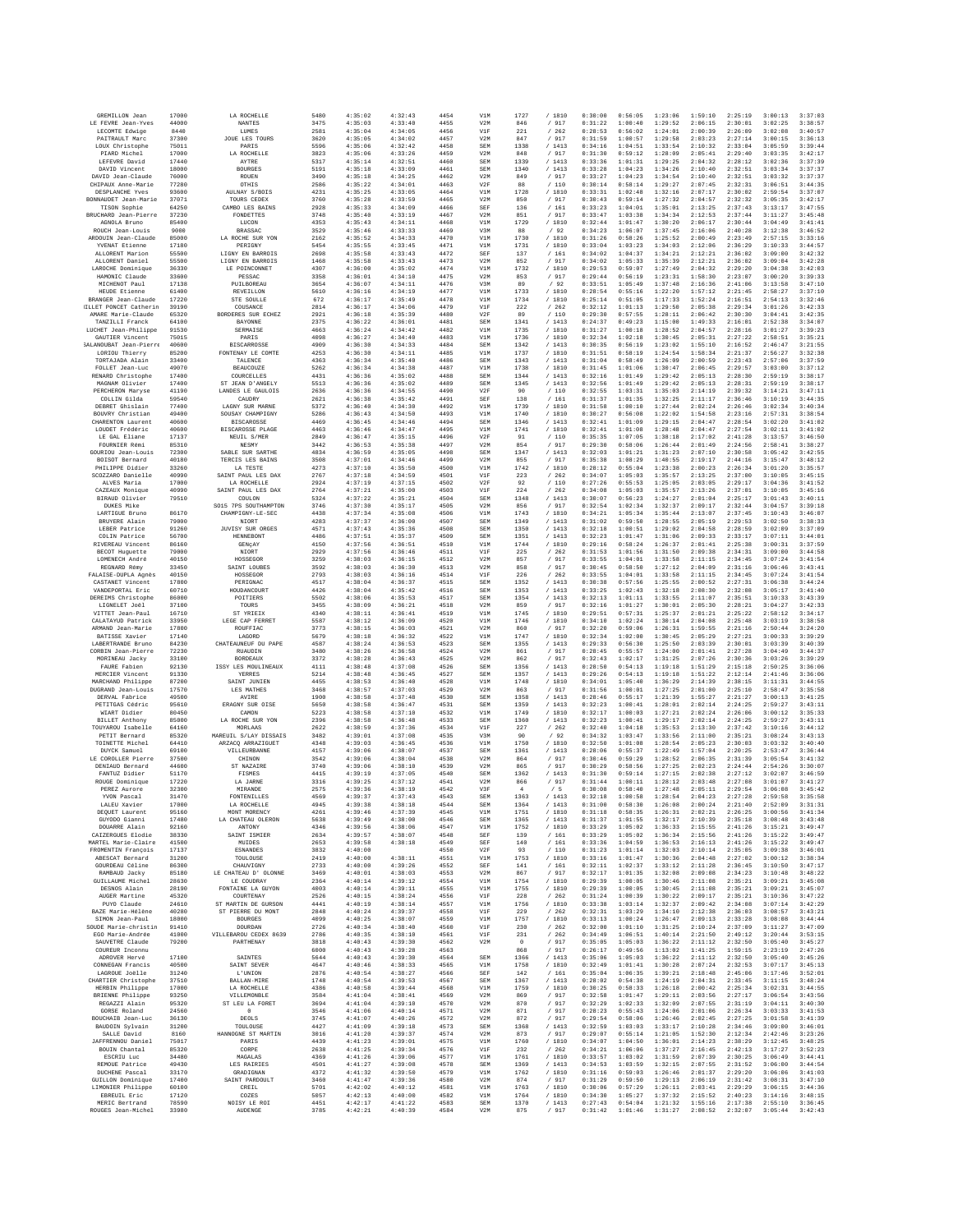| GREMILLON Jean                               | 17000          | LA ROCHELLE                              | 5480         | 4:35:02            | 4:32:43            | 4454         | V1M               | 1727         | /1810            | 0:30:00            | 0:56:05            | 1:23:06            | 1:59:10            | 2:25:19            | 3:00:13            | 3:37:03            |
|----------------------------------------------|----------------|------------------------------------------|--------------|--------------------|--------------------|--------------|-------------------|--------------|------------------|--------------------|--------------------|--------------------|--------------------|--------------------|--------------------|--------------------|
| LE FEVRE Jean-Yves                           | 44000          | <b>NANTES</b>                            | 3475         | 4:35:03            | 4:33:40            | 4455         | V2M               | 846          | / 917            | 0:31:22            | 1:00:40            | 1:29:52            | 2:06:15            | 2:30:01            | 3:02:25            | 3:38:57            |
| LECOMTE Edwice<br>PAITRAULT Marc             | 8440<br>37300  | <b>LUMES</b><br><b>JOUE LES TOURS</b>    | 2581<br>3620 | 4:35:04<br>4:35:05 | 4:34:05<br>4:34:02 | 4456<br>4457 | V1F<br>V2M        | 221<br>847   | /262<br>/ 917    | 0:28:53<br>0:31:59 | 0:56:02<br>1:00:57 | 1:24:01<br>1:29:58 | 2:00:39<br>2:03:23 | 2:26:09<br>2:27:14 | 3:02:08<br>3:00:15 | 3:40:57<br>3:36:13 |
| LOUX Christophe                              | 75011          | PARIS                                    | 5596         | 4:35:06            | 4:32:42            | 4458         | SEM               | 1338         | /1413            | 0:34:16            | 1:04:51            | 1:33:54            | 2:10:32            | 2:33:04            | 3:05:59            | 3:39:44            |
| PIARD Michel                                 | 17000          | LA ROCHELLE                              | 3823         | 4:35:06            | 4:33:26            | 4459         | V2M               | 848          | / 917            | 0:31:30            | 0:59:12            | 1:28:09            | 2:05:41            | 2:29:40            | 3:03:35            | 3:42:17            |
| LEFEVRE David<br>DAVID Vincent               | 17440<br>18000 | AYTRE<br><b>BOURGES</b>                  | 5317<br>5191 | 4:35:14<br>4:35:18 | 4:32:51<br>4:33:09 | 4460<br>4461 | SEM<br>SEM        | 1339<br>1340 | /1413<br>/1413   | 0:33:36<br>0:33:28 | 1:01:31<br>1:04:23 | 1:29:25<br>1:34:26 | 2:04:32<br>2:10:40 | 2:28:12<br>2:32:51 | 3:02:36<br>3:03:34 | 3:37:39<br>3:37:37 |
| DAVID Jean-Claude                            | 76000          | ROUEN                                    | 3490         | 4:35:18            | 4:34:25            | 4462         | V2M               | 849          | /917             | 0:33:27            | 1:04:23            | 1:34:54            | 2:10:40            | 2:32:51            | 3:03:32            | 3:37:37            |
| CHIPAUX Anne-Marie                           | 77280          | <b>OTHIS</b>                             | 2586         | 4:35:22            | 4:34:01            | 4463         | V2F               | 88           | /110             | 0:30:14            | 0:58:14            | 1:29:27            | 2:07:45            | 2:32:31            | 3:06:51            | 3:44:35            |
| DESPLANCHE Yves<br>BONNAUDET Jean-Marie      | 93600<br>37071 | <b>AULNAY S/BOIS</b><br>TOURS CEDEX      | 4231<br>3760 | 4:35:25<br>4:35:28 | 4:33:05<br>4:33:59 | 4464<br>4465 | V1M<br>V2M        | 1728<br>850  | / 1810<br>/ 917  | 0:33:31<br>0:30:43 | 1:02:48<br>0:59:14 | 1:32:16<br>1:27:32 | 2:07:17<br>2:04:57 | 2:30:02<br>2:32:32 | 2:59:54<br>3:05:35 | 3:37:07<br>3:42:17 |
| TISON Sophie                                 | 64250          | CAMBO LES BAINS                          | 2928         | 4:35:33            | 4:34:09            | 4466         | SEF               | 136          | /161             | 0:33:23            | 1:04:01            | 1:35:01            | 2:13:25            | 2:37:43            | 3:13:17            | 3:47:55            |
| BRUCHARD Jean-Pierre                         | 37230          | FONDETTES                                | 3748         | 4:35:40            | 4:33:19            | 4467         | V2M               | 851          | / 917            | 0:33:47            | 1:03:38            | 1:34:34            | 2:12:53            | 2:37:44            | 3:11:27            | 3:45:48            |
| AGNOLA Bruno                                 | 85400          | LUCON                                    | 4353         | 4:35:43            | 4:34:11            | 4468         | V1M               | 1729         | / 1810           | 0:32:44            | 1:01:47            | 1:30:20            | 2:06:17            | 2:30:44            | 3:04:49            | 3:41:41            |
| ROUCH Jean-Louis<br>ARDOUIN Jean-Claude      | 9000<br>85000  | <b>BRASSAC</b><br>LA ROCHE SUR YON       | 3529<br>2162 | 4:35:46<br>4:35:52 | 4:33:33<br>4:34:33 | 4469<br>4470 | V3M<br>V1M        | 88<br>1730   | /92<br>/ 1810    | 0:34:23<br>0:31:26 | 1:06:07<br>0:58:26 | 1:37:45<br>1:25:52 | 2:16:06<br>2:00:49 | 2:40:28<br>2:23:49 | 3:12:38<br>2:57:15 | 3:46:52<br>3:33:16 |
| YVENAT Etienne                               | 17180          | PERIGNY                                  | 5454         | 4:35:55            | 4:33:45            | 4471         | V1M               | 1731         | / 1810           | 0:33:04            | 1:03:23            | 1:34:03            | 2:12:06            | 2:36:29            | 3:10:33            | 3:44:57            |
| ALLORENT Marion                              | 55500          | LIGNY EN BARROIS                         | 2698         | 4:35:58            | 4:33:43            | 4472         | SEF               | 137          | /161             | 0:34:02            | 1:04:37            | 1:34:21            | 2:12:21            | 2:36:02            | 3:09:00            | 3:42:32            |
| ALLORENT Daniel<br>LAROCHE Dominique         | 55500<br>36330 | LIGNY EN BARROIS<br>LE POINCONNET        | 1468<br>4307 | 4:35:58<br>4:36:00 | 4:33:43<br>4:35:02 | 4473<br>4474 | V2M<br>V1M        | 852<br>1732  | /917<br>/ 1810   | 0:34:02<br>0:29:53 | 1:05:33<br>0:59:07 | 1:35:39<br>1:27:49 | 2:12:21<br>2:04:32 | 2:36:02<br>2:29:20 | 3:09:04<br>3:04:38 | 3:42:28<br>3:42:03 |
| HAMONIC Claude                               | 33600          | PESSAC                                   | 3358         | 4:36:01            | 4:34:10            | 4475         | V2M               | 853          | / 917            | 0:29:44            | 0:56:19            | 1:23:31            | 1:58:30            | 2:23:07            | 3:00:20            | 3:39:33            |
| MICHENOT Paul                                | 17138          | PUILBOREAU                               | 3654         | 4:36:07            | 4:34:11            | 4476         | V3M               | 89           | /92              | 0:33:51            | 1:05:49            | 1:37:48            | 2:16:36            | 2:41:06            | 3:13:58            | 3:47:10            |
| HEUDE Etienne                                | 61400          | <b>REVEILLON</b>                         | 5610         | 4:36:16            | 4:34:19            | 4477         | V1M               | 1733         | / 1810           | 0:28:54            | 0:55:16            | 1:22:20            | 1:57:12            | 2:21:45            | 2:58:27            | 3:37:10            |
| BRANGER Jean-Claude<br>ILLET PONCET Catherin | 17220<br>39190 | STE SOULLE<br>COUSANCE                   | 672<br>2814  | 4:36:17<br>4:36:17 | 4:35:49<br>4:34:06 | 4478<br>4479 | V1M<br>V1F        | 1734<br>222  | / 1810<br>/262   | 0:25:14<br>0:32:12 | 0:51:05<br>1:01:13 | 1:17:33<br>1:29:50 | 1:52:24<br>2:05:38 | 2:16:51<br>2:29:34 | 2:54:13<br>3:01:26 | 3:32:46<br>3:42:33 |
| AMARE Marie-Claude                           | 65320          | BORDERES SUR ECHEZ                       | 2921         | 4:36:18            | 4:35:39            | 4480         | V2F               | 89           | /110             | 0:29:30            | 0:57:55            | 1:28:11            | 2:06:42            | 2:30:30            | 3:04:41            | 3:42:35            |
| TANZILLI Franck                              | 64100          | BAYONNE                                  | 2375         | 4:36:22            | 4:36:01            | 4481         | SEM               | 1341         | /1413            | 0:24:37            | 0:49:23            | 1:15:00            | 1:49:33            | 2:16:01            | 2:52:38            | 3:34:07            |
| LUCHET Jean-Philippe<br>GAUTIER Vincent      | 91530<br>75015 | SERMAISE<br>PARIS                        | 4663<br>4098 | 4:36:24<br>4:36:27 | 4:34:42<br>4:34:40 | 4482<br>4483 | V1M<br>V1M        | 1735<br>1736 | / 1810<br>/ 1810 | 0:31:27<br>0:32:34 | 1:00:18<br>1:02:18 | 1:28:52<br>1:30:45 | 2:04:57<br>2:05:31 | 2:28:16<br>2:27:22 | 3:01:27<br>2:58:51 | 3:39:23<br>3:35:21 |
| SALANOUBAT Jean-Pierr                        | 40600          | <b>BISCARROSSE</b>                       | 4909         | 4:36:30            | 4:34:33            | 4484         | SEM               | 1342         | /1413            | 0:30:35            | 0:56:19            | 1:23:02            | 1:55:10            | 2:16:52            | 2:46:47            | 3:21:55            |
| LORIOU Thierry                               | 85200          | FONTENAY LE COMTE                        | 4253         | 4:36:30            | 4:34:11            | 4485         | V1M               | 1737         | / 1810           | 0:31:51            | 0:58:19            | 1:24:54            | 1:58:34            | 2:21:37            | 2:56:27            | 3:32:38            |
| TORTAJADA Alain                              | 33400          | TALENCE                                  | 4363         | 4:36:34            | 4:35:40            | 4486         | SEM               | 1343         | /1413            | 0:31:04            | 0:58:49            | 1:26:09            | 2:00:59            | 2:23:43            | 2:57:06            | 3:37:59            |
| FOLLET Jean-Luc<br>RENARD Christophe         | 49070<br>17400 | <b>BEAUCOUZE</b><br>COURCELLES           | 5262<br>4431 | 4:36:34<br>4:36:36 | 4:34:38<br>4:35:02 | 4487<br>4488 | V1M<br><b>SEM</b> | 1738<br>1344 | /1810<br>/ 1413  | 0:31:45<br>0:32:16 | 1:01:06<br>1:01:49 | 1:30:47<br>1:29:42 | 2:06:45<br>2:05:13 | 2:29:57<br>2:28:30 | 3:03:00<br>2:59:19 | 3:37:12<br>3:38:17 |
| MAGNAM Olivier                               | 17400          | ST JEAN D'ANGELY                         | 5513         | 4:36:36            | 4:35:02            | 4489         | SEM               | 1345         | /1413            | 0:32:56            | 1:01:49            | 1:29:42            | 2:05:13            | 2:28:31            | 2:59:19            | 3:38:17            |
| PERCHERON Maryse                             | 41190          | LANDES LE GAULOIS                        | 2636         | 4:36:36            | 4:34:55            | 4490         | V2F               | 90           | / 110            | 0:32:55            | 1:03:31            | 1:35:03            | 2:14:19            | 2:39:32            | 3:14:21            | 3:47:11            |
| COLLIN Gilda<br>DEBRET Ghislain              | 59540<br>77400 | CAUDRY<br>LAGNY SUR MARNE                | 2621<br>5372 | 4:36:38<br>4:36:40 | 4:35:42<br>4:34:30 | 4491<br>4492 | SEF<br>V1M        | 138<br>1739  | /161<br>/ 1810   | 0:31:37<br>0:31:58 | 1:01:35<br>1:00:10 | 1:32:25<br>1:27:44 | 2:11:17<br>2:02:24 | 2:36:46<br>2:26:46 | 3:10:19<br>3:02:34 | 3:44:35<br>3:40:34 |
| BOUVRY Christian                             | 49400          | SOUSAY CHAMPIGNY                         | 5286         | 4:36:43            | 4:34:50            | 4493         | V1M               | 1740         | / 1810           | 0:30:27            | 0:56:08            | 1:22:02            | 1:54:58            | 2:23:16            | 2:57:31            | 3:38:54            |
| CHARENTON Laurent                            | 40600          | <b>BISCAROSSE</b>                        | 4469         | 4:36:45            | 4:34:46            | 4494         | <b>SEM</b>        | 1346         | /1413            | 0:32:41            | 1:01:09            | 1:29:15            | 2:04:47            | 2:28:54            | 3:02:20            | 3:41:02            |
| LOUDET Frédéric                              | 40600          | BISCAROSSE PLAGE                         | 4463         | 4:36:46            | 4:34:47            | 4495         | V1M               | 1741         | / 1810           | 0:32:41            | 1:01:08            | 1:28:48            | 2:04:47            | 2:27:54            | 3:02:11            | 3:41:02            |
| LE GAL Eliane<br>FOURNIER Rémi               | 17137<br>85310 | NEUIL S/MER<br><b>NESMY</b>              | 2849<br>3442 | 4:36:47<br>4:36:53 | 4:35:15<br>4:35:38 | 4496<br>4497 | V2F<br>V2M        | 91<br>854    | /110<br>/ 917    | 0:35:35<br>0:29:30 | 1:07:05<br>0:58:06 | 1:38:18<br>1:26:44 | 2:17:02<br>2:01:49 | 2:41:28<br>2:24:56 | 3:13:57<br>2:58:41 | 3:46:50<br>3:38:27 |
| GOURIOU Jean-Louis                           | 72300          | SABLE SUR SARTHE                         | 4834         | 4:36:59            | 4:35:05            | 4498         | <b>SEM</b>        | 1347         | /1413            | 0:32:03            | 1:01:21            | 1:31:23            | 2:07:10            | 2:30:58            | 3:05:42            | 3:42:55            |
| BOISOT Bernard                               | 40180          | TERCIS LES BAINS                         | 3508         | 4:37:01            | 4:34:46            | 4499         | V2M               | 855          | / 917            | 0:35:38            | 1:08:29            | 1:40:55            | 2:19:17            | 2:44:16            | 3:15:47            | 3:48:12            |
| PHILIPPE Didier<br>SCOZZARO Danielle         | 33260          | LA TESTE<br>SAINT PAIH, LES DAY          | 4273         | 4:37:10            | 4:35:50            | 4500         | V1M               | 1742<br>223  | / 1810<br>/262   | 0:28:12            | 0:55:04            | 1:23:38            | 2:00:23            | 2:26:34            | 3:01:20            | 3:35:57            |
| ALVES Maria                                  | 40990<br>17000 | LA ROCHELLE                              | 2767<br>2924 | 4:37:18<br>4:37:19 | 4:34:59<br>4:37:15 | 4501<br>4502 | VIF<br>V2F        | 92           | /110             | 0:34:07<br>0:27:26 | 1:05:03<br>0:55:53 | 1:35:57<br>1:25:05 | 2:13:25<br>2:03:05 | 2:37:00<br>2:29:17 | 3:10:05<br>3:04:36 | 3:45:15<br>3:41:52 |
| CAZEAUX Monique                              | 40990          | SAINT PAUL LES DAX                       | 2764         | 4:37:21            | 4:35:00            | 4503         | V1F               | 224          | /262             | 0:34:08            | 1:05:03            | 1:35:57            | 2:13:26            | 2:37:01            | 3:10:05            | 3:45:16            |
| BIRAUD Olivier                               | 79510          | COULON                                   | 5324         | 4:37:22            | 4:35:21            | 4504         | SEM               | 1348         | /1413            | 0:30:07            | 0:56:23            | 1:24:27            | 2:01:04            | 2:25:17            | 3:01:43            | 3:40:11            |
| DUKES Mike<br>LARTIGUE Brunc                 | 86170          | SO15 7PS SOUTHAMPTON<br>CHAMPIGNY-LE-SEC | 3746<br>4438 | 4:37:30<br>4:37:34 | 4:35:17<br>4:35:08 | 4505<br>4506 | V2M<br>V1M        | 856<br>1743  | /917<br>/ 1810   | 0:32:54<br>0:34:21 | 1:02:34<br>1:05:34 | 1:32:37<br>1:35:44 | 2:09:17<br>2:13:07 | 2:32:44<br>2:37:45 | 3:04:57<br>3:10:43 | 3:39:18<br>3:46:07 |
| BRUYERE Alain                                | 79000          | NIORT                                    | 4283         | 4:37:37            | 4:36:00            | 4507         | SEM               | 1349         | /1413            | 0:31:02            | 0:59:50            | 1:28:55            | 2:05:19            | 2:29:53            | 3:02:50            | 3:38:33            |
| LEBER Patrice                                | 91260          | <b>JUVISY SUR ORGES</b>                  | 4571         | 4:37:43            | 4:35:36            | 4508         | SEM               | 1350         | /1413            | 0:32:18            | 1:00:51            | 1:29:02            | 2:04:58            | 2:28:59            | 3:02:09            | 3:37:09            |
| COLIN Patrice<br>RIVEREAU Vincent            | 56700<br>86160 | HENNEBONT<br>GENÇAY                      | 4486<br>4150 | 4:37:51<br>4:37:56 | 4:35:37<br>4:36:51 | 4509<br>4510 | SEM<br>V1M        | 1351<br>1744 | /1413<br>/ 1810  | 0:32:23<br>0:29:16 | 1:01:47<br>0:58:24 | 1:31:06<br>1:26:37 | 2:09:33<br>2:01:41 | 2:33:17<br>2:25:38 | 3:07:11<br>3:00:31 | 3:44:01<br>3:37:59 |
| BECOT Huguette                               | 79000          | NIORT                                    | 2929         | 4:37:56            | 4:36:46            | 4511         | V1F               | 225          | /262             | 0:31:53            | 1:01:56            | 1:31:50            | 2:09:38            | 2:34:31            | 3:09:00            | 3:44:58            |
| LOMENECH André                               | 40150          | HOSSEGOR                                 | 3259         | 4:38:03            | 4:36:15            | 4512         | V2M               | 857          | / 917            | 0:33:55            | 1:04:01            | 1:33:58            | 2:11:15            | 2:34:45            | 3:07:24            | 3:41:54            |
| REGNARD Rémy                                 | 33450          | SAINT LOUBES                             | 3592         | 4:38:03            | 4:36:30            | 4513         | V2M               | 858          | / 917            | 0:30:45            | 0:58:50            | 1:27:12            | 2:04:09            | 2:31:16            | 3:06:46            | 3:43:41            |
| FALAISE-DUPLA Agnès<br>CASTANET Vincent      | 40150<br>17800 | HOSSEGOR<br>PERIGNAC                     | 2793<br>4517 | 4:38:03<br>4:38:04 | 4:36:16<br>4:36:37 | 4514<br>4515 | V1F<br><b>SEM</b> | 226<br>1352  | 262<br>/1413     | 0:33:55<br>0:30:38 | 1:04:01<br>0:57:56 | 1:33:58<br>1:25:55 | 2:11:15<br>2:00:52 | 2:34:45<br>2:27:31 | 3:07:24<br>3:06:38 | 3:41:54<br>3:44:24 |
| VANDEPORTAL Eric                             | 60710          | HOUDANCOURT                              | 4426         | 4:38:04            | 4:35:42            | 4516         | <b>SEM</b>        | 1353         | /1413            | 0:33:25            | 1:02:43            | 1:32:18            | 2:08:30            | 2:32:08            | 3:05:17            | 3:41:40            |
| DEREIMS Christophe                           | 86000          | POITIERS                                 | 5502         | 4:38:06            | 4:35:53            | 4517         | SEM               | 1354         | /1413            | 0:32:13            | 1:01:11            | 1:33:55            | 2:11:07            | 2:35:51            | 3:10:33            | 3:43:39            |
| LIGNELET Joël<br>VITTET Jean-Paul            | 37100<br>16710 | TOURS<br>ST YRIEIX                       | 3455<br>4340 | 4:38:09<br>4:38:11 | 4:36:21<br>4:36:41 | 4518<br>4519 | V2M<br>V1M        | 859<br>1745  | / 917<br>/1810   | 0:32:16<br>0:29:51 | 1:01:27<br>0:57:31 | 1:30:01<br>1:25:37 | 2:05:30<br>2:01:21 | 2:28:21<br>2:25:22 | 3:04:27<br>2:58:12 | 3:42:33<br>3:34:17 |
| CALATAYUD Patrick                            | 33950          | LEGE CAP FERRET                          | 5587         | 4:38:12            | 4:36:09            | 4520         | V1M               | 1746         | / 1810           | 0:34:10            | 1:02:24            | 1:30:14            | 2:04:08            | 2:25:48            | 3:03:19            | 3:38:58            |
| ARMAND Jean-Marie                            | 17800          | ROUFFIAC                                 | 3773         | 4:38:15            | 4:36:03            | 4521         | V2M               | 860          | / 917            | 0:32:20            | 0:59:06            | 1:26:31            | 1:59:55            | 2:21:16            | 2:50:44            | 3:24:20            |
| BATISSE Xavier                               | 17140          | LAGORD                                   | 5679         | 4:38:18            | 4:36:32            | 4522         | V1M               | 1747         | / 1810           | 0:32:34            | 1:02:00            | 1:30:45            | 2:05:29            | 2:27:21            | 3:00:33            | 3:39:29            |
| LABERTRANDE Bruno<br>CORBIN Jean-Pierre      | 84230<br>72230 | CHATEAUNEUF DU PAPE<br>RUAUDIN           | 4587<br>3480 | 4:38:24<br>4:38:26 | 4:36:53<br>4:36:58 | 4523<br>4524 | <b>SEM</b><br>V2M | 1355<br>861  | /1413<br>/ 917   | 0:29:33<br>0:28:45 | 0:56:30<br>0:55:57 | 1:25:50<br>1:24:00 | 2:03:39<br>2:01:41 | 2:30:01<br>2:27:28 | 3:03:39<br>3:04:49 | 3:40:39<br>3:44:37 |
| MORINEAU Jacky                               | 33100          | <b>BORDEAUX</b>                          | 3372         | 4:38:28            | 4:36:43            | 4525         | V2M               | 862          | / 917            | 0:32:43            | 1:02:17            | 1:31:25            | 2:07:26            | 2:30:36            | 3:03:26            | 3:39:29            |
| FAURE Fabien                                 | 92130          | ISSY LES MOULINEAUX                      | 4111         | 4:38:48            | 4:37:08            | 4526         | <b>SEM</b>        | 1356         | /1413            | 0:28:50            | 0:54:13            | 1:19:18            | 1:51:29            | 2:15:18            | 2:50:25            | 3:36:06            |
| MERCIER Vincent<br>MARCHAND Philippe         | 91330<br>87200 | YERRES<br>SAINT JUNIEN                   | 5214<br>4455 | 4:38:48<br>4:38:53 | 4:36:45<br>4:36:40 | 4527<br>4528 | <b>SEM</b><br>V1M | 1357<br>1748 | / 1413<br>/ 1810 | 0:29:26<br>0:34:01 | 0:54:13<br>1:05:40 | 1:19:18<br>1:36:29 | 1:51:22<br>2:14:39 | 2:12:14<br>2:38:15 | 2:41:46<br>3:11:31 | 3:36:06<br>3:44:55 |
| DUGRAND Jean-Louis                           | 17570          | LES MATHES                               | 3468         | 4:38:57            | 4:37:03            | 4529         | V2M               | 863          | / 917            | 0:31:56            | 1:00:01            | 1:27:25            | 2:01:00            | 2:25:10            | 2:58:47            | 3:35:58            |
| DERVAL Fabrice                               | 49500          | AVIRE                                    | 1900         | 4:38:58            | 4:37:48            | 4530         | <b>SEM</b>        | 1358         | /1413            | 0:28:46            | 0:55:17            | 1:21:39            | 1:55:27            | 2:21:27            | 3:00:13            | 3:41:25            |
| PETITGAS Cédric                              | 95610          | ERAGNY SUR OISE                          | 5650         | 4:38:58            | 4:36:47            | 4531         | SEM               | 1359         | /1413            | 0:32:23            | 1:00:41            | 1:28:01            | 2:02:14            | 2:24:25            | 2:59:27            | 3:43:11            |
| WIART Didier<br><b>BILLET</b> Anthony        | 80450<br>85000 | CAMON<br>LA ROCHE SUR YON                | 5223<br>2396 | 4:38:58<br>4:38:58 | 4:37:10<br>4:36:48 | 4532<br>4533 | V1M<br><b>SEM</b> | 1749<br>1360 | / 1810<br>/1413  | 0:32:17<br>0:32:23 | 1:00:03<br>1:00:41 | 1:27:21<br>1:29:17 | 2:02:24<br>2:02:14 | 2:26:06<br>2:24:25 | 3:00:12<br>2:59:27 | 3:35:33<br>3:43:11 |
| TOUYAROU Isabelle                            | 64160          | MORLAAS                                  | 2622         | 4:38:59            | 4:37:36            | 4534         | V1F               | 227          | /262             | 0:32:40            | 1:04:18            | 1:35:53            | 2:13:30            | 2:37:42            | 3:10:16            | 3:44:12            |
| PETIT Bernard                                | 85320          | MAREUIL S/LAY DISSAIS                    | 3482         | 4:39:01            | 4:37:08            | 4535         | V3M               | 90           | /92              | 0:34:32            | 1:03:47            | 1:33:56            | 2:11:00            | 2:35:21            | 3:08:24            | 3:43:13            |
| TOINETTE Michel<br>DIIVCK Samuel             | 64410<br>69100 | ARZACQ ARRAZIGUET<br>VILLEURBANNE        | 4348<br>4157 | 4:39:03<br>4:39:06 | 4:36:45<br>4:38:07 | 4536<br>4537 | V1M<br><b>SEM</b> | 1750<br>1361 | / 1810<br>/1413  | 0:32:50<br>0:28:06 | 1:01:08<br>0:55:37 | 1:28:54<br>1:22:49 | 2:05:23<br>1:57:04 | 2:30:03<br>2:20:25 | 3:03:32<br>2:53:47 | 3:40:40<br>3:36:44 |
| LE COROLLER Pierre                           | 37500          | CHINON                                   | 3542         | 4:39:06            | 4:38:04            | 4538         | V2M               | 864          | / 917            | 0:30:46            | 0:59:29            | 1:28:52            | 2:06:35            | 2:31:39            | 3:05:54            | 3:41:32            |
| DENIAUD Bernard                              | 44600          | ST NAZAIRE                               | 3740         | 4:39:06            | 4:38:10            | 4539         | V2M               | 865          | / 917            | 0:30:29            | 0:58:56            | 1:27:25            | 2:02:23            | 2:24:44            | 2:54:26            | 3:30:07            |
| FANTUZ Didier                                | 51170<br>17220 | FISMES<br>LA JARNE                       | 4415<br>3316 | 4:39:19<br>4:39:25 | 4:37:05<br>4:37:12 | 4540<br>4541 | <b>SEM</b><br>V2M | 1362<br>866  | /1413<br>/ 917   | 0:31:30<br>0:31:44 | 0:59:14<br>1:00:11 | 1:27:15<br>1:28:12 | 2:02:38<br>2:03:48 | 2:27:12<br>2:27:08 | 3:02:07<br>3:01:07 | 3:46:59<br>3:41:27 |
| ROUGE Dominique<br>PEREZ Aurore              | 32300          | MIRANDE                                  | 2575         | 4:39:36            | 4:38:19            | 4542         | V3F               | $-4$         | /5               | 0:30:08            | 0:58:40            | 1:27:48            | 2:05:11            | 2:29:54            | 3:06:08            | 3:45:42            |
| YVON Pascal                                  | 31470          | FONTENILLES                              | 4569         | 4:39:37            | 4:37:43            | 4543         | SEM               | 1363         | /1413            | 0:32:18            | 1:00:58            | 1:28:54            | 2:04:23            | 2:27:28            | 2:59:58            | 3:35:58            |
| LALEU Xavier                                 | 17000          | LA ROCHELLE                              | 4945         | 4:39:38            | 4:38:18            | 4544         | <b>SEM</b>        | 1364         | / 1413           | 0:31:00            | 0:58:30            | 1:26:08            | 2:00:24            | 2:21:40            | 2:52:09            | 3:31:31            |
| DEQUET Laurent<br>GUYODO Gianni              | 95160<br>17480 | MONT MORENCY<br>LA CHATEAU OLERON        | 4261<br>5638 | 4:39:46<br>4:39:49 | 4:37:39<br>4:38:00 | 4545<br>4546 | V1M<br>SEM        | 1751<br>1365 | / 1810<br>/1413  | 0:31:18<br>0:31:37 | 0:58:35<br>1:01:55 | 1:26:31<br>1:32:17 | 2:02:21<br>2:10:39 | 2:26:25<br>2:35:18 | 3:00:56<br>3:08:48 | 3:41:34<br>3:43:48 |
| DOUARRE Alain                                | 92160          | ANTONY                                   | 4346         | 4:39:56            | 4:38:06            | 4547         | V1M               | 1752         | / 1810           | 0:33:29            | 1:05:02            | 1:36:33            | 2:15:55            | 2:41:26            | 3:15:21            | 3:49:47            |
| CAIZERGUES Elodie                            | 38330          | SAINT ISMIER                             | 2634         | 4:39:57            | 4:38:07            | 4548         | SEF               | 139          | / 161            | 0:33:29            | 1:05:02            | 1:36:34            | 2:15:56            | 2:41:26            | 3:15:22            | 3:49:47            |
| MARTEL Marie-Claire<br>FROMENTIN Francois    | 41500          | <b>MUIDES</b>                            | 2653         | 4:39:58            | 4:38:18            | 4549         | SEF               | 140          | /161             | 0:33:36            | 1:04:59            | 1:36:53            | 2:16:13            | 2:41:26            | 3:15:22            | 3:49:47            |
| ARESCAT Bernard                              | 17137<br>31200 | <b>ESNANDES</b><br>TOULOUSE              | 3832<br>2419 | 4:40:00<br>4:40:00 | 4:38:11            | 4550<br>4551 | V2F<br>V1M        | 93<br>1753   | /110<br>/1810    | 0:31:23<br>0:33:16 | 1:01:14<br>1:01:47 | 1:32:03<br>1:30:36 | 2:10:14<br>2:04:48 | 2:35:05<br>2:27:02 | 3:09:38<br>3:00:12 | 3:46:01<br>3:38:34 |
| GOURDEAU Céline                              | 86300          | CHAUVIGNY                                | 2733         | 4:40:00            | 4:39:26            | 4552         | SEF               | 141          | $/$ 161          | 0:32:11            | 1:02:37            | 1:33:12            | 2:11:28            | 2:36:45            | 3:10:50            | 3:47:17            |
| RAMBAUD Jacky                                | 85180          | LE CHATEAU D' OLONNE                     | 3469         | 4:40:01            | 4:38:03            | 4553         | V2M               | 867          | / 917            | 0:32:17            | 1:01:35            | 1:32:08            | 2:09:08            | 2:34:23            | 3:10:48            | 3:48:22            |
| GUILLAUME Michel<br>DESNOS Alain             | 28630<br>28190 | LE COUDRAY<br>FONTAINE LA GUYON          | 2364<br>4003 | 4:40:14<br>4:40:14 | 4:39:12<br>4:39:11 | 4554<br>4555 | V1M<br>V1M        | 1754<br>1755 | / 1810<br>/ 1810 | 0:29:39<br>0:29:39 | 1:00:05<br>1:00:05 | 1:30:46<br>1:30:45 | 2:11:08<br>2:11:08 | 2:35:21<br>2:35:21 | 3:09:21<br>3:09:21 | 3:45:08<br>3:45:07 |
| AUGER Martine                                | 45320          | COURTENAY                                | 2526         | 4:40:15            | 4:38:24            | 4556         | V1F               | 228          | /262             | 0:31:24            | 1:00:39            | 1:30:22            | 2:09:17            | 2:35:21            | 3:10:36            | 3:47:22            |
| PUYO Claude                                  | 24610          | ST MARTIN DE GURSON                      | 4441         | 4:40:19            | 4:38:14            | 4557         | V1M               | 1756         | / 1810           | 0:33:38            | 1:03:14            | 1:32:37            | 2:09:42            | 2:34:08            | 3:07:14            | 3:42:29            |
| BAZE Marie-Hélène                            | 40280          | ST PIERRE DU MONT                        | 2848         | 4:40:24            | 4:39:37            | 4558         | V1F               | 229          | /262             | 0:32:31            | 1:03:29            | 1:34:10            | 2:12:38            | 2:36:03            | 3:08:57            | 3:43:21            |
| SIMON Jean-Paul<br>SOUDE Marie-christin      | 18000<br>91410 | <b>BOURGES</b><br>DOURDAN                | 4099<br>2726 | 4:40:25<br>4:40:34 | 4:38:07<br>4:38:40 | 4559<br>4560 | V1M<br>V1F        | 1757<br>230  | / 1810<br>/262   | 0:33:13<br>0:32:00 | 1:00:24<br>1:01:10 | 1:26:47<br>1:31:25 | 2:09:13<br>2:10:24 | 2:33:28<br>2:37:09 | 3:08:08<br>3:11:27 | 3:44:44<br>3:47:09 |
| EGO Marie-Andrée                             | 41000          | VILLEBAROU CEDEX 8639                    | 2786         | 4:40:35            | 4:38:10            | 4561         | V1F               | 231          | /262             | 0:34:49            | 1:06:51            | 1:40:14            | 2:21:50            | 2:49:12            | 3:20:44            | 3:53:15            |
| SAUVETRE Claude                              | 79200          | PARTHENAY                                | 3818         | 4:40:43            | 4:39:30            | 4562         | V2M               | $\circ$      | /917             | 0:35:05            | 1:05:03            | 1:36:22            | 2:11:12            | 2:32:50            | 3:05:40            | 3:45:27            |
| COUREUR Inconnu<br>ADROVER Hervé             | 17100          | SAINTES                                  | 6000<br>5644 | 4:40:43<br>4:40:43 | 4:39:28<br>4:39:30 | 4563<br>4564 | SEM               | 868<br>1366  | / 917<br>/1413   | 0:26:17<br>0:35:06 | 0:49:56<br>1:05:03 | 1:13:02<br>1:36:22 | 1:41:25<br>2:11:12 | 1:59:15<br>2:32:50 | 2:23:19<br>3:05:40 | 2:47:26<br>3:45:26 |
| CONNEGAN Francis                             | 40500          | SAINT SEVER                              | 4647         | 4:40:46            | 4:38:33            | 4565         | V1M               | 1758         | / 1810           | 0:32:49            | 1:01:41            | 1:30:28            | 2:07:24            | 2:32:53            | 3:07:17            | 3:45:13            |
| LAGROUE Joëlle                               | 31240          | L'UNION                                  | 2876         | 4:40:54            | 4:38:27            | 4566         | SEF               | 142          | /161             | 0:35:04            | 1:06:35            | 1:39:21            | 2:18:48            | 2:45:06            | 3:17:46            | 3:52:01            |
| CHARTIER Christophe                          | 37510          | <b>BALLAN-MIRE</b>                       | 1748         | 4:40:54            | 4:39:53            | 4567         | SEM               | 1367         | /1413            | 0:28:02            | 0:54:38            | 1:24:19            | 2:04:31            | 2:33:45            | 3:11:15            | 3:48:24            |
| HERBIN Philippe<br>BRIENNE Philippe          | 17000<br>93250 | LA ROCHELLE<br>VILLEMONBLE               | 4386<br>3584 | 4:40:58<br>4:41:04 | 4:39:44<br>4:38:41 | 4568<br>4569 | V1M<br>V2M        | 1759<br>869  | / 1810<br>/ 917  | 0:30:25<br>0:32:58 | 0:58:33<br>1:01:47 | 1:26:18<br>1:29:11 | 2:00:42<br>2:03:56 | 2:25:34<br>2:27:17 | 3:02:31<br>3:06:54 | 3:44:55<br>3:43:56 |
| REGAZZI Alain                                | 95320          | ST LEU LA FORET                          | 3694         | 4:41:04            | 4:39:10            | 4570         | V2M               | 870          | / 917            | 0:32:29            | 1:02:33            | 1:32:09            | 2:07:55            | 2:31:19            | 3:04:11            | 3:40:30            |
| GORSE Roland                                 | 24560          | $\circ$                                  | 3546         | 4:41:06            | 4:40:14            | 4571         | V2M               | 871          | / 917            | 0:28:23            | 0:55:43            | 1:24:06            | 2:01:06            | 2:26:34            | 3:03:33            | 3:41:53            |
| BOUCHAIB Jean-Luc<br>BAUDOIN Sylvain         | 36130<br>31200 | DEOLS<br>TOULOUSE                        | 3745<br>4427 | 4:41:07<br>4:41:09 | 4:40:26<br>4:39:18 | 4572<br>4573 | V2M<br><b>SEM</b> | 872<br>1368  | / 917<br>/1413   | 0:29:54<br>0:32:59 | 0:58:06<br>1:03:03 | 1:26:46<br>1:33:17 | 2:02:45<br>2:10:28 | 2:27:25<br>2:34:46 | 3:01:58<br>3:09:00 | 3:41:39<br>3:46:01 |
| SALLE David                                  | 8160           | HANNOGNE ST MARTIN                       | 3016         | 4:41:20            | 4:39:37            | 4574         | V2M               | 873          | / 917            | 0:29:07            | 0:55:14            | 1:21:05            | 1:52:30            | 2:12:34            | 2:42:46            | 3:23:26            |
| JAFFRENNOU Daniel                            | 75017          | PARIS                                    | 4439         | 4:41:23            | 4:39:01            | 4575         | V1M               | 1760         | / 1810           | 0:34:07            | 1:04:50            | 1:36:01            | 2:14:23            | 2:38:29            | 3:12:45            | 3:48:25            |
| BOUIN Chantal<br>ESCRIU Luc                  | 85320<br>34480 | CORPE<br>MAGALAS                         | 2638         | 4:41:25<br>4:41:26 | 4:39:34            | 4576<br>4577 | VIF<br>V1M        | 232<br>1761  | /262             | 0:34:21            | 1:06:06<br>1:03:02 | 1:37:27<br>1:31:59 | 2:16:45<br>2:07:39 | 2:42:13<br>2:30:25 | 3:17:27            | 3:52:23<br>3:44:41 |
| REMOUE Patrice                               | 49430          | LES RAIRIES                              | 4369<br>4501 | 4:41:27            | 4:39:06<br>4:39:08 | 4578         | SEM               | 1369         | / 1810<br>/1413  | 0:33:57<br>0:34:53 | 1:03:59            | 1:32:15            | 2:07:55            | 2:31:52            | 3:06:49<br>3:06:00 | 3:44:54            |
| DUCHENE Pascal                               | 33170          | GRADIGNAN                                | 4372         | 4:41:32            | 4:39:50            | 4579         | V1M               | 1762         | / 1810           | 0:31:16            | 0:59:03            | 1:26:46            | 2:01:37            | 2:29:20            | 3:06:06            | 3:41:03            |
| GUILLON Dominique                            | 17400          | SAINT PARDOULT                           | 3460         | 4:41:47            | 4:39:36            | 4580         | V2M               | 874          | / 917            | 0:31:29            | 0:59:50            | 1:29:13            | 2:06:19            | 2:31:42            | 3:08:31            | 3:47:10            |
| LIMONIER Philippe<br>EBREUIL Eric            | 60100<br>17120 | CREIL<br>COZES                           | 5701<br>5057 | 4:42:02<br>4:42:13 | 4:40:12<br>4:40:00 | 4581<br>4582 | V1M<br>V1M        | 1763<br>1764 | / 1810<br>/ 1810 | 0:30:06<br>0:34:30 | 0:57:29<br>1:05:27 | 1:26:11<br>1:37:32 | 2:03:41<br>2:15:52 | 2:29:29<br>2:40:23 | 3:06:15<br>3:14:16 | 3:44:36<br>3:48:15 |
| MERIC Bertrand                               | 78590          | NOISY LE ROI                             | 4451         | 4:42:17            | 4:41:22            | 4583         | SEM               | 1370         | /1413            | 0:27:43            | 0:54:04            | 1:21:32            | 1:55:16            | 2:17:38            | 2:55:10            | 3:36:45            |
| ROUGES Jean-Michel                           | 33980          | AUDENGE                                  | 3785         | 4:42:21            | 4:40:39            | 4584         | $_{\tt V2M}$      | 875          | / 917            | 0:31:42            | 1:01:46            | 1:31:27            | 2:08:52            | 2:32:07            | 3:05:44            | 3:42:43            |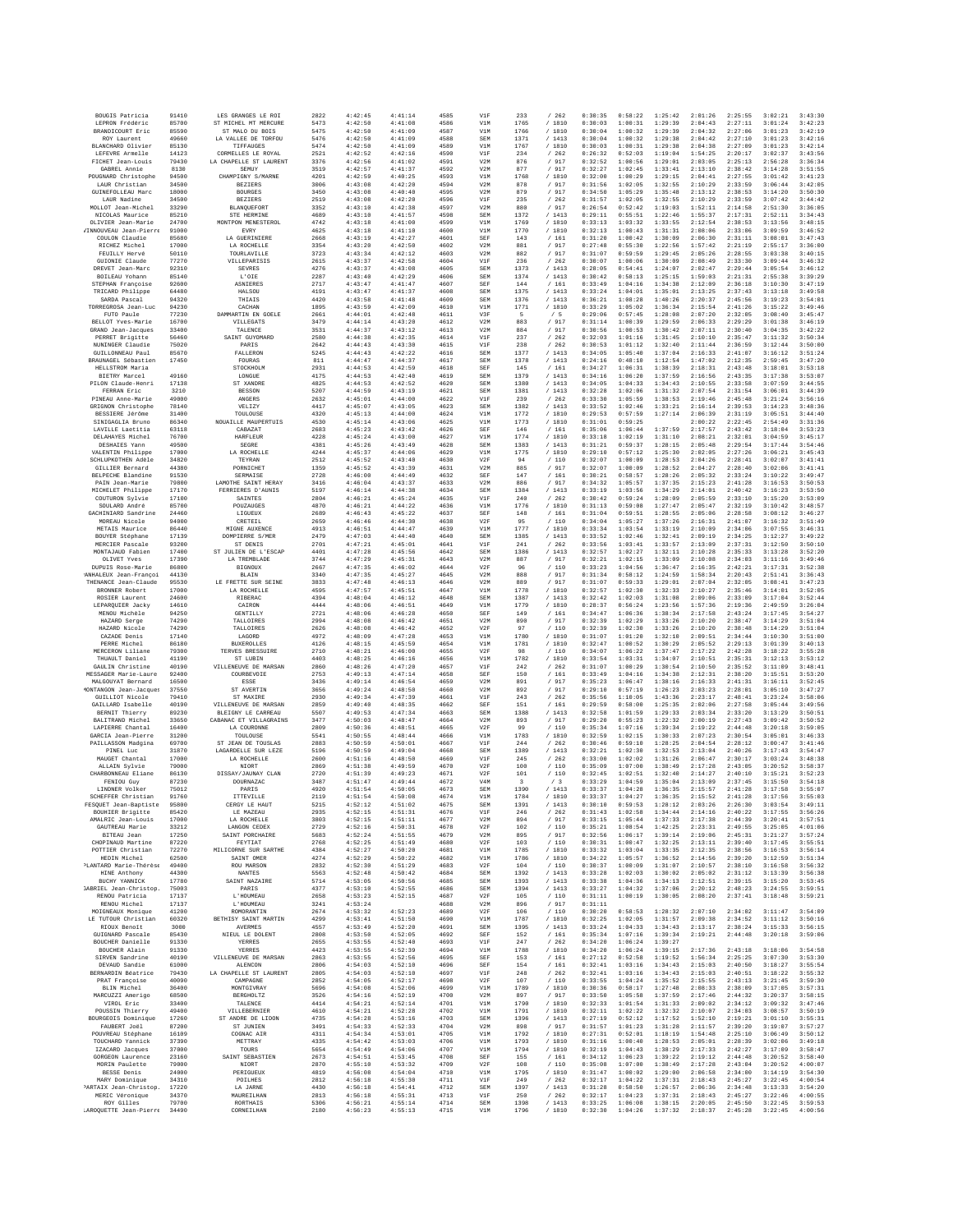| BOUGIS Patricia                                 | 91410          | LES GRANGES LE ROI                      | 2822         | 4:42:45            | 4:41:14            | 4585         | V1F                     | 233          | /262                                          | 0:30:35            | 0:58:22            | 1:25:42            | 2:01:26            | 2:25:55            | 3:02:21            | 3:43:30            |
|-------------------------------------------------|----------------|-----------------------------------------|--------------|--------------------|--------------------|--------------|-------------------------|--------------|-----------------------------------------------|--------------------|--------------------|--------------------|--------------------|--------------------|--------------------|--------------------|
| LEPRON Frédéric                                 | 85700          | ST MICHEL MT MERCURE<br>ST MALO DI BOIS | 5473         | 4:42:50            | 4:41:08            | 4586         | V1M                     | 1765         | /1810                                         | 0:30:03            | 1:00:31            | 1:29:39            | 2:04:43            | 2:27:11            | 3:01:24            | 3:42:23            |
| BRANDICOURT Eric<br>ROY Laurent                 | 85590<br>49660 | LA VALLEE DE TORFOU                     | 5475<br>5476 | 4:42:50<br>4:42:50 | 4:41:09<br>4:41:09 | 4587<br>4588 | V1M<br>SEM              | 1766<br>1371 | / 1810<br>/1413                               | 0:30:04<br>0:30:04 | 1:00:32<br>1:00:32 | 1:29:39<br>1:29:38 | 2:04:32<br>2:04:42 | 2:27:06<br>2:27:10 | 3:01:23<br>3:01:23 | 3:42:19<br>3:42:16 |
| BLANCHARD Olivier                               | 85130          | TIFFAUGES                               | 5474         | 4:42:50            | 4:41:09            | 4589         | V1M                     | 1767         | / 1810                                        | 0:30:03            | 1:00:31            | 1:29:38            | 2:04:38            | 2:27:09            | 3:01:23            | 3:42:14            |
| LEFEVRE Armelle<br>FICHET Jean-Louis            | 14123          | CORMELLES LE ROYAL                      | 2521         | 4:42:52            | 4:42:16            | 4590         | V1F                     | 234          | /262                                          | 0:26:32            | 0:52:03            | 1:19:04            | 1:54:25            | 2:20:17            | 3:02:37            | 3:43:56            |
| GABREL Annie                                    | 79430<br>8130  | LA CHAPELLE ST LAURENT<br>SEMUY         | 3376<br>3519 | 4:42:56<br>4:42:57 | 4:41:02<br>4:41:37 | 4591<br>4592 | V2M<br>V2M              | 876<br>877   | / 917<br>/ 917                                | 0:32:52<br>0:32:27 | 1:00:56<br>1:02:45 | 1:29:01<br>1:33:41 | 2:03:05<br>2:13:10 | 2:25:13<br>2:38:42 | 2:56:28<br>3:14:28 | 3:36:34<br>3:51:55 |
| POUGNARD Christophe                             | 94500          | CHAMPIGNY S/MARNE                       | 4201         | 4:42:59            | 4:40:25            | 4593         | V1M                     | 1768         | /1810                                         | 0:32:00            | 1:00:29            | 1:29:15            | 2:04:41            | 2:27:55            | 3:01:42            | 3:41:23            |
| LAUR Christian<br>GUINEFOLLEAU Marc             | 34500<br>18000 | <b>BEZIERS</b><br><b>BOURGES</b>        | 3006<br>3450 | 4:43:08<br>4:43:08 | 4:42:20<br>4:40:40 | 4594<br>4595 | V2M<br>V2M              | 878<br>879   | $/$ 917<br>/ 917                              | 0:31:56<br>0:34:50 | 1:02:05<br>1:05:29 | 1:32:55<br>1:35:48 | 2:10:29<br>2:13:12 | 2:33:59<br>2:38:53 | 3:06:44<br>3:14:20 | 3:42:05<br>3:50:30 |
| LAUR Nadine                                     | 34500          | <b>BEZIERS</b>                          | 2519         | 4:43:08            | 4:42:20            | 4596         | V1F                     | 235          | /262                                          | 0:31:57            | 1:02:05            | 1:32:55            | 2:10:29            | 2:33:59            | 3:07:42            | 3:44:42            |
| MOLLOT Jean-Michel                              | 33290          | BLANQUEFORT                             | 3352         | 4:43:10            | 4:42:38            | 4597         | V2M                     | 880          | /917                                          | 0:26:54            | 0:52:42            | 1:19:03            | 1:52:11            | 2:14:58            | 2:51:30            | 3:36:05            |
| NICOLAS Maurice<br>OLIVIER Jean-Marie           | 85210<br>24700 | STE HERMINE<br>MONTPON MENESTEROL       | 4689<br>4742 | 4:43:10<br>4:43:18 | 4:41:57<br>4:41:00 | 4598<br>4599 | SEM<br>V1M              | 1372<br>1769 | / 1413<br>/ 1810                              | 0:29:11<br>0:33:13 | 0:55:51<br>1:03:32 | 1:22:46<br>1:33:55 | 1:55:37<br>2:12:54 | 2:17:31<br>2:38:53 | 2:52:11<br>3:13:56 | 3:34:43<br>3:48:15 |
| /INNOUVEAU Jean-Pierre                          | 91000          | EVRY                                    | 4625         | 4:43:18            | 4:41:10            | 4600         | V1M                     | 1770         | / 1810                                        | 0:32:13            | 1:00:43            | 1:31:31            | 2:08:06            | 2:33:06            | 3:09:59            | 3:46:52            |
| COULON Claudie                                  | 85680          | LA GUERINIERE                           | 2668         | 4:43:19            | 4:42:27            | 4601         | SEF                     | 143          | /161                                          | 0:31:20            | 1:00:42            | 1:30:09            | 2:06:30            | 2:31:11            | 3:08:01            | 3:47:43            |
| RICHEZ Michel<br>FEUILLY Hervé                  | 17000<br>50110 | LA ROCHELLE<br>TOURLAVILLE              | 3354<br>3723 | 4:43:20<br>4:43:34 | 4:42:50<br>4:42:12 | 4602<br>4603 | V2M<br>V2M              | 881<br>882   | / 917<br>/ 917                                | 0:27:48<br>0:31:07 | 0:55:30<br>0:59:59 | 1:22:56<br>1:29:45 | 1:57:42<br>2:05:26 | 2:21:19<br>2:28:55 | 2:55:17<br>3:03:38 | 3:36:00<br>3:40:15 |
| GUIONIE Claude                                  | 77270          | VILLEPARISIS                            | 2615         | 4:43:37            | 4:42:58            | 4604         | V1F                     | 236          | /262                                          | 0:30:07            | 1:00:06            | 1:30:09            | 2:08:49            | 2:33:30            | 3:09:44            | 3:46:32            |
| DREVET Jean-Marc<br>BOILEAU Yohann              | 92310<br>85140 | <b>SEVRES</b><br>L'OIE                  | 4276<br>2287 | 4:43:37<br>4:43:40 | 4:43:08<br>4:42:29 | 4605<br>4606 | SEM<br>SEM              | 1373<br>1374 | / 1413<br>/1413                               | 0:28:05<br>0:30:42 | 0:54:41<br>0:58:13 | 1:24:07<br>1:25:15 | 2:02:47<br>1:59:03 | 2:29:44<br>2:21:31 | 3:05:54<br>2:55:38 | 3:46:12<br>3:39:29 |
| STEPHAN Francoise                               | 92600          | <b>ASNIERES</b>                         | 2717         | 4:43:47            | 4:41:47            | 4607         | SEF                     | 144          | /161                                          | 0:33:49            | 1:04:16            | 1:34:38            | 2:12:09            | 2:36:18            | 3:10:30            | 3:47:19            |
| TRICARD Philippe                                | 64480          | HALSOU                                  | 4191         | 4:43:47            | 4:41:37            | 4608         | SEM                     | 1375         | / 1413                                        | 0:33:24            | 1:04:01            | 1:35:01            | 2:13:25            | 2:37:43            | 3:13:18            | 3:49:58            |
| SARDA Pascal<br>TORREGROSA Jean-Luc             | 94320<br>94230 | THIAIS<br>CACHAN                        | 4420<br>1895 | 4:43:58<br>4:43:59 | 4:41:48<br>4:42:09 | 4609<br>4610 | SEM<br>V1M              | 1376<br>1771 | /1413<br>/ 1810                               | 0:36:21<br>0:33:29 | 1:08:28<br>1:05:02 | 1:40:26<br>1:36:34 | 2:20:37<br>2:15:54 | 2:45:56<br>2:41:26 | 3:19:23<br>3:15:22 | 3:54:01<br>3:49:46 |
| PIITO Paule                                     | 77230          | DAMMARTIN EN GOELE                      | 2661         | 4:44:01            | 4:42:48            | 4611         | V3F                     | 5            | /5                                            | 0:29:06            | 0:57:45            | 1:28:08            | 2:07:20            | 2:32:05            | 3:08:40            | 3:45:47            |
| BELLOT Yves-Marie<br>GRAND Jean-Jacques         | 16700          | VILLEGATS                               | 3479         | 4:44:14            | 4:43:20            | 4612         | V2M                     | 883          | / 917                                         | 0:31:14            | 1:00:39            | 1:29:59            | 2:06:33            | 2:29:29            | 3:01:38            | 3:46:19            |
| PERRET Brigitte                                 | 33400<br>56460 | TALENCE<br>SAINT GUYOMARD               | 3531<br>2580 | 4:44:37<br>4:44:38 | 4:43:12<br>4:42:35 | 4613<br>4614 | V2M<br>V1F              | 884<br>237   | / 917<br>/262                                 | 0:30:56<br>0:32:03 | 1:00:53<br>1:01:16 | 1:30:42<br>1:31:45 | 2:07:11<br>2:10:10 | 2:30:40<br>2:35:47 | 3:04:35<br>3:11:32 | 3:42:22<br>3:50:34 |
| NUNINGER Claudie                                | 75020          | PARIS                                   | 2642         | 4:44:43            | 4:43:30            | 4615         | V1F                     | 238          | $\hspace{0.1cm}\mathbf{/} \hspace{0.1cm} 262$ | 0:30:53            | 1:01:12            | 1:32:40            | 2:11:44            | 2:36:59            | 3:12:44            | 3:50:00            |
| <b>GUILLONNEAU Paul</b><br>BRAUNAGEL Sébastien  | 85670<br>17450 | FALLERON<br>FOURAS                      | 5245<br>811  | 4:44:43<br>4:44:47 | 4:42:22<br>4:44:37 | 4616<br>4617 | SEM<br>SEM              | 1377<br>1378 | /1413<br>/1413                                | 0:34:05<br>0:24:16 | 1:05:40<br>0:48:10 | 1:37:04<br>1:12:54 | 2:16:33<br>1:47:02 | 2:41:07<br>2:12:35 | 3:16:12<br>2:59:45 | 3:51:24<br>3:47:20 |
| HELLSTROM Maria                                 |                | STOCKHOLM                               | 2931         | 4:44:53            | 4:42:59            | 4618         | SEF                     | 145          | /161                                          | 0:34:27            | 1:06:31            | 1:38:39            | 2:18:31            | 2:43:48            | 3:18:01            | 3:53:18            |
| BIETRY Marcel                                   | 49160          | LONGUE                                  | 4175         | 4:44:53            | 4:42:40            | 4619         | SEM                     | 1379         | / 1413                                        | 0:34:16            | 1:06:20            | 1:37:59            | 2:16:56            | 2:43:35            | 3:17:38            | 3:53:07            |
| PILON Claude-Henri<br>FERRAN Eric               | 17138<br>3210  | ST XANDRI<br><b>BESSON</b>              | 4825<br>5207 | 4:44:53<br>4:44:59 | 4:42:52<br>4:43:19 | 4620<br>4621 | SEM<br>SEM              | 1380<br>1381 | /1413<br>/1413                                | 0:34:05<br>0:32:28 | 1:04:33<br>1:02:06 | 1:34:43<br>1:31:32 | 2:10:55<br>2:07:54 | 2:33:58<br>2:31:54 | 3:07:59<br>3:06:01 | 3:44:55<br>3:44:39 |
| PINEAU Anne-Marie                               | 49000          | ANGERS                                  | 2632         | 4:45:01            | 4:44:00            | 4622         | V1F                     | 239          | /262                                          | 0:33:30            | 1:05:59            | 1:38:53            | 2:19:46            | 2:45:48            | 3:21:24            | 3:56:16            |
| GRIGNON Christophe                              | 78140          | VELIZY                                  | 4417         | 4:45:07            | 4:43:05            | 4623         | SEM                     | 1382         | /1413                                         | 0:33:52            | 1:02:46            | 1:33:21            | 2:16:14            | 2:39:53            | 3:14:23            | 3:48:36            |
| BESSIERE Jérôme<br>SINIGAGLIA Bruno             | 31400<br>86340 | TOULOUSE<br>NOUAILLE MAUPERTUIS         | 4320<br>4530 | 4:45:13<br>4:45:14 | 4:44:00<br>4:43:06 | 4624<br>4625 | V1M<br>V1M              | 1772<br>1773 | / 1810<br>/ 1810                              | 0:29:53<br>0:31:01 | 0:57:59<br>0:59:25 | 1:27:14            | 2:06:39<br>2:00:22 | 2:31:19<br>2:22:45 | 3:05:51<br>2:54:49 | 3:44:40<br>3:31:36 |
| LAVILLE Laetitia                                | 63118          | CABAZAT                                 | 2683         | 4:45:23            | 4:43:42            | 4626         | SEF                     | 146          | / 161                                         | 0:35:06            | 1:06:44            | 1:37:59            | 2:17:57            | 2:43:42            | 3:18:04            | 3:53:23            |
| DELAHAYES Michel                                | 76700<br>49500 | <b>HARFLEUR</b>                         | 4228<br>4381 | 4:45:24            | 4:43:00            | 4627         | V1M                     | 1774<br>1383 | / 1810<br>/1413                               | 0:33:18<br>0:31:21 | 1:02:19<br>0:59:37 | 1:31:10<br>1:28:15 | 2:08:21<br>2:05:48 | 2:32:01            | 3:04:59<br>3:17:44 | 3:45:17<br>3:54:46 |
| DESHAIES Yann<br>VALENTIN Philippe              | 17000          | SEGRE<br>LA ROCHELLE                    | 4244         | 4:45:26<br>4:45:37 | 4:43:49<br>4:44:06 | 4628<br>4629 | SEM<br>V1M              | 1775         | /1810                                         | 0:29:10            | 0:57:12            | 1:25:30            | 2:02:05            | 2:29:54<br>2:27:26 | 3:06:21            | 3:45:43            |
| SCHLUPKOTHEN Adèle                              | 34820          | TEYRAN                                  | 2512         | 4:45:52            | 4:43:40            | 4630         | V2F                     | 94           | /110                                          | 0:32:07            | 1:00:09            | 1:28:53            | 2:04:26            | 2:28:41            | 3:02:07            | 3:41:41            |
| GILLIER Bernard<br>BELPECHE Blandine            | 44380<br>91530 | PORNICHE?<br>SERMATSE                   | 1359<br>2728 | 4:45:52<br>4:46:00 | 4:43:39<br>4:44:49 | 4631<br>4632 | V2M<br>SEF              | 885<br>147   | / 917<br>/161                                 | 0:32:07<br>0:30:21 | 1:00:09<br>0:58:57 | 1:28:52<br>1:28:26 | 2:04:27<br>2:05:32 | 2:28:40<br>2:33:24 | 3:02:06<br>3:10:22 | 3:41:41<br>3:49:47 |
| PAIN Jean-Marie                                 | 79800          | LAMOTHE SAINT HERAY                     | 3416         | 4:46:04            | 4:43:37            | 4633         | V2M                     | 886          | / 917                                         | 0:34:32            | 1:05:57            | 1:37:35            | 2:15:23            | 2:41:28            | 3:16:53            | 3:50:53            |
| MICHELET Philippe                               | 17170          | FERRIERES D'AUNIS                       | 5197         | 4:46:14            | 4:44:38            | 4634         | SEM                     | 1384         | /1413                                         | 0:33:19            | 1:03:56            | 1:34:29            | 2:14:01            | 2:40:42            | 3:16:23            | 3:53:50            |
| COUTURON Sylvie<br>SOULARD André                | 17100<br>85700 | SAINTES<br>POITZ ATIGRS                 | 2804<br>4870 | 4:46:21<br>4:46:21 | 4:45:24<br>4:44:22 | 4635<br>4636 | V1F<br>V1M              | 240<br>1776  | /262<br>/1810                                 | 0:30:42<br>0:31:13 | 0:59:24<br>0:59:08 | 1:28:09<br>1:27:47 | 2:05:59<br>2:05:47 | 2:33:10<br>2:32:19 | 3:15:20<br>3:10:42 | 3:53:09<br>3:48:57 |
| GACHINIARD Sandrine                             | 24460          | LIGUEUX                                 | 2689         | 4:46:43            | 4:45:22            | 4637         | SEF                     | 148          | / 161                                         | 0:31:04            | 0:59:51            | 1:28:55            | 2:05:06            | 2:28:58            | 3:08:12            | 3:46:27            |
| MOREAU Nicole                                   | 94000          | CRETEIL                                 | 2659         | 4:46:46            | 4:44:30            | 4638         | V2F                     | 95           | /110                                          | 0:34:04            | 1:05:27            | 1:37:26            | 2:16:31            | 2:41:07            | 3:16:32            | 3:51:49            |
| METAIS Maurice<br>BOUYER Stéphane               | 86440<br>17139 | MIGNE AUXENCE<br>DOMPIERRE S/MER        | 4913<br>2479 | 4:46:51<br>4:47:03 | 4:44:47<br>4:44:40 | 4639<br>4640 | V1M<br>SEM              | 1777<br>1385 | / 1810<br>/1413                               | 0:33:34<br>0:33:52 | 1:03:54<br>1:02:46 | 1:33:19<br>1:32:41 | 2:10:09<br>2:09:19 | 2:34:06<br>2:34:25 | 3:07:55<br>3:12:27 | 3:46:31<br>3:49:22 |
| MERCIER Pascale                                 | 93200          | ST DENIS                                | 2701         | 4:47:21            | 4:45:01            | 4641         | V1F                     | 241          | /262                                          | 0:33:56            | 1:03:41            | 1:33:57            | 2:13:09            | 2:37:31            | 3:12:50            | 3:50:10            |
| MONTAJAUD Fabien                                | 17400          | ST JULIEN DE L'ESCAP                    | 4401         | 4:47:28            | 4:45:56            | 4642         | SEM                     | 1386         | /1413                                         | 0:32:57            | 1:02:27            | 1:32:11            | 2:10:28            | 2:35:33            | 3:13:28            | 3:52:20            |
| OLIVET Yves<br>DUPUIS Rose-Marie                | 17390<br>86800 | LA TREMBLADE<br><b>BIGNOUX</b>          | 3744<br>2667 | 4:47:29<br>4:47:35 | 4:45:31<br>4:46:02 | 4643<br>4644 | V2M<br>V2F              | 887<br>96    | /917<br>/110                                  | 0:32:21<br>0:33:23 | 1:02:15<br>1:04:56 | 1:33:09<br>1:36:47 | 2:10:08<br>2:16:35 | 2:34:03<br>2:42:21 | 3:11:16<br>3:17:31 | 3:49:46<br>3:52:38 |
| ANHALEUX Jean-Françoi                           | 44130          | BLAIN                                   | 3340         | 4:47:35            | 4:45:27            | 4645         | V2M                     | 888          | $\sqrt{2}$<br>917                             | 0:31:34            | 0:58:12            | 1:24:59            | 1:58:34            | 2:20:43            | 2:51:41            | 3:36:43            |
| THENANCE Jean-Claude<br>BRONNER Robert          | 95530<br>17000 | LE FRETTE SUR SEINE<br>LA ROCHELLE      | 3833<br>4595 | 4:47:48<br>4:47:57 | 4:46:13<br>4:45:51 | 4646<br>4647 | V2M<br>V1M              | 889<br>1778  | / 917<br>/ 1810                               | 0:31:07<br>0:32:57 | 0:59:33<br>1:02:30 | 1:29:01<br>1:32:33 | 2:07:04<br>2:10:27 | 2:32:05<br>2:35:46 | 3:08:41<br>3:14:01 | 3:47:23<br>3:52:05 |
| ROSIER Laurent                                  | 24600          | RIBERAC                                 | 4394         | 4:48:04            | 4:46:12            | 4648         | SEM                     | 1387         | /1413                                         | 0:32:42            | 1:02:03            | 1:31:08            | 2:09:06            | 2:33:09            | 3:17:04            | 3:52:44            |
| LEPARQUIER Jacky                                | 14610          | CAIRON                                  | 4444         | 4:48:06            | 4:46:51            | 4649         | V1M                     | 1779         | / 1810                                        | 0:28:37            | 0:56:24            | 1:23:56            | 1:57:36            | 2:19:36            | 2:49:59            | 3:26:04            |
| MENOU Michèle<br>HAZARD Serge                   | 94250<br>74290 | GENTILLY<br>TALLOIRES                   | 2721<br>2994 | 4:48:06<br>4:48:08 | 4:46:28<br>4:46:42 | 4650<br>4651 | SEF<br>V2M              | 149<br>890   | /161<br>/ 917                                 | 0:34:47<br>0:32:39 | 1:06:36<br>1:02:29 | 1:38:34<br>1:33:26 | 2:17:58<br>2:10:20 | 2:43:24<br>2:38:47 | 3:17:45<br>3:14:29 | 3:54:27<br>3:51:04 |
| HAZARD Nicole                                   | 74290          | TALLOIRES                               | 2626         | 4:48:08            | 4:46:42            | 4652         | V2F                     | 97           | /110                                          | 0:32:39            | 1:02:30            | 1:33:26            | 2:10:20            | 2:38:48            | 3:14:29            | 3:51:04            |
| CAZADE Denis<br>PERRE Michel                    | 17140<br>86180 | LAGORD<br><b>BUXEROLLES</b>             | 4972<br>4126 | 4:48:09<br>4:48:15 | 4:47:28<br>4:45:59 | 4653<br>4654 | V1M<br>V1M              | 1780<br>1781 | / 1810                                        | 0:31:07<br>0:32:47 | 1:01:20<br>1:00:52 | 1:32:10<br>1:30:29 | 2:09:51<br>2:05:52 | 2:34:44<br>2:29:13 | 3:10:30<br>3:01:39 | 3:51:00<br>3:40:13 |
| MERCERON Liliane                                | 79300          | TERVES BRESSUIRE                        | 2710         | 4:48:21            | 4:46:00            | 4655         | V2F                     | 98           | / 1810<br>/110                                | 0:34:07            | 1:06:22            | 1:37:47            | 2:17:22            | 2:42:28            | 3:18:22            | 3:55:28            |
| THUAULT Daniel                                  | 41190          | ST LUBIN                                | 4403         | 4:48:25            | 4:46:16            | 4656         | V1M                     | 1782         | / 1810                                        | 0:33:54            | 1:03:31            | 1:34:07            | 2:10:51            | 2:35:31            | 3:12:13            | 3:53:12            |
| GAULIN Christine<br>MESSAGER Marie-Laure        | 40190<br>92400 | VILLENEUVE DE MARSAN<br>COURBEVOIE      | 2860<br>2753 | 4:48:26<br>4:49:13 | 4:47:20<br>4:47:14 | 4657<br>4658 | V1F<br>SEF              | 242<br>150   | /262<br>/161                                  | 0:31:07<br>0:33:49 | 1:00:29<br>1:04:16 | 1:30:54<br>1:34:38 | 2:10:50<br>2:12:31 | 2:35:52<br>2:38:20 | 3:11:09<br>3:15:51 | 3:48:41<br>3:53:20 |
| MALGOUYAT Bernard                               | 16500          | ESSE                                    | 3436         | 4:49:14            | 4:46:54            | 4659         | V2M                     | 891          | / 917                                         | 0:35:23            | 1:06:47            | 1:38:16            | 2:16:33            | 2:41:31            | 3:16:11            | 3:52:45            |
| <b>KONTANGON</b> Jean-Jacques                   | 37550          | ST AVERTIN                              | 3656         | 4:49:24            | 4:48:50            | 4660         | V2M                     | 892          | / 917                                         | 0:29:10            | 0:57:19            | 1:26:23            | 2:03:23            | 2:28:01            | 3:05:10            | 3:47:27            |
| GUILLIOT Nicole<br>GAILLARD Isabelle            | 79410<br>40190 | ST MAXIRE<br>VILLENEUVE DE MARSAN       | 2930<br>2859 | 4:49:34<br>4:49:40 | 4:47:39<br>4:48:35 | 4661<br>4662 | V1F<br>SEF              | 243<br>151   | /262<br>/ 161                                 | 0:35:56<br>0:29:59 | 1:10:05<br>0:58:00 | 1:43:36<br>1:25:35 | 2:23:17<br>2:02:06 | 2:48:41<br>2:27:58 | 3:23:24<br>3:05:44 | 3:58:06<br>3:49:56 |
| BERNIT Thierry                                  | 89230          | BLEIGNY LE CARREAU                      | 5507         | 4:49:53            | 4:47:34            | 4663         | SEM                     | 1388         | /1413                                         | 0:32:58            | 1:01:59            | 1:29:33            | 2:03:34            | 2:33:20            | 3:13:29            | 3:50:51            |
| BALITRAND Michel                                | 33650          | CABANAC ET VILLAGRAINS                  | 3477         | 4:50:03            | 4:48:47            | 4664         | V2M                     | 893          | / 917                                         | 0:29:20            | 0:55:23            | 1:22:32            | 2:00:19            | 2:27:43            | 3:09:42            | 3:50:52            |
| LAPIERRE Chantal<br>GARCIA Jean-Pierre          | 16400<br>31200 | LA COURONNE<br>TOULOUSE                 | 2809<br>5541 | 4:50:36<br>4:50:55 | 4:48:51<br>4:48:44 | 4665<br>4666 | V2F<br>V1M              | 99<br>1783   | / 110<br>/ 1810                               | 0:35:34<br>0:32:59 | 1:07:16<br>1:02:15 | 1:39:34<br>1:30:33 | 2:19:22<br>2:07:23 | 2:44:48<br>2:30:54 | 3:20:18<br>3:05:03 | 3:59:05<br>3:46:33 |
| PAILLASSON Madgina                              | 69700          | ST JEAN DE TOUSLAS                      | 2883         | 4:50:59            | 4:50:01            | 4667         | V1F                     | 244          | /262                                          | 0:30:46            | 0:59:10            | 1:28:25            | 2:04:54            | 2:28:12            | 3:00:47            | 3:41:46            |
| PINEL Luc<br>MAUGET Chantal                     | 31870<br>17000 | LAGARDELLE SUR LEZE                     | 5196<br>2600 | 4:50:59<br>4:51:16 | 4:49:04<br>4:48:50 | 4668<br>4669 | SEM<br>V1F              | 1389         | /1413                                         | 0:32:21<br>0:33:00 | 1:02:30<br>1:02:02 | 1:32:53<br>1:31:26 | 2:13:04<br>2:06:47 | 2:40:26<br>2:30:17 | 3:17:43<br>3:03:24 | 3:54:47<br>3:48:38 |
| ALLAIN Sylvie                                   | 79000          | LA ROCHELLE<br>NIORT                    | 2869         | 4:51:38            | 4:49:59            | 4670         | V2F                     | 245<br>100   | /262<br>/110                                  | 0:35:09            | 1:07:00            | 1:38:49            | 2:17:28            | 2:43:05            | 3:20:52            | 3:58:37            |
| CHARBONNEAU Eliane                              | 86130          | DISSAY/JAUNAY CLAN                      | 2720         | 4:51:39            | 4:49:23            | 4671         | V2F                     | 101          | /110                                          | 0:32:45            | 1:02:51            | 1:32:40            | 2:14:27            | 2:40:10            | 3:15:21            | 3:52:23            |
| FENIOU Guy<br>LINDNER Volker                    | 87230<br>75012 | <b>DOURNAZAC</b><br>PARTS               | 3487<br>4920 | 4:51:47<br>4:51:54 | 4:49:44<br>4:50:05 | 4672<br>4673 | V <sub>4</sub> M<br>SEM | 3<br>1390    | /3<br>/1413                                   | 0:33:29<br>0:33:37 | 1:04:59<br>1:04:28 | 1:35:04<br>1:36:35 | 2:13:09<br>2:15:57 | 2:37:45<br>2:41:28 | 3:15:50<br>3:17:58 | 3:54:18<br>3:55:07 |
| SCHEFFER Christian                              | 91760          | ITTEVILLE                               | 2119         | 4:51:54            | 4:50:08            | 4674         | V1M                     | 1784         | / 1810                                        | 0:33:37            | 1:04:27            | 1:36:35            | 2:15:52            | 2:41:28            | 3:17:56            | 3:55:03            |
| FESQUET Jean-Baptiste<br>BOUHIER Brigitte       | 95800          | CERGY LE HAUT<br>LE MAZEAU              | 5215         | 4:52:12<br>4:52:15 | 4:51:02<br>4:51:31 | 4675<br>4676 | SEM<br>V1F              | 1391         | / 1413<br>/262                                | 0:30:10<br>0:31:43 | 0:59:53<br>1:02:58 | 1:28:12<br>1:34:44 | 2:03:26<br>2:14:16 | 2:26:30<br>2:40:22 | 3:03:54<br>3:17:55 | 3:49:11            |
| AMALRIC Jean-Louis                              | 85420<br>17000 | LA ROCHELLE                             | 2935<br>3803 | 4:52:15            | 4:51:11            | 4677         | V2M                     | 246<br>894   | 917<br>$\sqrt{2}$                             | 0:33:15            | 1:05:44            | 1:37:33            | 2:17:38            | 2:44:39            | 3:20:41            | 3:56:26<br>3:57:51 |
| GAUTREAU Marie                                  | 33212          | LANGON CEDEX                            | 2729         | 4:52:16            | 4:50:31            | 4678         | V2F                     | 102          | / 110                                         | 0:35:21            | 1:08:54            | 1:42:25            | 2:23:31            | 2:49:55            | 3:25:05            | 4:01:06            |
| BITEAU Jean<br>CHOPINAUD Martine                | 17250<br>87220 | SAINT PORCHAIRE<br>FEYTIAT              | 5683<br>2768 | 4:52:24<br>4:52:25 | 4:51:55<br>4:51:49 | 4679<br>4680 | V2M<br>V2F              | 895<br>103   | /917<br>/ 110                                 | 0:32:56<br>0:30:31 | 1:06:17<br>1:00:47 | 1:39:14<br>1:32:25 | 2:19:06<br>2:13:11 | 2:45:31<br>2:39:40 | 3:21:27<br>3:17:45 | 3:57:24<br>3:55:51 |
| POTTIER Christian                               | 72270          | MILICORNE SUR SARTHE                    | 4384         | 4:52:27            | 4:50:20            | 4681         | V1M                     | 1785         | / 1810                                        | 0:33:32            | 1:03:04            | 1:33:35            | 2:12:35            | 2:38:56            | 3:16:53            | 3:56:14            |
| HEDIN Michel                                    | 62500          | SAINT OMER                              | 4274         | 4:52:29            | 4:50:22            | 4682         | V1M                     | 1786         | /1810                                         | 0:34:22            | 1:05:57            | 1:36:52            | 2:14:56            | 2:39:20            | 3:12:59            | 3:51:34            |
| PLANTARD Marie-Thérèse<br>HINE Anthony          | 49400<br>44300 | ROU MARSON<br><b>NANTES</b>             | 2832<br>5563 | 4:52:30<br>4:52:48 | 4:51:29<br>4:50:42 | 4683<br>4684 | V2F<br>SEM              | 104<br>1392  | $/\phantom{0}110$<br>/1413                    | 0:30:37<br>0:33:28 | 1:00:09<br>1:02:03 | 1:31:07<br>1:30:02 | 2:10:57<br>2:05:02 | 2:38:10<br>2:31:12 | 3:16:58<br>3:13:39 | 3:56:32<br>3:56:38 |
| BUCHY YANNICK                                   | 17780          | SAINT NAZAIRE                           | 5714         | 4:53:05            | 4:50:56            | 4685         | SEM                     | 1393         | /1413                                         | 0:33:38            | 1:04:36            | 1:34:13            | 2:12:51            | 2:39:15            | 3:15:20            | 3:53:45            |
| <b>GABRIEL</b> Jean-Christop.<br>RENOU Patricia | 75003<br>17137 | PARIS<br>L'HOUMEAU                      | 4377<br>2658 | 4:53:10<br>4:53:23 | 4:52:55<br>4:52:15 | 4686<br>4687 | <b>SEM</b><br>V2F       | 1394<br>105  | / 1413<br>$/$ 110                             | 0:33:27<br>0:31:11 | 1:04:32<br>1:00:19 | 1:37:06<br>1:30:05 | 2:20:12<br>2:08:20 | 2:48:23<br>2:37:41 | 3:24:55<br>3:18:48 | 3:59:51<br>3:59:21 |
| RENOU Michel                                    | 17137          | L'HOUMEAU                               | 3241         | 4:53:24            |                    | 4688         | V2M                     | 896          | / 917                                         | 0:31:11            |                    |                    |                    |                    |                    |                    |
| MOIGNEAUX Monique                               | 41200          | ROMORANTIN                              | 2674         | 4:53:32            | 4:52:23            | 4689         | V2F                     | 106          | /110                                          | 0:30:20            | 0:58:53            | 1:28:32            | 2:07:10            | 2:34:02            | 3:11:47            | 3:54:09            |
| LE TUTOUR Christian<br>RIOUX Benoît             | 60320<br>3000  | BETHISY SAINT MARTIN<br><b>AVERMES</b>  | 4299<br>4557 | 4:53:41<br>4:53:49 | 4:51:50<br>4:52:20 | 4690<br>4691 | V1M<br>SEM              | 1787<br>1395 | / 1810<br>/1413                               | 0:32:25<br>0:33:24 | 1:02:05<br>1:04:33 | 1:31:57<br>1:34:43 | 2:09:38<br>2:13:17 | 2:34:52<br>2:38:24 | 3:11:12<br>3:15:33 | 3:50:16<br>3:56:15 |
| GUIGNARD Pascale                                | 85430          | NIEUL LE DOLENT                         | 2808         | 4:53:50            | 4:52:05            | 4692         | SEF                     | 152          | / 161                                         | 0:35:34            | 1:07:16            | 1:39:34            | 2:19:21            | 2:44:48            | 3:20:18            | 3:59:06            |
| BOUCHER Danielle                                | 91330          | YERRES                                  | 2655         | 4:53:55            | 4:52:40            | 4693         | V1F                     | 247          | /262                                          | 0:34:20            | 1:06:24            | 1:39:27            |                    |                    |                    |                    |
| BOUCHER Alain<br>SIRVEN Sandrine                | 91330<br>40190 | YERRES<br>VILLENEUVE DE MARSAN          | 4423<br>2863 | 4:53:55<br>4:53:55 | 4:52:39<br>4:52:56 | 4694<br>4695 | V1M<br>SEF              | 1788<br>153  | / 1810<br>/ 161                               | 0:34:20<br>0:27:12 | 1:06:24<br>0:52:58 | 1:39:15<br>1:19:52 | 2:17:36<br>1:56:34 | 2:43:18<br>2:25:25 | 3:18:06<br>3:07:30 | 3:54:58<br>3:53:30 |
| DEVAUD Sandie                                   | 61000          | ALENCON                                 | 2806         | 4:54:03            | 4:52:10            | 4696         | SEF                     | 154          | /161                                          | 0:32:41            | 1:03:16            | 1:34:43            | 2:15:03            | 2:40:50            | 3:18:27            | 3:55:54            |
| BERNARDIN Béatrice<br>PRAT Françoise            | 79430<br>40090 | LA CHAPELLE ST LAURENT<br>CAMPAGNE      | 2805<br>2852 | 4:54:03<br>4:54:05 | 4:52:10<br>4:52:17 | 4697<br>4698 | V1F<br>V2F              | 248<br>107   | /262<br>/ $110$                               | 0:32:41<br>0:33:55 | 1:03:16<br>1:04:24 | 1:34:43<br>1:35:52 | 2:15:03<br>2:15:55 | 2:40:51<br>2:43:13 | 3:18:22<br>3:21:45 | 3:55:32<br>3:59:30 |
| BLIN Michel                                     | 36400          | MONTGIVRAY                              | 5696         | 4:54:08            | 4:52:06            | 4699         | V1M                     | 1789         | / 1810                                        | 0:30:36            | 0:58:17            | 1:27:48            | 2:08:33            | 2:38:09            | 3:17:05            | 3:57:31            |
| MARCUZZI Amerigo                                | 68500          | <b>BERGHOLTZ</b>                        | 3526         | 4:54:16            | 4:52:19            | 4700         | V2M                     | 897          | / 917                                         | 0:33:50            | 1:05:58            | 1:37:59            | 2:17:46            | 2:44:32            | 3:20:37            | 3:58:15            |
| VIROL Eric<br>POUSSIN Thierry                   | 33400<br>49400 | TALENCE<br>VILLEBERNIER                 | 4414<br>4610 | 4:54:21<br>4:54:21 | 4:52:14<br>4:52:28 | 4701<br>4702 | V1M<br>V1M              | 1790<br>1791 | / 1810<br>/ 1810                              | 0:32:33<br>0:32:11 | 1:01:54<br>1:02:22 | 1:31:33<br>1:32:32 | 2:09:02<br>2:10:07 | 2:34:12<br>2:34:03 | 3:09:32<br>3:08:57 | 3:47:46<br>3:50:19 |
| BOURGEOIS Dominique                             | 17260          | ST ANDRE DE LIDON                       | 4735         | 4:54:28            | 4:53:16            | 4703         | SEM                     | 1396         | /1413                                         | 0:27:19            | 0:52:12            | 1:17:52            | 1:52:10            | 2:19:21            | 3:01:10            | 3:55:31            |
| FAUBERT Joël                                    | 87200<br>16109 | ST JUNIEN<br>COGNAC AIR                 | 3491<br>4311 | 4:54:33<br>4:54:34 | 4:52:33<br>4:53:01 | 4704<br>4705 | V2M<br>V1M              | 898<br>1792  | / 917<br>/ 1810                               | 0:31:57<br>0:27:31 | 1:01:23<br>0:52:01 | 1:31:28<br>1:18:19 | 2:11:57<br>1:54:48 | 2:39:20<br>2:25:10 | 3:19:07<br>3:06:49 | 3:57:27<br>3:50:12 |
| POUVREAU Stéphane<br>TOUCHARD Yannick           | 37390          | METTRAY                                 | 4335         | 4:54:42            | 4:53:03            | 4706         | V1M                     | 1793         | / 1810                                        | 0:31:16            | 1:00:40            | 1:28:53            | 2:05:01            | 2:28:39            | 3:02:06            | 3:49:18            |
| IZACARD Jacques                                 | 37000          | TOURS                                   | 5654         | 4:54:49            | 4:54:06            | 4707         | V1M                     | 1794         | /1810                                         | 0:32:19            | 1:04:43            | 1:38:29            | 2:17:33            | 2:42:27            | 3:17:09            | 3:58:47            |
| GORGEON Laurence<br>MORIN Paulette              | 23160<br>79000 | SAINT SEBASTIEN<br>NIORT                | 2673<br>2870 | 4:54:51<br>4:55:10 | 4:53:45<br>4:53:32 | 4708<br>4709 | SEF<br>V2F              | 155<br>108   | $/\phantom{0}161$<br>/110                     | 0:34:12<br>0:35:08 | 1:06:23<br>1:07:00 | 1:39:22<br>1:38:49 | 2:19:12<br>2:17:28 | 2:44:48<br>2:43:04 | 3:20:52<br>3:20:52 | 3:58:40<br>4:00:07 |
| BESSE Denis                                     | 24000          | PERIGUEUX                               | 4819         | 4:56:08            | 4:54:04            | 4710         | V1M                     | 1795         | / 1810                                        | 0:31:47            | 1:00:02            | 1:29:00            | 2:06:58            | 2:34:00            | 3:14:19            | 3:54:30            |
| MARY Dominique                                  | 34310          | POILHES                                 | 2812         | 4:56:18            | 4:55:30            | 4711         | V1F                     | 249          | /262                                          | 0:32:17            | 1:04:22            | 1:37:31            | 2:18:43            | 2:45:27            | 3:22:45            | 4:00:54            |
| PARTAIX Jean-Christop.<br>MERIC Véronique       | 17220<br>34370 | LA JARNE<br>MAUREILHAN                  | 4430<br>2813 | 4:56:18<br>4:56:18 | 4:54:41<br>4:55:31 | 4712<br>4713 | SEM<br>V1F              | 1397<br>250  | / 1413<br>/262                                | 0:31:28<br>0:32:17 | 0:58:50<br>1:04:23 | 1:26:57<br>1:37:31 | 2:06:36<br>2:18:43 | 2:34:48<br>2:45:27 | 3:13:33<br>3:22:46 | 3:54:20<br>4:00:55 |
| ROY Gilles                                      | 79700          | RORTHAIS                                | 5306         | 4:56:21            | 4:55:14            | 4714         | SEM                     | 1398         | /1413                                         | 0:33:25            | 1:06:08            | 1:38:15            | 2:20:05            | 2:45:50            | 3:22:45            | 3:59:53            |
| LAROQUETTE Jean-Pierre                          | 34490          | CORNEILHAN                              | 2180         | 4:56:23            | 4:55:13            | 4715         | V1M                     | 1796         | / 1810                                        | 0:32:30            | 1:04:26            | 1:37:32            | 2:18:37            | 2:45:28            | 3:22:45            | 4:00:56            |